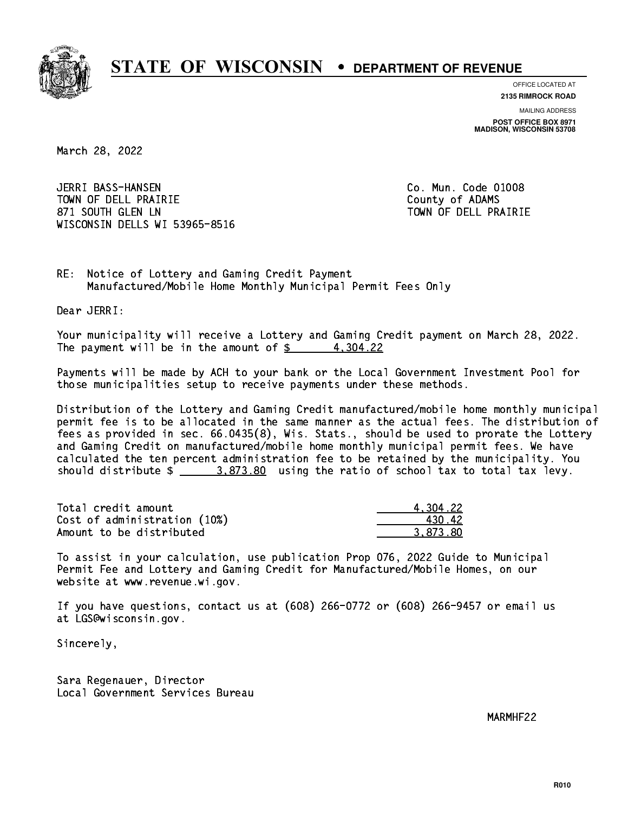

**OFFICE LOCATED AT**

**2135 RIMROCK ROAD**

**MAILING ADDRESS POST OFFICE BOX 8971 MADISON, WISCONSIN 53708**

March 28, 2022

 JERRI BASS-HANSEN Co. Mun. Code 01008 TOWN OF DELL PRAIRIE County of ADAMS 871 SOUTH GLEN LN TOWN OF DELL PRAIRIE WISCONSIN DELLS WI 53965-8516

RE: Notice of Lottery and Gaming Credit Payment Manufactured/Mobile Home Monthly Municipal Permit Fees Only

Dear JERRI:

 Your municipality will receive a Lottery and Gaming Credit payment on March 28, 2022. The payment will be in the amount of  $\frac{2}{3}$  4,304.22

 Payments will be made by ACH to your bank or the Local Government Investment Pool for those municipalities setup to receive payments under these methods.

 Distribution of the Lottery and Gaming Credit manufactured/mobile home monthly municipal permit fee is to be allocated in the same manner as the actual fees. The distribution of fees as provided in sec. 66.0435(8), Wis. Stats., should be used to prorate the Lottery and Gaming Credit on manufactured/mobile home monthly municipal permit fees. We have calculated the ten percent administration fee to be retained by the municipality. You should distribute  $\frac{2}{2}$   $\frac{3.873.80}{2}$  using the ratio of school tax to total tax levy.

| Total credit amount          | 4.304.22 |
|------------------------------|----------|
| Cost of administration (10%) | 43042    |
| Amount to be distributed     | 3.873.80 |

 To assist in your calculation, use publication Prop 076, 2022 Guide to Municipal Permit Fee and Lottery and Gaming Credit for Manufactured/Mobile Homes, on our website at www.revenue.wi.gov.

 If you have questions, contact us at (608) 266-0772 or (608) 266-9457 or email us at LGS@wisconsin.gov.

Sincerely,

 Sara Regenauer, Director Local Government Services Bureau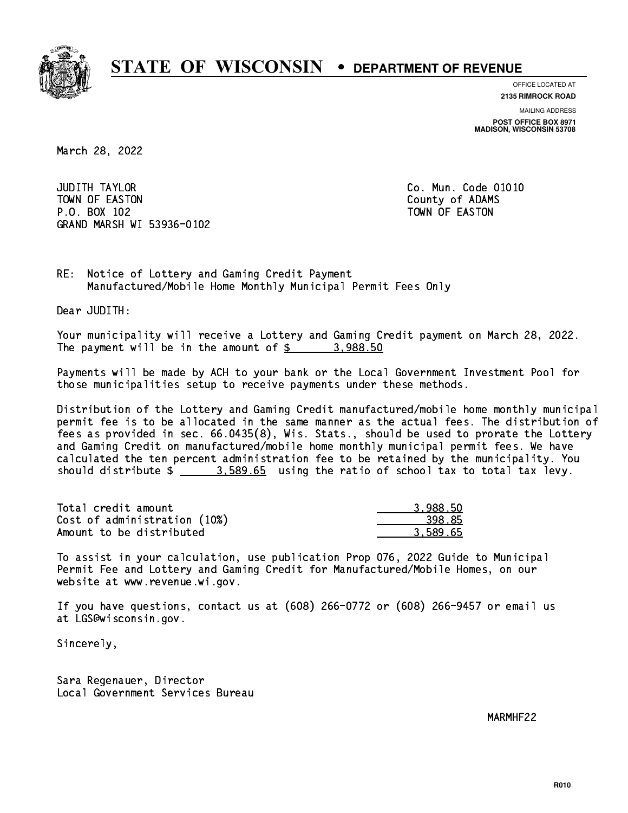

**OFFICE LOCATED AT**

**2135 RIMROCK ROAD**

**MAILING ADDRESS POST OFFICE BOX 8971 MADISON, WISCONSIN 53708**

March 28, 2022

**JUDITH TAYLOR** TOWN OF EASTON COUNTY OF ALCOHOL COUNTY OF ADAMS P.O. BOX 102 TOWN OF EASTON GRAND MARSH WI 53936-0102

Co. Mun. Code 01010

RE: Notice of Lottery and Gaming Credit Payment Manufactured/Mobile Home Monthly Municipal Permit Fees Only

Dear JUDITH:

 Your municipality will receive a Lottery and Gaming Credit payment on March 28, 2022. The payment will be in the amount of  $\frac{2}{3}$  3,988.50

 Payments will be made by ACH to your bank or the Local Government Investment Pool for those municipalities setup to receive payments under these methods.

 Distribution of the Lottery and Gaming Credit manufactured/mobile home monthly municipal permit fee is to be allocated in the same manner as the actual fees. The distribution of fees as provided in sec. 66.0435(8), Wis. Stats., should be used to prorate the Lottery and Gaming Credit on manufactured/mobile home monthly municipal permit fees. We have calculated the ten percent administration fee to be retained by the municipality. You should distribute  $\frac{2}{1}$   $\frac{3.589.65}{2}$  using the ratio of school tax to total tax levy.

| Total credit amount          | 3.988.50 |
|------------------------------|----------|
| Cost of administration (10%) | 398.85   |
| Amount to be distributed     | 3.589.65 |

 To assist in your calculation, use publication Prop 076, 2022 Guide to Municipal Permit Fee and Lottery and Gaming Credit for Manufactured/Mobile Homes, on our website at www.revenue.wi.gov.

 If you have questions, contact us at (608) 266-0772 or (608) 266-9457 or email us at LGS@wisconsin.gov.

Sincerely,

 Sara Regenauer, Director Local Government Services Bureau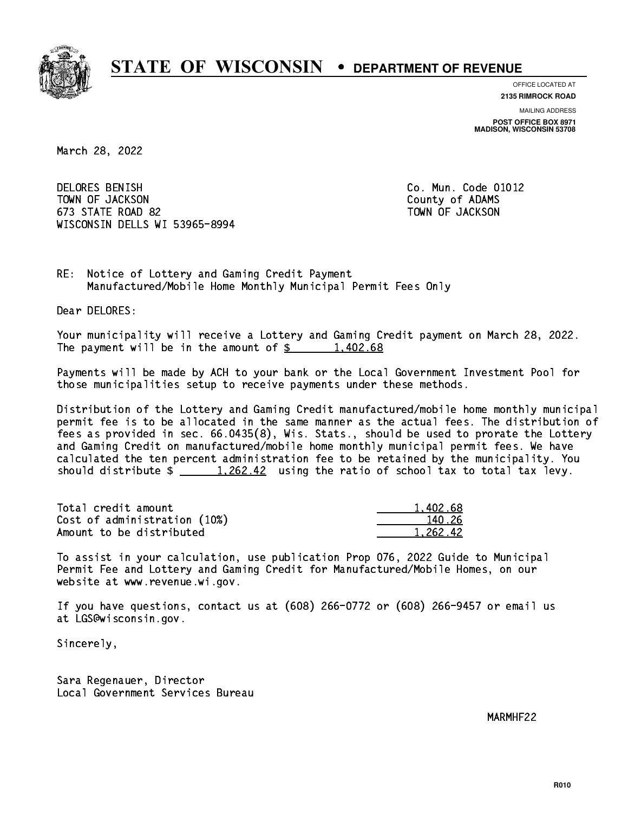

**OFFICE LOCATED AT**

**2135 RIMROCK ROAD**

**MAILING ADDRESS POST OFFICE BOX 8971 MADISON, WISCONSIN 53708**

March 28, 2022

 DELORES BENISH Co. Mun. Code 01012 TOWN OF JACKSON COUNTY OF ADAMS 673 STATE ROAD 82 TOWN OF JACKSON WISCONSIN DELLS WI 53965-8994

RE: Notice of Lottery and Gaming Credit Payment Manufactured/Mobile Home Monthly Municipal Permit Fees Only

Dear DELORES:

 Your municipality will receive a Lottery and Gaming Credit payment on March 28, 2022. The payment will be in the amount of  $\frac{2}{3}$  1,402.68

 Payments will be made by ACH to your bank or the Local Government Investment Pool for those municipalities setup to receive payments under these methods.

 Distribution of the Lottery and Gaming Credit manufactured/mobile home monthly municipal permit fee is to be allocated in the same manner as the actual fees. The distribution of fees as provided in sec. 66.0435(8), Wis. Stats., should be used to prorate the Lottery and Gaming Credit on manufactured/mobile home monthly municipal permit fees. We have calculated the ten percent administration fee to be retained by the municipality. You should distribute  $\frac{1,262.42}{1,262.42}$  using the ratio of school tax to total tax levy.

| Total credit amount          | 1,402.68 |
|------------------------------|----------|
| Cost of administration (10%) | 140.26   |
| Amount to be distributed     | 1.262.42 |

 To assist in your calculation, use publication Prop 076, 2022 Guide to Municipal Permit Fee and Lottery and Gaming Credit for Manufactured/Mobile Homes, on our website at www.revenue.wi.gov.

 If you have questions, contact us at (608) 266-0772 or (608) 266-9457 or email us at LGS@wisconsin.gov.

Sincerely,

 Sara Regenauer, Director Local Government Services Bureau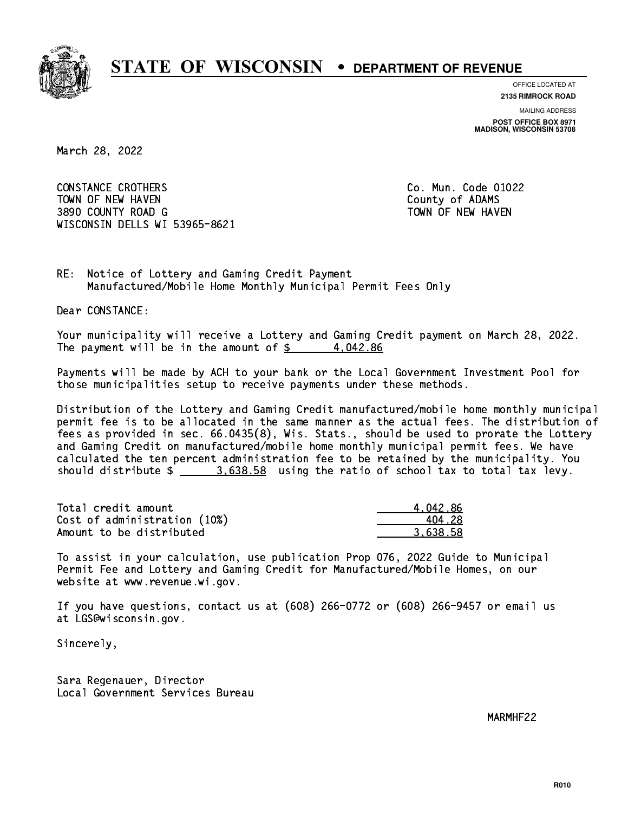

**OFFICE LOCATED AT**

**2135 RIMROCK ROAD**

**MAILING ADDRESS POST OFFICE BOX 8971 MADISON, WISCONSIN 53708**

March 28, 2022

 CONSTANCE CROTHERS Co. Mun. Code 01022 TOWN OF NEW HAVEN **COUNTY OF A SERVICE COULD A** COUNTY OF ADAMS 3890 COUNTY ROAD G TOWN OF NEW HAVEN WISCONSIN DELLS WI 53965-8621

RE: Notice of Lottery and Gaming Credit Payment Manufactured/Mobile Home Monthly Municipal Permit Fees Only

Dear CONSTANCE:

 Your municipality will receive a Lottery and Gaming Credit payment on March 28, 2022. The payment will be in the amount of  $\frac{2}{3}$  4,042.86

 Payments will be made by ACH to your bank or the Local Government Investment Pool for those municipalities setup to receive payments under these methods.

 Distribution of the Lottery and Gaming Credit manufactured/mobile home monthly municipal permit fee is to be allocated in the same manner as the actual fees. The distribution of fees as provided in sec. 66.0435(8), Wis. Stats., should be used to prorate the Lottery and Gaming Credit on manufactured/mobile home monthly municipal permit fees. We have calculated the ten percent administration fee to be retained by the municipality. You should distribute  $\frac{2}{2}$   $\frac{3.638.58}{2}$  using the ratio of school tax to total tax levy.

| Total credit amount          | 4.042.86 |
|------------------------------|----------|
| Cost of administration (10%) | 404.28   |
| Amount to be distributed     | 3.638.58 |

 To assist in your calculation, use publication Prop 076, 2022 Guide to Municipal Permit Fee and Lottery and Gaming Credit for Manufactured/Mobile Homes, on our website at www.revenue.wi.gov.

 If you have questions, contact us at (608) 266-0772 or (608) 266-9457 or email us at LGS@wisconsin.gov.

Sincerely,

 Sara Regenauer, Director Local Government Services Bureau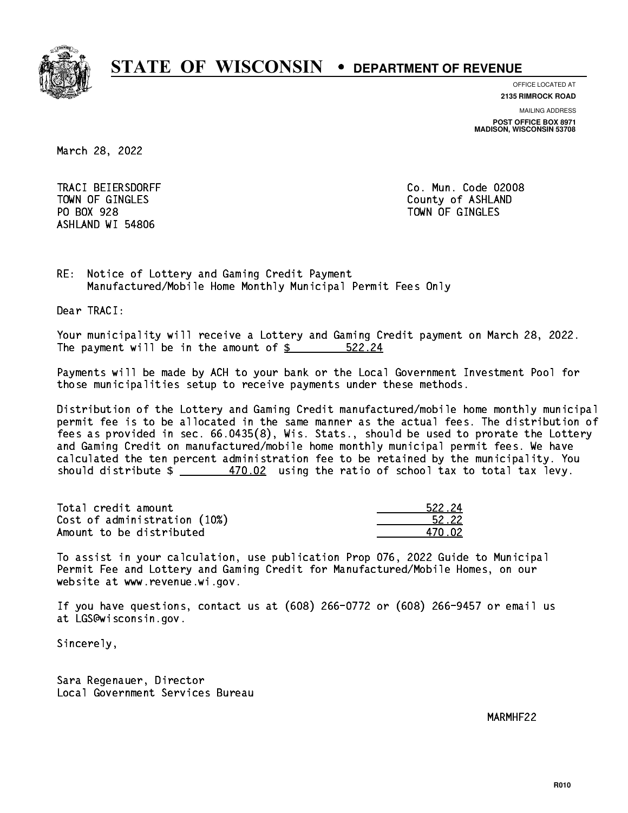

**OFFICE LOCATED AT**

**2135 RIMROCK ROAD**

**MAILING ADDRESS**

**POST OFFICE BOX 8971 MADISON, WISCONSIN 53708**

March 28, 2022

 TRACI BEIERSDORFF Co. Mun. Code 02008 PO BOX 928 PO BOX 928 TOWN OF GINGLES ASHLAND WI 54806

TOWN OF GINGLES County of ASHLAND

RE: Notice of Lottery and Gaming Credit Payment Manufactured/Mobile Home Monthly Municipal Permit Fees Only

Dear TRACI:

 Your municipality will receive a Lottery and Gaming Credit payment on March 28, 2022. The payment will be in the amount of  $\frac{22.24}{5}$ 

 Payments will be made by ACH to your bank or the Local Government Investment Pool for those municipalities setup to receive payments under these methods.

 Distribution of the Lottery and Gaming Credit manufactured/mobile home monthly municipal permit fee is to be allocated in the same manner as the actual fees. The distribution of fees as provided in sec. 66.0435(8), Wis. Stats., should be used to prorate the Lottery and Gaming Credit on manufactured/mobile home monthly municipal permit fees. We have calculated the ten percent administration fee to be retained by the municipality. You should distribute  $\frac{470.02}{1}$  using the ratio of school tax to total tax levy.

Total credit amount  $522.24$ Cost of administration (10%)  $\frac{52.22}{200}$ Amount to be distributed  $470.02$ 

 To assist in your calculation, use publication Prop 076, 2022 Guide to Municipal Permit Fee and Lottery and Gaming Credit for Manufactured/Mobile Homes, on our website at www.revenue.wi.gov.

 If you have questions, contact us at (608) 266-0772 or (608) 266-9457 or email us at LGS@wisconsin.gov.

Sincerely,

 Sara Regenauer, Director Local Government Services Bureau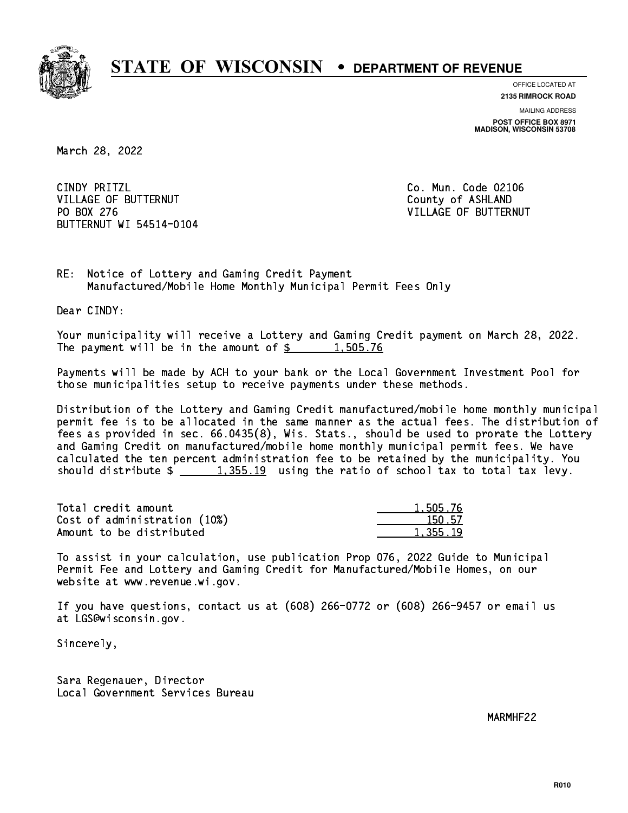

**OFFICE LOCATED AT**

**2135 RIMROCK ROAD**

**MAILING ADDRESS POST OFFICE BOX 8971 MADISON, WISCONSIN 53708**

March 28, 2022

CINDY PRITZL VILLAGE OF BUTTERNUT COUNTY OF ASHLAND PO BOX 276 BUTTERNUT WI 54514-0104

Co. Mun. Code 02106 VILLAGE OF BUTTERNUT

RE: Notice of Lottery and Gaming Credit Payment Manufactured/Mobile Home Monthly Municipal Permit Fees Only

Dear CINDY:

 Your municipality will receive a Lottery and Gaming Credit payment on March 28, 2022. The payment will be in the amount of  $\frac{2}{3}$  1,505.76

 Payments will be made by ACH to your bank or the Local Government Investment Pool for those municipalities setup to receive payments under these methods.

 Distribution of the Lottery and Gaming Credit manufactured/mobile home monthly municipal permit fee is to be allocated in the same manner as the actual fees. The distribution of fees as provided in sec. 66.0435(8), Wis. Stats., should be used to prorate the Lottery and Gaming Credit on manufactured/mobile home monthly municipal permit fees. We have calculated the ten percent administration fee to be retained by the municipality. You should distribute  $\frac{1,355.19}{1,355.19}$  using the ratio of school tax to total tax levy.

| Total credit amount          | 1,505.76 |
|------------------------------|----------|
| Cost of administration (10%) | 150.57   |
| Amount to be distributed     | 1,355.19 |

 To assist in your calculation, use publication Prop 076, 2022 Guide to Municipal Permit Fee and Lottery and Gaming Credit for Manufactured/Mobile Homes, on our website at www.revenue.wi.gov.

 If you have questions, contact us at (608) 266-0772 or (608) 266-9457 or email us at LGS@wisconsin.gov.

Sincerely,

 Sara Regenauer, Director Local Government Services Bureau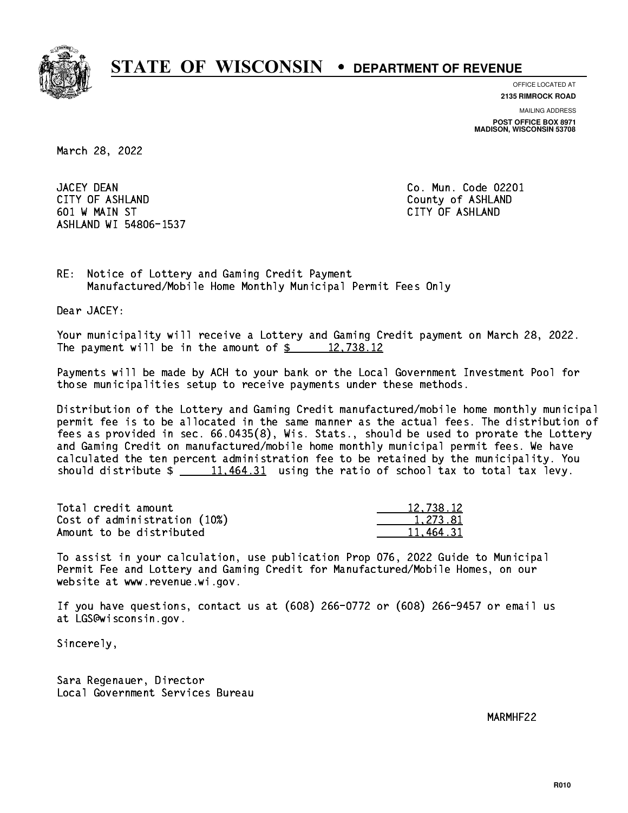

**OFFICE LOCATED AT**

**2135 RIMROCK ROAD**

**MAILING ADDRESS**

**POST OFFICE BOX 8971 MADISON, WISCONSIN 53708**

March 28, 2022

JACEY DEAN CITY OF ASHLAND County of ASHLAND 601 W MAIN ST CITY OF ASHLAND ASHLAND WI 54806-1537

Co. Mun. Code 02201

RE: Notice of Lottery and Gaming Credit Payment Manufactured/Mobile Home Monthly Municipal Permit Fees Only

Dear JACEY:

 Your municipality will receive a Lottery and Gaming Credit payment on March 28, 2022. The payment will be in the amount of  $\frac{2}{3}$  12,738.12

 Payments will be made by ACH to your bank or the Local Government Investment Pool for those municipalities setup to receive payments under these methods.

 Distribution of the Lottery and Gaming Credit manufactured/mobile home monthly municipal permit fee is to be allocated in the same manner as the actual fees. The distribution of fees as provided in sec. 66.0435(8), Wis. Stats., should be used to prorate the Lottery and Gaming Credit on manufactured/mobile home monthly municipal permit fees. We have calculated the ten percent administration fee to be retained by the municipality. You should distribute  $\frac{11,464.31}{2}$  using the ratio of school tax to total tax levy.

| Total credit amount          | 12,738.12 |
|------------------------------|-----------|
| Cost of administration (10%) | 1.273.81  |
| Amount to be distributed     | 11.464.31 |

 To assist in your calculation, use publication Prop 076, 2022 Guide to Municipal Permit Fee and Lottery and Gaming Credit for Manufactured/Mobile Homes, on our website at www.revenue.wi.gov.

 If you have questions, contact us at (608) 266-0772 or (608) 266-9457 or email us at LGS@wisconsin.gov.

Sincerely,

 Sara Regenauer, Director Local Government Services Bureau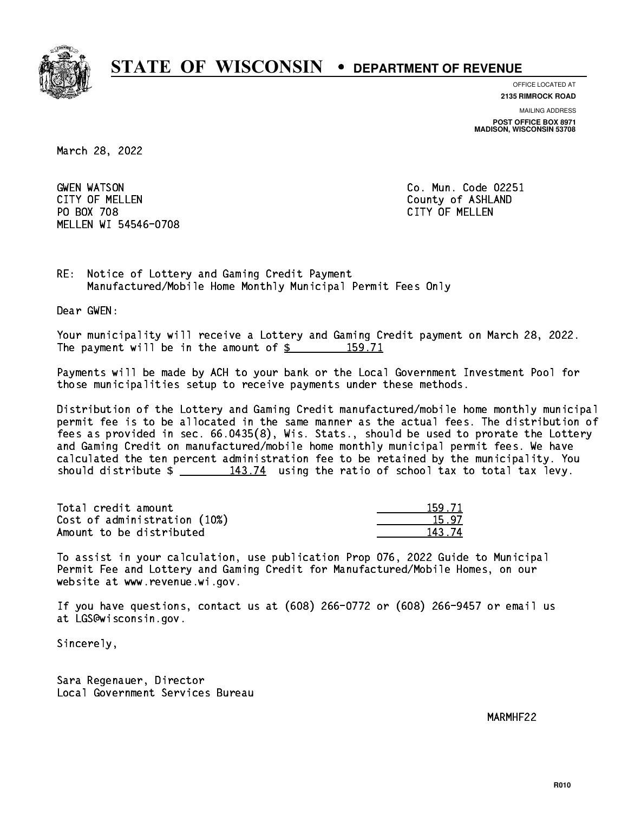

**OFFICE LOCATED AT**

**2135 RIMROCK ROAD**

**MAILING ADDRESS**

**POST OFFICE BOX 8971 MADISON, WISCONSIN 53708**

March 28, 2022

**GWEN WATSON** CITY OF MELLEN COUNTY OF ASHLAND PO BOX 708 CITY OF MELLEN MELLEN WI 54546-0708

Co. Mun. Code 02251

RE: Notice of Lottery and Gaming Credit Payment Manufactured/Mobile Home Monthly Municipal Permit Fees Only

Dear GWEN:

 Your municipality will receive a Lottery and Gaming Credit payment on March 28, 2022. The payment will be in the amount of \$ 159.71 \_\_\_\_\_\_\_\_\_\_\_\_\_\_\_\_

 Payments will be made by ACH to your bank or the Local Government Investment Pool for those municipalities setup to receive payments under these methods.

 Distribution of the Lottery and Gaming Credit manufactured/mobile home monthly municipal permit fee is to be allocated in the same manner as the actual fees. The distribution of fees as provided in sec. 66.0435(8), Wis. Stats., should be used to prorate the Lottery and Gaming Credit on manufactured/mobile home monthly municipal permit fees. We have calculated the ten percent administration fee to be retained by the municipality. You should distribute  $\frac{143.74}{143.74}$  using the ratio of school tax to total tax levy.

Total credit amount Cost of administration (10%) Amount to be distributed

| - 71 |
|------|
| 97.  |
| ' 74 |

 To assist in your calculation, use publication Prop 076, 2022 Guide to Municipal Permit Fee and Lottery and Gaming Credit for Manufactured/Mobile Homes, on our website at www.revenue.wi.gov.

 If you have questions, contact us at (608) 266-0772 or (608) 266-9457 or email us at LGS@wisconsin.gov.

Sincerely,

 Sara Regenauer, Director Local Government Services Bureau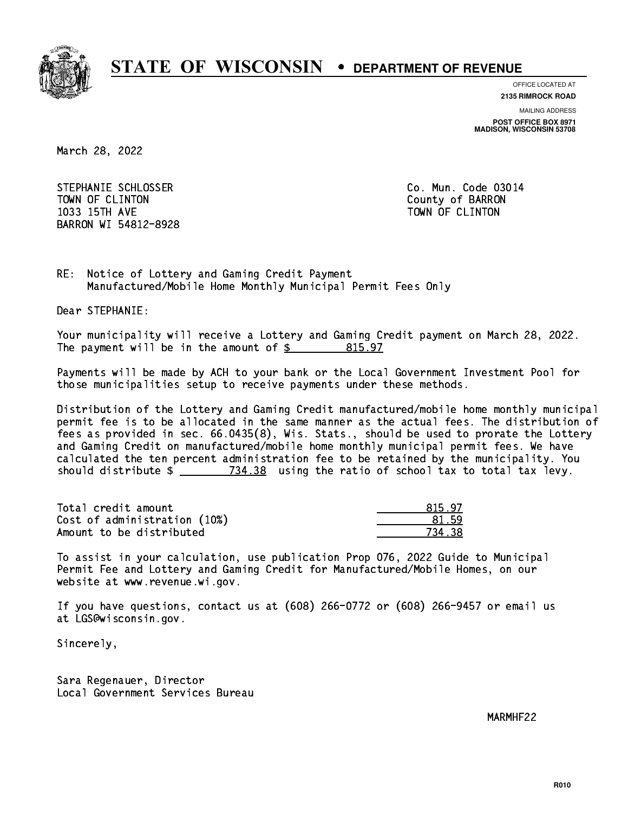

**OFFICE LOCATED AT**

**2135 RIMROCK ROAD**

**MAILING ADDRESS POST OFFICE BOX 8971 MADISON, WISCONSIN 53708**

March 28, 2022

STEPHANIE SCHLOSSER CO. Mun. Code 03014 TOWN OF CLINTON County of BARRON 1033 15TH AVE TOWN OF CLINTON BARRON WI 54812-8928

RE: Notice of Lottery and Gaming Credit Payment Manufactured/Mobile Home Monthly Municipal Permit Fees Only

Dear STEPHANIE:

 Your municipality will receive a Lottery and Gaming Credit payment on March 28, 2022. The payment will be in the amount of  $$ 815.97$ 

 Payments will be made by ACH to your bank or the Local Government Investment Pool for those municipalities setup to receive payments under these methods.

 Distribution of the Lottery and Gaming Credit manufactured/mobile home monthly municipal permit fee is to be allocated in the same manner as the actual fees. The distribution of fees as provided in sec. 66.0435(8), Wis. Stats., should be used to prorate the Lottery and Gaming Credit on manufactured/mobile home monthly municipal permit fees. We have calculated the ten percent administration fee to be retained by the municipality. You should distribute  $\frac{2}{2}$   $\frac{734.38}{2}$  using the ratio of school tax to total tax levy.

Total credit amount and the set of the set of the set of the set of the set of the set of the set of the set o Cost of administration (10%) 81.59 \_\_\_\_\_\_\_\_\_\_\_\_\_\_ Amount to be distributed **734.38** 

 To assist in your calculation, use publication Prop 076, 2022 Guide to Municipal Permit Fee and Lottery and Gaming Credit for Manufactured/Mobile Homes, on our website at www.revenue.wi.gov.

 If you have questions, contact us at (608) 266-0772 or (608) 266-9457 or email us at LGS@wisconsin.gov.

Sincerely,

 Sara Regenauer, Director Local Government Services Bureau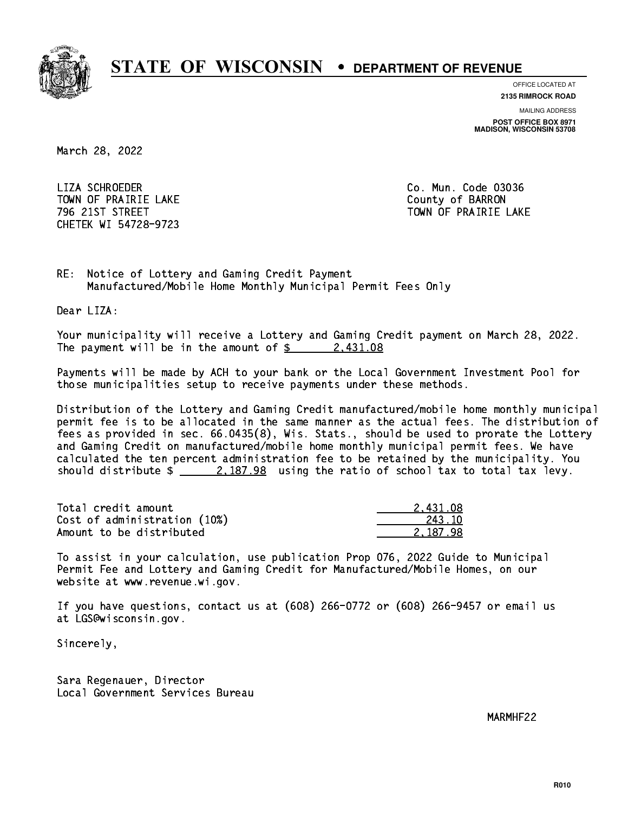

**OFFICE LOCATED AT**

**2135 RIMROCK ROAD**

**MAILING ADDRESS**

**POST OFFICE BOX 8971 MADISON, WISCONSIN 53708**

March 28, 2022

 LIZA SCHROEDER Co. Mun. Code 03036 TOWN OF PRAIRIE LAKE **COUNTY OF SALES IN TOWAL COUNTY OF BARRON** CHETEK WI 54728-9723

796 21ST STREET TOWN OF PRAIRIE LAKE

RE: Notice of Lottery and Gaming Credit Payment Manufactured/Mobile Home Monthly Municipal Permit Fees Only

Dear LIZA:

 Your municipality will receive a Lottery and Gaming Credit payment on March 28, 2022. The payment will be in the amount of  $\frac{2431.08}{240}$ 

 Payments will be made by ACH to your bank or the Local Government Investment Pool for those municipalities setup to receive payments under these methods.

 Distribution of the Lottery and Gaming Credit manufactured/mobile home monthly municipal permit fee is to be allocated in the same manner as the actual fees. The distribution of fees as provided in sec. 66.0435(8), Wis. Stats., should be used to prorate the Lottery and Gaming Credit on manufactured/mobile home monthly municipal permit fees. We have calculated the ten percent administration fee to be retained by the municipality. You should distribute  $\frac{2.187.98}{2.187.98}$  using the ratio of school tax to total tax levy.

| Total credit amount          | 2.431.08 |
|------------------------------|----------|
| Cost of administration (10%) | 243.10   |
| Amount to be distributed     | 2.187.98 |

 To assist in your calculation, use publication Prop 076, 2022 Guide to Municipal Permit Fee and Lottery and Gaming Credit for Manufactured/Mobile Homes, on our website at www.revenue.wi.gov.

 If you have questions, contact us at (608) 266-0772 or (608) 266-9457 or email us at LGS@wisconsin.gov.

Sincerely,

 Sara Regenauer, Director Local Government Services Bureau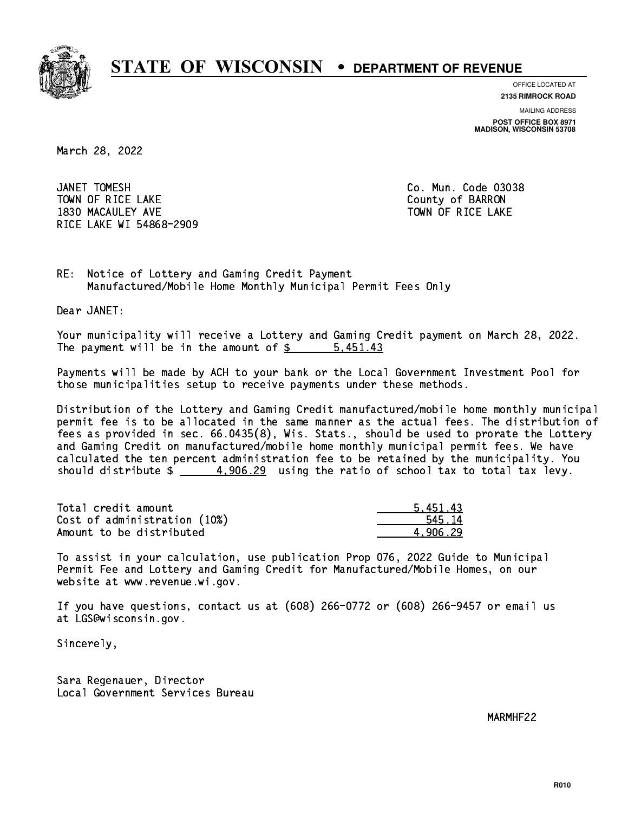

**OFFICE LOCATED AT**

**2135 RIMROCK ROAD**

**MAILING ADDRESS POST OFFICE BOX 8971 MADISON, WISCONSIN 53708**

March 28, 2022

JANET TOMESH TOWN OF RICE LAKE **THE COUNTY OF BARRON** 1830 MACAULEY AVE **TOWN OF RICE LAKE** RICE LAKE WI 54868-2909

Co. Mun. Code 03038

RE: Notice of Lottery and Gaming Credit Payment Manufactured/Mobile Home Monthly Municipal Permit Fees Only

Dear JANET:

 Your municipality will receive a Lottery and Gaming Credit payment on March 28, 2022. The payment will be in the amount of \$ 5,451.43 \_\_\_\_\_\_\_\_\_\_\_\_\_\_\_\_

 Payments will be made by ACH to your bank or the Local Government Investment Pool for those municipalities setup to receive payments under these methods.

 Distribution of the Lottery and Gaming Credit manufactured/mobile home monthly municipal permit fee is to be allocated in the same manner as the actual fees. The distribution of fees as provided in sec. 66.0435(8), Wis. Stats., should be used to prorate the Lottery and Gaming Credit on manufactured/mobile home monthly municipal permit fees. We have calculated the ten percent administration fee to be retained by the municipality. You should distribute  $\frac{4,906.29}{4}$  using the ratio of school tax to total tax levy.

| Total credit amount          | 5.451.43 |
|------------------------------|----------|
| Cost of administration (10%) | 545.14   |
| Amount to be distributed     | 4.906.29 |

 To assist in your calculation, use publication Prop 076, 2022 Guide to Municipal Permit Fee and Lottery and Gaming Credit for Manufactured/Mobile Homes, on our website at www.revenue.wi.gov.

 If you have questions, contact us at (608) 266-0772 or (608) 266-9457 or email us at LGS@wisconsin.gov.

Sincerely,

 Sara Regenauer, Director Local Government Services Bureau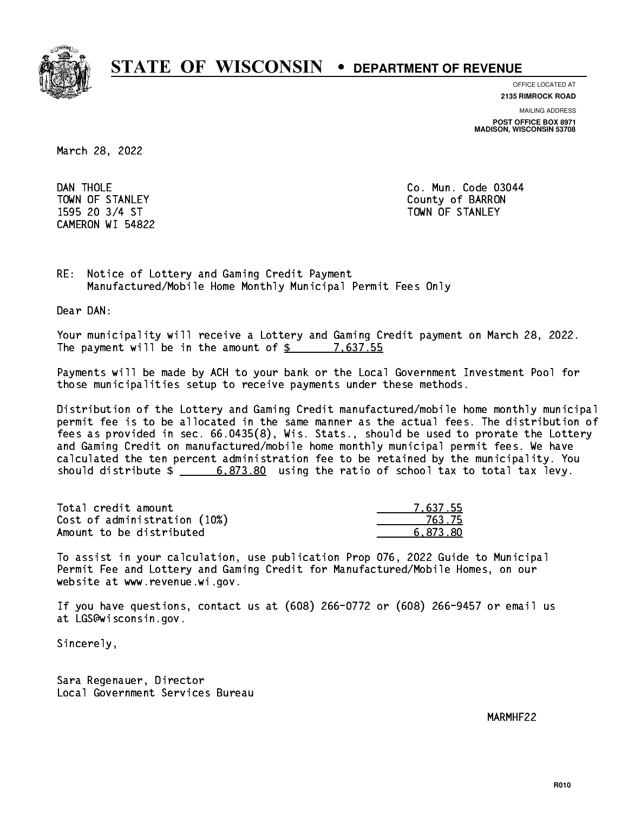

**OFFICE LOCATED AT**

**2135 RIMROCK ROAD**

**MAILING ADDRESS**

**POST OFFICE BOX 8971 MADISON, WISCONSIN 53708**

March 28, 2022

DAN THOLE CAMERON WI 54822

Co. Mun. Code 03044 TOWN OF STANLEY COUNTY OF BARRON 1595 20 3/4 ST TOWN OF STANLEY

RE: Notice of Lottery and Gaming Credit Payment Manufactured/Mobile Home Monthly Municipal Permit Fees Only

Dear DAN:

 Your municipality will receive a Lottery and Gaming Credit payment on March 28, 2022. The payment will be in the amount of  $\frac{2}{3}$  7,637.55

 Payments will be made by ACH to your bank or the Local Government Investment Pool for those municipalities setup to receive payments under these methods.

 Distribution of the Lottery and Gaming Credit manufactured/mobile home monthly municipal permit fee is to be allocated in the same manner as the actual fees. The distribution of fees as provided in sec. 66.0435(8), Wis. Stats., should be used to prorate the Lottery and Gaming Credit on manufactured/mobile home monthly municipal permit fees. We have calculated the ten percent administration fee to be retained by the municipality. You should distribute  $\frac{2}{1}$   $\frac{6,873.80}{2}$  using the ratio of school tax to total tax levy.

| Total credit amount          | 7.637.55 |
|------------------------------|----------|
| Cost of administration (10%) | 763.75   |
| Amount to be distributed     | 6.873.80 |

 To assist in your calculation, use publication Prop 076, 2022 Guide to Municipal Permit Fee and Lottery and Gaming Credit for Manufactured/Mobile Homes, on our website at www.revenue.wi.gov.

 If you have questions, contact us at (608) 266-0772 or (608) 266-9457 or email us at LGS@wisconsin.gov.

Sincerely,

 Sara Regenauer, Director Local Government Services Bureau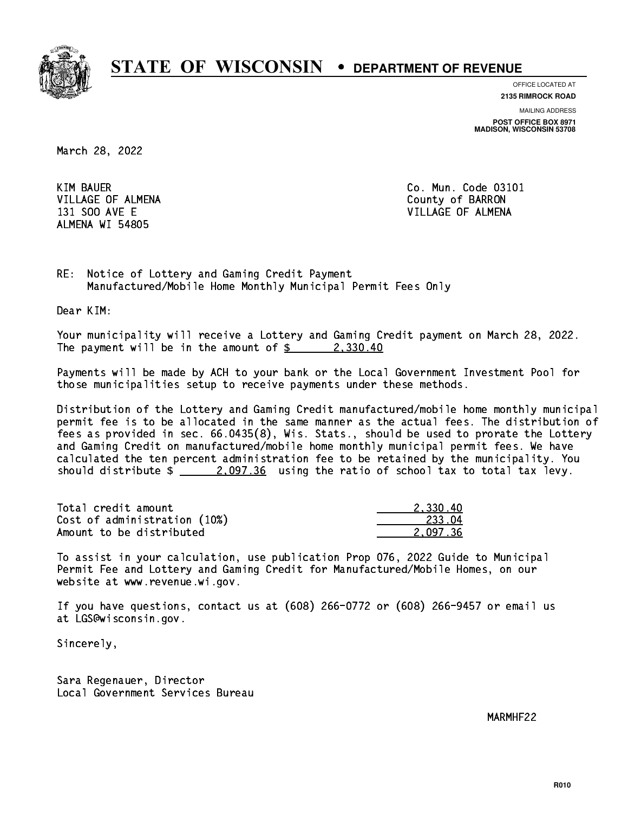

**OFFICE LOCATED AT**

**2135 RIMROCK ROAD**

**MAILING ADDRESS POST OFFICE BOX 8971 MADISON, WISCONSIN 53708**

March 28, 2022

**KIM BAUER** VILLAGE OF ALMENA County of BARRON ALMENA WI 54805

Co. Mun. Code 03101 131 SOO AVE E VILLAGE OF ALMENA

RE: Notice of Lottery and Gaming Credit Payment Manufactured/Mobile Home Monthly Municipal Permit Fees Only

Dear KIM:

 Your municipality will receive a Lottery and Gaming Credit payment on March 28, 2022. The payment will be in the amount of  $\frac{2}{3}$  2,330.40

 Payments will be made by ACH to your bank or the Local Government Investment Pool for those municipalities setup to receive payments under these methods.

 Distribution of the Lottery and Gaming Credit manufactured/mobile home monthly municipal permit fee is to be allocated in the same manner as the actual fees. The distribution of fees as provided in sec. 66.0435(8), Wis. Stats., should be used to prorate the Lottery and Gaming Credit on manufactured/mobile home monthly municipal permit fees. We have calculated the ten percent administration fee to be retained by the municipality. You should distribute  $\frac{2.097.36}{2.097.36}$  using the ratio of school tax to total tax levy.

| Total credit amount          | 2.330.40 |
|------------------------------|----------|
| Cost of administration (10%) | 233.04   |
| Amount to be distributed     | 2.097.36 |

 To assist in your calculation, use publication Prop 076, 2022 Guide to Municipal Permit Fee and Lottery and Gaming Credit for Manufactured/Mobile Homes, on our website at www.revenue.wi.gov.

 If you have questions, contact us at (608) 266-0772 or (608) 266-9457 or email us at LGS@wisconsin.gov.

Sincerely,

 Sara Regenauer, Director Local Government Services Bureau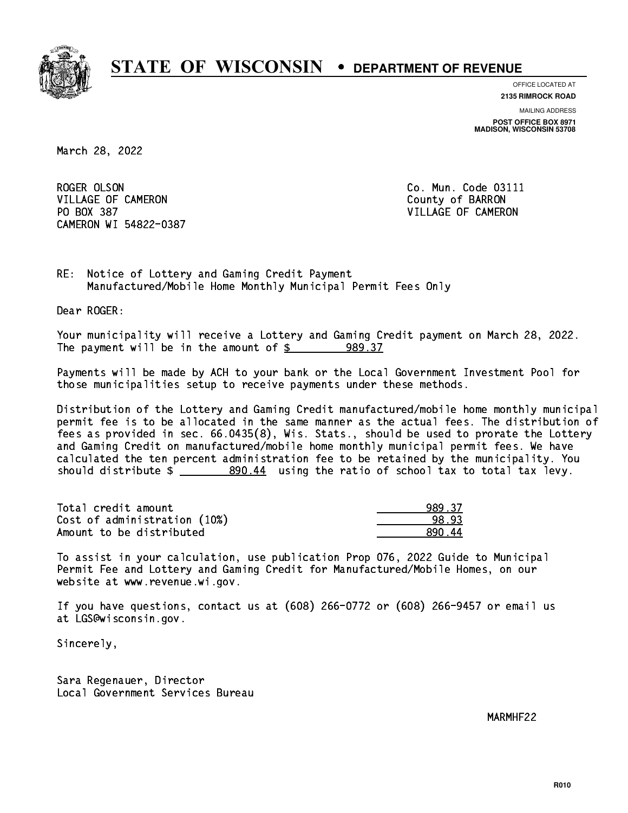

**OFFICE LOCATED AT**

**2135 RIMROCK ROAD**

**MAILING ADDRESS POST OFFICE BOX 8971 MADISON, WISCONSIN 53708**

March 28, 2022

ROGER OLSON VILLAGE OF CAMERON COUNTY OF BARRON PO BOX 387 VILLAGE OF CAMERON CAMERON WI 54822-0387

Co. Mun. Code 03111

RE: Notice of Lottery and Gaming Credit Payment Manufactured/Mobile Home Monthly Municipal Permit Fees Only

Dear ROGER:

 Your municipality will receive a Lottery and Gaming Credit payment on March 28, 2022. The payment will be in the amount of  $\frac{2}{3}$ 989.37

 Payments will be made by ACH to your bank or the Local Government Investment Pool for those municipalities setup to receive payments under these methods.

 Distribution of the Lottery and Gaming Credit manufactured/mobile home monthly municipal permit fee is to be allocated in the same manner as the actual fees. The distribution of fees as provided in sec. 66.0435(8), Wis. Stats., should be used to prorate the Lottery and Gaming Credit on manufactured/mobile home monthly municipal permit fees. We have calculated the ten percent administration fee to be retained by the municipality. You should distribute  $\frac{200.44}{200.44}$  using the ratio of school tax to total tax levy.

| Total credit amount          | 989.37 |
|------------------------------|--------|
| Cost of administration (10%) | -98-93 |
| Amount to be distributed     | 890 44 |

 To assist in your calculation, use publication Prop 076, 2022 Guide to Municipal Permit Fee and Lottery and Gaming Credit for Manufactured/Mobile Homes, on our website at www.revenue.wi.gov.

 If you have questions, contact us at (608) 266-0772 or (608) 266-9457 or email us at LGS@wisconsin.gov.

Sincerely,

 Sara Regenauer, Director Local Government Services Bureau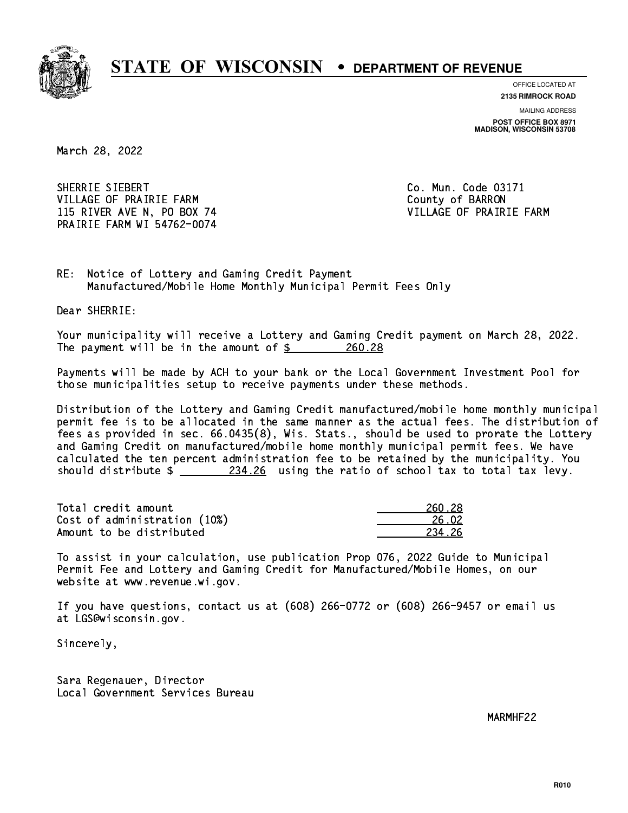

**OFFICE LOCATED AT**

**2135 RIMROCK ROAD**

**MAILING ADDRESS POST OFFICE BOX 8971 MADISON, WISCONSIN 53708**

March 28, 2022

SHERRIE SIEBERT VILLAGE OF PRAIRIE FARM COUNTY OF BARRON 115 RIVER AVE N, PO BOX 74 VILLAGE OF PRAIRIE FARM PRAIRIE FARM WI 54762-0074

Co. Mun. Code 03171

RE: Notice of Lottery and Gaming Credit Payment Manufactured/Mobile Home Monthly Municipal Permit Fees Only

Dear SHERRIE:

 Your municipality will receive a Lottery and Gaming Credit payment on March 28, 2022. The payment will be in the amount of  $\frac{260.28}{20}$ 

 Payments will be made by ACH to your bank or the Local Government Investment Pool for those municipalities setup to receive payments under these methods.

 Distribution of the Lottery and Gaming Credit manufactured/mobile home monthly municipal permit fee is to be allocated in the same manner as the actual fees. The distribution of fees as provided in sec. 66.0435(8), Wis. Stats., should be used to prorate the Lottery and Gaming Credit on manufactured/mobile home monthly municipal permit fees. We have calculated the ten percent administration fee to be retained by the municipality. You should distribute  $\frac{234.26}{234.26}$  using the ratio of school tax to total tax levy.

Total credit amount Cost of administration (10%) Amount to be distributed

| - 28                 |
|----------------------|
| 5.02<br>-2           |
| $\cdot$ . 26 $\cdot$ |

 To assist in your calculation, use publication Prop 076, 2022 Guide to Municipal Permit Fee and Lottery and Gaming Credit for Manufactured/Mobile Homes, on our website at www.revenue.wi.gov.

 If you have questions, contact us at (608) 266-0772 or (608) 266-9457 or email us at LGS@wisconsin.gov.

Sincerely,

 Sara Regenauer, Director Local Government Services Bureau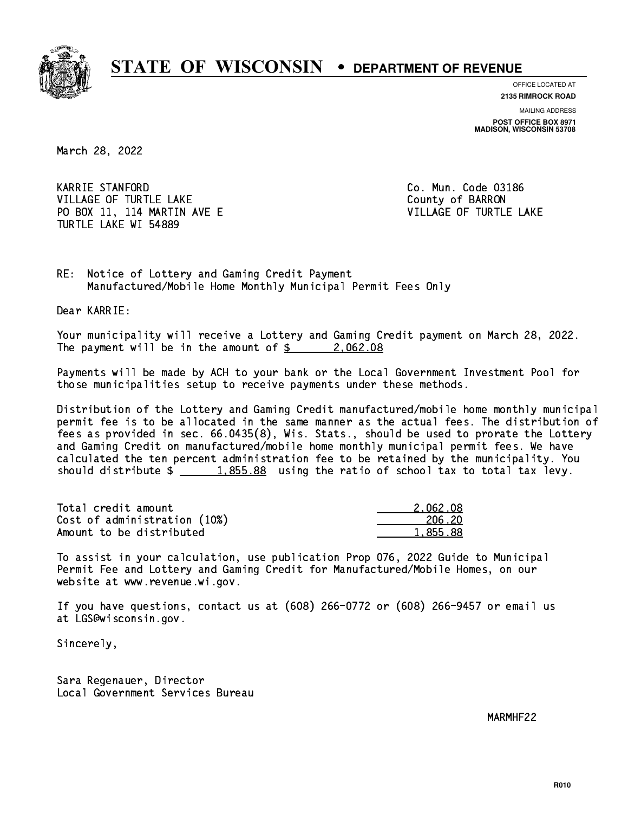

**OFFICE LOCATED AT**

**2135 RIMROCK ROAD**

**MAILING ADDRESS POST OFFICE BOX 8971 MADISON, WISCONSIN 53708**

March 28, 2022

 KARRIE STANFORD Co. Mun. Code 03186 VILLAGE OF TURTLE LAKE County of BARRON PO BOX 11, 114 MARTIN AVE E VILLAGE OF TURTLE LAKE TURTLE LAKE WI 54889

RE: Notice of Lottery and Gaming Credit Payment Manufactured/Mobile Home Monthly Municipal Permit Fees Only

Dear KARRIE:

 Your municipality will receive a Lottery and Gaming Credit payment on March 28, 2022. The payment will be in the amount of  $\frac{2}{3}$  2,062.08

 Payments will be made by ACH to your bank or the Local Government Investment Pool for those municipalities setup to receive payments under these methods.

 Distribution of the Lottery and Gaming Credit manufactured/mobile home monthly municipal permit fee is to be allocated in the same manner as the actual fees. The distribution of fees as provided in sec. 66.0435(8), Wis. Stats., should be used to prorate the Lottery and Gaming Credit on manufactured/mobile home monthly municipal permit fees. We have calculated the ten percent administration fee to be retained by the municipality. You should distribute  $\frac{1.855.88}{1.855.88}$  using the ratio of school tax to total tax levy.

| Total credit amount          | 2.062.08 |
|------------------------------|----------|
| Cost of administration (10%) | 206.20   |
| Amount to be distributed     | 1,855.88 |

 To assist in your calculation, use publication Prop 076, 2022 Guide to Municipal Permit Fee and Lottery and Gaming Credit for Manufactured/Mobile Homes, on our website at www.revenue.wi.gov.

 If you have questions, contact us at (608) 266-0772 or (608) 266-9457 or email us at LGS@wisconsin.gov.

Sincerely,

 Sara Regenauer, Director Local Government Services Bureau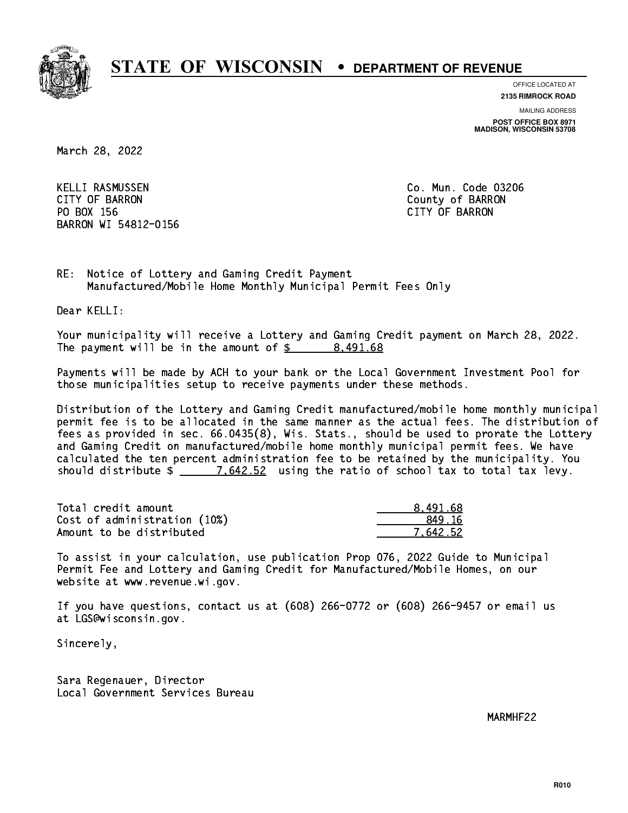

**OFFICE LOCATED AT**

**2135 RIMROCK ROAD**

**MAILING ADDRESS**

**POST OFFICE BOX 8971 MADISON, WISCONSIN 53708**

March 28, 2022

 KELLI RASMUSSEN Co. Mun. Code 03206 CITY OF BARRON County of BARRON PO BOX 156 CITY OF BARRON BARRON WI 54812-0156

RE: Notice of Lottery and Gaming Credit Payment Manufactured/Mobile Home Monthly Municipal Permit Fees Only

Dear KELLI:

 Your municipality will receive a Lottery and Gaming Credit payment on March 28, 2022. The payment will be in the amount of \$ 8,491.68 \_\_\_\_\_\_\_\_\_\_\_\_\_\_\_\_

 Payments will be made by ACH to your bank or the Local Government Investment Pool for those municipalities setup to receive payments under these methods.

 Distribution of the Lottery and Gaming Credit manufactured/mobile home monthly municipal permit fee is to be allocated in the same manner as the actual fees. The distribution of fees as provided in sec. 66.0435(8), Wis. Stats., should be used to prorate the Lottery and Gaming Credit on manufactured/mobile home monthly municipal permit fees. We have calculated the ten percent administration fee to be retained by the municipality. You should distribute  $\frac{2}{2}$   $\frac{7.642.52}{2}$  using the ratio of school tax to total tax levy.

| Total credit amount          | 8.491.68 |
|------------------------------|----------|
| Cost of administration (10%) | 849.16   |
| Amount to be distributed     | 7.642.52 |

 To assist in your calculation, use publication Prop 076, 2022 Guide to Municipal Permit Fee and Lottery and Gaming Credit for Manufactured/Mobile Homes, on our website at www.revenue.wi.gov.

 If you have questions, contact us at (608) 266-0772 or (608) 266-9457 or email us at LGS@wisconsin.gov.

Sincerely,

 Sara Regenauer, Director Local Government Services Bureau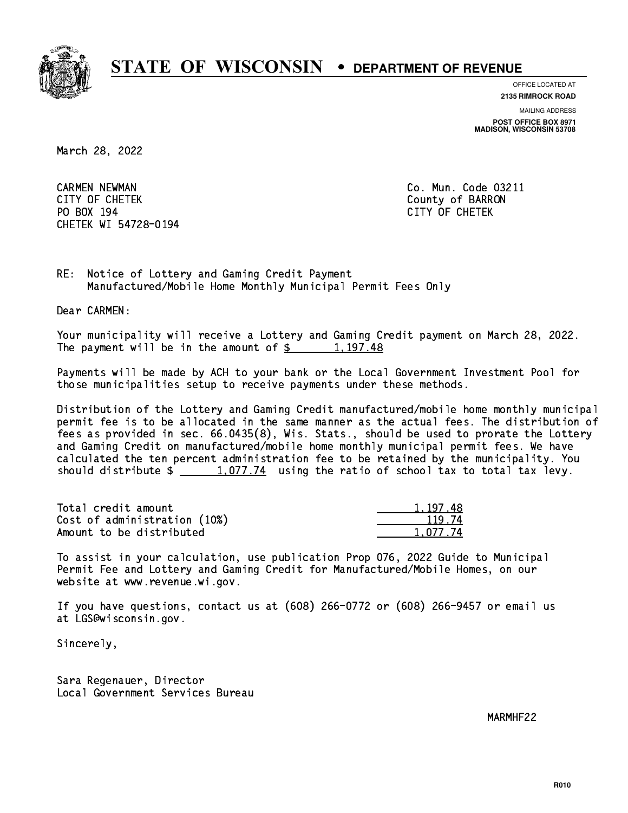

**OFFICE LOCATED AT**

**MAILING ADDRESS 2135 RIMROCK ROAD**

**POST OFFICE BOX 8971 MADISON, WISCONSIN 53708**

March 28, 2022

 CARMEN NEWMAN Co. Mun. Code 03211 CITY OF CHETEK County of BARRON PO BOX 194 CITY OF CHETEK CHETEK WI 54728-0194

RE: Notice of Lottery and Gaming Credit Payment Manufactured/Mobile Home Monthly Municipal Permit Fees Only

Dear CARMEN:

 Your municipality will receive a Lottery and Gaming Credit payment on March 28, 2022. The payment will be in the amount of  $\frac{2}{3}$  1,197.48

 Payments will be made by ACH to your bank or the Local Government Investment Pool for those municipalities setup to receive payments under these methods.

 Distribution of the Lottery and Gaming Credit manufactured/mobile home monthly municipal permit fee is to be allocated in the same manner as the actual fees. The distribution of fees as provided in sec. 66.0435(8), Wis. Stats., should be used to prorate the Lottery and Gaming Credit on manufactured/mobile home monthly municipal permit fees. We have calculated the ten percent administration fee to be retained by the municipality. You should distribute  $\frac{1,077.74}{1,077.74}$  using the ratio of school tax to total tax levy.

| Total credit amount          | 1.197.48 |
|------------------------------|----------|
| Cost of administration (10%) | 119.74   |
| Amount to be distributed     | 1.077.74 |

 To assist in your calculation, use publication Prop 076, 2022 Guide to Municipal Permit Fee and Lottery and Gaming Credit for Manufactured/Mobile Homes, on our website at www.revenue.wi.gov.

 If you have questions, contact us at (608) 266-0772 or (608) 266-9457 or email us at LGS@wisconsin.gov.

Sincerely,

 Sara Regenauer, Director Local Government Services Bureau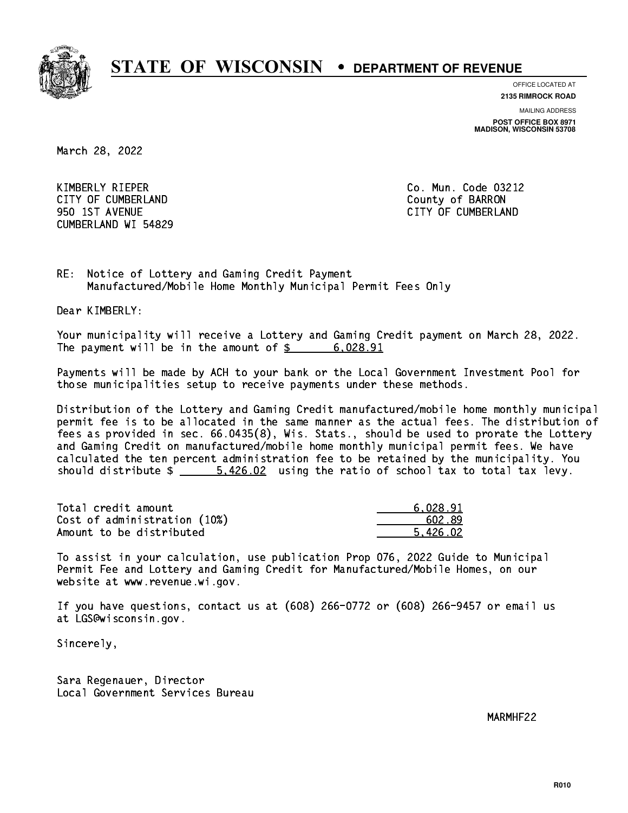

**OFFICE LOCATED AT**

**2135 RIMROCK ROAD**

**MAILING ADDRESS POST OFFICE BOX 8971 MADISON, WISCONSIN 53708**

March 28, 2022

 KIMBERLY RIEPER Co. Mun. Code 03212 CITY OF CUMBERLAND COUNTY OF SARRON 950 1ST AVENUE CITY OF CUMBERLAND CUMBERLAND WI 54829

RE: Notice of Lottery and Gaming Credit Payment Manufactured/Mobile Home Monthly Municipal Permit Fees Only

Dear KIMBERLY:

 Your municipality will receive a Lottery and Gaming Credit payment on March 28, 2022. The payment will be in the amount of  $\frac{2}{3}$  6,028.91

 Payments will be made by ACH to your bank or the Local Government Investment Pool for those municipalities setup to receive payments under these methods.

 Distribution of the Lottery and Gaming Credit manufactured/mobile home monthly municipal permit fee is to be allocated in the same manner as the actual fees. The distribution of fees as provided in sec. 66.0435(8), Wis. Stats., should be used to prorate the Lottery and Gaming Credit on manufactured/mobile home monthly municipal permit fees. We have calculated the ten percent administration fee to be retained by the municipality. You should distribute  $\frac{2}{1}$   $\frac{5.426.02}{2}$  using the ratio of school tax to total tax levy.

| Total credit amount          | 6.028.91 |
|------------------------------|----------|
| Cost of administration (10%) | 602.89   |
| Amount to be distributed     | 5.426.02 |

 To assist in your calculation, use publication Prop 076, 2022 Guide to Municipal Permit Fee and Lottery and Gaming Credit for Manufactured/Mobile Homes, on our website at www.revenue.wi.gov.

 If you have questions, contact us at (608) 266-0772 or (608) 266-9457 or email us at LGS@wisconsin.gov.

Sincerely,

 Sara Regenauer, Director Local Government Services Bureau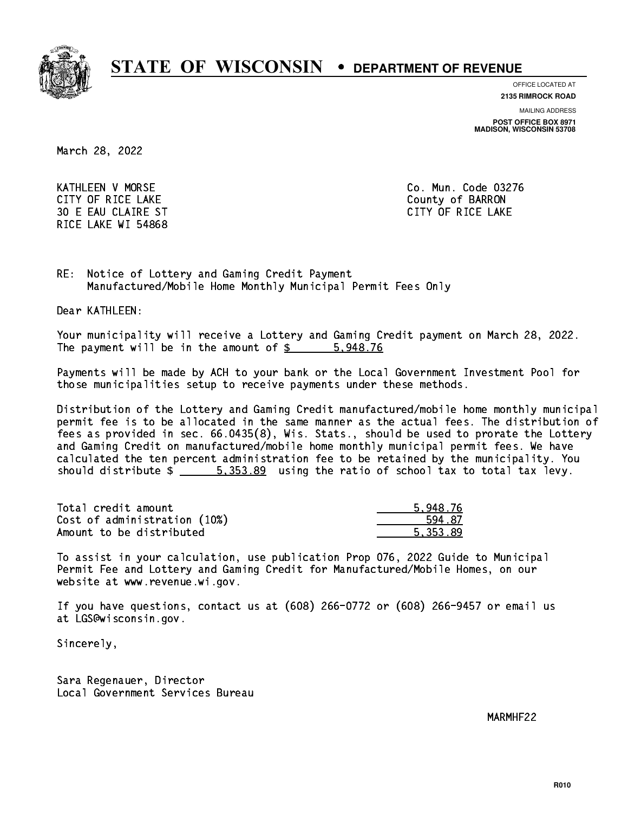

**OFFICE LOCATED AT**

**2135 RIMROCK ROAD**

**MAILING ADDRESS**

**POST OFFICE BOX 8971 MADISON, WISCONSIN 53708**

March 28, 2022

 KATHLEEN V MORSE Co. Mun. Code 03276 CITY OF RICE LAKE COUNTY OF RICE LAKE 30 E EAU CLAIRE ST CITY OF RICE LAKE RICE LAKE WI 54868

RE: Notice of Lottery and Gaming Credit Payment Manufactured/Mobile Home Monthly Municipal Permit Fees Only

Dear KATHLEEN:

 Your municipality will receive a Lottery and Gaming Credit payment on March 28, 2022. The payment will be in the amount of \$ 5,948.76 \_\_\_\_\_\_\_\_\_\_\_\_\_\_\_\_

 Payments will be made by ACH to your bank or the Local Government Investment Pool for those municipalities setup to receive payments under these methods.

 Distribution of the Lottery and Gaming Credit manufactured/mobile home monthly municipal permit fee is to be allocated in the same manner as the actual fees. The distribution of fees as provided in sec. 66.0435(8), Wis. Stats., should be used to prorate the Lottery and Gaming Credit on manufactured/mobile home monthly municipal permit fees. We have calculated the ten percent administration fee to be retained by the municipality. You should distribute  $\frac{2}{1}$   $\frac{5.353.89}{2}$  using the ratio of school tax to total tax levy.

| Total credit amount          | 5.948.76 |
|------------------------------|----------|
| Cost of administration (10%) | 594.87   |
| Amount to be distributed     | 5.353.89 |

 To assist in your calculation, use publication Prop 076, 2022 Guide to Municipal Permit Fee and Lottery and Gaming Credit for Manufactured/Mobile Homes, on our website at www.revenue.wi.gov.

 If you have questions, contact us at (608) 266-0772 or (608) 266-9457 or email us at LGS@wisconsin.gov.

Sincerely,

 Sara Regenauer, Director Local Government Services Bureau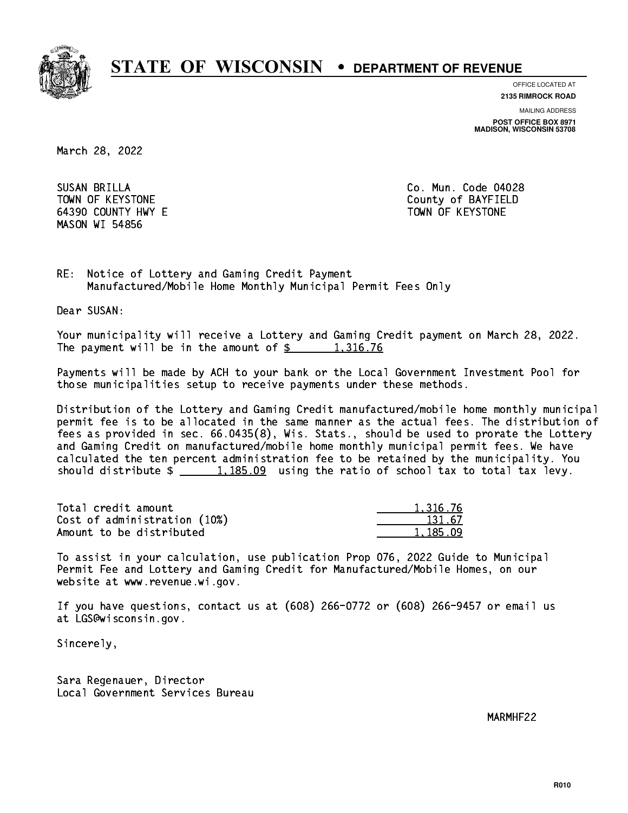

**OFFICE LOCATED AT**

**2135 RIMROCK ROAD**

**MAILING ADDRESS**

**POST OFFICE BOX 8971 MADISON, WISCONSIN 53708**

March 28, 2022

SUSAN BRILLA 64390 COUNTY HWY E TOWN OF KEYSTONE MASON WI 54856

Co. Mun. Code 04028 TOWN OF KEYSTONE County of BAYFIELD

RE: Notice of Lottery and Gaming Credit Payment Manufactured/Mobile Home Monthly Municipal Permit Fees Only

Dear SUSAN:

 Your municipality will receive a Lottery and Gaming Credit payment on March 28, 2022. The payment will be in the amount of  $\frac{2}{3}$  1,316.76

 Payments will be made by ACH to your bank or the Local Government Investment Pool for those municipalities setup to receive payments under these methods.

 Distribution of the Lottery and Gaming Credit manufactured/mobile home monthly municipal permit fee is to be allocated in the same manner as the actual fees. The distribution of fees as provided in sec. 66.0435(8), Wis. Stats., should be used to prorate the Lottery and Gaming Credit on manufactured/mobile home monthly municipal permit fees. We have calculated the ten percent administration fee to be retained by the municipality. You should distribute  $\frac{1,185.09}{1,185.09}$  using the ratio of school tax to total tax levy.

| Total credit amount          | 1.316.76 |
|------------------------------|----------|
| Cost of administration (10%) | 131.67   |
| Amount to be distributed     | 1.185.09 |

| 316.76      |
|-------------|
| 67<br>ं र 1 |
| יטו         |

 To assist in your calculation, use publication Prop 076, 2022 Guide to Municipal Permit Fee and Lottery and Gaming Credit for Manufactured/Mobile Homes, on our website at www.revenue.wi.gov.

 If you have questions, contact us at (608) 266-0772 or (608) 266-9457 or email us at LGS@wisconsin.gov.

Sincerely,

 Sara Regenauer, Director Local Government Services Bureau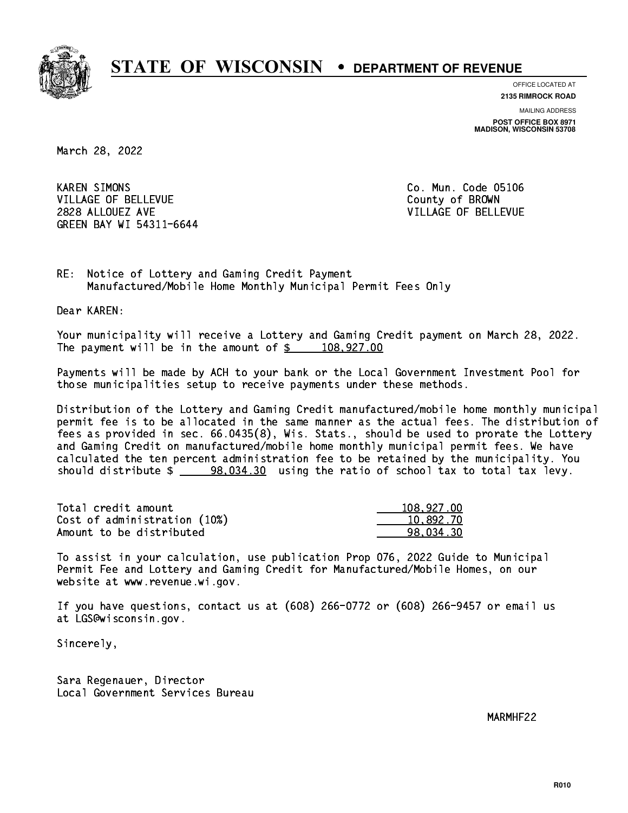

**OFFICE LOCATED AT**

**2135 RIMROCK ROAD**

**MAILING ADDRESS POST OFFICE BOX 8971 MADISON, WISCONSIN 53708**

March 28, 2022

**KAREN SIMONS** VILLAGE OF BELLEVUE COUNTY OF BROWN 2828 ALLOUEZ AVE VILLAGE OF BELLEVUE GREEN BAY WI 54311-6644

Co. Mun. Code 05106

RE: Notice of Lottery and Gaming Credit Payment Manufactured/Mobile Home Monthly Municipal Permit Fees Only

Dear KAREN:

 Your municipality will receive a Lottery and Gaming Credit payment on March 28, 2022. The payment will be in the amount of  $\frac{2}{3}$  108,927.00

 Payments will be made by ACH to your bank or the Local Government Investment Pool for those municipalities setup to receive payments under these methods.

 Distribution of the Lottery and Gaming Credit manufactured/mobile home monthly municipal permit fee is to be allocated in the same manner as the actual fees. The distribution of fees as provided in sec. 66.0435(8), Wis. Stats., should be used to prorate the Lottery and Gaming Credit on manufactured/mobile home monthly municipal permit fees. We have calculated the ten percent administration fee to be retained by the municipality. You should distribute \$ 98,034.30 using the ratio of school tax to total tax levy. \_\_\_\_\_\_\_\_\_\_\_\_\_\_

| Total credit amount          | 108,927.00 |
|------------------------------|------------|
| Cost of administration (10%) | 10,892.70  |
| Amount to be distributed     | 98.034.30  |

 To assist in your calculation, use publication Prop 076, 2022 Guide to Municipal Permit Fee and Lottery and Gaming Credit for Manufactured/Mobile Homes, on our website at www.revenue.wi.gov.

 If you have questions, contact us at (608) 266-0772 or (608) 266-9457 or email us at LGS@wisconsin.gov.

Sincerely,

 Sara Regenauer, Director Local Government Services Bureau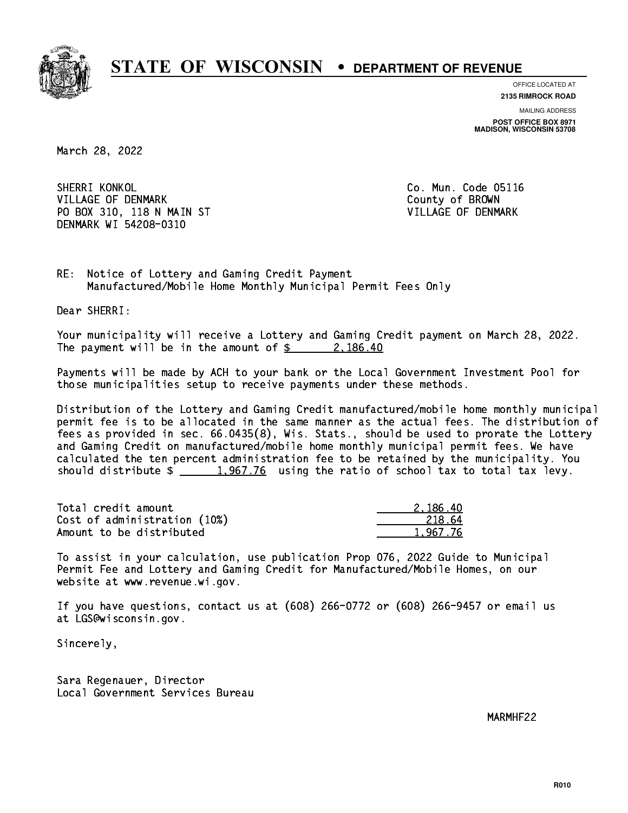

**OFFICE LOCATED AT**

**2135 RIMROCK ROAD**

**MAILING ADDRESS POST OFFICE BOX 8971 MADISON, WISCONSIN 53708**

March 28, 2022

 SHERRI KONKOL Co. Mun. Code 05116 VILLAGE OF DENMARK COUNTY OF BROWN PO BOX 310, 118 N MAIN ST VILLAGE OF DENMARK DENMARK WI 54208-0310

RE: Notice of Lottery and Gaming Credit Payment Manufactured/Mobile Home Monthly Municipal Permit Fees Only

Dear SHERRI:

 Your municipality will receive a Lottery and Gaming Credit payment on March 28, 2022. The payment will be in the amount of  $\frac{2}{3}$  2,186.40

 Payments will be made by ACH to your bank or the Local Government Investment Pool for those municipalities setup to receive payments under these methods.

 Distribution of the Lottery and Gaming Credit manufactured/mobile home monthly municipal permit fee is to be allocated in the same manner as the actual fees. The distribution of fees as provided in sec. 66.0435(8), Wis. Stats., should be used to prorate the Lottery and Gaming Credit on manufactured/mobile home monthly municipal permit fees. We have calculated the ten percent administration fee to be retained by the municipality. You should distribute  $\frac{1,967.76}{2}$  using the ratio of school tax to total tax levy.

| Total credit amount          | 2.186.40 |
|------------------------------|----------|
| Cost of administration (10%) | 218.64   |
| Amount to be distributed     | 1.967.76 |

 To assist in your calculation, use publication Prop 076, 2022 Guide to Municipal Permit Fee and Lottery and Gaming Credit for Manufactured/Mobile Homes, on our website at www.revenue.wi.gov.

 If you have questions, contact us at (608) 266-0772 or (608) 266-9457 or email us at LGS@wisconsin.gov.

Sincerely,

 Sara Regenauer, Director Local Government Services Bureau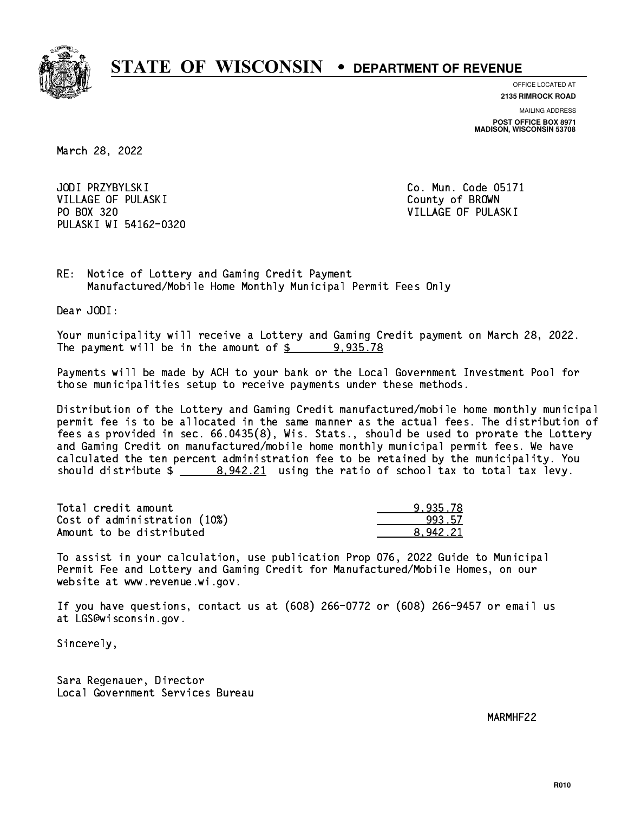

**OFFICE LOCATED AT**

**2135 RIMROCK ROAD**

**MAILING ADDRESS POST OFFICE BOX 8971 MADISON, WISCONSIN 53708**

March 28, 2022

JODI PRZYBYLSKI VILLAGE OF PULASKI COUNTY OF BROWN PO BOX 320 VILLAGE OF PULASKI PULASKI WI 54162-0320

Co. Mun. Code 05171

RE: Notice of Lottery and Gaming Credit Payment Manufactured/Mobile Home Monthly Municipal Permit Fees Only

Dear JODI:

 Your municipality will receive a Lottery and Gaming Credit payment on March 28, 2022. The payment will be in the amount of  $\frac{2}{3}$  9,935.78

 Payments will be made by ACH to your bank or the Local Government Investment Pool for those municipalities setup to receive payments under these methods.

 Distribution of the Lottery and Gaming Credit manufactured/mobile home monthly municipal permit fee is to be allocated in the same manner as the actual fees. The distribution of fees as provided in sec. 66.0435(8), Wis. Stats., should be used to prorate the Lottery and Gaming Credit on manufactured/mobile home monthly municipal permit fees. We have calculated the ten percent administration fee to be retained by the municipality. You should distribute  $\frac{2}{2}$   $\frac{8,942.21}{2}$  using the ratio of school tax to total tax levy.

| Total credit amount          | 9.935.78 |
|------------------------------|----------|
| Cost of administration (10%) | 993.57   |
| Amount to be distributed     | 8.942.21 |

 To assist in your calculation, use publication Prop 076, 2022 Guide to Municipal Permit Fee and Lottery and Gaming Credit for Manufactured/Mobile Homes, on our website at www.revenue.wi.gov.

 If you have questions, contact us at (608) 266-0772 or (608) 266-9457 or email us at LGS@wisconsin.gov.

Sincerely,

 Sara Regenauer, Director Local Government Services Bureau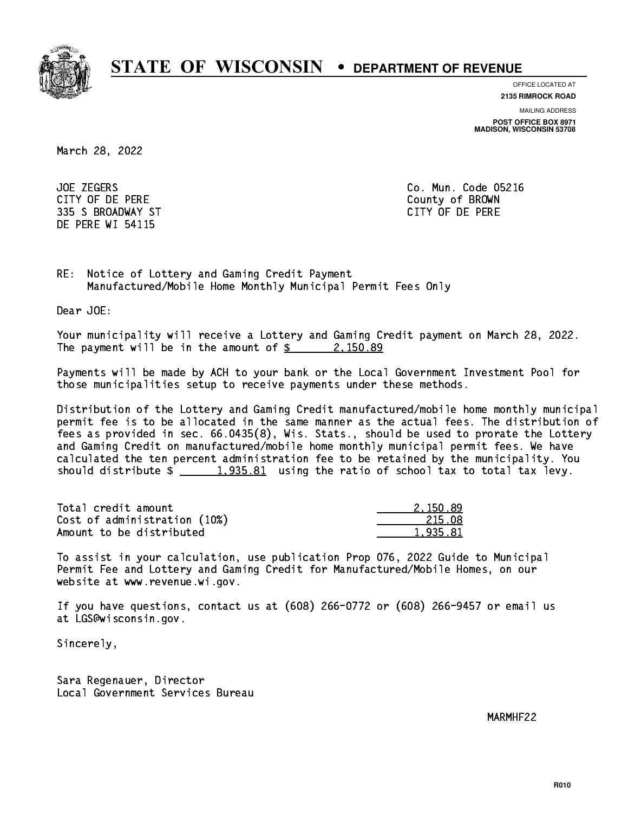

**OFFICE LOCATED AT**

**MAILING ADDRESS 2135 RIMROCK ROAD**

**POST OFFICE BOX 8971 MADISON, WISCONSIN 53708**

March 28, 2022

**JOE ZEGERS**  CITY OF DE PERE County of BROWN 335 S BROADWAY ST CITY OF DE PERE DE PERE WI 54115

Co. Mun. Code 05216

RE: Notice of Lottery and Gaming Credit Payment Manufactured/Mobile Home Monthly Municipal Permit Fees Only

Dear JOE:

 Your municipality will receive a Lottery and Gaming Credit payment on March 28, 2022. The payment will be in the amount of  $\frac{2}{3}$  2,150.89

 Payments will be made by ACH to your bank or the Local Government Investment Pool for those municipalities setup to receive payments under these methods.

 Distribution of the Lottery and Gaming Credit manufactured/mobile home monthly municipal permit fee is to be allocated in the same manner as the actual fees. The distribution of fees as provided in sec. 66.0435(8), Wis. Stats., should be used to prorate the Lottery and Gaming Credit on manufactured/mobile home monthly municipal permit fees. We have calculated the ten percent administration fee to be retained by the municipality. You should distribute  $\frac{1,935.81}{1,935.81}$  using the ratio of school tax to total tax levy.

| Total credit amount          | 2.150.89 |
|------------------------------|----------|
| Cost of administration (10%) | 215.08   |
| Amount to be distributed     | 1,935.81 |

 To assist in your calculation, use publication Prop 076, 2022 Guide to Municipal Permit Fee and Lottery and Gaming Credit for Manufactured/Mobile Homes, on our website at www.revenue.wi.gov.

 If you have questions, contact us at (608) 266-0772 or (608) 266-9457 or email us at LGS@wisconsin.gov.

Sincerely,

 Sara Regenauer, Director Local Government Services Bureau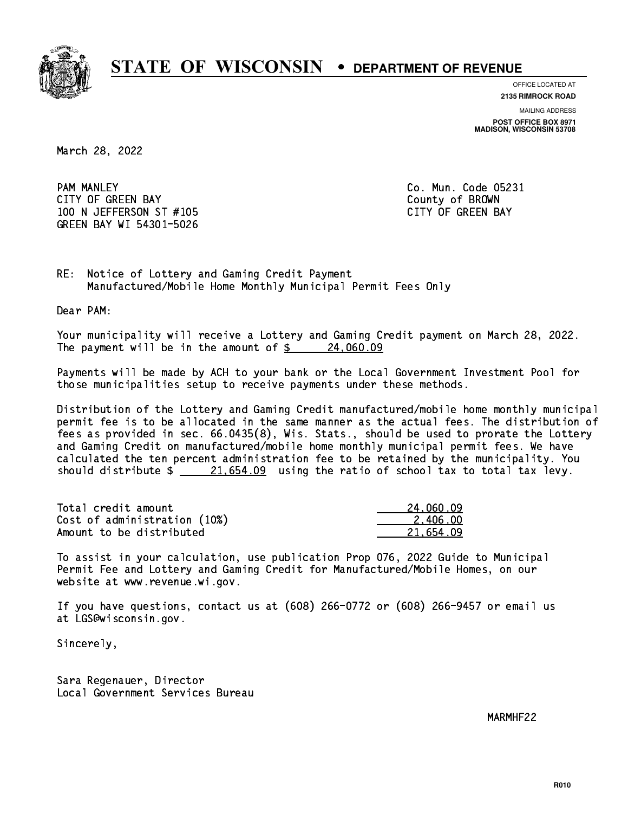

**OFFICE LOCATED AT**

**MAILING ADDRESS 2135 RIMROCK ROAD**

**POST OFFICE BOX 8971 MADISON, WISCONSIN 53708**

March 28, 2022

**PAM MANLEY**  CITY OF GREEN BAY County of BROWN 100 N JEFFERSON ST #105 CONTROL CONTROLLER TO A CITY OF GREEN BAY GREEN BAY WI 54301-5026

Co. Mun. Code 05231

RE: Notice of Lottery and Gaming Credit Payment Manufactured/Mobile Home Monthly Municipal Permit Fees Only

Dear PAM:

 Your municipality will receive a Lottery and Gaming Credit payment on March 28, 2022. The payment will be in the amount of  $\frac{24,060.09}{24}$ 

 Payments will be made by ACH to your bank or the Local Government Investment Pool for those municipalities setup to receive payments under these methods.

 Distribution of the Lottery and Gaming Credit manufactured/mobile home monthly municipal permit fee is to be allocated in the same manner as the actual fees. The distribution of fees as provided in sec. 66.0435(8), Wis. Stats., should be used to prorate the Lottery and Gaming Credit on manufactured/mobile home monthly municipal permit fees. We have calculated the ten percent administration fee to be retained by the municipality. You should distribute  $\frac{21.654.09}{21.654.09}$  using the ratio of school tax to total tax levy.

| Total credit amount          | 24,060.09 |
|------------------------------|-----------|
| Cost of administration (10%) | 2.406.00  |
| Amount to be distributed     | 21.654.09 |

 To assist in your calculation, use publication Prop 076, 2022 Guide to Municipal Permit Fee and Lottery and Gaming Credit for Manufactured/Mobile Homes, on our website at www.revenue.wi.gov.

 If you have questions, contact us at (608) 266-0772 or (608) 266-9457 or email us at LGS@wisconsin.gov.

Sincerely,

 Sara Regenauer, Director Local Government Services Bureau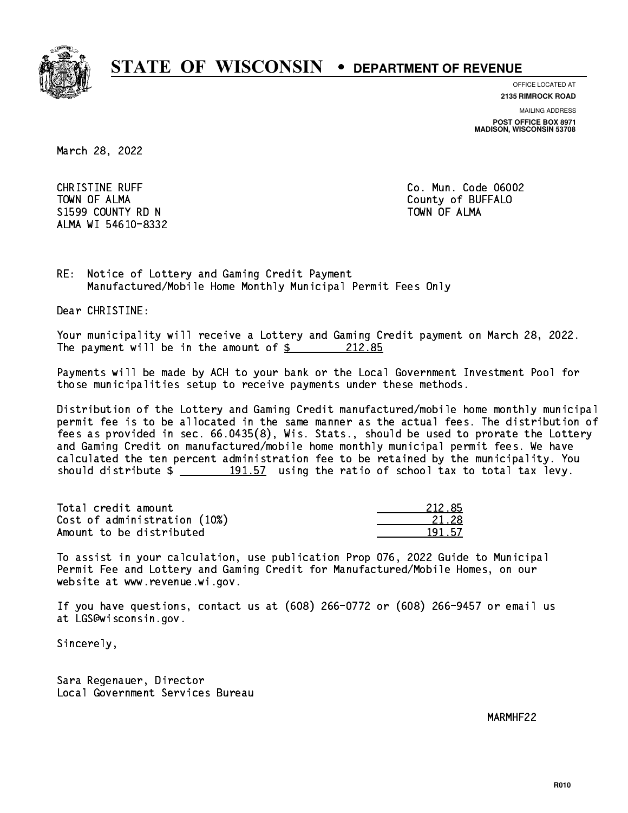

**OFFICE LOCATED AT**

**2135 RIMROCK ROAD**

**MAILING ADDRESS**

**POST OFFICE BOX 8971 MADISON, WISCONSIN 53708**

March 28, 2022

**CHRISTINE RUFF**  TOWN OF ALMA County of BUFFALO S1599 COUNTY RD N ALMA WI 54610-8332

Co. Mun. Code 06002 TOWN OF ALMA

RE: Notice of Lottery and Gaming Credit Payment Manufactured/Mobile Home Monthly Municipal Permit Fees Only

Dear CHRISTINE:

 Your municipality will receive a Lottery and Gaming Credit payment on March 28, 2022. The payment will be in the amount of  $\frac{212.85}{212.85}$ 

 Payments will be made by ACH to your bank or the Local Government Investment Pool for those municipalities setup to receive payments under these methods.

 Distribution of the Lottery and Gaming Credit manufactured/mobile home monthly municipal permit fee is to be allocated in the same manner as the actual fees. The distribution of fees as provided in sec. 66.0435(8), Wis. Stats., should be used to prorate the Lottery and Gaming Credit on manufactured/mobile home monthly municipal permit fees. We have calculated the ten percent administration fee to be retained by the municipality. You should distribute  $\frac{191.57}{191.57}$  using the ratio of school tax to total tax levy.

Total credit amount Cost of administration (10%) Amount to be distributed

| 212.85 |
|--------|
| 21.28  |
| -57    |

 To assist in your calculation, use publication Prop 076, 2022 Guide to Municipal Permit Fee and Lottery and Gaming Credit for Manufactured/Mobile Homes, on our website at www.revenue.wi.gov.

 If you have questions, contact us at (608) 266-0772 or (608) 266-9457 or email us at LGS@wisconsin.gov.

Sincerely,

 Sara Regenauer, Director Local Government Services Bureau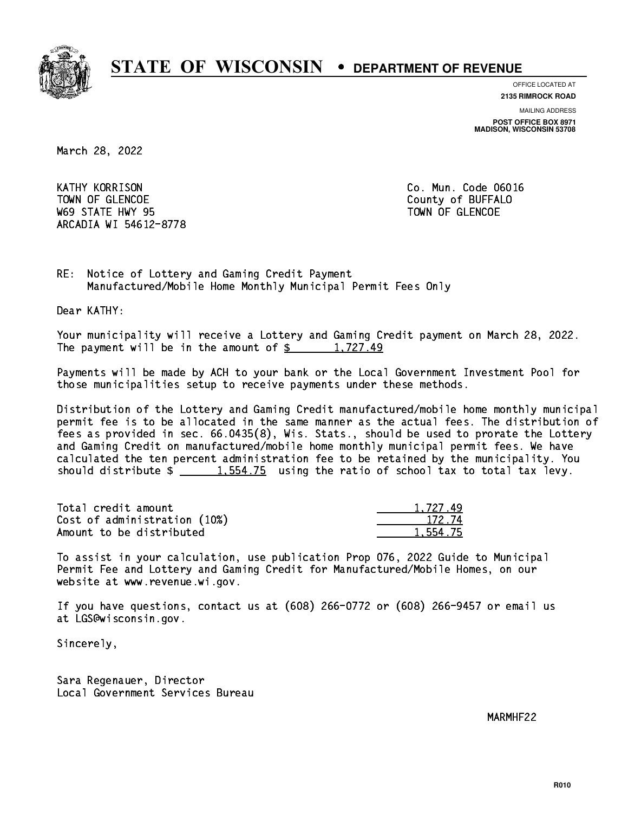

**OFFICE LOCATED AT**

**2135 RIMROCK ROAD**

**MAILING ADDRESS POST OFFICE BOX 8971 MADISON, WISCONSIN 53708**

March 28, 2022

**KATHY KORRISON** TOWN OF GLENCOE COUNTY OF BUFFALO where the state  $\sim$  state  $\sim$  state  $\sim$  state  $\sim$  state  $\sim$  state  $\sim$ ARCADIA WI 54612-8778

Co. Mun. Code 06016

RE: Notice of Lottery and Gaming Credit Payment Manufactured/Mobile Home Monthly Municipal Permit Fees Only

Dear KATHY:

 Your municipality will receive a Lottery and Gaming Credit payment on March 28, 2022. The payment will be in the amount of  $\frac{2}{3}$  1,727.49

 Payments will be made by ACH to your bank or the Local Government Investment Pool for those municipalities setup to receive payments under these methods.

 Distribution of the Lottery and Gaming Credit manufactured/mobile home monthly municipal permit fee is to be allocated in the same manner as the actual fees. The distribution of fees as provided in sec. 66.0435(8), Wis. Stats., should be used to prorate the Lottery and Gaming Credit on manufactured/mobile home monthly municipal permit fees. We have calculated the ten percent administration fee to be retained by the municipality. You should distribute  $\frac{1.554.75}{1.554.75}$  using the ratio of school tax to total tax levy.

| Total credit amount          | 1.727.49 |
|------------------------------|----------|
| Cost of administration (10%) | 172.74   |
| Amount to be distributed     | 1,554.75 |

 To assist in your calculation, use publication Prop 076, 2022 Guide to Municipal Permit Fee and Lottery and Gaming Credit for Manufactured/Mobile Homes, on our website at www.revenue.wi.gov.

 If you have questions, contact us at (608) 266-0772 or (608) 266-9457 or email us at LGS@wisconsin.gov.

Sincerely,

 Sara Regenauer, Director Local Government Services Bureau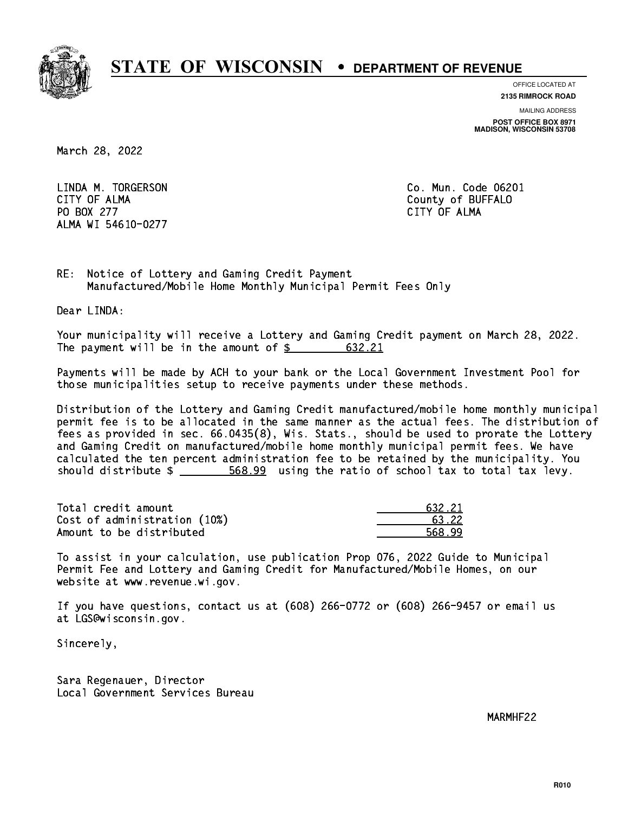

**OFFICE LOCATED AT 2135 RIMROCK ROAD**

**MAILING ADDRESS**

**POST OFFICE BOX 8971 MADISON, WISCONSIN 53708**

March 28, 2022

 LINDA M. TORGERSON Co. Mun. Code 06201 CITY OF ALMA County of BUFFALO PO BOX 277 CITY OF ALMA ALMA WI 54610-0277

RE: Notice of Lottery and Gaming Credit Payment Manufactured/Mobile Home Monthly Municipal Permit Fees Only

Dear LINDA:

 Your municipality will receive a Lottery and Gaming Credit payment on March 28, 2022. The payment will be in the amount of \$ 632.21 \_\_\_\_\_\_\_\_\_\_\_\_\_\_\_\_

 Payments will be made by ACH to your bank or the Local Government Investment Pool for those municipalities setup to receive payments under these methods.

 Distribution of the Lottery and Gaming Credit manufactured/mobile home monthly municipal permit fee is to be allocated in the same manner as the actual fees. The distribution of fees as provided in sec. 66.0435(8), Wis. Stats., should be used to prorate the Lottery and Gaming Credit on manufactured/mobile home monthly municipal permit fees. We have calculated the ten percent administration fee to be retained by the municipality. You should distribute  $\frac{2}{1}$   $\frac{568.99}{209}$  using the ratio of school tax to total tax levy.

| Total credit amount          | 632.21 |
|------------------------------|--------|
| Cost of administration (10%) | 63.22  |
| Amount to be distributed     | 568.99 |

 To assist in your calculation, use publication Prop 076, 2022 Guide to Municipal Permit Fee and Lottery and Gaming Credit for Manufactured/Mobile Homes, on our website at www.revenue.wi.gov.

 If you have questions, contact us at (608) 266-0772 or (608) 266-9457 or email us at LGS@wisconsin.gov.

Sincerely,

 Sara Regenauer, Director Local Government Services Bureau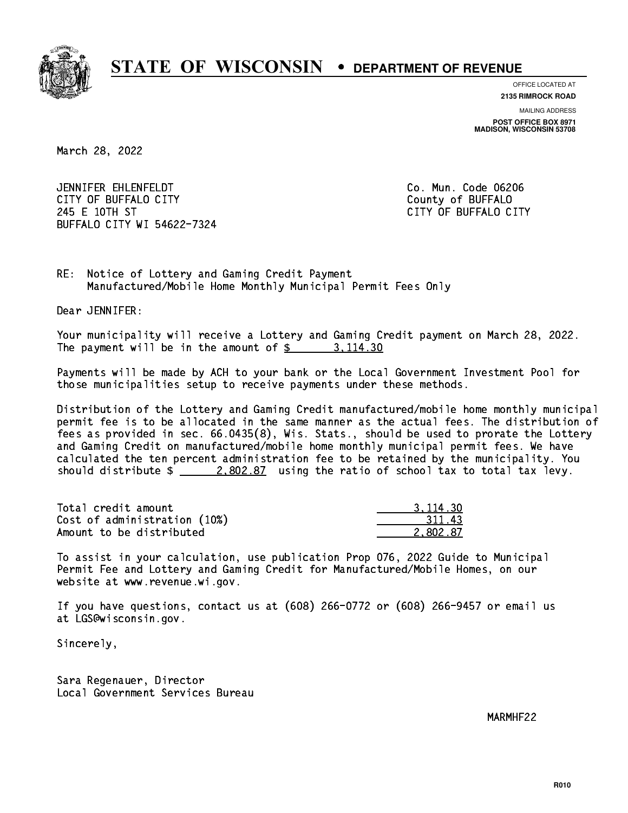

**OFFICE LOCATED AT 2135 RIMROCK ROAD**

**MAILING ADDRESS POST OFFICE BOX 8971 MADISON, WISCONSIN 53708**

March 28, 2022

 JENNIFER EHLENFELDT Co. Mun. Code 06206 CITY OF BUFFALO CITY **COULD ACCOUNT COULD COULD COULD** COUNTY COUNTY 245 E 10TH ST CITY OF BUFFALO CITY BUFFALO CITY WI 54622-7324

RE: Notice of Lottery and Gaming Credit Payment Manufactured/Mobile Home Monthly Municipal Permit Fees Only

Dear JENNIFER:

 Your municipality will receive a Lottery and Gaming Credit payment on March 28, 2022. The payment will be in the amount of  $\frac{2}{3}$  3, 114.30

 Payments will be made by ACH to your bank or the Local Government Investment Pool for those municipalities setup to receive payments under these methods.

 Distribution of the Lottery and Gaming Credit manufactured/mobile home monthly municipal permit fee is to be allocated in the same manner as the actual fees. The distribution of fees as provided in sec. 66.0435(8), Wis. Stats., should be used to prorate the Lottery and Gaming Credit on manufactured/mobile home monthly municipal permit fees. We have calculated the ten percent administration fee to be retained by the municipality. You should distribute  $\frac{2.802.87}{ }$  using the ratio of school tax to total tax levy.

| Total credit amount          | 3.114.30 |
|------------------------------|----------|
| Cost of administration (10%) | 311.43   |
| Amount to be distributed     | 2.802.87 |

 To assist in your calculation, use publication Prop 076, 2022 Guide to Municipal Permit Fee and Lottery and Gaming Credit for Manufactured/Mobile Homes, on our website at www.revenue.wi.gov.

 If you have questions, contact us at (608) 266-0772 or (608) 266-9457 or email us at LGS@wisconsin.gov.

Sincerely,

 Sara Regenauer, Director Local Government Services Bureau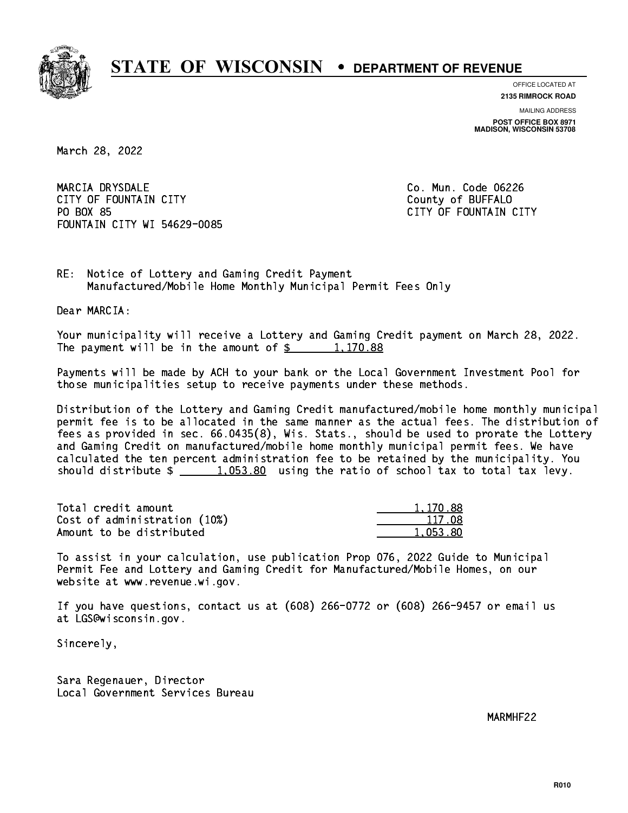

**OFFICE LOCATED AT 2135 RIMROCK ROAD**

**MAILING ADDRESS**

**POST OFFICE BOX 8971 MADISON, WISCONSIN 53708**

March 28, 2022

 MARCIA DRYSDALE Co. Mun. Code 06226 CITY OF FOUNTAIN CITY COUNTROLLED COUNTROLLED COUNTROLLED COUNTROLLED COUNTROLLED COUNTROLLED COUNTROLLED COUNTROLLED COUNTROLLED AT A COUNTROLLED COUNTROLLED AT A COUNTROLLED COUNTROLLED AT A COUNTROLLED COUNTROLLED AT A PO BOX 85 FOUNTAIN CITY WI 54629-0085

CITY OF FOUNTAIN CITY

RE: Notice of Lottery and Gaming Credit Payment Manufactured/Mobile Home Monthly Municipal Permit Fees Only

Dear MARCIA:

 Your municipality will receive a Lottery and Gaming Credit payment on March 28, 2022. The payment will be in the amount of  $\frac{2}{3}$  1,170.88

 Payments will be made by ACH to your bank or the Local Government Investment Pool for those municipalities setup to receive payments under these methods.

 Distribution of the Lottery and Gaming Credit manufactured/mobile home monthly municipal permit fee is to be allocated in the same manner as the actual fees. The distribution of fees as provided in sec. 66.0435(8), Wis. Stats., should be used to prorate the Lottery and Gaming Credit on manufactured/mobile home monthly municipal permit fees. We have calculated the ten percent administration fee to be retained by the municipality. You should distribute  $\frac{1.053.80}{1.053.80}$  using the ratio of school tax to total tax levy.

| Total credit amount          | 1,170.88 |
|------------------------------|----------|
| Cost of administration (10%) | 117.08   |
| Amount to be distributed     | 1.053.80 |

 To assist in your calculation, use publication Prop 076, 2022 Guide to Municipal Permit Fee and Lottery and Gaming Credit for Manufactured/Mobile Homes, on our website at www.revenue.wi.gov.

 If you have questions, contact us at (608) 266-0772 or (608) 266-9457 or email us at LGS@wisconsin.gov.

Sincerely,

 Sara Regenauer, Director Local Government Services Bureau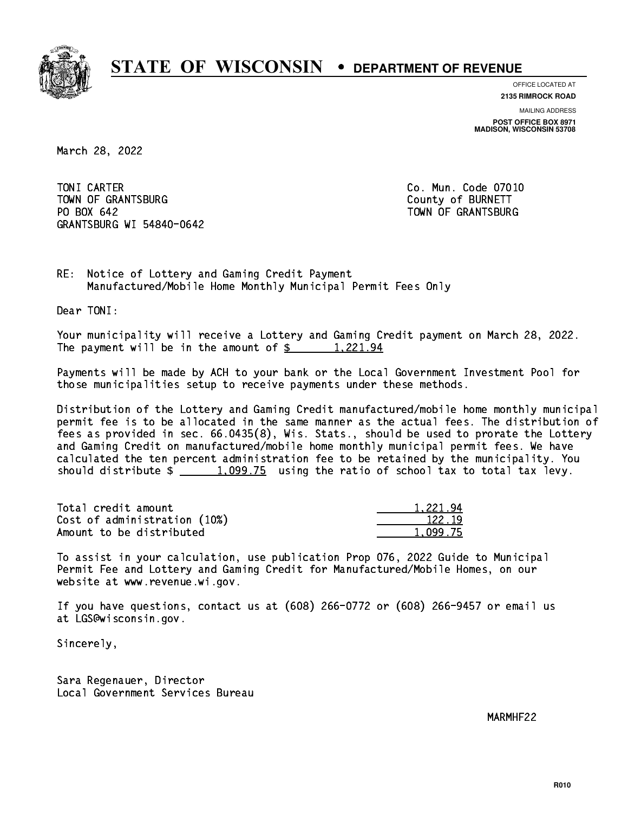

**OFFICE LOCATED AT**

**2135 RIMROCK ROAD**

**MAILING ADDRESS POST OFFICE BOX 8971 MADISON, WISCONSIN 53708**

March 28, 2022

TONI CARTER TOWN OF GRANTSBURG COUNTY OF BURNETT PO BOX 642 GRANTSBURG WI 54840-0642

Co. Mun. Code 07010 TOWN OF GRANTSBURG

RE: Notice of Lottery and Gaming Credit Payment Manufactured/Mobile Home Monthly Municipal Permit Fees Only

Dear TONI:

 Your municipality will receive a Lottery and Gaming Credit payment on March 28, 2022. The payment will be in the amount of  $\frac{2!}{2!}$  1,221.94

 Payments will be made by ACH to your bank or the Local Government Investment Pool for those municipalities setup to receive payments under these methods.

 Distribution of the Lottery and Gaming Credit manufactured/mobile home monthly municipal permit fee is to be allocated in the same manner as the actual fees. The distribution of fees as provided in sec. 66.0435(8), Wis. Stats., should be used to prorate the Lottery and Gaming Credit on manufactured/mobile home monthly municipal permit fees. We have calculated the ten percent administration fee to be retained by the municipality. You should distribute  $\frac{1,099.75}{1,099.75}$  using the ratio of school tax to total tax levy.

| Total credit amount          | 1.221.94 |
|------------------------------|----------|
| Cost of administration (10%) | 122.19   |
| Amount to be distributed     | 1,099.75 |

 To assist in your calculation, use publication Prop 076, 2022 Guide to Municipal Permit Fee and Lottery and Gaming Credit for Manufactured/Mobile Homes, on our website at www.revenue.wi.gov.

 If you have questions, contact us at (608) 266-0772 or (608) 266-9457 or email us at LGS@wisconsin.gov.

Sincerely,

 Sara Regenauer, Director Local Government Services Bureau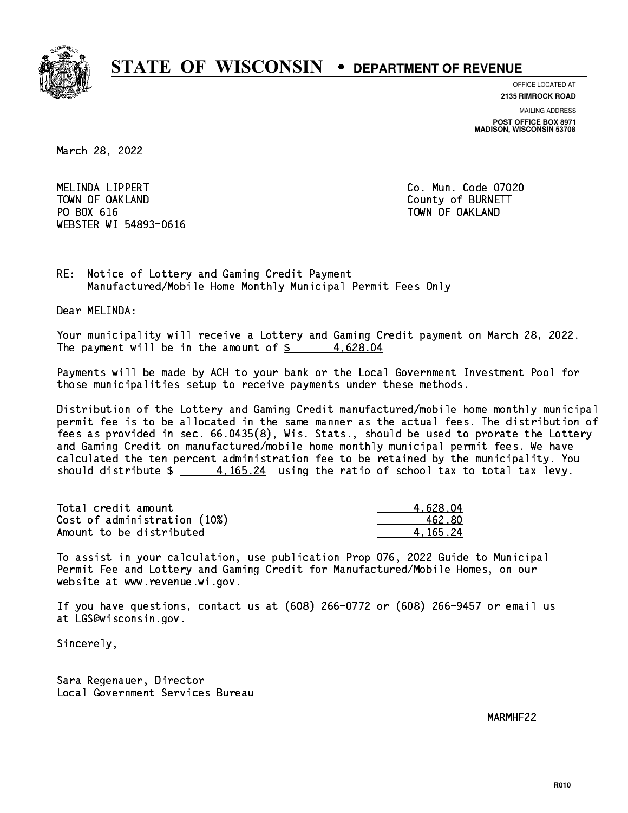

**OFFICE LOCATED AT**

**2135 RIMROCK ROAD**

**MAILING ADDRESS POST OFFICE BOX 8971 MADISON, WISCONSIN 53708**

March 28, 2022

 MELINDA LIPPERT Co. Mun. Code 07020 TOWN OF OAKLAND County of BURNETT PO BOX 616 TOWN OF OAKLAND WEBSTER WI 54893-0616

RE: Notice of Lottery and Gaming Credit Payment Manufactured/Mobile Home Monthly Municipal Permit Fees Only

Dear MELINDA:

 Your municipality will receive a Lottery and Gaming Credit payment on March 28, 2022. The payment will be in the amount of  $\frac{2}{3}$  4,628.04

 Payments will be made by ACH to your bank or the Local Government Investment Pool for those municipalities setup to receive payments under these methods.

 Distribution of the Lottery and Gaming Credit manufactured/mobile home monthly municipal permit fee is to be allocated in the same manner as the actual fees. The distribution of fees as provided in sec. 66.0435(8), Wis. Stats., should be used to prorate the Lottery and Gaming Credit on manufactured/mobile home monthly municipal permit fees. We have calculated the ten percent administration fee to be retained by the municipality. You should distribute  $\frac{4.165.24}{2}$  using the ratio of school tax to total tax levy.

| Total credit amount          | 4.628.04 |
|------------------------------|----------|
| Cost of administration (10%) | 462.80   |
| Amount to be distributed     | 4.165.24 |

 To assist in your calculation, use publication Prop 076, 2022 Guide to Municipal Permit Fee and Lottery and Gaming Credit for Manufactured/Mobile Homes, on our website at www.revenue.wi.gov.

 If you have questions, contact us at (608) 266-0772 or (608) 266-9457 or email us at LGS@wisconsin.gov.

Sincerely,

 Sara Regenauer, Director Local Government Services Bureau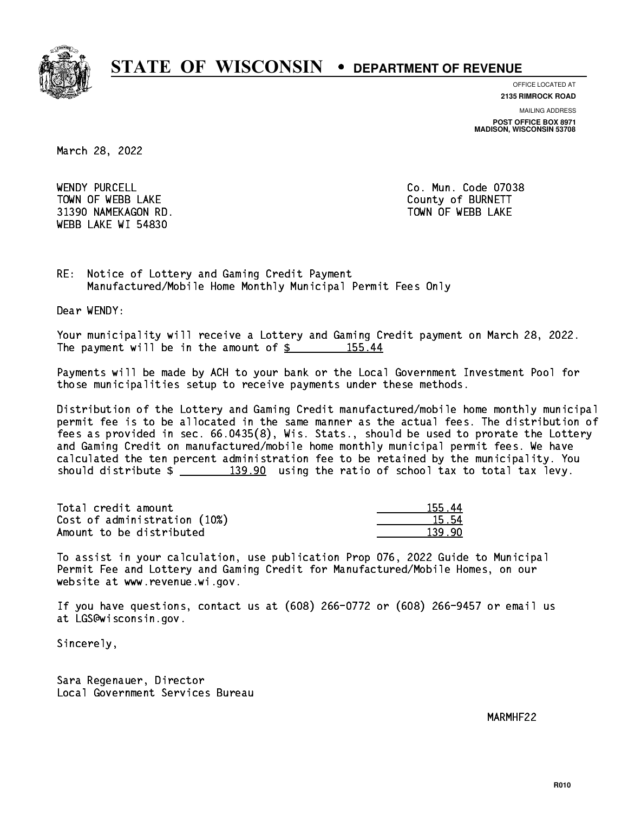

**OFFICE LOCATED AT**

**2135 RIMROCK ROAD**

**MAILING ADDRESS POST OFFICE BOX 8971 MADISON, WISCONSIN 53708**

March 28, 2022

WENDY PURCELL TOWN OF WEBB LAKE COUNTY OF BURNETT 31390 NAMEKAGON RD. TOWN OF WEBB LAKE WEBB LAKE WI 54830

Co. Mun. Code 07038

RE: Notice of Lottery and Gaming Credit Payment Manufactured/Mobile Home Monthly Municipal Permit Fees Only

Dear WENDY:

 Your municipality will receive a Lottery and Gaming Credit payment on March 28, 2022. The payment will be in the amount of \$ 155.44 \_\_\_\_\_\_\_\_\_\_\_\_\_\_\_\_

 Payments will be made by ACH to your bank or the Local Government Investment Pool for those municipalities setup to receive payments under these methods.

 Distribution of the Lottery and Gaming Credit manufactured/mobile home monthly municipal permit fee is to be allocated in the same manner as the actual fees. The distribution of fees as provided in sec. 66.0435(8), Wis. Stats., should be used to prorate the Lottery and Gaming Credit on manufactured/mobile home monthly municipal permit fees. We have calculated the ten percent administration fee to be retained by the municipality. You should distribute  $\frac{2}{2}$   $\frac{139.90}{2}$  using the ratio of school tax to total tax levy.

Total credit amount Cost of administration (10%) Amount to be distributed

| 155.  |
|-------|
| 15.54 |
|       |

 To assist in your calculation, use publication Prop 076, 2022 Guide to Municipal Permit Fee and Lottery and Gaming Credit for Manufactured/Mobile Homes, on our website at www.revenue.wi.gov.

 If you have questions, contact us at (608) 266-0772 or (608) 266-9457 or email us at LGS@wisconsin.gov.

Sincerely,

 Sara Regenauer, Director Local Government Services Bureau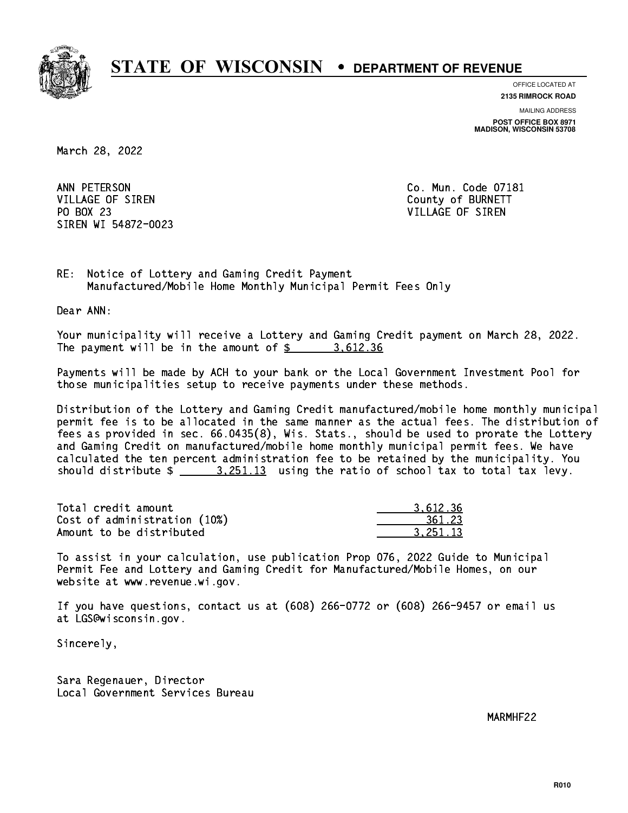

**OFFICE LOCATED AT**

**2135 RIMROCK ROAD**

**MAILING ADDRESS POST OFFICE BOX 8971 MADISON, WISCONSIN 53708**

March 28, 2022

ANN PETERSON VILLAGE OF SIREN COUNTY OF BURNETT PO BOX 23 PO BOX 23 VILLAGE OF SIREN SIREN WI 54872-0023

Co. Mun. Code 07181

RE: Notice of Lottery and Gaming Credit Payment Manufactured/Mobile Home Monthly Municipal Permit Fees Only

Dear ANN:

 Your municipality will receive a Lottery and Gaming Credit payment on March 28, 2022. The payment will be in the amount of \$ 3,612.36 \_\_\_\_\_\_\_\_\_\_\_\_\_\_\_\_

 Payments will be made by ACH to your bank or the Local Government Investment Pool for those municipalities setup to receive payments under these methods.

 Distribution of the Lottery and Gaming Credit manufactured/mobile home monthly municipal permit fee is to be allocated in the same manner as the actual fees. The distribution of fees as provided in sec. 66.0435(8), Wis. Stats., should be used to prorate the Lottery and Gaming Credit on manufactured/mobile home monthly municipal permit fees. We have calculated the ten percent administration fee to be retained by the municipality. You should distribute  $\frac{2}{2}$   $\frac{3.251.13}{2}$  using the ratio of school tax to total tax levy.

| Total credit amount          | 3.612.36 |
|------------------------------|----------|
| Cost of administration (10%) | 361.23   |
| Amount to be distributed     | 3.251.13 |

 To assist in your calculation, use publication Prop 076, 2022 Guide to Municipal Permit Fee and Lottery and Gaming Credit for Manufactured/Mobile Homes, on our website at www.revenue.wi.gov.

 If you have questions, contact us at (608) 266-0772 or (608) 266-9457 or email us at LGS@wisconsin.gov.

Sincerely,

 Sara Regenauer, Director Local Government Services Bureau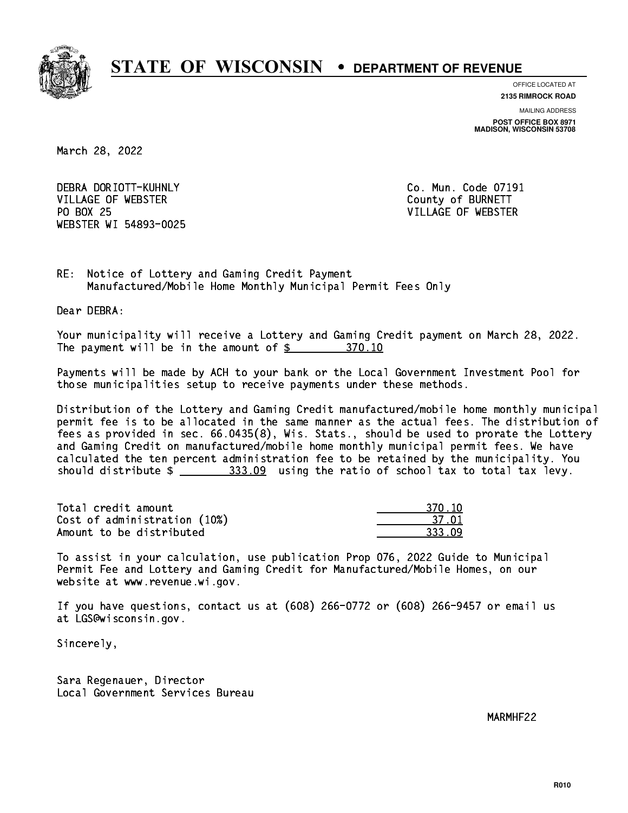

**OFFICE LOCATED AT**

**2135 RIMROCK ROAD**

**MAILING ADDRESS POST OFFICE BOX 8971 MADISON, WISCONSIN 53708**

March 28, 2022

 DEBRA DORIOTT-KUHNLY Co. Mun. Code 07191 VILLAGE OF WEBSTER COUNTY OF BURNETT PO BOX 25 WEBSTER WI 54893-0025

VILLAGE OF WEBSTER

RE: Notice of Lottery and Gaming Credit Payment Manufactured/Mobile Home Monthly Municipal Permit Fees Only

Dear DEBRA:

 Your municipality will receive a Lottery and Gaming Credit payment on March 28, 2022. The payment will be in the amount of \$ 370.10 \_\_\_\_\_\_\_\_\_\_\_\_\_\_\_\_

 Payments will be made by ACH to your bank or the Local Government Investment Pool for those municipalities setup to receive payments under these methods.

 Distribution of the Lottery and Gaming Credit manufactured/mobile home monthly municipal permit fee is to be allocated in the same manner as the actual fees. The distribution of fees as provided in sec. 66.0435(8), Wis. Stats., should be used to prorate the Lottery and Gaming Credit on manufactured/mobile home monthly municipal permit fees. We have calculated the ten percent administration fee to be retained by the municipality. You should distribute  $\frac{233.09}{2}$  using the ratio of school tax to total tax levy.

| Total credit amount          | 370.10 |
|------------------------------|--------|
| Cost of administration (10%) | 37.0'  |
| Amount to be distributed     | 333.09 |

| חו ו  |
|-------|
| 37 NI |
| २२२   |

 To assist in your calculation, use publication Prop 076, 2022 Guide to Municipal Permit Fee and Lottery and Gaming Credit for Manufactured/Mobile Homes, on our website at www.revenue.wi.gov.

 If you have questions, contact us at (608) 266-0772 or (608) 266-9457 or email us at LGS@wisconsin.gov.

Sincerely,

 Sara Regenauer, Director Local Government Services Bureau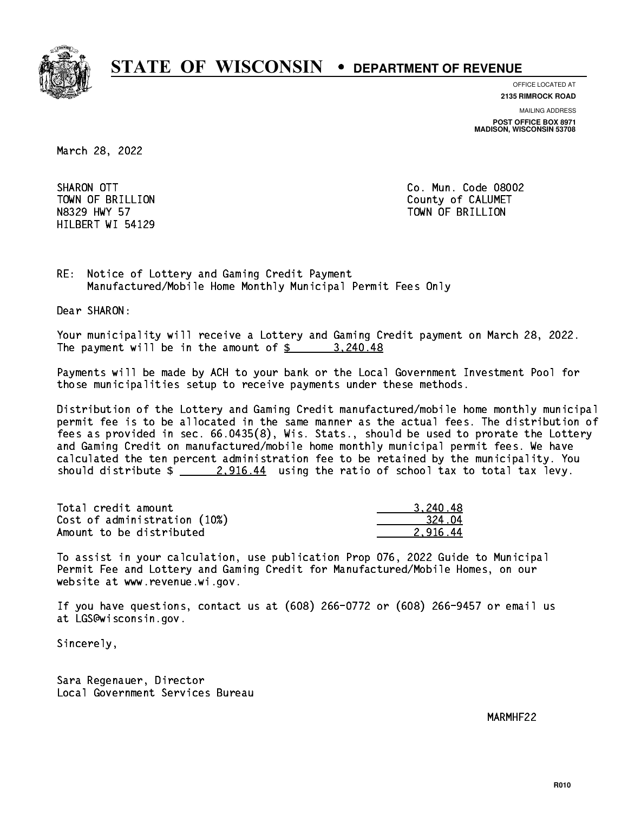

**OFFICE LOCATED AT**

**2135 RIMROCK ROAD**

**MAILING ADDRESS POST OFFICE BOX 8971 MADISON, WISCONSIN 53708**

March 28, 2022

SHARON OTT HILBERT WI 54129

Co. Mun. Code 08002 TOWN OF BRILLION County of CALUMET N8329 HWY 57 TOWN OF BRILLION

RE: Notice of Lottery and Gaming Credit Payment Manufactured/Mobile Home Monthly Municipal Permit Fees Only

Dear SHARON:

 Your municipality will receive a Lottery and Gaming Credit payment on March 28, 2022. The payment will be in the amount of  $\frac{2}{3}$  3,240.48

 Payments will be made by ACH to your bank or the Local Government Investment Pool for those municipalities setup to receive payments under these methods.

 Distribution of the Lottery and Gaming Credit manufactured/mobile home monthly municipal permit fee is to be allocated in the same manner as the actual fees. The distribution of fees as provided in sec. 66.0435(8), Wis. Stats., should be used to prorate the Lottery and Gaming Credit on manufactured/mobile home monthly municipal permit fees. We have calculated the ten percent administration fee to be retained by the municipality. You should distribute  $\frac{2.916.44}{2.916.44}$  using the ratio of school tax to total tax levy.

| Total credit amount          | 3.240.48 |
|------------------------------|----------|
| Cost of administration (10%) | .324.04  |
| Amount to be distributed     | 2.916.44 |

 To assist in your calculation, use publication Prop 076, 2022 Guide to Municipal Permit Fee and Lottery and Gaming Credit for Manufactured/Mobile Homes, on our website at www.revenue.wi.gov.

 If you have questions, contact us at (608) 266-0772 or (608) 266-9457 or email us at LGS@wisconsin.gov.

Sincerely,

 Sara Regenauer, Director Local Government Services Bureau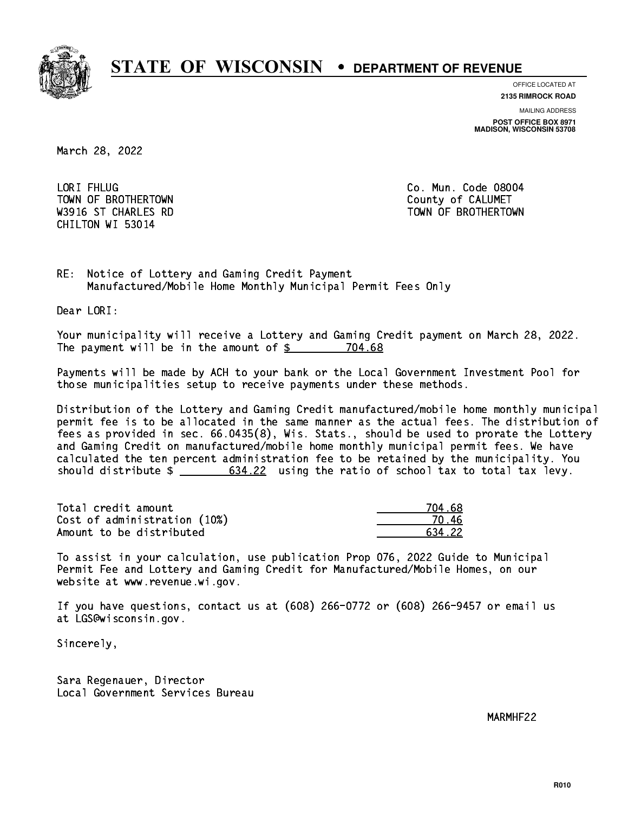

**OFFICE LOCATED AT**

**2135 RIMROCK ROAD**

**MAILING ADDRESS POST OFFICE BOX 8971 MADISON, WISCONSIN 53708**

March 28, 2022

LORI FHLUG TOWN OF BROTHERTOWN COUNTY COUNTY OF CALUMET CHILTON WI 53014

Co. Mun. Code 08004 W3916 ST CHARLES RD TOWN OF BROTHERTOWN WAS ALLOWDED AND TOWN OF BROTHERTOWN

RE: Notice of Lottery and Gaming Credit Payment Manufactured/Mobile Home Monthly Municipal Permit Fees Only

Dear LORI:

 Your municipality will receive a Lottery and Gaming Credit payment on March 28, 2022. The payment will be in the amount of \$ 704.68 \_\_\_\_\_\_\_\_\_\_\_\_\_\_\_\_

 Payments will be made by ACH to your bank or the Local Government Investment Pool for those municipalities setup to receive payments under these methods.

 Distribution of the Lottery and Gaming Credit manufactured/mobile home monthly municipal permit fee is to be allocated in the same manner as the actual fees. The distribution of fees as provided in sec. 66.0435(8), Wis. Stats., should be used to prorate the Lottery and Gaming Credit on manufactured/mobile home monthly municipal permit fees. We have calculated the ten percent administration fee to be retained by the municipality. You should distribute  $\frac{2}{1}$   $\frac{634.22}{2}$  using the ratio of school tax to total tax levy.

| Total credit amount          | 704.68 |
|------------------------------|--------|
| Cost of administration (10%) |        |
| Amount to be distributed     | 634 22 |

| L 68 |
|------|
|      |
| 4.22 |

 To assist in your calculation, use publication Prop 076, 2022 Guide to Municipal Permit Fee and Lottery and Gaming Credit for Manufactured/Mobile Homes, on our website at www.revenue.wi.gov.

 If you have questions, contact us at (608) 266-0772 or (608) 266-9457 or email us at LGS@wisconsin.gov.

Sincerely,

 Sara Regenauer, Director Local Government Services Bureau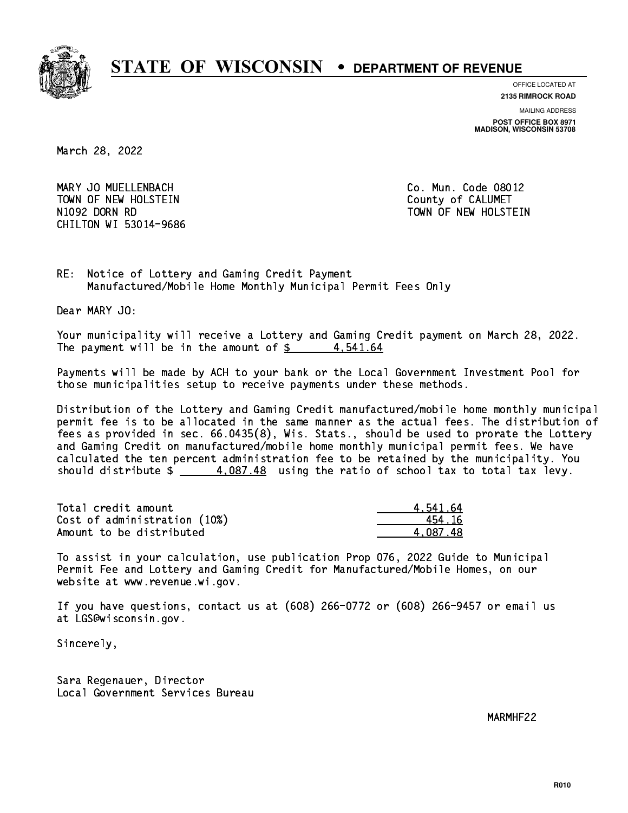

**OFFICE LOCATED AT**

**2135 RIMROCK ROAD**

**MAILING ADDRESS**

**POST OFFICE BOX 8971 MADISON, WISCONSIN 53708**

March 28, 2022

 MARY JO MUELLENBACH Co. Mun. Code 08012 TOWN OF NEW HOLSTEIN County of CALUMET N1092 DORN RD TOWN OF NEW HOLSTEIN CHILTON WI 53014-9686

RE: Notice of Lottery and Gaming Credit Payment Manufactured/Mobile Home Monthly Municipal Permit Fees Only

Dear MARY JO:

 Your municipality will receive a Lottery and Gaming Credit payment on March 28, 2022. The payment will be in the amount of  $\frac{2}{3}$  4,541.64

 Payments will be made by ACH to your bank or the Local Government Investment Pool for those municipalities setup to receive payments under these methods.

 Distribution of the Lottery and Gaming Credit manufactured/mobile home monthly municipal permit fee is to be allocated in the same manner as the actual fees. The distribution of fees as provided in sec. 66.0435(8), Wis. Stats., should be used to prorate the Lottery and Gaming Credit on manufactured/mobile home monthly municipal permit fees. We have calculated the ten percent administration fee to be retained by the municipality. You should distribute  $\frac{4.087.48}{2}$  using the ratio of school tax to total tax levy.

| Total credit amount          | 4.541.64 |
|------------------------------|----------|
| Cost of administration (10%) | 454.16   |
| Amount to be distributed     | 4.087.48 |

 To assist in your calculation, use publication Prop 076, 2022 Guide to Municipal Permit Fee and Lottery and Gaming Credit for Manufactured/Mobile Homes, on our website at www.revenue.wi.gov.

 If you have questions, contact us at (608) 266-0772 or (608) 266-9457 or email us at LGS@wisconsin.gov.

Sincerely,

 Sara Regenauer, Director Local Government Services Bureau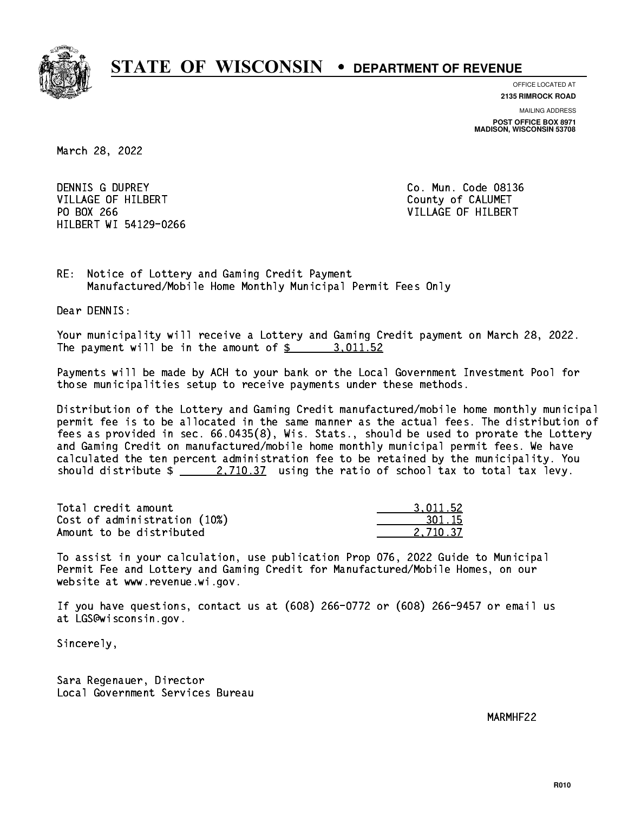

**OFFICE LOCATED AT**

**2135 RIMROCK ROAD**

**MAILING ADDRESS POST OFFICE BOX 8971 MADISON, WISCONSIN 53708**

March 28, 2022

DENNIS G DUPREY VILLAGE OF HILBERT COUNTY OF CALUMET PO BOX 266 VILLAGE OF HILBERT HILBERT WI 54129-0266

Co. Mun. Code 08136

RE: Notice of Lottery and Gaming Credit Payment Manufactured/Mobile Home Monthly Municipal Permit Fees Only

Dear DENNIS:

 Your municipality will receive a Lottery and Gaming Credit payment on March 28, 2022. The payment will be in the amount of \$ 3,011.52 \_\_\_\_\_\_\_\_\_\_\_\_\_\_\_\_

 Payments will be made by ACH to your bank or the Local Government Investment Pool for those municipalities setup to receive payments under these methods.

 Distribution of the Lottery and Gaming Credit manufactured/mobile home monthly municipal permit fee is to be allocated in the same manner as the actual fees. The distribution of fees as provided in sec. 66.0435(8), Wis. Stats., should be used to prorate the Lottery and Gaming Credit on manufactured/mobile home monthly municipal permit fees. We have calculated the ten percent administration fee to be retained by the municipality. You should distribute  $\frac{2,710.37}{2}$  using the ratio of school tax to total tax levy.

| Total credit amount          | 3.011.52 |
|------------------------------|----------|
| Cost of administration (10%) | 301.15   |
| Amount to be distributed     | 2.710.37 |

 To assist in your calculation, use publication Prop 076, 2022 Guide to Municipal Permit Fee and Lottery and Gaming Credit for Manufactured/Mobile Homes, on our website at www.revenue.wi.gov.

 If you have questions, contact us at (608) 266-0772 or (608) 266-9457 or email us at LGS@wisconsin.gov.

Sincerely,

 Sara Regenauer, Director Local Government Services Bureau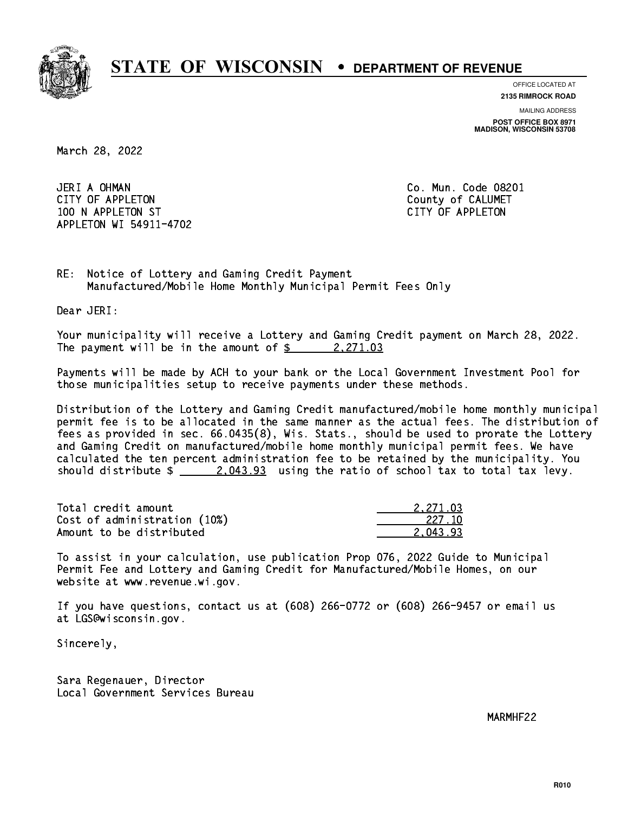

**OFFICE LOCATED AT**

**2135 RIMROCK ROAD**

**MAILING ADDRESS POST OFFICE BOX 8971 MADISON, WISCONSIN 53708**

March 28, 2022

 JERI A OHMAN Co. Mun. Code 08201 CITY OF APPLETON COUNTY COUNTY OF CALUMET 100 N APPLETON ST CITY OF APPLETON APPLETON WI 54911-4702

RE: Notice of Lottery and Gaming Credit Payment Manufactured/Mobile Home Monthly Municipal Permit Fees Only

Dear JERI:

 Your municipality will receive a Lottery and Gaming Credit payment on March 28, 2022. The payment will be in the amount of  $\frac{2}{3}$  2,271.03

 Payments will be made by ACH to your bank or the Local Government Investment Pool for those municipalities setup to receive payments under these methods.

 Distribution of the Lottery and Gaming Credit manufactured/mobile home monthly municipal permit fee is to be allocated in the same manner as the actual fees. The distribution of fees as provided in sec. 66.0435(8), Wis. Stats., should be used to prorate the Lottery and Gaming Credit on manufactured/mobile home monthly municipal permit fees. We have calculated the ten percent administration fee to be retained by the municipality. You should distribute  $\frac{2.043.93}{2.043.93}$  using the ratio of school tax to total tax levy.

| Total credit amount          | 2.271.03 |
|------------------------------|----------|
| Cost of administration (10%) | -227.10  |
| Amount to be distributed     | 2.043.93 |

 To assist in your calculation, use publication Prop 076, 2022 Guide to Municipal Permit Fee and Lottery and Gaming Credit for Manufactured/Mobile Homes, on our website at www.revenue.wi.gov.

 If you have questions, contact us at (608) 266-0772 or (608) 266-9457 or email us at LGS@wisconsin.gov.

Sincerely,

 Sara Regenauer, Director Local Government Services Bureau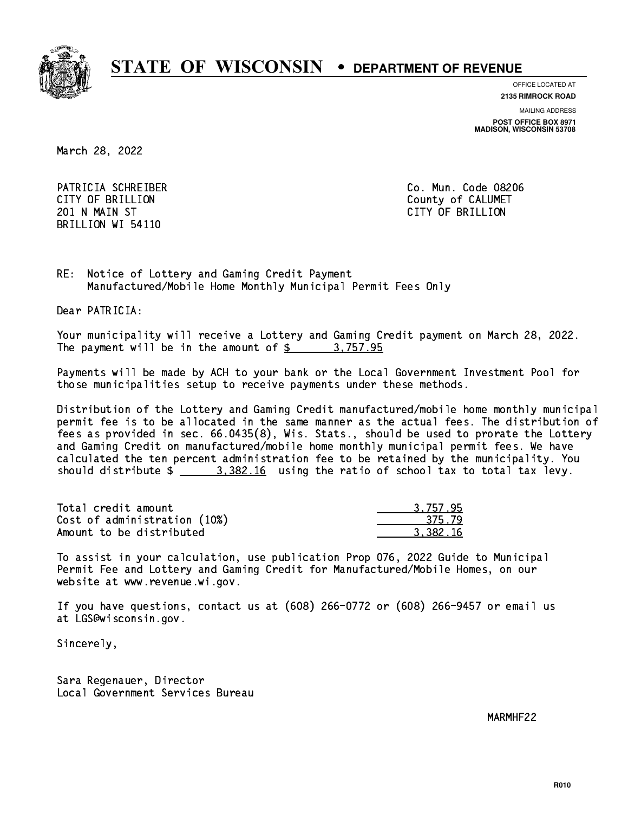

**OFFICE LOCATED AT**

**2135 RIMROCK ROAD**

**MAILING ADDRESS**

**POST OFFICE BOX 8971 MADISON, WISCONSIN 53708**

March 28, 2022

 PATRICIA SCHREIBER Co. Mun. Code 08206 CITY OF BRILLION County of CALUMET 201 N MAIN ST CITY OF BRIDGE OF BRIDGE OF BRIDGE OF BRIDGE OF BRIDGE OF BRIDGE OF BRIDGE OF BRIDGE OF BRIDGE O BRILLION WI 54110

RE: Notice of Lottery and Gaming Credit Payment Manufactured/Mobile Home Monthly Municipal Permit Fees Only

Dear PATRICIA:

 Your municipality will receive a Lottery and Gaming Credit payment on March 28, 2022. The payment will be in the amount of  $\frac{2}{3}$  3,757.95

 Payments will be made by ACH to your bank or the Local Government Investment Pool for those municipalities setup to receive payments under these methods.

 Distribution of the Lottery and Gaming Credit manufactured/mobile home monthly municipal permit fee is to be allocated in the same manner as the actual fees. The distribution of fees as provided in sec. 66.0435(8), Wis. Stats., should be used to prorate the Lottery and Gaming Credit on manufactured/mobile home monthly municipal permit fees. We have calculated the ten percent administration fee to be retained by the municipality. You should distribute  $\frac{2}{10}$   $\frac{3,382.16}{2}$  using the ratio of school tax to total tax levy.

| Total credit amount          | 3.757.95 |
|------------------------------|----------|
| Cost of administration (10%) | 375.79   |
| Amount to be distributed     | 3.382.16 |

 To assist in your calculation, use publication Prop 076, 2022 Guide to Municipal Permit Fee and Lottery and Gaming Credit for Manufactured/Mobile Homes, on our website at www.revenue.wi.gov.

 If you have questions, contact us at (608) 266-0772 or (608) 266-9457 or email us at LGS@wisconsin.gov.

Sincerely,

 Sara Regenauer, Director Local Government Services Bureau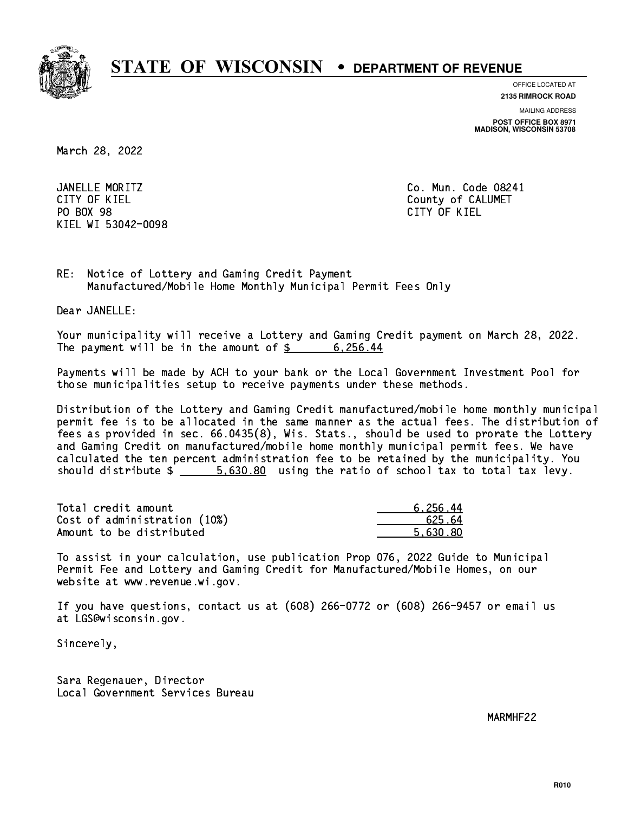

**OFFICE LOCATED AT**

**2135 RIMROCK ROAD**

**MAILING ADDRESS**

**POST OFFICE BOX 8971 MADISON, WISCONSIN 53708**

March 28, 2022

 JANELLE MORITZ Co. Mun. Code 08241 CITY OF KIEL **COUNTY COUNTY OF CALUMET** PO BOX 98 PO BOX 98 CITY OF KIEL KIEL WI 53042-0098

CITY OF KIEL

RE: Notice of Lottery and Gaming Credit Payment Manufactured/Mobile Home Monthly Municipal Permit Fees Only

Dear JANELLE:

 Your municipality will receive a Lottery and Gaming Credit payment on March 28, 2022. The payment will be in the amount of \$ 6,256.44 \_\_\_\_\_\_\_\_\_\_\_\_\_\_\_\_

 Payments will be made by ACH to your bank or the Local Government Investment Pool for those municipalities setup to receive payments under these methods.

 Distribution of the Lottery and Gaming Credit manufactured/mobile home monthly municipal permit fee is to be allocated in the same manner as the actual fees. The distribution of fees as provided in sec. 66.0435(8), Wis. Stats., should be used to prorate the Lottery and Gaming Credit on manufactured/mobile home monthly municipal permit fees. We have calculated the ten percent administration fee to be retained by the municipality. You should distribute  $\frac{2}{1}$   $\frac{5.630.80}{2}$  using the ratio of school tax to total tax levy.

| Total credit amount          | 6.256.44 |
|------------------------------|----------|
| Cost of administration (10%) | 625.64   |
| Amount to be distributed     | 5.630.80 |

 To assist in your calculation, use publication Prop 076, 2022 Guide to Municipal Permit Fee and Lottery and Gaming Credit for Manufactured/Mobile Homes, on our website at www.revenue.wi.gov.

 If you have questions, contact us at (608) 266-0772 or (608) 266-9457 or email us at LGS@wisconsin.gov.

Sincerely,

 Sara Regenauer, Director Local Government Services Bureau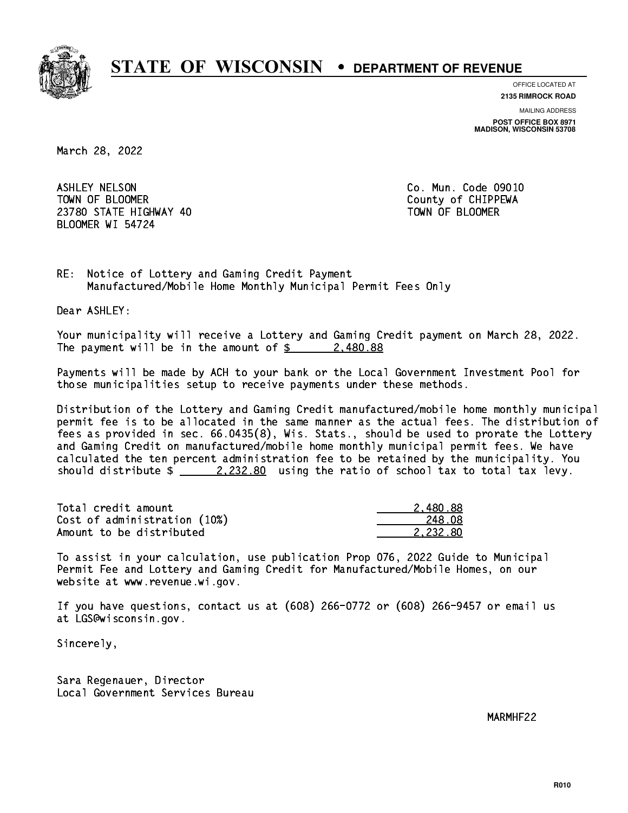

**OFFICE LOCATED AT**

**2135 RIMROCK ROAD**

**MAILING ADDRESS POST OFFICE BOX 8971 MADISON, WISCONSIN 53708**

March 28, 2022

 ASHLEY NELSON Co. Mun. Code 09010 TOWN OF BLOOMER County of CHIPPEWA 23780 STATE HIGHWAY 40 TOWN OF BLOOMER BLOOMER WI 54724

RE: Notice of Lottery and Gaming Credit Payment Manufactured/Mobile Home Monthly Municipal Permit Fees Only

Dear ASHLEY:

 Your municipality will receive a Lottery and Gaming Credit payment on March 28, 2022. The payment will be in the amount of \$ 2,480.88 \_\_\_\_\_\_\_\_\_\_\_\_\_\_\_\_

 Payments will be made by ACH to your bank or the Local Government Investment Pool for those municipalities setup to receive payments under these methods.

 Distribution of the Lottery and Gaming Credit manufactured/mobile home monthly municipal permit fee is to be allocated in the same manner as the actual fees. The distribution of fees as provided in sec. 66.0435(8), Wis. Stats., should be used to prorate the Lottery and Gaming Credit on manufactured/mobile home monthly municipal permit fees. We have calculated the ten percent administration fee to be retained by the municipality. You should distribute  $\frac{2.232.80}{ }$  using the ratio of school tax to total tax levy.

| Total credit amount          | 2.480.88 |
|------------------------------|----------|
| Cost of administration (10%) | 248.08   |
| Amount to be distributed     | 2.232.80 |

 To assist in your calculation, use publication Prop 076, 2022 Guide to Municipal Permit Fee and Lottery and Gaming Credit for Manufactured/Mobile Homes, on our website at www.revenue.wi.gov.

 If you have questions, contact us at (608) 266-0772 or (608) 266-9457 or email us at LGS@wisconsin.gov.

Sincerely,

 Sara Regenauer, Director Local Government Services Bureau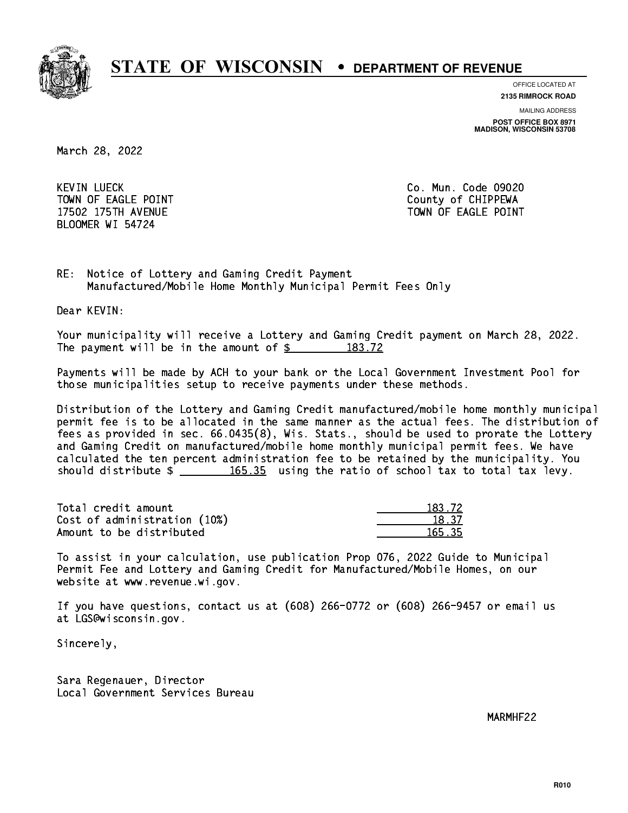

**OFFICE LOCATED AT**

**2135 RIMROCK ROAD**

**MAILING ADDRESS**

**POST OFFICE BOX 8971 MADISON, WISCONSIN 53708**

March 28, 2022

**KEVIN LUECK** TOWN OF EAGLE POINT COUNTS AND TOWN OF CHIPPEWA BLOOMER WI 54724

Co. Mun. Code 09020 17502 175TH AVENUE TOWN OF EAGLE POINT

RE: Notice of Lottery and Gaming Credit Payment Manufactured/Mobile Home Monthly Municipal Permit Fees Only

Dear KEVIN:

 Your municipality will receive a Lottery and Gaming Credit payment on March 28, 2022. The payment will be in the amount of  $\frac{2}{3}$  183.72

 Payments will be made by ACH to your bank or the Local Government Investment Pool for those municipalities setup to receive payments under these methods.

 Distribution of the Lottery and Gaming Credit manufactured/mobile home monthly municipal permit fee is to be allocated in the same manner as the actual fees. The distribution of fees as provided in sec. 66.0435(8), Wis. Stats., should be used to prorate the Lottery and Gaming Credit on manufactured/mobile home monthly municipal permit fees. We have calculated the ten percent administration fee to be retained by the municipality. You should distribute  $\frac{165.35}{165.35}$  using the ratio of school tax to total tax levy.

Total credit amount Cost of administration (10%) Amount to be distributed

| (3.72) |
|--------|
| । २७   |
| 165.35 |

 To assist in your calculation, use publication Prop 076, 2022 Guide to Municipal Permit Fee and Lottery and Gaming Credit for Manufactured/Mobile Homes, on our website at www.revenue.wi.gov.

 If you have questions, contact us at (608) 266-0772 or (608) 266-9457 or email us at LGS@wisconsin.gov.

Sincerely,

 Sara Regenauer, Director Local Government Services Bureau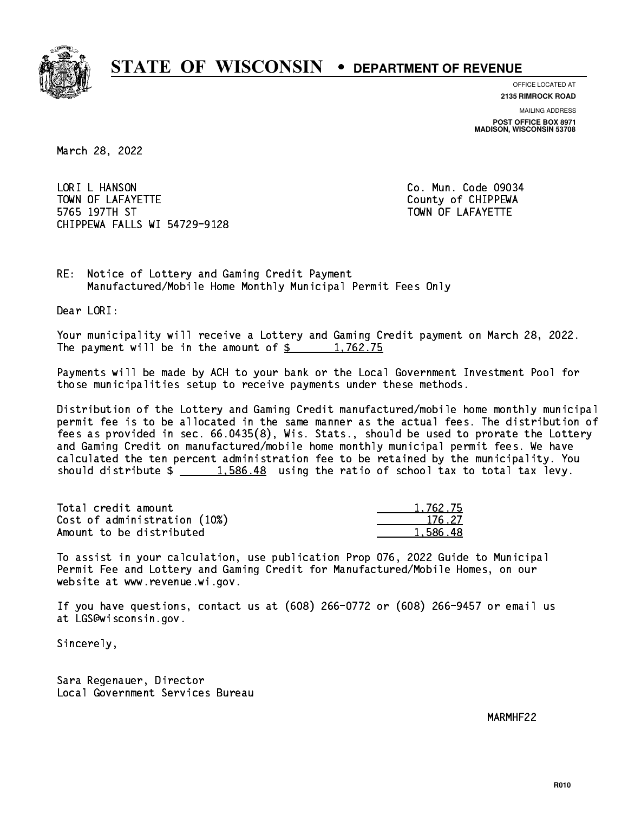

**OFFICE LOCATED AT**

**2135 RIMROCK ROAD**

**MAILING ADDRESS**

**POST OFFICE BOX 8971 MADISON, WISCONSIN 53708**

March 28, 2022

LORI L HANSON TOWN OF LAFAYETTE TOWN OF LAFAYETTE 5765 197TH ST TOWN OF LAFAYETTE CHIPPEWA FALLS WI 54729-9128

Co. Mun. Code 09034

RE: Notice of Lottery and Gaming Credit Payment Manufactured/Mobile Home Monthly Municipal Permit Fees Only

Dear LORI:

 Your municipality will receive a Lottery and Gaming Credit payment on March 28, 2022. The payment will be in the amount of  $\frac{2}{3}$  1,762.75

 Payments will be made by ACH to your bank or the Local Government Investment Pool for those municipalities setup to receive payments under these methods.

 Distribution of the Lottery and Gaming Credit manufactured/mobile home monthly municipal permit fee is to be allocated in the same manner as the actual fees. The distribution of fees as provided in sec. 66.0435(8), Wis. Stats., should be used to prorate the Lottery and Gaming Credit on manufactured/mobile home monthly municipal permit fees. We have calculated the ten percent administration fee to be retained by the municipality. You should distribute  $\frac{1.586.48}{1.586.48}$  using the ratio of school tax to total tax levy.

| Total credit amount          | 1,762.75 |
|------------------------------|----------|
| Cost of administration (10%) | 176.27   |
| Amount to be distributed     | 1,586.48 |

 To assist in your calculation, use publication Prop 076, 2022 Guide to Municipal Permit Fee and Lottery and Gaming Credit for Manufactured/Mobile Homes, on our website at www.revenue.wi.gov.

 If you have questions, contact us at (608) 266-0772 or (608) 266-9457 or email us at LGS@wisconsin.gov.

Sincerely,

 Sara Regenauer, Director Local Government Services Bureau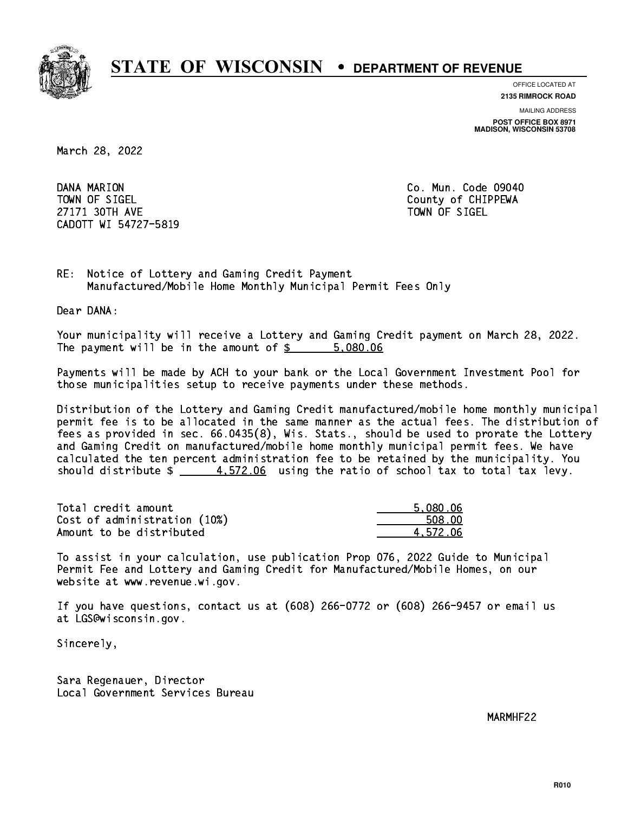

**OFFICE LOCATED AT**

**2135 RIMROCK ROAD**

**MAILING ADDRESS**

**POST OFFICE BOX 8971 MADISON, WISCONSIN 53708**

March 28, 2022

DANA MARION TOWN OF SIGEL County of CHIPPEWA 27171 30TH AVE 27171 30TH AVE CADOTT WI 54727-5819

Co. Mun. Code 09040

RE: Notice of Lottery and Gaming Credit Payment Manufactured/Mobile Home Monthly Municipal Permit Fees Only

Dear DANA:

 Your municipality will receive a Lottery and Gaming Credit payment on March 28, 2022. The payment will be in the amount of \$ 5,080.06 \_\_\_\_\_\_\_\_\_\_\_\_\_\_\_\_

 Payments will be made by ACH to your bank or the Local Government Investment Pool for those municipalities setup to receive payments under these methods.

 Distribution of the Lottery and Gaming Credit manufactured/mobile home monthly municipal permit fee is to be allocated in the same manner as the actual fees. The distribution of fees as provided in sec. 66.0435(8), Wis. Stats., should be used to prorate the Lottery and Gaming Credit on manufactured/mobile home monthly municipal permit fees. We have calculated the ten percent administration fee to be retained by the municipality. You should distribute  $\frac{4.572.06}{1.22.06}$  using the ratio of school tax to total tax levy.

| Total credit amount          | 5,080.06 |
|------------------------------|----------|
| Cost of administration (10%) | 508.00   |
| Amount to be distributed     | 4.572.06 |

 To assist in your calculation, use publication Prop 076, 2022 Guide to Municipal Permit Fee and Lottery and Gaming Credit for Manufactured/Mobile Homes, on our website at www.revenue.wi.gov.

 If you have questions, contact us at (608) 266-0772 or (608) 266-9457 or email us at LGS@wisconsin.gov.

Sincerely,

 Sara Regenauer, Director Local Government Services Bureau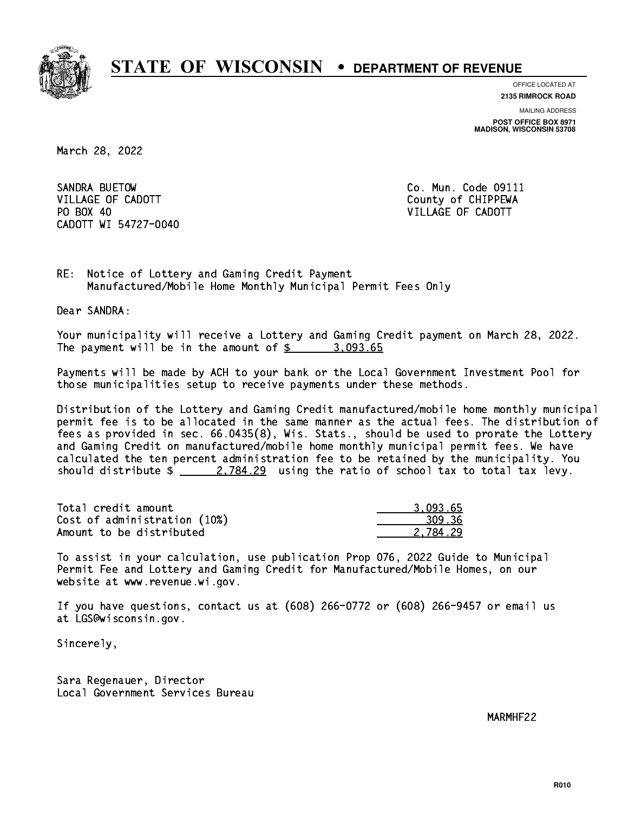

**OFFICE LOCATED AT**

**2135 RIMROCK ROAD**

**MAILING ADDRESS POST OFFICE BOX 8971 MADISON, WISCONSIN 53708**

March 28, 2022

SANDRA BUETOW VILLAGE OF CADOTT COUNTY COUNTY COUNTY OF CHIPPEWA PO BOX 40 CADOTT WI 54727-0040

Co. Mun. Code 09111 VILLAGE OF CADOTT

RE: Notice of Lottery and Gaming Credit Payment Manufactured/Mobile Home Monthly Municipal Permit Fees Only

Dear SANDRA:

 Your municipality will receive a Lottery and Gaming Credit payment on March 28, 2022. The payment will be in the amount of  $\frac{2}{3}$  3,093.65

 Payments will be made by ACH to your bank or the Local Government Investment Pool for those municipalities setup to receive payments under these methods.

 Distribution of the Lottery and Gaming Credit manufactured/mobile home monthly municipal permit fee is to be allocated in the same manner as the actual fees. The distribution of fees as provided in sec. 66.0435(8), Wis. Stats., should be used to prorate the Lottery and Gaming Credit on manufactured/mobile home monthly municipal permit fees. We have calculated the ten percent administration fee to be retained by the municipality. You should distribute  $\frac{2}{2}$   $\frac{2,784.29}{2}$  using the ratio of school tax to total tax levy.

| Total credit amount          | 3.093.65 |
|------------------------------|----------|
| Cost of administration (10%) | 309.36   |
| Amount to be distributed     | 2.784.29 |

 To assist in your calculation, use publication Prop 076, 2022 Guide to Municipal Permit Fee and Lottery and Gaming Credit for Manufactured/Mobile Homes, on our website at www.revenue.wi.gov.

 If you have questions, contact us at (608) 266-0772 or (608) 266-9457 or email us at LGS@wisconsin.gov.

Sincerely,

 Sara Regenauer, Director Local Government Services Bureau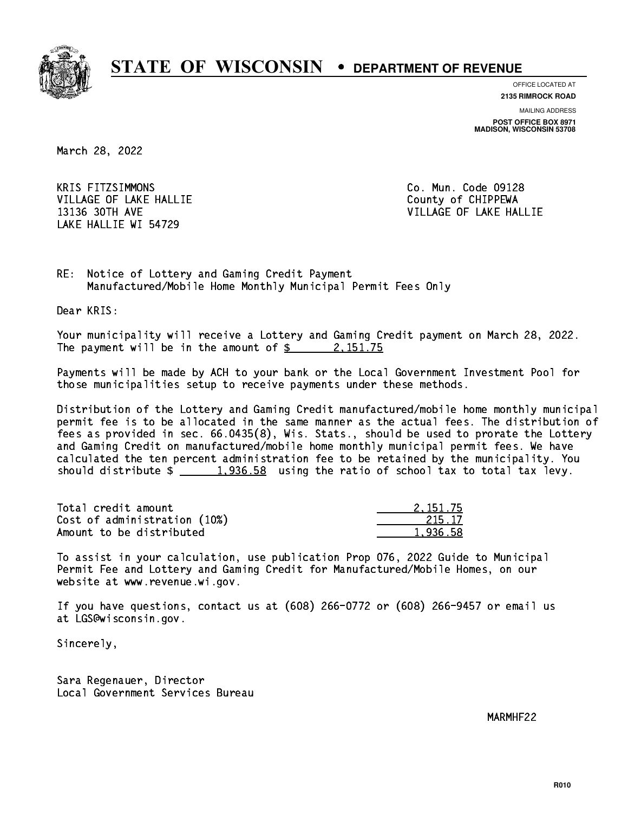

**OFFICE LOCATED AT**

**2135 RIMROCK ROAD**

**MAILING ADDRESS POST OFFICE BOX 8971 MADISON, WISCONSIN 53708**

March 28, 2022

**KRIS FITZSIMMONS** VILLAGE OF LAKE HALLIE COUNTY OF CHIPPEWA LAKE HALLIE WI 54729

Co. Mun. Code 09128 13136 30TH AVE VILLAGE OF LAKE HALLIE

RE: Notice of Lottery and Gaming Credit Payment Manufactured/Mobile Home Monthly Municipal Permit Fees Only

Dear KRIS:

 Your municipality will receive a Lottery and Gaming Credit payment on March 28, 2022. The payment will be in the amount of  $\frac{2}{3}$  2,151.75

 Payments will be made by ACH to your bank or the Local Government Investment Pool for those municipalities setup to receive payments under these methods.

 Distribution of the Lottery and Gaming Credit manufactured/mobile home monthly municipal permit fee is to be allocated in the same manner as the actual fees. The distribution of fees as provided in sec. 66.0435(8), Wis. Stats., should be used to prorate the Lottery and Gaming Credit on manufactured/mobile home monthly municipal permit fees. We have calculated the ten percent administration fee to be retained by the municipality. You should distribute  $\frac{1,936.58}{1,936.58}$  using the ratio of school tax to total tax levy.

| Total credit amount          | 2.151.75 |
|------------------------------|----------|
| Cost of administration (10%) | 215.17   |
| Amount to be distributed     | 1.936.58 |

 To assist in your calculation, use publication Prop 076, 2022 Guide to Municipal Permit Fee and Lottery and Gaming Credit for Manufactured/Mobile Homes, on our website at www.revenue.wi.gov.

 If you have questions, contact us at (608) 266-0772 or (608) 266-9457 or email us at LGS@wisconsin.gov.

Sincerely,

 Sara Regenauer, Director Local Government Services Bureau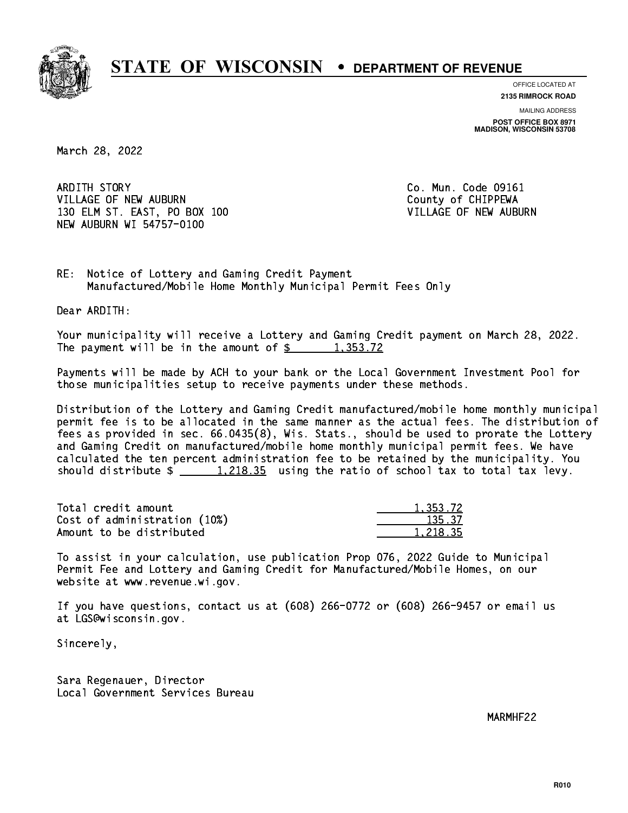

**OFFICE LOCATED AT**

**2135 RIMROCK ROAD**

**MAILING ADDRESS POST OFFICE BOX 8971 MADISON, WISCONSIN 53708**

March 28, 2022

ARDITH STORY VILLAGE OF NEW AUBURN COUNTY OF CHIPPEWA 130 ELM ST. EAST, PO BOX 100 **VILLAGE OF NEW AUBURN** NEW AUBURN WI 54757-0100

Co. Mun. Code 09161

RE: Notice of Lottery and Gaming Credit Payment Manufactured/Mobile Home Monthly Municipal Permit Fees Only

Dear ARDITH:

 Your municipality will receive a Lottery and Gaming Credit payment on March 28, 2022. The payment will be in the amount of  $\frac{2}{3}$  1,353.72

 Payments will be made by ACH to your bank or the Local Government Investment Pool for those municipalities setup to receive payments under these methods.

 Distribution of the Lottery and Gaming Credit manufactured/mobile home monthly municipal permit fee is to be allocated in the same manner as the actual fees. The distribution of fees as provided in sec. 66.0435(8), Wis. Stats., should be used to prorate the Lottery and Gaming Credit on manufactured/mobile home monthly municipal permit fees. We have calculated the ten percent administration fee to be retained by the municipality. You should distribute  $\frac{1,218.35}{1,218.35}$  using the ratio of school tax to total tax levy.

| Total credit amount          | 1,353.72 |
|------------------------------|----------|
| Cost of administration (10%) | 135.37   |
| Amount to be distributed     | 1.218.35 |

 To assist in your calculation, use publication Prop 076, 2022 Guide to Municipal Permit Fee and Lottery and Gaming Credit for Manufactured/Mobile Homes, on our website at www.revenue.wi.gov.

 If you have questions, contact us at (608) 266-0772 or (608) 266-9457 or email us at LGS@wisconsin.gov.

Sincerely,

 Sara Regenauer, Director Local Government Services Bureau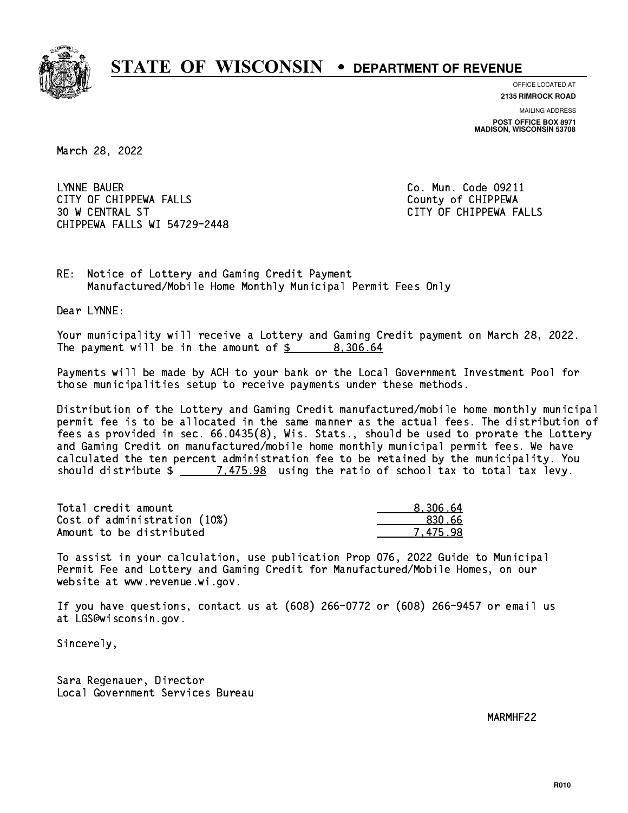

**OFFICE LOCATED AT**

**2135 RIMROCK ROAD**

**MAILING ADDRESS POST OFFICE BOX 8971 MADISON, WISCONSIN 53708**

March 28, 2022

 LYNNE BAUER Co. Mun. Code 09211 CITY OF CHIPPEWA FALLS COUNTY OF CHIPPEWA 30 W CENTRAL ST CITY OF CHIPPEWA FALLS CHIPPEWA FALLS WI 54729-2448

RE: Notice of Lottery and Gaming Credit Payment Manufactured/Mobile Home Monthly Municipal Permit Fees Only

Dear LYNNE:

 Your municipality will receive a Lottery and Gaming Credit payment on March 28, 2022. The payment will be in the amount of \$ 8,306.64 \_\_\_\_\_\_\_\_\_\_\_\_\_\_\_\_

 Payments will be made by ACH to your bank or the Local Government Investment Pool for those municipalities setup to receive payments under these methods.

 Distribution of the Lottery and Gaming Credit manufactured/mobile home monthly municipal permit fee is to be allocated in the same manner as the actual fees. The distribution of fees as provided in sec. 66.0435(8), Wis. Stats., should be used to prorate the Lottery and Gaming Credit on manufactured/mobile home monthly municipal permit fees. We have calculated the ten percent administration fee to be retained by the municipality. You should distribute  $\frac{2}{2}$   $\frac{7.475.98}{2}$  using the ratio of school tax to total tax levy.

| Total credit amount          | 8.306.64 |
|------------------------------|----------|
| Cost of administration (10%) | -830.66  |
| Amount to be distributed     | 7.475.98 |

 To assist in your calculation, use publication Prop 076, 2022 Guide to Municipal Permit Fee and Lottery and Gaming Credit for Manufactured/Mobile Homes, on our website at www.revenue.wi.gov.

 If you have questions, contact us at (608) 266-0772 or (608) 266-9457 or email us at LGS@wisconsin.gov.

Sincerely,

 Sara Regenauer, Director Local Government Services Bureau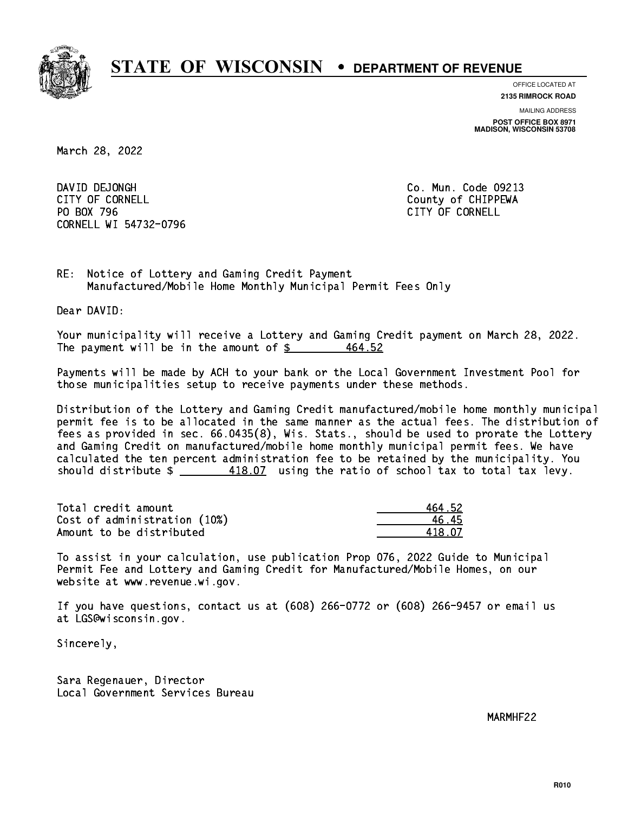

**OFFICE LOCATED AT**

**2135 RIMROCK ROAD**

**MAILING ADDRESS POST OFFICE BOX 8971 MADISON, WISCONSIN 53708**

March 28, 2022

DAVID DEJONGH CITY OF CORNELL CITY OF COUNTLE COUNTRY OF CHIPPEWA PO BOX 796 CITY OF CORNELL CORNELL WI 54732-0796

Co. Mun. Code 09213

RE: Notice of Lottery and Gaming Credit Payment Manufactured/Mobile Home Monthly Municipal Permit Fees Only

Dear DAVID:

 Your municipality will receive a Lottery and Gaming Credit payment on March 28, 2022. The payment will be in the amount of  $$$ 464.52

 Payments will be made by ACH to your bank or the Local Government Investment Pool for those municipalities setup to receive payments under these methods.

 Distribution of the Lottery and Gaming Credit manufactured/mobile home monthly municipal permit fee is to be allocated in the same manner as the actual fees. The distribution of fees as provided in sec. 66.0435(8), Wis. Stats., should be used to prorate the Lottery and Gaming Credit on manufactured/mobile home monthly municipal permit fees. We have calculated the ten percent administration fee to be retained by the municipality. You should distribute  $\frac{418.07}{2}$  using the ratio of school tax to total tax levy.

Total credit amount Cost of administration (10%) Amount to be distributed

| 464.52 |
|--------|
| հ․45   |
| 418.07 |

 To assist in your calculation, use publication Prop 076, 2022 Guide to Municipal Permit Fee and Lottery and Gaming Credit for Manufactured/Mobile Homes, on our website at www.revenue.wi.gov.

 If you have questions, contact us at (608) 266-0772 or (608) 266-9457 or email us at LGS@wisconsin.gov.

Sincerely,

 Sara Regenauer, Director Local Government Services Bureau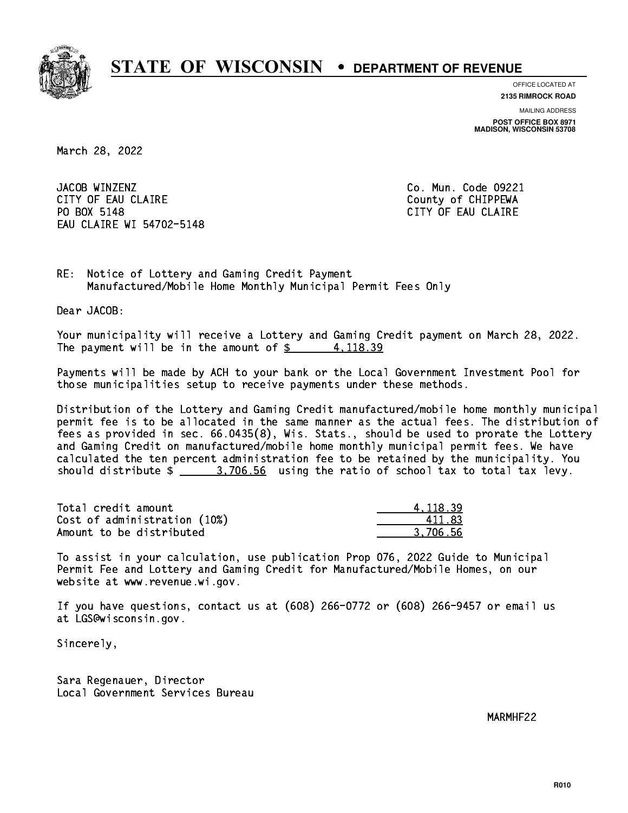

**OFFICE LOCATED AT**

**2135 RIMROCK ROAD**

**MAILING ADDRESS POST OFFICE BOX 8971 MADISON, WISCONSIN 53708**

March 28, 2022

JACOB WINZENZ CITY OF EAU CLAIRE **COUNTY COUNTY OF CHIPPEWA** PO BOX 5148 EAU CLAIRE WI 54702-5148

Co. Mun. Code 09221 CITY OF EAU CLAIRE

RE: Notice of Lottery and Gaming Credit Payment Manufactured/Mobile Home Monthly Municipal Permit Fees Only

Dear JACOB:

 Your municipality will receive a Lottery and Gaming Credit payment on March 28, 2022. The payment will be in the amount of  $\frac{2}{3}$  4, 118.39

 Payments will be made by ACH to your bank or the Local Government Investment Pool for those municipalities setup to receive payments under these methods.

 Distribution of the Lottery and Gaming Credit manufactured/mobile home monthly municipal permit fee is to be allocated in the same manner as the actual fees. The distribution of fees as provided in sec. 66.0435(8), Wis. Stats., should be used to prorate the Lottery and Gaming Credit on manufactured/mobile home monthly municipal permit fees. We have calculated the ten percent administration fee to be retained by the municipality. You should distribute  $\frac{2}{1}$   $\frac{3,706.56}{2}$  using the ratio of school tax to total tax levy.

| Total credit amount          | 4.118.39 |
|------------------------------|----------|
| Cost of administration (10%) | 411.83   |
| Amount to be distributed     | 3.706.56 |

 To assist in your calculation, use publication Prop 076, 2022 Guide to Municipal Permit Fee and Lottery and Gaming Credit for Manufactured/Mobile Homes, on our website at www.revenue.wi.gov.

 If you have questions, contact us at (608) 266-0772 or (608) 266-9457 or email us at LGS@wisconsin.gov.

Sincerely,

 Sara Regenauer, Director Local Government Services Bureau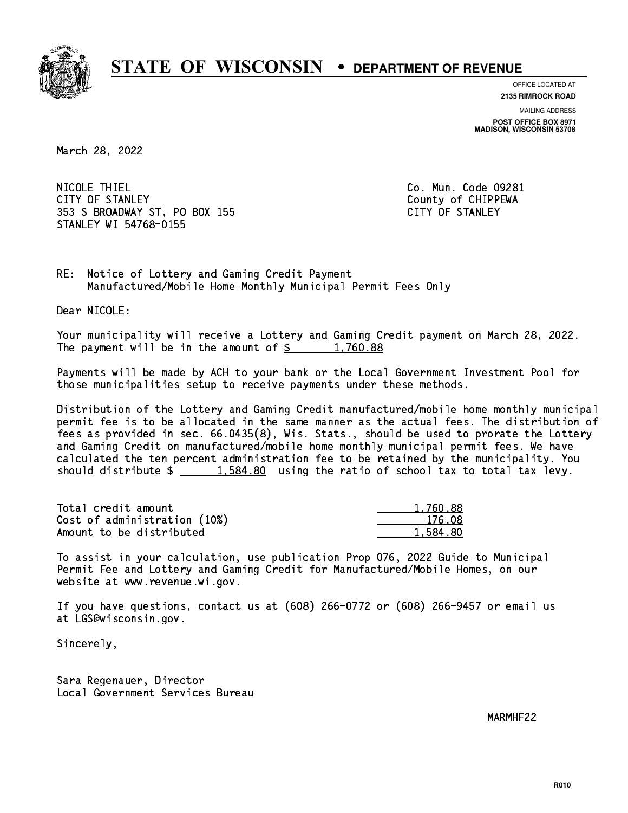

**OFFICE LOCATED AT**

**2135 RIMROCK ROAD**

**MAILING ADDRESS POST OFFICE BOX 8971 MADISON, WISCONSIN 53708**

March 28, 2022

 NICOLE THIEL Co. Mun. Code 09281 CITY OF STANLEY COUNTY COUNTY OF STANLEY 353 S BROADWAY ST, PO BOX 155 CITY OF STANLEY STANLEY WI 54768-0155

RE: Notice of Lottery and Gaming Credit Payment Manufactured/Mobile Home Monthly Municipal Permit Fees Only

Dear NICOLE:

 Your municipality will receive a Lottery and Gaming Credit payment on March 28, 2022. The payment will be in the amount of  $\frac{2}{3}$  1,760.88

 Payments will be made by ACH to your bank or the Local Government Investment Pool for those municipalities setup to receive payments under these methods.

 Distribution of the Lottery and Gaming Credit manufactured/mobile home monthly municipal permit fee is to be allocated in the same manner as the actual fees. The distribution of fees as provided in sec. 66.0435(8), Wis. Stats., should be used to prorate the Lottery and Gaming Credit on manufactured/mobile home monthly municipal permit fees. We have calculated the ten percent administration fee to be retained by the municipality. You should distribute  $\frac{1.584.80}{1.584.80}$  using the ratio of school tax to total tax levy.

| Total credit amount          | 1,760.88 |
|------------------------------|----------|
| Cost of administration (10%) | 176.08   |
| Amount to be distributed     | 1,584.80 |

 To assist in your calculation, use publication Prop 076, 2022 Guide to Municipal Permit Fee and Lottery and Gaming Credit for Manufactured/Mobile Homes, on our website at www.revenue.wi.gov.

 If you have questions, contact us at (608) 266-0772 or (608) 266-9457 or email us at LGS@wisconsin.gov.

Sincerely,

 Sara Regenauer, Director Local Government Services Bureau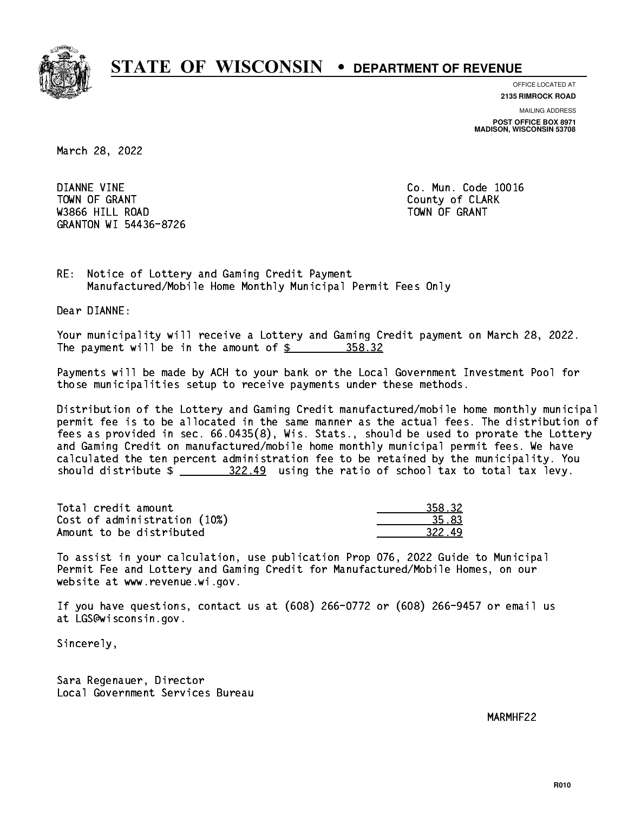

**OFFICE LOCATED AT 2135 RIMROCK ROAD**

**MAILING ADDRESS**

**POST OFFICE BOX 8971 MADISON, WISCONSIN 53708**

March 28, 2022

 DIANNE VINE Co. Mun. Code 10016 Town of Grant County of Clark County of Clark County of Clark County of Clark County of Clark County of Clark was a contract of the contract of the contract of the contract of the contract of the contract of the contract of the contract of the contract of the contract of the contract of the contract of the contract of the contract GRANTON WI 54436-8726

RE: Notice of Lottery and Gaming Credit Payment Manufactured/Mobile Home Monthly Municipal Permit Fees Only

Dear DIANNE:

 Your municipality will receive a Lottery and Gaming Credit payment on March 28, 2022. The payment will be in the amount of \$ 358.32 \_\_\_\_\_\_\_\_\_\_\_\_\_\_\_\_

 Payments will be made by ACH to your bank or the Local Government Investment Pool for those municipalities setup to receive payments under these methods.

 Distribution of the Lottery and Gaming Credit manufactured/mobile home monthly municipal permit fee is to be allocated in the same manner as the actual fees. The distribution of fees as provided in sec. 66.0435(8), Wis. Stats., should be used to prorate the Lottery and Gaming Credit on manufactured/mobile home monthly municipal permit fees. We have calculated the ten percent administration fee to be retained by the municipality. You should distribute  $\frac{22.49}{2}$  using the ratio of school tax to total tax levy.

| Total credit amount          | 358.32 |
|------------------------------|--------|
| Cost of administration (10%) | 35.83  |
| Amount to be distributed     | 322.49 |

 To assist in your calculation, use publication Prop 076, 2022 Guide to Municipal Permit Fee and Lottery and Gaming Credit for Manufactured/Mobile Homes, on our website at www.revenue.wi.gov.

 If you have questions, contact us at (608) 266-0772 or (608) 266-9457 or email us at LGS@wisconsin.gov.

Sincerely,

 Sara Regenauer, Director Local Government Services Bureau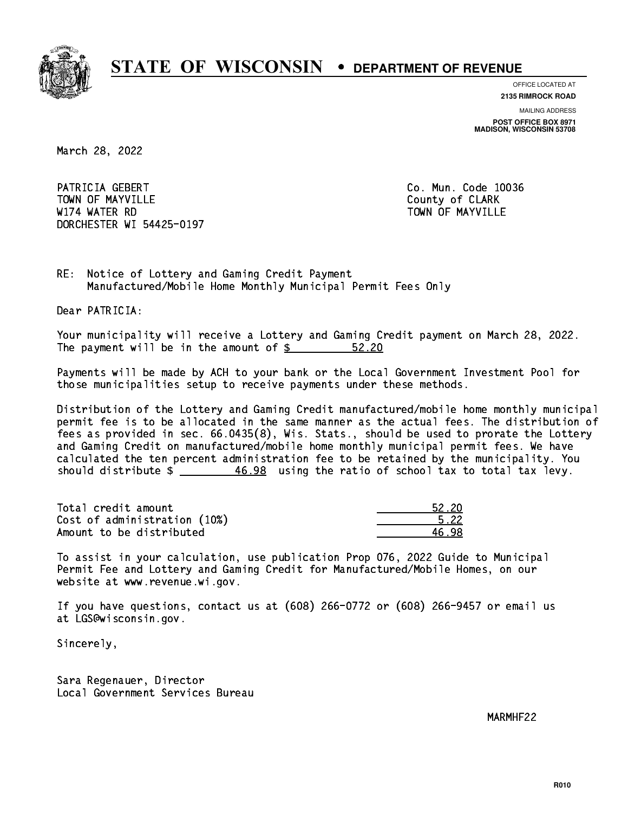

**OFFICE LOCATED AT**

**2135 RIMROCK ROAD**

**MAILING ADDRESS POST OFFICE BOX 8971 MADISON, WISCONSIN 53708**

March 28, 2022

PATRICIA GEBERT CO. Mun. Code 10036 Town of May 1988, and the County of Clark of Clark of Clark of Clark of Clark of Clark of Clark of Clark of Cl W174 WATER RD TOWN OF MAYVILLE DORCHESTER WI 54425-0197

RE: Notice of Lottery and Gaming Credit Payment Manufactured/Mobile Home Monthly Municipal Permit Fees Only

Dear PATRICIA:

 Your municipality will receive a Lottery and Gaming Credit payment on March 28, 2022. The payment will be in the amount of  $\frac{2}{3}$ 52.20

 Payments will be made by ACH to your bank or the Local Government Investment Pool for those municipalities setup to receive payments under these methods.

 Distribution of the Lottery and Gaming Credit manufactured/mobile home monthly municipal permit fee is to be allocated in the same manner as the actual fees. The distribution of fees as provided in sec. 66.0435(8), Wis. Stats., should be used to prorate the Lottery and Gaming Credit on manufactured/mobile home monthly municipal permit fees. We have calculated the ten percent administration fee to be retained by the municipality. You should distribute  $\frac{46.98}{10.98}$  using the ratio of school tax to total tax levy.

Total credit amount Cost of administration (10%) Amount to be distributed

| .2 20  |
|--------|
| 5. 22. |
|        |

 To assist in your calculation, use publication Prop 076, 2022 Guide to Municipal Permit Fee and Lottery and Gaming Credit for Manufactured/Mobile Homes, on our website at www.revenue.wi.gov.

 If you have questions, contact us at (608) 266-0772 or (608) 266-9457 or email us at LGS@wisconsin.gov.

Sincerely,

 Sara Regenauer, Director Local Government Services Bureau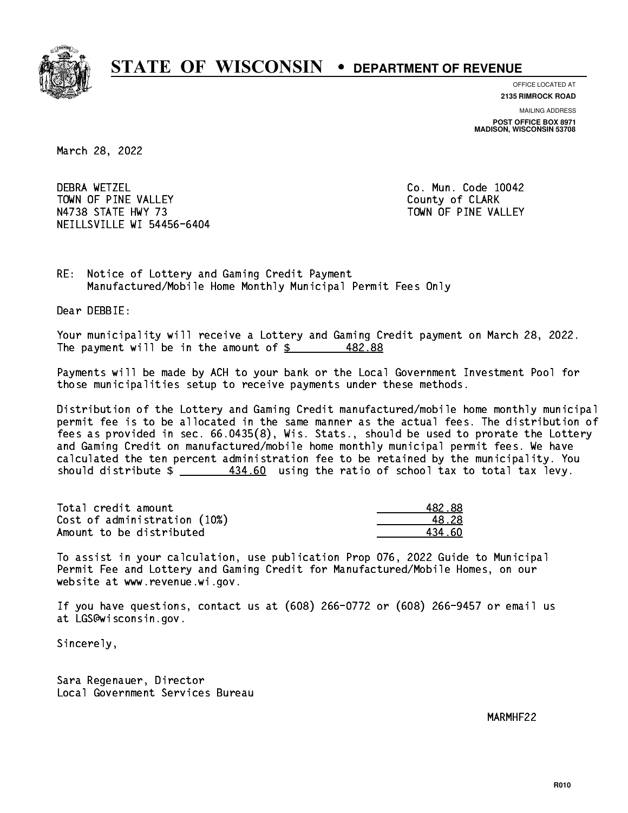

**OFFICE LOCATED AT**

**2135 RIMROCK ROAD**

**MAILING ADDRESS POST OFFICE BOX 8971 MADISON, WISCONSIN 53708**

March 28, 2022

**DEBRA WETZEL** TOWN OF PINE VALLEY **COUNTY COUNTY OF CLARK** N4738 STATE HWY 73 TOWN OF PINE VALLEY NEILLSVILLE WI 54456-6404

Co. Mun. Code 10042

RE: Notice of Lottery and Gaming Credit Payment Manufactured/Mobile Home Monthly Municipal Permit Fees Only

Dear DEBBIE:

 Your municipality will receive a Lottery and Gaming Credit payment on March 28, 2022. The payment will be in the amount of  $$$ 482.88

 Payments will be made by ACH to your bank or the Local Government Investment Pool for those municipalities setup to receive payments under these methods.

 Distribution of the Lottery and Gaming Credit manufactured/mobile home monthly municipal permit fee is to be allocated in the same manner as the actual fees. The distribution of fees as provided in sec. 66.0435(8), Wis. Stats., should be used to prorate the Lottery and Gaming Credit on manufactured/mobile home monthly municipal permit fees. We have calculated the ten percent administration fee to be retained by the municipality. You should distribute  $\frac{434.60}{2}$  using the ratio of school tax to total tax levy.

Total credit amount Cost of administration (10%) Amount to be distributed

| 482.88 |
|--------|
| 18.28  |
| 4 AN   |

 To assist in your calculation, use publication Prop 076, 2022 Guide to Municipal Permit Fee and Lottery and Gaming Credit for Manufactured/Mobile Homes, on our website at www.revenue.wi.gov.

 If you have questions, contact us at (608) 266-0772 or (608) 266-9457 or email us at LGS@wisconsin.gov.

Sincerely,

 Sara Regenauer, Director Local Government Services Bureau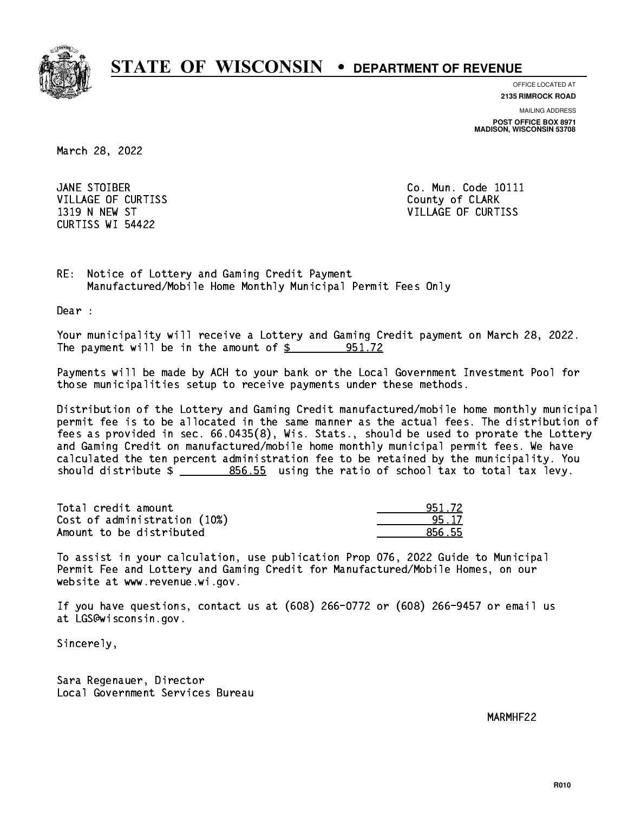

**OFFICE LOCATED AT**

**2135 RIMROCK ROAD**

**MAILING ADDRESS POST OFFICE BOX 8971 MADISON, WISCONSIN 53708**

March 28, 2022

JANE STOIBER VILLAGE OF CURTISS **County of CLARK** CURTISS WI 54422

Co. Mun. Code 10111 1319 N NEW ST VILLAGE OF CURTISS

RE: Notice of Lottery and Gaming Credit Payment Manufactured/Mobile Home Monthly Municipal Permit Fees Only

Dear :

 Your municipality will receive a Lottery and Gaming Credit payment on March 28, 2022. The payment will be in the amount of  $\frac{2}{3}$  951.72

 Payments will be made by ACH to your bank or the Local Government Investment Pool for those municipalities setup to receive payments under these methods.

 Distribution of the Lottery and Gaming Credit manufactured/mobile home monthly municipal permit fee is to be allocated in the same manner as the actual fees. The distribution of fees as provided in sec. 66.0435(8), Wis. Stats., should be used to prorate the Lottery and Gaming Credit on manufactured/mobile home monthly municipal permit fees. We have calculated the ten percent administration fee to be retained by the municipality. You should distribute  $\frac{2}{2}$   $\frac{856.55}{2}$  using the ratio of school tax to total tax levy.

| Total credit amount          | 951.72 |
|------------------------------|--------|
| Cost of administration (10%) | 95 17  |
| Amount to be distributed     | 856.55 |

 To assist in your calculation, use publication Prop 076, 2022 Guide to Municipal Permit Fee and Lottery and Gaming Credit for Manufactured/Mobile Homes, on our website at www.revenue.wi.gov.

 If you have questions, contact us at (608) 266-0772 or (608) 266-9457 or email us at LGS@wisconsin.gov.

Sincerely,

 Sara Regenauer, Director Local Government Services Bureau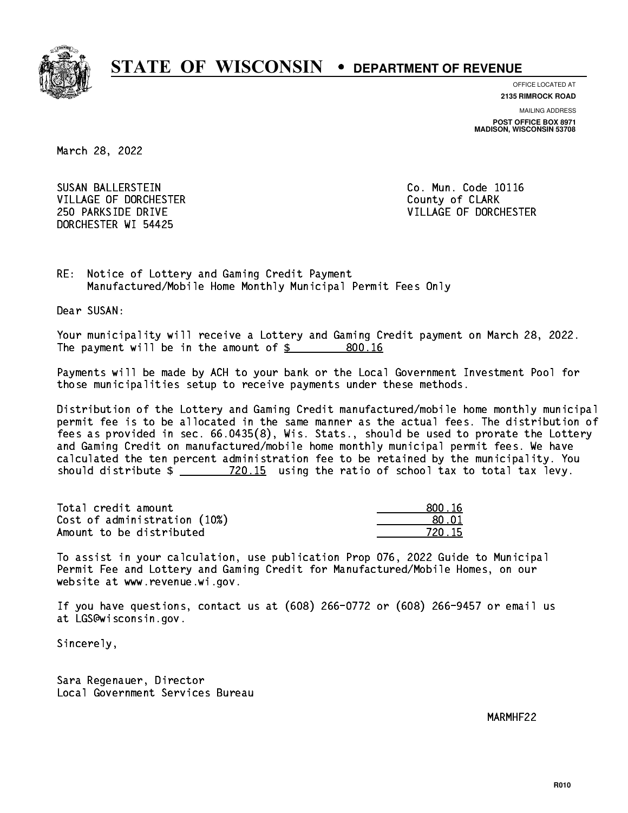

**OFFICE LOCATED AT**

**2135 RIMROCK ROAD**

**MAILING ADDRESS POST OFFICE BOX 8971 MADISON, WISCONSIN 53708**

March 28, 2022

 SUSAN BALLERSTEIN Co. Mun. Code 10116 VILLAGE OF DORCHESTER **COULD ACCEPT OF CLARK** DORCHESTER WI 54425

250 PARKSIDE DRIVE VILLAGE OF DORCHESTER

RE: Notice of Lottery and Gaming Credit Payment Manufactured/Mobile Home Monthly Municipal Permit Fees Only

Dear SUSAN:

 Your municipality will receive a Lottery and Gaming Credit payment on March 28, 2022. The payment will be in the amount of \$ 800.16 \_\_\_\_\_\_\_\_\_\_\_\_\_\_\_\_ 800.16

 Payments will be made by ACH to your bank or the Local Government Investment Pool for those municipalities setup to receive payments under these methods.

 Distribution of the Lottery and Gaming Credit manufactured/mobile home monthly municipal permit fee is to be allocated in the same manner as the actual fees. The distribution of fees as provided in sec. 66.0435(8), Wis. Stats., should be used to prorate the Lottery and Gaming Credit on manufactured/mobile home monthly municipal permit fees. We have calculated the ten percent administration fee to be retained by the municipality. You should distribute  $\frac{20.15}{20.15}$  using the ratio of school tax to total tax levy.

Total credit amount Cost of administration  $(10%)$ Amount to be distributed

| N. 16       |
|-------------|
| וח ו        |
| N. 15<br>72 |

 To assist in your calculation, use publication Prop 076, 2022 Guide to Municipal Permit Fee and Lottery and Gaming Credit for Manufactured/Mobile Homes, on our website at www.revenue.wi.gov.

 If you have questions, contact us at (608) 266-0772 or (608) 266-9457 or email us at LGS@wisconsin.gov.

Sincerely,

 Sara Regenauer, Director Local Government Services Bureau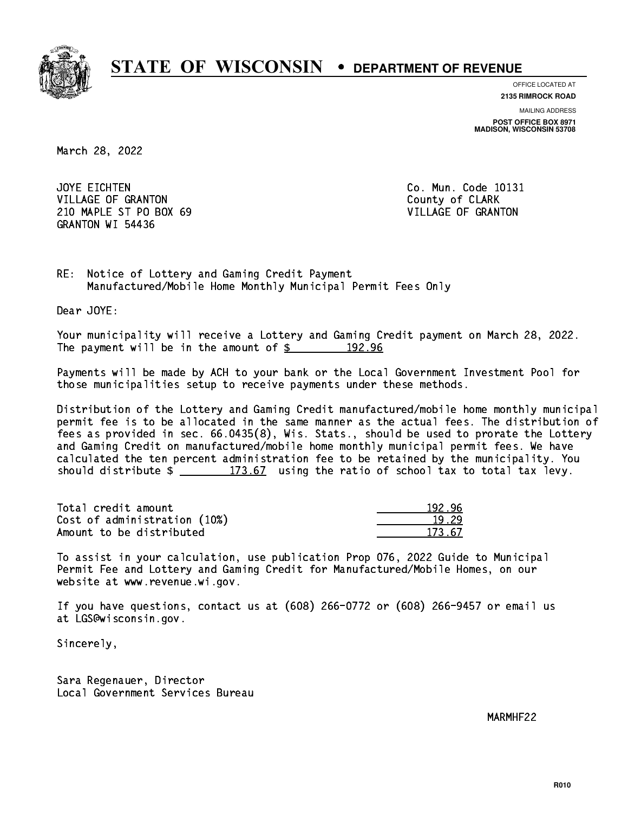

**OFFICE LOCATED AT**

**2135 RIMROCK ROAD**

**MAILING ADDRESS POST OFFICE BOX 8971 MADISON, WISCONSIN 53708**

March 28, 2022

JOYE EICHTEN VILLAGE OF GRANTON COUNTY OF CLARK 210 MAPLE ST PO BOX 69 VILLAGE OF GRANTON GRANTON WI 54436

Co. Mun. Code 10131

RE: Notice of Lottery and Gaming Credit Payment Manufactured/Mobile Home Monthly Municipal Permit Fees Only

Dear JOYE:

 Your municipality will receive a Lottery and Gaming Credit payment on March 28, 2022. The payment will be in the amount of  $\frac{2}{3}$  192.96

 Payments will be made by ACH to your bank or the Local Government Investment Pool for those municipalities setup to receive payments under these methods.

 Distribution of the Lottery and Gaming Credit manufactured/mobile home monthly municipal permit fee is to be allocated in the same manner as the actual fees. The distribution of fees as provided in sec. 66.0435(8), Wis. Stats., should be used to prorate the Lottery and Gaming Credit on manufactured/mobile home monthly municipal permit fees. We have calculated the ten percent administration fee to be retained by the municipality. You should distribute  $\frac{2}{2}$   $\frac{173.67}{2}$  using the ratio of school tax to total tax levy.

Total credit amount Cost of administration (10%) Amount to be distributed

| י פו<br>n    |
|--------------|
| ⊑29          |
| 57<br>T 72 - |

 To assist in your calculation, use publication Prop 076, 2022 Guide to Municipal Permit Fee and Lottery and Gaming Credit for Manufactured/Mobile Homes, on our website at www.revenue.wi.gov.

 If you have questions, contact us at (608) 266-0772 or (608) 266-9457 or email us at LGS@wisconsin.gov.

Sincerely,

 Sara Regenauer, Director Local Government Services Bureau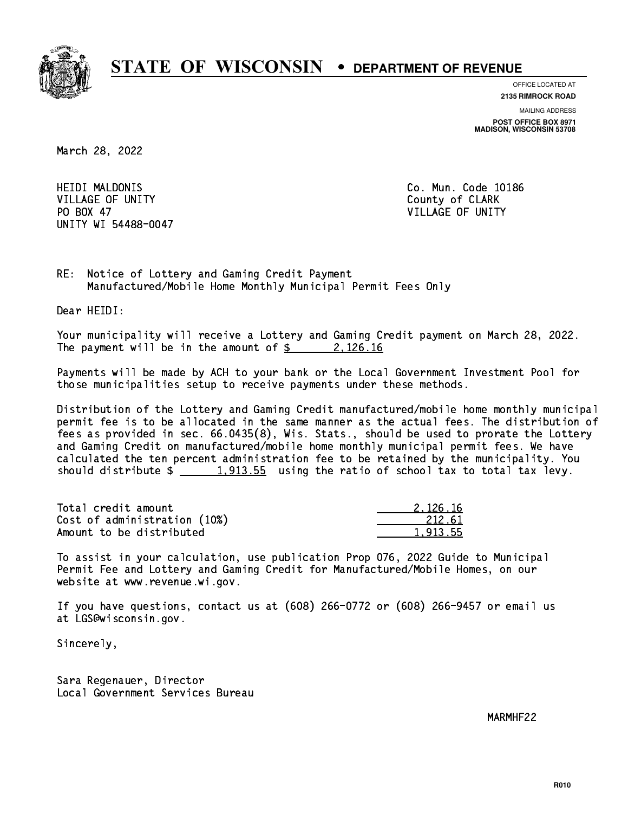

**OFFICE LOCATED AT**

**2135 RIMROCK ROAD**

**MAILING ADDRESS POST OFFICE BOX 8971 MADISON, WISCONSIN 53708**

March 28, 2022

**HEIDI MALDONIS** VILLAGE OF UNITY COUNTY COUNTY PO BOX 47 PO BOX 47 VILLAGE OF UNITY UNITY WI 54488-0047

Co. Mun. Code 10186

RE: Notice of Lottery and Gaming Credit Payment Manufactured/Mobile Home Monthly Municipal Permit Fees Only

Dear HEIDI:

 Your municipality will receive a Lottery and Gaming Credit payment on March 28, 2022. The payment will be in the amount of  $\frac{2}{3}$  2,126.16

 Payments will be made by ACH to your bank or the Local Government Investment Pool for those municipalities setup to receive payments under these methods.

 Distribution of the Lottery and Gaming Credit manufactured/mobile home monthly municipal permit fee is to be allocated in the same manner as the actual fees. The distribution of fees as provided in sec. 66.0435(8), Wis. Stats., should be used to prorate the Lottery and Gaming Credit on manufactured/mobile home monthly municipal permit fees. We have calculated the ten percent administration fee to be retained by the municipality. You should distribute  $\frac{1,913.55}{1,913.55}$  using the ratio of school tax to total tax levy.

| Total credit amount          | 2.126.16 |
|------------------------------|----------|
| Cost of administration (10%) | 212.61   |
| Amount to be distributed     | 1.913.55 |

 To assist in your calculation, use publication Prop 076, 2022 Guide to Municipal Permit Fee and Lottery and Gaming Credit for Manufactured/Mobile Homes, on our website at www.revenue.wi.gov.

 If you have questions, contact us at (608) 266-0772 or (608) 266-9457 or email us at LGS@wisconsin.gov.

Sincerely,

 Sara Regenauer, Director Local Government Services Bureau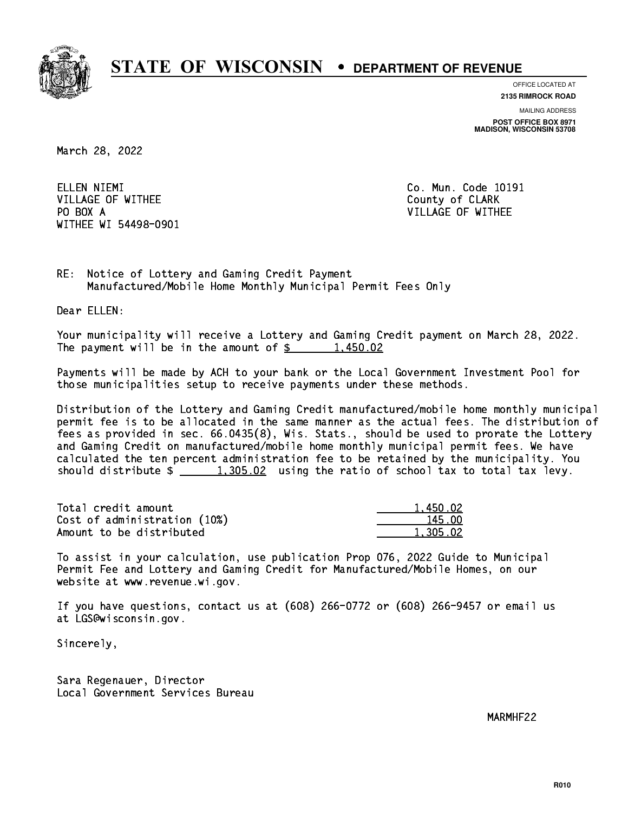

**OFFICE LOCATED AT**

**2135 RIMROCK ROAD**

**MAILING ADDRESS POST OFFICE BOX 8971 MADISON, WISCONSIN 53708**

March 28, 2022

ELLEN NIEMI VILLAGE OF WITHEE **COUNTY OF SEARCH COULD A** COUNTY OF CLARK PO BOX A WITHEE WI 54498-0901

Co. Mun. Code 10191 VILLAGE OF WITHEE

RE: Notice of Lottery and Gaming Credit Payment Manufactured/Mobile Home Monthly Municipal Permit Fees Only

Dear ELLEN:

 Your municipality will receive a Lottery and Gaming Credit payment on March 28, 2022. The payment will be in the amount of  $\frac{2}{3}$  1,450.02

 Payments will be made by ACH to your bank or the Local Government Investment Pool for those municipalities setup to receive payments under these methods.

 Distribution of the Lottery and Gaming Credit manufactured/mobile home monthly municipal permit fee is to be allocated in the same manner as the actual fees. The distribution of fees as provided in sec. 66.0435(8), Wis. Stats., should be used to prorate the Lottery and Gaming Credit on manufactured/mobile home monthly municipal permit fees. We have calculated the ten percent administration fee to be retained by the municipality. You should distribute  $\frac{1,305.02}{1,305.02}$  using the ratio of school tax to total tax levy.

| Total credit amount          | 1.450.02 |
|------------------------------|----------|
| Cost of administration (10%) | 145.00   |
| Amount to be distributed     | 1,305.02 |

 To assist in your calculation, use publication Prop 076, 2022 Guide to Municipal Permit Fee and Lottery and Gaming Credit for Manufactured/Mobile Homes, on our website at www.revenue.wi.gov.

 If you have questions, contact us at (608) 266-0772 or (608) 266-9457 or email us at LGS@wisconsin.gov.

Sincerely,

 Sara Regenauer, Director Local Government Services Bureau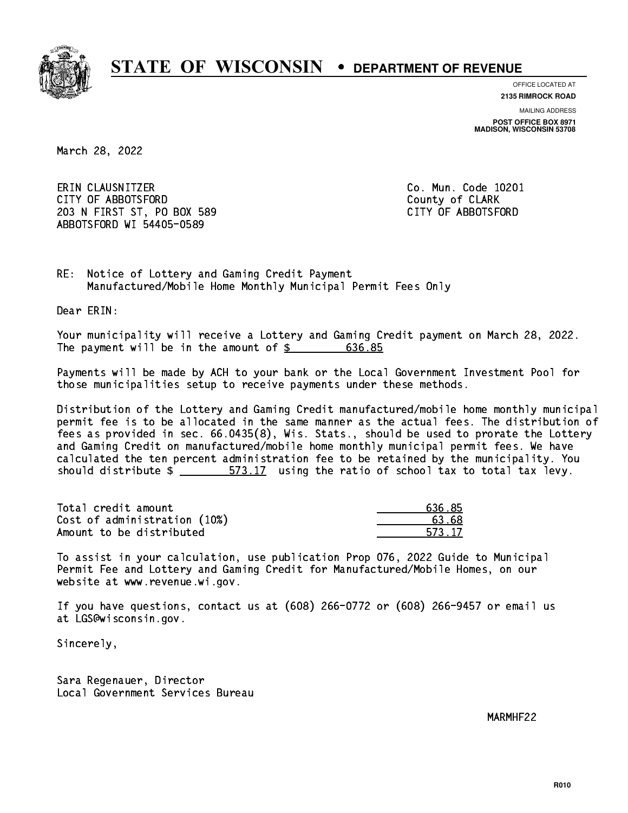

**OFFICE LOCATED AT**

**2135 RIMROCK ROAD**

**MAILING ADDRESS POST OFFICE BOX 8971 MADISON, WISCONSIN 53708**

March 28, 2022

 ERIN CLAUSNITZER Co. Mun. Code 10201 CITY OF ABBOTSFORD County of CLARK 203 N FIRST ST, PO BOX 589 CITY OF ABBOTSFORD ABBOTSFORD WI 54405-0589

RE: Notice of Lottery and Gaming Credit Payment Manufactured/Mobile Home Monthly Municipal Permit Fees Only

Dear ERIN:

 Your municipality will receive a Lottery and Gaming Credit payment on March 28, 2022. The payment will be in the amount of  $$ 636.85$ 

 Payments will be made by ACH to your bank or the Local Government Investment Pool for those municipalities setup to receive payments under these methods.

 Distribution of the Lottery and Gaming Credit manufactured/mobile home monthly municipal permit fee is to be allocated in the same manner as the actual fees. The distribution of fees as provided in sec. 66.0435(8), Wis. Stats., should be used to prorate the Lottery and Gaming Credit on manufactured/mobile home monthly municipal permit fees. We have calculated the ten percent administration fee to be retained by the municipality. You should distribute  $\frac{2}{1}$   $\frac{573.17}{2}$  using the ratio of school tax to total tax levy.

Total credit amount Cost of administration (10%) Amount to be distributed

| 636 85 |
|--------|
| 13 R.S |
| 573 17 |

 To assist in your calculation, use publication Prop 076, 2022 Guide to Municipal Permit Fee and Lottery and Gaming Credit for Manufactured/Mobile Homes, on our website at www.revenue.wi.gov.

 If you have questions, contact us at (608) 266-0772 or (608) 266-9457 or email us at LGS@wisconsin.gov.

Sincerely,

 Sara Regenauer, Director Local Government Services Bureau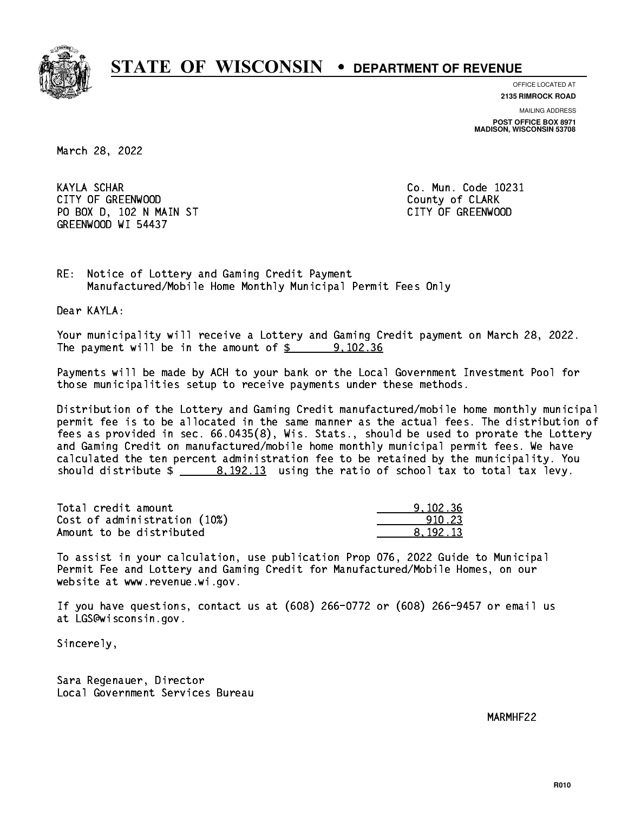

**OFFICE LOCATED AT**

**2135 RIMROCK ROAD**

**MAILING ADDRESS POST OFFICE BOX 8971 MADISON, WISCONSIN 53708**

March 28, 2022

**KAYLA SCHAR** CITY OF GREENWOOD COUNTY COUNTY OF CLARK PO BOX D, 102 N MAIN ST CITY OF GREENWOOD GREENWOOD WI 54437

Co. Mun. Code 10231

RE: Notice of Lottery and Gaming Credit Payment Manufactured/Mobile Home Monthly Municipal Permit Fees Only

Dear KAYLA:

 Your municipality will receive a Lottery and Gaming Credit payment on March 28, 2022. The payment will be in the amount of  $\frac{2}{3}$  9,102.36

 Payments will be made by ACH to your bank or the Local Government Investment Pool for those municipalities setup to receive payments under these methods.

 Distribution of the Lottery and Gaming Credit manufactured/mobile home monthly municipal permit fee is to be allocated in the same manner as the actual fees. The distribution of fees as provided in sec. 66.0435(8), Wis. Stats., should be used to prorate the Lottery and Gaming Credit on manufactured/mobile home monthly municipal permit fees. We have calculated the ten percent administration fee to be retained by the municipality. You should distribute  $\frac{2}{1}$   $\frac{8,192.13}{2}$  using the ratio of school tax to total tax levy.

| Total credit amount          | 9.102.36 |
|------------------------------|----------|
| Cost of administration (10%) | 910.23   |
| Amount to be distributed     | 8.192.13 |

 To assist in your calculation, use publication Prop 076, 2022 Guide to Municipal Permit Fee and Lottery and Gaming Credit for Manufactured/Mobile Homes, on our website at www.revenue.wi.gov.

 If you have questions, contact us at (608) 266-0772 or (608) 266-9457 or email us at LGS@wisconsin.gov.

Sincerely,

 Sara Regenauer, Director Local Government Services Bureau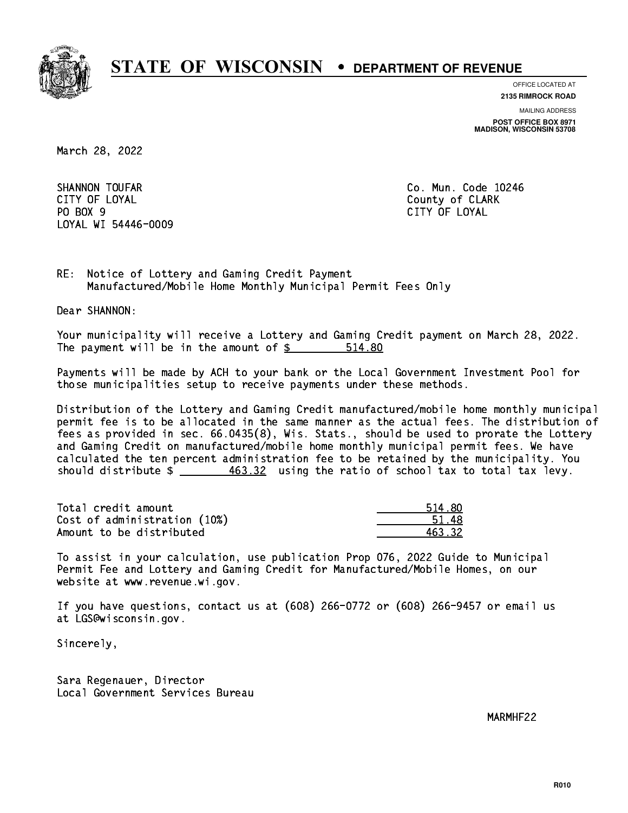

**OFFICE LOCATED AT**

**MAILING ADDRESS 2135 RIMROCK ROAD**

**POST OFFICE BOX 8971 MADISON, WISCONSIN 53708**

March 28, 2022

SHANNON TOUFAR COMMUNICATION CO. Mun. Code 10246 CITY OF LOYAL COUNTY OF LOYAL COUNTY OF COUNTY OF COUNTY OF COUNTY OF COUNTY OF COUNTY OF COUNTY OF COUNTY OF COUNTY OF COUNTY OF COUNTY OF COUNTY OF COUNTY OF COUNTY OF COUNTY OF COUNTY OF COUNTY OF COUNTY OF COUNTY OF CO PO BOX 9 PO BOX 9 CITY OF LOYAL LOYAL WI 54446-0009

CITY OF LOYAL

RE: Notice of Lottery and Gaming Credit Payment Manufactured/Mobile Home Monthly Municipal Permit Fees Only

Dear SHANNON:

 Your municipality will receive a Lottery and Gaming Credit payment on March 28, 2022. The payment will be in the amount of \$ 514.80 \_\_\_\_\_\_\_\_\_\_\_\_\_\_\_\_

 Payments will be made by ACH to your bank or the Local Government Investment Pool for those municipalities setup to receive payments under these methods.

 Distribution of the Lottery and Gaming Credit manufactured/mobile home monthly municipal permit fee is to be allocated in the same manner as the actual fees. The distribution of fees as provided in sec. 66.0435(8), Wis. Stats., should be used to prorate the Lottery and Gaming Credit on manufactured/mobile home monthly municipal permit fees. We have calculated the ten percent administration fee to be retained by the municipality. You should distribute  $\frac{463.32}{100}$  using the ratio of school tax to total tax levy.

| Total credit amount          | 514.80 |
|------------------------------|--------|
| Cost of administration (10%) | 51.48  |
| Amount to be distributed     | 463.32 |

 To assist in your calculation, use publication Prop 076, 2022 Guide to Municipal Permit Fee and Lottery and Gaming Credit for Manufactured/Mobile Homes, on our website at www.revenue.wi.gov.

 If you have questions, contact us at (608) 266-0772 or (608) 266-9457 or email us at LGS@wisconsin.gov.

Sincerely,

 Sara Regenauer, Director Local Government Services Bureau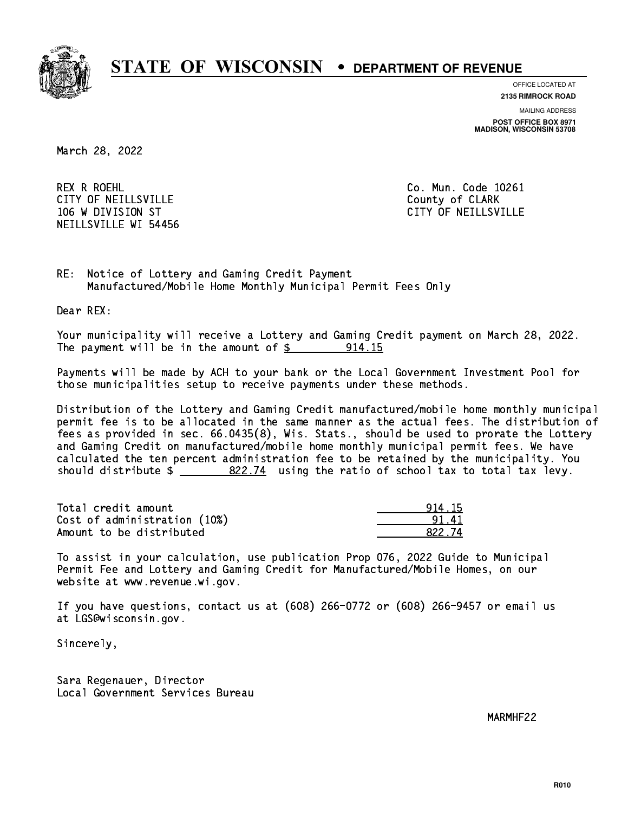

**OFFICE LOCATED AT**

**2135 RIMROCK ROAD**

**MAILING ADDRESS POST OFFICE BOX 8971 MADISON, WISCONSIN 53708**

March 28, 2022

 REX R ROEHL Co. Mun. Code 10261 CITY OF NEILLSVILLE **COUNTY COULD AND COULD COULD COULD** COUNTY OF CLARK 106 W DIVISION ST CITY OF NEILLSVILLE NEILLSVILLE WI 54456

RE: Notice of Lottery and Gaming Credit Payment Manufactured/Mobile Home Monthly Municipal Permit Fees Only

Dear REX:

 Your municipality will receive a Lottery and Gaming Credit payment on March 28, 2022. The payment will be in the amount of  $\frac{2}{3}$  914.15

 Payments will be made by ACH to your bank or the Local Government Investment Pool for those municipalities setup to receive payments under these methods.

 Distribution of the Lottery and Gaming Credit manufactured/mobile home monthly municipal permit fee is to be allocated in the same manner as the actual fees. The distribution of fees as provided in sec. 66.0435(8), Wis. Stats., should be used to prorate the Lottery and Gaming Credit on manufactured/mobile home monthly municipal permit fees. We have calculated the ten percent administration fee to be retained by the municipality. You should distribute  $\frac{22.74}{2}$  using the ratio of school tax to total tax levy.

| Total credit amount          | 914.15 |
|------------------------------|--------|
| Cost of administration (10%) | 91 41  |
| Amount to be distributed     | 822.74 |

| l 15   |
|--------|
|        |
| 322.74 |

 To assist in your calculation, use publication Prop 076, 2022 Guide to Municipal Permit Fee and Lottery and Gaming Credit for Manufactured/Mobile Homes, on our website at www.revenue.wi.gov.

 If you have questions, contact us at (608) 266-0772 or (608) 266-9457 or email us at LGS@wisconsin.gov.

Sincerely,

 Sara Regenauer, Director Local Government Services Bureau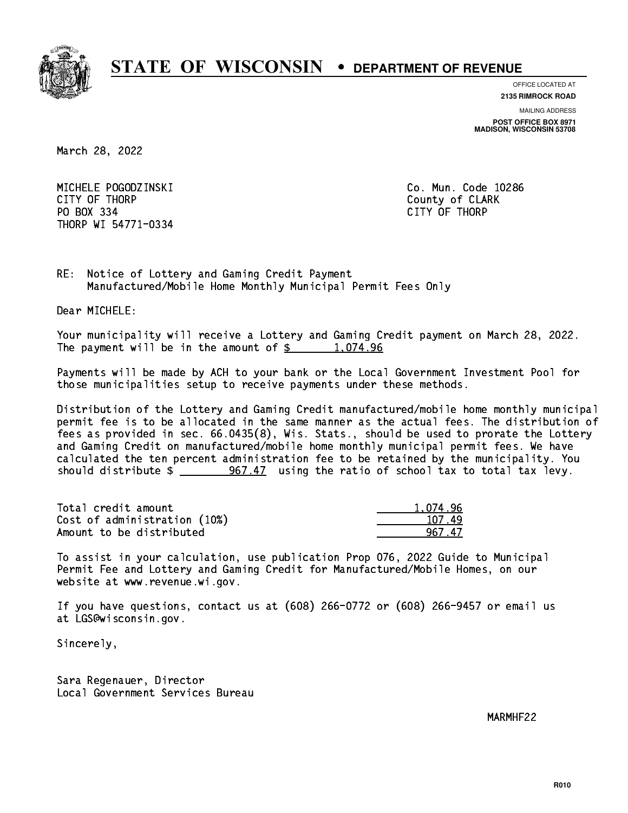

**OFFICE LOCATED AT 2135 RIMROCK ROAD**

**MAILING ADDRESS**

**POST OFFICE BOX 8971 MADISON, WISCONSIN 53708**

March 28, 2022

 MICHELE POGODZINSKI Co. Mun. Code 10286 CITY OF THE CITY OF THE COUNTY OF THE COUNTY OF COUNTY OF COUNTY OF COUNTY OF COUNTY OF COUNTY OF COUNTY OF COUNTY OF COUNTY OF COUNTY OF COUNTY OF COUNTY OF COUNTY OF COUNTY OF COUNTY OF COUNTY OF COUNTY OF COUNTY OF COUN PO BOX 334 PO BOX 334 CITY OF THORP THORP WI 54771-0334

RE: Notice of Lottery and Gaming Credit Payment Manufactured/Mobile Home Monthly Municipal Permit Fees Only

Dear MICHELE:

 Your municipality will receive a Lottery and Gaming Credit payment on March 28, 2022. The payment will be in the amount of  $\frac{2}{3}$  1,074.96

 Payments will be made by ACH to your bank or the Local Government Investment Pool for those municipalities setup to receive payments under these methods.

 Distribution of the Lottery and Gaming Credit manufactured/mobile home monthly municipal permit fee is to be allocated in the same manner as the actual fees. The distribution of fees as provided in sec. 66.0435(8), Wis. Stats., should be used to prorate the Lottery and Gaming Credit on manufactured/mobile home monthly municipal permit fees. We have calculated the ten percent administration fee to be retained by the municipality. You should distribute  $\frac{267.47}{2}$  using the ratio of school tax to total tax levy.

| Total credit amount          | 1.074.96 |
|------------------------------|----------|
| Cost of administration (10%) | 107.49   |
| Amount to be distributed     | 967 47   |

 To assist in your calculation, use publication Prop 076, 2022 Guide to Municipal Permit Fee and Lottery and Gaming Credit for Manufactured/Mobile Homes, on our website at www.revenue.wi.gov.

 If you have questions, contact us at (608) 266-0772 or (608) 266-9457 or email us at LGS@wisconsin.gov.

Sincerely,

 Sara Regenauer, Director Local Government Services Bureau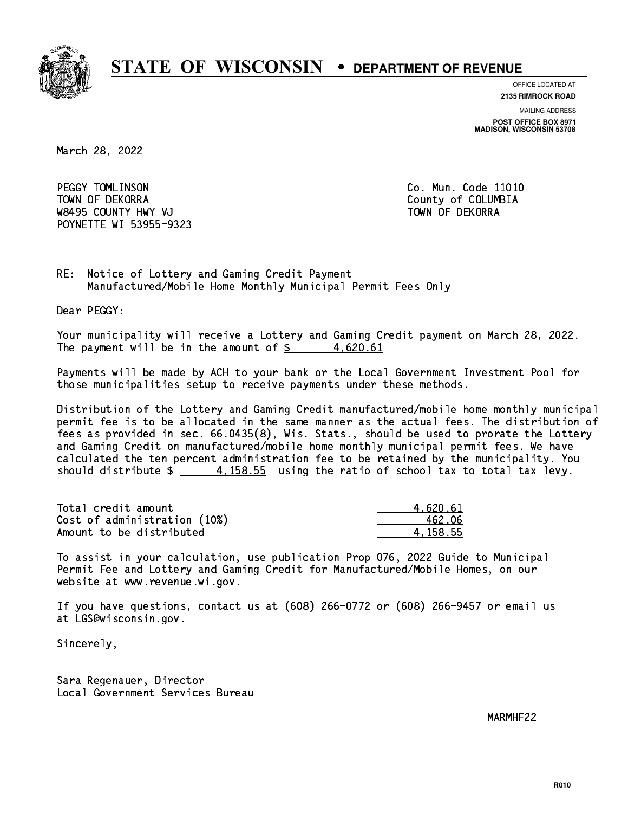

**OFFICE LOCATED AT**

**2135 RIMROCK ROAD**

**MAILING ADDRESS POST OFFICE BOX 8971 MADISON, WISCONSIN 53708**

March 28, 2022

PEGGY TOMLINSON TOWN OF DEKORRA County of COLUMBIA W8495 COUNTY HWY VJ TOWN OF DEKORRA POYNETTE WI 53955-9323

Co. Mun. Code 11010

RE: Notice of Lottery and Gaming Credit Payment Manufactured/Mobile Home Monthly Municipal Permit Fees Only

Dear PEGGY:

 Your municipality will receive a Lottery and Gaming Credit payment on March 28, 2022. The payment will be in the amount of  $\frac{2}{3}$  4,620.61

 Payments will be made by ACH to your bank or the Local Government Investment Pool for those municipalities setup to receive payments under these methods.

 Distribution of the Lottery and Gaming Credit manufactured/mobile home monthly municipal permit fee is to be allocated in the same manner as the actual fees. The distribution of fees as provided in sec. 66.0435(8), Wis. Stats., should be used to prorate the Lottery and Gaming Credit on manufactured/mobile home monthly municipal permit fees. We have calculated the ten percent administration fee to be retained by the municipality. You should distribute  $\frac{4}{158.55}$  using the ratio of school tax to total tax levy.

| Total credit amount          | 4.620.61 |
|------------------------------|----------|
| Cost of administration (10%) | 462.06   |
| Amount to be distributed     | 4.158.55 |

 To assist in your calculation, use publication Prop 076, 2022 Guide to Municipal Permit Fee and Lottery and Gaming Credit for Manufactured/Mobile Homes, on our website at www.revenue.wi.gov.

 If you have questions, contact us at (608) 266-0772 or (608) 266-9457 or email us at LGS@wisconsin.gov.

Sincerely,

 Sara Regenauer, Director Local Government Services Bureau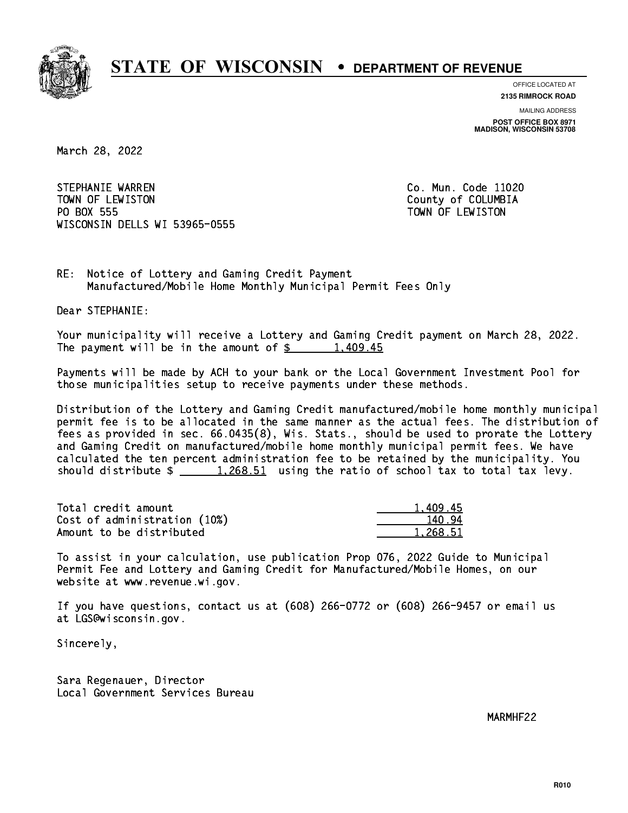

**OFFICE LOCATED AT**

**2135 RIMROCK ROAD**

**MAILING ADDRESS POST OFFICE BOX 8971 MADISON, WISCONSIN 53708**

March 28, 2022

STEPHANIE WARREN CO. Mun. Code 11020 TOWN OF LEWISTON County of COLUMBIA PO BOX 555 PO BOX 555 TOWN OF LEWISTON WISCONSIN DELLS WI 53965-0555

RE: Notice of Lottery and Gaming Credit Payment Manufactured/Mobile Home Monthly Municipal Permit Fees Only

Dear STEPHANIE:

 Your municipality will receive a Lottery and Gaming Credit payment on March 28, 2022. The payment will be in the amount of  $\frac{2}{3}$  1,409.45

 Payments will be made by ACH to your bank or the Local Government Investment Pool for those municipalities setup to receive payments under these methods.

 Distribution of the Lottery and Gaming Credit manufactured/mobile home monthly municipal permit fee is to be allocated in the same manner as the actual fees. The distribution of fees as provided in sec. 66.0435(8), Wis. Stats., should be used to prorate the Lottery and Gaming Credit on manufactured/mobile home monthly municipal permit fees. We have calculated the ten percent administration fee to be retained by the municipality. You should distribute  $\frac{1,268.51}{1,268.51}$  using the ratio of school tax to total tax levy.

| Total credit amount          | 1,409.45 |
|------------------------------|----------|
| Cost of administration (10%) | 140.94   |
| Amount to be distributed     | 1.268.51 |

 To assist in your calculation, use publication Prop 076, 2022 Guide to Municipal Permit Fee and Lottery and Gaming Credit for Manufactured/Mobile Homes, on our website at www.revenue.wi.gov.

 If you have questions, contact us at (608) 266-0772 or (608) 266-9457 or email us at LGS@wisconsin.gov.

Sincerely,

 Sara Regenauer, Director Local Government Services Bureau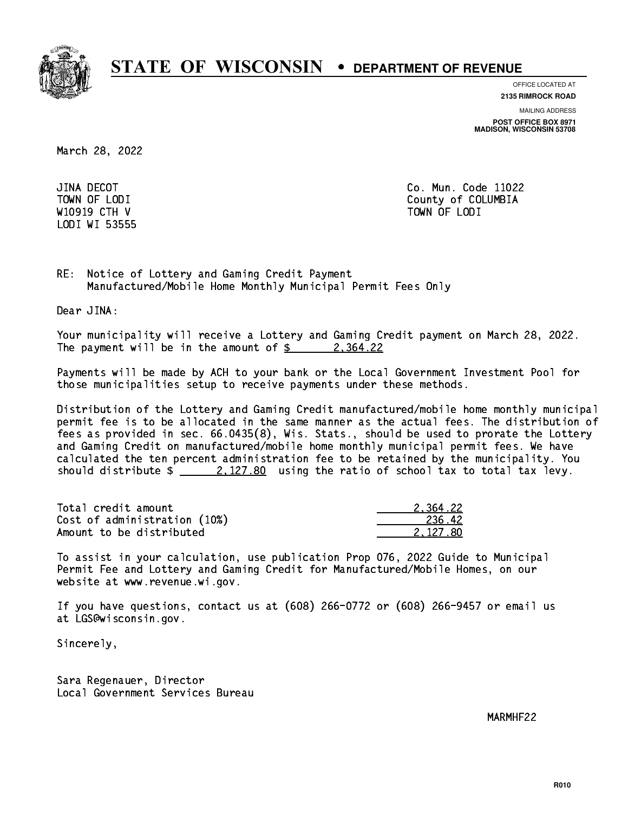

**OFFICE LOCATED AT**

**2135 RIMROCK ROAD**

**MAILING ADDRESS**

**POST OFFICE BOX 8971 MADISON, WISCONSIN 53708**

March 28, 2022

JINA DECOT LODI WI 53555

Co. Mun. Code 11022 TOWN OF LODI County of COLUMBIA where  $\sim$  10919 CTH  $\sim$  10919 CTH V TOWN OF LODINARY CONTINUES. The continues of the continues of  $\sim$ 

RE: Notice of Lottery and Gaming Credit Payment Manufactured/Mobile Home Monthly Municipal Permit Fees Only

Dear JINA:

 Your municipality will receive a Lottery and Gaming Credit payment on March 28, 2022. The payment will be in the amount of  $\frac{2}{3}$  2,364.22

 Payments will be made by ACH to your bank or the Local Government Investment Pool for those municipalities setup to receive payments under these methods.

 Distribution of the Lottery and Gaming Credit manufactured/mobile home monthly municipal permit fee is to be allocated in the same manner as the actual fees. The distribution of fees as provided in sec. 66.0435(8), Wis. Stats., should be used to prorate the Lottery and Gaming Credit on manufactured/mobile home monthly municipal permit fees. We have calculated the ten percent administration fee to be retained by the municipality. You should distribute  $\frac{2.127.80}{ }$  using the ratio of school tax to total tax levy.

| Total credit amount          | 2.364.22 |
|------------------------------|----------|
| Cost of administration (10%) | 236.42   |
| Amount to be distributed     | 2.127.80 |

 To assist in your calculation, use publication Prop 076, 2022 Guide to Municipal Permit Fee and Lottery and Gaming Credit for Manufactured/Mobile Homes, on our website at www.revenue.wi.gov.

 If you have questions, contact us at (608) 266-0772 or (608) 266-9457 or email us at LGS@wisconsin.gov.

Sincerely,

 Sara Regenauer, Director Local Government Services Bureau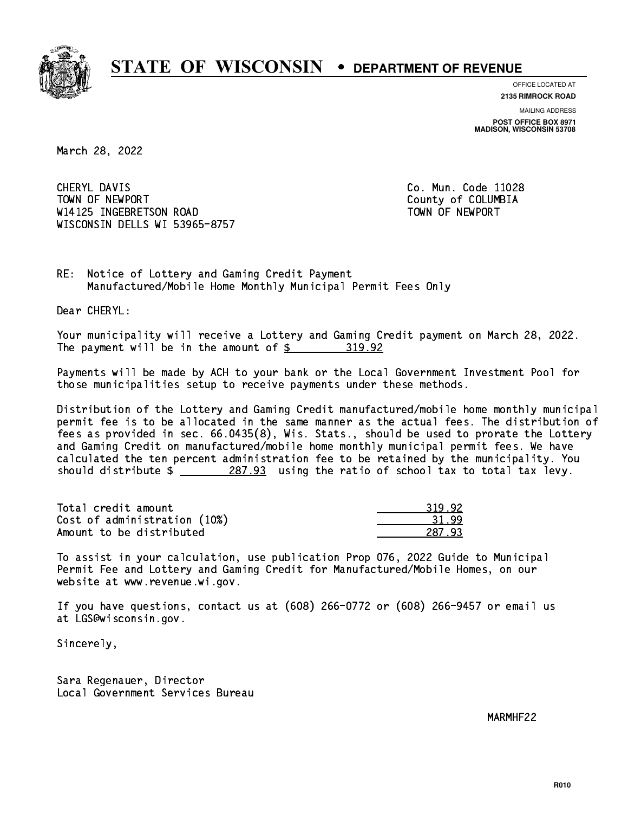

**OFFICE LOCATED AT**

**2135 RIMROCK ROAD**

**MAILING ADDRESS POST OFFICE BOX 8971 MADISON, WISCONSIN 53708**

March 28, 2022

CHERYL DAVIS TOWN OF NEWPORT County of COLUMBIA W14125 INGEBRETSON ROAD TOWN OF NEWPORT WISCONSIN DELLS WI 53965-8757

Co. Mun. Code 11028

RE: Notice of Lottery and Gaming Credit Payment Manufactured/Mobile Home Monthly Municipal Permit Fees Only

Dear CHERYL:

 Your municipality will receive a Lottery and Gaming Credit payment on March 28, 2022. The payment will be in the amount of \$ 319.92 \_\_\_\_\_\_\_\_\_\_\_\_\_\_\_\_

 Payments will be made by ACH to your bank or the Local Government Investment Pool for those municipalities setup to receive payments under these methods.

 Distribution of the Lottery and Gaming Credit manufactured/mobile home monthly municipal permit fee is to be allocated in the same manner as the actual fees. The distribution of fees as provided in sec. 66.0435(8), Wis. Stats., should be used to prorate the Lottery and Gaming Credit on manufactured/mobile home monthly municipal permit fees. We have calculated the ten percent administration fee to be retained by the municipality. You should distribute  $\frac{287.93}{287.93}$  using the ratio of school tax to total tax levy.

| Total credit amount          | 319.92 |
|------------------------------|--------|
| Cost of administration (10%) | -31-99 |
| Amount to be distributed     | 287.93 |

| 92<br>-21 |
|-----------|
|           |
| नन<br>- 7 |

 To assist in your calculation, use publication Prop 076, 2022 Guide to Municipal Permit Fee and Lottery and Gaming Credit for Manufactured/Mobile Homes, on our website at www.revenue.wi.gov.

 If you have questions, contact us at (608) 266-0772 or (608) 266-9457 or email us at LGS@wisconsin.gov.

Sincerely,

 Sara Regenauer, Director Local Government Services Bureau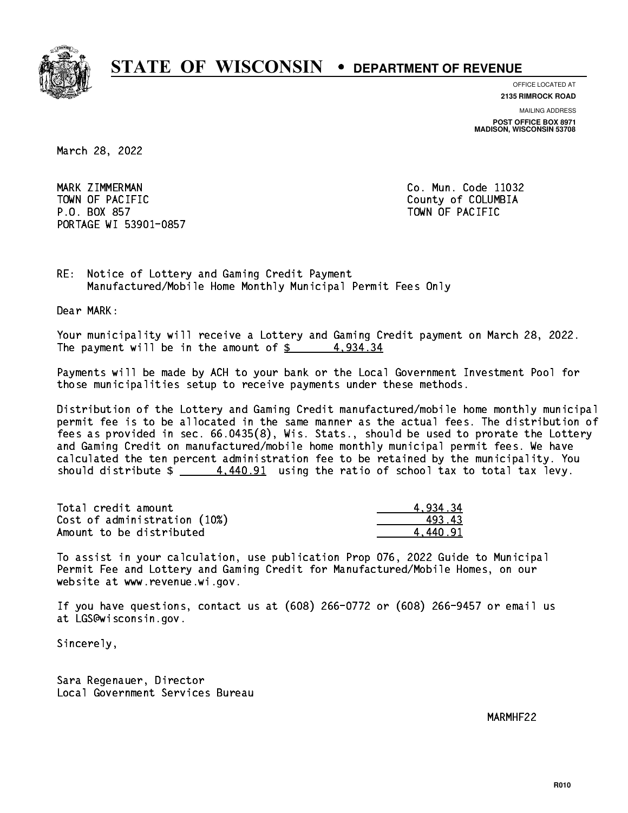

**OFFICE LOCATED AT**

**2135 RIMROCK ROAD**

**MAILING ADDRESS POST OFFICE BOX 8971 MADISON, WISCONSIN 53708**

March 28, 2022

MARK ZIMMERMAN TOWN OF PACIFIC **COLUMBIA** County of COLUMBIA P.O. BOX 857 TOWN OF PACIFIC PORTAGE WI 53901-0857

Co. Mun. Code 11032

RE: Notice of Lottery and Gaming Credit Payment Manufactured/Mobile Home Monthly Municipal Permit Fees Only

Dear MARK:

 Your municipality will receive a Lottery and Gaming Credit payment on March 28, 2022. The payment will be in the amount of  $\frac{2}{3}$  4,934.34

 Payments will be made by ACH to your bank or the Local Government Investment Pool for those municipalities setup to receive payments under these methods.

 Distribution of the Lottery and Gaming Credit manufactured/mobile home monthly municipal permit fee is to be allocated in the same manner as the actual fees. The distribution of fees as provided in sec. 66.0435(8), Wis. Stats., should be used to prorate the Lottery and Gaming Credit on manufactured/mobile home monthly municipal permit fees. We have calculated the ten percent administration fee to be retained by the municipality. You should distribute  $\frac{4.440.91}{2}$  using the ratio of school tax to total tax levy.

| Total credit amount          | 4.934.34 |
|------------------------------|----------|
| Cost of administration (10%) | 493.43   |
| Amount to be distributed     | 4.440.91 |

 To assist in your calculation, use publication Prop 076, 2022 Guide to Municipal Permit Fee and Lottery and Gaming Credit for Manufactured/Mobile Homes, on our website at www.revenue.wi.gov.

 If you have questions, contact us at (608) 266-0772 or (608) 266-9457 or email us at LGS@wisconsin.gov.

Sincerely,

 Sara Regenauer, Director Local Government Services Bureau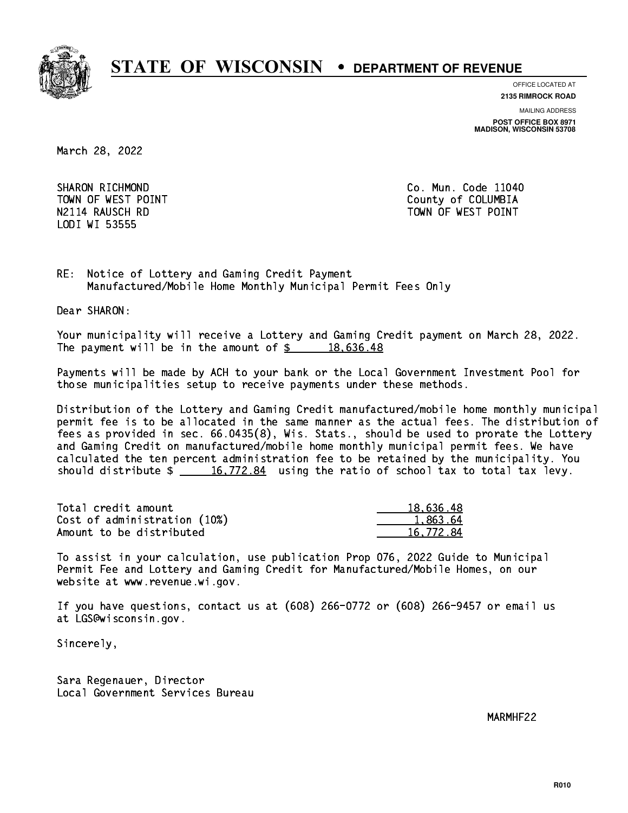

**OFFICE LOCATED AT**

**2135 RIMROCK ROAD**

**MAILING ADDRESS POST OFFICE BOX 8971 MADISON, WISCONSIN 53708**

March 28, 2022

SHARON RICHMOND LODI WI 53555

Co. Mun. Code 11040 TOWN OF WEST POINT County of COLUMBIA N2114 RAUSCH RD TOWN OF WEST POINT

RE: Notice of Lottery and Gaming Credit Payment Manufactured/Mobile Home Monthly Municipal Permit Fees Only

Dear SHARON:

 Your municipality will receive a Lottery and Gaming Credit payment on March 28, 2022. The payment will be in the amount of  $\frac{2}{3}$  18,636.48

 Payments will be made by ACH to your bank or the Local Government Investment Pool for those municipalities setup to receive payments under these methods.

 Distribution of the Lottery and Gaming Credit manufactured/mobile home monthly municipal permit fee is to be allocated in the same manner as the actual fees. The distribution of fees as provided in sec. 66.0435(8), Wis. Stats., should be used to prorate the Lottery and Gaming Credit on manufactured/mobile home monthly municipal permit fees. We have calculated the ten percent administration fee to be retained by the municipality. You should distribute  $\frac{16,772.84}{ }$  using the ratio of school tax to total tax levy.

| Total credit amount          | 18,636.48 |
|------------------------------|-----------|
| Cost of administration (10%) | 1.863.64  |
| Amount to be distributed     | 16,772.84 |

 To assist in your calculation, use publication Prop 076, 2022 Guide to Municipal Permit Fee and Lottery and Gaming Credit for Manufactured/Mobile Homes, on our website at www.revenue.wi.gov.

 If you have questions, contact us at (608) 266-0772 or (608) 266-9457 or email us at LGS@wisconsin.gov.

Sincerely,

 Sara Regenauer, Director Local Government Services Bureau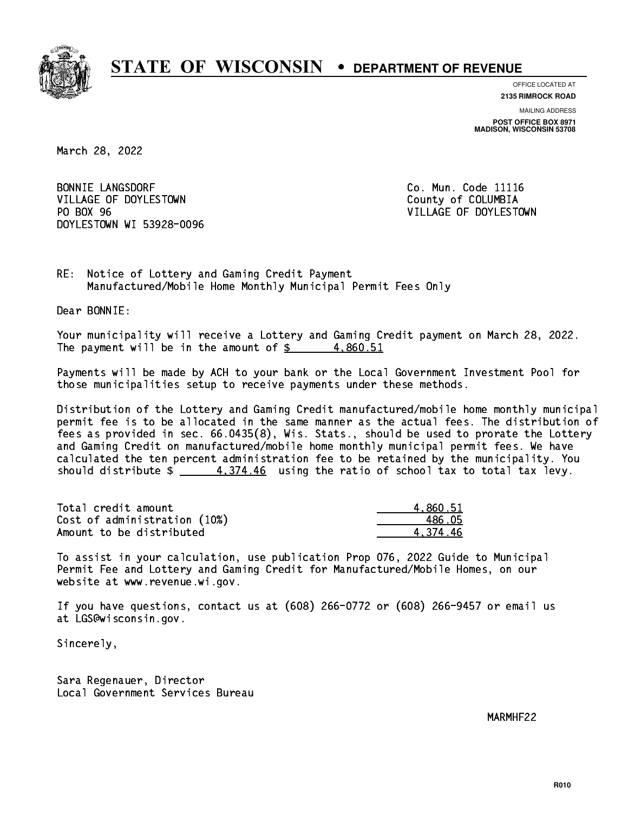

**OFFICE LOCATED AT**

**2135 RIMROCK ROAD**

**MAILING ADDRESS POST OFFICE BOX 8971 MADISON, WISCONSIN 53708**

March 28, 2022

BONNIE LANGSDORF **Co. Mun. Code 11116** VILLAGE OF DOYLESTOWN COUNTY OF COLUMBIA PO BOX 96 DOYLESTOWN WI 53928-0096

VILLAGE OF DOYLESTOWN

RE: Notice of Lottery and Gaming Credit Payment Manufactured/Mobile Home Monthly Municipal Permit Fees Only

Dear BONNIE:

 Your municipality will receive a Lottery and Gaming Credit payment on March 28, 2022. The payment will be in the amount of  $\frac{2}{3}$  4,860.51

 Payments will be made by ACH to your bank or the Local Government Investment Pool for those municipalities setup to receive payments under these methods.

 Distribution of the Lottery and Gaming Credit manufactured/mobile home monthly municipal permit fee is to be allocated in the same manner as the actual fees. The distribution of fees as provided in sec. 66.0435(8), Wis. Stats., should be used to prorate the Lottery and Gaming Credit on manufactured/mobile home monthly municipal permit fees. We have calculated the ten percent administration fee to be retained by the municipality. You should distribute  $\frac{4}{1274.46}$  using the ratio of school tax to total tax levy.

| Total credit amount          | 4.860.51 |
|------------------------------|----------|
| Cost of administration (10%) | 486.05   |
| Amount to be distributed     | 4.374.46 |

 To assist in your calculation, use publication Prop 076, 2022 Guide to Municipal Permit Fee and Lottery and Gaming Credit for Manufactured/Mobile Homes, on our website at www.revenue.wi.gov.

 If you have questions, contact us at (608) 266-0772 or (608) 266-9457 or email us at LGS@wisconsin.gov.

Sincerely,

 Sara Regenauer, Director Local Government Services Bureau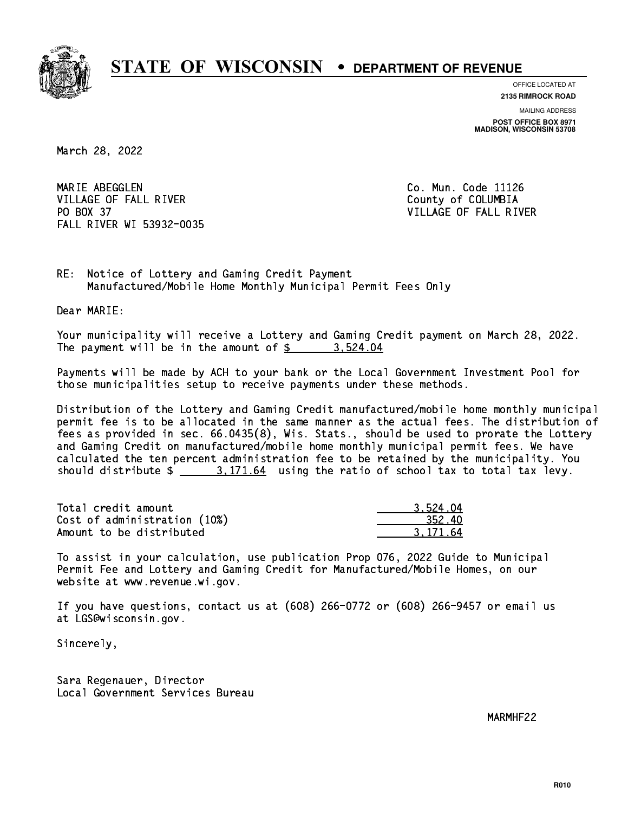

**OFFICE LOCATED AT**

**2135 RIMROCK ROAD**

**MAILING ADDRESS POST OFFICE BOX 8971 MADISON, WISCONSIN 53708**

March 28, 2022

MARIE ABEGGLEN VILLAGE OF FALL RIVER **COLLECT IN THE COLLECT OF SALE ASSESS** PO BOX 37 FALL RIVER WI 53932-0035

Co. Mun. Code 11126 VILLAGE OF FALL RIVER

RE: Notice of Lottery and Gaming Credit Payment Manufactured/Mobile Home Monthly Municipal Permit Fees Only

Dear MARIE:

 Your municipality will receive a Lottery and Gaming Credit payment on March 28, 2022. The payment will be in the amount of  $\frac{2}{3}$  3,524.04

 Payments will be made by ACH to your bank or the Local Government Investment Pool for those municipalities setup to receive payments under these methods.

 Distribution of the Lottery and Gaming Credit manufactured/mobile home monthly municipal permit fee is to be allocated in the same manner as the actual fees. The distribution of fees as provided in sec. 66.0435(8), Wis. Stats., should be used to prorate the Lottery and Gaming Credit on manufactured/mobile home monthly municipal permit fees. We have calculated the ten percent administration fee to be retained by the municipality. You should distribute  $\frac{2}{1}$   $\frac{3.171.64}{1.64}$  using the ratio of school tax to total tax levy.

| Total credit amount          | 3.524.04 |
|------------------------------|----------|
| Cost of administration (10%) | 352.40   |
| Amount to be distributed     | 3.171.64 |

 To assist in your calculation, use publication Prop 076, 2022 Guide to Municipal Permit Fee and Lottery and Gaming Credit for Manufactured/Mobile Homes, on our website at www.revenue.wi.gov.

 If you have questions, contact us at (608) 266-0772 or (608) 266-9457 or email us at LGS@wisconsin.gov.

Sincerely,

 Sara Regenauer, Director Local Government Services Bureau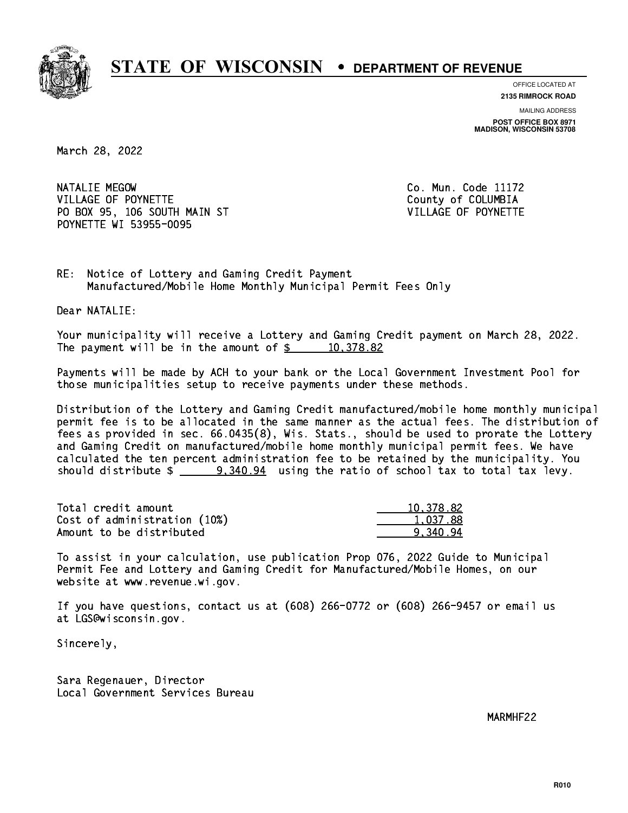

**OFFICE LOCATED AT**

**2135 RIMROCK ROAD**

**MAILING ADDRESS POST OFFICE BOX 8971 MADISON, WISCONSIN 53708**

March 28, 2022

NATALIE MEGOW VILLAGE OF POYNETTE COUNTY OF COLUMBIA PO BOX 95, 106 SOUTH MAIN ST VILLAGE OF POYNETTE POYNETTE WI 53955-0095

Co. Mun. Code 11172

RE: Notice of Lottery and Gaming Credit Payment Manufactured/Mobile Home Monthly Municipal Permit Fees Only

Dear NATALIE:

 Your municipality will receive a Lottery and Gaming Credit payment on March 28, 2022. The payment will be in the amount of  $\frac{2}{3}$  10,378.82

 Payments will be made by ACH to your bank or the Local Government Investment Pool for those municipalities setup to receive payments under these methods.

 Distribution of the Lottery and Gaming Credit manufactured/mobile home monthly municipal permit fee is to be allocated in the same manner as the actual fees. The distribution of fees as provided in sec. 66.0435(8), Wis. Stats., should be used to prorate the Lottery and Gaming Credit on manufactured/mobile home monthly municipal permit fees. We have calculated the ten percent administration fee to be retained by the municipality. You should distribute  $\frac{2}{2}$   $\frac{9,340.94}{2}$  using the ratio of school tax to total tax levy.

| Total credit amount          | 10.378.82 |
|------------------------------|-----------|
| Cost of administration (10%) | 1.037.88  |
| Amount to be distributed     | 9.340.94  |

 To assist in your calculation, use publication Prop 076, 2022 Guide to Municipal Permit Fee and Lottery and Gaming Credit for Manufactured/Mobile Homes, on our website at www.revenue.wi.gov.

 If you have questions, contact us at (608) 266-0772 or (608) 266-9457 or email us at LGS@wisconsin.gov.

Sincerely,

 Sara Regenauer, Director Local Government Services Bureau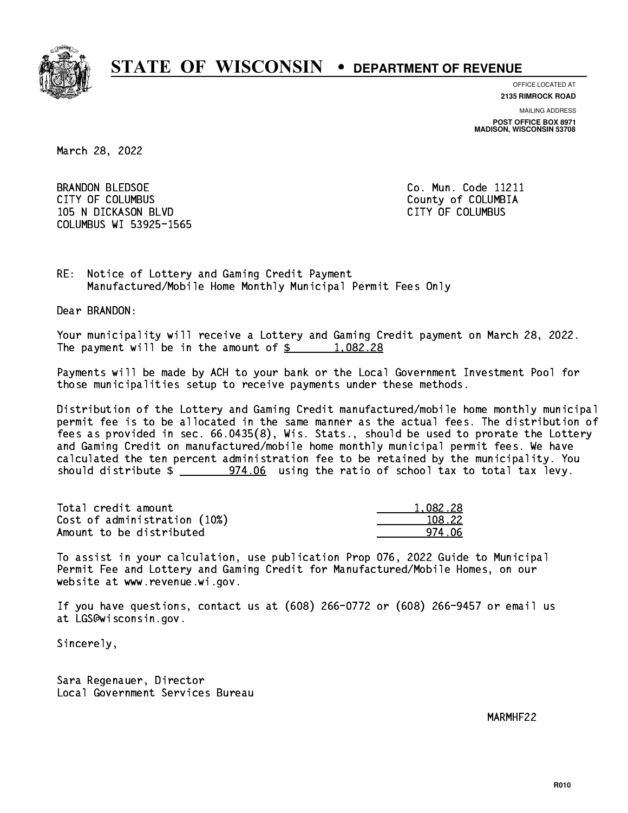

**OFFICE LOCATED AT**

**2135 RIMROCK ROAD**

**MAILING ADDRESS POST OFFICE BOX 8971 MADISON, WISCONSIN 53708**

March 28, 2022

 BRANDON BLEDSOE Co. Mun. Code 11211 CITY OF COLUMBUS COME CONSULTED A COUNTY OF COLUMBIA 105 N DICKASON BLVD CITY OF COLUMBUS COLUMBUS WI 53925-1565

RE: Notice of Lottery and Gaming Credit Payment Manufactured/Mobile Home Monthly Municipal Permit Fees Only

Dear BRANDON:

 Your municipality will receive a Lottery and Gaming Credit payment on March 28, 2022. The payment will be in the amount of  $\frac{2}{3}$  1,082.28

 Payments will be made by ACH to your bank or the Local Government Investment Pool for those municipalities setup to receive payments under these methods.

 Distribution of the Lottery and Gaming Credit manufactured/mobile home monthly municipal permit fee is to be allocated in the same manner as the actual fees. The distribution of fees as provided in sec. 66.0435(8), Wis. Stats., should be used to prorate the Lottery and Gaming Credit on manufactured/mobile home monthly municipal permit fees. We have calculated the ten percent administration fee to be retained by the municipality. You should distribute  $\frac{2}{2}$  974.06 using the ratio of school tax to total tax levy.

| Total credit amount          | 1.082.28 |
|------------------------------|----------|
| Cost of administration (10%) | 108.22   |
| Amount to be distributed     | 974 NA   |

 To assist in your calculation, use publication Prop 076, 2022 Guide to Municipal Permit Fee and Lottery and Gaming Credit for Manufactured/Mobile Homes, on our website at www.revenue.wi.gov.

 If you have questions, contact us at (608) 266-0772 or (608) 266-9457 or email us at LGS@wisconsin.gov.

Sincerely,

 Sara Regenauer, Director Local Government Services Bureau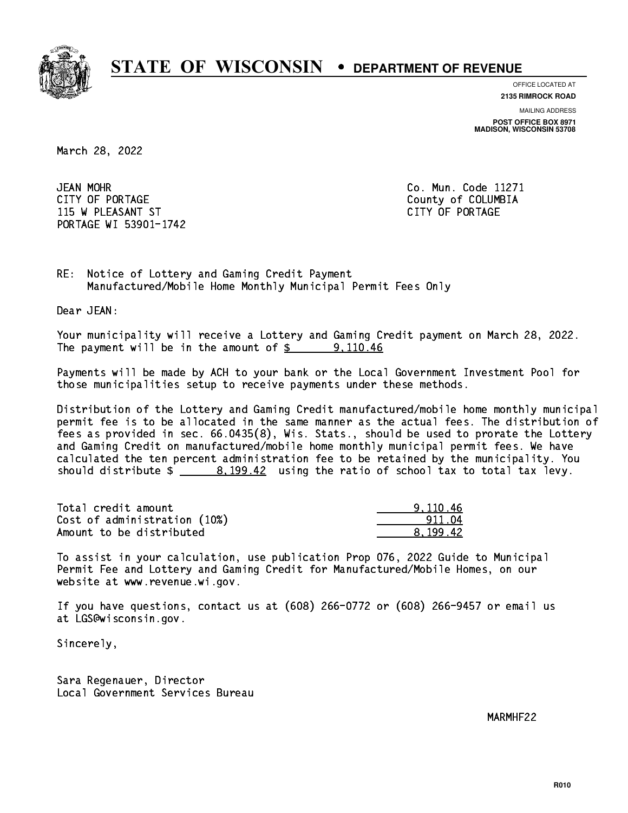

**OFFICE LOCATED AT**

**2135 RIMROCK ROAD**

**MAILING ADDRESS POST OFFICE BOX 8971 MADISON, WISCONSIN 53708**

March 28, 2022

JEAN MOHR CITY OF PORTAGE COUNTER COUNTY OF COLUMBIA 115 W PLEASANT ST CITY OF PORTAGE PORTAGE WI 53901-1742

Co. Mun. Code 11271

RE: Notice of Lottery and Gaming Credit Payment Manufactured/Mobile Home Monthly Municipal Permit Fees Only

Dear JEAN:

 Your municipality will receive a Lottery and Gaming Credit payment on March 28, 2022. The payment will be in the amount of  $\frac{2}{3}$  9,110.46

 Payments will be made by ACH to your bank or the Local Government Investment Pool for those municipalities setup to receive payments under these methods.

 Distribution of the Lottery and Gaming Credit manufactured/mobile home monthly municipal permit fee is to be allocated in the same manner as the actual fees. The distribution of fees as provided in sec. 66.0435(8), Wis. Stats., should be used to prorate the Lottery and Gaming Credit on manufactured/mobile home monthly municipal permit fees. We have calculated the ten percent administration fee to be retained by the municipality. You should distribute  $\frac{2}{2}$   $\frac{8,199.42}{2}$  using the ratio of school tax to total tax levy.

| Total credit amount          | 9.110.46 |
|------------------------------|----------|
| Cost of administration (10%) | 911.04   |
| Amount to be distributed     | 8.199.42 |

 To assist in your calculation, use publication Prop 076, 2022 Guide to Municipal Permit Fee and Lottery and Gaming Credit for Manufactured/Mobile Homes, on our website at www.revenue.wi.gov.

 If you have questions, contact us at (608) 266-0772 or (608) 266-9457 or email us at LGS@wisconsin.gov.

Sincerely,

 Sara Regenauer, Director Local Government Services Bureau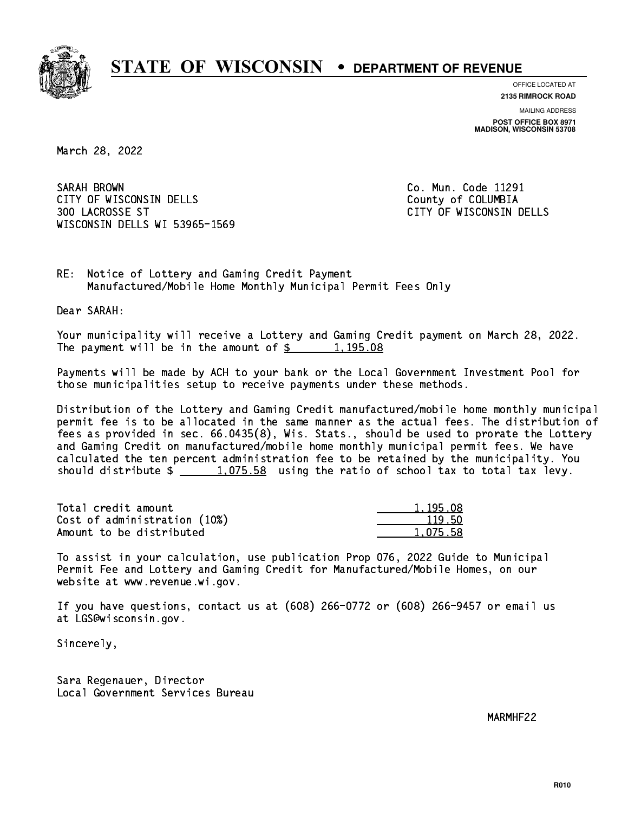

**OFFICE LOCATED AT**

**2135 RIMROCK ROAD**

**MAILING ADDRESS POST OFFICE BOX 8971 MADISON, WISCONSIN 53708**

March 28, 2022

SARAH BROWN CITY OF WISCONSIN DELLS COUNTY OF COLUMBIA 300 LACROSSE ST CITY OF WISCONSIN DELLS WISCONSIN DELLS WI 53965-1569

Co. Mun. Code 11291

RE: Notice of Lottery and Gaming Credit Payment Manufactured/Mobile Home Monthly Municipal Permit Fees Only

Dear SARAH:

 Your municipality will receive a Lottery and Gaming Credit payment on March 28, 2022. The payment will be in the amount of  $\frac{2}{3}$  1,195.08

 Payments will be made by ACH to your bank or the Local Government Investment Pool for those municipalities setup to receive payments under these methods.

 Distribution of the Lottery and Gaming Credit manufactured/mobile home monthly municipal permit fee is to be allocated in the same manner as the actual fees. The distribution of fees as provided in sec. 66.0435(8), Wis. Stats., should be used to prorate the Lottery and Gaming Credit on manufactured/mobile home monthly municipal permit fees. We have calculated the ten percent administration fee to be retained by the municipality. You should distribute  $\frac{1.075.58}{1.075.58}$  using the ratio of school tax to total tax levy.

| Total credit amount          | 1,195.08 |
|------------------------------|----------|
| Cost of administration (10%) | 119.50   |
| Amount to be distributed     | 1.075.58 |

 To assist in your calculation, use publication Prop 076, 2022 Guide to Municipal Permit Fee and Lottery and Gaming Credit for Manufactured/Mobile Homes, on our website at www.revenue.wi.gov.

 If you have questions, contact us at (608) 266-0772 or (608) 266-9457 or email us at LGS@wisconsin.gov.

Sincerely,

 Sara Regenauer, Director Local Government Services Bureau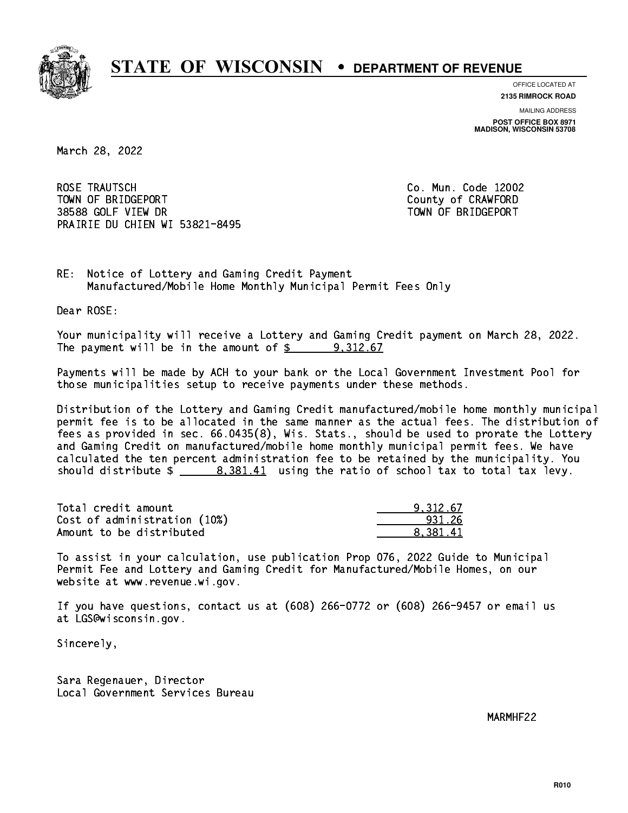

**OFFICE LOCATED AT**

**2135 RIMROCK ROAD**

**MAILING ADDRESS POST OFFICE BOX 8971 MADISON, WISCONSIN 53708**

March 28, 2022

 ROSE TRAUTSCH Co. Mun. Code 12002 TOWN OF BRIDGEPORT County of CRAWFORD 38588 GOLF VIEW DR TOWN OF BRIDGEPORT PRAIRIE DU CHIEN WI 53821-8495

RE: Notice of Lottery and Gaming Credit Payment Manufactured/Mobile Home Monthly Municipal Permit Fees Only

Dear ROSE:

 Your municipality will receive a Lottery and Gaming Credit payment on March 28, 2022. The payment will be in the amount of  $\frac{2}{3}$  9,312.67

 Payments will be made by ACH to your bank or the Local Government Investment Pool for those municipalities setup to receive payments under these methods.

 Distribution of the Lottery and Gaming Credit manufactured/mobile home monthly municipal permit fee is to be allocated in the same manner as the actual fees. The distribution of fees as provided in sec. 66.0435(8), Wis. Stats., should be used to prorate the Lottery and Gaming Credit on manufactured/mobile home monthly municipal permit fees. We have calculated the ten percent administration fee to be retained by the municipality. You should distribute  $\frac{2}{1}$   $\frac{8,381.41}{2}$  using the ratio of school tax to total tax levy.

| Total credit amount          | 9.312.67 |
|------------------------------|----------|
| Cost of administration (10%) | 931.26   |
| Amount to be distributed     | 8.381.41 |

 To assist in your calculation, use publication Prop 076, 2022 Guide to Municipal Permit Fee and Lottery and Gaming Credit for Manufactured/Mobile Homes, on our website at www.revenue.wi.gov.

 If you have questions, contact us at (608) 266-0772 or (608) 266-9457 or email us at LGS@wisconsin.gov.

Sincerely,

 Sara Regenauer, Director Local Government Services Bureau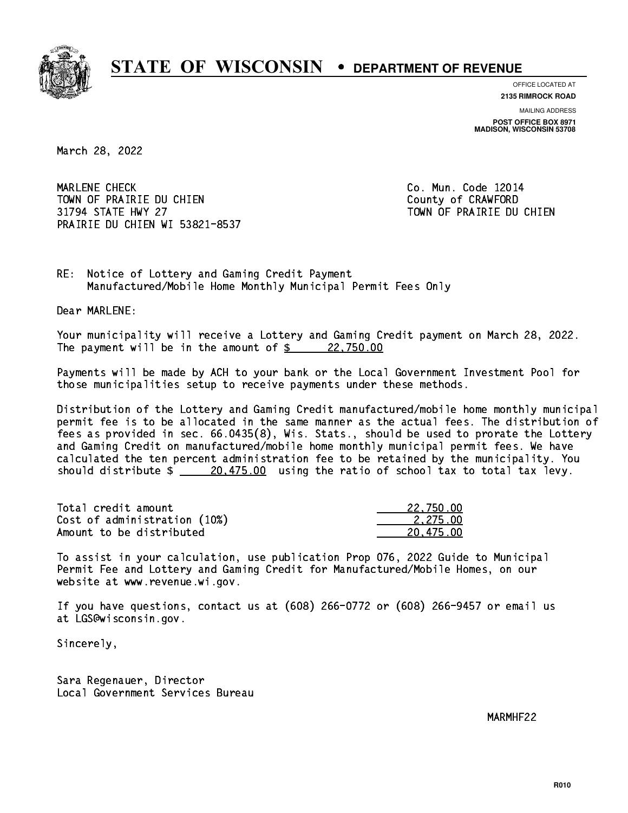

**OFFICE LOCATED AT**

**2135 RIMROCK ROAD**

**MAILING ADDRESS POST OFFICE BOX 8971 MADISON, WISCONSIN 53708**

March 28, 2022

 MARLENE CHECK Co. Mun. Code 12014 TOWN OF PRAIRIE DU CHIEN COUNTY OF CRAWFORD 31794 STATE HWY 27 TOWN OF PRAIRIE DU CHIEN PRAIRIE DU CHIEN WI 53821-8537

RE: Notice of Lottery and Gaming Credit Payment Manufactured/Mobile Home Monthly Municipal Permit Fees Only

Dear MARLENE:

 Your municipality will receive a Lottery and Gaming Credit payment on March 28, 2022. The payment will be in the amount of  $\frac{22,750.00}{22,750.00}$ 

 Payments will be made by ACH to your bank or the Local Government Investment Pool for those municipalities setup to receive payments under these methods.

 Distribution of the Lottery and Gaming Credit manufactured/mobile home monthly municipal permit fee is to be allocated in the same manner as the actual fees. The distribution of fees as provided in sec. 66.0435(8), Wis. Stats., should be used to prorate the Lottery and Gaming Credit on manufactured/mobile home monthly municipal permit fees. We have calculated the ten percent administration fee to be retained by the municipality. You should distribute  $\frac{20,475.00}{20,475.00}$  using the ratio of school tax to total tax levy.

| Total credit amount          | 22,750.00 |
|------------------------------|-----------|
| Cost of administration (10%) | 2.275.00  |
| Amount to be distributed     | 20.475.00 |

 To assist in your calculation, use publication Prop 076, 2022 Guide to Municipal Permit Fee and Lottery and Gaming Credit for Manufactured/Mobile Homes, on our website at www.revenue.wi.gov.

 If you have questions, contact us at (608) 266-0772 or (608) 266-9457 or email us at LGS@wisconsin.gov.

Sincerely,

 Sara Regenauer, Director Local Government Services Bureau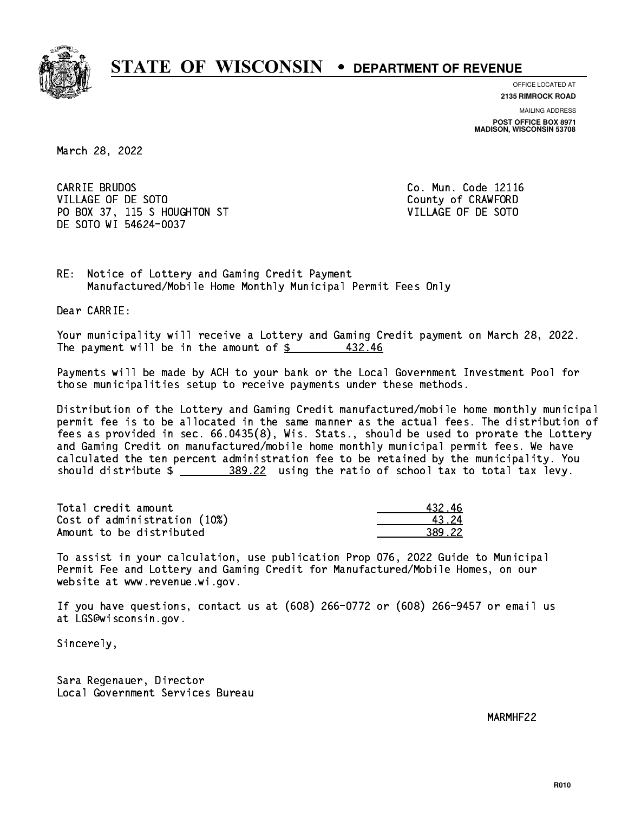

**OFFICE LOCATED AT**

**2135 RIMROCK ROAD**

**MAILING ADDRESS POST OFFICE BOX 8971 MADISON, WISCONSIN 53708**

March 28, 2022

CARRIE BRUDOS VILLAGE OF DE SOTO COUNTY OF CRAWFORD PO BOX 37, 115 S HOUGHTON ST VILLAGE OF DE SOTO DE SOTO WI 54624-0037

Co. Mun. Code 12116

RE: Notice of Lottery and Gaming Credit Payment Manufactured/Mobile Home Monthly Municipal Permit Fees Only

Dear CARRIE:

 Your municipality will receive a Lottery and Gaming Credit payment on March 28, 2022. The payment will be in the amount of  $\frac{2}{3}$  432.46

 Payments will be made by ACH to your bank or the Local Government Investment Pool for those municipalities setup to receive payments under these methods.

 Distribution of the Lottery and Gaming Credit manufactured/mobile home monthly municipal permit fee is to be allocated in the same manner as the actual fees. The distribution of fees as provided in sec. 66.0435(8), Wis. Stats., should be used to prorate the Lottery and Gaming Credit on manufactured/mobile home monthly municipal permit fees. We have calculated the ten percent administration fee to be retained by the municipality. You should distribute  $\frac{289.22}{100}$  using the ratio of school tax to total tax levy.

| Total credit amount          | 43246  |
|------------------------------|--------|
| Cost of administration (10%) | 43 24  |
| Amount to be distributed     | 389.22 |

 To assist in your calculation, use publication Prop 076, 2022 Guide to Municipal Permit Fee and Lottery and Gaming Credit for Manufactured/Mobile Homes, on our website at www.revenue.wi.gov.

 If you have questions, contact us at (608) 266-0772 or (608) 266-9457 or email us at LGS@wisconsin.gov.

Sincerely,

 Sara Regenauer, Director Local Government Services Bureau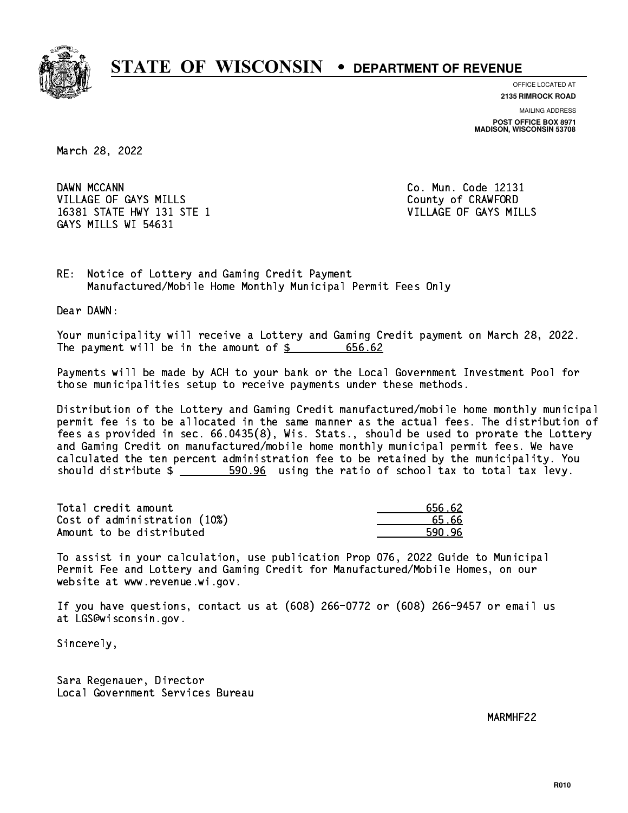

**OFFICE LOCATED AT**

**2135 RIMROCK ROAD**

**MAILING ADDRESS POST OFFICE BOX 8971 MADISON, WISCONSIN 53708**

March 28, 2022

DAWN MCCANN VILLAGE OF GAYS MILLS County of CRAWFORD 16381 STATE HWY 131 STE 1 VILLAGE OF GAYS MILLS GAYS MILLS WI 54631

Co. Mun. Code 12131

RE: Notice of Lottery and Gaming Credit Payment Manufactured/Mobile Home Monthly Municipal Permit Fees Only

Dear DAWN:

 Your municipality will receive a Lottery and Gaming Credit payment on March 28, 2022. The payment will be in the amount of \$ 656.62 \_\_\_\_\_\_\_\_\_\_\_\_\_\_\_\_

 Payments will be made by ACH to your bank or the Local Government Investment Pool for those municipalities setup to receive payments under these methods.

 Distribution of the Lottery and Gaming Credit manufactured/mobile home monthly municipal permit fee is to be allocated in the same manner as the actual fees. The distribution of fees as provided in sec. 66.0435(8), Wis. Stats., should be used to prorate the Lottery and Gaming Credit on manufactured/mobile home monthly municipal permit fees. We have calculated the ten percent administration fee to be retained by the municipality. You should distribute  $\frac{2}{1}$   $\frac{590.96}{1000}$  using the ratio of school tax to total tax levy.

| Total credit amount          | 656.62 |
|------------------------------|--------|
| Cost of administration (10%) | 65.66  |
| Amount to be distributed     | 590.96 |

 To assist in your calculation, use publication Prop 076, 2022 Guide to Municipal Permit Fee and Lottery and Gaming Credit for Manufactured/Mobile Homes, on our website at www.revenue.wi.gov.

 If you have questions, contact us at (608) 266-0772 or (608) 266-9457 or email us at LGS@wisconsin.gov.

Sincerely,

 Sara Regenauer, Director Local Government Services Bureau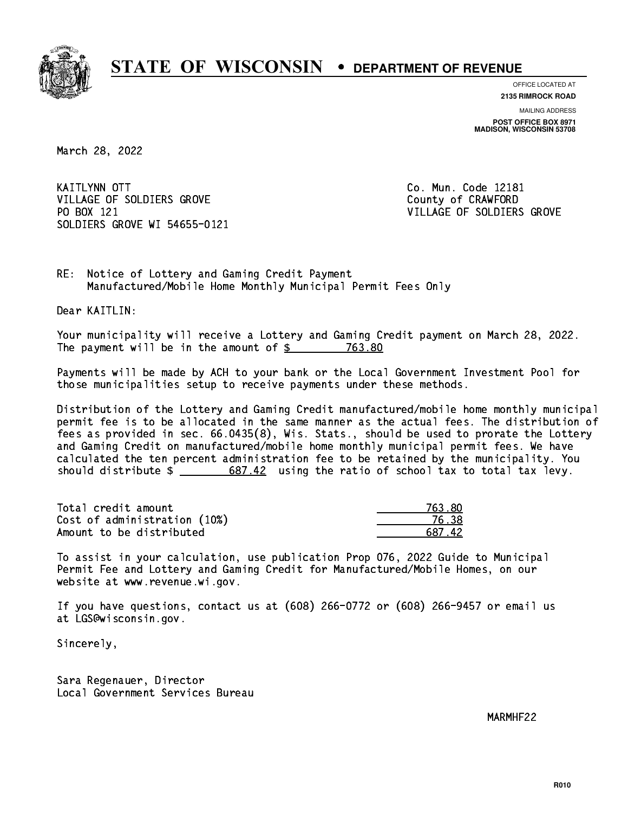

**OFFICE LOCATED AT**

**2135 RIMROCK ROAD**

**MAILING ADDRESS POST OFFICE BOX 8971 MADISON, WISCONSIN 53708**

March 28, 2022

**KAITLYNN OTT** VILLAGE OF SOLDIERS GROVE COUNTY OF CRAWFORD PO BOX 121 SOLDIERS GROVE WI 54655-0121

Co. Mun. Code 12181 VILLAGE OF SOLDIERS GROVE

RE: Notice of Lottery and Gaming Credit Payment Manufactured/Mobile Home Monthly Municipal Permit Fees Only

Dear KAITLIN:

 Your municipality will receive a Lottery and Gaming Credit payment on March 28, 2022. The payment will be in the amount of  $$ 763.80$ 

 Payments will be made by ACH to your bank or the Local Government Investment Pool for those municipalities setup to receive payments under these methods.

 Distribution of the Lottery and Gaming Credit manufactured/mobile home monthly municipal permit fee is to be allocated in the same manner as the actual fees. The distribution of fees as provided in sec. 66.0435(8), Wis. Stats., should be used to prorate the Lottery and Gaming Credit on manufactured/mobile home monthly municipal permit fees. We have calculated the ten percent administration fee to be retained by the municipality. You should distribute  $\frac{2}{2}$   $\frac{687.42}{2}$  using the ratio of school tax to total tax levy.

Total credit amount Cost of administration (10%) Amount to be distributed

| 763 XD |
|--------|
| 538    |
| 87.42  |

 To assist in your calculation, use publication Prop 076, 2022 Guide to Municipal Permit Fee and Lottery and Gaming Credit for Manufactured/Mobile Homes, on our website at www.revenue.wi.gov.

 If you have questions, contact us at (608) 266-0772 or (608) 266-9457 or email us at LGS@wisconsin.gov.

Sincerely,

 Sara Regenauer, Director Local Government Services Bureau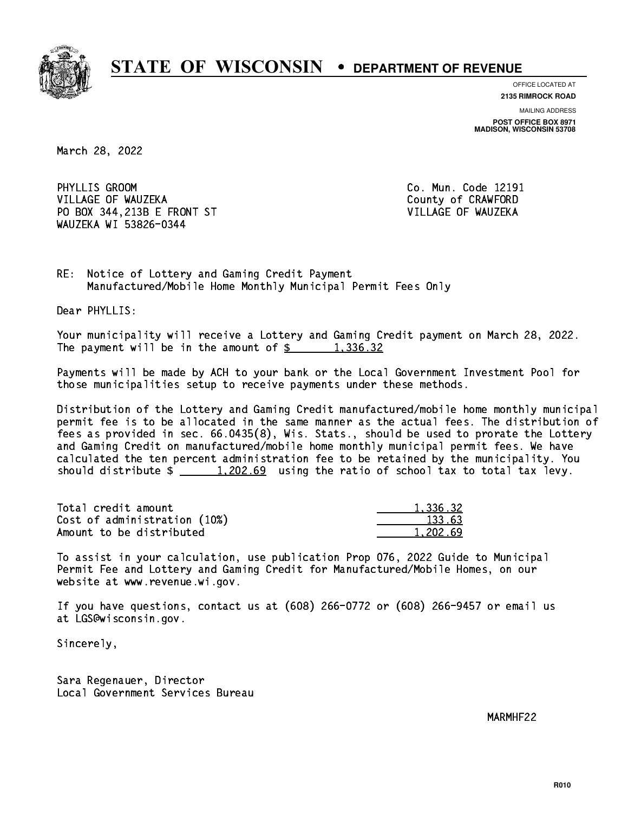

**OFFICE LOCATED AT**

**2135 RIMROCK ROAD**

**MAILING ADDRESS POST OFFICE BOX 8971 MADISON, WISCONSIN 53708**

March 28, 2022

PHYLLIS GROOM VILLAGE OF WAUZEKA **County of CRAWFORD**  PO BOX 344,213B E FRONT ST VILLAGE OF WAUZEKA WAUZEKA WI 53826-0344

Co. Mun. Code 12191

RE: Notice of Lottery and Gaming Credit Payment Manufactured/Mobile Home Monthly Municipal Permit Fees Only

Dear PHYLLIS:

 Your municipality will receive a Lottery and Gaming Credit payment on March 28, 2022. The payment will be in the amount of  $\frac{2}{3}$  1,336.32

 Payments will be made by ACH to your bank or the Local Government Investment Pool for those municipalities setup to receive payments under these methods.

 Distribution of the Lottery and Gaming Credit manufactured/mobile home monthly municipal permit fee is to be allocated in the same manner as the actual fees. The distribution of fees as provided in sec. 66.0435(8), Wis. Stats., should be used to prorate the Lottery and Gaming Credit on manufactured/mobile home monthly municipal permit fees. We have calculated the ten percent administration fee to be retained by the municipality. You should distribute  $\frac{1,202.69}{1,202.69}$  using the ratio of school tax to total tax levy.

| Total credit amount          | 1.336.32 |
|------------------------------|----------|
| Cost of administration (10%) | 133.63   |
| Amount to be distributed     | 1,202.69 |

 To assist in your calculation, use publication Prop 076, 2022 Guide to Municipal Permit Fee and Lottery and Gaming Credit for Manufactured/Mobile Homes, on our website at www.revenue.wi.gov.

 If you have questions, contact us at (608) 266-0772 or (608) 266-9457 or email us at LGS@wisconsin.gov.

Sincerely,

 Sara Regenauer, Director Local Government Services Bureau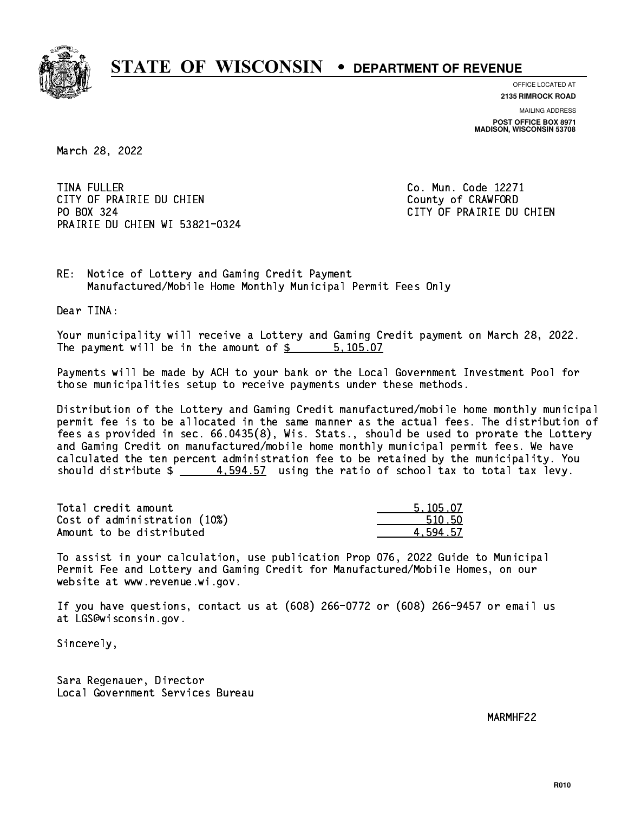

**OFFICE LOCATED AT 2135 RIMROCK ROAD**

**MAILING ADDRESS POST OFFICE BOX 8971 MADISON, WISCONSIN 53708**

March 28, 2022

**TINA FULLER** CITY OF PRAIRIE DU CHIEN COUNTY OF CRAWFORD PO BOX 324 PRAIRIE DU CHIEN WI 53821-0324

Co. Mun. Code 12271 CITY OF PRAIRIE DU CHIEN

RE: Notice of Lottery and Gaming Credit Payment Manufactured/Mobile Home Monthly Municipal Permit Fees Only

Dear TINA:

 Your municipality will receive a Lottery and Gaming Credit payment on March 28, 2022. The payment will be in the amount of \$ 5,105.07 \_\_\_\_\_\_\_\_\_\_\_\_\_\_\_\_

 Payments will be made by ACH to your bank or the Local Government Investment Pool for those municipalities setup to receive payments under these methods.

 Distribution of the Lottery and Gaming Credit manufactured/mobile home monthly municipal permit fee is to be allocated in the same manner as the actual fees. The distribution of fees as provided in sec. 66.0435(8), Wis. Stats., should be used to prorate the Lottery and Gaming Credit on manufactured/mobile home monthly municipal permit fees. We have calculated the ten percent administration fee to be retained by the municipality. You should distribute  $\frac{4.594.57}{4.594.57}$  using the ratio of school tax to total tax levy.

| Total credit amount          | 5.105.07 |
|------------------------------|----------|
| Cost of administration (10%) | 510.50   |
| Amount to be distributed     | 4.594.57 |

 To assist in your calculation, use publication Prop 076, 2022 Guide to Municipal Permit Fee and Lottery and Gaming Credit for Manufactured/Mobile Homes, on our website at www.revenue.wi.gov.

 If you have questions, contact us at (608) 266-0772 or (608) 266-9457 or email us at LGS@wisconsin.gov.

Sincerely,

 Sara Regenauer, Director Local Government Services Bureau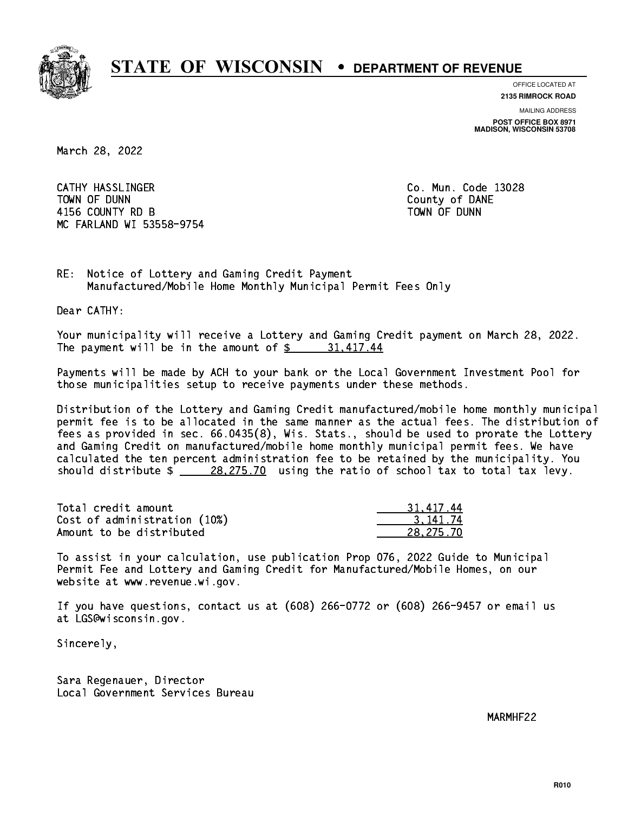

**OFFICE LOCATED AT**

**2135 RIMROCK ROAD**

**MAILING ADDRESS POST OFFICE BOX 8971 MADISON, WISCONSIN 53708**

March 28, 2022

 CATHY HASSLINGER Co. Mun. Code 13028 TOWN OF DUNN County of DANE 4156 COUNTY RD B TOWN OF DUNN MC FARLAND WI 53558-9754

RE: Notice of Lottery and Gaming Credit Payment Manufactured/Mobile Home Monthly Municipal Permit Fees Only

Dear CATHY:

 Your municipality will receive a Lottery and Gaming Credit payment on March 28, 2022. The payment will be in the amount of  $\frac{2}{3}$  31,417.44

 Payments will be made by ACH to your bank or the Local Government Investment Pool for those municipalities setup to receive payments under these methods.

 Distribution of the Lottery and Gaming Credit manufactured/mobile home monthly municipal permit fee is to be allocated in the same manner as the actual fees. The distribution of fees as provided in sec. 66.0435(8), Wis. Stats., should be used to prorate the Lottery and Gaming Credit on manufactured/mobile home monthly municipal permit fees. We have calculated the ten percent administration fee to be retained by the municipality. You should distribute  $\frac{28,275.70}{28,275.70}$  using the ratio of school tax to total tax levy.

| Total credit amount          | 31,417.44 |
|------------------------------|-----------|
| Cost of administration (10%) | 3.141.74  |
| Amount to be distributed     | 28.275.70 |

 To assist in your calculation, use publication Prop 076, 2022 Guide to Municipal Permit Fee and Lottery and Gaming Credit for Manufactured/Mobile Homes, on our website at www.revenue.wi.gov.

 If you have questions, contact us at (608) 266-0772 or (608) 266-9457 or email us at LGS@wisconsin.gov.

Sincerely,

 Sara Regenauer, Director Local Government Services Bureau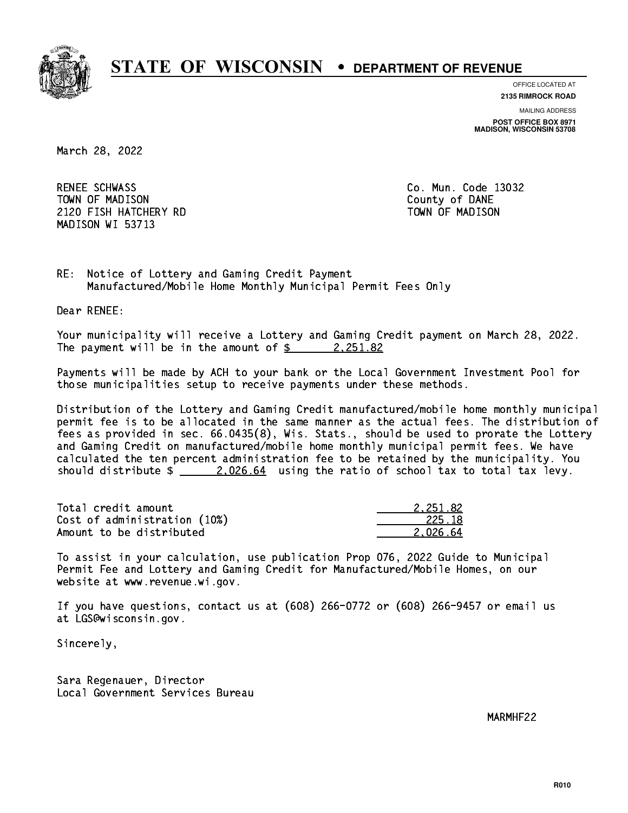

**OFFICE LOCATED AT**

**2135 RIMROCK ROAD**

**MAILING ADDRESS POST OFFICE BOX 8971 MADISON, WISCONSIN 53708**

March 28, 2022

RENEE SCHWASS TOWN OF MADISON County of DANE 2120 FISH HATCHERY RD TOWN OF MADISON MADISON WI 53713

Co. Mun. Code 13032

RE: Notice of Lottery and Gaming Credit Payment Manufactured/Mobile Home Monthly Municipal Permit Fees Only

Dear RENEE:

 Your municipality will receive a Lottery and Gaming Credit payment on March 28, 2022. The payment will be in the amount of  $\frac{2}{3}$  2,251.82

 Payments will be made by ACH to your bank or the Local Government Investment Pool for those municipalities setup to receive payments under these methods.

 Distribution of the Lottery and Gaming Credit manufactured/mobile home monthly municipal permit fee is to be allocated in the same manner as the actual fees. The distribution of fees as provided in sec. 66.0435(8), Wis. Stats., should be used to prorate the Lottery and Gaming Credit on manufactured/mobile home monthly municipal permit fees. We have calculated the ten percent administration fee to be retained by the municipality. You should distribute  $\frac{2.026.64}{2.026.64}$  using the ratio of school tax to total tax levy.

| Total credit amount          | 2.251.82 |
|------------------------------|----------|
| Cost of administration (10%) | 225.18   |
| Amount to be distributed     | 2.026.64 |

 To assist in your calculation, use publication Prop 076, 2022 Guide to Municipal Permit Fee and Lottery and Gaming Credit for Manufactured/Mobile Homes, on our website at www.revenue.wi.gov.

 If you have questions, contact us at (608) 266-0772 or (608) 266-9457 or email us at LGS@wisconsin.gov.

Sincerely,

 Sara Regenauer, Director Local Government Services Bureau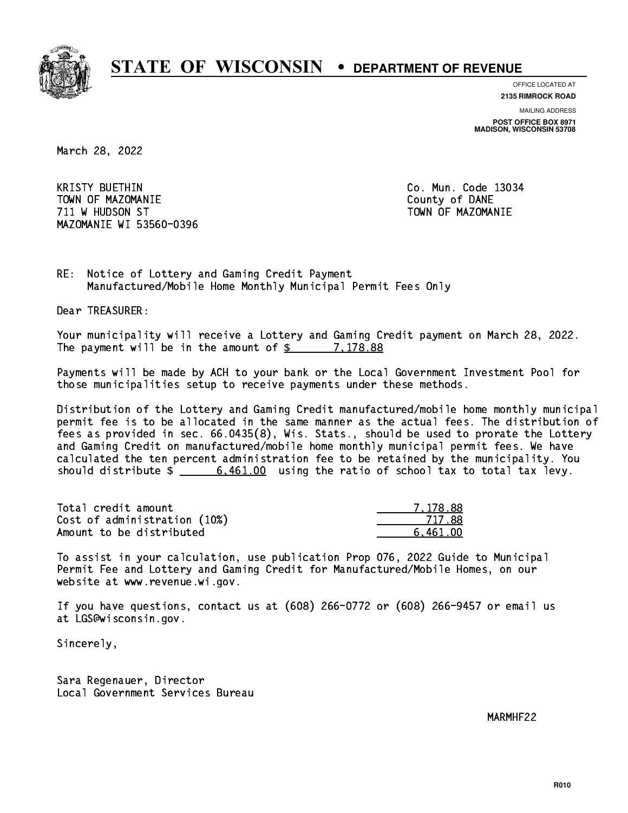

**OFFICE LOCATED AT**

**2135 RIMROCK ROAD**

**MAILING ADDRESS POST OFFICE BOX 8971 MADISON, WISCONSIN 53708**

March 28, 2022

**KRISTY BUETHIN**  TOWN OF MAZOMANIE County of DANE 711 W HUDSON ST TOWN OF MAZOMANIE MAZOMANIE WI 53560-0396

Co. Mun. Code 13034

RE: Notice of Lottery and Gaming Credit Payment Manufactured/Mobile Home Monthly Municipal Permit Fees Only

Dear TREASURER:

 Your municipality will receive a Lottery and Gaming Credit payment on March 28, 2022. The payment will be in the amount of  $\frac{2}{3}$  7,178.88

 Payments will be made by ACH to your bank or the Local Government Investment Pool for those municipalities setup to receive payments under these methods.

 Distribution of the Lottery and Gaming Credit manufactured/mobile home monthly municipal permit fee is to be allocated in the same manner as the actual fees. The distribution of fees as provided in sec. 66.0435(8), Wis. Stats., should be used to prorate the Lottery and Gaming Credit on manufactured/mobile home monthly municipal permit fees. We have calculated the ten percent administration fee to be retained by the municipality. You should distribute  $\frac{2}{1}$   $\frac{6,461.00}{2}$  using the ratio of school tax to total tax levy.

| Total credit amount          | 7.178.88 |
|------------------------------|----------|
| Cost of administration (10%) | 717 88   |
| Amount to be distributed     | 6.461.00 |

 To assist in your calculation, use publication Prop 076, 2022 Guide to Municipal Permit Fee and Lottery and Gaming Credit for Manufactured/Mobile Homes, on our website at www.revenue.wi.gov.

 If you have questions, contact us at (608) 266-0772 or (608) 266-9457 or email us at LGS@wisconsin.gov.

Sincerely,

 Sara Regenauer, Director Local Government Services Bureau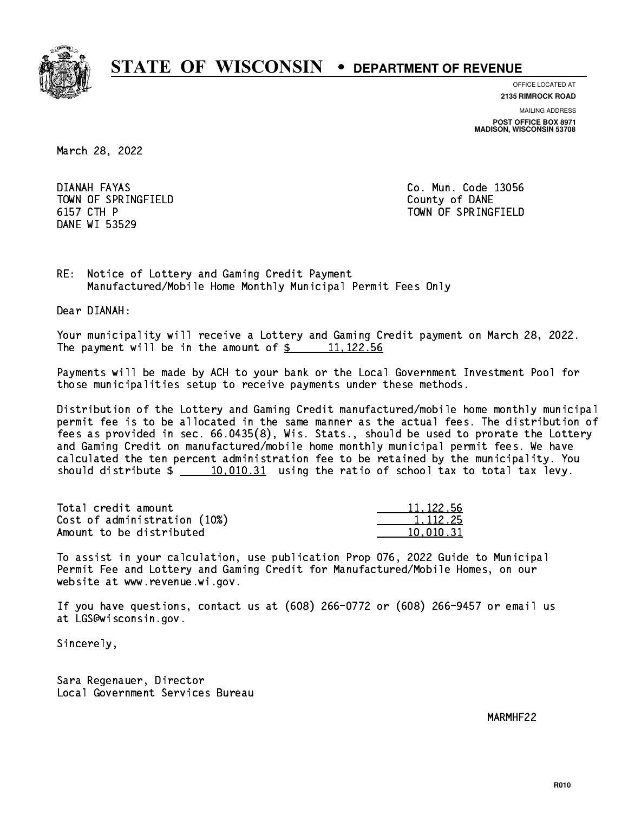

**OFFICE LOCATED AT**

**2135 RIMROCK ROAD**

**MAILING ADDRESS POST OFFICE BOX 8971 MADISON, WISCONSIN 53708**

March 28, 2022

DIANAH FAYAS TOWN OF SPRINGFIELD **COUNTY COUNTY OF DANE** 6157 CTH P DANE WI 53529

Co. Mun. Code 13056 TOWN OF SPRINGFIELD

RE: Notice of Lottery and Gaming Credit Payment Manufactured/Mobile Home Monthly Municipal Permit Fees Only

Dear DIANAH:

 Your municipality will receive a Lottery and Gaming Credit payment on March 28, 2022. The payment will be in the amount of  $\frac{2}{3}$  11,122.56

 Payments will be made by ACH to your bank or the Local Government Investment Pool for those municipalities setup to receive payments under these methods.

 Distribution of the Lottery and Gaming Credit manufactured/mobile home monthly municipal permit fee is to be allocated in the same manner as the actual fees. The distribution of fees as provided in sec. 66.0435(8), Wis. Stats., should be used to prorate the Lottery and Gaming Credit on manufactured/mobile home monthly municipal permit fees. We have calculated the ten percent administration fee to be retained by the municipality. You should distribute  $\frac{10,010.31}{10,010.31}$  using the ratio of school tax to total tax levy.

| Total credit amount          | 11, 122, 56 |
|------------------------------|-------------|
| Cost of administration (10%) | 1.112.25    |
| Amount to be distributed     | 10.010.31   |

 To assist in your calculation, use publication Prop 076, 2022 Guide to Municipal Permit Fee and Lottery and Gaming Credit for Manufactured/Mobile Homes, on our website at www.revenue.wi.gov.

 If you have questions, contact us at (608) 266-0772 or (608) 266-9457 or email us at LGS@wisconsin.gov.

Sincerely,

 Sara Regenauer, Director Local Government Services Bureau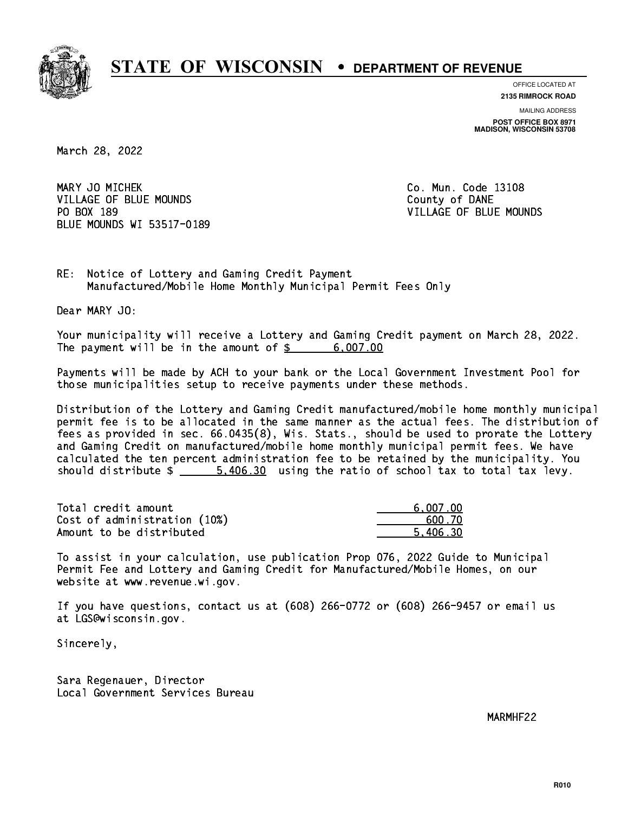

**OFFICE LOCATED AT**

**2135 RIMROCK ROAD**

**MAILING ADDRESS POST OFFICE BOX 8971 MADISON, WISCONSIN 53708**

March 28, 2022

MARY JO MICHEK **Co. Mun. Code 13108** VILLAGE OF BLUE MOUNDS **County of DANE** PO BOX 189 BLUE MOUNDS WI 53517-0189

VILLAGE OF BLUE MOUNDS

RE: Notice of Lottery and Gaming Credit Payment Manufactured/Mobile Home Monthly Municipal Permit Fees Only

Dear MARY JO:

 Your municipality will receive a Lottery and Gaming Credit payment on March 28, 2022. The payment will be in the amount of  $\frac{2}{3}$  6,007.00

 Payments will be made by ACH to your bank or the Local Government Investment Pool for those municipalities setup to receive payments under these methods.

 Distribution of the Lottery and Gaming Credit manufactured/mobile home monthly municipal permit fee is to be allocated in the same manner as the actual fees. The distribution of fees as provided in sec. 66.0435(8), Wis. Stats., should be used to prorate the Lottery and Gaming Credit on manufactured/mobile home monthly municipal permit fees. We have calculated the ten percent administration fee to be retained by the municipality. You should distribute  $\frac{2}{1}$   $\frac{5,406.30}{2}$  using the ratio of school tax to total tax levy.

| Total credit amount          | 6.007.00 |
|------------------------------|----------|
| Cost of administration (10%) | 600.70   |
| Amount to be distributed     | 5.406.30 |

 To assist in your calculation, use publication Prop 076, 2022 Guide to Municipal Permit Fee and Lottery and Gaming Credit for Manufactured/Mobile Homes, on our website at www.revenue.wi.gov.

 If you have questions, contact us at (608) 266-0772 or (608) 266-9457 or email us at LGS@wisconsin.gov.

Sincerely,

 Sara Regenauer, Director Local Government Services Bureau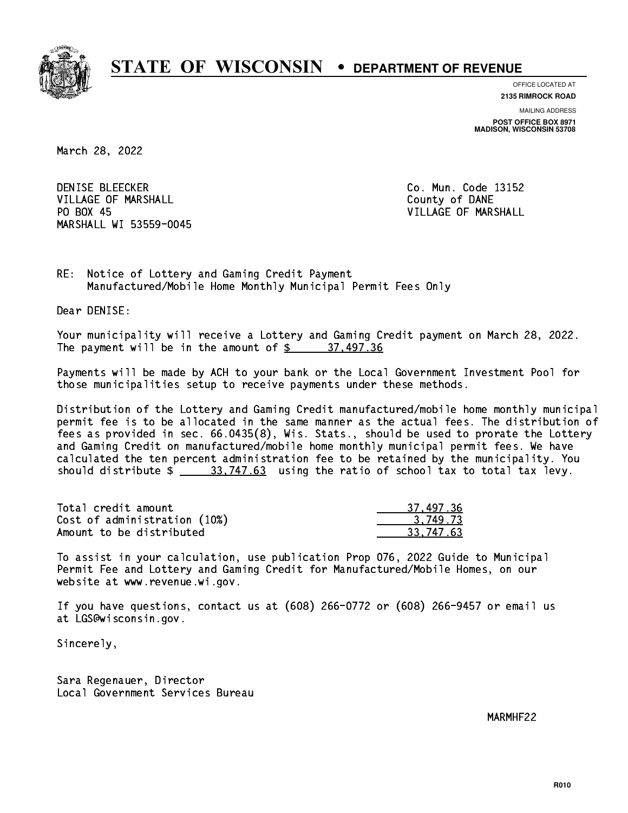

**OFFICE LOCATED AT**

**2135 RIMROCK ROAD**

**MAILING ADDRESS POST OFFICE BOX 8971 MADISON, WISCONSIN 53708**

March 28, 2022

**DENISE BLEECKER** VILLAGE OF MARSHALL **COUNTY OF MARSHALL** PO BOX 45 MARSHALL WI 53559-0045

Co. Mun. Code 13152 VILLAGE OF MARSHALL

RE: Notice of Lottery and Gaming Credit Payment Manufactured/Mobile Home Monthly Municipal Permit Fees Only

Dear DENISE:

 Your municipality will receive a Lottery and Gaming Credit payment on March 28, 2022. The payment will be in the amount of  $\frac{2}{3}$  37,497.36

 Payments will be made by ACH to your bank or the Local Government Investment Pool for those municipalities setup to receive payments under these methods.

 Distribution of the Lottery and Gaming Credit manufactured/mobile home monthly municipal permit fee is to be allocated in the same manner as the actual fees. The distribution of fees as provided in sec. 66.0435(8), Wis. Stats., should be used to prorate the Lottery and Gaming Credit on manufactured/mobile home monthly municipal permit fees. We have calculated the ten percent administration fee to be retained by the municipality. You should distribute  $\frac{2}{1}$   $\frac{33,747.63}{2}$  using the ratio of school tax to total tax levy.

| Total credit amount          | 37.497.36  |
|------------------------------|------------|
| Cost of administration (10%) | 3.749.73   |
| Amount to be distributed     | -33.747.63 |

 To assist in your calculation, use publication Prop 076, 2022 Guide to Municipal Permit Fee and Lottery and Gaming Credit for Manufactured/Mobile Homes, on our website at www.revenue.wi.gov.

 If you have questions, contact us at (608) 266-0772 or (608) 266-9457 or email us at LGS@wisconsin.gov.

Sincerely,

 Sara Regenauer, Director Local Government Services Bureau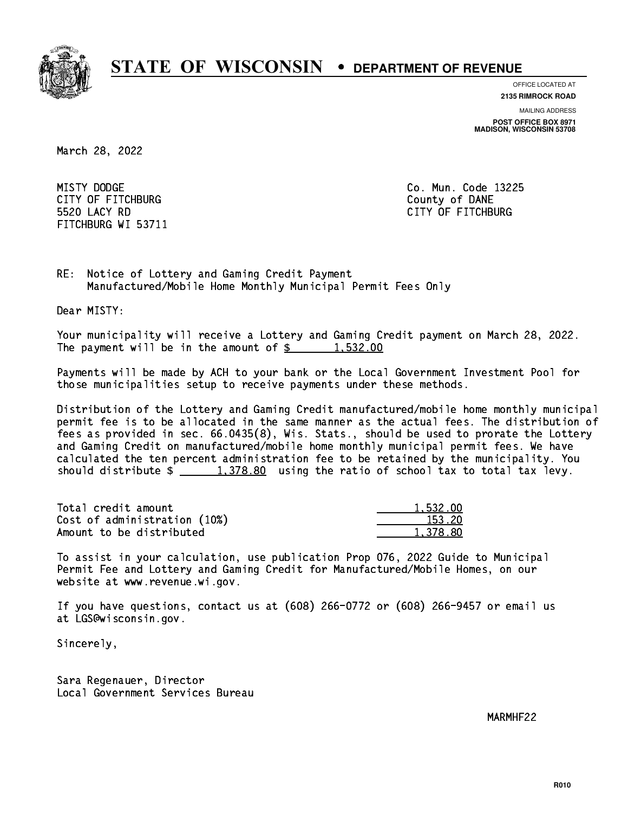

**OFFICE LOCATED AT**

**2135 RIMROCK ROAD**

**MAILING ADDRESS POST OFFICE BOX 8971 MADISON, WISCONSIN 53708**

March 28, 2022

MISTY DODGE CITY OF FITCHBURG COUNTY COUNTY OF DANE 5520 LACY RD FITCHBURG WI 53711

Co. Mun. Code 13225 CITY OF FITCHBURG

RE: Notice of Lottery and Gaming Credit Payment Manufactured/Mobile Home Monthly Municipal Permit Fees Only

Dear MISTY:

 Your municipality will receive a Lottery and Gaming Credit payment on March 28, 2022. The payment will be in the amount of  $\frac{2}{3}$  1,532.00

 Payments will be made by ACH to your bank or the Local Government Investment Pool for those municipalities setup to receive payments under these methods.

 Distribution of the Lottery and Gaming Credit manufactured/mobile home monthly municipal permit fee is to be allocated in the same manner as the actual fees. The distribution of fees as provided in sec. 66.0435(8), Wis. Stats., should be used to prorate the Lottery and Gaming Credit on manufactured/mobile home monthly municipal permit fees. We have calculated the ten percent administration fee to be retained by the municipality. You should distribute  $\frac{1,378.80}{1,378.80}$  using the ratio of school tax to total tax levy.

| Total credit amount          | 1.532.00 |
|------------------------------|----------|
| Cost of administration (10%) | 153.20   |
| Amount to be distributed     | 1,378.80 |

 To assist in your calculation, use publication Prop 076, 2022 Guide to Municipal Permit Fee and Lottery and Gaming Credit for Manufactured/Mobile Homes, on our website at www.revenue.wi.gov.

 If you have questions, contact us at (608) 266-0772 or (608) 266-9457 or email us at LGS@wisconsin.gov.

Sincerely,

 Sara Regenauer, Director Local Government Services Bureau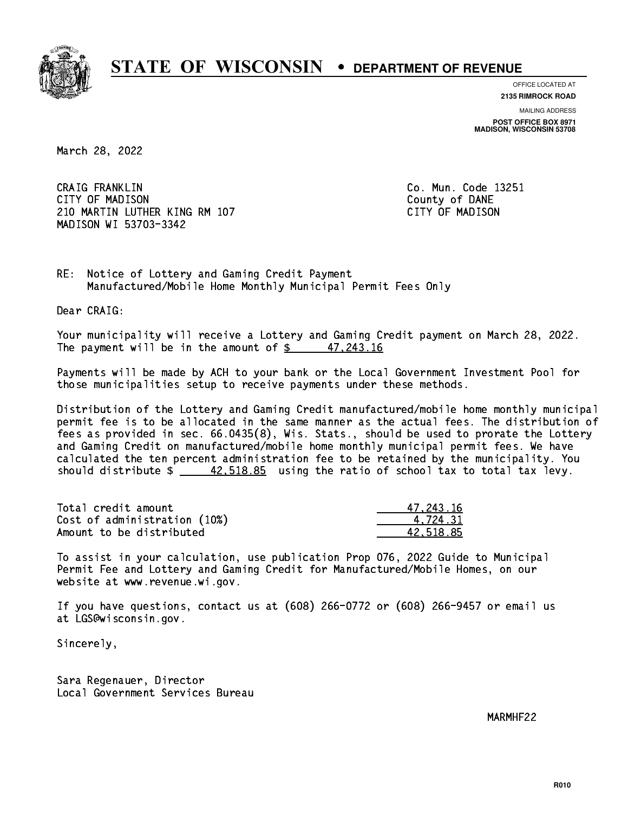

**OFFICE LOCATED AT**

**2135 RIMROCK ROAD**

**MAILING ADDRESS POST OFFICE BOX 8971 MADISON, WISCONSIN 53708**

March 28, 2022

 CRAIG FRANKLIN Co. Mun. Code 13251 CITY OF MADISON County of DANE 210 MARTIN LUTHER KING RM 107 CONTROLLER STATES TO MADISON MADISON WI 53703-3342

RE: Notice of Lottery and Gaming Credit Payment Manufactured/Mobile Home Monthly Municipal Permit Fees Only

Dear CRAIG:

 Your municipality will receive a Lottery and Gaming Credit payment on March 28, 2022. The payment will be in the amount of  $\frac{243.16}{243.16}$ 

 Payments will be made by ACH to your bank or the Local Government Investment Pool for those municipalities setup to receive payments under these methods.

 Distribution of the Lottery and Gaming Credit manufactured/mobile home monthly municipal permit fee is to be allocated in the same manner as the actual fees. The distribution of fees as provided in sec. 66.0435(8), Wis. Stats., should be used to prorate the Lottery and Gaming Credit on manufactured/mobile home monthly municipal permit fees. We have calculated the ten percent administration fee to be retained by the municipality. You should distribute  $\frac{42,518.85}{2}$  using the ratio of school tax to total tax levy.

| Total credit amount          | 47.243.16 |
|------------------------------|-----------|
| Cost of administration (10%) | 4.724.31  |
| Amount to be distributed     | 42.518.85 |

 To assist in your calculation, use publication Prop 076, 2022 Guide to Municipal Permit Fee and Lottery and Gaming Credit for Manufactured/Mobile Homes, on our website at www.revenue.wi.gov.

 If you have questions, contact us at (608) 266-0772 or (608) 266-9457 or email us at LGS@wisconsin.gov.

Sincerely,

 Sara Regenauer, Director Local Government Services Bureau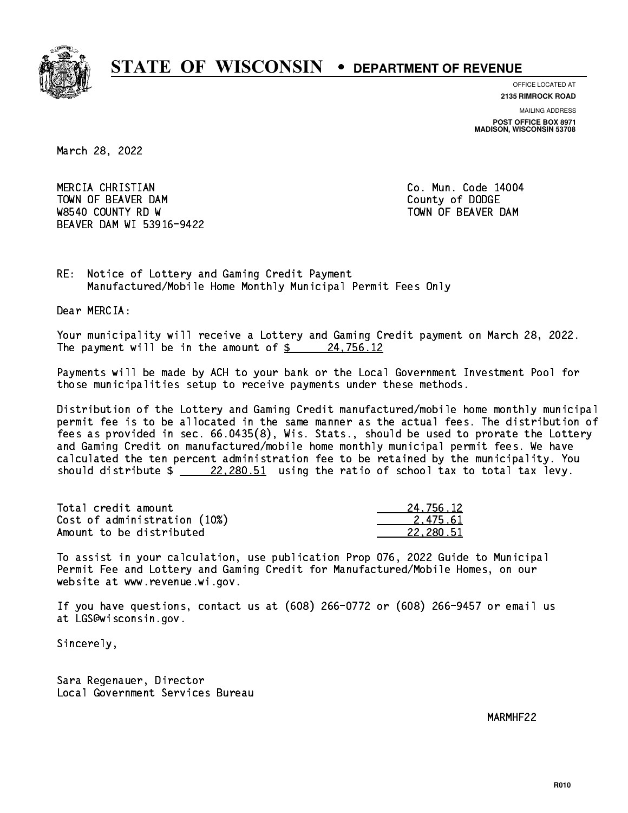

**OFFICE LOCATED AT**

**2135 RIMROCK ROAD**

**MAILING ADDRESS POST OFFICE BOX 8971 MADISON, WISCONSIN 53708**

March 28, 2022

 MERCIA CHRISTIAN Co. Mun. Code 14004 TOWN OF BEAVER DAM **COUNTY OF SEARCH COUNTY OF DODGE** W8540 COUNTY RD W TOWN OF BEAVER DAM BEAVER DAM WI 53916-9422

RE: Notice of Lottery and Gaming Credit Payment Manufactured/Mobile Home Monthly Municipal Permit Fees Only

Dear MERCIA:

 Your municipality will receive a Lottery and Gaming Credit payment on March 28, 2022. The payment will be in the amount of  $\frac{24,756.12}{2}$ 

 Payments will be made by ACH to your bank or the Local Government Investment Pool for those municipalities setup to receive payments under these methods.

 Distribution of the Lottery and Gaming Credit manufactured/mobile home monthly municipal permit fee is to be allocated in the same manner as the actual fees. The distribution of fees as provided in sec. 66.0435(8), Wis. Stats., should be used to prorate the Lottery and Gaming Credit on manufactured/mobile home monthly municipal permit fees. We have calculated the ten percent administration fee to be retained by the municipality. You should distribute  $\frac{22,280.51}{22,280.51}$  using the ratio of school tax to total tax levy.

| Total credit amount          | 24,756.12 |
|------------------------------|-----------|
| Cost of administration (10%) | 2.475.61  |
| Amount to be distributed     | 22.280.51 |

 To assist in your calculation, use publication Prop 076, 2022 Guide to Municipal Permit Fee and Lottery and Gaming Credit for Manufactured/Mobile Homes, on our website at www.revenue.wi.gov.

 If you have questions, contact us at (608) 266-0772 or (608) 266-9457 or email us at LGS@wisconsin.gov.

Sincerely,

 Sara Regenauer, Director Local Government Services Bureau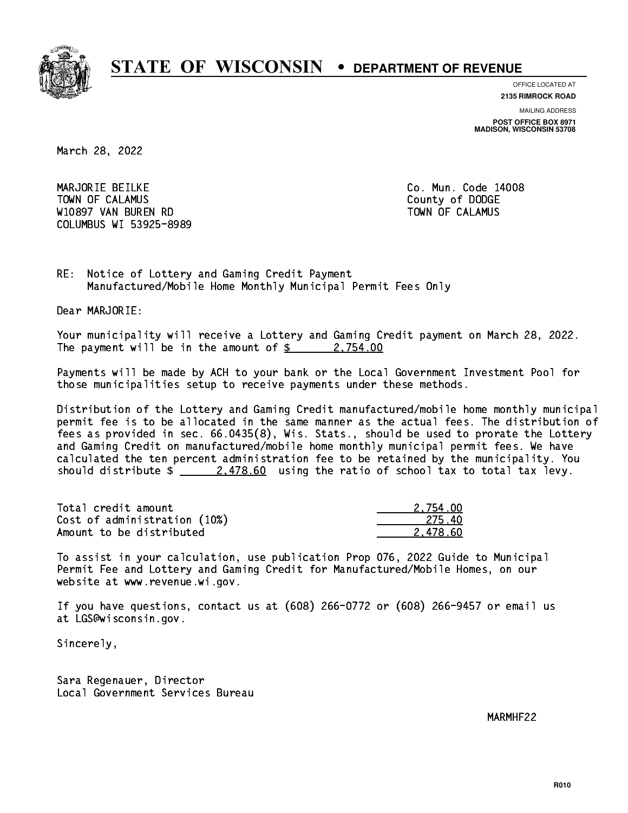

**OFFICE LOCATED AT 2135 RIMROCK ROAD**

**MAILING ADDRESS POST OFFICE BOX 8971 MADISON, WISCONSIN 53708**

March 28, 2022

 MARJORIE BEILKE Co. Mun. Code 14008 Town of Calamus County of Dodge County of Dodge County of Dodge County of Dodge County of Dodge County of Dodge W10897 VAN BUREN RD TOWN OF CALAMUS COLUMBUS WI 53925-8989

RE: Notice of Lottery and Gaming Credit Payment Manufactured/Mobile Home Monthly Municipal Permit Fees Only

Dear MARJORIE:

 Your municipality will receive a Lottery and Gaming Credit payment on March 28, 2022. The payment will be in the amount of  $\frac{2}{3}$  2,754.00

 Payments will be made by ACH to your bank or the Local Government Investment Pool for those municipalities setup to receive payments under these methods.

 Distribution of the Lottery and Gaming Credit manufactured/mobile home monthly municipal permit fee is to be allocated in the same manner as the actual fees. The distribution of fees as provided in sec. 66.0435(8), Wis. Stats., should be used to prorate the Lottery and Gaming Credit on manufactured/mobile home monthly municipal permit fees. We have calculated the ten percent administration fee to be retained by the municipality. You should distribute  $\frac{2.478.60}{2.478.60}$  using the ratio of school tax to total tax levy.

| Total credit amount          | 2.754.00 |
|------------------------------|----------|
| Cost of administration (10%) | -275.40  |
| Amount to be distributed     | 2.478.60 |

 To assist in your calculation, use publication Prop 076, 2022 Guide to Municipal Permit Fee and Lottery and Gaming Credit for Manufactured/Mobile Homes, on our website at www.revenue.wi.gov.

 If you have questions, contact us at (608) 266-0772 or (608) 266-9457 or email us at LGS@wisconsin.gov.

Sincerely,

 Sara Regenauer, Director Local Government Services Bureau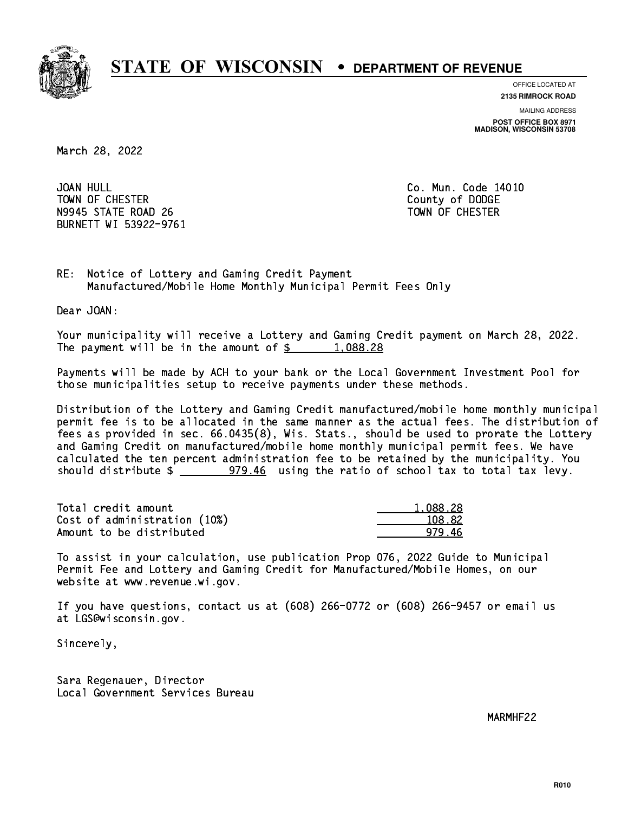

**OFFICE LOCATED AT**

**2135 RIMROCK ROAD**

**MAILING ADDRESS POST OFFICE BOX 8971 MADISON, WISCONSIN 53708**

March 28, 2022

JOAN HULL TOWN OF CHESTER COUNTY OF DODGE COUNTY OF DODGE N9945 STATE ROAD 26 TOWN OF CHESTER BURNETT WI 53922-9761

Co. Mun. Code 14010

RE: Notice of Lottery and Gaming Credit Payment Manufactured/Mobile Home Monthly Municipal Permit Fees Only

Dear JOAN:

 Your municipality will receive a Lottery and Gaming Credit payment on March 28, 2022. The payment will be in the amount of  $\frac{2}{3}$  1,088.28

 Payments will be made by ACH to your bank or the Local Government Investment Pool for those municipalities setup to receive payments under these methods.

 Distribution of the Lottery and Gaming Credit manufactured/mobile home monthly municipal permit fee is to be allocated in the same manner as the actual fees. The distribution of fees as provided in sec. 66.0435(8), Wis. Stats., should be used to prorate the Lottery and Gaming Credit on manufactured/mobile home monthly municipal permit fees. We have calculated the ten percent administration fee to be retained by the municipality. You should distribute  $\frac{2}{2}$   $\frac{979.46}{2}$  using the ratio of school tax to total tax levy.

| Total credit amount          | 1.088.28 |
|------------------------------|----------|
| Cost of administration (10%) | 108.82   |
| Amount to be distributed     | 979 46   |

 To assist in your calculation, use publication Prop 076, 2022 Guide to Municipal Permit Fee and Lottery and Gaming Credit for Manufactured/Mobile Homes, on our website at www.revenue.wi.gov.

 If you have questions, contact us at (608) 266-0772 or (608) 266-9457 or email us at LGS@wisconsin.gov.

Sincerely,

 Sara Regenauer, Director Local Government Services Bureau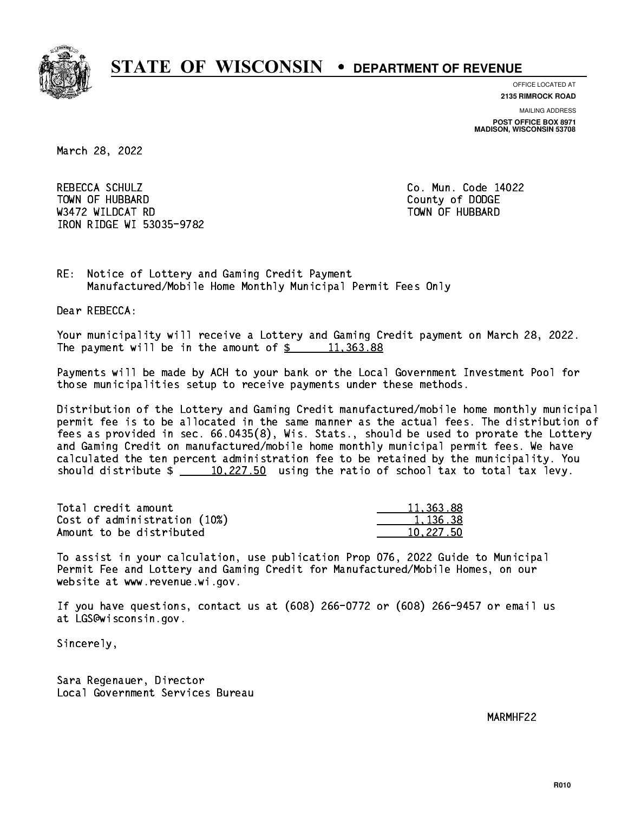

**OFFICE LOCATED AT 2135 RIMROCK ROAD**

**MAILING ADDRESS**

**POST OFFICE BOX 8971 MADISON, WISCONSIN 53708**

March 28, 2022

 REBECCA SCHULZ Co. Mun. Code 14022 Town of Hubbard County of Dodge County of Dodge County of Dodge County of Dodge County of Dodge County of Dodge County of Dodge County of Dodge County of Dodge County of Dodge County of Dodge County of Dodge County of Dodg Wasan Roman Roman Roman Roman Roman Roman Roman Roman Roman Roman Roman Roman Roman Roman Roman Roman Roman Ro IRON RIDGE WI 53035-9782

RE: Notice of Lottery and Gaming Credit Payment Manufactured/Mobile Home Monthly Municipal Permit Fees Only

Dear REBECCA:

 Your municipality will receive a Lottery and Gaming Credit payment on March 28, 2022. The payment will be in the amount of  $\frac{2}{3}$  11,363.88

 Payments will be made by ACH to your bank or the Local Government Investment Pool for those municipalities setup to receive payments under these methods.

 Distribution of the Lottery and Gaming Credit manufactured/mobile home monthly municipal permit fee is to be allocated in the same manner as the actual fees. The distribution of fees as provided in sec. 66.0435(8), Wis. Stats., should be used to prorate the Lottery and Gaming Credit on manufactured/mobile home monthly municipal permit fees. We have calculated the ten percent administration fee to be retained by the municipality. You should distribute  $\frac{10,227.50}{ }$  using the ratio of school tax to total tax levy.

| Total credit amount          | 11,363.88 |
|------------------------------|-----------|
| Cost of administration (10%) | 1.136.38  |
| Amount to be distributed     | 10.227.50 |

 To assist in your calculation, use publication Prop 076, 2022 Guide to Municipal Permit Fee and Lottery and Gaming Credit for Manufactured/Mobile Homes, on our website at www.revenue.wi.gov.

 If you have questions, contact us at (608) 266-0772 or (608) 266-9457 or email us at LGS@wisconsin.gov.

Sincerely,

 Sara Regenauer, Director Local Government Services Bureau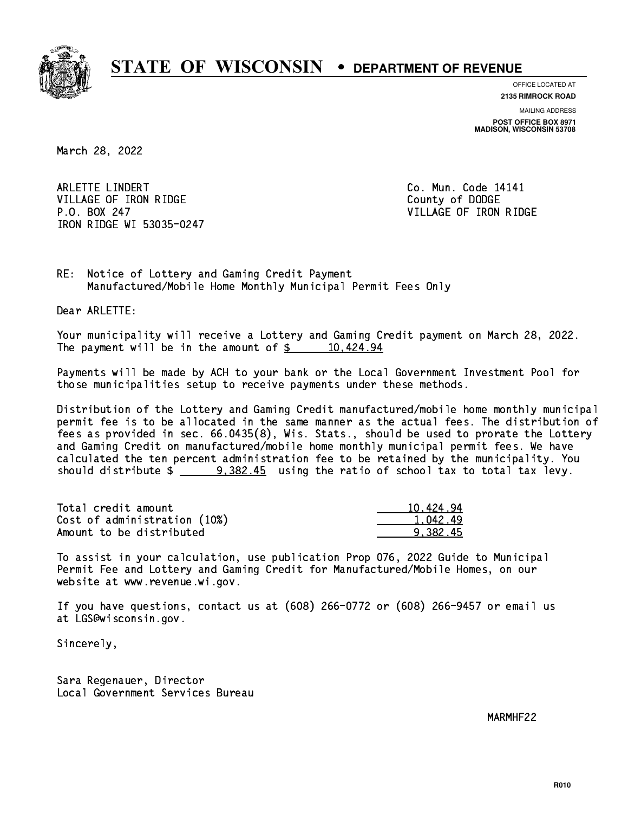

**OFFICE LOCATED AT**

**2135 RIMROCK ROAD**

**MAILING ADDRESS POST OFFICE BOX 8971 MADISON, WISCONSIN 53708**

March 28, 2022

ARLETTE LINDERT **Co. Mun. Code 14141** VILLAGE OF IRON RIDGE COUNTY OF DODGE P.O. BOX 247 VILLAGE OF IRON RIDGE IRON RIDGE WI 53035-0247

RE: Notice of Lottery and Gaming Credit Payment Manufactured/Mobile Home Monthly Municipal Permit Fees Only

Dear ARLETTE:

 Your municipality will receive a Lottery and Gaming Credit payment on March 28, 2022. The payment will be in the amount of  $\frac{2}{3}$  10,424.94

 Payments will be made by ACH to your bank or the Local Government Investment Pool for those municipalities setup to receive payments under these methods.

 Distribution of the Lottery and Gaming Credit manufactured/mobile home monthly municipal permit fee is to be allocated in the same manner as the actual fees. The distribution of fees as provided in sec. 66.0435(8), Wis. Stats., should be used to prorate the Lottery and Gaming Credit on manufactured/mobile home monthly municipal permit fees. We have calculated the ten percent administration fee to be retained by the municipality. You should distribute  $\frac{2}{2}$   $\frac{9,382.45}{2}$  using the ratio of school tax to total tax levy.

| Total credit amount          | 10,424.94 |
|------------------------------|-----------|
| Cost of administration (10%) | 1.042.49  |
| Amount to be distributed     | 9.382.45  |

 To assist in your calculation, use publication Prop 076, 2022 Guide to Municipal Permit Fee and Lottery and Gaming Credit for Manufactured/Mobile Homes, on our website at www.revenue.wi.gov.

 If you have questions, contact us at (608) 266-0772 or (608) 266-9457 or email us at LGS@wisconsin.gov.

Sincerely,

 Sara Regenauer, Director Local Government Services Bureau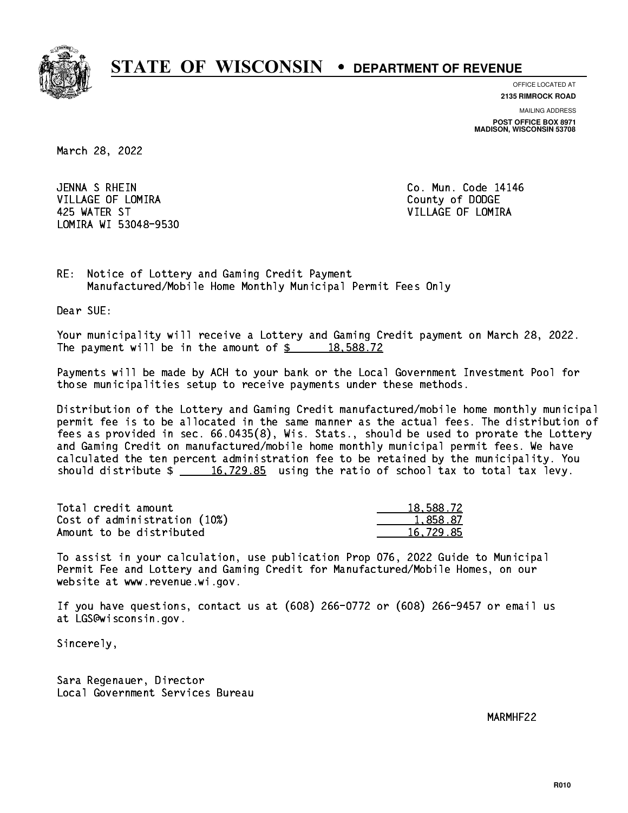

**OFFICE LOCATED AT 2135 RIMROCK ROAD**

**MAILING ADDRESS POST OFFICE BOX 8971 MADISON, WISCONSIN 53708**

March 28, 2022

JENNA S RHEIN VILLAGE OF LOMIRA **COUNTY OF LOGAL COUNTY OF DODGE**  425 WATER ST VILLAGE OF LOMIRA LOMIRA WI 53048-9530

Co. Mun. Code 14146

RE: Notice of Lottery and Gaming Credit Payment Manufactured/Mobile Home Monthly Municipal Permit Fees Only

Dear SUE:

 Your municipality will receive a Lottery and Gaming Credit payment on March 28, 2022. The payment will be in the amount of  $\frac{2}{3}$  18,588.72

 Payments will be made by ACH to your bank or the Local Government Investment Pool for those municipalities setup to receive payments under these methods.

 Distribution of the Lottery and Gaming Credit manufactured/mobile home monthly municipal permit fee is to be allocated in the same manner as the actual fees. The distribution of fees as provided in sec. 66.0435(8), Wis. Stats., should be used to prorate the Lottery and Gaming Credit on manufactured/mobile home monthly municipal permit fees. We have calculated the ten percent administration fee to be retained by the municipality. You should distribute  $\frac{16,729.85}{2}$  using the ratio of school tax to total tax levy.

| Total credit amount          | 18,588.72 |
|------------------------------|-----------|
| Cost of administration (10%) | 1,858.87  |
| Amount to be distributed     | 16.729.85 |

 To assist in your calculation, use publication Prop 076, 2022 Guide to Municipal Permit Fee and Lottery and Gaming Credit for Manufactured/Mobile Homes, on our website at www.revenue.wi.gov.

 If you have questions, contact us at (608) 266-0772 or (608) 266-9457 or email us at LGS@wisconsin.gov.

Sincerely,

 Sara Regenauer, Director Local Government Services Bureau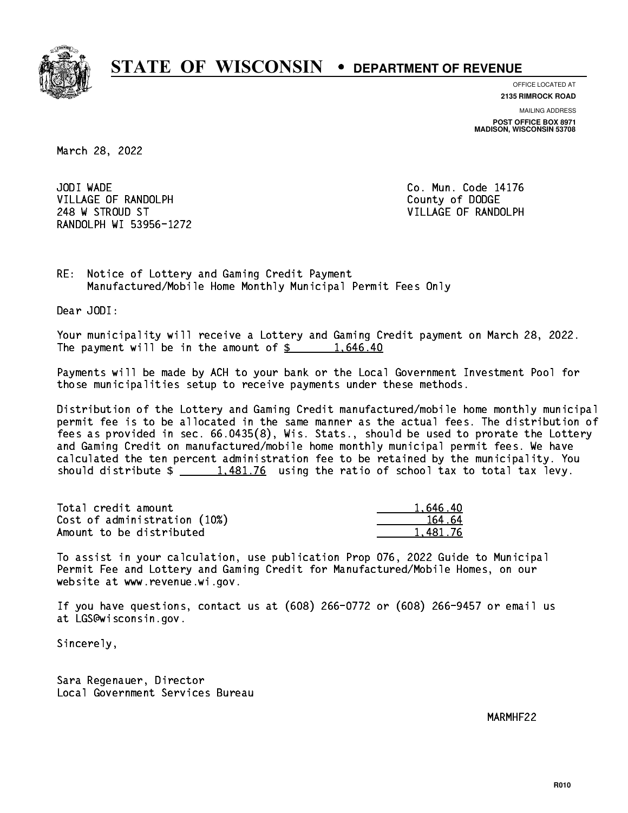

**OFFICE LOCATED AT**

**2135 RIMROCK ROAD**

**MAILING ADDRESS POST OFFICE BOX 8971 MADISON, WISCONSIN 53708**

March 28, 2022

JODI WADE VILLAGE OF RANDOLPH COUNTY COUNTY OF DODGE 248 W STROUD ST VILLAGE OF RANDOLPH RANDOLPH WI 53956-1272

Co. Mun. Code 14176

RE: Notice of Lottery and Gaming Credit Payment Manufactured/Mobile Home Monthly Municipal Permit Fees Only

Dear JODI:

 Your municipality will receive a Lottery and Gaming Credit payment on March 28, 2022. The payment will be in the amount of  $\frac{2}{3}$  1,646.40

 Payments will be made by ACH to your bank or the Local Government Investment Pool for those municipalities setup to receive payments under these methods.

 Distribution of the Lottery and Gaming Credit manufactured/mobile home monthly municipal permit fee is to be allocated in the same manner as the actual fees. The distribution of fees as provided in sec. 66.0435(8), Wis. Stats., should be used to prorate the Lottery and Gaming Credit on manufactured/mobile home monthly municipal permit fees. We have calculated the ten percent administration fee to be retained by the municipality. You should distribute  $\frac{1,481.76}{2}$  using the ratio of school tax to total tax levy.

| Total credit amount          | 1.646.40 |
|------------------------------|----------|
| Cost of administration (10%) | 164.64   |
| Amount to be distributed     | 1.481.76 |

 To assist in your calculation, use publication Prop 076, 2022 Guide to Municipal Permit Fee and Lottery and Gaming Credit for Manufactured/Mobile Homes, on our website at www.revenue.wi.gov.

 If you have questions, contact us at (608) 266-0772 or (608) 266-9457 or email us at LGS@wisconsin.gov.

Sincerely,

 Sara Regenauer, Director Local Government Services Bureau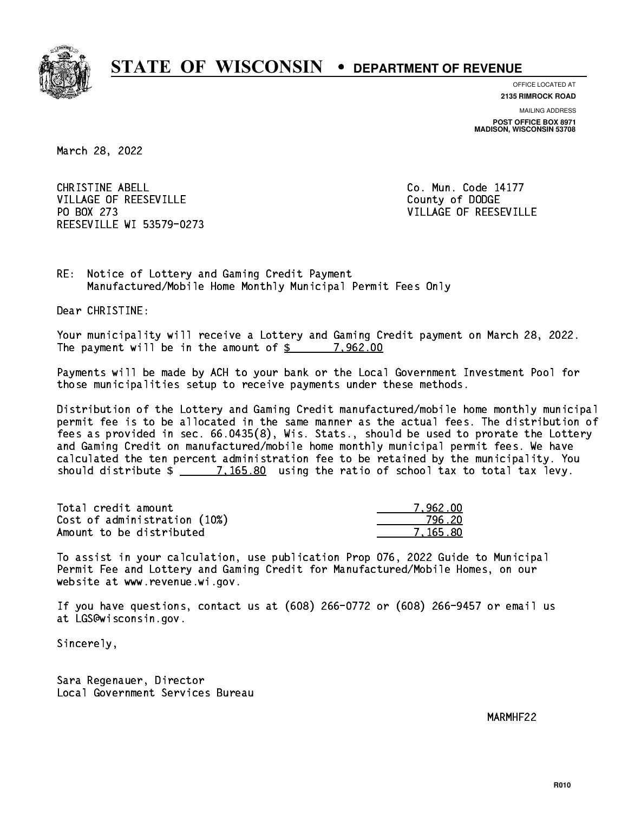

**OFFICE LOCATED AT**

**2135 RIMROCK ROAD**

**MAILING ADDRESS POST OFFICE BOX 8971 MADISON, WISCONSIN 53708**

March 28, 2022

CHRISTINE ABELL **CHRISTINE ABELL** VILLAGE OF REESEVILLE COUNTY OF DODGE PO BOX 273 REESEVILLE WI 53579-0273

VILLAGE OF REESEVILLE

RE: Notice of Lottery and Gaming Credit Payment Manufactured/Mobile Home Monthly Municipal Permit Fees Only

Dear CHRISTINE:

 Your municipality will receive a Lottery and Gaming Credit payment on March 28, 2022. The payment will be in the amount of  $\frac{2}{3}$  7,962.00

 Payments will be made by ACH to your bank or the Local Government Investment Pool for those municipalities setup to receive payments under these methods.

 Distribution of the Lottery and Gaming Credit manufactured/mobile home monthly municipal permit fee is to be allocated in the same manner as the actual fees. The distribution of fees as provided in sec. 66.0435(8), Wis. Stats., should be used to prorate the Lottery and Gaming Credit on manufactured/mobile home monthly municipal permit fees. We have calculated the ten percent administration fee to be retained by the municipality. You should distribute  $\frac{2}{2}$   $\frac{7,165.80}{2}$  using the ratio of school tax to total tax levy.

| Total credit amount          | 7.962.00 |
|------------------------------|----------|
| Cost of administration (10%) | 796.20   |
| Amount to be distributed     | 7.165.80 |

 To assist in your calculation, use publication Prop 076, 2022 Guide to Municipal Permit Fee and Lottery and Gaming Credit for Manufactured/Mobile Homes, on our website at www.revenue.wi.gov.

 If you have questions, contact us at (608) 266-0772 or (608) 266-9457 or email us at LGS@wisconsin.gov.

Sincerely,

 Sara Regenauer, Director Local Government Services Bureau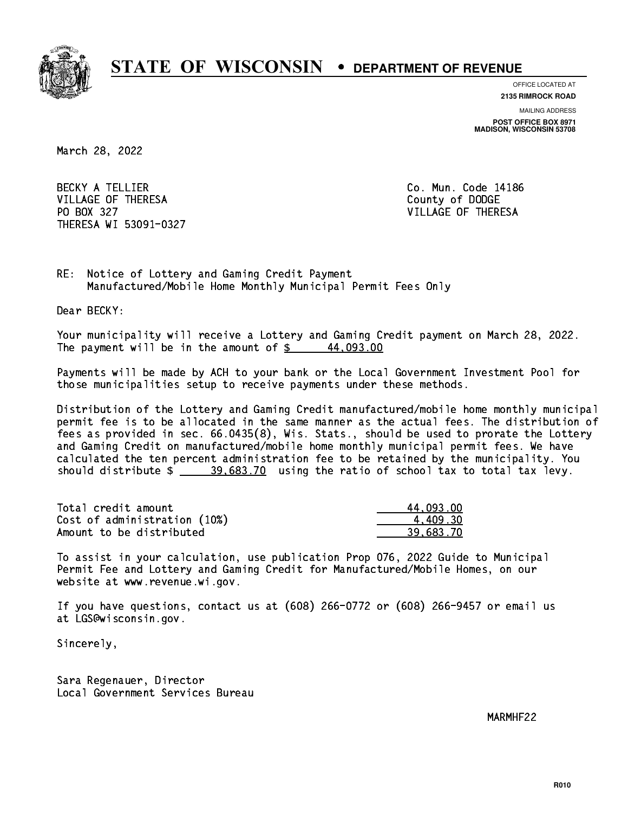

**OFFICE LOCATED AT**

**2135 RIMROCK ROAD**

**MAILING ADDRESS POST OFFICE BOX 8971 MADISON, WISCONSIN 53708**

March 28, 2022

BECKY A TELLIER **Co. Mun. Code 14186** VILLAGE OF THERESA COUNTY OF DODGE PO BOX 327 VILLAGE OF THERESA THERESA WI 53091-0327

RE: Notice of Lottery and Gaming Credit Payment Manufactured/Mobile Home Monthly Municipal Permit Fees Only

Dear BECKY:

 Your municipality will receive a Lottery and Gaming Credit payment on March 28, 2022. The payment will be in the amount of  $\frac{2}{3}$  44,093.00

 Payments will be made by ACH to your bank or the Local Government Investment Pool for those municipalities setup to receive payments under these methods.

 Distribution of the Lottery and Gaming Credit manufactured/mobile home monthly municipal permit fee is to be allocated in the same manner as the actual fees. The distribution of fees as provided in sec. 66.0435(8), Wis. Stats., should be used to prorate the Lottery and Gaming Credit on manufactured/mobile home monthly municipal permit fees. We have calculated the ten percent administration fee to be retained by the municipality. You should distribute  $\frac{20.683.70}{20.683.70}$  using the ratio of school tax to total tax levy.

| Total credit amount          | 44.093.00 |
|------------------------------|-----------|
| Cost of administration (10%) | 4.409.30  |
| Amount to be distributed     | 39.683.70 |

 To assist in your calculation, use publication Prop 076, 2022 Guide to Municipal Permit Fee and Lottery and Gaming Credit for Manufactured/Mobile Homes, on our website at www.revenue.wi.gov.

 If you have questions, contact us at (608) 266-0772 or (608) 266-9457 or email us at LGS@wisconsin.gov.

Sincerely,

 Sara Regenauer, Director Local Government Services Bureau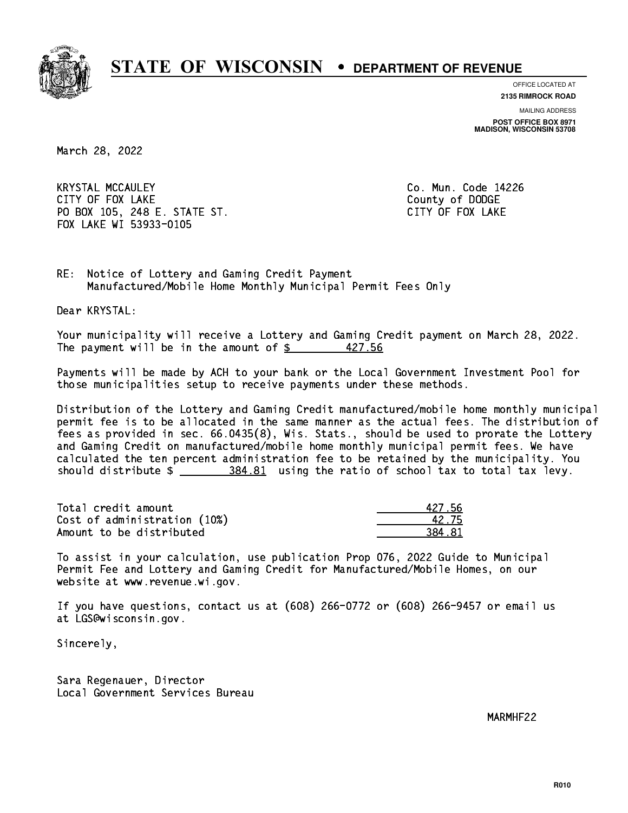

**OFFICE LOCATED AT**

**2135 RIMROCK ROAD**

**MAILING ADDRESS POST OFFICE BOX 8971 MADISON, WISCONSIN 53708**

March 28, 2022

 KRYSTAL MCCAULEY Co. Mun. Code 14226 CITY OF FOUR COUNTY OF FOUR COUNTY OF DODGE COUNTY OF DODGE COUNTY OF DESCRIPTION OF DESCRIPTION OF DODGE COUNTY OF DESCRIPTION OF DESCRIPTION OF PROPERTY OF DESCRIPTION OF DESCRIPTION OF DESCRIPTION OF DESCRIPTION OF DESC PO BOX 105, 248 E. STATE ST. CITY OF FOX LAKE FOX LAKE WI 53933-0105

RE: Notice of Lottery and Gaming Credit Payment Manufactured/Mobile Home Monthly Municipal Permit Fees Only

Dear KRYSTAL:

 Your municipality will receive a Lottery and Gaming Credit payment on March 28, 2022. The payment will be in the amount of  $\frac{2}{3}$  427.56

 Payments will be made by ACH to your bank or the Local Government Investment Pool for those municipalities setup to receive payments under these methods.

 Distribution of the Lottery and Gaming Credit manufactured/mobile home monthly municipal permit fee is to be allocated in the same manner as the actual fees. The distribution of fees as provided in sec. 66.0435(8), Wis. Stats., should be used to prorate the Lottery and Gaming Credit on manufactured/mobile home monthly municipal permit fees. We have calculated the ten percent administration fee to be retained by the municipality. You should distribute  $\frac{284.81}{1000}$  using the ratio of school tax to total tax levy.

Total credit amount Cost of administration (10%) Amount to be distributed

| 127 56 |
|--------|
| I2 75  |
|        |

 To assist in your calculation, use publication Prop 076, 2022 Guide to Municipal Permit Fee and Lottery and Gaming Credit for Manufactured/Mobile Homes, on our website at www.revenue.wi.gov.

 If you have questions, contact us at (608) 266-0772 or (608) 266-9457 or email us at LGS@wisconsin.gov.

Sincerely,

 Sara Regenauer, Director Local Government Services Bureau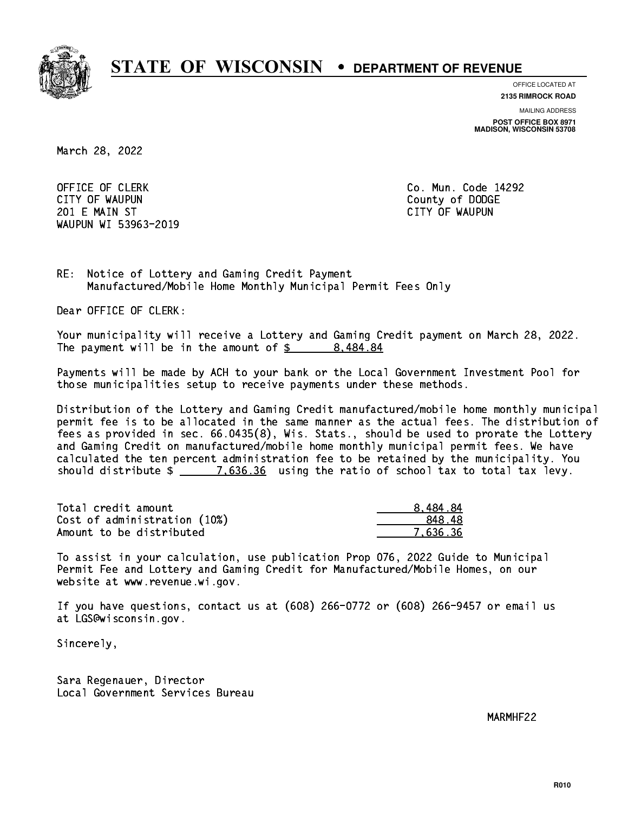

**OFFICE LOCATED AT**

**2135 RIMROCK ROAD**

**MAILING ADDRESS**

**POST OFFICE BOX 8971 MADISON, WISCONSIN 53708**

March 28, 2022

OFFICE OF CLERK **Co. Mun. Code 14292**  CITY OF WAUPUN County of DODGE 201 E MAIN ST CITY OF WAUPUN WAUPUN WI 53963-2019

RE: Notice of Lottery and Gaming Credit Payment Manufactured/Mobile Home Monthly Municipal Permit Fees Only

Dear OFFICE OF CLERK:

 Your municipality will receive a Lottery and Gaming Credit payment on March 28, 2022. The payment will be in the amount of  $\frac{2}{3}$  8,484.84

 Payments will be made by ACH to your bank or the Local Government Investment Pool for those municipalities setup to receive payments under these methods.

 Distribution of the Lottery and Gaming Credit manufactured/mobile home monthly municipal permit fee is to be allocated in the same manner as the actual fees. The distribution of fees as provided in sec. 66.0435(8), Wis. Stats., should be used to prorate the Lottery and Gaming Credit on manufactured/mobile home monthly municipal permit fees. We have calculated the ten percent administration fee to be retained by the municipality. You should distribute  $\frac{2}{2}$   $\frac{7.636.36}{2}$  using the ratio of school tax to total tax levy.

| Total credit amount          | 8.484.84 |
|------------------------------|----------|
| Cost of administration (10%) | 848.48   |
| Amount to be distributed     | 7.636.36 |

 To assist in your calculation, use publication Prop 076, 2022 Guide to Municipal Permit Fee and Lottery and Gaming Credit for Manufactured/Mobile Homes, on our website at www.revenue.wi.gov.

 If you have questions, contact us at (608) 266-0772 or (608) 266-9457 or email us at LGS@wisconsin.gov.

Sincerely,

 Sara Regenauer, Director Local Government Services Bureau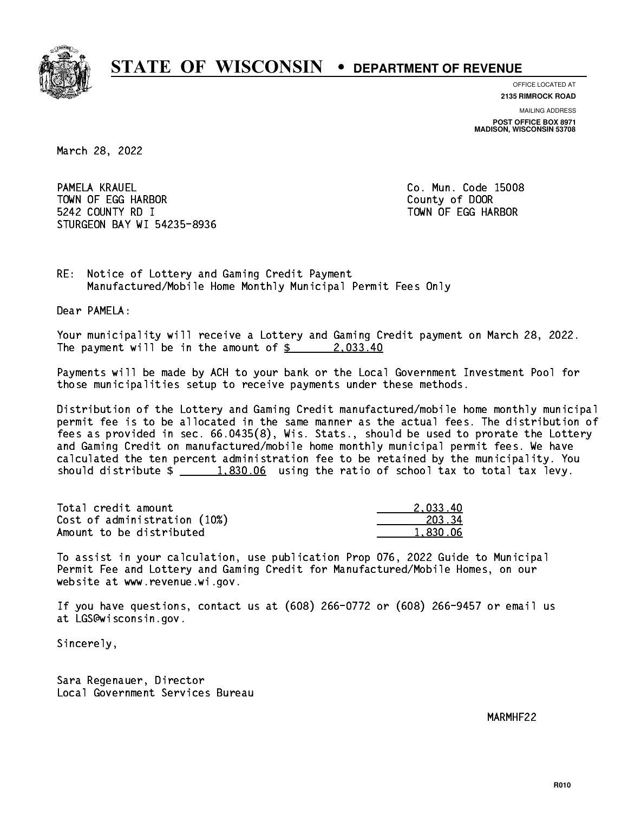

**OFFICE LOCATED AT**

**2135 RIMROCK ROAD**

**MAILING ADDRESS POST OFFICE BOX 8971 MADISON, WISCONSIN 53708**

March 28, 2022

PAMELA KRAUEL TOWN OF EGG HARBOR County of DOOR 5242 COUNTY RD I TOWN OF EGG HARBOR STURGEON BAY WI 54235-8936

Co. Mun. Code 15008

RE: Notice of Lottery and Gaming Credit Payment Manufactured/Mobile Home Monthly Municipal Permit Fees Only

Dear PAMELA:

 Your municipality will receive a Lottery and Gaming Credit payment on March 28, 2022. The payment will be in the amount of  $\frac{2}{3}$  2,033.40

 Payments will be made by ACH to your bank or the Local Government Investment Pool for those municipalities setup to receive payments under these methods.

 Distribution of the Lottery and Gaming Credit manufactured/mobile home monthly municipal permit fee is to be allocated in the same manner as the actual fees. The distribution of fees as provided in sec. 66.0435(8), Wis. Stats., should be used to prorate the Lottery and Gaming Credit on manufactured/mobile home monthly municipal permit fees. We have calculated the ten percent administration fee to be retained by the municipality. You should distribute  $\frac{1.830.06}{1.830.06}$  using the ratio of school tax to total tax levy.

| Total credit amount          | 2.033.40 |
|------------------------------|----------|
| Cost of administration (10%) | 203.34   |
| Amount to be distributed     | 1.830.06 |

 To assist in your calculation, use publication Prop 076, 2022 Guide to Municipal Permit Fee and Lottery and Gaming Credit for Manufactured/Mobile Homes, on our website at www.revenue.wi.gov.

 If you have questions, contact us at (608) 266-0772 or (608) 266-9457 or email us at LGS@wisconsin.gov.

Sincerely,

 Sara Regenauer, Director Local Government Services Bureau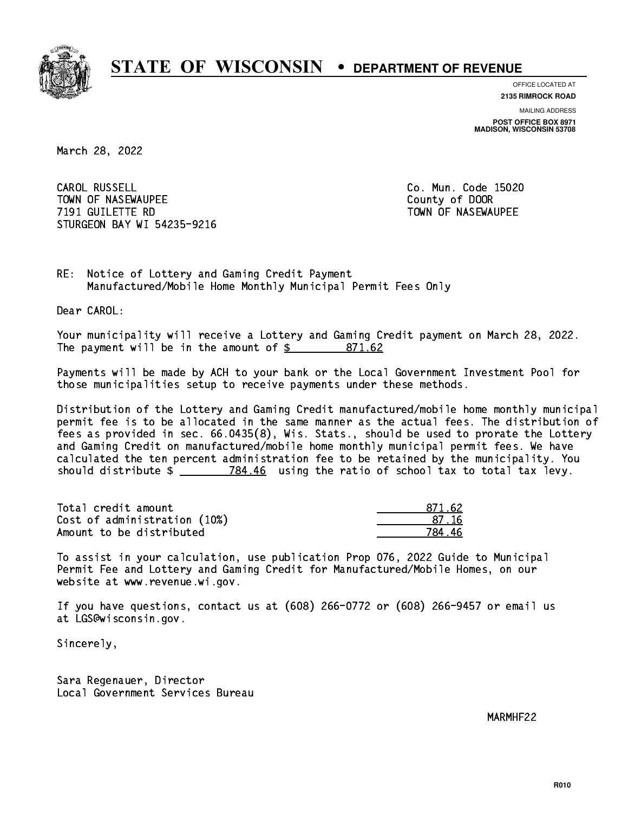

**OFFICE LOCATED AT**

**2135 RIMROCK ROAD**

**MAILING ADDRESS POST OFFICE BOX 8971 MADISON, WISCONSIN 53708**

March 28, 2022

CAROL RUSSELL TOWN OF NASEWAUPEE **TOWA COUNTY OF SEXUAL COUNTY OF DOOR 7191 GUILETTE RD** TOWN OF NASEWAUPEE STURGEON BAY WI 54235-9216

Co. Mun. Code 15020

RE: Notice of Lottery and Gaming Credit Payment Manufactured/Mobile Home Monthly Municipal Permit Fees Only

Dear CAROL:

 Your municipality will receive a Lottery and Gaming Credit payment on March 28, 2022. The payment will be in the amount of \$ 871.62 \_\_\_\_\_\_\_\_\_\_\_\_\_\_\_\_

 Payments will be made by ACH to your bank or the Local Government Investment Pool for those municipalities setup to receive payments under these methods.

 Distribution of the Lottery and Gaming Credit manufactured/mobile home monthly municipal permit fee is to be allocated in the same manner as the actual fees. The distribution of fees as provided in sec. 66.0435(8), Wis. Stats., should be used to prorate the Lottery and Gaming Credit on manufactured/mobile home monthly municipal permit fees. We have calculated the ten percent administration fee to be retained by the municipality. You should distribute  $\frac{2}{2}$   $\frac{784.46}{2}$  using the ratio of school tax to total tax levy.

| Total credit amount          | 871.62 |
|------------------------------|--------|
| Cost of administration (10%) | -87-16 |
| Amount to be distributed     | 784 46 |

 To assist in your calculation, use publication Prop 076, 2022 Guide to Municipal Permit Fee and Lottery and Gaming Credit for Manufactured/Mobile Homes, on our website at www.revenue.wi.gov.

 If you have questions, contact us at (608) 266-0772 or (608) 266-9457 or email us at LGS@wisconsin.gov.

Sincerely,

 Sara Regenauer, Director Local Government Services Bureau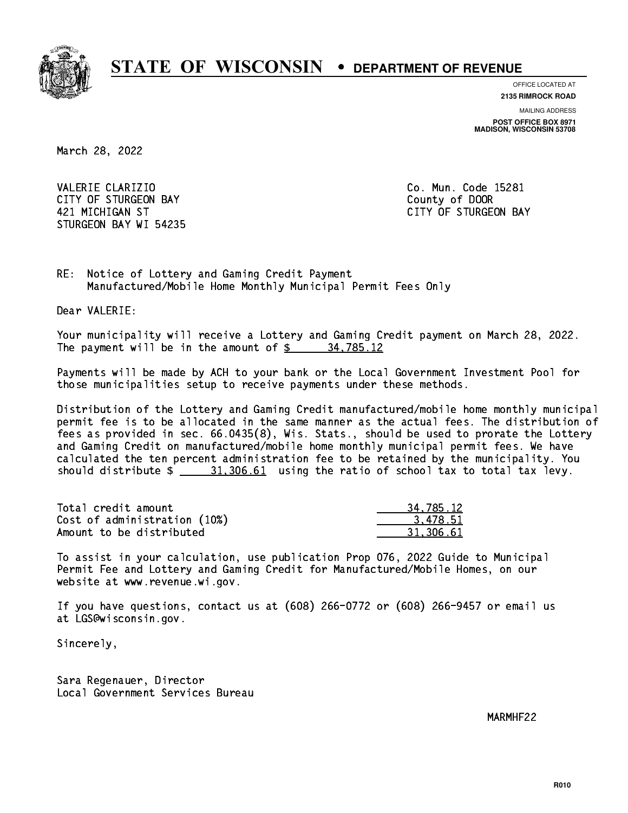

**OFFICE LOCATED AT**

**2135 RIMROCK ROAD**

**MAILING ADDRESS POST OFFICE BOX 8971 MADISON, WISCONSIN 53708**

March 28, 2022

VALERIE CLARIZIO **Co. Mun. Code 15281** CITY OF STURGEON BAY **COUNTY COUNTY OF STURGEON BAY**  421 MICHIGAN ST CITY OF STURGEON BAY STURGEON BAY WI 54235

RE: Notice of Lottery and Gaming Credit Payment Manufactured/Mobile Home Monthly Municipal Permit Fees Only

Dear VALERIE:

 Your municipality will receive a Lottery and Gaming Credit payment on March 28, 2022. The payment will be in the amount of  $\frac{2}{3}$  34,785.12

 Payments will be made by ACH to your bank or the Local Government Investment Pool for those municipalities setup to receive payments under these methods.

 Distribution of the Lottery and Gaming Credit manufactured/mobile home monthly municipal permit fee is to be allocated in the same manner as the actual fees. The distribution of fees as provided in sec. 66.0435(8), Wis. Stats., should be used to prorate the Lottery and Gaming Credit on manufactured/mobile home monthly municipal permit fees. We have calculated the ten percent administration fee to be retained by the municipality. You should distribute  $\frac{21,306.61}{2}$  using the ratio of school tax to total tax levy.

| Total credit amount          | 34.785.12 |
|------------------------------|-----------|
| Cost of administration (10%) | 3.478.51  |
| Amount to be distributed     | 31.306.61 |

 To assist in your calculation, use publication Prop 076, 2022 Guide to Municipal Permit Fee and Lottery and Gaming Credit for Manufactured/Mobile Homes, on our website at www.revenue.wi.gov.

 If you have questions, contact us at (608) 266-0772 or (608) 266-9457 or email us at LGS@wisconsin.gov.

Sincerely,

 Sara Regenauer, Director Local Government Services Bureau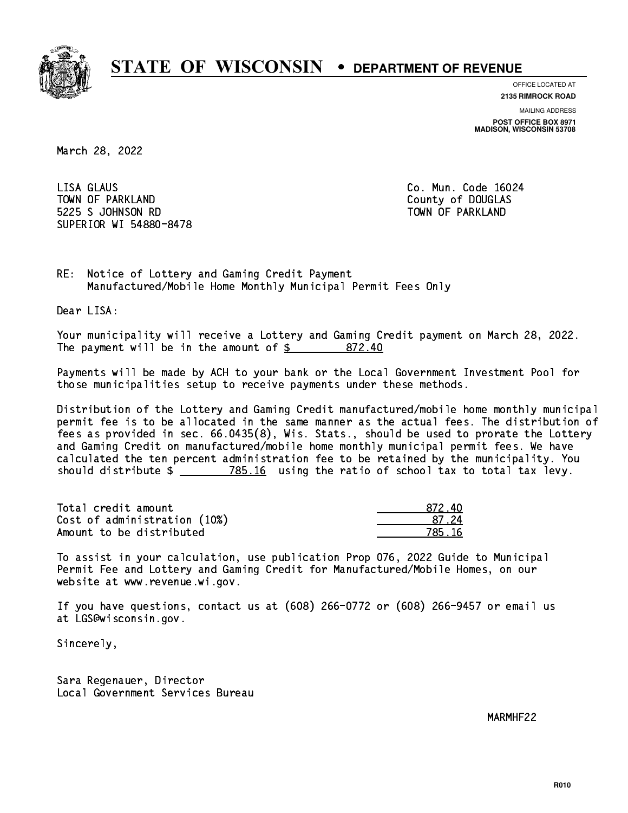

**OFFICE LOCATED AT**

**2135 RIMROCK ROAD**

**MAILING ADDRESS POST OFFICE BOX 8971 MADISON, WISCONSIN 53708**

March 28, 2022

 LISA GLAUS Co. Mun. Code 16024 TOWN OF PARKLAND COUNTY OF DOUGLAS 5225 S JOHNSON RD TOWN OF PARKLAND SUPERIOR WI 54880-8478

RE: Notice of Lottery and Gaming Credit Payment Manufactured/Mobile Home Monthly Municipal Permit Fees Only

Dear LISA:

 Your municipality will receive a Lottery and Gaming Credit payment on March 28, 2022. The payment will be in the amount of \$ 872.40 \_\_\_\_\_\_\_\_\_\_\_\_\_\_\_\_

 Payments will be made by ACH to your bank or the Local Government Investment Pool for those municipalities setup to receive payments under these methods.

 Distribution of the Lottery and Gaming Credit manufactured/mobile home monthly municipal permit fee is to be allocated in the same manner as the actual fees. The distribution of fees as provided in sec. 66.0435(8), Wis. Stats., should be used to prorate the Lottery and Gaming Credit on manufactured/mobile home monthly municipal permit fees. We have calculated the ten percent administration fee to be retained by the municipality. You should distribute  $\frac{2}{2}$   $\frac{785.16}{2}$  using the ratio of school tax to total tax levy.

Total credit amount Cost of administration (10%) Amount to be distributed

| 1ท<br>872. |
|------------|
| 37 Z4      |
| 5 16       |

 To assist in your calculation, use publication Prop 076, 2022 Guide to Municipal Permit Fee and Lottery and Gaming Credit for Manufactured/Mobile Homes, on our website at www.revenue.wi.gov.

 If you have questions, contact us at (608) 266-0772 or (608) 266-9457 or email us at LGS@wisconsin.gov.

Sincerely,

 Sara Regenauer, Director Local Government Services Bureau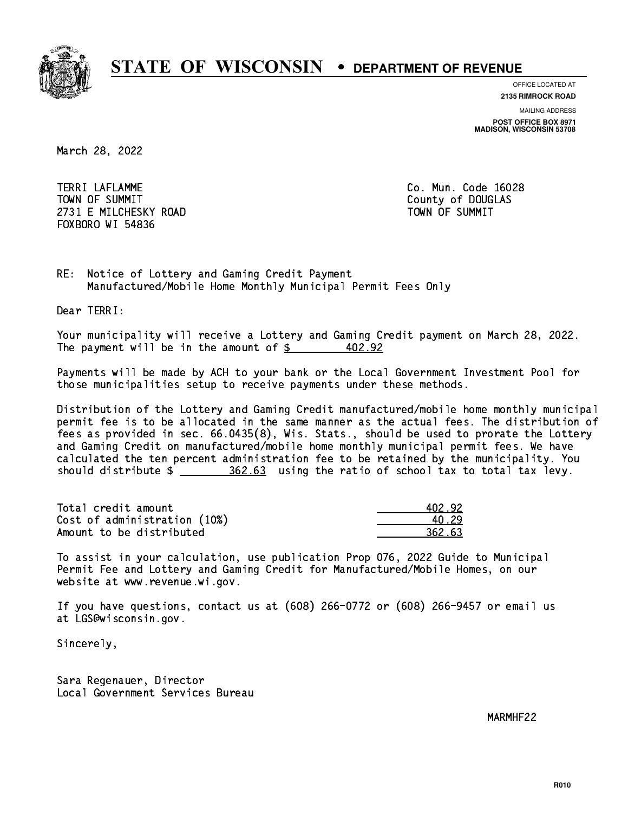

**OFFICE LOCATED AT**

**2135 RIMROCK ROAD**

**MAILING ADDRESS POST OFFICE BOX 8971 MADISON, WISCONSIN 53708**

March 28, 2022

 TERRI LAFLAMME Co. Mun. Code 16028 TOWN OF SUMMIT COUNTY OF SUMMIT 2731 E MILCHESKY ROAD TOWN OF SUMMIT FOXBORO WI 54836

RE: Notice of Lottery and Gaming Credit Payment Manufactured/Mobile Home Monthly Municipal Permit Fees Only

Dear TERRI:

 Your municipality will receive a Lottery and Gaming Credit payment on March 28, 2022. The payment will be in the amount of  $\frac{2}{3}$ 402.92

 Payments will be made by ACH to your bank or the Local Government Investment Pool for those municipalities setup to receive payments under these methods.

 Distribution of the Lottery and Gaming Credit manufactured/mobile home monthly municipal permit fee is to be allocated in the same manner as the actual fees. The distribution of fees as provided in sec. 66.0435(8), Wis. Stats., should be used to prorate the Lottery and Gaming Credit on manufactured/mobile home monthly municipal permit fees. We have calculated the ten percent administration fee to be retained by the municipality. You should distribute  $\frac{2}{2}$   $\frac{362.63}{2}$  using the ratio of school tax to total tax levy.

Total credit amount Cost of administration (10%) Amount to be distributed

| 402.92. |
|---------|
| N. 29   |
| 362.63  |

 To assist in your calculation, use publication Prop 076, 2022 Guide to Municipal Permit Fee and Lottery and Gaming Credit for Manufactured/Mobile Homes, on our website at www.revenue.wi.gov.

 If you have questions, contact us at (608) 266-0772 or (608) 266-9457 or email us at LGS@wisconsin.gov.

Sincerely,

 Sara Regenauer, Director Local Government Services Bureau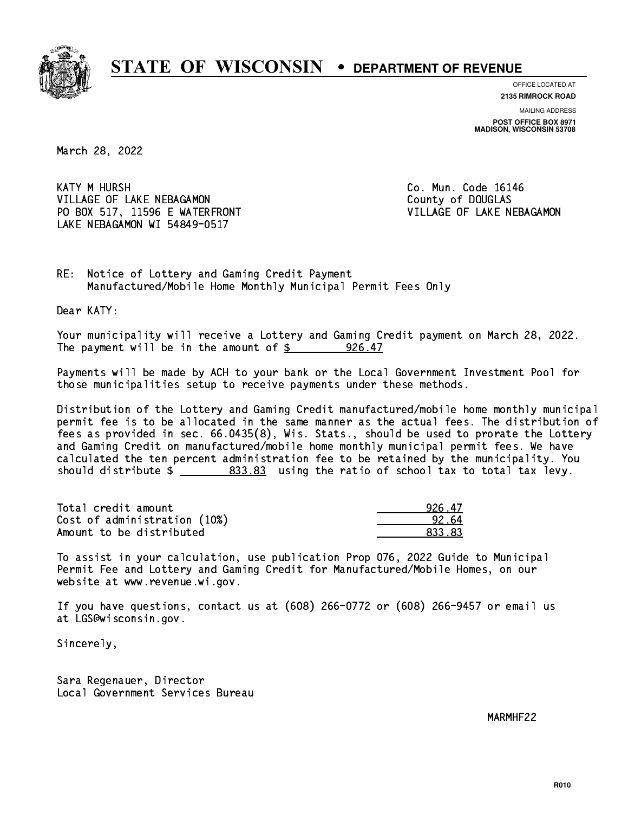

**OFFICE LOCATED AT**

**2135 RIMROCK ROAD**

**MAILING ADDRESS POST OFFICE BOX 8971 MADISON, WISCONSIN 53708**

March 28, 2022

**KATY M HURSH** VILLAGE OF LAKE NEBAGAMON COUNTY Of DOUGLAS PO BOX 517, 11596 E WATERFRONT VILLAGE OF LAKE NEBAGAMON LAKE NEBAGAMON WI 54849-0517

Co. Mun. Code 16146

RE: Notice of Lottery and Gaming Credit Payment Manufactured/Mobile Home Monthly Municipal Permit Fees Only

Dear KATY:

 Your municipality will receive a Lottery and Gaming Credit payment on March 28, 2022. The payment will be in the amount of  $\frac{26.47}{200}$ 

 Payments will be made by ACH to your bank or the Local Government Investment Pool for those municipalities setup to receive payments under these methods.

 Distribution of the Lottery and Gaming Credit manufactured/mobile home monthly municipal permit fee is to be allocated in the same manner as the actual fees. The distribution of fees as provided in sec. 66.0435(8), Wis. Stats., should be used to prorate the Lottery and Gaming Credit on manufactured/mobile home monthly municipal permit fees. We have calculated the ten percent administration fee to be retained by the municipality. You should distribute  $\frac{2}{2}$   $\frac{833.83}{83}$  using the ratio of school tax to total tax levy.

| Total credit amount          | 926.47 |
|------------------------------|--------|
| Cost of administration (10%) | 92.64  |
| Amount to be distributed     | 833.83 |

 To assist in your calculation, use publication Prop 076, 2022 Guide to Municipal Permit Fee and Lottery and Gaming Credit for Manufactured/Mobile Homes, on our website at www.revenue.wi.gov.

 If you have questions, contact us at (608) 266-0772 or (608) 266-9457 or email us at LGS@wisconsin.gov.

Sincerely,

 Sara Regenauer, Director Local Government Services Bureau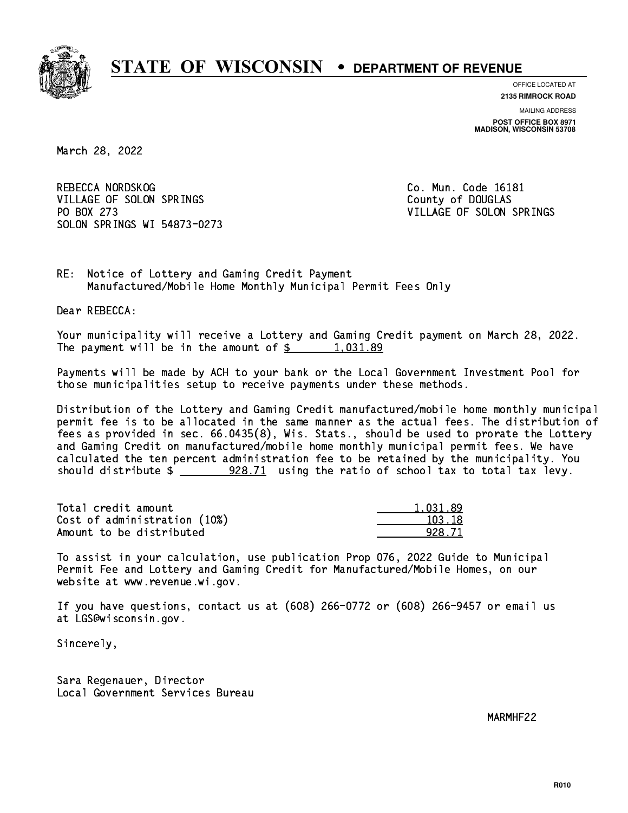

**OFFICE LOCATED AT**

**2135 RIMROCK ROAD**

**MAILING ADDRESS POST OFFICE BOX 8971 MADISON, WISCONSIN 53708**

March 28, 2022

REBECCA NORDSKOG COME CO. Mun. Code 16181 VILLAGE OF SOLON SPRINGS COUNTY OF DOUGLAS PO BOX 273 VILLAGE OF SOLON SPRINGS SOLON SPRINGS WI 54873-0273

RE: Notice of Lottery and Gaming Credit Payment Manufactured/Mobile Home Monthly Municipal Permit Fees Only

Dear REBECCA:

 Your municipality will receive a Lottery and Gaming Credit payment on March 28, 2022. The payment will be in the amount of  $\frac{2}{3}$  1,031.89

 Payments will be made by ACH to your bank or the Local Government Investment Pool for those municipalities setup to receive payments under these methods.

 Distribution of the Lottery and Gaming Credit manufactured/mobile home monthly municipal permit fee is to be allocated in the same manner as the actual fees. The distribution of fees as provided in sec. 66.0435(8), Wis. Stats., should be used to prorate the Lottery and Gaming Credit on manufactured/mobile home monthly municipal permit fees. We have calculated the ten percent administration fee to be retained by the municipality. You should distribute \$ 928.71 using the ratio of school tax to total tax levy. \_\_\_\_\_\_\_\_\_\_\_\_\_\_

| Total credit amount          | 1.031.89 |
|------------------------------|----------|
| Cost of administration (10%) | 103.18   |
| Amount to be distributed     | 928.71   |

 To assist in your calculation, use publication Prop 076, 2022 Guide to Municipal Permit Fee and Lottery and Gaming Credit for Manufactured/Mobile Homes, on our website at www.revenue.wi.gov.

 If you have questions, contact us at (608) 266-0772 or (608) 266-9457 or email us at LGS@wisconsin.gov.

Sincerely,

 Sara Regenauer, Director Local Government Services Bureau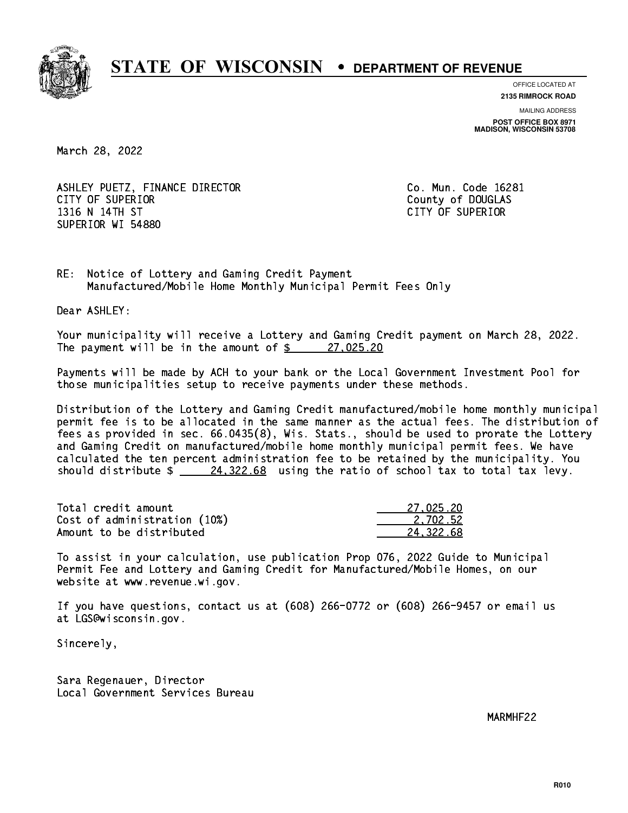

**OFFICE LOCATED AT**

**2135 RIMROCK ROAD**

**MAILING ADDRESS POST OFFICE BOX 8971 MADISON, WISCONSIN 53708**

March 28, 2022

ASHLEY PUETZ, FINANCE DIRECTOR CO. Mun. Code 16281 CITY OF SUPERIOR COUNTY COUNTY OF DOUGLAS 1316 N 14TH ST CITY OF SUPERIOR SUPERIOR WI 54880

RE: Notice of Lottery and Gaming Credit Payment Manufactured/Mobile Home Monthly Municipal Permit Fees Only

Dear ASHLEY:

 Your municipality will receive a Lottery and Gaming Credit payment on March 28, 2022. The payment will be in the amount of  $\frac{27,025.20}{27}$ 

 Payments will be made by ACH to your bank or the Local Government Investment Pool for those municipalities setup to receive payments under these methods.

 Distribution of the Lottery and Gaming Credit manufactured/mobile home monthly municipal permit fee is to be allocated in the same manner as the actual fees. The distribution of fees as provided in sec. 66.0435(8), Wis. Stats., should be used to prorate the Lottery and Gaming Credit on manufactured/mobile home monthly municipal permit fees. We have calculated the ten percent administration fee to be retained by the municipality. You should distribute  $\frac{24,322.68}{24,322.68}$  using the ratio of school tax to total tax levy.

| Total credit amount          | 27.025.20 |
|------------------------------|-----------|
| Cost of administration (10%) | 2.702.52  |
| Amount to be distributed     | 24.322.68 |

 To assist in your calculation, use publication Prop 076, 2022 Guide to Municipal Permit Fee and Lottery and Gaming Credit for Manufactured/Mobile Homes, on our website at www.revenue.wi.gov.

 If you have questions, contact us at (608) 266-0772 or (608) 266-9457 or email us at LGS@wisconsin.gov.

Sincerely,

 Sara Regenauer, Director Local Government Services Bureau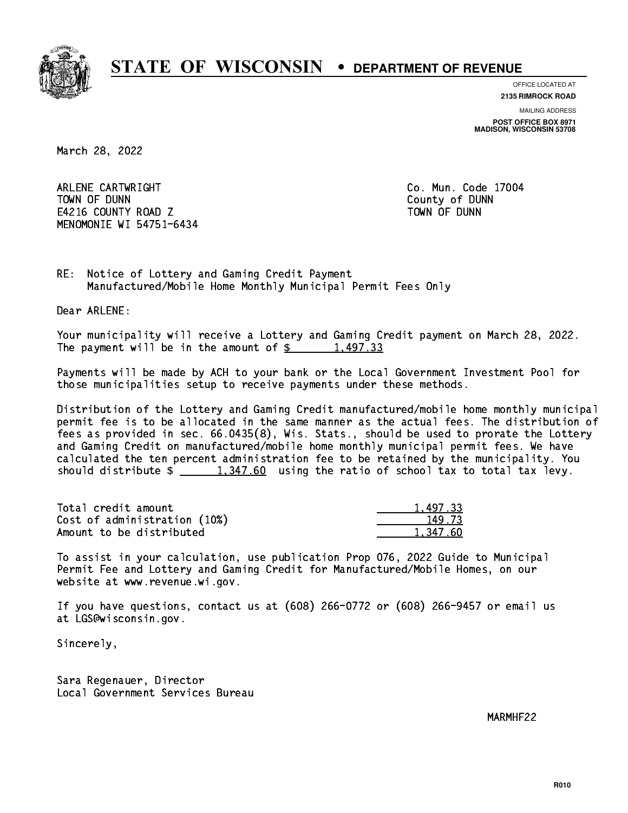

**OFFICE LOCATED AT**

**2135 RIMROCK ROAD**

**MAILING ADDRESS POST OFFICE BOX 8971 MADISON, WISCONSIN 53708**

March 28, 2022

 ARLENE CARTWRIGHT Co. Mun. Code 17004 TOWN OF DUNN County of DUNN E4216 COUNTY ROAD Z TOWN OF DUNN MENOMONIE WI 54751-6434

RE: Notice of Lottery and Gaming Credit Payment Manufactured/Mobile Home Monthly Municipal Permit Fees Only

Dear ARLENE:

 Your municipality will receive a Lottery and Gaming Credit payment on March 28, 2022. The payment will be in the amount of  $\frac{2}{3}$  1,497.33

 Payments will be made by ACH to your bank or the Local Government Investment Pool for those municipalities setup to receive payments under these methods.

 Distribution of the Lottery and Gaming Credit manufactured/mobile home monthly municipal permit fee is to be allocated in the same manner as the actual fees. The distribution of fees as provided in sec. 66.0435(8), Wis. Stats., should be used to prorate the Lottery and Gaming Credit on manufactured/mobile home monthly municipal permit fees. We have calculated the ten percent administration fee to be retained by the municipality. You should distribute  $\frac{1,347.60}{1,347.60}$  using the ratio of school tax to total tax levy.

| Total credit amount          | 1,497.33 |
|------------------------------|----------|
| Cost of administration (10%) | 149.73   |
| Amount to be distributed     | 1.347.60 |

 To assist in your calculation, use publication Prop 076, 2022 Guide to Municipal Permit Fee and Lottery and Gaming Credit for Manufactured/Mobile Homes, on our website at www.revenue.wi.gov.

 If you have questions, contact us at (608) 266-0772 or (608) 266-9457 or email us at LGS@wisconsin.gov.

Sincerely,

 Sara Regenauer, Director Local Government Services Bureau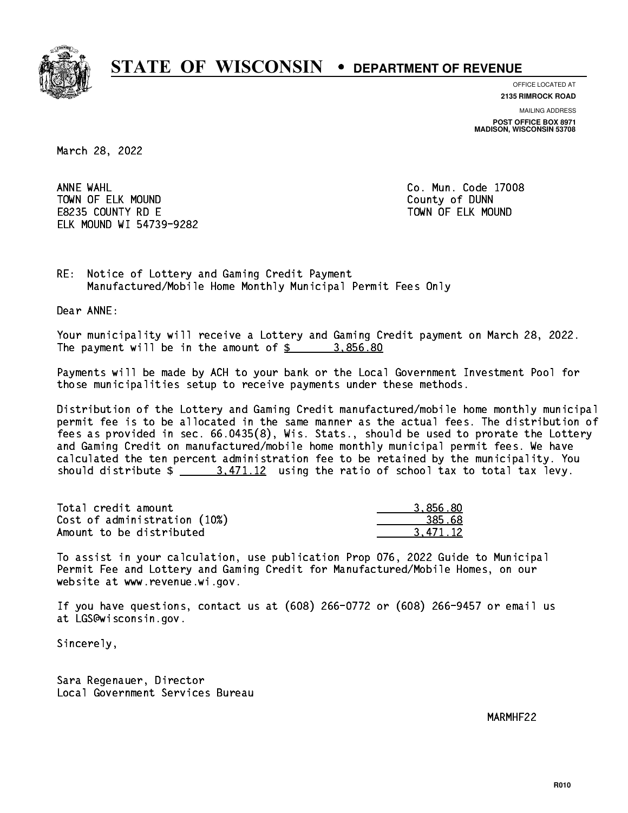

**OFFICE LOCATED AT**

**2135 RIMROCK ROAD**

**MAILING ADDRESS POST OFFICE BOX 8971 MADISON, WISCONSIN 53708**

March 28, 2022

ANNE WAHL TOWN OF ELK MOUND COUNTY OF DUNN E8235 COUNTY RD E TOWN OF ELK MOUND ELK MOUND WI 54739-9282

Co. Mun. Code 17008

RE: Notice of Lottery and Gaming Credit Payment Manufactured/Mobile Home Monthly Municipal Permit Fees Only

Dear ANNE:

 Your municipality will receive a Lottery and Gaming Credit payment on March 28, 2022. The payment will be in the amount of \$ 3,856.80 \_\_\_\_\_\_\_\_\_\_\_\_\_\_\_\_

 Payments will be made by ACH to your bank or the Local Government Investment Pool for those municipalities setup to receive payments under these methods.

 Distribution of the Lottery and Gaming Credit manufactured/mobile home monthly municipal permit fee is to be allocated in the same manner as the actual fees. The distribution of fees as provided in sec. 66.0435(8), Wis. Stats., should be used to prorate the Lottery and Gaming Credit on manufactured/mobile home monthly municipal permit fees. We have calculated the ten percent administration fee to be retained by the municipality. You should distribute  $\frac{2}{3}$   $\frac{3}{471.12}$  using the ratio of school tax to total tax levy.

| Total credit amount          | 3.856.80 |
|------------------------------|----------|
| Cost of administration (10%) | 385.68   |
| Amount to be distributed     | 3.471.12 |

 To assist in your calculation, use publication Prop 076, 2022 Guide to Municipal Permit Fee and Lottery and Gaming Credit for Manufactured/Mobile Homes, on our website at www.revenue.wi.gov.

 If you have questions, contact us at (608) 266-0772 or (608) 266-9457 or email us at LGS@wisconsin.gov.

Sincerely,

 Sara Regenauer, Director Local Government Services Bureau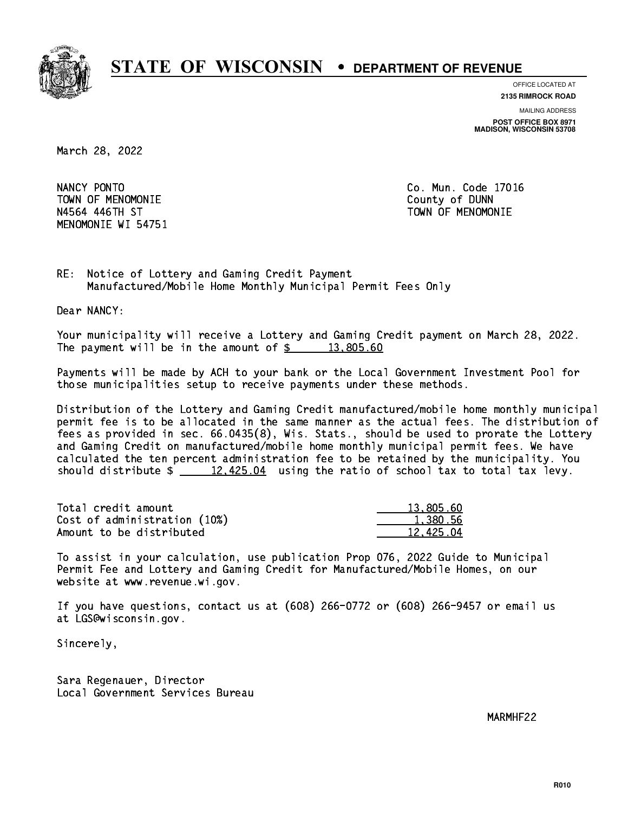

**OFFICE LOCATED AT**

**2135 RIMROCK ROAD**

**MAILING ADDRESS POST OFFICE BOX 8971 MADISON, WISCONSIN 53708**

March 28, 2022

NANCY PONTO TOWN OF MENOMONIE County of DUNN N4564 446TH ST TOWN OF MENOMONIE MENOMONIE WI 54751

Co. Mun. Code 17016

RE: Notice of Lottery and Gaming Credit Payment Manufactured/Mobile Home Monthly Municipal Permit Fees Only

Dear NANCY:

 Your municipality will receive a Lottery and Gaming Credit payment on March 28, 2022. The payment will be in the amount of  $\frac{2}{3}$  13,805.60

 Payments will be made by ACH to your bank or the Local Government Investment Pool for those municipalities setup to receive payments under these methods.

 Distribution of the Lottery and Gaming Credit manufactured/mobile home monthly municipal permit fee is to be allocated in the same manner as the actual fees. The distribution of fees as provided in sec. 66.0435(8), Wis. Stats., should be used to prorate the Lottery and Gaming Credit on manufactured/mobile home monthly municipal permit fees. We have calculated the ten percent administration fee to be retained by the municipality. You should distribute  $\frac{2}{2}$   $\frac{12,425.04}{2}$  using the ratio of school tax to total tax levy.

| Total credit amount          | 13,805.60 |
|------------------------------|-----------|
| Cost of administration (10%) | 1,380.56  |
| Amount to be distributed     | 12.425.04 |

 To assist in your calculation, use publication Prop 076, 2022 Guide to Municipal Permit Fee and Lottery and Gaming Credit for Manufactured/Mobile Homes, on our website at www.revenue.wi.gov.

 If you have questions, contact us at (608) 266-0772 or (608) 266-9457 or email us at LGS@wisconsin.gov.

Sincerely,

 Sara Regenauer, Director Local Government Services Bureau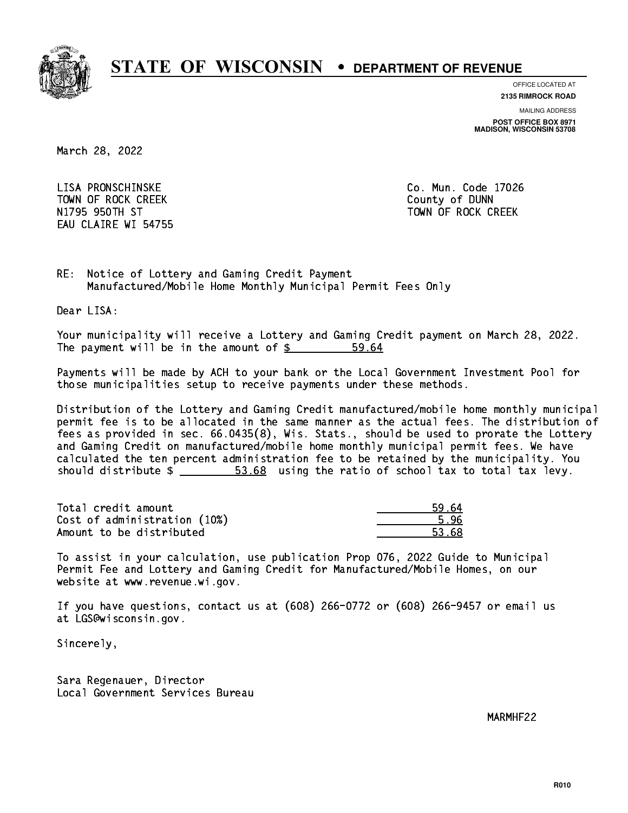

**OFFICE LOCATED AT**

**2135 RIMROCK ROAD**

**MAILING ADDRESS POST OFFICE BOX 8971 MADISON, WISCONSIN 53708**

March 28, 2022

 LISA PRONSCHINSKE Co. Mun. Code 17026 TOWN OF ROCK CREEK COUNTY OF DUNN N1795 950TH ST TOWN OF ROCK CREEK EAU CLAIRE WI 54755

RE: Notice of Lottery and Gaming Credit Payment Manufactured/Mobile Home Monthly Municipal Permit Fees Only

Dear LISA:

 Your municipality will receive a Lottery and Gaming Credit payment on March 28, 2022. The payment will be in the amount of  $\frac{2}{3}$ 59.64

 Payments will be made by ACH to your bank or the Local Government Investment Pool for those municipalities setup to receive payments under these methods.

 Distribution of the Lottery and Gaming Credit manufactured/mobile home monthly municipal permit fee is to be allocated in the same manner as the actual fees. The distribution of fees as provided in sec. 66.0435(8), Wis. Stats., should be used to prorate the Lottery and Gaming Credit on manufactured/mobile home monthly municipal permit fees. We have calculated the ten percent administration fee to be retained by the municipality. You should distribute  $\frac{2}{1}$   $\frac{53.68}{1000}$  using the ratio of school tax to total tax levy.

Total credit amount Cost of administration (10%) Amount to be distributed

| 4   |
|-----|
| ۳   |
| -8. |

 To assist in your calculation, use publication Prop 076, 2022 Guide to Municipal Permit Fee and Lottery and Gaming Credit for Manufactured/Mobile Homes, on our website at www.revenue.wi.gov.

 If you have questions, contact us at (608) 266-0772 or (608) 266-9457 or email us at LGS@wisconsin.gov.

Sincerely,

 Sara Regenauer, Director Local Government Services Bureau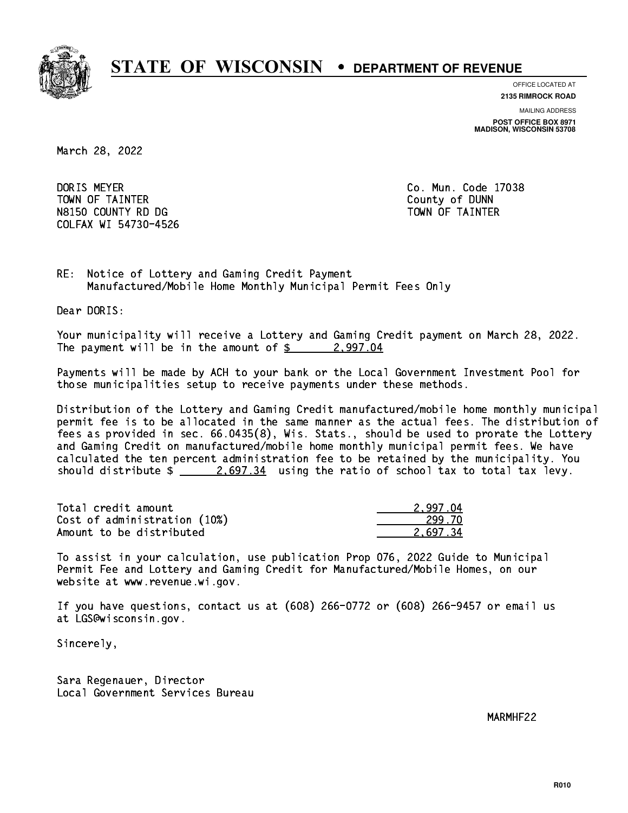

**OFFICE LOCATED AT**

**2135 RIMROCK ROAD**

**MAILING ADDRESS POST OFFICE BOX 8971 MADISON, WISCONSIN 53708**

March 28, 2022

DORIS MEYER TOWN OF TAINTER County of DUNN N8150 COUNTY RD DG TAINTER TOWN OF TAINTER COLFAX WI 54730-4526

Co. Mun. Code 17038

RE: Notice of Lottery and Gaming Credit Payment Manufactured/Mobile Home Monthly Municipal Permit Fees Only

Dear DORIS:

 Your municipality will receive a Lottery and Gaming Credit payment on March 28, 2022. The payment will be in the amount of  $\frac{2}{9}$  2,997.04

 Payments will be made by ACH to your bank or the Local Government Investment Pool for those municipalities setup to receive payments under these methods.

 Distribution of the Lottery and Gaming Credit manufactured/mobile home monthly municipal permit fee is to be allocated in the same manner as the actual fees. The distribution of fees as provided in sec. 66.0435(8), Wis. Stats., should be used to prorate the Lottery and Gaming Credit on manufactured/mobile home monthly municipal permit fees. We have calculated the ten percent administration fee to be retained by the municipality. You should distribute  $\frac{2.697.34}{2.697.34}$  using the ratio of school tax to total tax levy.

| Total credit amount          | 2.997.04 |
|------------------------------|----------|
| Cost of administration (10%) | 299.70   |
| Amount to be distributed     | 2.697.34 |

 To assist in your calculation, use publication Prop 076, 2022 Guide to Municipal Permit Fee and Lottery and Gaming Credit for Manufactured/Mobile Homes, on our website at www.revenue.wi.gov.

 If you have questions, contact us at (608) 266-0772 or (608) 266-9457 or email us at LGS@wisconsin.gov.

Sincerely,

 Sara Regenauer, Director Local Government Services Bureau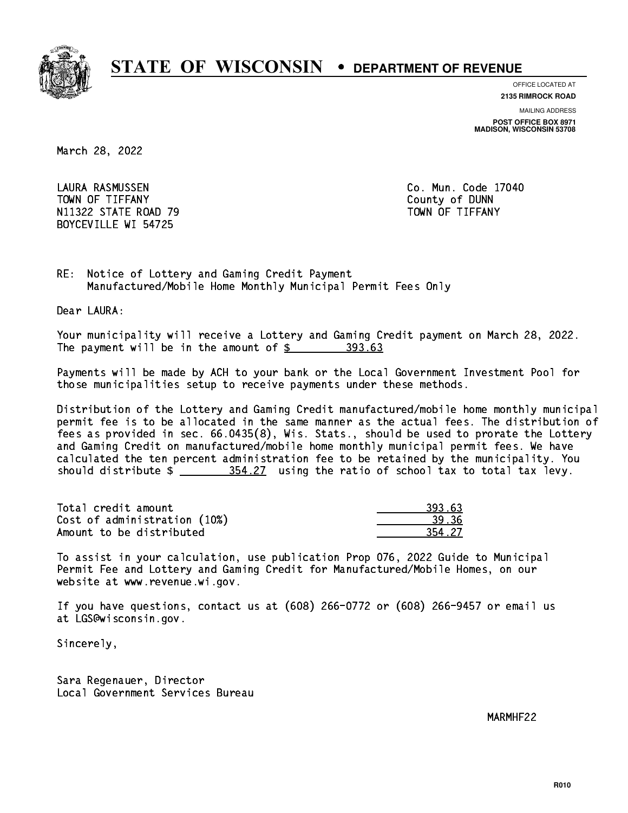

**OFFICE LOCATED AT**

**2135 RIMROCK ROAD**

**MAILING ADDRESS POST OFFICE BOX 8971 MADISON, WISCONSIN 53708**

March 28, 2022

 LAURA RASMUSSEN Co. Mun. Code 17040 TOWN OF TIFFANY County of DUNN N11322 STATE ROAD 79 TOWN OF TIFFANY BOYCEVILLE WI 54725

RE: Notice of Lottery and Gaming Credit Payment Manufactured/Mobile Home Monthly Municipal Permit Fees Only

Dear LAURA:

 Your municipality will receive a Lottery and Gaming Credit payment on March 28, 2022. The payment will be in the amount of \$ 393.63 \_\_\_\_\_\_\_\_\_\_\_\_\_\_\_\_

 Payments will be made by ACH to your bank or the Local Government Investment Pool for those municipalities setup to receive payments under these methods.

 Distribution of the Lottery and Gaming Credit manufactured/mobile home monthly municipal permit fee is to be allocated in the same manner as the actual fees. The distribution of fees as provided in sec. 66.0435(8), Wis. Stats., should be used to prorate the Lottery and Gaming Credit on manufactured/mobile home monthly municipal permit fees. We have calculated the ten percent administration fee to be retained by the municipality. You should distribute  $\frac{254.27}{1000}$  using the ratio of school tax to total tax levy.

| Total credit amount          | 393.63 |
|------------------------------|--------|
| Cost of administration (10%) | 39.36  |
| Amount to be distributed     | 354.27 |

 To assist in your calculation, use publication Prop 076, 2022 Guide to Municipal Permit Fee and Lottery and Gaming Credit for Manufactured/Mobile Homes, on our website at www.revenue.wi.gov.

 If you have questions, contact us at (608) 266-0772 or (608) 266-9457 or email us at LGS@wisconsin.gov.

Sincerely,

 Sara Regenauer, Director Local Government Services Bureau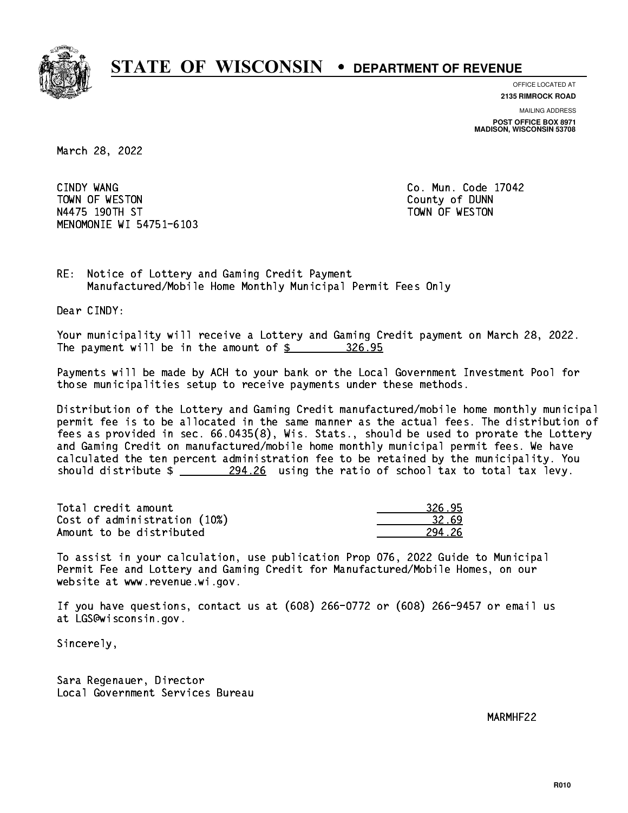

**OFFICE LOCATED AT 2135 RIMROCK ROAD**

**MAILING ADDRESS**

**POST OFFICE BOX 8971 MADISON, WISCONSIN 53708**

March 28, 2022

CINDY WANG TOWN OF WESTON COUNTY OF DUNN N4475 190TH ST TOWN OF WESTON MENOMONIE WI 54751-6103

Co. Mun. Code 17042

RE: Notice of Lottery and Gaming Credit Payment Manufactured/Mobile Home Monthly Municipal Permit Fees Only

Dear CINDY:

 Your municipality will receive a Lottery and Gaming Credit payment on March 28, 2022. The payment will be in the amount of  $\frac{26.95}{10.25}$ 

 Payments will be made by ACH to your bank or the Local Government Investment Pool for those municipalities setup to receive payments under these methods.

 Distribution of the Lottery and Gaming Credit manufactured/mobile home monthly municipal permit fee is to be allocated in the same manner as the actual fees. The distribution of fees as provided in sec. 66.0435(8), Wis. Stats., should be used to prorate the Lottery and Gaming Credit on manufactured/mobile home monthly municipal permit fees. We have calculated the ten percent administration fee to be retained by the municipality. You should distribute  $\frac{294.26}{294.26}$  using the ratio of school tax to total tax levy.

| Total credit amount          | 326.95 |
|------------------------------|--------|
| Cost of administration (10%) | 32.69  |
| Amount to be distributed     | 294 26 |

 To assist in your calculation, use publication Prop 076, 2022 Guide to Municipal Permit Fee and Lottery and Gaming Credit for Manufactured/Mobile Homes, on our website at www.revenue.wi.gov.

 If you have questions, contact us at (608) 266-0772 or (608) 266-9457 or email us at LGS@wisconsin.gov.

Sincerely,

 Sara Regenauer, Director Local Government Services Bureau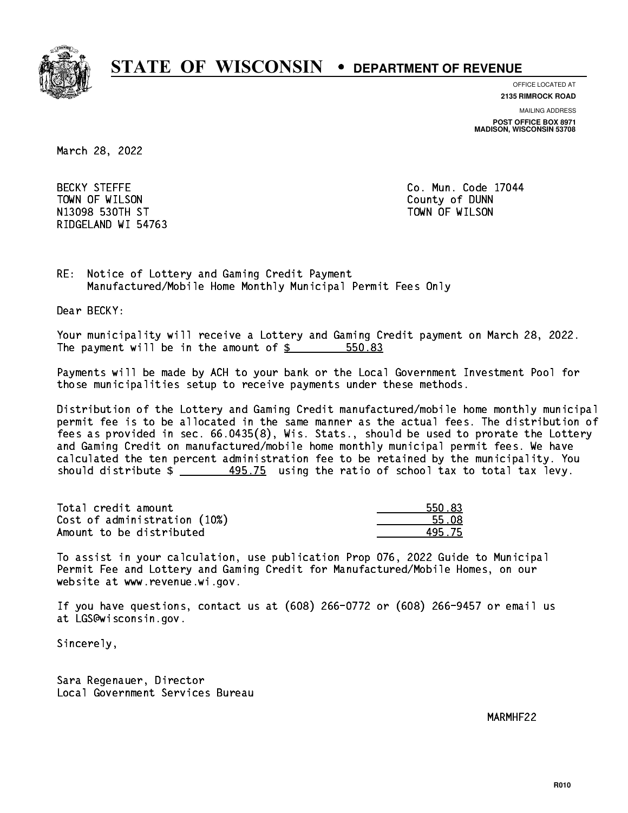

**OFFICE LOCATED AT**

**MAILING ADDRESS 2135 RIMROCK ROAD**

**POST OFFICE BOX 8971 MADISON, WISCONSIN 53708**

March 28, 2022

**BECKY STEFFE** TOWN OF WILSON County of DUNN N13098 ST TOWN OF WILSON ST TOWN OF WILSON ST TOWN OF WILSON ST TOWN OF WILSON ST TOWN OF WILSON ST TOWN OF WILSON ST RIDGELAND WI 54763

Co. Mun. Code 17044

RE: Notice of Lottery and Gaming Credit Payment Manufactured/Mobile Home Monthly Municipal Permit Fees Only

Dear BECKY:

 Your municipality will receive a Lottery and Gaming Credit payment on March 28, 2022. The payment will be in the amount of \$ 550.83 \_\_\_\_\_\_\_\_\_\_\_\_\_\_\_\_

 Payments will be made by ACH to your bank or the Local Government Investment Pool for those municipalities setup to receive payments under these methods.

 Distribution of the Lottery and Gaming Credit manufactured/mobile home monthly municipal permit fee is to be allocated in the same manner as the actual fees. The distribution of fees as provided in sec. 66.0435(8), Wis. Stats., should be used to prorate the Lottery and Gaming Credit on manufactured/mobile home monthly municipal permit fees. We have calculated the ten percent administration fee to be retained by the municipality. You should distribute  $\frac{495.75}{2}$  using the ratio of school tax to total tax levy.

| Total credit amount          | 550.83 |
|------------------------------|--------|
| Cost of administration (10%) | 55.08  |
| Amount to be distributed     | 495.75 |

 To assist in your calculation, use publication Prop 076, 2022 Guide to Municipal Permit Fee and Lottery and Gaming Credit for Manufactured/Mobile Homes, on our website at www.revenue.wi.gov.

 If you have questions, contact us at (608) 266-0772 or (608) 266-9457 or email us at LGS@wisconsin.gov.

Sincerely,

 Sara Regenauer, Director Local Government Services Bureau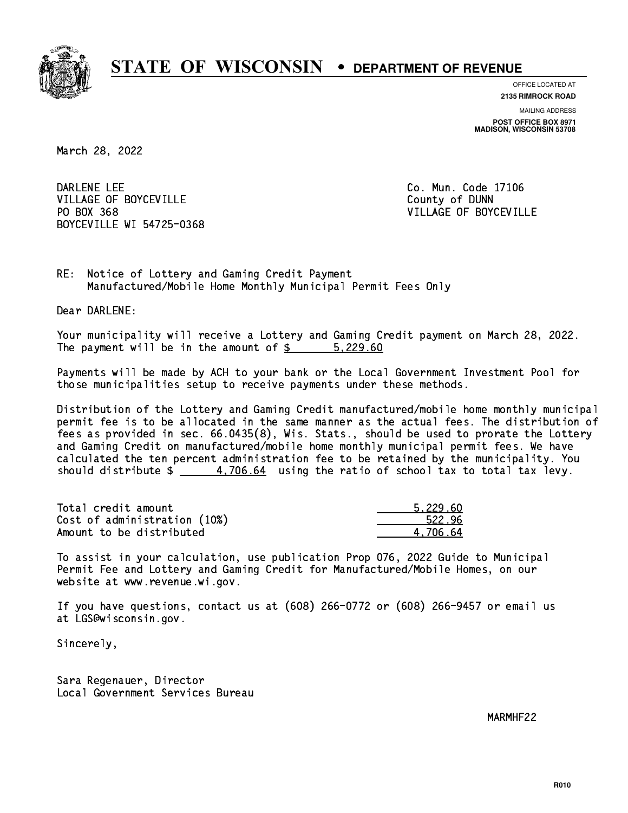

**OFFICE LOCATED AT**

**2135 RIMROCK ROAD**

**MAILING ADDRESS POST OFFICE BOX 8971 MADISON, WISCONSIN 53708**

March 28, 2022

DARLENE LEE VILLAGE OF BOYCEVILLE **COUNTY OF SEXUAL COUNTY OF BOYCEVILLE** PO BOX 368 BOYCEVILLE WI 54725-0368

Co. Mun. Code 17106 VILLAGE OF BOYCEVILLE

RE: Notice of Lottery and Gaming Credit Payment Manufactured/Mobile Home Monthly Municipal Permit Fees Only

Dear DARLENE:

 Your municipality will receive a Lottery and Gaming Credit payment on March 28, 2022. The payment will be in the amount of \$ 5,229.60 \_\_\_\_\_\_\_\_\_\_\_\_\_\_\_\_

 Payments will be made by ACH to your bank or the Local Government Investment Pool for those municipalities setup to receive payments under these methods.

 Distribution of the Lottery and Gaming Credit manufactured/mobile home monthly municipal permit fee is to be allocated in the same manner as the actual fees. The distribution of fees as provided in sec. 66.0435(8), Wis. Stats., should be used to prorate the Lottery and Gaming Credit on manufactured/mobile home monthly municipal permit fees. We have calculated the ten percent administration fee to be retained by the municipality. You should distribute  $\frac{4.706.64}{2}$  using the ratio of school tax to total tax levy.

| Total credit amount          | 5.229.60 |
|------------------------------|----------|
| Cost of administration (10%) | 522.96   |
| Amount to be distributed     | 4.706.64 |

 To assist in your calculation, use publication Prop 076, 2022 Guide to Municipal Permit Fee and Lottery and Gaming Credit for Manufactured/Mobile Homes, on our website at www.revenue.wi.gov.

 If you have questions, contact us at (608) 266-0772 or (608) 266-9457 or email us at LGS@wisconsin.gov.

Sincerely,

 Sara Regenauer, Director Local Government Services Bureau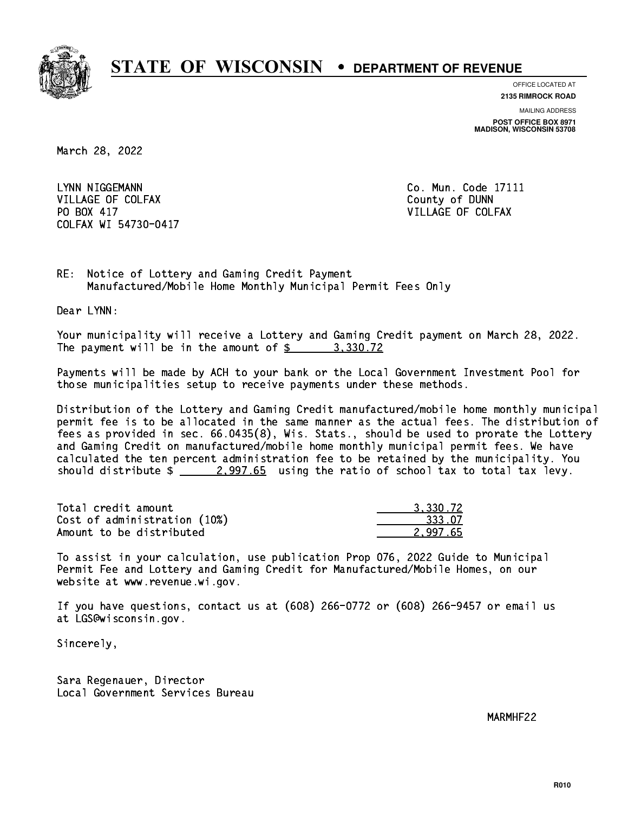

**OFFICE LOCATED AT**

**2135 RIMROCK ROAD**

**MAILING ADDRESS POST OFFICE BOX 8971 MADISON, WISCONSIN 53708**

March 28, 2022

LYNN NIGGEMANN VILLAGE OF COLFAX COUNTY OF DUNN PO BOX 417 COLFAX WI 54730-0417

Co. Mun. Code 17111 VILLAGE OF COLFAX

RE: Notice of Lottery and Gaming Credit Payment Manufactured/Mobile Home Monthly Municipal Permit Fees Only

Dear LYNN:

 Your municipality will receive a Lottery and Gaming Credit payment on March 28, 2022. The payment will be in the amount of  $\frac{2}{3}$  3,330.72

 Payments will be made by ACH to your bank or the Local Government Investment Pool for those municipalities setup to receive payments under these methods.

 Distribution of the Lottery and Gaming Credit manufactured/mobile home monthly municipal permit fee is to be allocated in the same manner as the actual fees. The distribution of fees as provided in sec. 66.0435(8), Wis. Stats., should be used to prorate the Lottery and Gaming Credit on manufactured/mobile home monthly municipal permit fees. We have calculated the ten percent administration fee to be retained by the municipality. You should distribute  $\frac{2.997.65}{2.997.65}$  using the ratio of school tax to total tax levy.

| Total credit amount          | 3,330.72 |
|------------------------------|----------|
| Cost of administration (10%) | 333.07   |
| Amount to be distributed     | 2.997.65 |

 To assist in your calculation, use publication Prop 076, 2022 Guide to Municipal Permit Fee and Lottery and Gaming Credit for Manufactured/Mobile Homes, on our website at www.revenue.wi.gov.

 If you have questions, contact us at (608) 266-0772 or (608) 266-9457 or email us at LGS@wisconsin.gov.

Sincerely,

 Sara Regenauer, Director Local Government Services Bureau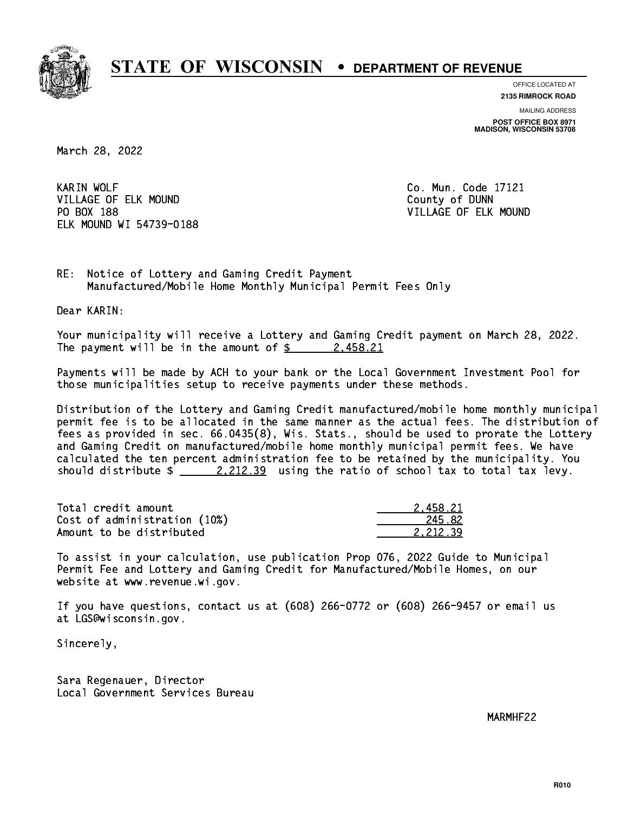

**OFFICE LOCATED AT**

**2135 RIMROCK ROAD**

**MAILING ADDRESS POST OFFICE BOX 8971 MADISON, WISCONSIN 53708**

March 28, 2022

**KARIN WOLF** VILLAGE OF ELK MOUND COUNTY OF DUNN PO BOX 188 ELK MOUND WI 54739-0188

Co. Mun. Code 17121 VILLAGE OF ELK MOUND

RE: Notice of Lottery and Gaming Credit Payment Manufactured/Mobile Home Monthly Municipal Permit Fees Only

Dear KARIN:

 Your municipality will receive a Lottery and Gaming Credit payment on March 28, 2022. The payment will be in the amount of  $\frac{2}{3}$  2,458.21

 Payments will be made by ACH to your bank or the Local Government Investment Pool for those municipalities setup to receive payments under these methods.

 Distribution of the Lottery and Gaming Credit manufactured/mobile home monthly municipal permit fee is to be allocated in the same manner as the actual fees. The distribution of fees as provided in sec. 66.0435(8), Wis. Stats., should be used to prorate the Lottery and Gaming Credit on manufactured/mobile home monthly municipal permit fees. We have calculated the ten percent administration fee to be retained by the municipality. You should distribute  $\frac{2.212.39}{ }$  using the ratio of school tax to total tax levy.

| Total credit amount          | 2.458.21 |
|------------------------------|----------|
| Cost of administration (10%) | 245.82   |
| Amount to be distributed     | 2.212.39 |

 To assist in your calculation, use publication Prop 076, 2022 Guide to Municipal Permit Fee and Lottery and Gaming Credit for Manufactured/Mobile Homes, on our website at www.revenue.wi.gov.

 If you have questions, contact us at (608) 266-0772 or (608) 266-9457 or email us at LGS@wisconsin.gov.

Sincerely,

 Sara Regenauer, Director Local Government Services Bureau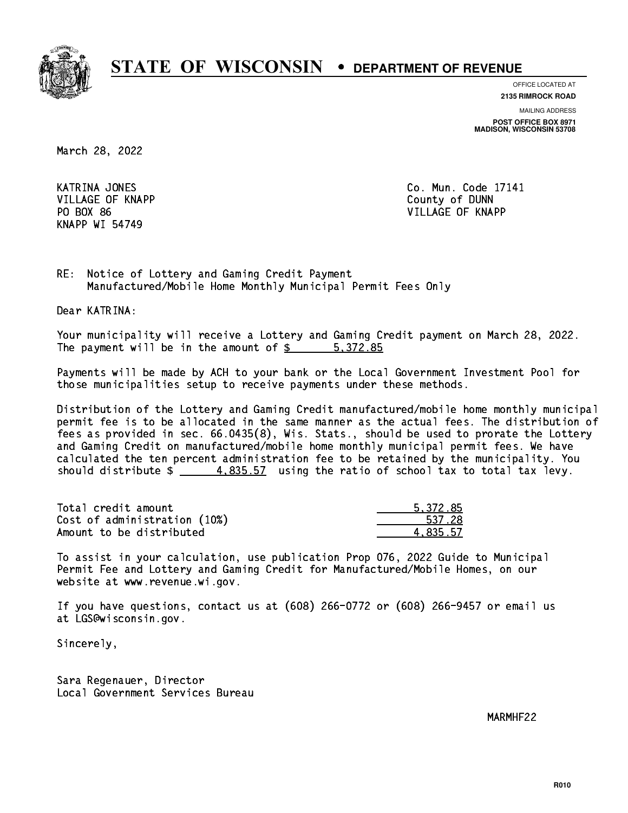

**OFFICE LOCATED AT**

**2135 RIMROCK ROAD**

**MAILING ADDRESS POST OFFICE BOX 8971 MADISON, WISCONSIN 53708**

March 28, 2022

**KATRINA JONES**  VILLAGE OF KNAPP County of DUNN KNAPP WI 54749

Co. Mun. Code 17141 PO BOX 86 VILLAGE OF KNAPP

RE: Notice of Lottery and Gaming Credit Payment Manufactured/Mobile Home Monthly Municipal Permit Fees Only

Dear KATRINA:

 Your municipality will receive a Lottery and Gaming Credit payment on March 28, 2022. The payment will be in the amount of \$ 5,372.85 \_\_\_\_\_\_\_\_\_\_\_\_\_\_\_\_

 Payments will be made by ACH to your bank or the Local Government Investment Pool for those municipalities setup to receive payments under these methods.

 Distribution of the Lottery and Gaming Credit manufactured/mobile home monthly municipal permit fee is to be allocated in the same manner as the actual fees. The distribution of fees as provided in sec. 66.0435(8), Wis. Stats., should be used to prorate the Lottery and Gaming Credit on manufactured/mobile home monthly municipal permit fees. We have calculated the ten percent administration fee to be retained by the municipality. You should distribute  $\frac{4}{1}$   $\frac{4,835.57}{2}$  using the ratio of school tax to total tax levy.

| Total credit amount          | 5.372.85 |
|------------------------------|----------|
| Cost of administration (10%) | 537.28   |
| Amount to be distributed     | 4.835.57 |

 To assist in your calculation, use publication Prop 076, 2022 Guide to Municipal Permit Fee and Lottery and Gaming Credit for Manufactured/Mobile Homes, on our website at www.revenue.wi.gov.

 If you have questions, contact us at (608) 266-0772 or (608) 266-9457 or email us at LGS@wisconsin.gov.

Sincerely,

 Sara Regenauer, Director Local Government Services Bureau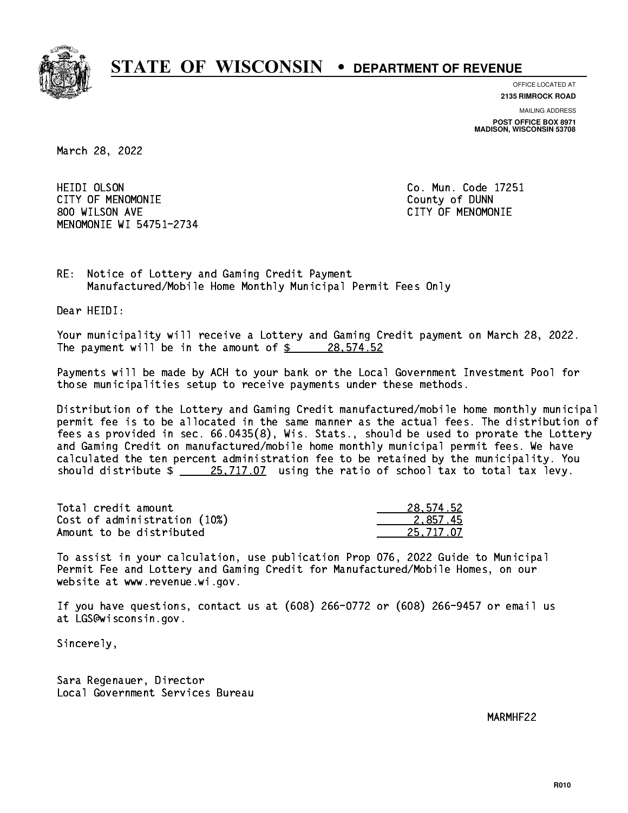

**OFFICE LOCATED AT**

**2135 RIMROCK ROAD**

**MAILING ADDRESS POST OFFICE BOX 8971 MADISON, WISCONSIN 53708**

March 28, 2022

**HEIDI OLSON**  CITY OF MENOMONIE County of DUNN 800 WILSON AVE CITY OF MENOMONIE MENOMONIE WI 54751-2734

Co. Mun. Code 17251

RE: Notice of Lottery and Gaming Credit Payment Manufactured/Mobile Home Monthly Municipal Permit Fees Only

Dear HEIDI:

 Your municipality will receive a Lottery and Gaming Credit payment on March 28, 2022. The payment will be in the amount of  $\frac{28.574.52}{28.574.52}$ 

 Payments will be made by ACH to your bank or the Local Government Investment Pool for those municipalities setup to receive payments under these methods.

 Distribution of the Lottery and Gaming Credit manufactured/mobile home monthly municipal permit fee is to be allocated in the same manner as the actual fees. The distribution of fees as provided in sec. 66.0435(8), Wis. Stats., should be used to prorate the Lottery and Gaming Credit on manufactured/mobile home monthly municipal permit fees. We have calculated the ten percent administration fee to be retained by the municipality. You should distribute  $\frac{25,717.07}{25,717.07}$  using the ratio of school tax to total tax levy.

| Total credit amount          | 28,574.52 |
|------------------------------|-----------|
| Cost of administration (10%) | 2.857.45  |
| Amount to be distributed     | 25,717.07 |

 To assist in your calculation, use publication Prop 076, 2022 Guide to Municipal Permit Fee and Lottery and Gaming Credit for Manufactured/Mobile Homes, on our website at www.revenue.wi.gov.

 If you have questions, contact us at (608) 266-0772 or (608) 266-9457 or email us at LGS@wisconsin.gov.

Sincerely,

 Sara Regenauer, Director Local Government Services Bureau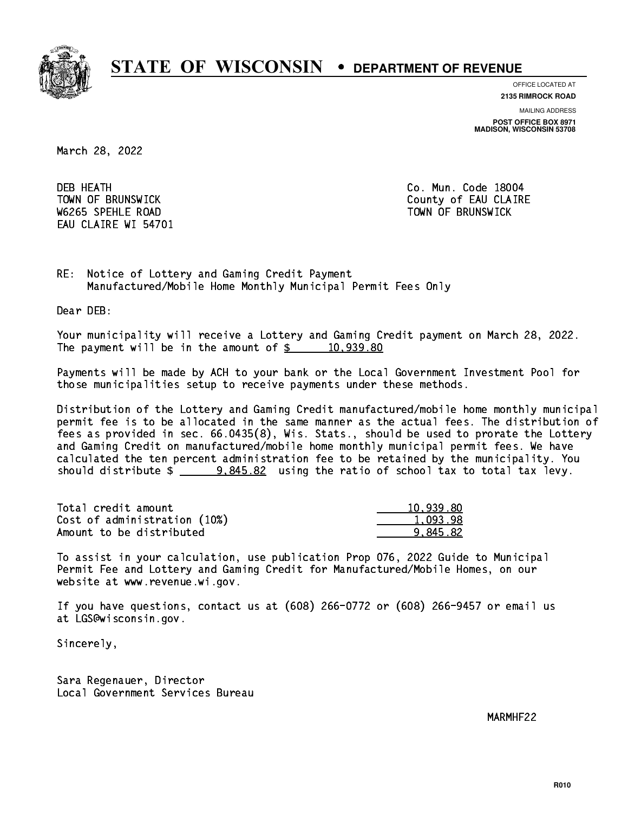

**OFFICE LOCATED AT**

**2135 RIMROCK ROAD**

**MAILING ADDRESS POST OFFICE BOX 8971 MADISON, WISCONSIN 53708**

March 28, 2022

**DEB HEATH** W6265 SPEHLE ROAD TOWN OF BRUNSWICK EAU CLAIRE WI 54701

Co. Mun. Code 18004 TOWN OF BRUNSWICK County of EAU CLAIRE

RE: Notice of Lottery and Gaming Credit Payment Manufactured/Mobile Home Monthly Municipal Permit Fees Only

Dear DEB:

 Your municipality will receive a Lottery and Gaming Credit payment on March 28, 2022. The payment will be in the amount of  $\frac{2}{3}$  10,939.80

 Payments will be made by ACH to your bank or the Local Government Investment Pool for those municipalities setup to receive payments under these methods.

 Distribution of the Lottery and Gaming Credit manufactured/mobile home monthly municipal permit fee is to be allocated in the same manner as the actual fees. The distribution of fees as provided in sec. 66.0435(8), Wis. Stats., should be used to prorate the Lottery and Gaming Credit on manufactured/mobile home monthly municipal permit fees. We have calculated the ten percent administration fee to be retained by the municipality. You should distribute  $\frac{2}{2}$   $\frac{9,845.82}{2}$  using the ratio of school tax to total tax levy.

| Total credit amount          | 10,939.80 |
|------------------------------|-----------|
| Cost of administration (10%) | 1,093.98  |
| Amount to be distributed     | 9.845.82  |

 To assist in your calculation, use publication Prop 076, 2022 Guide to Municipal Permit Fee and Lottery and Gaming Credit for Manufactured/Mobile Homes, on our website at www.revenue.wi.gov.

 If you have questions, contact us at (608) 266-0772 or (608) 266-9457 or email us at LGS@wisconsin.gov.

Sincerely,

 Sara Regenauer, Director Local Government Services Bureau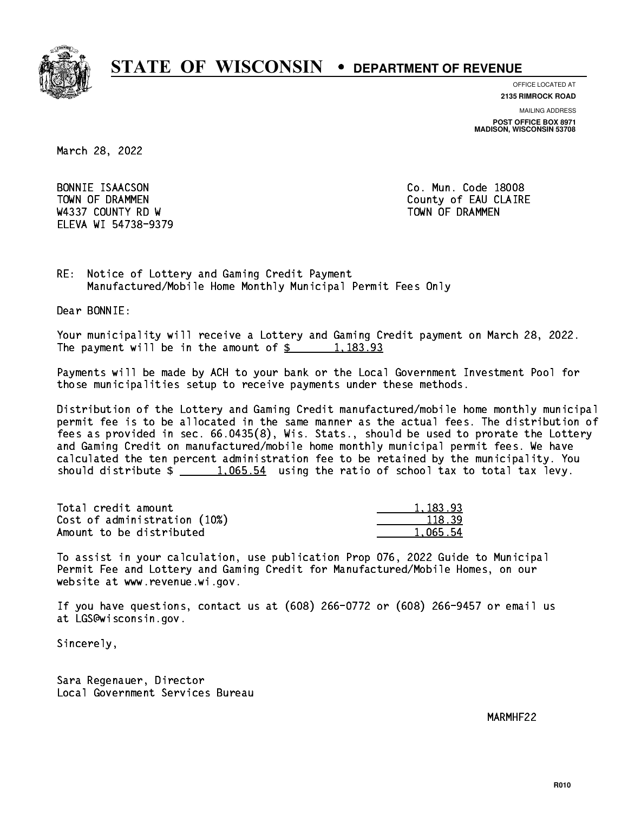

**OFFICE LOCATED AT**

**2135 RIMROCK ROAD**

**MAILING ADDRESS POST OFFICE BOX 8971 MADISON, WISCONSIN 53708**

March 28, 2022

BONNIE ISAACSON W4337 COUNTY RD W TOWN OF DRAMMEN ELEVA WI 54738-9379

Co. Mun. Code 18008 TOWN OF DRAMMEN COUNTY OF EAU CLAIRE

RE: Notice of Lottery and Gaming Credit Payment Manufactured/Mobile Home Monthly Municipal Permit Fees Only

Dear BONNIE:

 Your municipality will receive a Lottery and Gaming Credit payment on March 28, 2022. The payment will be in the amount of  $\frac{2}{3}$  1,183.93

 Payments will be made by ACH to your bank or the Local Government Investment Pool for those municipalities setup to receive payments under these methods.

 Distribution of the Lottery and Gaming Credit manufactured/mobile home monthly municipal permit fee is to be allocated in the same manner as the actual fees. The distribution of fees as provided in sec. 66.0435(8), Wis. Stats., should be used to prorate the Lottery and Gaming Credit on manufactured/mobile home monthly municipal permit fees. We have calculated the ten percent administration fee to be retained by the municipality. You should distribute  $\frac{1,065.54}{1,065.54}$  using the ratio of school tax to total tax levy.

| Total credit amount          | 1,183.93 |
|------------------------------|----------|
| Cost of administration (10%) | 118.39   |
| Amount to be distributed     | 1.065.54 |

 To assist in your calculation, use publication Prop 076, 2022 Guide to Municipal Permit Fee and Lottery and Gaming Credit for Manufactured/Mobile Homes, on our website at www.revenue.wi.gov.

 If you have questions, contact us at (608) 266-0772 or (608) 266-9457 or email us at LGS@wisconsin.gov.

Sincerely,

 Sara Regenauer, Director Local Government Services Bureau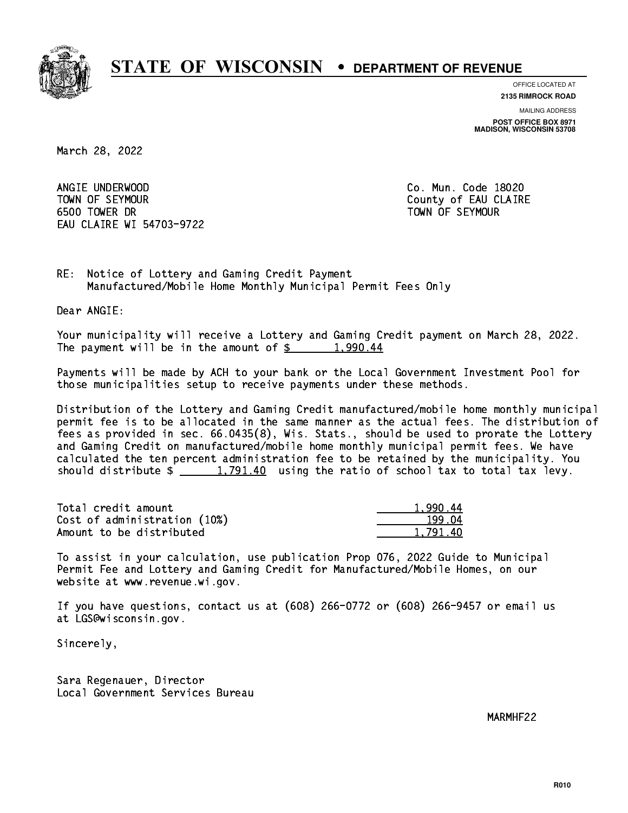

**OFFICE LOCATED AT**

**2135 RIMROCK ROAD**

**MAILING ADDRESS POST OFFICE BOX 8971 MADISON, WISCONSIN 53708**

March 28, 2022

 ANGIE UNDERWOOD Co. Mun. Code 18020 TOWN OF SEYMOUR County of EAU CLAIRE 6500 TOWER DR TOWN OF SEYMOUR EAU CLAIRE WI 54703-9722

RE: Notice of Lottery and Gaming Credit Payment Manufactured/Mobile Home Monthly Municipal Permit Fees Only

Dear ANGIE:

 Your municipality will receive a Lottery and Gaming Credit payment on March 28, 2022. The payment will be in the amount of  $\frac{2}{3}$  1,990.44

 Payments will be made by ACH to your bank or the Local Government Investment Pool for those municipalities setup to receive payments under these methods.

 Distribution of the Lottery and Gaming Credit manufactured/mobile home monthly municipal permit fee is to be allocated in the same manner as the actual fees. The distribution of fees as provided in sec. 66.0435(8), Wis. Stats., should be used to prorate the Lottery and Gaming Credit on manufactured/mobile home monthly municipal permit fees. We have calculated the ten percent administration fee to be retained by the municipality. You should distribute  $\frac{1,791.40}{1,791.40}$  using the ratio of school tax to total tax levy.

| Total credit amount          | 1.990.44 |
|------------------------------|----------|
| Cost of administration (10%) | 199.04   |
| Amount to be distributed     | 1.791.40 |

 To assist in your calculation, use publication Prop 076, 2022 Guide to Municipal Permit Fee and Lottery and Gaming Credit for Manufactured/Mobile Homes, on our website at www.revenue.wi.gov.

 If you have questions, contact us at (608) 266-0772 or (608) 266-9457 or email us at LGS@wisconsin.gov.

Sincerely,

 Sara Regenauer, Director Local Government Services Bureau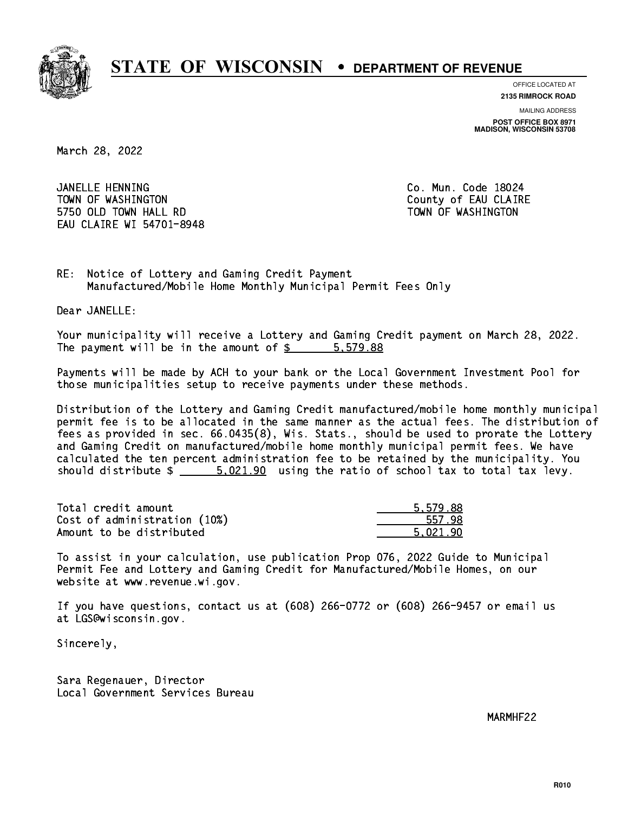

**OFFICE LOCATED AT**

**2135 RIMROCK ROAD**

**MAILING ADDRESS POST OFFICE BOX 8971 MADISON, WISCONSIN 53708**

March 28, 2022

 JANELLE HENNING Co. Mun. Code 18024 TOWN OF WASHINGTON COUNTY OF EAU CLAIRE 5750 OLD TOWN HALL RD TOWN OF WASHINGTON EAU CLAIRE WI 54701-8948

RE: Notice of Lottery and Gaming Credit Payment Manufactured/Mobile Home Monthly Municipal Permit Fees Only

Dear JANELLE:

 Your municipality will receive a Lottery and Gaming Credit payment on March 28, 2022. The payment will be in the amount of \$ 5,579.88 \_\_\_\_\_\_\_\_\_\_\_\_\_\_\_\_

 Payments will be made by ACH to your bank or the Local Government Investment Pool for those municipalities setup to receive payments under these methods.

 Distribution of the Lottery and Gaming Credit manufactured/mobile home monthly municipal permit fee is to be allocated in the same manner as the actual fees. The distribution of fees as provided in sec. 66.0435(8), Wis. Stats., should be used to prorate the Lottery and Gaming Credit on manufactured/mobile home monthly municipal permit fees. We have calculated the ten percent administration fee to be retained by the municipality. You should distribute  $\frac{2}{1}$   $\frac{5.021.90}{1.90}$  using the ratio of school tax to total tax levy.

| Total credit amount          | 5.579.88 |
|------------------------------|----------|
| Cost of administration (10%) | 557.98   |
| Amount to be distributed     | 5.021.90 |

 To assist in your calculation, use publication Prop 076, 2022 Guide to Municipal Permit Fee and Lottery and Gaming Credit for Manufactured/Mobile Homes, on our website at www.revenue.wi.gov.

 If you have questions, contact us at (608) 266-0772 or (608) 266-9457 or email us at LGS@wisconsin.gov.

Sincerely,

 Sara Regenauer, Director Local Government Services Bureau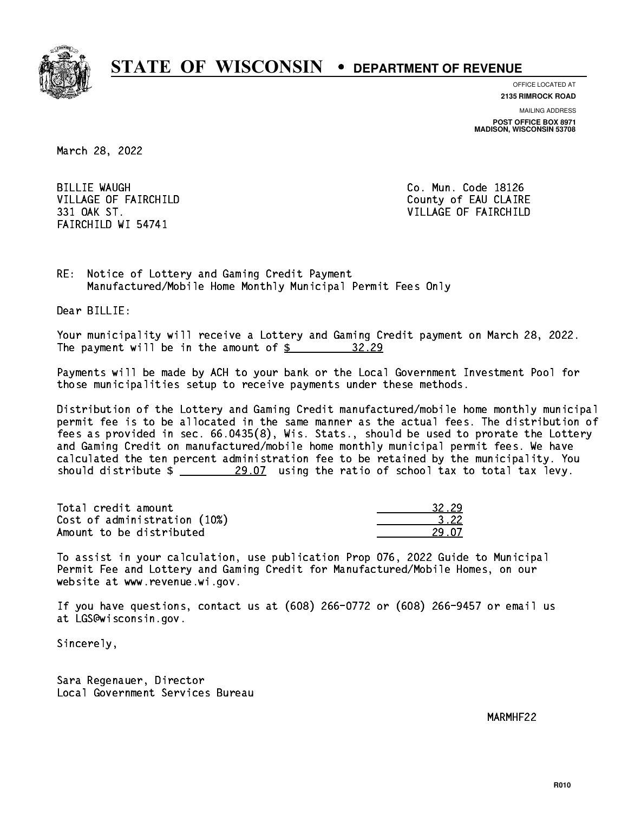

**OFFICE LOCATED AT 2135 RIMROCK ROAD**

**MAILING ADDRESS**

**POST OFFICE BOX 8971 MADISON, WISCONSIN 53708**

March 28, 2022

**BILLIE WAUGH** FAIRCHILD WI 54741

Co. Mun. Code 18126 VILLAGE OF FAIRCHILD County of EAU CLAIRE 331 OAK ST. VILLAGE OF FAIRCHILD

RE: Notice of Lottery and Gaming Credit Payment Manufactured/Mobile Home Monthly Municipal Permit Fees Only

Dear BILLIE:

 Your municipality will receive a Lottery and Gaming Credit payment on March 28, 2022. The payment will be in the amount of  $\frac{2}{3}$ 32.29

 Payments will be made by ACH to your bank or the Local Government Investment Pool for those municipalities setup to receive payments under these methods.

 Distribution of the Lottery and Gaming Credit manufactured/mobile home monthly municipal permit fee is to be allocated in the same manner as the actual fees. The distribution of fees as provided in sec. 66.0435(8), Wis. Stats., should be used to prorate the Lottery and Gaming Credit on manufactured/mobile home monthly municipal permit fees. We have calculated the ten percent administration fee to be retained by the municipality. You should distribute  $\frac{29.07}{29.07}$  using the ratio of school tax to total tax levy.

Total credit amount Cost of administration (10%) Amount to be distributed

| . . |
|-----|
| -22 |
| l / |

 To assist in your calculation, use publication Prop 076, 2022 Guide to Municipal Permit Fee and Lottery and Gaming Credit for Manufactured/Mobile Homes, on our website at www.revenue.wi.gov.

 If you have questions, contact us at (608) 266-0772 or (608) 266-9457 or email us at LGS@wisconsin.gov.

Sincerely,

 Sara Regenauer, Director Local Government Services Bureau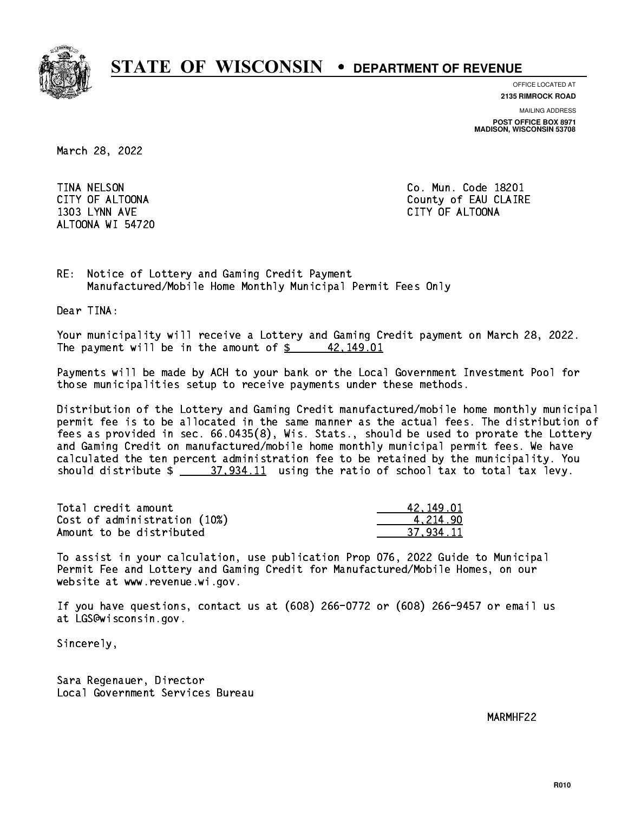

**OFFICE LOCATED AT**

**2135 RIMROCK ROAD**

**MAILING ADDRESS**

**POST OFFICE BOX 8971 MADISON, WISCONSIN 53708**

March 28, 2022

**TINA NELSON**  1303 LYNN AVE CITY OF ALTOONA ALTOONA WI 54720

Co. Mun. Code 18201 CITY OF ALTOONA COUNTY OF ALTOONA

RE: Notice of Lottery and Gaming Credit Payment Manufactured/Mobile Home Monthly Municipal Permit Fees Only

Dear TINA:

 Your municipality will receive a Lottery and Gaming Credit payment on March 28, 2022. The payment will be in the amount of  $\frac{2}{3}$  42,149.01

 Payments will be made by ACH to your bank or the Local Government Investment Pool for those municipalities setup to receive payments under these methods.

 Distribution of the Lottery and Gaming Credit manufactured/mobile home monthly municipal permit fee is to be allocated in the same manner as the actual fees. The distribution of fees as provided in sec. 66.0435(8), Wis. Stats., should be used to prorate the Lottery and Gaming Credit on manufactured/mobile home monthly municipal permit fees. We have calculated the ten percent administration fee to be retained by the municipality. You should distribute  $\frac{27,934.11}{2}$  using the ratio of school tax to total tax levy.

| Total credit amount          | 42.149.01 |
|------------------------------|-----------|
| Cost of administration (10%) | 4.214.90  |
| Amount to be distributed     | 37.934.11 |

 To assist in your calculation, use publication Prop 076, 2022 Guide to Municipal Permit Fee and Lottery and Gaming Credit for Manufactured/Mobile Homes, on our website at www.revenue.wi.gov.

 If you have questions, contact us at (608) 266-0772 or (608) 266-9457 or email us at LGS@wisconsin.gov.

Sincerely,

 Sara Regenauer, Director Local Government Services Bureau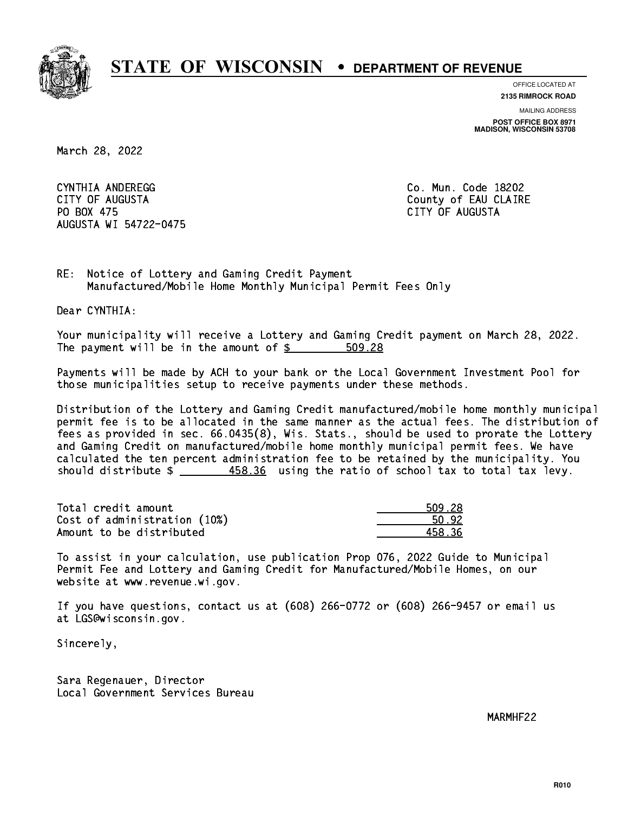

**OFFICE LOCATED AT**

**2135 RIMROCK ROAD**

**MAILING ADDRESS**

**POST OFFICE BOX 8971 MADISON, WISCONSIN 53708**

March 28, 2022

 CYNTHIA ANDEREGG Co. Mun. Code 18202 CITY OF AUGUSTA County of EAU CLAIRE PO BOX 475 PO BOX 475 CITY OF AUGUSTA AUGUSTA WI 54722-0475

RE: Notice of Lottery and Gaming Credit Payment Manufactured/Mobile Home Monthly Municipal Permit Fees Only

Dear CYNTHIA:

 Your municipality will receive a Lottery and Gaming Credit payment on March 28, 2022. The payment will be in the amount of  $$ 509.28$ 

 Payments will be made by ACH to your bank or the Local Government Investment Pool for those municipalities setup to receive payments under these methods.

 Distribution of the Lottery and Gaming Credit manufactured/mobile home monthly municipal permit fee is to be allocated in the same manner as the actual fees. The distribution of fees as provided in sec. 66.0435(8), Wis. Stats., should be used to prorate the Lottery and Gaming Credit on manufactured/mobile home monthly municipal permit fees. We have calculated the ten percent administration fee to be retained by the municipality. You should distribute \$ 458.36 using the ratio of school tax to total tax levy. \_\_\_\_\_\_\_\_\_\_\_\_\_\_

| Total credit amount          | 509.28 |
|------------------------------|--------|
| Cost of administration (10%) | 50.92  |
| Amount to be distributed     | 458.36 |

 To assist in your calculation, use publication Prop 076, 2022 Guide to Municipal Permit Fee and Lottery and Gaming Credit for Manufactured/Mobile Homes, on our website at www.revenue.wi.gov.

 If you have questions, contact us at (608) 266-0772 or (608) 266-9457 or email us at LGS@wisconsin.gov.

Sincerely,

 Sara Regenauer, Director Local Government Services Bureau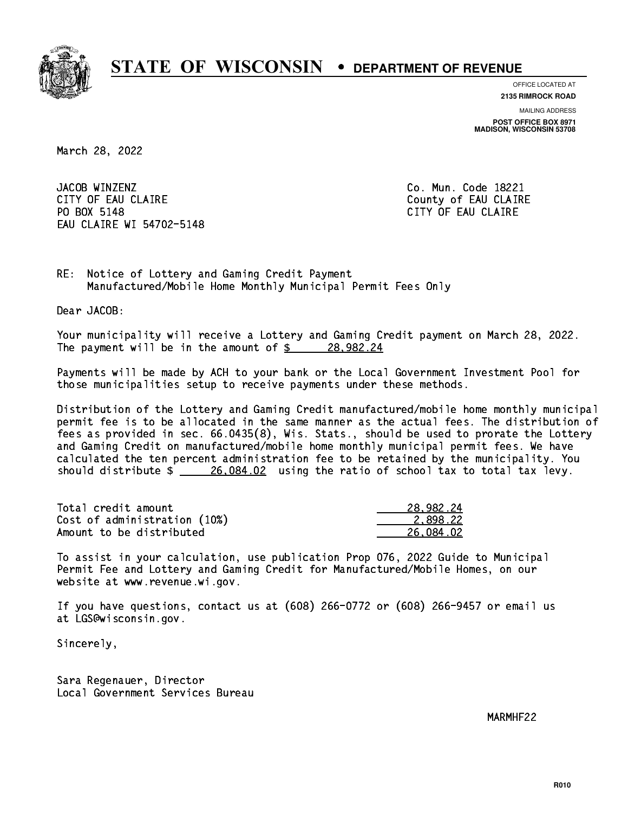

**OFFICE LOCATED AT 2135 RIMROCK ROAD**

**MAILING ADDRESS POST OFFICE BOX 8971 MADISON, WISCONSIN 53708**

March 28, 2022

JACOB WINZENZ CITY OF EAU CLAIRE CITY OF EAU CLAIRE PO BOX 5148 EAU CLAIRE WI 54702-5148

Co. Mun. Code 18221 CITY OF EAU CLAIRE

RE: Notice of Lottery and Gaming Credit Payment Manufactured/Mobile Home Monthly Municipal Permit Fees Only

Dear JACOB:

 Your municipality will receive a Lottery and Gaming Credit payment on March 28, 2022. The payment will be in the amount of  $\frac{28,982.24}{28,982.24}$ 

 Payments will be made by ACH to your bank or the Local Government Investment Pool for those municipalities setup to receive payments under these methods.

 Distribution of the Lottery and Gaming Credit manufactured/mobile home monthly municipal permit fee is to be allocated in the same manner as the actual fees. The distribution of fees as provided in sec. 66.0435(8), Wis. Stats., should be used to prorate the Lottery and Gaming Credit on manufactured/mobile home monthly municipal permit fees. We have calculated the ten percent administration fee to be retained by the municipality. You should distribute  $\frac{26,084.02}{26,084.02}$  using the ratio of school tax to total tax levy.

| Total credit amount          | 28,982.24 |
|------------------------------|-----------|
| Cost of administration (10%) | 2.898.22  |
| Amount to be distributed     | 26.084.02 |

 To assist in your calculation, use publication Prop 076, 2022 Guide to Municipal Permit Fee and Lottery and Gaming Credit for Manufactured/Mobile Homes, on our website at www.revenue.wi.gov.

 If you have questions, contact us at (608) 266-0772 or (608) 266-9457 or email us at LGS@wisconsin.gov.

Sincerely,

 Sara Regenauer, Director Local Government Services Bureau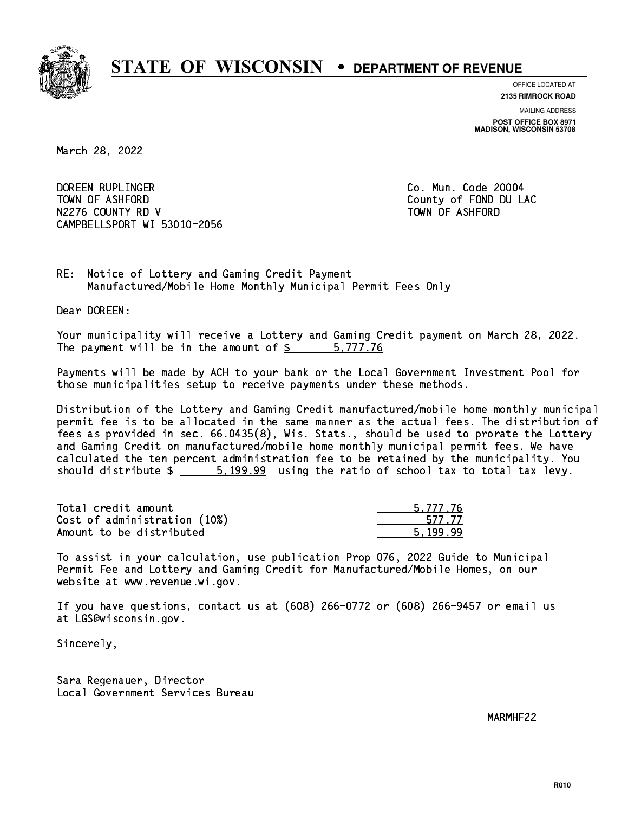

**OFFICE LOCATED AT**

**2135 RIMROCK ROAD**

**MAILING ADDRESS POST OFFICE BOX 8971 MADISON, WISCONSIN 53708**

March 28, 2022

 DOREEN RUPLINGER Co. Mun. Code 20004 TOWN OF ASHFORD County of FOND DU LAC N2276 COUNTY RD V TOWN OF ASHFORD CAMPBELLSPORT WI 53010-2056

RE: Notice of Lottery and Gaming Credit Payment Manufactured/Mobile Home Monthly Municipal Permit Fees Only

Dear DOREEN:

 Your municipality will receive a Lottery and Gaming Credit payment on March 28, 2022. The payment will be in the amount of \$ 5,777.76 \_\_\_\_\_\_\_\_\_\_\_\_\_\_\_\_

 Payments will be made by ACH to your bank or the Local Government Investment Pool for those municipalities setup to receive payments under these methods.

 Distribution of the Lottery and Gaming Credit manufactured/mobile home monthly municipal permit fee is to be allocated in the same manner as the actual fees. The distribution of fees as provided in sec. 66.0435(8), Wis. Stats., should be used to prorate the Lottery and Gaming Credit on manufactured/mobile home monthly municipal permit fees. We have calculated the ten percent administration fee to be retained by the municipality. You should distribute  $\frac{2}{1}$   $\frac{5.199.99}{2}$  using the ratio of school tax to total tax levy.

| Total credit amount          | 5.777.76 |
|------------------------------|----------|
| Cost of administration (10%) | 577 77   |
| Amount to be distributed     | 5.199.99 |

 To assist in your calculation, use publication Prop 076, 2022 Guide to Municipal Permit Fee and Lottery and Gaming Credit for Manufactured/Mobile Homes, on our website at www.revenue.wi.gov.

 If you have questions, contact us at (608) 266-0772 or (608) 266-9457 or email us at LGS@wisconsin.gov.

Sincerely,

 Sara Regenauer, Director Local Government Services Bureau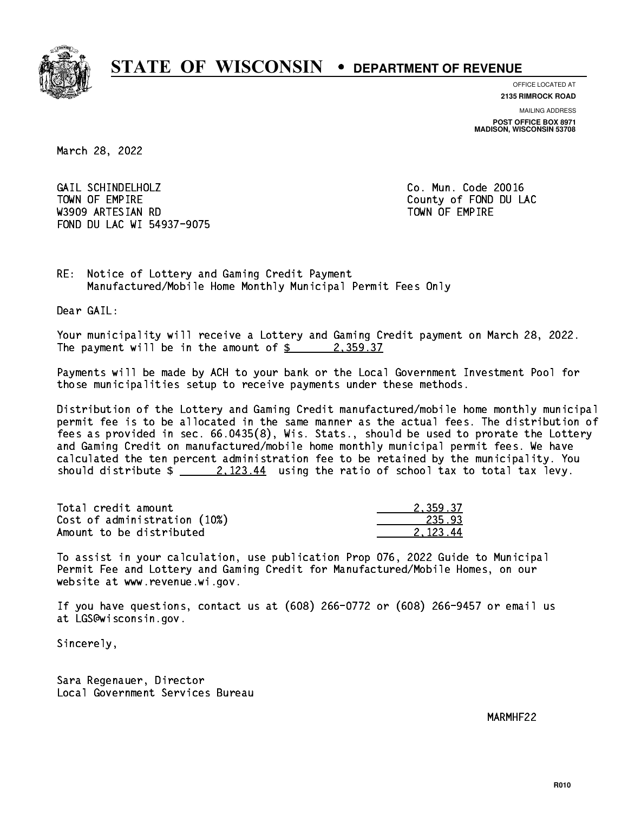

**OFFICE LOCATED AT**

**2135 RIMROCK ROAD**

**MAILING ADDRESS POST OFFICE BOX 8971 MADISON, WISCONSIN 53708**

March 28, 2022

 GAIL SCHINDELHOLZ Co. Mun. Code 20016 TOWN OF EMPIRE County of FOND DU LAC W3909 ARTESIAN RD TOWN OF EMPIRE FOND DU LAC WI 54937-9075

RE: Notice of Lottery and Gaming Credit Payment Manufactured/Mobile Home Monthly Municipal Permit Fees Only

Dear GAIL:

 Your municipality will receive a Lottery and Gaming Credit payment on March 28, 2022. The payment will be in the amount of  $\frac{2}{3}$  2,359.37

 Payments will be made by ACH to your bank or the Local Government Investment Pool for those municipalities setup to receive payments under these methods.

 Distribution of the Lottery and Gaming Credit manufactured/mobile home monthly municipal permit fee is to be allocated in the same manner as the actual fees. The distribution of fees as provided in sec. 66.0435(8), Wis. Stats., should be used to prorate the Lottery and Gaming Credit on manufactured/mobile home monthly municipal permit fees. We have calculated the ten percent administration fee to be retained by the municipality. You should distribute  $\frac{2.123.44}{2.123.44}$  using the ratio of school tax to total tax levy.

| Total credit amount          | 2.359.37 |
|------------------------------|----------|
| Cost of administration (10%) | 235.93   |
| Amount to be distributed     | 2.123.44 |

 To assist in your calculation, use publication Prop 076, 2022 Guide to Municipal Permit Fee and Lottery and Gaming Credit for Manufactured/Mobile Homes, on our website at www.revenue.wi.gov.

 If you have questions, contact us at (608) 266-0772 or (608) 266-9457 or email us at LGS@wisconsin.gov.

Sincerely,

 Sara Regenauer, Director Local Government Services Bureau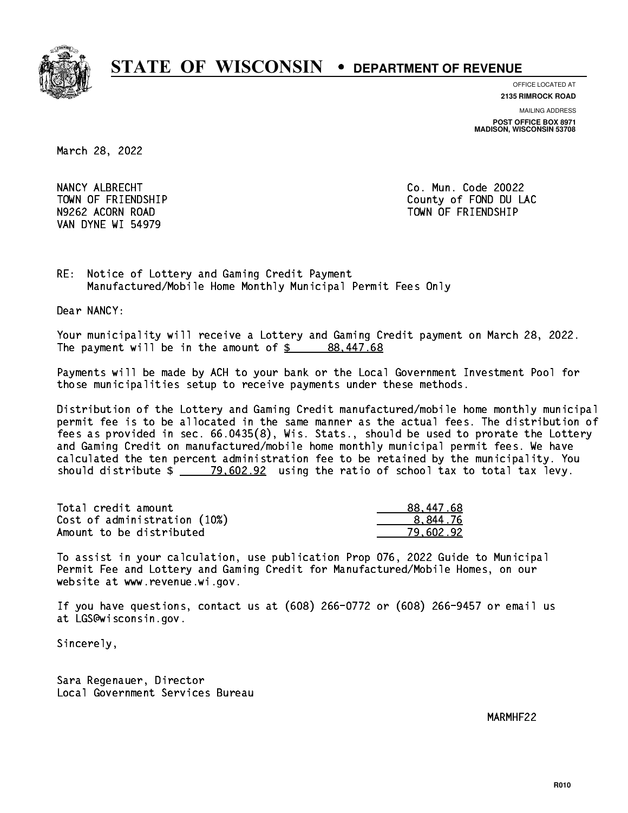

**OFFICE LOCATED AT**

**2135 RIMROCK ROAD**

**MAILING ADDRESS POST OFFICE BOX 8971 MADISON, WISCONSIN 53708**

March 28, 2022

NANCY ALBRECHT COMMUNICATION CO. Mun. Code 20022 VAN DYNE WI 54979

 TOWN OF FRIENDSHIP County of FOND DU LAC N9262 ACORN ROAD TOWN OF FRIENDSHIP

RE: Notice of Lottery and Gaming Credit Payment Manufactured/Mobile Home Monthly Municipal Permit Fees Only

Dear NANCY:

 Your municipality will receive a Lottery and Gaming Credit payment on March 28, 2022. The payment will be in the amount of  $\frac{2}{3}$  88,447.68

 Payments will be made by ACH to your bank or the Local Government Investment Pool for those municipalities setup to receive payments under these methods.

 Distribution of the Lottery and Gaming Credit manufactured/mobile home monthly municipal permit fee is to be allocated in the same manner as the actual fees. The distribution of fees as provided in sec. 66.0435(8), Wis. Stats., should be used to prorate the Lottery and Gaming Credit on manufactured/mobile home monthly municipal permit fees. We have calculated the ten percent administration fee to be retained by the municipality. You should distribute  $\frac{2}{2}$   $\frac{79,602.92}{2}$  using the ratio of school tax to total tax levy.

| Total credit amount          | 88,447.68 |
|------------------------------|-----------|
| Cost of administration (10%) | 8.844.76  |
| Amount to be distributed     | 79,602.92 |

 To assist in your calculation, use publication Prop 076, 2022 Guide to Municipal Permit Fee and Lottery and Gaming Credit for Manufactured/Mobile Homes, on our website at www.revenue.wi.gov.

 If you have questions, contact us at (608) 266-0772 or (608) 266-9457 or email us at LGS@wisconsin.gov.

Sincerely,

 Sara Regenauer, Director Local Government Services Bureau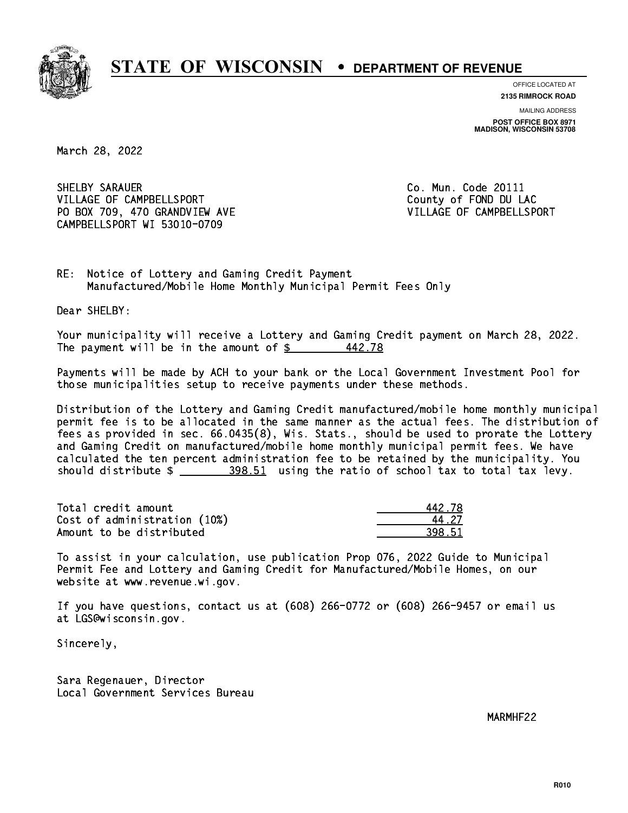

**OFFICE LOCATED AT**

**2135 RIMROCK ROAD**

**MAILING ADDRESS POST OFFICE BOX 8971 MADISON, WISCONSIN 53708**

March 28, 2022

SHELBY SARAUER **Co. Mun. Code 20111** VILLAGE OF CAMPBELLSPORT **COULD ACCOUNT COULD ALL COULD AND SERVICE OF COULD ACCOUNT** COUNTY OF FOND DU LAC PO BOX 709, 470 GRANDVIEW AVE VILLAGE OF CAMPBELLSPORT CAMPBELLSPORT WI 53010-0709

RE: Notice of Lottery and Gaming Credit Payment Manufactured/Mobile Home Monthly Municipal Permit Fees Only

Dear SHELBY:

 Your municipality will receive a Lottery and Gaming Credit payment on March 28, 2022. The payment will be in the amount of  $$$ 442.78

 Payments will be made by ACH to your bank or the Local Government Investment Pool for those municipalities setup to receive payments under these methods.

 Distribution of the Lottery and Gaming Credit manufactured/mobile home monthly municipal permit fee is to be allocated in the same manner as the actual fees. The distribution of fees as provided in sec. 66.0435(8), Wis. Stats., should be used to prorate the Lottery and Gaming Credit on manufactured/mobile home monthly municipal permit fees. We have calculated the ten percent administration fee to be retained by the municipality. You should distribute \$ 398.51 using the ratio of school tax to total tax levy. \_\_\_\_\_\_\_\_\_\_\_\_\_\_

Total credit amount Cost of administration (10%) Amount to be distributed

| I2.78 |
|-------|
| - 27  |
| l 51  |

 To assist in your calculation, use publication Prop 076, 2022 Guide to Municipal Permit Fee and Lottery and Gaming Credit for Manufactured/Mobile Homes, on our website at www.revenue.wi.gov.

 If you have questions, contact us at (608) 266-0772 or (608) 266-9457 or email us at LGS@wisconsin.gov.

Sincerely,

 Sara Regenauer, Director Local Government Services Bureau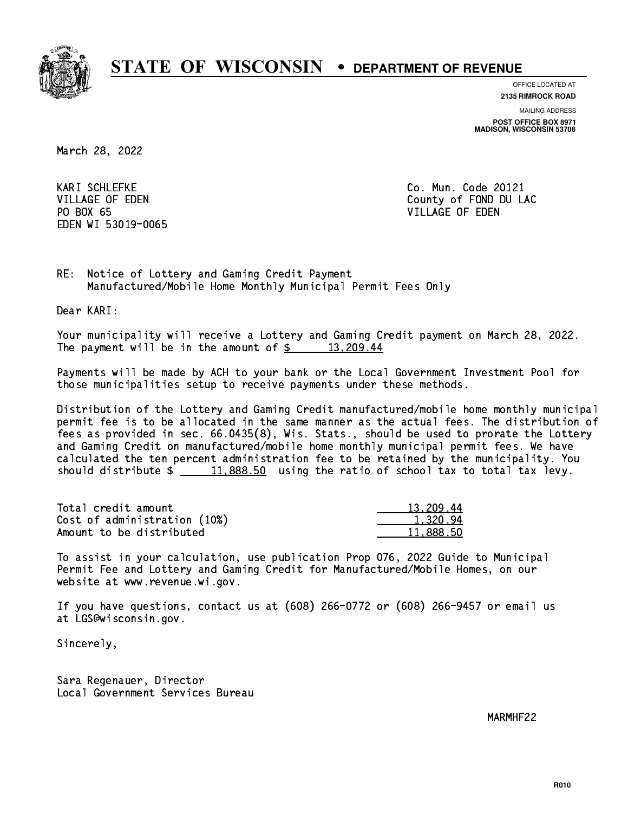

**OFFICE LOCATED AT**

**2135 RIMROCK ROAD**

**MAILING ADDRESS POST OFFICE BOX 8971 MADISON, WISCONSIN 53708**

March 28, 2022

**KARI SCHLEFKE** PO BOX 65 PO BOX 65 VILLAGE OF EDEN EDEN WI 53019-0065

Co. Mun. Code 20121 VILLAGE OF EDEN County of FOND DU LAC

RE: Notice of Lottery and Gaming Credit Payment Manufactured/Mobile Home Monthly Municipal Permit Fees Only

Dear KARI:

 Your municipality will receive a Lottery and Gaming Credit payment on March 28, 2022. The payment will be in the amount of  $\frac{2}{3}$  13,209.44

 Payments will be made by ACH to your bank or the Local Government Investment Pool for those municipalities setup to receive payments under these methods.

 Distribution of the Lottery and Gaming Credit manufactured/mobile home monthly municipal permit fee is to be allocated in the same manner as the actual fees. The distribution of fees as provided in sec. 66.0435(8), Wis. Stats., should be used to prorate the Lottery and Gaming Credit on manufactured/mobile home monthly municipal permit fees. We have calculated the ten percent administration fee to be retained by the municipality. You should distribute  $\frac{11,888.50}{2}$  using the ratio of school tax to total tax levy.

| Total credit amount          | 13,209.44 |
|------------------------------|-----------|
| Cost of administration (10%) | 1.320.94  |
| Amount to be distributed     | 11.888.50 |

 To assist in your calculation, use publication Prop 076, 2022 Guide to Municipal Permit Fee and Lottery and Gaming Credit for Manufactured/Mobile Homes, on our website at www.revenue.wi.gov.

 If you have questions, contact us at (608) 266-0772 or (608) 266-9457 or email us at LGS@wisconsin.gov.

Sincerely,

 Sara Regenauer, Director Local Government Services Bureau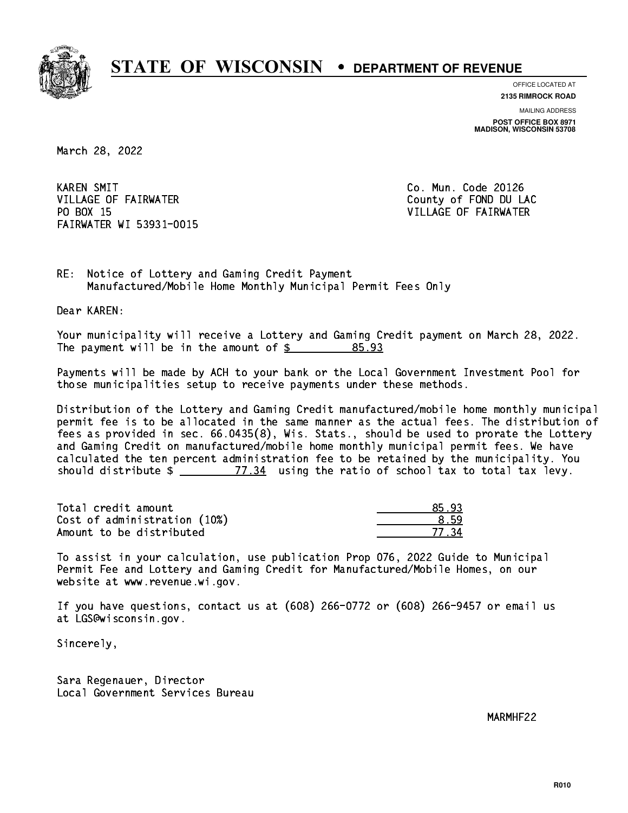

**OFFICE LOCATED AT 2135 RIMROCK ROAD**

**MAILING ADDRESS POST OFFICE BOX 8971 MADISON, WISCONSIN 53708**

March 28, 2022

**KAREN SMIT** VILLAGE OF FAIRWATER **COUNTY COUNTY OF FOND DU LAC** PO BOX 15 FAIRWATER WI 53931-0015

Co. Mun. Code 20126 VILLAGE OF FAIRWATER

RE: Notice of Lottery and Gaming Credit Payment Manufactured/Mobile Home Monthly Municipal Permit Fees Only

Dear KAREN:

 Your municipality will receive a Lottery and Gaming Credit payment on March 28, 2022. The payment will be in the amount of \$ 85.93 \_\_\_\_\_\_\_\_\_\_\_\_\_\_\_\_

 Payments will be made by ACH to your bank or the Local Government Investment Pool for those municipalities setup to receive payments under these methods.

 Distribution of the Lottery and Gaming Credit manufactured/mobile home monthly municipal permit fee is to be allocated in the same manner as the actual fees. The distribution of fees as provided in sec. 66.0435(8), Wis. Stats., should be used to prorate the Lottery and Gaming Credit on manufactured/mobile home monthly municipal permit fees. We have calculated the ten percent administration fee to be retained by the municipality. You should distribute  $\frac{2}{2}$   $\frac{77.34}{2}$  using the ratio of school tax to total tax levy.

Total credit amount and the set of the set of the set of the set of the set of the set of the set of the set o  $Cost of administration (10%) \t\t\t\t\t\t\t\t\t\t\t\t\t\t\t\t\t\t\t\t\t\t 8.59$ Amount to be distributed

77.34

 To assist in your calculation, use publication Prop 076, 2022 Guide to Municipal Permit Fee and Lottery and Gaming Credit for Manufactured/Mobile Homes, on our website at www.revenue.wi.gov.

 If you have questions, contact us at (608) 266-0772 or (608) 266-9457 or email us at LGS@wisconsin.gov.

Sincerely,

 Sara Regenauer, Director Local Government Services Bureau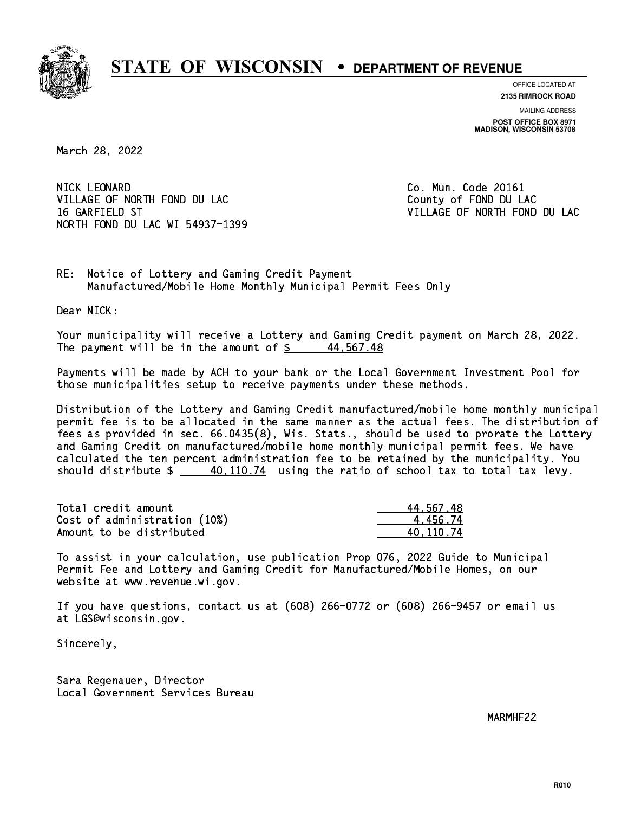

**OFFICE LOCATED AT**

**2135 RIMROCK ROAD**

**MAILING ADDRESS POST OFFICE BOX 8971 MADISON, WISCONSIN 53708**

March 28, 2022

NICK LEONARD VILLAGE OF NORTH FOND DU LAC County of FOND DU LAC 16 GARFIELD ST VILLAGE OF NORTH FOND DU LAC NORTH FOND DU LAC WI 54937-1399

Co. Mun. Code 20161

RE: Notice of Lottery and Gaming Credit Payment Manufactured/Mobile Home Monthly Municipal Permit Fees Only

Dear NICK:

 Your municipality will receive a Lottery and Gaming Credit payment on March 28, 2022. The payment will be in the amount of  $\frac{2}{3}$  44,567.48

 Payments will be made by ACH to your bank or the Local Government Investment Pool for those municipalities setup to receive payments under these methods.

 Distribution of the Lottery and Gaming Credit manufactured/mobile home monthly municipal permit fee is to be allocated in the same manner as the actual fees. The distribution of fees as provided in sec. 66.0435(8), Wis. Stats., should be used to prorate the Lottery and Gaming Credit on manufactured/mobile home monthly municipal permit fees. We have calculated the ten percent administration fee to be retained by the municipality. You should distribute  $\frac{40,110.74}{2}$  using the ratio of school tax to total tax levy.

| Total credit amount          | 44.567.48 |
|------------------------------|-----------|
| Cost of administration (10%) | 4 456 74  |
| Amount to be distributed     | 40.110.74 |

 To assist in your calculation, use publication Prop 076, 2022 Guide to Municipal Permit Fee and Lottery and Gaming Credit for Manufactured/Mobile Homes, on our website at www.revenue.wi.gov.

 If you have questions, contact us at (608) 266-0772 or (608) 266-9457 or email us at LGS@wisconsin.gov.

Sincerely,

 Sara Regenauer, Director Local Government Services Bureau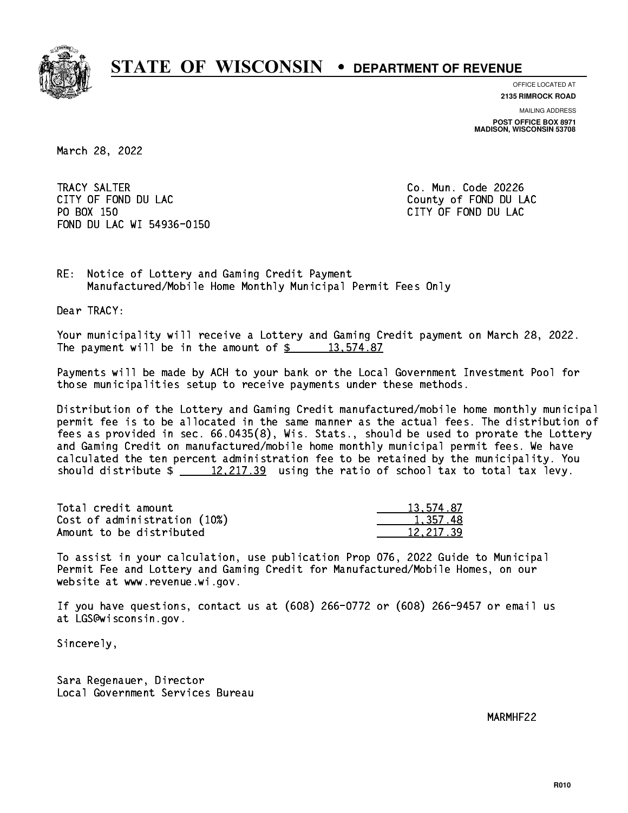

**OFFICE LOCATED AT**

**2135 RIMROCK ROAD**

**MAILING ADDRESS POST OFFICE BOX 8971 MADISON, WISCONSIN 53708**

March 28, 2022

 TRACY SALTER Co. Mun. Code 20226 CITY OF FOND DU LAC **COUNTY OF FOND DU LAC**  PO BOX 150 CITY OF FOND DU LAC FOND DU LAC WI 54936-0150

RE: Notice of Lottery and Gaming Credit Payment Manufactured/Mobile Home Monthly Municipal Permit Fees Only

Dear TRACY:

 Your municipality will receive a Lottery and Gaming Credit payment on March 28, 2022. The payment will be in the amount of  $\frac{2}{3}$  13,574.87

 Payments will be made by ACH to your bank or the Local Government Investment Pool for those municipalities setup to receive payments under these methods.

 Distribution of the Lottery and Gaming Credit manufactured/mobile home monthly municipal permit fee is to be allocated in the same manner as the actual fees. The distribution of fees as provided in sec. 66.0435(8), Wis. Stats., should be used to prorate the Lottery and Gaming Credit on manufactured/mobile home monthly municipal permit fees. We have calculated the ten percent administration fee to be retained by the municipality. You should distribute  $\frac{2 \cdot 12,217.39}{2}$  using the ratio of school tax to total tax levy.

| Total credit amount          | 13,574.87 |
|------------------------------|-----------|
| Cost of administration (10%) | 1.357.48  |
| Amount to be distributed     | 12.217.39 |

 To assist in your calculation, use publication Prop 076, 2022 Guide to Municipal Permit Fee and Lottery and Gaming Credit for Manufactured/Mobile Homes, on our website at www.revenue.wi.gov.

 If you have questions, contact us at (608) 266-0772 or (608) 266-9457 or email us at LGS@wisconsin.gov.

Sincerely,

 Sara Regenauer, Director Local Government Services Bureau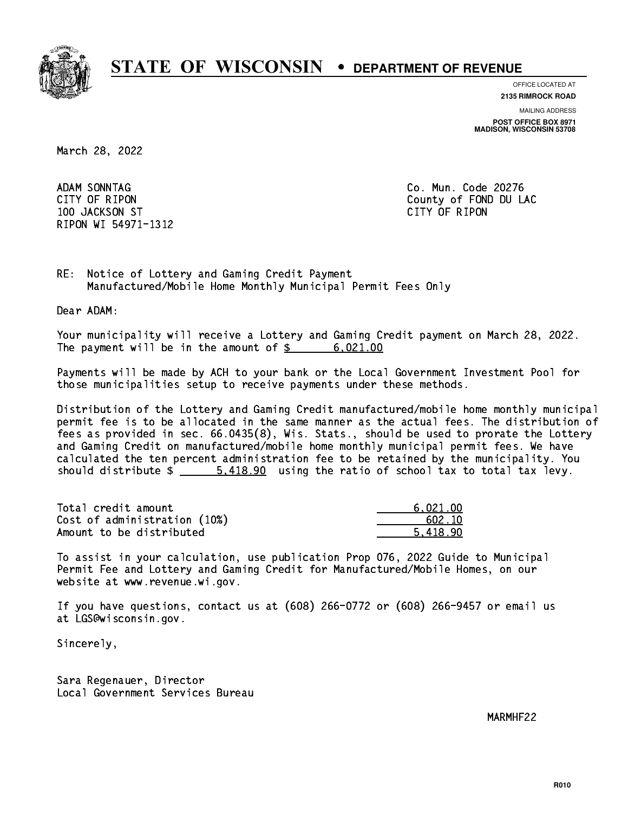

**OFFICE LOCATED AT**

**2135 RIMROCK ROAD**

**MAILING ADDRESS POST OFFICE BOX 8971 MADISON, WISCONSIN 53708**

March 28, 2022

ADAM SONNTAG 100 JACKSON ST CITY OF RIPON RIPON WI 54971-1312

Co. Mun. Code 20276 CITY OF RIPON COUNTY COUNTY OF RIPON

RE: Notice of Lottery and Gaming Credit Payment Manufactured/Mobile Home Monthly Municipal Permit Fees Only

Dear ADAM:

 Your municipality will receive a Lottery and Gaming Credit payment on March 28, 2022. The payment will be in the amount of  $\frac{2}{3}$  6,021.00

 Payments will be made by ACH to your bank or the Local Government Investment Pool for those municipalities setup to receive payments under these methods.

 Distribution of the Lottery and Gaming Credit manufactured/mobile home monthly municipal permit fee is to be allocated in the same manner as the actual fees. The distribution of fees as provided in sec. 66.0435(8), Wis. Stats., should be used to prorate the Lottery and Gaming Credit on manufactured/mobile home monthly municipal permit fees. We have calculated the ten percent administration fee to be retained by the municipality. You should distribute  $\frac{2}{1}$   $\frac{5.418.90}{2}$  using the ratio of school tax to total tax levy.

| Total credit amount          | 6.021.00 |
|------------------------------|----------|
| Cost of administration (10%) | 602.10   |
| Amount to be distributed     | 5.418.90 |

 To assist in your calculation, use publication Prop 076, 2022 Guide to Municipal Permit Fee and Lottery and Gaming Credit for Manufactured/Mobile Homes, on our website at www.revenue.wi.gov.

 If you have questions, contact us at (608) 266-0772 or (608) 266-9457 or email us at LGS@wisconsin.gov.

Sincerely,

 Sara Regenauer, Director Local Government Services Bureau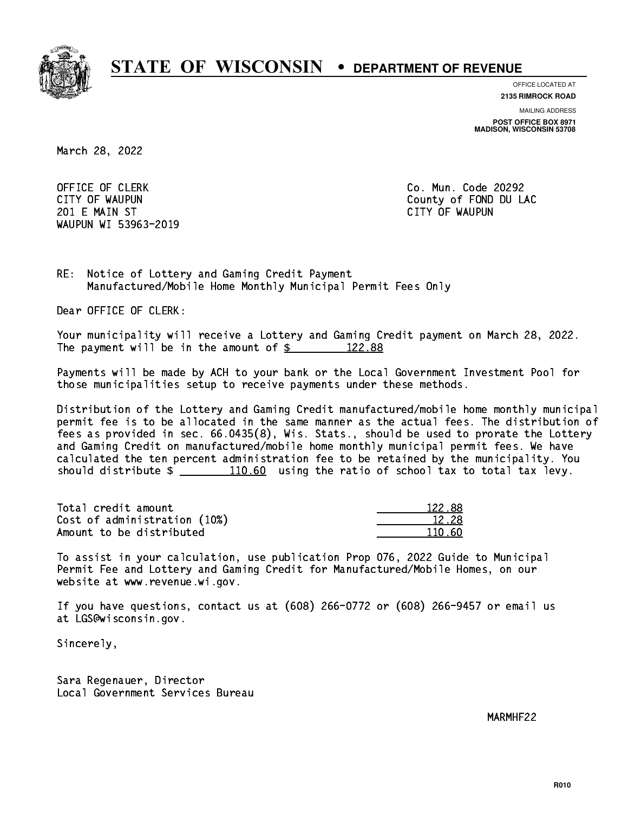

**OFFICE LOCATED AT**

**2135 RIMROCK ROAD**

**MAILING ADDRESS**

**POST OFFICE BOX 8971 MADISON, WISCONSIN 53708**

March 28, 2022

OFFICE OF CLERK **Co. Mun. Code 20292**  201 E MAIN ST CITY OF WAUPUN WAUPUN WI 53963-2019

CITY OF WAUPUN COUNTY COUNTY OF MAUPUN

RE: Notice of Lottery and Gaming Credit Payment Manufactured/Mobile Home Monthly Municipal Permit Fees Only

Dear OFFICE OF CLERK:

 Your municipality will receive a Lottery and Gaming Credit payment on March 28, 2022. The payment will be in the amount of  $\frac{22.88}{122.88}$ 

 Payments will be made by ACH to your bank or the Local Government Investment Pool for those municipalities setup to receive payments under these methods.

 Distribution of the Lottery and Gaming Credit manufactured/mobile home monthly municipal permit fee is to be allocated in the same manner as the actual fees. The distribution of fees as provided in sec. 66.0435(8), Wis. Stats., should be used to prorate the Lottery and Gaming Credit on manufactured/mobile home monthly municipal permit fees. We have calculated the ten percent administration fee to be retained by the municipality. You should distribute  $\frac{110.60}{10.60}$  using the ratio of school tax to total tax levy.

Total credit amount 122.88 Cost of administration (10%) 12.28 \_\_\_\_\_\_\_\_\_\_\_\_\_\_ Amount to be distributed and the set of  $110.60$ 

 To assist in your calculation, use publication Prop 076, 2022 Guide to Municipal Permit Fee and Lottery and Gaming Credit for Manufactured/Mobile Homes, on our website at www.revenue.wi.gov.

 If you have questions, contact us at (608) 266-0772 or (608) 266-9457 or email us at LGS@wisconsin.gov.

Sincerely,

 Sara Regenauer, Director Local Government Services Bureau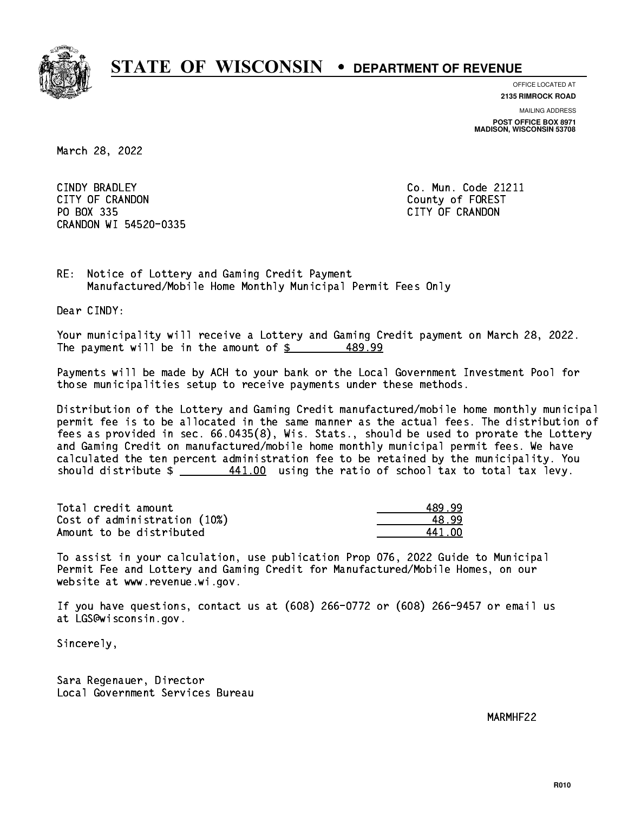

**OFFICE LOCATED AT**

**2135 RIMROCK ROAD**

**MAILING ADDRESS POST OFFICE BOX 8971 MADISON, WISCONSIN 53708**

March 28, 2022

CINDY BRADLEY CITY OF CRANDON County of FOREST PO BOX 335 PO BOX 335 CITY OF CRANDON CRANDON WI 54520-0335

Co. Mun. Code 21211

RE: Notice of Lottery and Gaming Credit Payment Manufactured/Mobile Home Monthly Municipal Permit Fees Only

Dear CINDY:

 Your municipality will receive a Lottery and Gaming Credit payment on March 28, 2022. The payment will be in the amount of  $\frac{2}{3}$ 489.99

 Payments will be made by ACH to your bank or the Local Government Investment Pool for those municipalities setup to receive payments under these methods.

 Distribution of the Lottery and Gaming Credit manufactured/mobile home monthly municipal permit fee is to be allocated in the same manner as the actual fees. The distribution of fees as provided in sec. 66.0435(8), Wis. Stats., should be used to prorate the Lottery and Gaming Credit on manufactured/mobile home monthly municipal permit fees. We have calculated the ten percent administration fee to be retained by the municipality. You should distribute  $\frac{441.00}{1}$  using the ratio of school tax to total tax levy.

| Total credit amount          | 489.99 |
|------------------------------|--------|
| Cost of administration (10%) | 48.99  |
| Amount to be distributed     | 441 NP |

| 9.99  |
|-------|
| R 99. |
| 41 NN |

 To assist in your calculation, use publication Prop 076, 2022 Guide to Municipal Permit Fee and Lottery and Gaming Credit for Manufactured/Mobile Homes, on our website at www.revenue.wi.gov.

 If you have questions, contact us at (608) 266-0772 or (608) 266-9457 or email us at LGS@wisconsin.gov.

Sincerely,

 Sara Regenauer, Director Local Government Services Bureau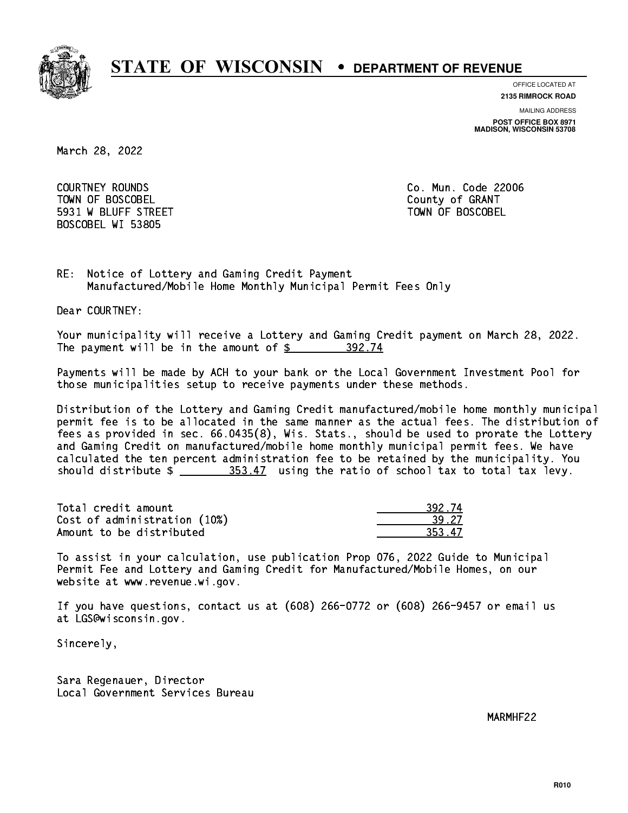

**OFFICE LOCATED AT**

**2135 RIMROCK ROAD**

**MAILING ADDRESS**

**POST OFFICE BOX 8971 MADISON, WISCONSIN 53708**

March 28, 2022

 COURTNEY ROUNDS Co. Mun. Code 22006 Town of Boscobel County of Granty of Granty of Granty of Granty of Granty of Granty of Granty of Granty of Gra 5931 W BLUFF STREET TOWN OF BOSCOBEL BOSCOBEL WI 53805

RE: Notice of Lottery and Gaming Credit Payment Manufactured/Mobile Home Monthly Municipal Permit Fees Only

Dear COURTNEY:

 Your municipality will receive a Lottery and Gaming Credit payment on March 28, 2022. The payment will be in the amount of \$ 392.74 \_\_\_\_\_\_\_\_\_\_\_\_\_\_\_\_

 Payments will be made by ACH to your bank or the Local Government Investment Pool for those municipalities setup to receive payments under these methods.

 Distribution of the Lottery and Gaming Credit manufactured/mobile home monthly municipal permit fee is to be allocated in the same manner as the actual fees. The distribution of fees as provided in sec. 66.0435(8), Wis. Stats., should be used to prorate the Lottery and Gaming Credit on manufactured/mobile home monthly municipal permit fees. We have calculated the ten percent administration fee to be retained by the municipality. You should distribute  $\frac{253.47}{253.47}$  using the ratio of school tax to total tax levy.

Total credit amount Cost of administration (10%) Amount to be distributed

| 12.74 |
|-------|
| -27   |
| 17    |

 To assist in your calculation, use publication Prop 076, 2022 Guide to Municipal Permit Fee and Lottery and Gaming Credit for Manufactured/Mobile Homes, on our website at www.revenue.wi.gov.

 If you have questions, contact us at (608) 266-0772 or (608) 266-9457 or email us at LGS@wisconsin.gov.

Sincerely,

 Sara Regenauer, Director Local Government Services Bureau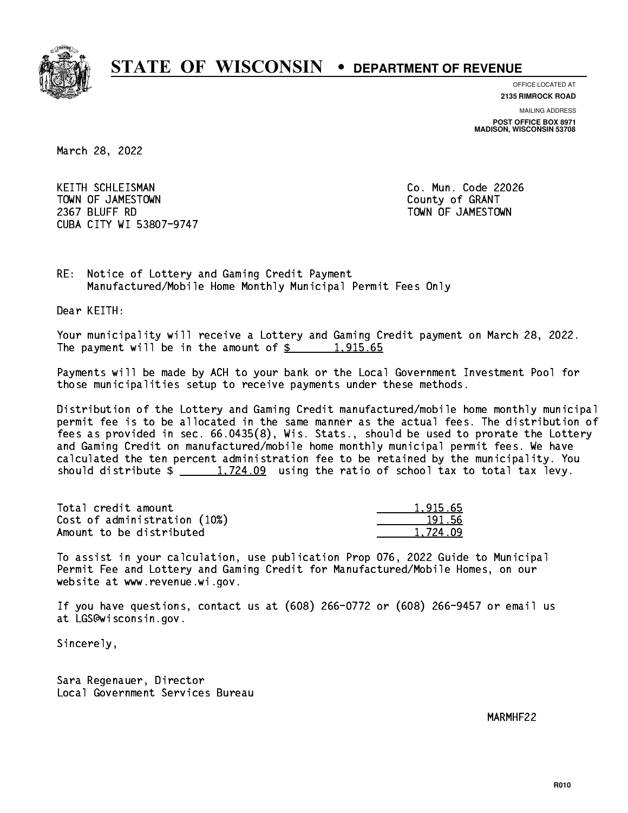

**OFFICE LOCATED AT 2135 RIMROCK ROAD**

**MAILING ADDRESS**

**POST OFFICE BOX 8971 MADISON, WISCONSIN 53708**

March 28, 2022

KEITH SCHLEISMAN TOWN OF JAMESTOWN County of GRANT 2367 BLUFF RD TOWN OF JAMESTOWN CUBA CITY WI 53807-9747

Co. Mun. Code 22026

RE: Notice of Lottery and Gaming Credit Payment Manufactured/Mobile Home Monthly Municipal Permit Fees Only

Dear KEITH:

 Your municipality will receive a Lottery and Gaming Credit payment on March 28, 2022. The payment will be in the amount of  $\frac{2}{3}$  1,915.65

 Payments will be made by ACH to your bank or the Local Government Investment Pool for those municipalities setup to receive payments under these methods.

 Distribution of the Lottery and Gaming Credit manufactured/mobile home monthly municipal permit fee is to be allocated in the same manner as the actual fees. The distribution of fees as provided in sec. 66.0435(8), Wis. Stats., should be used to prorate the Lottery and Gaming Credit on manufactured/mobile home monthly municipal permit fees. We have calculated the ten percent administration fee to be retained by the municipality. You should distribute  $\frac{1,724.09}{1,724.09}$  using the ratio of school tax to total tax levy.

| Total credit amount          | 1.915.65 |
|------------------------------|----------|
| Cost of administration (10%) | 191.56   |
| Amount to be distributed     | 1.724.09 |

 To assist in your calculation, use publication Prop 076, 2022 Guide to Municipal Permit Fee and Lottery and Gaming Credit for Manufactured/Mobile Homes, on our website at www.revenue.wi.gov.

 If you have questions, contact us at (608) 266-0772 or (608) 266-9457 or email us at LGS@wisconsin.gov.

Sincerely,

 Sara Regenauer, Director Local Government Services Bureau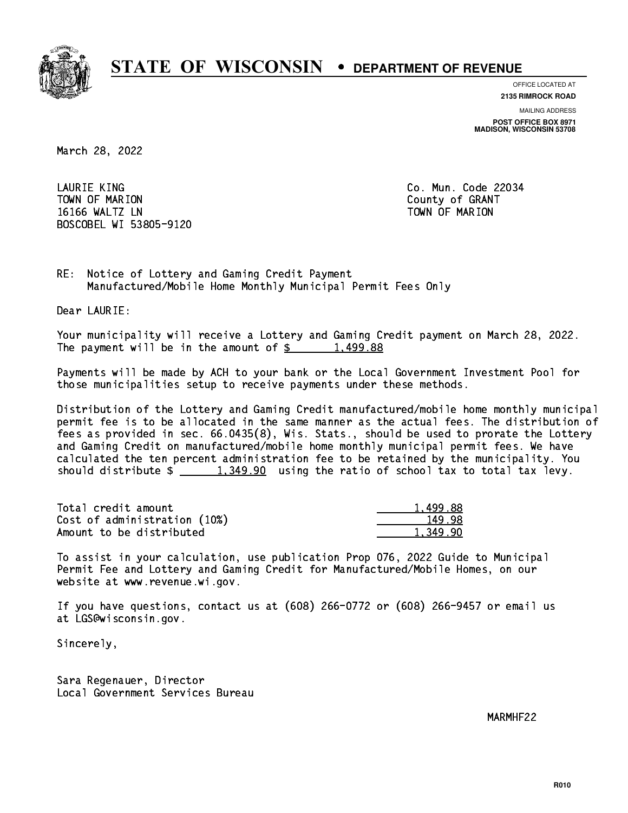

**OFFICE LOCATED AT 2135 RIMROCK ROAD**

**MAILING ADDRESS**

**POST OFFICE BOX 8971 MADISON, WISCONSIN 53708**

March 28, 2022

 LAURIE KING Co. Mun. Code 22034 Town of Marion County of Grants of Grants of Grants of Grants of Grants of Grants of Grants of Grants of Grants 16166 WALTZ LN TOWN OF MARION BOSCOBEL WI 53805-9120

RE: Notice of Lottery and Gaming Credit Payment Manufactured/Mobile Home Monthly Municipal Permit Fees Only

Dear LAURIE:

 Your municipality will receive a Lottery and Gaming Credit payment on March 28, 2022. The payment will be in the amount of  $\frac{2}{3}$  1,499.88

 Payments will be made by ACH to your bank or the Local Government Investment Pool for those municipalities setup to receive payments under these methods.

 Distribution of the Lottery and Gaming Credit manufactured/mobile home monthly municipal permit fee is to be allocated in the same manner as the actual fees. The distribution of fees as provided in sec. 66.0435(8), Wis. Stats., should be used to prorate the Lottery and Gaming Credit on manufactured/mobile home monthly municipal permit fees. We have calculated the ten percent administration fee to be retained by the municipality. You should distribute  $\frac{1,349.90}{1,349.90}$  using the ratio of school tax to total tax levy.

| Total credit amount          | 1.499.88 |
|------------------------------|----------|
| Cost of administration (10%) | 149.98   |
| Amount to be distributed     | 1.349.90 |

 To assist in your calculation, use publication Prop 076, 2022 Guide to Municipal Permit Fee and Lottery and Gaming Credit for Manufactured/Mobile Homes, on our website at www.revenue.wi.gov.

 If you have questions, contact us at (608) 266-0772 or (608) 266-9457 or email us at LGS@wisconsin.gov.

Sincerely,

 Sara Regenauer, Director Local Government Services Bureau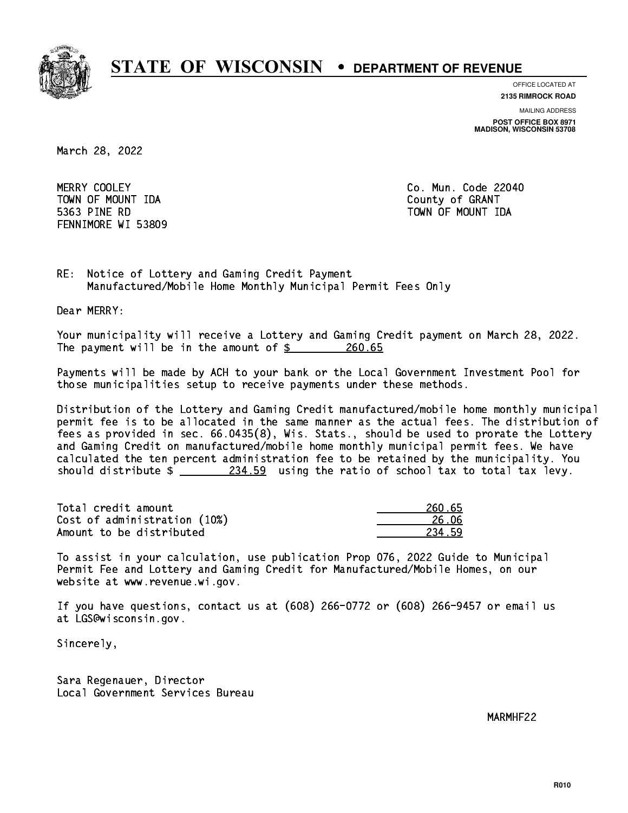

**OFFICE LOCATED AT**

**2135 RIMROCK ROAD**

**MAILING ADDRESS POST OFFICE BOX 8971 MADISON, WISCONSIN 53708**

March 28, 2022

MERRY COOLEY TOWN OF MOUNT IDA County of GRANT 5363 PINE RD TOWN OF MOUNT IDA FENNIMORE WI 53809

Co. Mun. Code 22040

RE: Notice of Lottery and Gaming Credit Payment Manufactured/Mobile Home Monthly Municipal Permit Fees Only

Dear MERRY:

 Your municipality will receive a Lottery and Gaming Credit payment on March 28, 2022. The payment will be in the amount of \$ 260.65 \_\_\_\_\_\_\_\_\_\_\_\_\_\_\_\_

 Payments will be made by ACH to your bank or the Local Government Investment Pool for those municipalities setup to receive payments under these methods.

 Distribution of the Lottery and Gaming Credit manufactured/mobile home monthly municipal permit fee is to be allocated in the same manner as the actual fees. The distribution of fees as provided in sec. 66.0435(8), Wis. Stats., should be used to prorate the Lottery and Gaming Credit on manufactured/mobile home monthly municipal permit fees. We have calculated the ten percent administration fee to be retained by the municipality. You should distribute  $\frac{234.59}{21}$  using the ratio of school tax to total tax levy.

Total credit amount Cost of administration (10%) Amount to be distributed

| N 65<br>クム |
|------------|
| 26 NG      |
| 459<br>23. |

 To assist in your calculation, use publication Prop 076, 2022 Guide to Municipal Permit Fee and Lottery and Gaming Credit for Manufactured/Mobile Homes, on our website at www.revenue.wi.gov.

 If you have questions, contact us at (608) 266-0772 or (608) 266-9457 or email us at LGS@wisconsin.gov.

Sincerely,

 Sara Regenauer, Director Local Government Services Bureau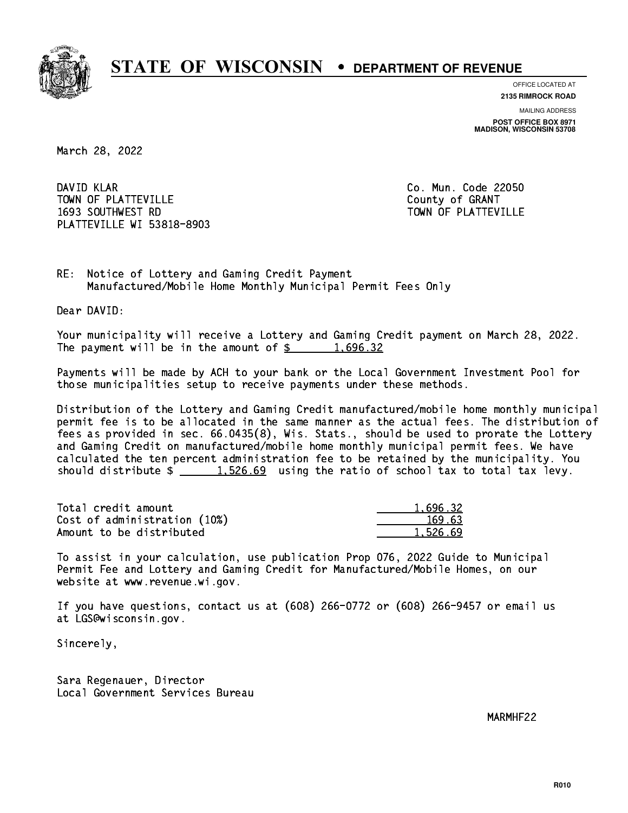

**OFFICE LOCATED AT**

**2135 RIMROCK ROAD**

**MAILING ADDRESS POST OFFICE BOX 8971 MADISON, WISCONSIN 53708**

March 28, 2022

DAVID KLAR TOWN OF PLATTEVILLE COUNTY OF GRANT 1693 SOUTHWEST RD TOWN OF PLATTEVILLE PLATTEVILLE WI 53818-8903

Co. Mun. Code 22050

RE: Notice of Lottery and Gaming Credit Payment Manufactured/Mobile Home Monthly Municipal Permit Fees Only

Dear DAVID:

 Your municipality will receive a Lottery and Gaming Credit payment on March 28, 2022. The payment will be in the amount of  $\frac{2}{3}$  1,696.32

 Payments will be made by ACH to your bank or the Local Government Investment Pool for those municipalities setup to receive payments under these methods.

 Distribution of the Lottery and Gaming Credit manufactured/mobile home monthly municipal permit fee is to be allocated in the same manner as the actual fees. The distribution of fees as provided in sec. 66.0435(8), Wis. Stats., should be used to prorate the Lottery and Gaming Credit on manufactured/mobile home monthly municipal permit fees. We have calculated the ten percent administration fee to be retained by the municipality. You should distribute  $\frac{1.526.69}{1.526.69}$  using the ratio of school tax to total tax levy.

| Total credit amount          | 1,696.32 |
|------------------------------|----------|
| Cost of administration (10%) | 169.63   |
| Amount to be distributed     | 1.526.69 |

 To assist in your calculation, use publication Prop 076, 2022 Guide to Municipal Permit Fee and Lottery and Gaming Credit for Manufactured/Mobile Homes, on our website at www.revenue.wi.gov.

 If you have questions, contact us at (608) 266-0772 or (608) 266-9457 or email us at LGS@wisconsin.gov.

Sincerely,

 Sara Regenauer, Director Local Government Services Bureau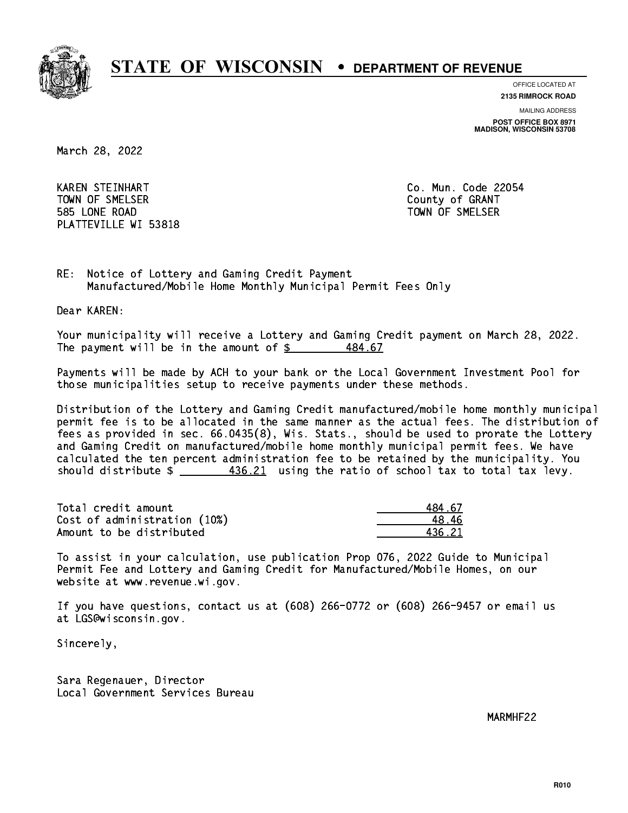

**OFFICE LOCATED AT 2135 RIMROCK ROAD**

**MAILING ADDRESS**

**POST OFFICE BOX 8971 MADISON, WISCONSIN 53708**

March 28, 2022

 KAREN STEINHART Co. Mun. Code 22054 Town of Streets. The Small county of Grants of Grants of Grants of Grants of Grants of Grants of Grants of Gra 585 LONE ROAD TOWN OF SMELSER PLATTEVILLE WI 53818

RE: Notice of Lottery and Gaming Credit Payment Manufactured/Mobile Home Monthly Municipal Permit Fees Only

Dear KAREN:

 Your municipality will receive a Lottery and Gaming Credit payment on March 28, 2022. The payment will be in the amount of  $\frac{2}{3}$ 484.67

 Payments will be made by ACH to your bank or the Local Government Investment Pool for those municipalities setup to receive payments under these methods.

 Distribution of the Lottery and Gaming Credit manufactured/mobile home monthly municipal permit fee is to be allocated in the same manner as the actual fees. The distribution of fees as provided in sec. 66.0435(8), Wis. Stats., should be used to prorate the Lottery and Gaming Credit on manufactured/mobile home monthly municipal permit fees. We have calculated the ten percent administration fee to be retained by the municipality. You should distribute  $\frac{436.21}{2}$  using the ratio of school tax to total tax levy.

Total credit amount Cost of administration (10%) Amount to be distributed

| 4.67 |
|------|
| ^6∴  |
| 5.21 |

 To assist in your calculation, use publication Prop 076, 2022 Guide to Municipal Permit Fee and Lottery and Gaming Credit for Manufactured/Mobile Homes, on our website at www.revenue.wi.gov.

 If you have questions, contact us at (608) 266-0772 or (608) 266-9457 or email us at LGS@wisconsin.gov.

Sincerely,

 Sara Regenauer, Director Local Government Services Bureau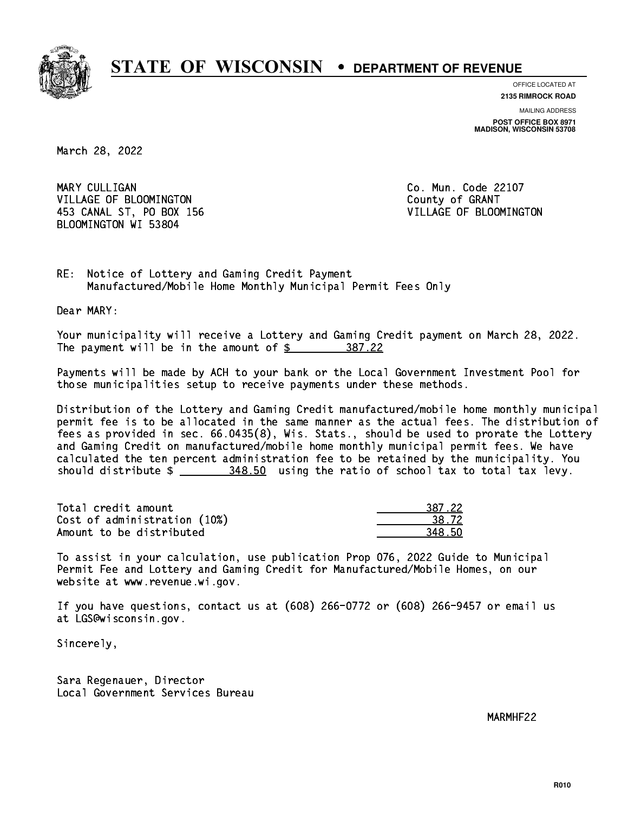

**OFFICE LOCATED AT**

**2135 RIMROCK ROAD**

**MAILING ADDRESS POST OFFICE BOX 8971 MADISON, WISCONSIN 53708**

March 28, 2022

MARY CULLIGAN VILLAGE OF BLOOMINGTON COUNTY OF GRANT 453 CANAL ST, PO BOX 156 VILLAGE OF BLOOMINGTON BLOOMINGTON WI 53804

Co. Mun. Code 22107

RE: Notice of Lottery and Gaming Credit Payment Manufactured/Mobile Home Monthly Municipal Permit Fees Only

Dear MARY:

 Your municipality will receive a Lottery and Gaming Credit payment on March 28, 2022. The payment will be in the amount of \$ 387.22 \_\_\_\_\_\_\_\_\_\_\_\_\_\_\_\_

 Payments will be made by ACH to your bank or the Local Government Investment Pool for those municipalities setup to receive payments under these methods.

 Distribution of the Lottery and Gaming Credit manufactured/mobile home monthly municipal permit fee is to be allocated in the same manner as the actual fees. The distribution of fees as provided in sec. 66.0435(8), Wis. Stats., should be used to prorate the Lottery and Gaming Credit on manufactured/mobile home monthly municipal permit fees. We have calculated the ten percent administration fee to be retained by the municipality. You should distribute \$ 348.50 using the ratio of school tax to total tax levy. \_\_\_\_\_\_\_\_\_\_\_\_\_\_

| Total credit amount          | 387.22 |
|------------------------------|--------|
| Cost of administration (10%) | 38.72  |
| Amount to be distributed     | 348.50 |

 To assist in your calculation, use publication Prop 076, 2022 Guide to Municipal Permit Fee and Lottery and Gaming Credit for Manufactured/Mobile Homes, on our website at www.revenue.wi.gov.

 If you have questions, contact us at (608) 266-0772 or (608) 266-9457 or email us at LGS@wisconsin.gov.

Sincerely,

 Sara Regenauer, Director Local Government Services Bureau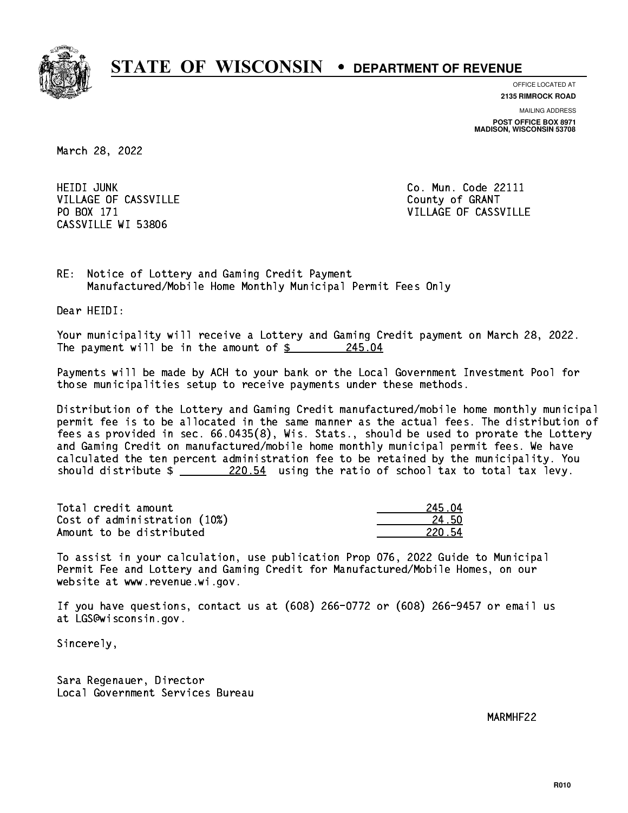

**OFFICE LOCATED AT**

**2135 RIMROCK ROAD**

**MAILING ADDRESS POST OFFICE BOX 8971 MADISON, WISCONSIN 53708**

March 28, 2022

 HEIDI JUNK Co. Mun. Code 22111 VILLAGE OF CASSVILLE COUNTY OF GRANT PO BOX 171 CASSVILLE WI 53806

VILLAGE OF CASSVILLE

RE: Notice of Lottery and Gaming Credit Payment Manufactured/Mobile Home Monthly Municipal Permit Fees Only

Dear HEIDI:

 Your municipality will receive a Lottery and Gaming Credit payment on March 28, 2022. The payment will be in the amount of  $\frac{245.04}{245.04}$ 

 Payments will be made by ACH to your bank or the Local Government Investment Pool for those municipalities setup to receive payments under these methods.

 Distribution of the Lottery and Gaming Credit manufactured/mobile home monthly municipal permit fee is to be allocated in the same manner as the actual fees. The distribution of fees as provided in sec. 66.0435(8), Wis. Stats., should be used to prorate the Lottery and Gaming Credit on manufactured/mobile home monthly municipal permit fees. We have calculated the ten percent administration fee to be retained by the municipality. You should distribute  $\frac{220.54}{220.54}$  using the ratio of school tax to total tax levy.

Total credit amount Cost of administration (10%) Amount to be distributed

| 51<br>ገፈ |
|----------|
| 4 5N     |
| 22N      |

 To assist in your calculation, use publication Prop 076, 2022 Guide to Municipal Permit Fee and Lottery and Gaming Credit for Manufactured/Mobile Homes, on our website at www.revenue.wi.gov.

 If you have questions, contact us at (608) 266-0772 or (608) 266-9457 or email us at LGS@wisconsin.gov.

Sincerely,

 Sara Regenauer, Director Local Government Services Bureau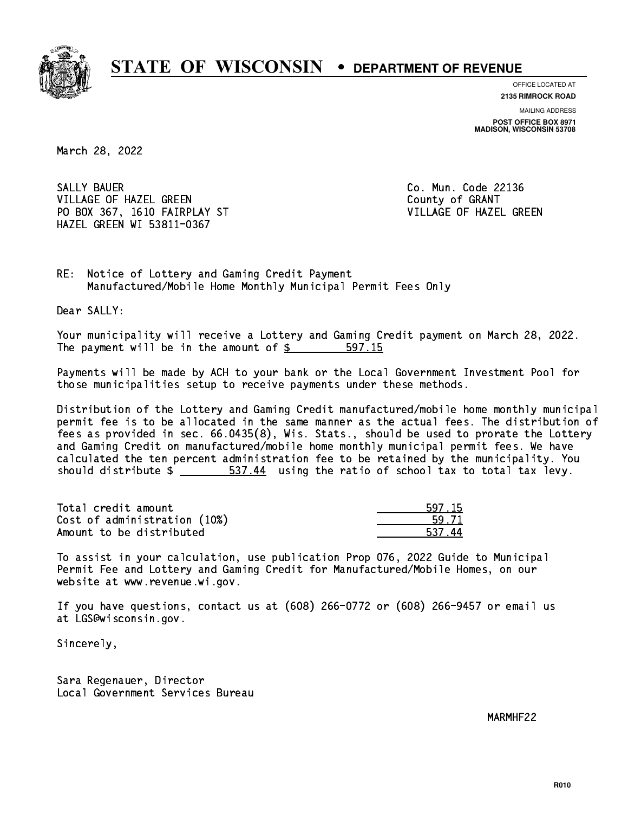

**OFFICE LOCATED AT**

**2135 RIMROCK ROAD**

**MAILING ADDRESS POST OFFICE BOX 8971 MADISON, WISCONSIN 53708**

March 28, 2022

SALLY BAUER VILLAGE OF HAZEL GREEN **COULD A SERVICE OF SEARCH COULD A** COUNTY OF GRANT PO BOX 367, 1610 FAIRPLAY ST VILLAGE OF HAZEL GREEN HAZEL GREEN WI 53811-0367

Co. Mun. Code 22136

RE: Notice of Lottery and Gaming Credit Payment Manufactured/Mobile Home Monthly Municipal Permit Fees Only

Dear SALLY:

 Your municipality will receive a Lottery and Gaming Credit payment on March 28, 2022. The payment will be in the amount of \$ 597.15 \_\_\_\_\_\_\_\_\_\_\_\_\_\_\_\_

 Payments will be made by ACH to your bank or the Local Government Investment Pool for those municipalities setup to receive payments under these methods.

 Distribution of the Lottery and Gaming Credit manufactured/mobile home monthly municipal permit fee is to be allocated in the same manner as the actual fees. The distribution of fees as provided in sec. 66.0435(8), Wis. Stats., should be used to prorate the Lottery and Gaming Credit on manufactured/mobile home monthly municipal permit fees. We have calculated the ten percent administration fee to be retained by the municipality. You should distribute  $\frac{2}{1}$   $\frac{537.44}{14}$  using the ratio of school tax to total tax levy.

| Total credit amount          | 597.15 |
|------------------------------|--------|
| Cost of administration (10%) | 59.71  |
| Amount to be distributed     | 537.44 |

 To assist in your calculation, use publication Prop 076, 2022 Guide to Municipal Permit Fee and Lottery and Gaming Credit for Manufactured/Mobile Homes, on our website at www.revenue.wi.gov.

 If you have questions, contact us at (608) 266-0772 or (608) 266-9457 or email us at LGS@wisconsin.gov.

Sincerely,

 Sara Regenauer, Director Local Government Services Bureau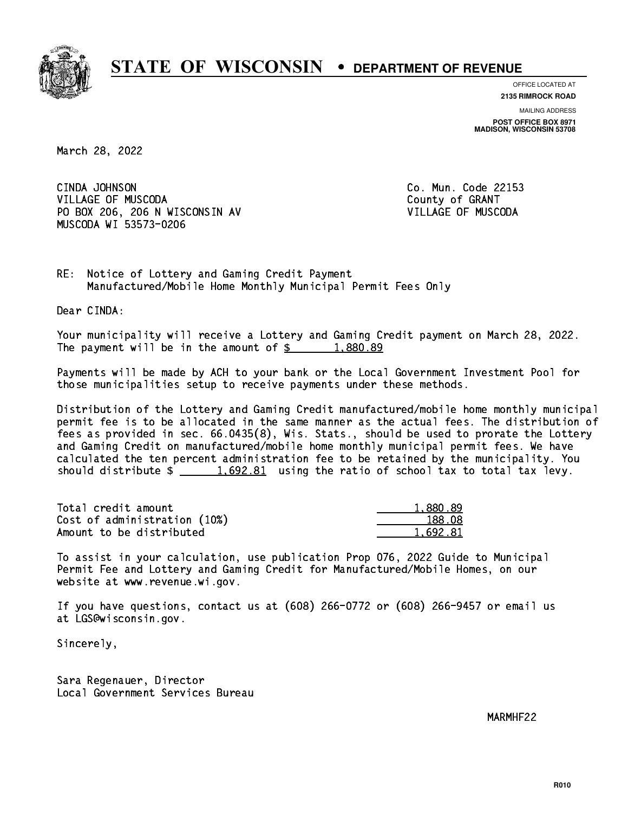

**OFFICE LOCATED AT**

**2135 RIMROCK ROAD**

**MAILING ADDRESS POST OFFICE BOX 8971 MADISON, WISCONSIN 53708**

March 28, 2022

 CINDA JOHNSON Co. Mun. Code 22153 VILLAGE OF MUSCODA **COUNTY OF SEARCH COULD A** County of GRANT PO BOX 206, 206 N WISCONSIN AV VILLAGE OF MUSCODA MUSCODA WI 53573-0206

RE: Notice of Lottery and Gaming Credit Payment Manufactured/Mobile Home Monthly Municipal Permit Fees Only

Dear CINDA:

 Your municipality will receive a Lottery and Gaming Credit payment on March 28, 2022. The payment will be in the amount of  $\frac{2}{3}$  1,880.89

 Payments will be made by ACH to your bank or the Local Government Investment Pool for those municipalities setup to receive payments under these methods.

 Distribution of the Lottery and Gaming Credit manufactured/mobile home monthly municipal permit fee is to be allocated in the same manner as the actual fees. The distribution of fees as provided in sec. 66.0435(8), Wis. Stats., should be used to prorate the Lottery and Gaming Credit on manufactured/mobile home monthly municipal permit fees. We have calculated the ten percent administration fee to be retained by the municipality. You should distribute  $\frac{1.692.81}{1.692.81}$  using the ratio of school tax to total tax levy.

| Total credit amount          | 1,880.89 |
|------------------------------|----------|
| Cost of administration (10%) | 188.08   |
| Amount to be distributed     | 1.692.81 |

 To assist in your calculation, use publication Prop 076, 2022 Guide to Municipal Permit Fee and Lottery and Gaming Credit for Manufactured/Mobile Homes, on our website at www.revenue.wi.gov.

 If you have questions, contact us at (608) 266-0772 or (608) 266-9457 or email us at LGS@wisconsin.gov.

Sincerely,

 Sara Regenauer, Director Local Government Services Bureau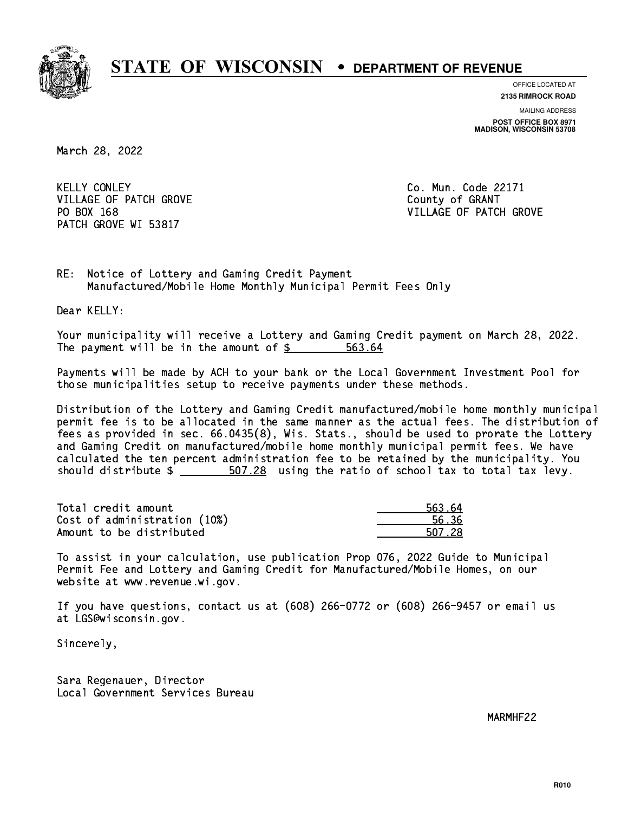

**OFFICE LOCATED AT**

**2135 RIMROCK ROAD**

**MAILING ADDRESS POST OFFICE BOX 8971 MADISON, WISCONSIN 53708**

March 28, 2022

**KELLY CONLEY** VILLAGE OF PATCH GROVE COUNTY OF GRANT PATCH GROVE WI 53817

Co. Mun. Code 22171 PO BOX 168 VILLAGE OF PATCH GROVE

RE: Notice of Lottery and Gaming Credit Payment Manufactured/Mobile Home Monthly Municipal Permit Fees Only

Dear KELLY:

 Your municipality will receive a Lottery and Gaming Credit payment on March 28, 2022. The payment will be in the amount of \$ 563.64 \_\_\_\_\_\_\_\_\_\_\_\_\_\_\_\_

 Payments will be made by ACH to your bank or the Local Government Investment Pool for those municipalities setup to receive payments under these methods.

 Distribution of the Lottery and Gaming Credit manufactured/mobile home monthly municipal permit fee is to be allocated in the same manner as the actual fees. The distribution of fees as provided in sec. 66.0435(8), Wis. Stats., should be used to prorate the Lottery and Gaming Credit on manufactured/mobile home monthly municipal permit fees. We have calculated the ten percent administration fee to be retained by the municipality. You should distribute  $\frac{207.28}{200}$  using the ratio of school tax to total tax levy.

Total credit amount Cost of administration (10%) Amount to be distributed

| 563.64 |
|--------|
| 636    |
| 507.28 |

 To assist in your calculation, use publication Prop 076, 2022 Guide to Municipal Permit Fee and Lottery and Gaming Credit for Manufactured/Mobile Homes, on our website at www.revenue.wi.gov.

 If you have questions, contact us at (608) 266-0772 or (608) 266-9457 or email us at LGS@wisconsin.gov.

Sincerely,

 Sara Regenauer, Director Local Government Services Bureau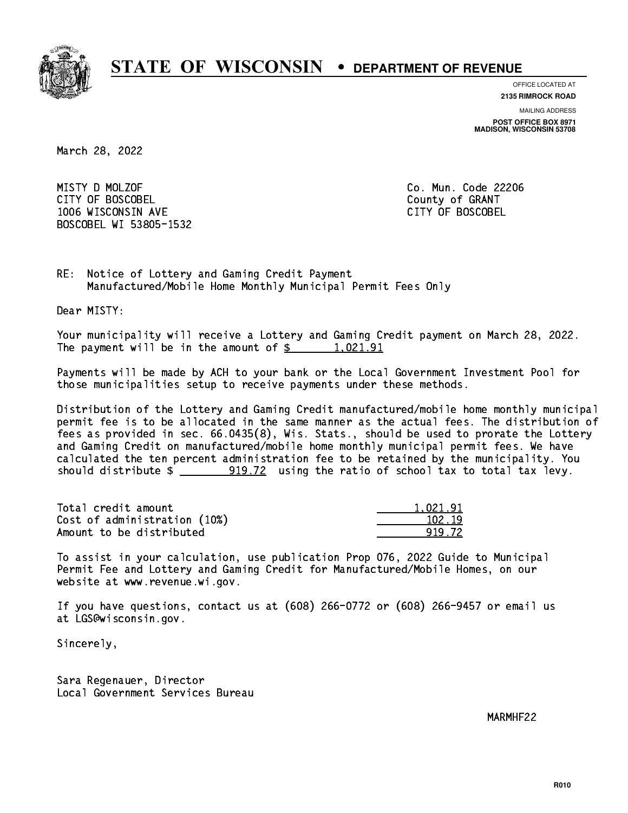

**OFFICE LOCATED AT**

**MAILING ADDRESS 2135 RIMROCK ROAD**

**POST OFFICE BOX 8971 MADISON, WISCONSIN 53708**

March 28, 2022

 MISTY D MOLZOF Co. Mun. Code 22206 CITY OF BOSCOBEL County of GRANT 1006 WISCONSIN AVE CITY OF BOSCOBEL BOSCOBEL WI 53805-1532

RE: Notice of Lottery and Gaming Credit Payment Manufactured/Mobile Home Monthly Municipal Permit Fees Only

Dear MISTY:

 Your municipality will receive a Lottery and Gaming Credit payment on March 28, 2022. The payment will be in the amount of  $\frac{2}{3}$  1,021.91

 Payments will be made by ACH to your bank or the Local Government Investment Pool for those municipalities setup to receive payments under these methods.

 Distribution of the Lottery and Gaming Credit manufactured/mobile home monthly municipal permit fee is to be allocated in the same manner as the actual fees. The distribution of fees as provided in sec. 66.0435(8), Wis. Stats., should be used to prorate the Lottery and Gaming Credit on manufactured/mobile home monthly municipal permit fees. We have calculated the ten percent administration fee to be retained by the municipality. You should distribute  $\frac{2}{2}$   $\frac{919.72}{2}$  using the ratio of school tax to total tax levy.

| Total credit amount          | 1.021.91 |
|------------------------------|----------|
| Cost of administration (10%) | 102.19   |
| Amount to be distributed     | 919 72   |

 To assist in your calculation, use publication Prop 076, 2022 Guide to Municipal Permit Fee and Lottery and Gaming Credit for Manufactured/Mobile Homes, on our website at www.revenue.wi.gov.

 If you have questions, contact us at (608) 266-0772 or (608) 266-9457 or email us at LGS@wisconsin.gov.

Sincerely,

 Sara Regenauer, Director Local Government Services Bureau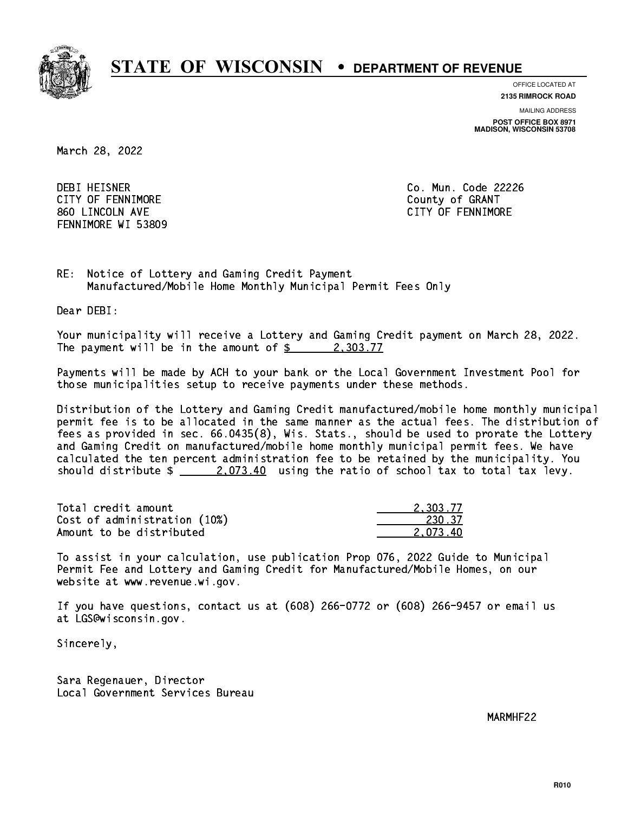

**OFFICE LOCATED AT**

**2135 RIMROCK ROAD**

**MAILING ADDRESS POST OFFICE BOX 8971 MADISON, WISCONSIN 53708**

March 28, 2022

 DEBI HEISNER Co. Mun. Code 22226 CITY OF FENNIMORE **COULD COULD COULD COULD COULD** 860 LINCOLN AVE CONTROLLER SERVICE SERVICE SERVICE SERVICE SERVICE SERVICE SERVICE SERVICE SERVICE SERVICE SERVICE SERVICE SERVICE SERVICE SERVICE SERVICE SERVICE SERVICE SERVICE SERVICE SERVICE SERVICE SERVICE SERVICE SER FENNIMORE WI 53809

RE: Notice of Lottery and Gaming Credit Payment Manufactured/Mobile Home Monthly Municipal Permit Fees Only

Dear DEBI:

 Your municipality will receive a Lottery and Gaming Credit payment on March 28, 2022. The payment will be in the amount of  $\frac{2}{3}$  2,303.77

 Payments will be made by ACH to your bank or the Local Government Investment Pool for those municipalities setup to receive payments under these methods.

 Distribution of the Lottery and Gaming Credit manufactured/mobile home monthly municipal permit fee is to be allocated in the same manner as the actual fees. The distribution of fees as provided in sec. 66.0435(8), Wis. Stats., should be used to prorate the Lottery and Gaming Credit on manufactured/mobile home monthly municipal permit fees. We have calculated the ten percent administration fee to be retained by the municipality. You should distribute  $\frac{2.073.40}{2.073.40}$  using the ratio of school tax to total tax levy.

| Total credit amount          | 2.303.77 |
|------------------------------|----------|
| Cost of administration (10%) | 230.37   |
| Amount to be distributed     | 2.073.40 |

 To assist in your calculation, use publication Prop 076, 2022 Guide to Municipal Permit Fee and Lottery and Gaming Credit for Manufactured/Mobile Homes, on our website at www.revenue.wi.gov.

 If you have questions, contact us at (608) 266-0772 or (608) 266-9457 or email us at LGS@wisconsin.gov.

Sincerely,

 Sara Regenauer, Director Local Government Services Bureau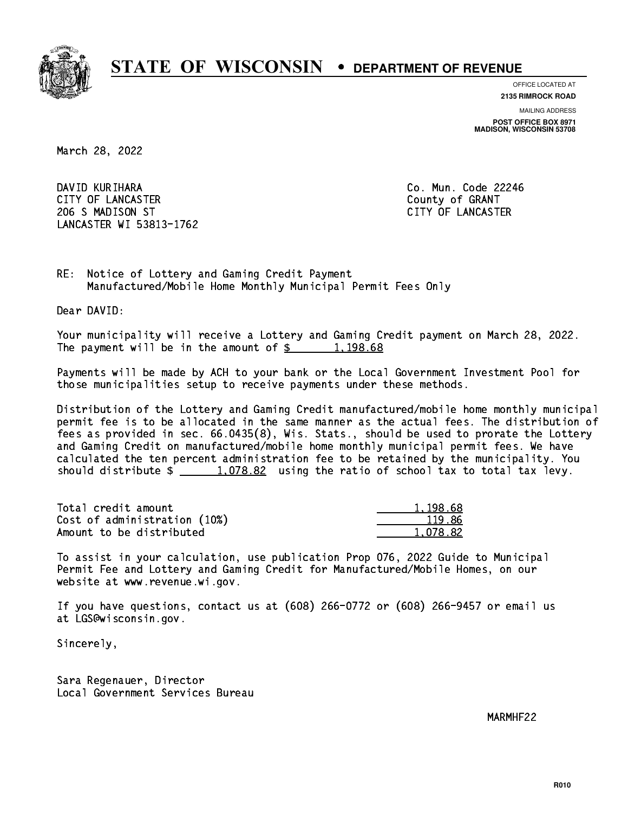

**OFFICE LOCATED AT 2135 RIMROCK ROAD**

**MAILING ADDRESS POST OFFICE BOX 8971 MADISON, WISCONSIN 53708**

March 28, 2022

 DAVID KURIHARA Co. Mun. Code 22246 CITY OF LANCASTER **COUNTY COULD AND COULD COULD COULD** COUNTY OF GRANT 206 S MADISON ST CITY OF LANCASTER LANCASTER WI 53813-1762

RE: Notice of Lottery and Gaming Credit Payment Manufactured/Mobile Home Monthly Municipal Permit Fees Only

Dear DAVID:

 Your municipality will receive a Lottery and Gaming Credit payment on March 28, 2022. The payment will be in the amount of  $\frac{2}{3}$  1,198.68

 Payments will be made by ACH to your bank or the Local Government Investment Pool for those municipalities setup to receive payments under these methods.

 Distribution of the Lottery and Gaming Credit manufactured/mobile home monthly municipal permit fee is to be allocated in the same manner as the actual fees. The distribution of fees as provided in sec. 66.0435(8), Wis. Stats., should be used to prorate the Lottery and Gaming Credit on manufactured/mobile home monthly municipal permit fees. We have calculated the ten percent administration fee to be retained by the municipality. You should distribute  $\frac{1.078.82}{1.078.82}$  using the ratio of school tax to total tax levy.

| Total credit amount          | 1,198.68 |
|------------------------------|----------|
| Cost of administration (10%) | 119.86   |
| Amount to be distributed     | 1,078.82 |

 To assist in your calculation, use publication Prop 076, 2022 Guide to Municipal Permit Fee and Lottery and Gaming Credit for Manufactured/Mobile Homes, on our website at www.revenue.wi.gov.

 If you have questions, contact us at (608) 266-0772 or (608) 266-9457 or email us at LGS@wisconsin.gov.

Sincerely,

 Sara Regenauer, Director Local Government Services Bureau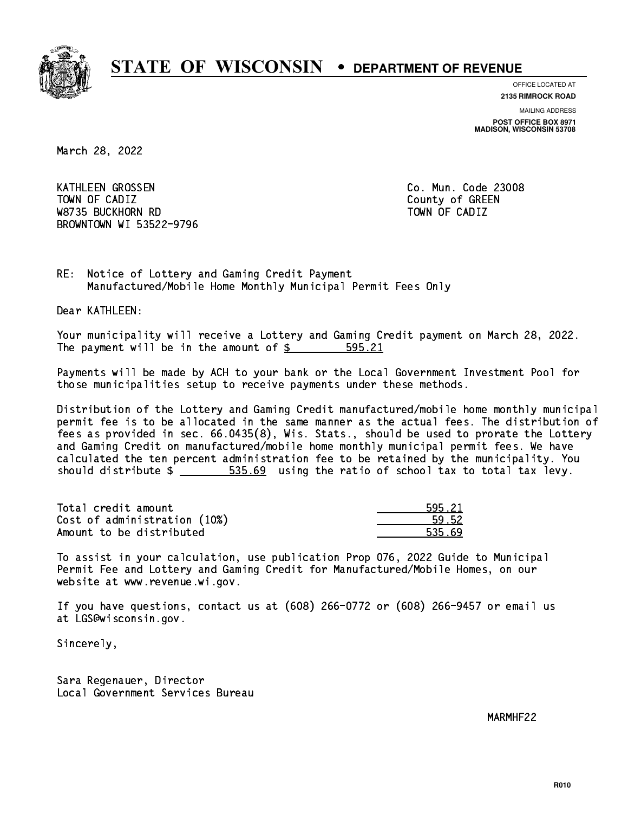

**OFFICE LOCATED AT 2135 RIMROCK ROAD**

**MAILING ADDRESS**

**POST OFFICE BOX 8971 MADISON, WISCONSIN 53708**

March 28, 2022

 KATHLEEN GROSSEN Co. Mun. Code 23008 Town of California  $\mathcal{L}$  county of Green  $\mathcal{L}$  W8735 BUCKHORN RD TOWN OF CADIZ BROWNTOWN WI 53522-9796

RE: Notice of Lottery and Gaming Credit Payment Manufactured/Mobile Home Monthly Municipal Permit Fees Only

Dear KATHLEEN:

 Your municipality will receive a Lottery and Gaming Credit payment on March 28, 2022. The payment will be in the amount of  $\frac{25}{3}$ 595.21

 Payments will be made by ACH to your bank or the Local Government Investment Pool for those municipalities setup to receive payments under these methods.

 Distribution of the Lottery and Gaming Credit manufactured/mobile home monthly municipal permit fee is to be allocated in the same manner as the actual fees. The distribution of fees as provided in sec. 66.0435(8), Wis. Stats., should be used to prorate the Lottery and Gaming Credit on manufactured/mobile home monthly municipal permit fees. We have calculated the ten percent administration fee to be retained by the municipality. You should distribute  $\frac{2}{1}$   $\frac{535.69}{1000}$  using the ratio of school tax to total tax levy.

Total credit amount Cost of administration (10%) Amount to be distributed

| - 21         |
|--------------|
| $52^{\circ}$ |
| E 21         |

 To assist in your calculation, use publication Prop 076, 2022 Guide to Municipal Permit Fee and Lottery and Gaming Credit for Manufactured/Mobile Homes, on our website at www.revenue.wi.gov.

 If you have questions, contact us at (608) 266-0772 or (608) 266-9457 or email us at LGS@wisconsin.gov.

Sincerely,

 Sara Regenauer, Director Local Government Services Bureau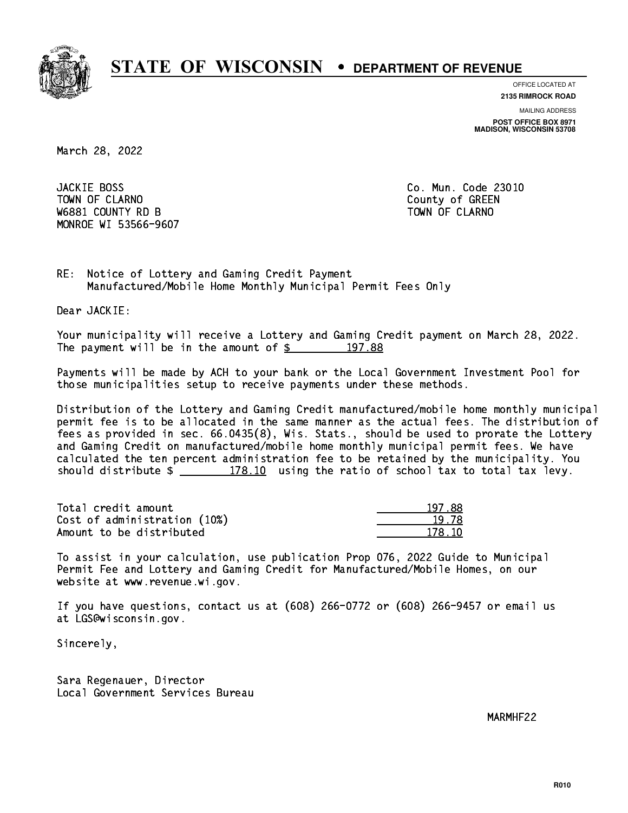

**OFFICE LOCATED AT 2135 RIMROCK ROAD**

**MAILING ADDRESS**

**POST OFFICE BOX 8971 MADISON, WISCONSIN 53708**

March 28, 2022

**JACKIE BOSS** Town of Claramon County of Green County of Green County of Green County of Green County of Green County of Green County of Green County of Green County of Green County of Green County of Green County of Green County of Gre W6881 COUNTY RD B TOWN OF CLARNO MONROE WI 53566-9607

Co. Mun. Code 23010

RE: Notice of Lottery and Gaming Credit Payment Manufactured/Mobile Home Monthly Municipal Permit Fees Only

Dear JACKIE:

 Your municipality will receive a Lottery and Gaming Credit payment on March 28, 2022. The payment will be in the amount of  $\frac{2}{3}$  197.88

 Payments will be made by ACH to your bank or the Local Government Investment Pool for those municipalities setup to receive payments under these methods.

 Distribution of the Lottery and Gaming Credit manufactured/mobile home monthly municipal permit fee is to be allocated in the same manner as the actual fees. The distribution of fees as provided in sec. 66.0435(8), Wis. Stats., should be used to prorate the Lottery and Gaming Credit on manufactured/mobile home monthly municipal permit fees. We have calculated the ten percent administration fee to be retained by the municipality. You should distribute  $\frac{2}{2}$   $\frac{178.10}{2}$  using the ratio of school tax to total tax levy.

Total credit amount Cost of administration (10%) Amount to be distributed

| रप्र<br>ו ו |
|-------------|
| I 78        |
| 178. IN     |

 To assist in your calculation, use publication Prop 076, 2022 Guide to Municipal Permit Fee and Lottery and Gaming Credit for Manufactured/Mobile Homes, on our website at www.revenue.wi.gov.

 If you have questions, contact us at (608) 266-0772 or (608) 266-9457 or email us at LGS@wisconsin.gov.

Sincerely,

 Sara Regenauer, Director Local Government Services Bureau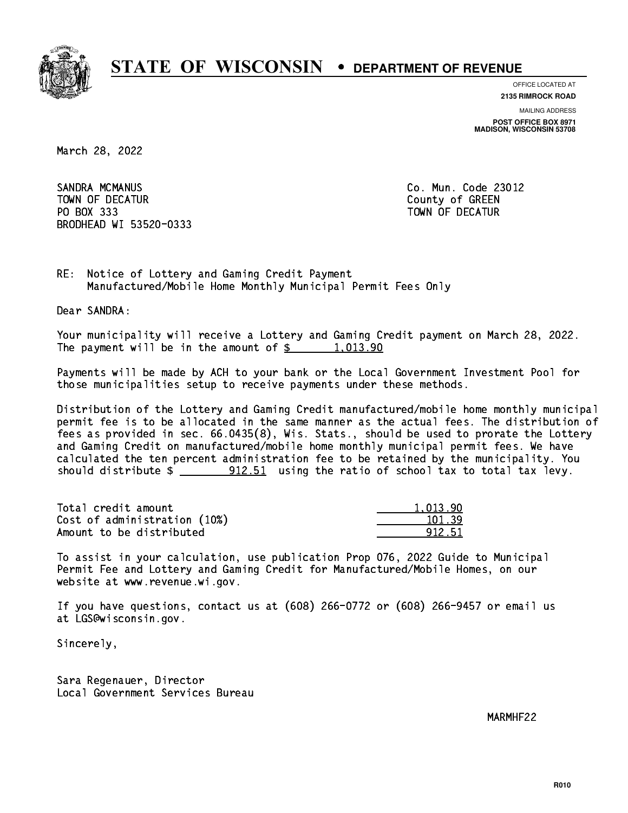

**OFFICE LOCATED AT**

**MAILING ADDRESS 2135 RIMROCK ROAD**

**POST OFFICE BOX 8971 MADISON, WISCONSIN 53708**

March 28, 2022

 SANDRA MCMANUS Co. Mun. Code 23012 TOWN OF DECATUR County of GREEN PO BOX 333 PO BOX 333 TOWN OF DECATUR BRODHEAD WI 53520-0333

RE: Notice of Lottery and Gaming Credit Payment Manufactured/Mobile Home Monthly Municipal Permit Fees Only

Dear SANDRA:

 Your municipality will receive a Lottery and Gaming Credit payment on March 28, 2022. The payment will be in the amount of  $\frac{2}{3}$  1,013.90

 Payments will be made by ACH to your bank or the Local Government Investment Pool for those municipalities setup to receive payments under these methods.

 Distribution of the Lottery and Gaming Credit manufactured/mobile home monthly municipal permit fee is to be allocated in the same manner as the actual fees. The distribution of fees as provided in sec. 66.0435(8), Wis. Stats., should be used to prorate the Lottery and Gaming Credit on manufactured/mobile home monthly municipal permit fees. We have calculated the ten percent administration fee to be retained by the municipality. You should distribute  $\frac{1}{2}$   $\frac{912.51}{1000}$  using the ratio of school tax to total tax levy.

| Total credit amount          | 1.013.90 |
|------------------------------|----------|
| Cost of administration (10%) | 101.39   |
| Amount to be distributed     | 912.51   |

 To assist in your calculation, use publication Prop 076, 2022 Guide to Municipal Permit Fee and Lottery and Gaming Credit for Manufactured/Mobile Homes, on our website at www.revenue.wi.gov.

 If you have questions, contact us at (608) 266-0772 or (608) 266-9457 or email us at LGS@wisconsin.gov.

Sincerely,

 Sara Regenauer, Director Local Government Services Bureau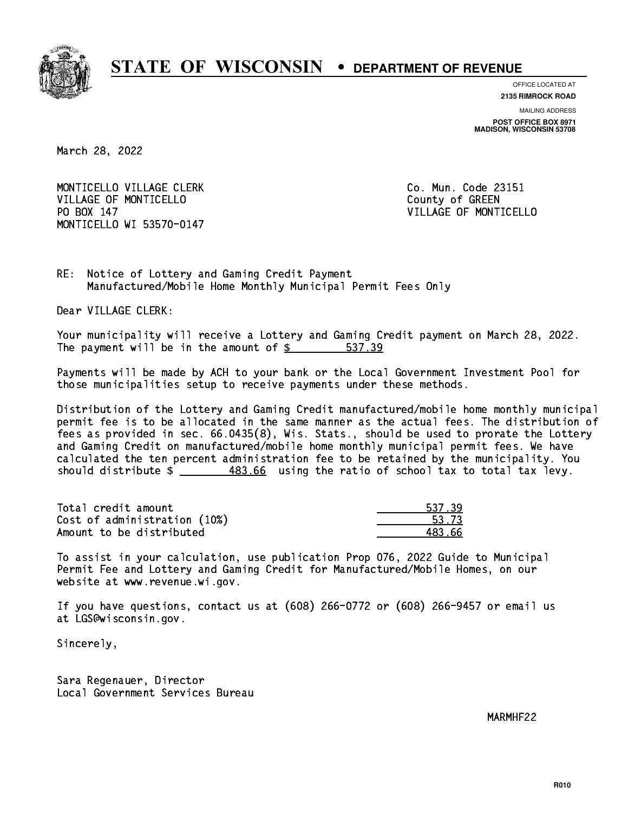

**OFFICE LOCATED AT**

**2135 RIMROCK ROAD**

**MAILING ADDRESS POST OFFICE BOX 8971 MADISON, WISCONSIN 53708**

March 28, 2022

MONTICELLO VILLAGE CLERK CONTROLLERY CO. Mun. Code 23151 VILLAGE OF MONTICELLO **COUNTY COULD AND COULD COULD COULD** PO BOX 147 MONTICELLO WI 53570-0147

VILLAGE OF MONTICELLO

RE: Notice of Lottery and Gaming Credit Payment Manufactured/Mobile Home Monthly Municipal Permit Fees Only

Dear VILLAGE CLERK:

 Your municipality will receive a Lottery and Gaming Credit payment on March 28, 2022. The payment will be in the amount of \$ 537.39 \_\_\_\_\_\_\_\_\_\_\_\_\_\_\_\_

 Payments will be made by ACH to your bank or the Local Government Investment Pool for those municipalities setup to receive payments under these methods.

 Distribution of the Lottery and Gaming Credit manufactured/mobile home monthly municipal permit fee is to be allocated in the same manner as the actual fees. The distribution of fees as provided in sec. 66.0435(8), Wis. Stats., should be used to prorate the Lottery and Gaming Credit on manufactured/mobile home monthly municipal permit fees. We have calculated the ten percent administration fee to be retained by the municipality. You should distribute \$ 483.66 using the ratio of school tax to total tax levy. \_\_\_\_\_\_\_\_\_\_\_\_\_\_

Total credit amount Cost of administration (10%) Amount to be distributed

| -27         |
|-------------|
| 53.73<br>Ξ. |
| '3.66       |

 To assist in your calculation, use publication Prop 076, 2022 Guide to Municipal Permit Fee and Lottery and Gaming Credit for Manufactured/Mobile Homes, on our website at www.revenue.wi.gov.

 If you have questions, contact us at (608) 266-0772 or (608) 266-9457 or email us at LGS@wisconsin.gov.

Sincerely,

 Sara Regenauer, Director Local Government Services Bureau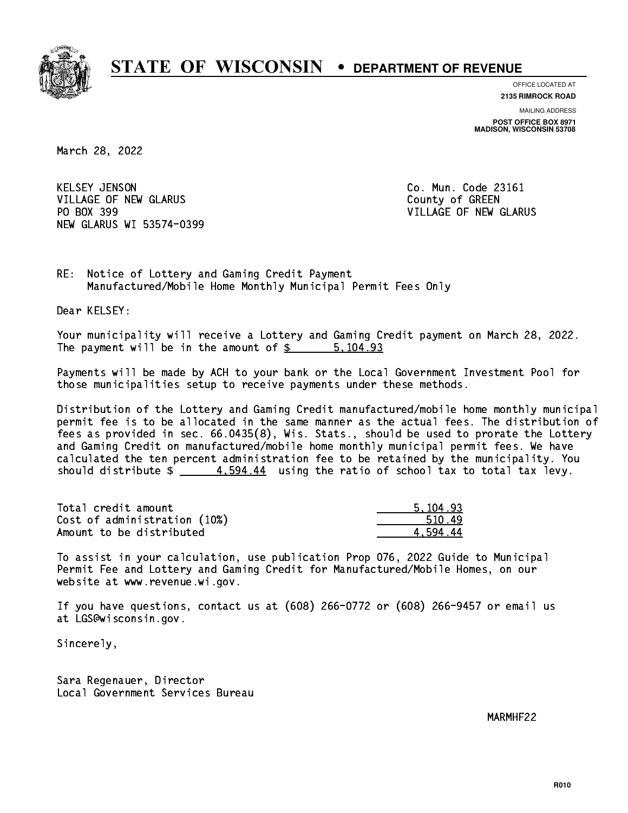

**OFFICE LOCATED AT**

**2135 RIMROCK ROAD**

**MAILING ADDRESS POST OFFICE BOX 8971 MADISON, WISCONSIN 53708**

March 28, 2022

**KELSEY JENSON** VILLAGE OF NEW GLARUS **COUNTY OF GREEN** PO BOX 399 NEW GLARUS WI 53574-0399

Co. Mun. Code 23161 VILLAGE OF NEW GLARUS

RE: Notice of Lottery and Gaming Credit Payment Manufactured/Mobile Home Monthly Municipal Permit Fees Only

Dear KELSEY:

 Your municipality will receive a Lottery and Gaming Credit payment on March 28, 2022. The payment will be in the amount of \$ 5,104.93 \_\_\_\_\_\_\_\_\_\_\_\_\_\_\_\_

 Payments will be made by ACH to your bank or the Local Government Investment Pool for those municipalities setup to receive payments under these methods.

 Distribution of the Lottery and Gaming Credit manufactured/mobile home monthly municipal permit fee is to be allocated in the same manner as the actual fees. The distribution of fees as provided in sec. 66.0435(8), Wis. Stats., should be used to prorate the Lottery and Gaming Credit on manufactured/mobile home monthly municipal permit fees. We have calculated the ten percent administration fee to be retained by the municipality. You should distribute  $\frac{2}{1}$   $\frac{4}{594.44}$  using the ratio of school tax to total tax levy.

| Total credit amount          | 5.104.93 |
|------------------------------|----------|
| Cost of administration (10%) | 510.49   |
| Amount to be distributed     | 4 594.44 |

 To assist in your calculation, use publication Prop 076, 2022 Guide to Municipal Permit Fee and Lottery and Gaming Credit for Manufactured/Mobile Homes, on our website at www.revenue.wi.gov.

 If you have questions, contact us at (608) 266-0772 or (608) 266-9457 or email us at LGS@wisconsin.gov.

Sincerely,

 Sara Regenauer, Director Local Government Services Bureau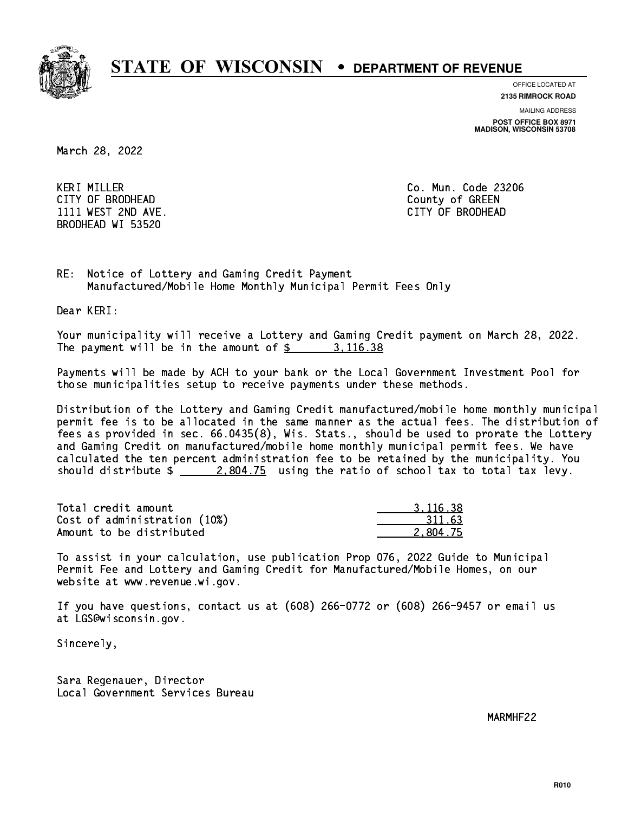

**OFFICE LOCATED AT 2135 RIMROCK ROAD**

**MAILING ADDRESS**

**POST OFFICE BOX 8971 MADISON, WISCONSIN 53708**

March 28, 2022

 KERI MILLER Co. Mun. Code 23206 CITY OF BRODHEAD County of GREEN 1111 WEST 2ND AVE. CITY OF BRODHEAD BRODHEAD WI 53520

RE: Notice of Lottery and Gaming Credit Payment Manufactured/Mobile Home Monthly Municipal Permit Fees Only

Dear KERI:

 Your municipality will receive a Lottery and Gaming Credit payment on March 28, 2022. The payment will be in the amount of \$ 3,116.38 \_\_\_\_\_\_\_\_\_\_\_\_\_\_\_\_

 Payments will be made by ACH to your bank or the Local Government Investment Pool for those municipalities setup to receive payments under these methods.

 Distribution of the Lottery and Gaming Credit manufactured/mobile home monthly municipal permit fee is to be allocated in the same manner as the actual fees. The distribution of fees as provided in sec. 66.0435(8), Wis. Stats., should be used to prorate the Lottery and Gaming Credit on manufactured/mobile home monthly municipal permit fees. We have calculated the ten percent administration fee to be retained by the municipality. You should distribute  $\frac{2,804.75}{2}$  using the ratio of school tax to total tax levy.

| Total credit amount          | 3.116.38 |
|------------------------------|----------|
| Cost of administration (10%) | 311.63   |
| Amount to be distributed     | 2.804.75 |

 To assist in your calculation, use publication Prop 076, 2022 Guide to Municipal Permit Fee and Lottery and Gaming Credit for Manufactured/Mobile Homes, on our website at www.revenue.wi.gov.

 If you have questions, contact us at (608) 266-0772 or (608) 266-9457 or email us at LGS@wisconsin.gov.

Sincerely,

 Sara Regenauer, Director Local Government Services Bureau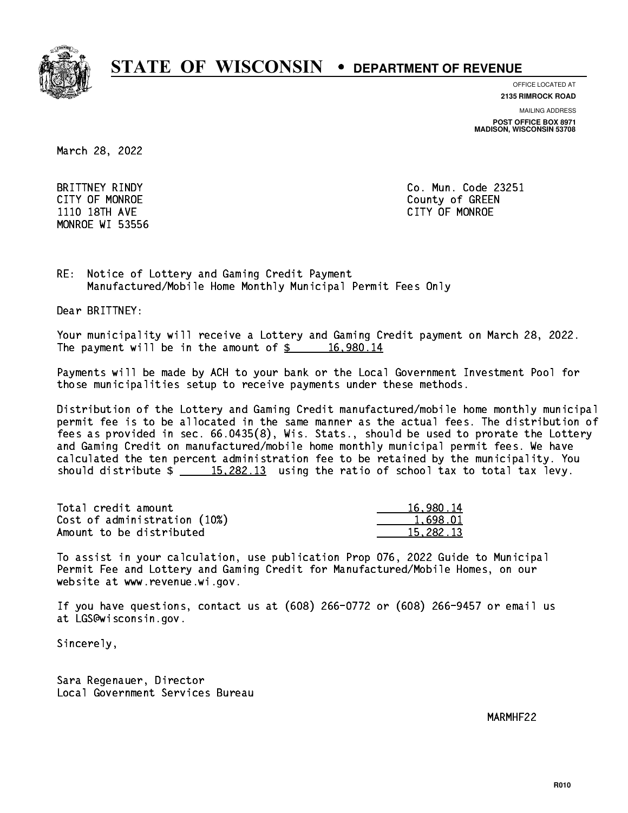

**OFFICE LOCATED AT**

**2135 RIMROCK ROAD**

**MAILING ADDRESS**

**POST OFFICE BOX 8971 MADISON, WISCONSIN 53708**

March 28, 2022

MONROE WI 53556

 BRITTNEY RINDY Co. Mun. Code 23251 CITY OF MONROE County of GREEN 1110 18TH AVE CITY OF MONROE

RE: Notice of Lottery and Gaming Credit Payment Manufactured/Mobile Home Monthly Municipal Permit Fees Only

Dear BRITTNEY:

 Your municipality will receive a Lottery and Gaming Credit payment on March 28, 2022. The payment will be in the amount of  $\frac{2}{3}$  16,980.14

 Payments will be made by ACH to your bank or the Local Government Investment Pool for those municipalities setup to receive payments under these methods.

 Distribution of the Lottery and Gaming Credit manufactured/mobile home monthly municipal permit fee is to be allocated in the same manner as the actual fees. The distribution of fees as provided in sec. 66.0435(8), Wis. Stats., should be used to prorate the Lottery and Gaming Credit on manufactured/mobile home monthly municipal permit fees. We have calculated the ten percent administration fee to be retained by the municipality. You should distribute  $\frac{15,282.13}{ }$  using the ratio of school tax to total tax levy.

| Total credit amount          | 16,980.14 |
|------------------------------|-----------|
| Cost of administration (10%) | 1.698.01  |
| Amount to be distributed     | 15,282.13 |

 To assist in your calculation, use publication Prop 076, 2022 Guide to Municipal Permit Fee and Lottery and Gaming Credit for Manufactured/Mobile Homes, on our website at www.revenue.wi.gov.

 If you have questions, contact us at (608) 266-0772 or (608) 266-9457 or email us at LGS@wisconsin.gov.

Sincerely,

 Sara Regenauer, Director Local Government Services Bureau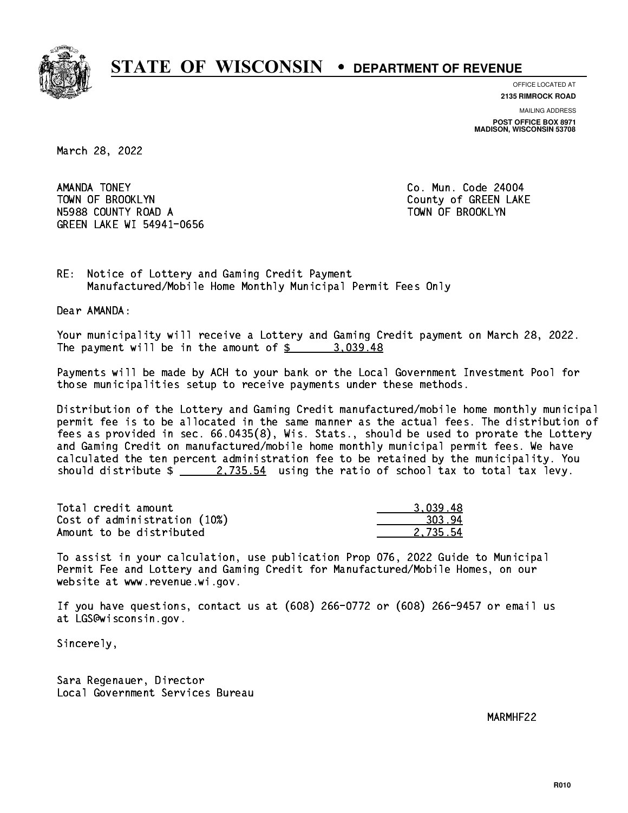

**OFFICE LOCATED AT**

**2135 RIMROCK ROAD**

**MAILING ADDRESS POST OFFICE BOX 8971 MADISON, WISCONSIN 53708**

March 28, 2022

AMANDA TONEY TOWN OF BROOKLYN County of GREEN LAKE N5988 COUNTY ROAD A TOWN OF BROOKLYN GREEN LAKE WI 54941-0656

Co. Mun. Code 24004

RE: Notice of Lottery and Gaming Credit Payment Manufactured/Mobile Home Monthly Municipal Permit Fees Only

Dear AMANDA:

 Your municipality will receive a Lottery and Gaming Credit payment on March 28, 2022. The payment will be in the amount of  $\frac{2}{3}$  3,039.48

 Payments will be made by ACH to your bank or the Local Government Investment Pool for those municipalities setup to receive payments under these methods.

 Distribution of the Lottery and Gaming Credit manufactured/mobile home monthly municipal permit fee is to be allocated in the same manner as the actual fees. The distribution of fees as provided in sec. 66.0435(8), Wis. Stats., should be used to prorate the Lottery and Gaming Credit on manufactured/mobile home monthly municipal permit fees. We have calculated the ten percent administration fee to be retained by the municipality. You should distribute  $\frac{2.735.54}{2.735.54}$  using the ratio of school tax to total tax levy.

| Total credit amount          | 3.039.48 |
|------------------------------|----------|
| Cost of administration (10%) | 303.94   |
| Amount to be distributed     | 2.735.54 |

 To assist in your calculation, use publication Prop 076, 2022 Guide to Municipal Permit Fee and Lottery and Gaming Credit for Manufactured/Mobile Homes, on our website at www.revenue.wi.gov.

 If you have questions, contact us at (608) 266-0772 or (608) 266-9457 or email us at LGS@wisconsin.gov.

Sincerely,

 Sara Regenauer, Director Local Government Services Bureau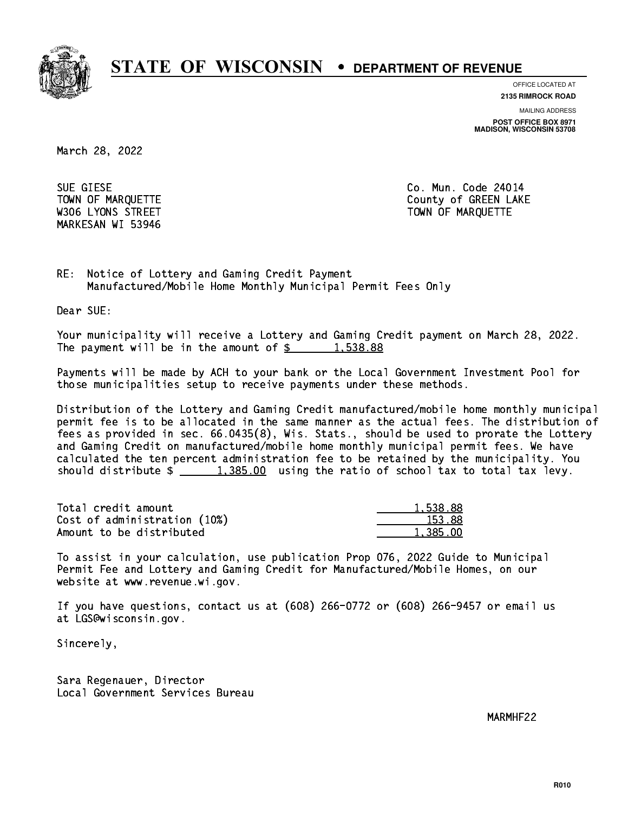

**OFFICE LOCATED AT 2135 RIMROCK ROAD**

**MAILING ADDRESS POST OFFICE BOX 8971 MADISON, WISCONSIN 53708**

March 28, 2022

 SUE GIESE Co. Mun. Code 24014 MARKESAN WI 53946

TOWN OF MARQUETTE TOWN OF MARQUETTE W306 LYONS STREET TOWN OF MARQUETTE

RE: Notice of Lottery and Gaming Credit Payment Manufactured/Mobile Home Monthly Municipal Permit Fees Only

Dear SUE:

 Your municipality will receive a Lottery and Gaming Credit payment on March 28, 2022. The payment will be in the amount of  $\frac{2}{3}$  1,538.88

 Payments will be made by ACH to your bank or the Local Government Investment Pool for those municipalities setup to receive payments under these methods.

 Distribution of the Lottery and Gaming Credit manufactured/mobile home monthly municipal permit fee is to be allocated in the same manner as the actual fees. The distribution of fees as provided in sec. 66.0435(8), Wis. Stats., should be used to prorate the Lottery and Gaming Credit on manufactured/mobile home monthly municipal permit fees. We have calculated the ten percent administration fee to be retained by the municipality. You should distribute  $\frac{1,385.00}{1,385.00}$  using the ratio of school tax to total tax levy.

| Total credit amount          | 1.538.88 |
|------------------------------|----------|
| Cost of administration (10%) | 153.88   |
| Amount to be distributed     | 1,385.00 |

 To assist in your calculation, use publication Prop 076, 2022 Guide to Municipal Permit Fee and Lottery and Gaming Credit for Manufactured/Mobile Homes, on our website at www.revenue.wi.gov.

 If you have questions, contact us at (608) 266-0772 or (608) 266-9457 or email us at LGS@wisconsin.gov.

Sincerely,

 Sara Regenauer, Director Local Government Services Bureau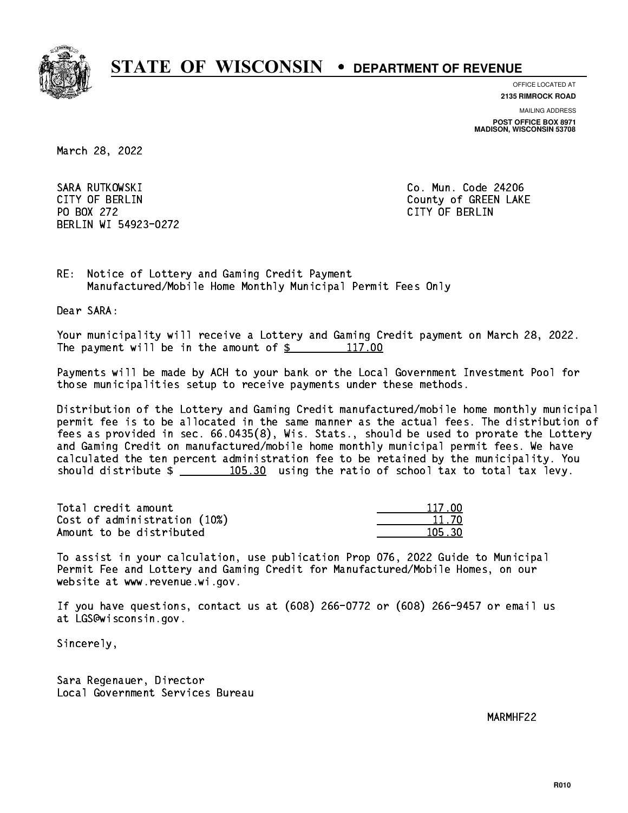

**OFFICE LOCATED AT**

**2135 RIMROCK ROAD**

**MAILING ADDRESS**

**POST OFFICE BOX 8971 MADISON, WISCONSIN 53708**

March 28, 2022

 SARA RUTKOWSKI Co. Mun. Code 24206 PO BOX 272 CITY OF BERLIN BERLIN WI 54923-0272

CITY OF BERLIN COUNTY OF BERLIN

RE: Notice of Lottery and Gaming Credit Payment Manufactured/Mobile Home Monthly Municipal Permit Fees Only

Dear SARA:

 Your municipality will receive a Lottery and Gaming Credit payment on March 28, 2022. The payment will be in the amount of  $\frac{2}{3}$  117.00

 Payments will be made by ACH to your bank or the Local Government Investment Pool for those municipalities setup to receive payments under these methods.

 Distribution of the Lottery and Gaming Credit manufactured/mobile home monthly municipal permit fee is to be allocated in the same manner as the actual fees. The distribution of fees as provided in sec. 66.0435(8), Wis. Stats., should be used to prorate the Lottery and Gaming Credit on manufactured/mobile home monthly municipal permit fees. We have calculated the ten percent administration fee to be retained by the municipality. You should distribute  $\frac{105.30}{105.30}$  using the ratio of school tax to total tax levy.

Total credit amount Cost of administration (10%) Amount to be distributed

| 117 NN     |
|------------|
| 11 70      |
| 1530<br>п. |

 To assist in your calculation, use publication Prop 076, 2022 Guide to Municipal Permit Fee and Lottery and Gaming Credit for Manufactured/Mobile Homes, on our website at www.revenue.wi.gov.

 If you have questions, contact us at (608) 266-0772 or (608) 266-9457 or email us at LGS@wisconsin.gov.

Sincerely,

 Sara Regenauer, Director Local Government Services Bureau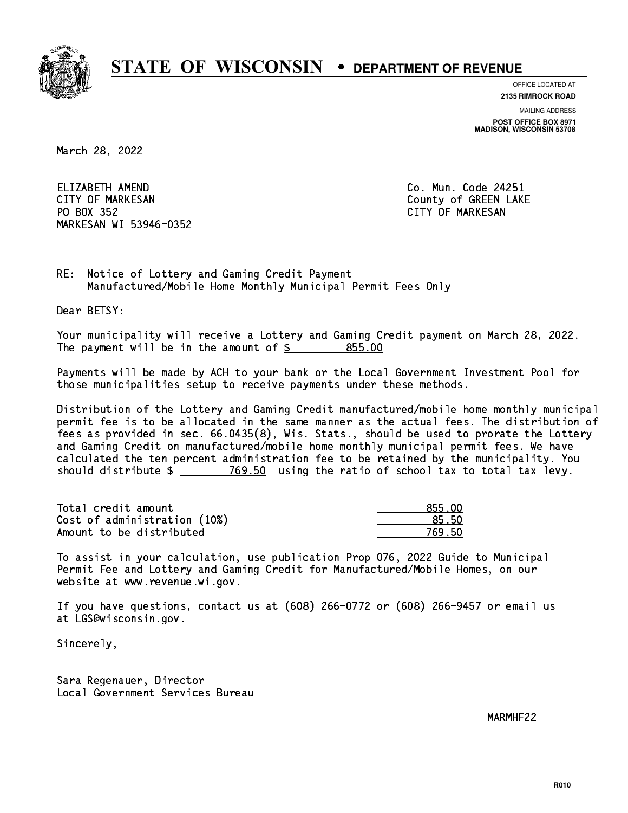

**OFFICE LOCATED AT**

**2135 RIMROCK ROAD**

**MAILING ADDRESS POST OFFICE BOX 8971 MADISON, WISCONSIN 53708**

March 28, 2022

ELIZABETH AMEND CITY OF MARKESAN County of GREEN LAKE PO BOX 352 PO BOX 352 CITY OF MARKESAN MARKESAN WI 53946-0352

Co. Mun. Code 24251

RE: Notice of Lottery and Gaming Credit Payment Manufactured/Mobile Home Monthly Municipal Permit Fees Only

Dear BETSY:

 Your municipality will receive a Lottery and Gaming Credit payment on March 28, 2022. The payment will be in the amount of  $$ 855.00$ 

 Payments will be made by ACH to your bank or the Local Government Investment Pool for those municipalities setup to receive payments under these methods.

 Distribution of the Lottery and Gaming Credit manufactured/mobile home monthly municipal permit fee is to be allocated in the same manner as the actual fees. The distribution of fees as provided in sec. 66.0435(8), Wis. Stats., should be used to prorate the Lottery and Gaming Credit on manufactured/mobile home monthly municipal permit fees. We have calculated the ten percent administration fee to be retained by the municipality. You should distribute  $\frac{2}{2}$   $\frac{769.50}{2}$  using the ratio of school tax to total tax levy.

Total credit amount Cost of administration (10%) Amount to be distributed

| 355 NN      |
|-------------|
| հ հՈ        |
| 9 5N<br>-76 |

 To assist in your calculation, use publication Prop 076, 2022 Guide to Municipal Permit Fee and Lottery and Gaming Credit for Manufactured/Mobile Homes, on our website at www.revenue.wi.gov.

 If you have questions, contact us at (608) 266-0772 or (608) 266-9457 or email us at LGS@wisconsin.gov.

Sincerely,

 Sara Regenauer, Director Local Government Services Bureau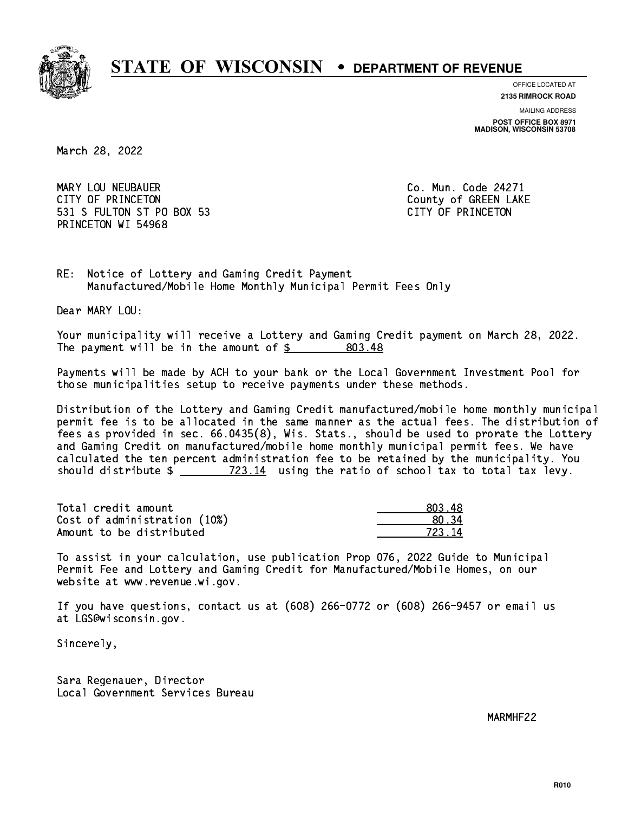

**OFFICE LOCATED AT**

**2135 RIMROCK ROAD**

**MAILING ADDRESS**

**POST OFFICE BOX 8971 MADISON, WISCONSIN 53708**

March 28, 2022

 MARY LOU NEUBAUER Co. Mun. Code 24271 CITY OF PRINCETON COUNTY OF PRINCETON 531 S FULTON ST PO BOX 53 CITY OF PRINCETON PRINCETON WI 54968

RE: Notice of Lottery and Gaming Credit Payment Manufactured/Mobile Home Monthly Municipal Permit Fees Only

Dear MARY LOU:

 Your municipality will receive a Lottery and Gaming Credit payment on March 28, 2022. The payment will be in the amount of  $\frac{20}{3}$ 803.48

 Payments will be made by ACH to your bank or the Local Government Investment Pool for those municipalities setup to receive payments under these methods.

 Distribution of the Lottery and Gaming Credit manufactured/mobile home monthly municipal permit fee is to be allocated in the same manner as the actual fees. The distribution of fees as provided in sec. 66.0435(8), Wis. Stats., should be used to prorate the Lottery and Gaming Credit on manufactured/mobile home monthly municipal permit fees. We have calculated the ten percent administration fee to be retained by the municipality. You should distribute  $\frac{22.14}{23.14}$  using the ratio of school tax to total tax levy.

Total credit amount Cost of administration (10%) Amount to be distributed

| 18<br>n vill |
|--------------|
| ' २4         |
| Δ<br>723 1   |

 To assist in your calculation, use publication Prop 076, 2022 Guide to Municipal Permit Fee and Lottery and Gaming Credit for Manufactured/Mobile Homes, on our website at www.revenue.wi.gov.

 If you have questions, contact us at (608) 266-0772 or (608) 266-9457 or email us at LGS@wisconsin.gov.

Sincerely,

 Sara Regenauer, Director Local Government Services Bureau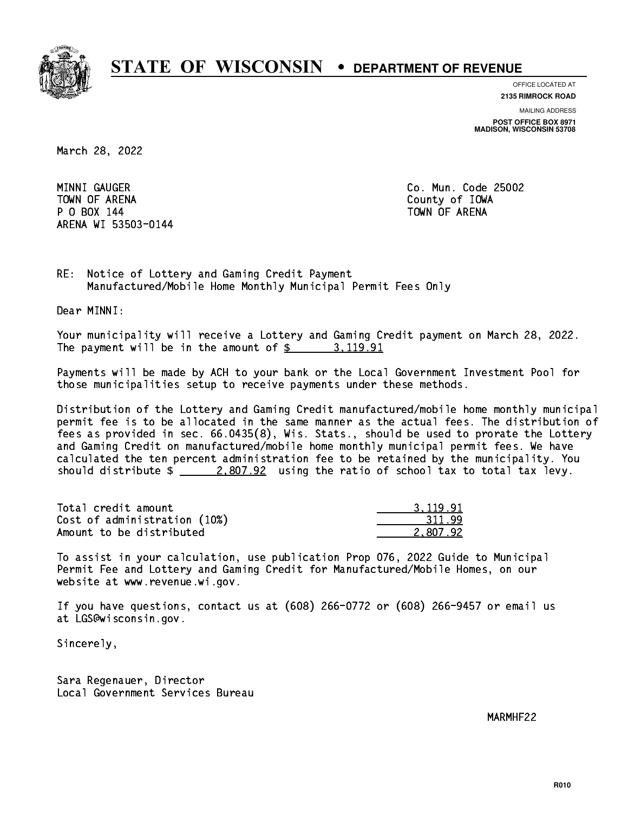

**OFFICE LOCATED AT**

**2135 RIMROCK ROAD**

**MAILING ADDRESS POST OFFICE BOX 8971 MADISON, WISCONSIN 53708**

March 28, 2022

MINNI GAUGER TOWN OF ARENA County of IOWA P O BOX 144 TOWN OF ARENA ARENA WI 53503-0144

Co. Mun. Code 25002

 $RE:$ Notice of Lottery and Gaming Credit Payment Manufactured/Mobile Home Monthly Municipal Permit Fees Only

Dear MINNI:

 Your municipality will receive a Lottery and Gaming Credit payment on March 28, 2022. The payment will be in the amount of \$ 3,119.91 \_\_\_\_\_\_\_\_\_\_\_\_\_\_\_\_

 Payments will be made by ACH to your bank or the Local Government Investment Pool for those municipalities setup to receive payments under these methods.

 Distribution of the Lottery and Gaming Credit manufactured/mobile home monthly municipal permit fee is to be allocated in the same manner as the actual fees. The distribution of fees as provided in sec. 66.0435(8), Wis. Stats., should be used to prorate the Lottery and Gaming Credit on manufactured/mobile home monthly municipal permit fees. We have calculated the ten percent administration fee to be retained by the municipality. You should distribute  $\frac{2,807.92}{2}$  using the ratio of school tax to total tax levy.

| Total credit amount          | 3.119.91 |
|------------------------------|----------|
| Cost of administration (10%) | 311.99   |
| Amount to be distributed     | 2.807.92 |

 To assist in your calculation, use publication Prop 076, 2022 Guide to Municipal Permit Fee and Lottery and Gaming Credit for Manufactured/Mobile Homes, on our website at www.revenue.wi.gov.

 If you have questions, contact us at (608) 266-0772 or (608) 266-9457 or email us at LGS@wisconsin.gov.

Sincerely,

 Sara Regenauer, Director Local Government Services Bureau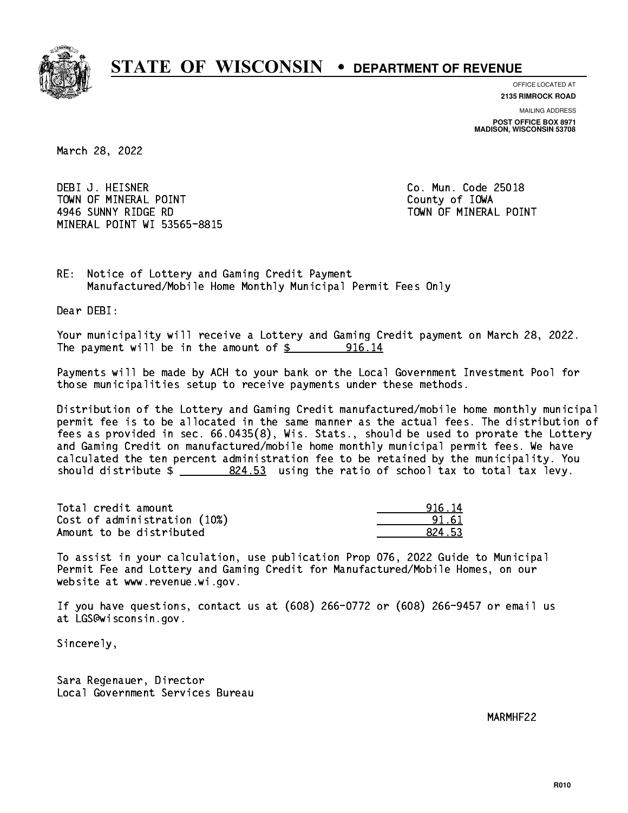

**OFFICE LOCATED AT**

**2135 RIMROCK ROAD**

**MAILING ADDRESS POST OFFICE BOX 8971 MADISON, WISCONSIN 53708**

March 28, 2022

 DEBI J. HEISNER Co. Mun. Code 25018 TOWN OF MINERAL POINT TOWN TOWN County of IOWA 4946 SUNNY RIDGE RD TOWN OF MINERAL POINT MINERAL POINT WI 53565-8815

RE: Notice of Lottery and Gaming Credit Payment Manufactured/Mobile Home Monthly Municipal Permit Fees Only

Dear DEBI:

 Your municipality will receive a Lottery and Gaming Credit payment on March 28, 2022. The payment will be in the amount of  $\frac{2}{3}$  916.14

 Payments will be made by ACH to your bank or the Local Government Investment Pool for those municipalities setup to receive payments under these methods.

 Distribution of the Lottery and Gaming Credit manufactured/mobile home monthly municipal permit fee is to be allocated in the same manner as the actual fees. The distribution of fees as provided in sec. 66.0435(8), Wis. Stats., should be used to prorate the Lottery and Gaming Credit on manufactured/mobile home monthly municipal permit fees. We have calculated the ten percent administration fee to be retained by the municipality. You should distribute  $\frac{24.53}{2}$  using the ratio of school tax to total tax levy.

| Total credit amount          | 916.14 |
|------------------------------|--------|
| Cost of administration (10%) | 91.61  |
| Amount to be distributed     | 824.53 |

| 14<br>ຂີ    |
|-------------|
| 61          |
| 1 53<br>82. |

 To assist in your calculation, use publication Prop 076, 2022 Guide to Municipal Permit Fee and Lottery and Gaming Credit for Manufactured/Mobile Homes, on our website at www.revenue.wi.gov.

 If you have questions, contact us at (608) 266-0772 or (608) 266-9457 or email us at LGS@wisconsin.gov.

Sincerely,

 Sara Regenauer, Director Local Government Services Bureau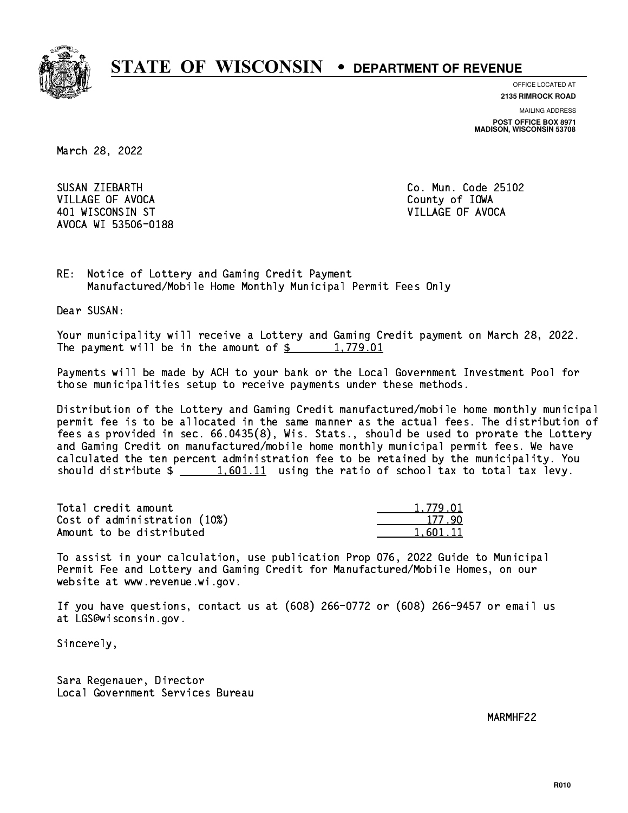

**OFFICE LOCATED AT**

**2135 RIMROCK ROAD**

**MAILING ADDRESS POST OFFICE BOX 8971 MADISON, WISCONSIN 53708**

March 28, 2022

SUSAN ZIEBARTH VILLAGE OF AVOCA COUNTY OF THE COUNTY OF THE COUNTY OF IOWA 401 WISCONSIN ST VILLAGE OF AVOCA AVOCA WI 53506-0188

Co. Mun. Code 25102

RE: Notice of Lottery and Gaming Credit Payment Manufactured/Mobile Home Monthly Municipal Permit Fees Only

Dear SUSAN:

 Your municipality will receive a Lottery and Gaming Credit payment on March 28, 2022. The payment will be in the amount of  $\frac{2}{3}$  1,779.01

 Payments will be made by ACH to your bank or the Local Government Investment Pool for those municipalities setup to receive payments under these methods.

 Distribution of the Lottery and Gaming Credit manufactured/mobile home monthly municipal permit fee is to be allocated in the same manner as the actual fees. The distribution of fees as provided in sec. 66.0435(8), Wis. Stats., should be used to prorate the Lottery and Gaming Credit on manufactured/mobile home monthly municipal permit fees. We have calculated the ten percent administration fee to be retained by the municipality. You should distribute  $\frac{1,601.11}{1}$  using the ratio of school tax to total tax levy.

| Total credit amount          | 1.779.01 |
|------------------------------|----------|
| Cost of administration (10%) | 177.90   |
| Amount to be distributed     | 1.601.11 |

 To assist in your calculation, use publication Prop 076, 2022 Guide to Municipal Permit Fee and Lottery and Gaming Credit for Manufactured/Mobile Homes, on our website at www.revenue.wi.gov.

 If you have questions, contact us at (608) 266-0772 or (608) 266-9457 or email us at LGS@wisconsin.gov.

Sincerely,

 Sara Regenauer, Director Local Government Services Bureau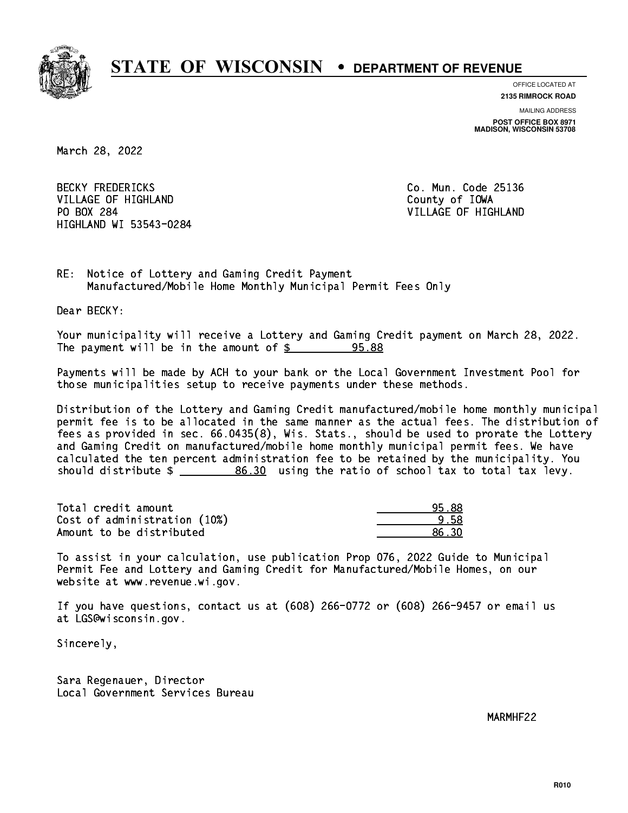

**OFFICE LOCATED AT**

**2135 RIMROCK ROAD**

**MAILING ADDRESS POST OFFICE BOX 8971 MADISON, WISCONSIN 53708**

March 28, 2022

**BECKY FREDERICKS** VILLAGE OF HIGHLAND **County of IOWA** PO BOX 284 HIGHLAND WI 53543-0284

Co. Mun. Code 25136 VILLAGE OF HIGHLAND

RE: Notice of Lottery and Gaming Credit Payment Manufactured/Mobile Home Monthly Municipal Permit Fees Only

Dear BECKY:

 Your municipality will receive a Lottery and Gaming Credit payment on March 28, 2022. The payment will be in the amount of  $\frac{2}{3}$ 95.88

 Payments will be made by ACH to your bank or the Local Government Investment Pool for those municipalities setup to receive payments under these methods.

 Distribution of the Lottery and Gaming Credit manufactured/mobile home monthly municipal permit fee is to be allocated in the same manner as the actual fees. The distribution of fees as provided in sec. 66.0435(8), Wis. Stats., should be used to prorate the Lottery and Gaming Credit on manufactured/mobile home monthly municipal permit fees. We have calculated the ten percent administration fee to be retained by the municipality. You should distribute  $\frac{2}{2}$   $\frac{86.30}{2}$  using the ratio of school tax to total tax levy.

Total credit amount Cost of administration (10%) Amount to be distributed

| - 9       |
|-----------|
| ∢n<br>- 3 |

 To assist in your calculation, use publication Prop 076, 2022 Guide to Municipal Permit Fee and Lottery and Gaming Credit for Manufactured/Mobile Homes, on our website at www.revenue.wi.gov.

 If you have questions, contact us at (608) 266-0772 or (608) 266-9457 or email us at LGS@wisconsin.gov.

Sincerely,

 Sara Regenauer, Director Local Government Services Bureau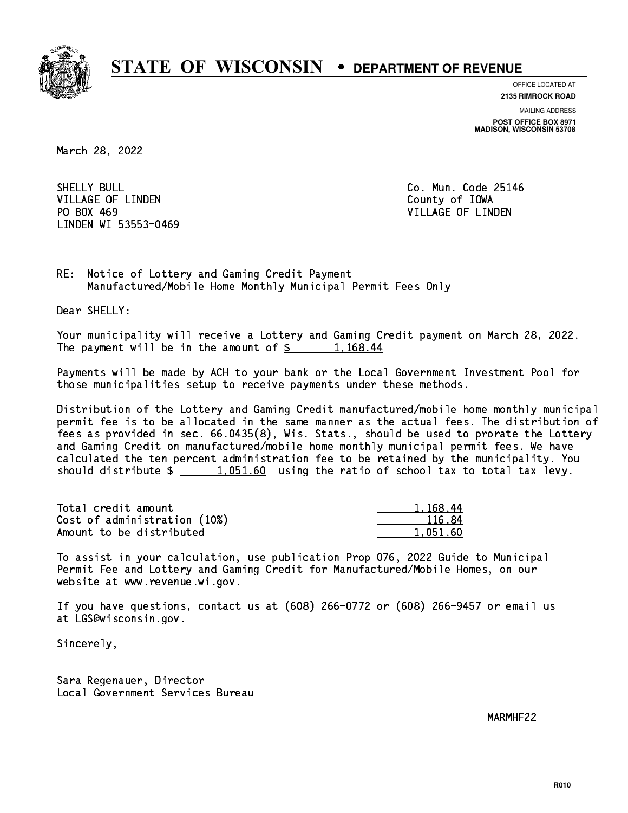

**OFFICE LOCATED AT**

**2135 RIMROCK ROAD**

**MAILING ADDRESS POST OFFICE BOX 8971 MADISON, WISCONSIN 53708**

March 28, 2022

SHELLY BULL VILLAGE OF LINDEN COUNTY OF LOOKS PO BOX 469 LINDEN WI 53553-0469

Co. Mun. Code 25146 VILLAGE OF LINDEN

RE: Notice of Lottery and Gaming Credit Payment Manufactured/Mobile Home Monthly Municipal Permit Fees Only

Dear SHELLY:

 Your municipality will receive a Lottery and Gaming Credit payment on March 28, 2022. The payment will be in the amount of  $\frac{2}{3}$  1,168.44

 Payments will be made by ACH to your bank or the Local Government Investment Pool for those municipalities setup to receive payments under these methods.

 Distribution of the Lottery and Gaming Credit manufactured/mobile home monthly municipal permit fee is to be allocated in the same manner as the actual fees. The distribution of fees as provided in sec. 66.0435(8), Wis. Stats., should be used to prorate the Lottery and Gaming Credit on manufactured/mobile home monthly municipal permit fees. We have calculated the ten percent administration fee to be retained by the municipality. You should distribute  $\frac{1.051.60}{1.051.60}$  using the ratio of school tax to total tax levy.

| Total credit amount          | 1.168.44 |
|------------------------------|----------|
| Cost of administration (10%) | 116.84   |
| Amount to be distributed     | 1.051.60 |

 To assist in your calculation, use publication Prop 076, 2022 Guide to Municipal Permit Fee and Lottery and Gaming Credit for Manufactured/Mobile Homes, on our website at www.revenue.wi.gov.

 If you have questions, contact us at (608) 266-0772 or (608) 266-9457 or email us at LGS@wisconsin.gov.

Sincerely,

 Sara Regenauer, Director Local Government Services Bureau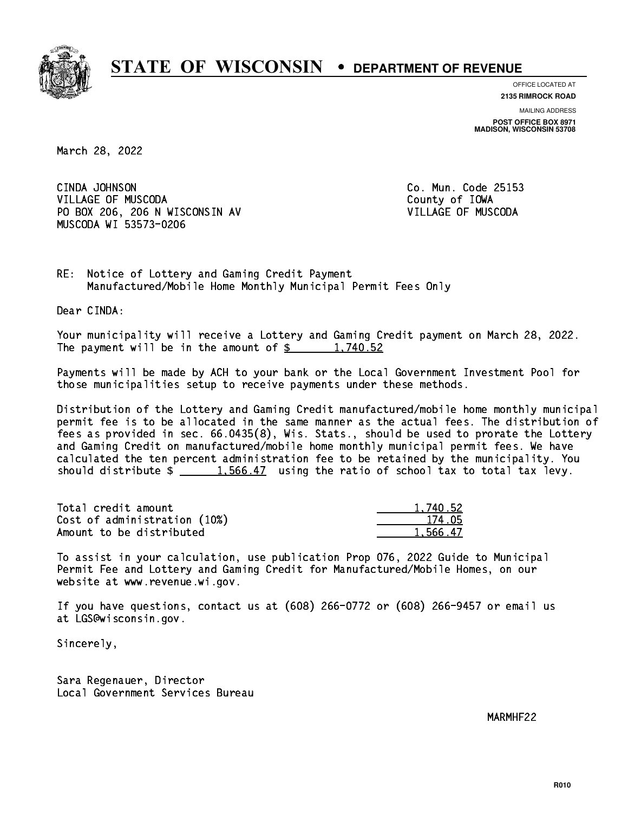

**OFFICE LOCATED AT 2135 RIMROCK ROAD**

**MAILING ADDRESS**

**POST OFFICE BOX 8971 MADISON, WISCONSIN 53708**

March 28, 2022

 CINDA JOHNSON Co. Mun. Code 25153 VILLAGE OF MUSCODA County of IOWA PO BOX 206, 206 N WISCONSIN AV VILLAGE OF MUSCODA MUSCODA WI 53573-0206

RE: Notice of Lottery and Gaming Credit Payment Manufactured/Mobile Home Monthly Municipal Permit Fees Only

Dear CINDA:

 Your municipality will receive a Lottery and Gaming Credit payment on March 28, 2022. The payment will be in the amount of  $\frac{2}{3}$  1,740.52

 Payments will be made by ACH to your bank or the Local Government Investment Pool for those municipalities setup to receive payments under these methods.

 Distribution of the Lottery and Gaming Credit manufactured/mobile home monthly municipal permit fee is to be allocated in the same manner as the actual fees. The distribution of fees as provided in sec. 66.0435(8), Wis. Stats., should be used to prorate the Lottery and Gaming Credit on manufactured/mobile home monthly municipal permit fees. We have calculated the ten percent administration fee to be retained by the municipality. You should distribute  $\frac{1.566.47}{1.566.47}$  using the ratio of school tax to total tax levy.

| Total credit amount          | 1.740.52 |
|------------------------------|----------|
| Cost of administration (10%) | 174.05   |
| Amount to be distributed     | 1.566.47 |

 To assist in your calculation, use publication Prop 076, 2022 Guide to Municipal Permit Fee and Lottery and Gaming Credit for Manufactured/Mobile Homes, on our website at www.revenue.wi.gov.

 If you have questions, contact us at (608) 266-0772 or (608) 266-9457 or email us at LGS@wisconsin.gov.

Sincerely,

 Sara Regenauer, Director Local Government Services Bureau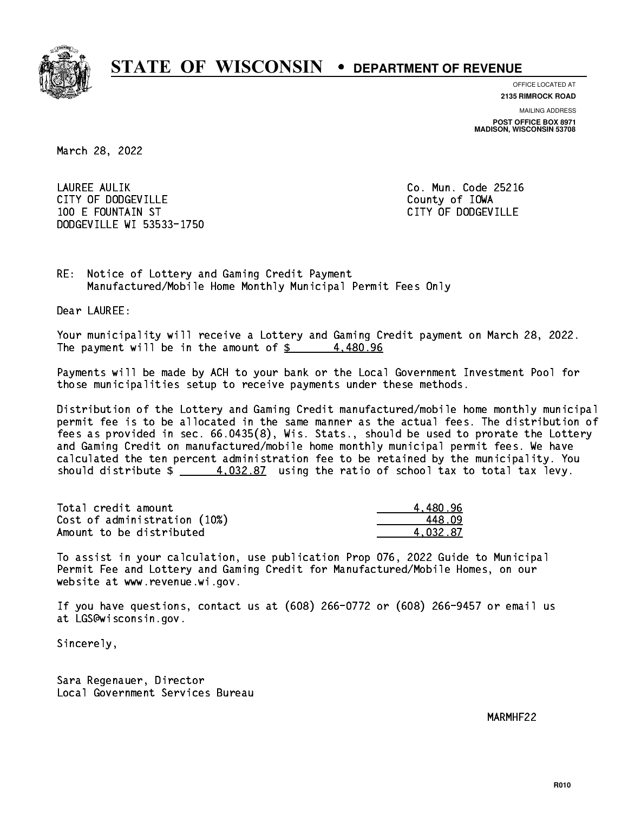

**OFFICE LOCATED AT**

**2135 RIMROCK ROAD**

**MAILING ADDRESS POST OFFICE BOX 8971 MADISON, WISCONSIN 53708**

March 28, 2022

 LAUREE AULIK Co. Mun. Code 25216 CITY OF DODGEVILLE **COUNTY COUNTY OF IOWA**  100 E FOUNTAIN ST CITY OF DODGEVILLE DODGEVILLE WI 53533-1750

RE: Notice of Lottery and Gaming Credit Payment Manufactured/Mobile Home Monthly Municipal Permit Fees Only

Dear LAUREE:

 Your municipality will receive a Lottery and Gaming Credit payment on March 28, 2022. The payment will be in the amount of  $\frac{2}{3}$  4,480.96

 Payments will be made by ACH to your bank or the Local Government Investment Pool for those municipalities setup to receive payments under these methods.

 Distribution of the Lottery and Gaming Credit manufactured/mobile home monthly municipal permit fee is to be allocated in the same manner as the actual fees. The distribution of fees as provided in sec. 66.0435(8), Wis. Stats., should be used to prorate the Lottery and Gaming Credit on manufactured/mobile home monthly municipal permit fees. We have calculated the ten percent administration fee to be retained by the municipality. You should distribute  $\frac{4}{1032.87}$  using the ratio of school tax to total tax levy.

| Total credit amount          | 4.480.96 |
|------------------------------|----------|
| Cost of administration (10%) | 448.N9   |
| Amount to be distributed     | 4.032.87 |

 To assist in your calculation, use publication Prop 076, 2022 Guide to Municipal Permit Fee and Lottery and Gaming Credit for Manufactured/Mobile Homes, on our website at www.revenue.wi.gov.

 If you have questions, contact us at (608) 266-0772 or (608) 266-9457 or email us at LGS@wisconsin.gov.

Sincerely,

 Sara Regenauer, Director Local Government Services Bureau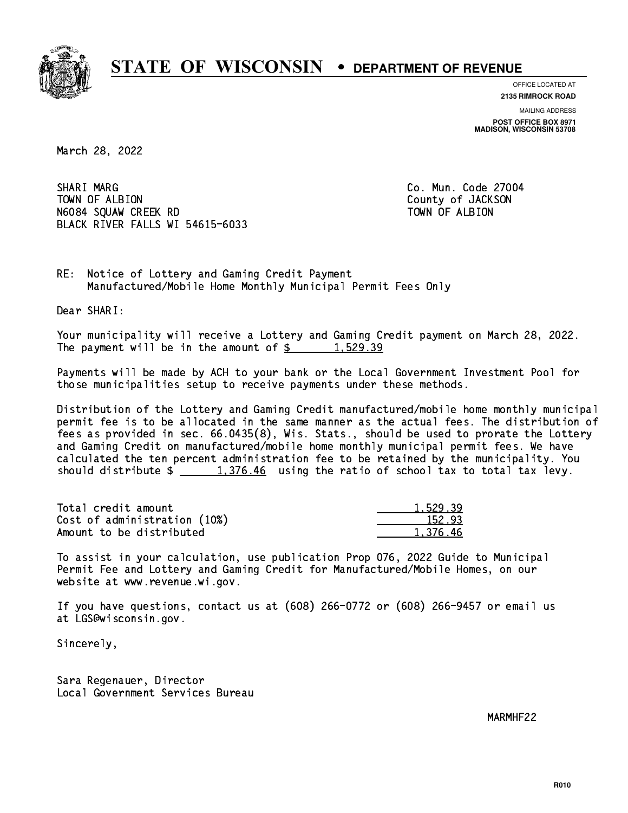

**OFFICE LOCATED AT 2135 RIMROCK ROAD**

**MAILING ADDRESS**

**POST OFFICE BOX 8971 MADISON, WISCONSIN 53708**

March 28, 2022

SHARI MARG TOWN OF ALBION County of JACKSON N6084 SQUAW CREEK RD TOWN OF ALBION BLACK RIVER FALLS WI 54615-6033

Co. Mun. Code 27004

RE: Notice of Lottery and Gaming Credit Payment Manufactured/Mobile Home Monthly Municipal Permit Fees Only

Dear SHARI:

 Your municipality will receive a Lottery and Gaming Credit payment on March 28, 2022. The payment will be in the amount of  $\frac{2}{3}$  1,529.39

 Payments will be made by ACH to your bank or the Local Government Investment Pool for those municipalities setup to receive payments under these methods.

 Distribution of the Lottery and Gaming Credit manufactured/mobile home monthly municipal permit fee is to be allocated in the same manner as the actual fees. The distribution of fees as provided in sec. 66.0435(8), Wis. Stats., should be used to prorate the Lottery and Gaming Credit on manufactured/mobile home monthly municipal permit fees. We have calculated the ten percent administration fee to be retained by the municipality. You should distribute  $\frac{1,376.46}{1,376.46}$  using the ratio of school tax to total tax levy.

| Total credit amount          | 1,529.39 |
|------------------------------|----------|
| Cost of administration (10%) | 152.93   |
| Amount to be distributed     | 1.376.46 |

 To assist in your calculation, use publication Prop 076, 2022 Guide to Municipal Permit Fee and Lottery and Gaming Credit for Manufactured/Mobile Homes, on our website at www.revenue.wi.gov.

 If you have questions, contact us at (608) 266-0772 or (608) 266-9457 or email us at LGS@wisconsin.gov.

Sincerely,

 Sara Regenauer, Director Local Government Services Bureau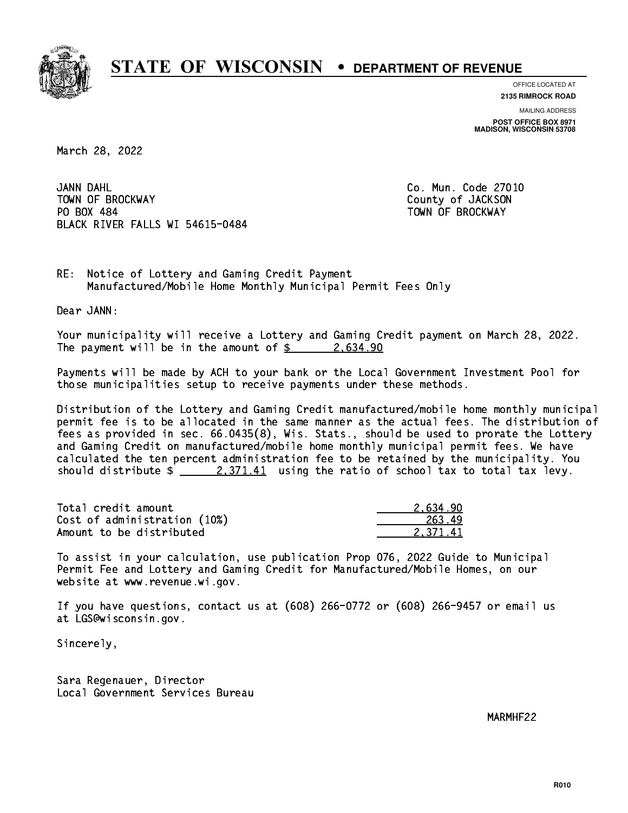

**OFFICE LOCATED AT**

**2135 RIMROCK ROAD**

**MAILING ADDRESS POST OFFICE BOX 8971 MADISON, WISCONSIN 53708**

March 28, 2022

JANN DAHL TOWN OF BROCKWAY **COUNTY OF SECOND-** TOWN OF BROCKWAY PO BOX 484 PO BOX 484 TOWN OF BROCKWAY BLACK RIVER FALLS WI 54615-0484

Co. Mun. Code 27010

RE: Notice of Lottery and Gaming Credit Payment Manufactured/Mobile Home Monthly Municipal Permit Fees Only

Dear JANN:

 Your municipality will receive a Lottery and Gaming Credit payment on March 28, 2022. The payment will be in the amount of  $\frac{2.634.90}{2.634.90}$ 

 Payments will be made by ACH to your bank or the Local Government Investment Pool for those municipalities setup to receive payments under these methods.

 Distribution of the Lottery and Gaming Credit manufactured/mobile home monthly municipal permit fee is to be allocated in the same manner as the actual fees. The distribution of fees as provided in sec. 66.0435(8), Wis. Stats., should be used to prorate the Lottery and Gaming Credit on manufactured/mobile home monthly municipal permit fees. We have calculated the ten percent administration fee to be retained by the municipality. You should distribute  $\frac{2,371.41}{2}$  using the ratio of school tax to total tax levy.

| Total credit amount          | 2.634.90 |
|------------------------------|----------|
| Cost of administration (10%) | -263-49  |
| Amount to be distributed     | 2.371.41 |

 To assist in your calculation, use publication Prop 076, 2022 Guide to Municipal Permit Fee and Lottery and Gaming Credit for Manufactured/Mobile Homes, on our website at www.revenue.wi.gov.

 If you have questions, contact us at (608) 266-0772 or (608) 266-9457 or email us at LGS@wisconsin.gov.

Sincerely,

 Sara Regenauer, Director Local Government Services Bureau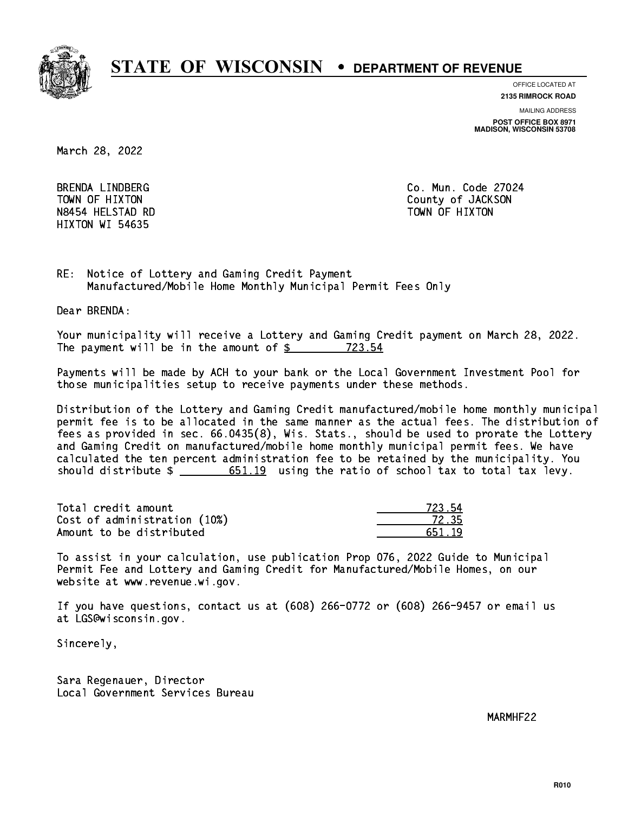

**OFFICE LOCATED AT**

**2135 RIMROCK ROAD**

**MAILING ADDRESS**

**POST OFFICE BOX 8971 MADISON, WISCONSIN 53708**

March 28, 2022

BRENDA LINDBERG N8454 HELSTAD RD HIXTON WI 54635

Co. Mun. Code 27024 TOWN OF HIXTON COUNTY OF SALES AND TOWN OF HIXTON TOWN OF HIXTON

RE: Notice of Lottery and Gaming Credit Payment Manufactured/Mobile Home Monthly Municipal Permit Fees Only

Dear BRENDA:

 Your municipality will receive a Lottery and Gaming Credit payment on March 28, 2022. The payment will be in the amount of  $$ 723.54$ 

 Payments will be made by ACH to your bank or the Local Government Investment Pool for those municipalities setup to receive payments under these methods.

 Distribution of the Lottery and Gaming Credit manufactured/mobile home monthly municipal permit fee is to be allocated in the same manner as the actual fees. The distribution of fees as provided in sec. 66.0435(8), Wis. Stats., should be used to prorate the Lottery and Gaming Credit on manufactured/mobile home monthly municipal permit fees. We have calculated the ten percent administration fee to be retained by the municipality. You should distribute  $\frac{2}{1}$   $\frac{651.19}{2}$  using the ratio of school tax to total tax levy.

Total credit amount Cost of administration (10%) Amount to be distributed

| アフマー         |
|--------------|
| 72.35        |
| ı a<br>561 - |

 To assist in your calculation, use publication Prop 076, 2022 Guide to Municipal Permit Fee and Lottery and Gaming Credit for Manufactured/Mobile Homes, on our website at www.revenue.wi.gov.

 If you have questions, contact us at (608) 266-0772 or (608) 266-9457 or email us at LGS@wisconsin.gov.

Sincerely,

 Sara Regenauer, Director Local Government Services Bureau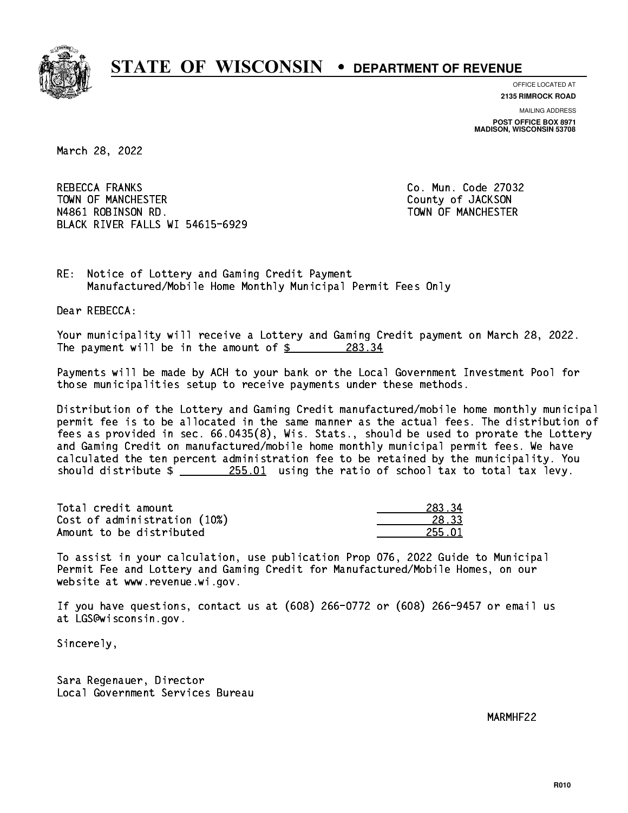

**OFFICE LOCATED AT**

**2135 RIMROCK ROAD**

**MAILING ADDRESS**

**POST OFFICE BOX 8971 MADISON, WISCONSIN 53708**

March 28, 2022

**REBECCA FRANKS**  TOWN OF MANCHESTER County of JACKSON N4861 ROBINSON RD. TOWN OF MANCHESTER BLACK RIVER FALLS WI 54615-6929

Co. Mun. Code 27032

RE: Notice of Lottery and Gaming Credit Payment Manufactured/Mobile Home Monthly Municipal Permit Fees Only

Dear REBECCA:

 Your municipality will receive a Lottery and Gaming Credit payment on March 28, 2022. The payment will be in the amount of  $$ 283.34$ 

 Payments will be made by ACH to your bank or the Local Government Investment Pool for those municipalities setup to receive payments under these methods.

 Distribution of the Lottery and Gaming Credit manufactured/mobile home monthly municipal permit fee is to be allocated in the same manner as the actual fees. The distribution of fees as provided in sec. 66.0435(8), Wis. Stats., should be used to prorate the Lottery and Gaming Credit on manufactured/mobile home monthly municipal permit fees. We have calculated the ten percent administration fee to be retained by the municipality. You should distribute  $\frac{255.01}{255.01}$  using the ratio of school tax to total tax levy.

Total credit amount Cost of administration (10%) Amount to be distributed

| R 22       |
|------------|
| ገ 1<br>クロー |

 To assist in your calculation, use publication Prop 076, 2022 Guide to Municipal Permit Fee and Lottery and Gaming Credit for Manufactured/Mobile Homes, on our website at www.revenue.wi.gov.

 If you have questions, contact us at (608) 266-0772 or (608) 266-9457 or email us at LGS@wisconsin.gov.

Sincerely,

 Sara Regenauer, Director Local Government Services Bureau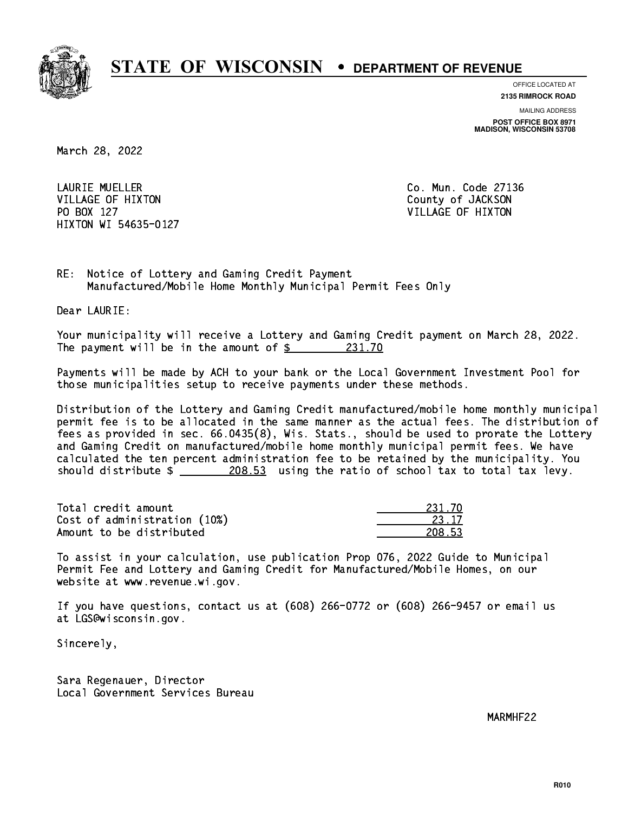

**OFFICE LOCATED AT**

**2135 RIMROCK ROAD**

**MAILING ADDRESS**

**POST OFFICE BOX 8971 MADISON, WISCONSIN 53708**

March 28, 2022

 LAURIE MUELLER Co. Mun. Code 27136 VILLAGE OF HIXTON COUNTY OF JACKSON PO BOX 127 VILLAGE OF HIXTON HIXTON WI 54635-0127

RE: Notice of Lottery and Gaming Credit Payment Manufactured/Mobile Home Monthly Municipal Permit Fees Only

Dear LAURIE:

 Your municipality will receive a Lottery and Gaming Credit payment on March 28, 2022. The payment will be in the amount of  $\frac{231.70}{231.70}$ 

 Payments will be made by ACH to your bank or the Local Government Investment Pool for those municipalities setup to receive payments under these methods.

 Distribution of the Lottery and Gaming Credit manufactured/mobile home monthly municipal permit fee is to be allocated in the same manner as the actual fees. The distribution of fees as provided in sec. 66.0435(8), Wis. Stats., should be used to prorate the Lottery and Gaming Credit on manufactured/mobile home monthly municipal permit fees. We have calculated the ten percent administration fee to be retained by the municipality. You should distribute  $\frac{208.53}{208.53}$  using the ratio of school tax to total tax levy.

Total credit amount Cost of administration (10%) Amount to be distributed

| 231 7<br>n |
|------------|
| 23 17      |
| 53<br>٠,   |

 To assist in your calculation, use publication Prop 076, 2022 Guide to Municipal Permit Fee and Lottery and Gaming Credit for Manufactured/Mobile Homes, on our website at www.revenue.wi.gov.

 If you have questions, contact us at (608) 266-0772 or (608) 266-9457 or email us at LGS@wisconsin.gov.

Sincerely,

 Sara Regenauer, Director Local Government Services Bureau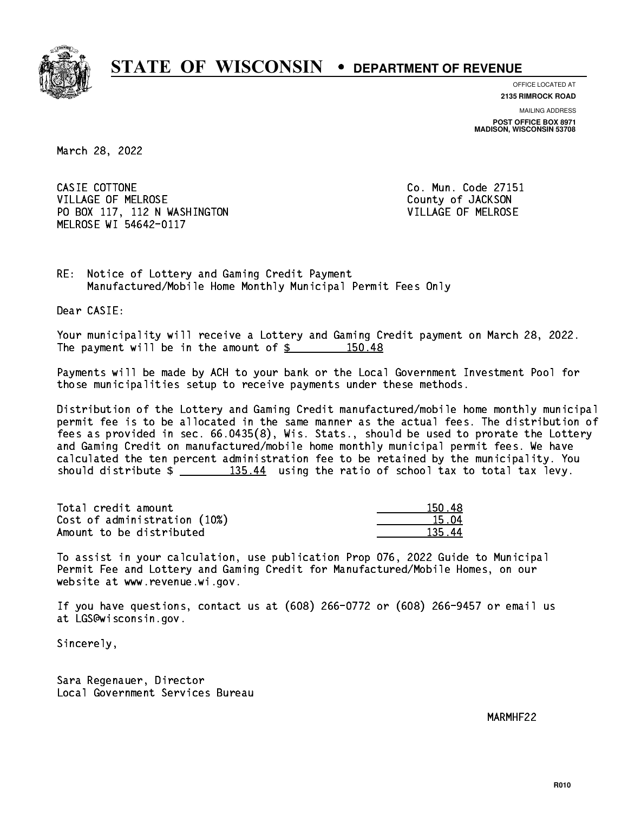

**OFFICE LOCATED AT**

**2135 RIMROCK ROAD**

**MAILING ADDRESS POST OFFICE BOX 8971 MADISON, WISCONSIN 53708**

March 28, 2022

CASIE COTTONE CASIE COTTONE Co. Mun. Code 27151 VILLAGE OF MELROSE County of JACKSON PO BOX 117, 112 N WASHINGTON VILLAGE OF MELROSE MELROSE WI 54642-0117

RE: Notice of Lottery and Gaming Credit Payment Manufactured/Mobile Home Monthly Municipal Permit Fees Only

Dear CASIE:

 Your municipality will receive a Lottery and Gaming Credit payment on March 28, 2022. The payment will be in the amount of  $\frac{2}{3}$  150.48

 Payments will be made by ACH to your bank or the Local Government Investment Pool for those municipalities setup to receive payments under these methods.

 Distribution of the Lottery and Gaming Credit manufactured/mobile home monthly municipal permit fee is to be allocated in the same manner as the actual fees. The distribution of fees as provided in sec. 66.0435(8), Wis. Stats., should be used to prorate the Lottery and Gaming Credit on manufactured/mobile home monthly municipal permit fees. We have calculated the ten percent administration fee to be retained by the municipality. You should distribute  $\frac{135.44}{135.44}$  using the ratio of school tax to total tax levy.

Total credit amount Cost of administration (10%) Amount to be distributed

| IЯ<br>ווה ד |
|-------------|
| 15 N4       |
| л<br>125.   |

 To assist in your calculation, use publication Prop 076, 2022 Guide to Municipal Permit Fee and Lottery and Gaming Credit for Manufactured/Mobile Homes, on our website at www.revenue.wi.gov.

 If you have questions, contact us at (608) 266-0772 or (608) 266-9457 or email us at LGS@wisconsin.gov.

Sincerely,

 Sara Regenauer, Director Local Government Services Bureau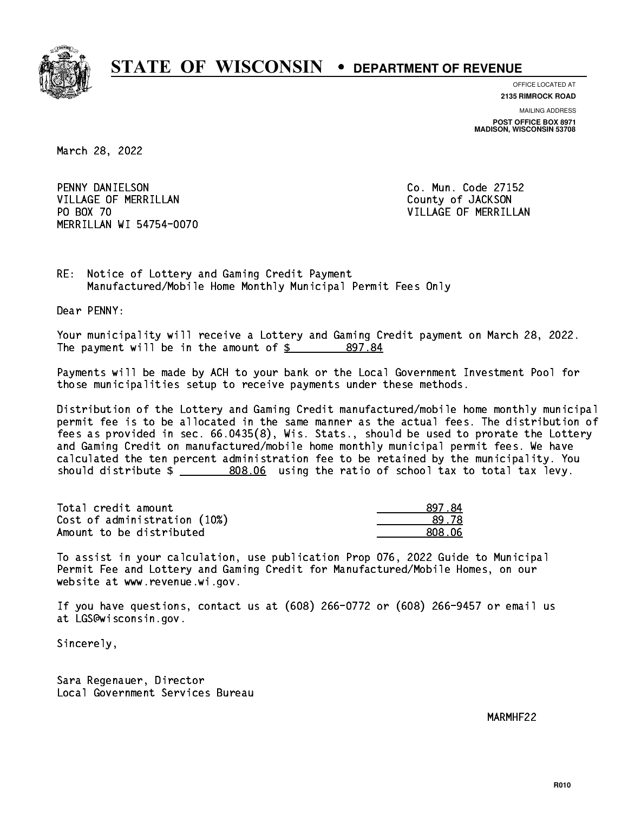

**OFFICE LOCATED AT**

**2135 RIMROCK ROAD**

**MAILING ADDRESS POST OFFICE BOX 8971 MADISON, WISCONSIN 53708**

March 28, 2022

 PENNY DANIELSON Co. Mun. Code 27152 VILLAGE OF MERRILLAN County of JACKSON PO BOX 70 MERRILLAN WI 54754-0070

VILLAGE OF MERRILLAN

RE: Notice of Lottery and Gaming Credit Payment Manufactured/Mobile Home Monthly Municipal Permit Fees Only

Dear PENNY:

 Your municipality will receive a Lottery and Gaming Credit payment on March 28, 2022. The payment will be in the amount of  $$ 897.84$ 

 Payments will be made by ACH to your bank or the Local Government Investment Pool for those municipalities setup to receive payments under these methods.

 Distribution of the Lottery and Gaming Credit manufactured/mobile home monthly municipal permit fee is to be allocated in the same manner as the actual fees. The distribution of fees as provided in sec. 66.0435(8), Wis. Stats., should be used to prorate the Lottery and Gaming Credit on manufactured/mobile home monthly municipal permit fees. We have calculated the ten percent administration fee to be retained by the municipality. You should distribute  $\frac{2}{1}$  \_\_\_\_\_\_\_\_\_\_\_ 808.06 using the ratio of school tax to total tax levy.

| Total credit amount          | 897.84  |
|------------------------------|---------|
| Cost of administration (10%) | 89.78   |
| Amount to be distributed     | 808. OG |

 To assist in your calculation, use publication Prop 076, 2022 Guide to Municipal Permit Fee and Lottery and Gaming Credit for Manufactured/Mobile Homes, on our website at www.revenue.wi.gov.

 If you have questions, contact us at (608) 266-0772 or (608) 266-9457 or email us at LGS@wisconsin.gov.

Sincerely,

 Sara Regenauer, Director Local Government Services Bureau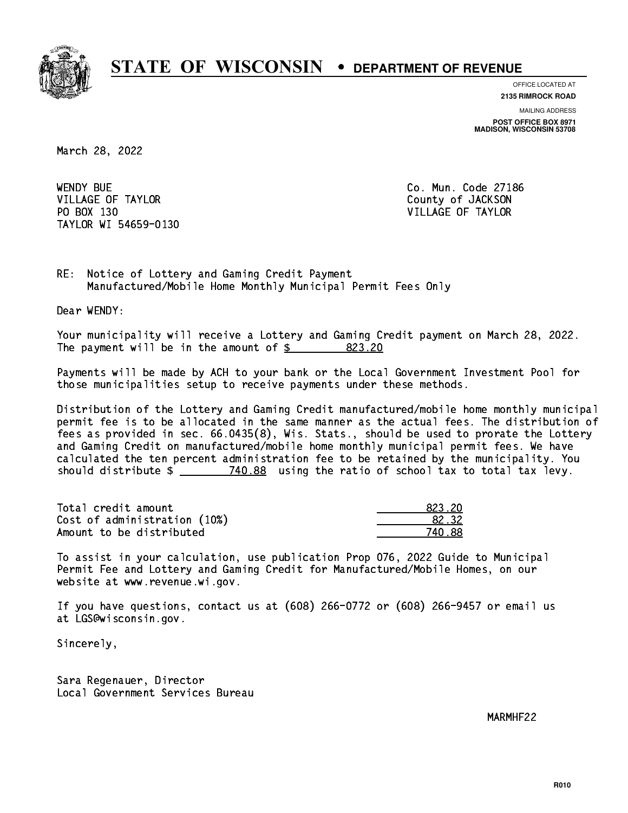

**OFFICE LOCATED AT**

**2135 RIMROCK ROAD**

**MAILING ADDRESS POST OFFICE BOX 8971 MADISON, WISCONSIN 53708**

March 28, 2022

**WENDY BUE** VILLAGE OF TAYLOR COUNTY OF JACKSON PO BOX 130 VILLAGE OF TAYLOR TAYLOR WI 54659-0130

Co. Mun. Code 27186

RE: Notice of Lottery and Gaming Credit Payment Manufactured/Mobile Home Monthly Municipal Permit Fees Only

Dear WENDY:

 Your municipality will receive a Lottery and Gaming Credit payment on March 28, 2022. The payment will be in the amount of \$ 823.20 \_\_\_\_\_\_\_\_\_\_\_\_\_\_\_\_

 Payments will be made by ACH to your bank or the Local Government Investment Pool for those municipalities setup to receive payments under these methods.

 Distribution of the Lottery and Gaming Credit manufactured/mobile home monthly municipal permit fee is to be allocated in the same manner as the actual fees. The distribution of fees as provided in sec. 66.0435(8), Wis. Stats., should be used to prorate the Lottery and Gaming Credit on manufactured/mobile home monthly municipal permit fees. We have calculated the ten percent administration fee to be retained by the municipality. You should distribute  $\frac{2}{2}$   $\frac{740.88}{2}$  using the ratio of school tax to total tax levy.

| Total credit amount          | 823.20 |
|------------------------------|--------|
| Cost of administration (10%) | 82.32  |
| Amount to be distributed     | 740.88 |

| 823 2N               |
|----------------------|
| 32. 32.              |
| $\mathcal{L}$<br>-88 |

 To assist in your calculation, use publication Prop 076, 2022 Guide to Municipal Permit Fee and Lottery and Gaming Credit for Manufactured/Mobile Homes, on our website at www.revenue.wi.gov.

 If you have questions, contact us at (608) 266-0772 or (608) 266-9457 or email us at LGS@wisconsin.gov.

Sincerely,

 Sara Regenauer, Director Local Government Services Bureau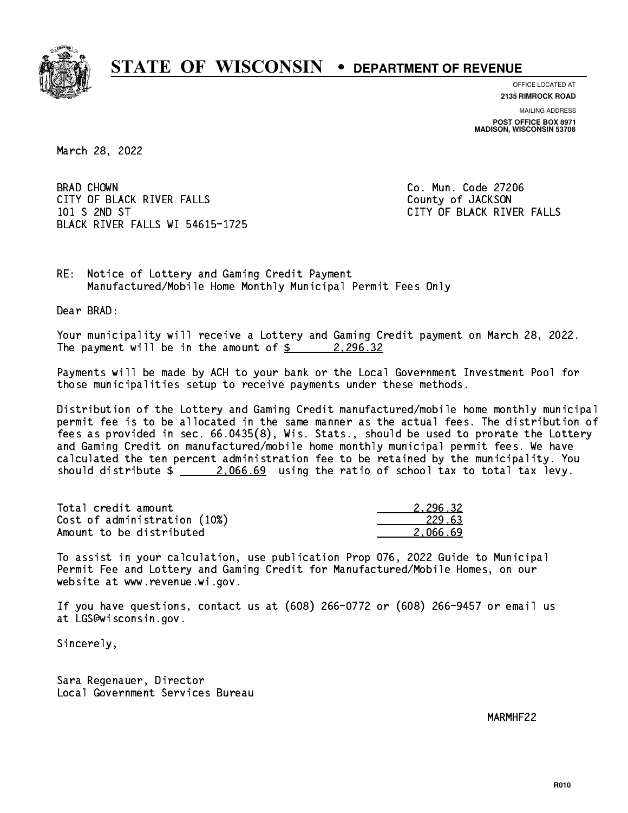

**OFFICE LOCATED AT 2135 RIMROCK ROAD**

**MAILING ADDRESS**

**POST OFFICE BOX 8971 MADISON, WISCONSIN 53708**

March 28, 2022

**BRAD CHOWN** CITY OF BLACK RIVER FALLS COUNTY OF JACKSON 101 S 2ND ST CITY OF BLACK RIVER FALLS BLACK RIVER FALLS WI 54615-1725

Co. Mun. Code 27206

RE: Notice of Lottery and Gaming Credit Payment Manufactured/Mobile Home Monthly Municipal Permit Fees Only

Dear BRAD:

 Your municipality will receive a Lottery and Gaming Credit payment on March 28, 2022. The payment will be in the amount of  $\frac{2}{3}$  2,296.32

 Payments will be made by ACH to your bank or the Local Government Investment Pool for those municipalities setup to receive payments under these methods.

 Distribution of the Lottery and Gaming Credit manufactured/mobile home monthly municipal permit fee is to be allocated in the same manner as the actual fees. The distribution of fees as provided in sec. 66.0435(8), Wis. Stats., should be used to prorate the Lottery and Gaming Credit on manufactured/mobile home monthly municipal permit fees. We have calculated the ten percent administration fee to be retained by the municipality. You should distribute  $\frac{2.066.69}{2.066.69}$  using the ratio of school tax to total tax levy.

| Total credit amount          | 2.296.32 |
|------------------------------|----------|
| Cost of administration (10%) | 229.63   |
| Amount to be distributed     | 2.066.69 |

 To assist in your calculation, use publication Prop 076, 2022 Guide to Municipal Permit Fee and Lottery and Gaming Credit for Manufactured/Mobile Homes, on our website at www.revenue.wi.gov.

 If you have questions, contact us at (608) 266-0772 or (608) 266-9457 or email us at LGS@wisconsin.gov.

Sincerely,

 Sara Regenauer, Director Local Government Services Bureau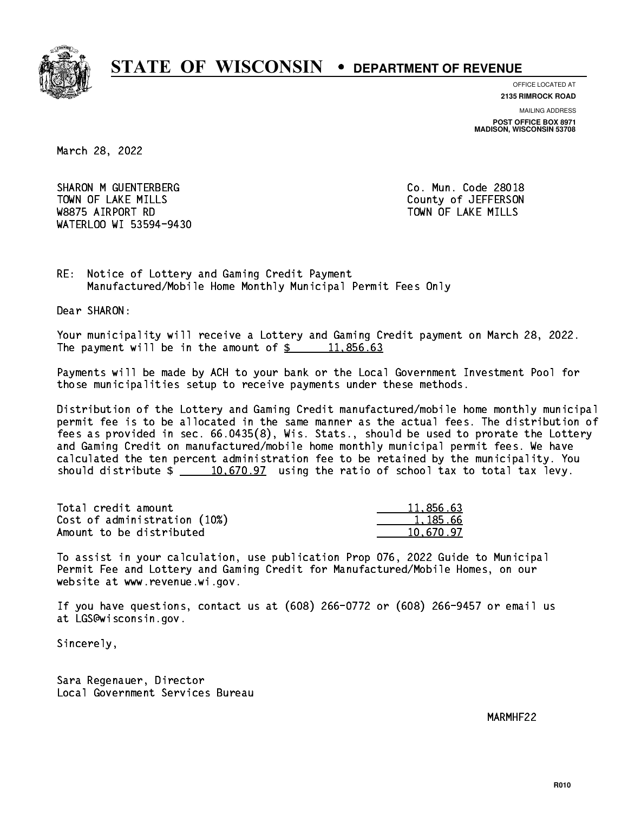

**OFFICE LOCATED AT**

**2135 RIMROCK ROAD**

**MAILING ADDRESS POST OFFICE BOX 8971 MADISON, WISCONSIN 53708**

March 28, 2022

SHARON M GUENTERBERG CO. Mun. Code 28018 TOWN OF LAKE MILLS **TOWN OF LAKE MILLS**  W8875 AIRPORT RD TOWN OF LAKE MILLS WATERLOO WI 53594-9430

RE: Notice of Lottery and Gaming Credit Payment Manufactured/Mobile Home Monthly Municipal Permit Fees Only

Dear SHARON:

 Your municipality will receive a Lottery and Gaming Credit payment on March 28, 2022. The payment will be in the amount of  $\frac{2}{3}$  11,856.63

 Payments will be made by ACH to your bank or the Local Government Investment Pool for those municipalities setup to receive payments under these methods.

 Distribution of the Lottery and Gaming Credit manufactured/mobile home monthly municipal permit fee is to be allocated in the same manner as the actual fees. The distribution of fees as provided in sec. 66.0435(8), Wis. Stats., should be used to prorate the Lottery and Gaming Credit on manufactured/mobile home monthly municipal permit fees. We have calculated the ten percent administration fee to be retained by the municipality. You should distribute  $\frac{10,670.97}{2}$  using the ratio of school tax to total tax levy.

| Total credit amount          | 11,856.63 |
|------------------------------|-----------|
| Cost of administration (10%) | 1.185.66  |
| Amount to be distributed     | 10.670.97 |

 To assist in your calculation, use publication Prop 076, 2022 Guide to Municipal Permit Fee and Lottery and Gaming Credit for Manufactured/Mobile Homes, on our website at www.revenue.wi.gov.

 If you have questions, contact us at (608) 266-0772 or (608) 266-9457 or email us at LGS@wisconsin.gov.

Sincerely,

 Sara Regenauer, Director Local Government Services Bureau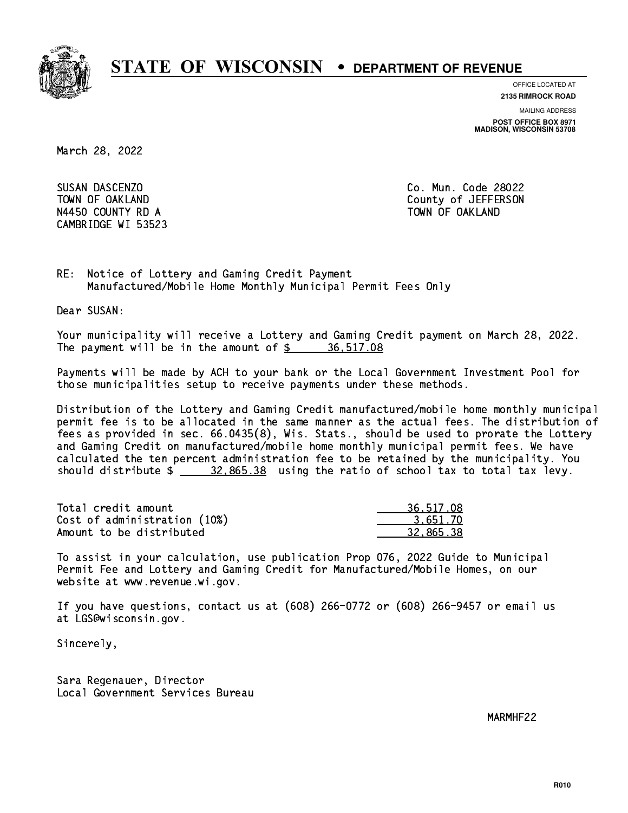

**OFFICE LOCATED AT**

**2135 RIMROCK ROAD**

**MAILING ADDRESS**

**POST OFFICE BOX 8971 MADISON, WISCONSIN 53708**

March 28, 2022

SUSAN DASCENZO N4450 COUNTY RD A TOWN OF OAKLAND CAMBRIDGE WI 53523

Co. Mun. Code 28022 TOWN OF OAKLAND COUNTY OF SALAR COUNTY OF SALAR COUNTY OF JEFFERSON

RE: Notice of Lottery and Gaming Credit Payment Manufactured/Mobile Home Monthly Municipal Permit Fees Only

Dear SUSAN:

 Your municipality will receive a Lottery and Gaming Credit payment on March 28, 2022. The payment will be in the amount of  $\frac{2}{3}$  36,517.08

 Payments will be made by ACH to your bank or the Local Government Investment Pool for those municipalities setup to receive payments under these methods.

 Distribution of the Lottery and Gaming Credit manufactured/mobile home monthly municipal permit fee is to be allocated in the same manner as the actual fees. The distribution of fees as provided in sec. 66.0435(8), Wis. Stats., should be used to prorate the Lottery and Gaming Credit on manufactured/mobile home monthly municipal permit fees. We have calculated the ten percent administration fee to be retained by the municipality. You should distribute \$ 32,865.38 using the ratio of school tax to total tax levy. \_\_\_\_\_\_\_\_\_\_\_\_\_\_

| Total credit amount          | 36,517.08 |
|------------------------------|-----------|
| Cost of administration (10%) | 3.651.70  |
| Amount to be distributed     | 32.865.38 |

 To assist in your calculation, use publication Prop 076, 2022 Guide to Municipal Permit Fee and Lottery and Gaming Credit for Manufactured/Mobile Homes, on our website at www.revenue.wi.gov.

 If you have questions, contact us at (608) 266-0772 or (608) 266-9457 or email us at LGS@wisconsin.gov.

Sincerely,

 Sara Regenauer, Director Local Government Services Bureau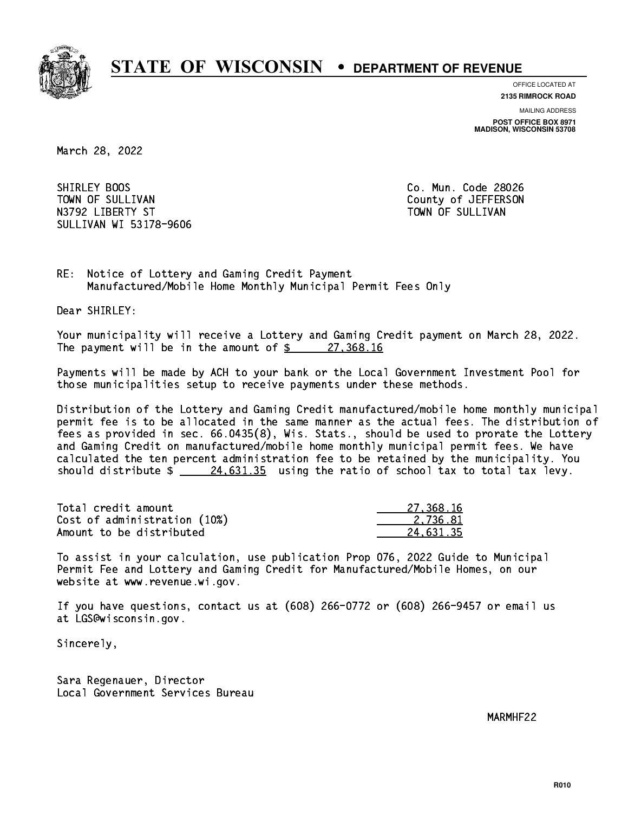

**OFFICE LOCATED AT**

**2135 RIMROCK ROAD**

**MAILING ADDRESS POST OFFICE BOX 8971 MADISON, WISCONSIN 53708**

March 28, 2022

SHIRLEY BOOS TOWN OF SULLIVAN COUNTY OF SULLIVAN N3792 LIBERTY ST TOWN OF SULLIVAN SULLIVAN WI 53178-9606

Co. Mun. Code 28026

RE: Notice of Lottery and Gaming Credit Payment Manufactured/Mobile Home Monthly Municipal Permit Fees Only

Dear SHIRLEY:

 Your municipality will receive a Lottery and Gaming Credit payment on March 28, 2022. The payment will be in the amount of  $\frac{27}{368.16}$ 

 Payments will be made by ACH to your bank or the Local Government Investment Pool for those municipalities setup to receive payments under these methods.

 Distribution of the Lottery and Gaming Credit manufactured/mobile home monthly municipal permit fee is to be allocated in the same manner as the actual fees. The distribution of fees as provided in sec. 66.0435(8), Wis. Stats., should be used to prorate the Lottery and Gaming Credit on manufactured/mobile home monthly municipal permit fees. We have calculated the ten percent administration fee to be retained by the municipality. You should distribute  $\frac{24.631.35}{24.631.35}$  using the ratio of school tax to total tax levy.

| Total credit amount          | 27,368,16 |
|------------------------------|-----------|
| Cost of administration (10%) | 2.736.81  |
| Amount to be distributed     | 24.631.35 |

 To assist in your calculation, use publication Prop 076, 2022 Guide to Municipal Permit Fee and Lottery and Gaming Credit for Manufactured/Mobile Homes, on our website at www.revenue.wi.gov.

 If you have questions, contact us at (608) 266-0772 or (608) 266-9457 or email us at LGS@wisconsin.gov.

Sincerely,

 Sara Regenauer, Director Local Government Services Bureau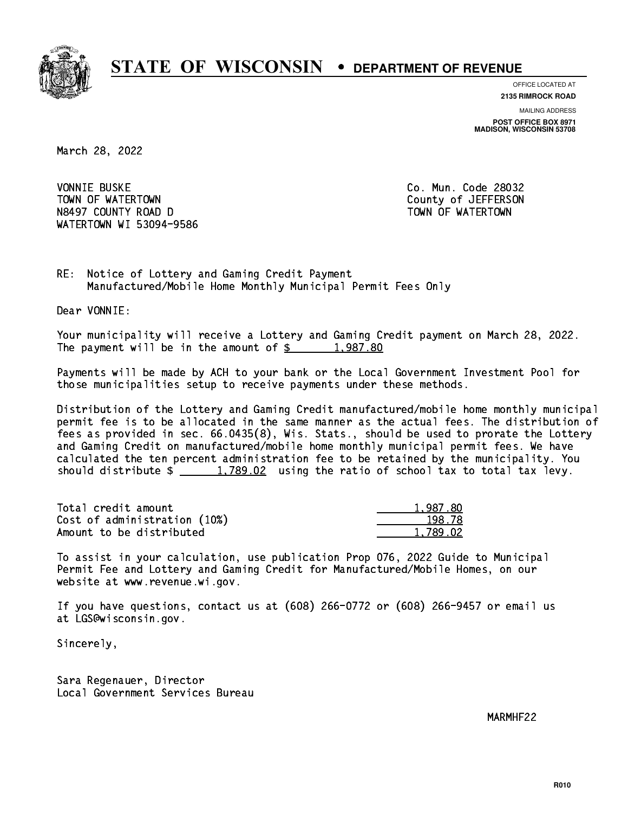

**OFFICE LOCATED AT 2135 RIMROCK ROAD**

**MAILING ADDRESS**

**POST OFFICE BOX 8971 MADISON, WISCONSIN 53708**

March 28, 2022

**VONNIE BUSKE** TOWN OF WATERTOWN COUNTY OF VALUE OF THE COUNTY OF A LIFT OF THE COUNTY OF A LIFT OF THE COUNTY OF THE COUNTY OF THE COUNTY OF THE COUNTY OF THE COUNTY OF THE COUNTY OF THE COUNTY OF THE COUNTY OF THE COUNTY OF THE COUNTY N8497 COUNTY ROAD D TOWN OF WATERTOWN NAME OF SALE OF STATE OF STATE OF STATE OF STATE OF STATE OF STATE OF ST WATERTOWN WI 53094-9586

Co. Mun. Code 28032

RE: Notice of Lottery and Gaming Credit Payment Manufactured/Mobile Home Monthly Municipal Permit Fees Only

Dear VONNIE:

 Your municipality will receive a Lottery and Gaming Credit payment on March 28, 2022. The payment will be in the amount of  $\frac{2}{3}$  1,987.80

 Payments will be made by ACH to your bank or the Local Government Investment Pool for those municipalities setup to receive payments under these methods.

 Distribution of the Lottery and Gaming Credit manufactured/mobile home monthly municipal permit fee is to be allocated in the same manner as the actual fees. The distribution of fees as provided in sec. 66.0435(8), Wis. Stats., should be used to prorate the Lottery and Gaming Credit on manufactured/mobile home monthly municipal permit fees. We have calculated the ten percent administration fee to be retained by the municipality. You should distribute  $\frac{2}{1,789.02}$  using the ratio of school tax to total tax levy.

| Total credit amount          | 1,987.80 |
|------------------------------|----------|
| Cost of administration (10%) | 198.78   |
| Amount to be distributed     | 1.789.02 |

 To assist in your calculation, use publication Prop 076, 2022 Guide to Municipal Permit Fee and Lottery and Gaming Credit for Manufactured/Mobile Homes, on our website at www.revenue.wi.gov.

 If you have questions, contact us at (608) 266-0772 or (608) 266-9457 or email us at LGS@wisconsin.gov.

Sincerely,

 Sara Regenauer, Director Local Government Services Bureau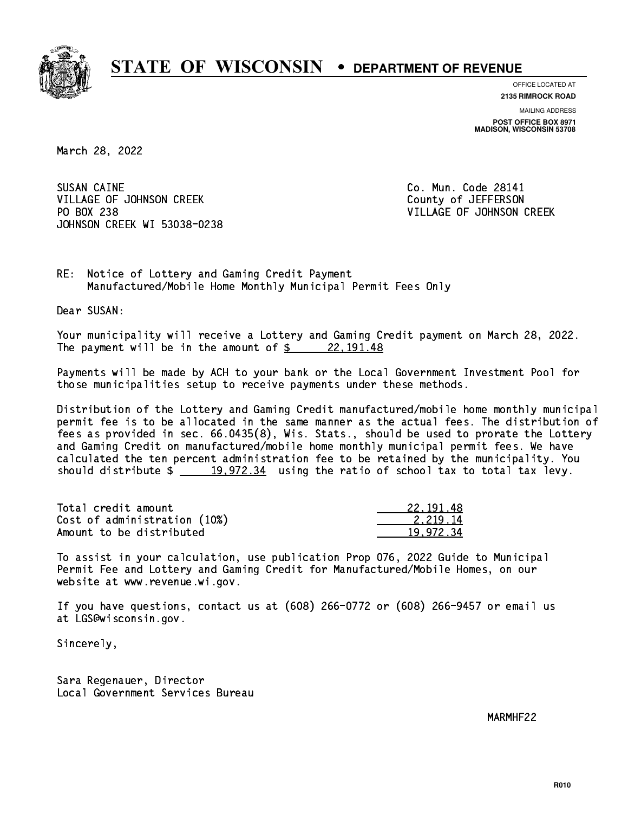

**OFFICE LOCATED AT**

**2135 RIMROCK ROAD**

**MAILING ADDRESS POST OFFICE BOX 8971 MADISON, WISCONSIN 53708**

March 28, 2022

SUSAN CAINE VILLAGE OF JOHNSON CREEK COUNTY OF JEFFERSON PO BOX 238 JOHNSON CREEK WI 53038-0238

Co. Mun. Code 28141 VILLAGE OF JOHNSON CREEK

RE: Notice of Lottery and Gaming Credit Payment Manufactured/Mobile Home Monthly Municipal Permit Fees Only

Dear SUSAN:

 Your municipality will receive a Lottery and Gaming Credit payment on March 28, 2022. The payment will be in the amount of  $\frac{22,191.48}{2}$ 

 Payments will be made by ACH to your bank or the Local Government Investment Pool for those municipalities setup to receive payments under these methods.

 Distribution of the Lottery and Gaming Credit manufactured/mobile home monthly municipal permit fee is to be allocated in the same manner as the actual fees. The distribution of fees as provided in sec. 66.0435(8), Wis. Stats., should be used to prorate the Lottery and Gaming Credit on manufactured/mobile home monthly municipal permit fees. We have calculated the ten percent administration fee to be retained by the municipality. You should distribute  $\frac{19,972.34}{2}$  using the ratio of school tax to total tax levy.

| Total credit amount          | 22.191.48 |
|------------------------------|-----------|
| Cost of administration (10%) | 2.219.14  |
| Amount to be distributed     | 19.972.34 |

 To assist in your calculation, use publication Prop 076, 2022 Guide to Municipal Permit Fee and Lottery and Gaming Credit for Manufactured/Mobile Homes, on our website at www.revenue.wi.gov.

 If you have questions, contact us at (608) 266-0772 or (608) 266-9457 or email us at LGS@wisconsin.gov.

Sincerely,

 Sara Regenauer, Director Local Government Services Bureau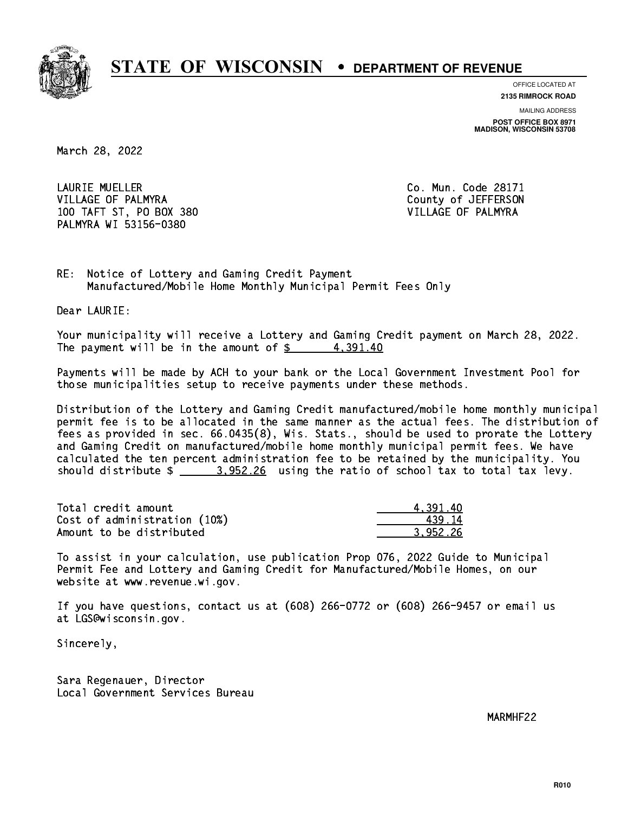

**OFFICE LOCATED AT**

**2135 RIMROCK ROAD**

**MAILING ADDRESS POST OFFICE BOX 8971 MADISON, WISCONSIN 53708**

March 28, 2022

 LAURIE MUELLER Co. Mun. Code 28171 VILLAGE OF PALMYRA COUNTY COUNTY OF SEPTERSON 100 TAFT ST, PO BOX 380 VILLAGE OF PALMYRA PALMYRA WI 53156-0380

RE: Notice of Lottery and Gaming Credit Payment Manufactured/Mobile Home Monthly Municipal Permit Fees Only

Dear LAURIE:

 Your municipality will receive a Lottery and Gaming Credit payment on March 28, 2022. The payment will be in the amount of  $\frac{2}{3}$  4,391.40

 Payments will be made by ACH to your bank or the Local Government Investment Pool for those municipalities setup to receive payments under these methods.

 Distribution of the Lottery and Gaming Credit manufactured/mobile home monthly municipal permit fee is to be allocated in the same manner as the actual fees. The distribution of fees as provided in sec. 66.0435(8), Wis. Stats., should be used to prorate the Lottery and Gaming Credit on manufactured/mobile home monthly municipal permit fees. We have calculated the ten percent administration fee to be retained by the municipality. You should distribute  $\frac{2}{2}$   $\frac{3.952.26}{2}$  using the ratio of school tax to total tax levy.

| Total credit amount          | 4.391.40 |
|------------------------------|----------|
| Cost of administration (10%) | 439 14   |
| Amount to be distributed     | 3.952.26 |

 To assist in your calculation, use publication Prop 076, 2022 Guide to Municipal Permit Fee and Lottery and Gaming Credit for Manufactured/Mobile Homes, on our website at www.revenue.wi.gov.

 If you have questions, contact us at (608) 266-0772 or (608) 266-9457 or email us at LGS@wisconsin.gov.

Sincerely,

 Sara Regenauer, Director Local Government Services Bureau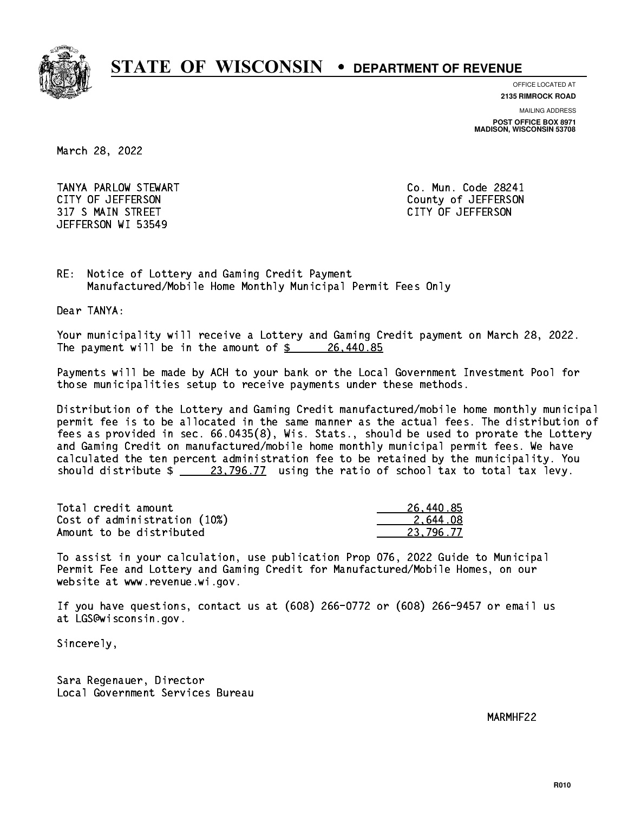

**OFFICE LOCATED AT**

**2135 RIMROCK ROAD**

**MAILING ADDRESS**

**POST OFFICE BOX 8971 MADISON, WISCONSIN 53708**

March 28, 2022

 TANYA PARLOW STEWART Co. Mun. Code 28241 CITY OF JEFFERSON County of JEFFERSON 317 S MAIN STREET CITY OF JEFFERSON JEFFERSON WI 53549

RE: Notice of Lottery and Gaming Credit Payment Manufactured/Mobile Home Monthly Municipal Permit Fees Only

Dear TANYA:

 Your municipality will receive a Lottery and Gaming Credit payment on March 28, 2022. The payment will be in the amount of  $\frac{26}{100}$  26,440.85

 Payments will be made by ACH to your bank or the Local Government Investment Pool for those municipalities setup to receive payments under these methods.

 Distribution of the Lottery and Gaming Credit manufactured/mobile home monthly municipal permit fee is to be allocated in the same manner as the actual fees. The distribution of fees as provided in sec. 66.0435(8), Wis. Stats., should be used to prorate the Lottery and Gaming Credit on manufactured/mobile home monthly municipal permit fees. We have calculated the ten percent administration fee to be retained by the municipality. You should distribute  $\frac{23,796.77}{23,796.77}$  using the ratio of school tax to total tax levy.

| Total credit amount          | 26,440.85 |
|------------------------------|-----------|
| Cost of administration (10%) | 2.644.08  |
| Amount to be distributed     | 23.796.77 |

 To assist in your calculation, use publication Prop 076, 2022 Guide to Municipal Permit Fee and Lottery and Gaming Credit for Manufactured/Mobile Homes, on our website at www.revenue.wi.gov.

 If you have questions, contact us at (608) 266-0772 or (608) 266-9457 or email us at LGS@wisconsin.gov.

Sincerely,

 Sara Regenauer, Director Local Government Services Bureau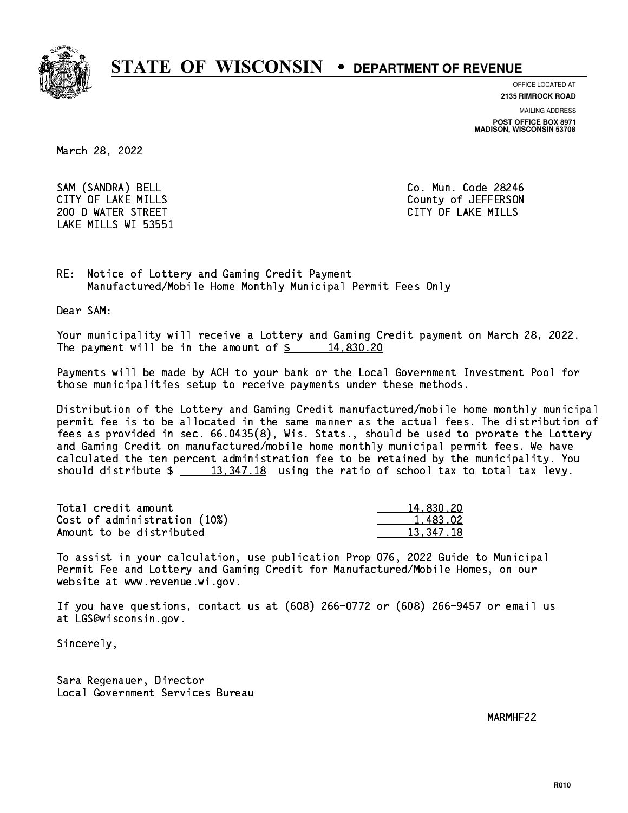

**OFFICE LOCATED AT**

**2135 RIMROCK ROAD**

**MAILING ADDRESS**

**POST OFFICE BOX 8971 MADISON, WISCONSIN 53708**

March 28, 2022

SAM (SANDRA) BELL Co. Mun. Code 28246 200 D WATER STREET CITY OF LAKE MILLS LAKE MILLS WI 53551

CITY OF LAKE MILLS COUNTY OF LAKE MILLS

RE: Notice of Lottery and Gaming Credit Payment Manufactured/Mobile Home Monthly Municipal Permit Fees Only

Dear SAM:

 Your municipality will receive a Lottery and Gaming Credit payment on March 28, 2022. The payment will be in the amount of  $\frac{2}{3}$  14,830.20

 Payments will be made by ACH to your bank or the Local Government Investment Pool for those municipalities setup to receive payments under these methods.

 Distribution of the Lottery and Gaming Credit manufactured/mobile home monthly municipal permit fee is to be allocated in the same manner as the actual fees. The distribution of fees as provided in sec. 66.0435(8), Wis. Stats., should be used to prorate the Lottery and Gaming Credit on manufactured/mobile home monthly municipal permit fees. We have calculated the ten percent administration fee to be retained by the municipality. You should distribute  $\frac{2}{13,347.18}$  using the ratio of school tax to total tax levy.

| Total credit amount          | 14,830.20 |
|------------------------------|-----------|
| Cost of administration (10%) | 1.483.02  |
| Amount to be distributed     | 13.347.18 |

 To assist in your calculation, use publication Prop 076, 2022 Guide to Municipal Permit Fee and Lottery and Gaming Credit for Manufactured/Mobile Homes, on our website at www.revenue.wi.gov.

 If you have questions, contact us at (608) 266-0772 or (608) 266-9457 or email us at LGS@wisconsin.gov.

Sincerely,

 Sara Regenauer, Director Local Government Services Bureau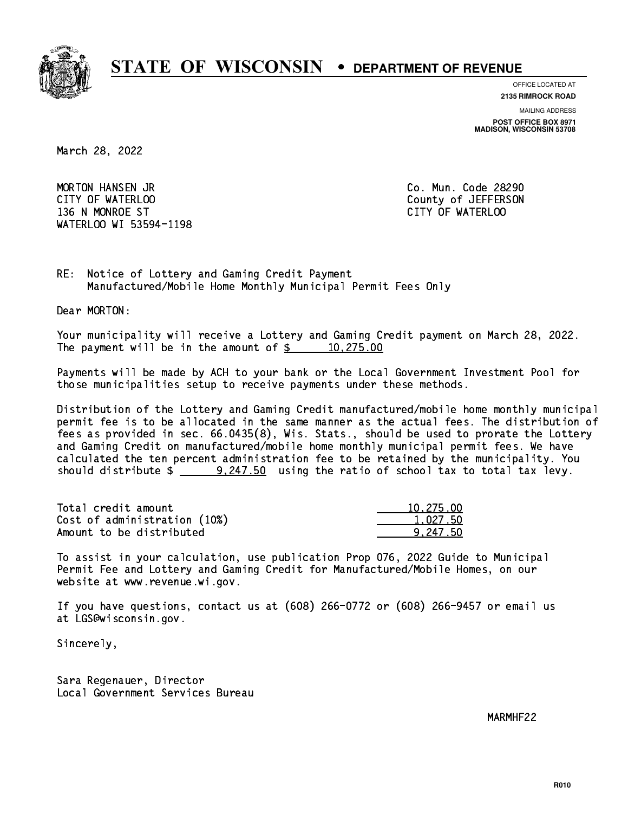

**OFFICE LOCATED AT**

**2135 RIMROCK ROAD**

**MAILING ADDRESS**

**POST OFFICE BOX 8971 MADISON, WISCONSIN 53708**

March 28, 2022

 MORTON HANSEN JR Co. Mun. Code 28290 CITY OF WATERLOO COUNTY OF WATERS ON COUNTY OF SALES AND THE COUNTY OF JEFFERSON 136 N MONROE ST CITY OF WATERLOO WATERLOO WI 53594-1198

RE: Notice of Lottery and Gaming Credit Payment Manufactured/Mobile Home Monthly Municipal Permit Fees Only

Dear MORTON:

 Your municipality will receive a Lottery and Gaming Credit payment on March 28, 2022. The payment will be in the amount of  $\frac{2}{3}$  10,275.00

 Payments will be made by ACH to your bank or the Local Government Investment Pool for those municipalities setup to receive payments under these methods.

 Distribution of the Lottery and Gaming Credit manufactured/mobile home monthly municipal permit fee is to be allocated in the same manner as the actual fees. The distribution of fees as provided in sec. 66.0435(8), Wis. Stats., should be used to prorate the Lottery and Gaming Credit on manufactured/mobile home monthly municipal permit fees. We have calculated the ten percent administration fee to be retained by the municipality. You should distribute  $\frac{247.50}{247.50}$  using the ratio of school tax to total tax levy.

| Total credit amount          | 10,275.00 |
|------------------------------|-----------|
| Cost of administration (10%) | 1.027.50  |
| Amount to be distributed     | 9.247.50  |

 To assist in your calculation, use publication Prop 076, 2022 Guide to Municipal Permit Fee and Lottery and Gaming Credit for Manufactured/Mobile Homes, on our website at www.revenue.wi.gov.

 If you have questions, contact us at (608) 266-0772 or (608) 266-9457 or email us at LGS@wisconsin.gov.

Sincerely,

 Sara Regenauer, Director Local Government Services Bureau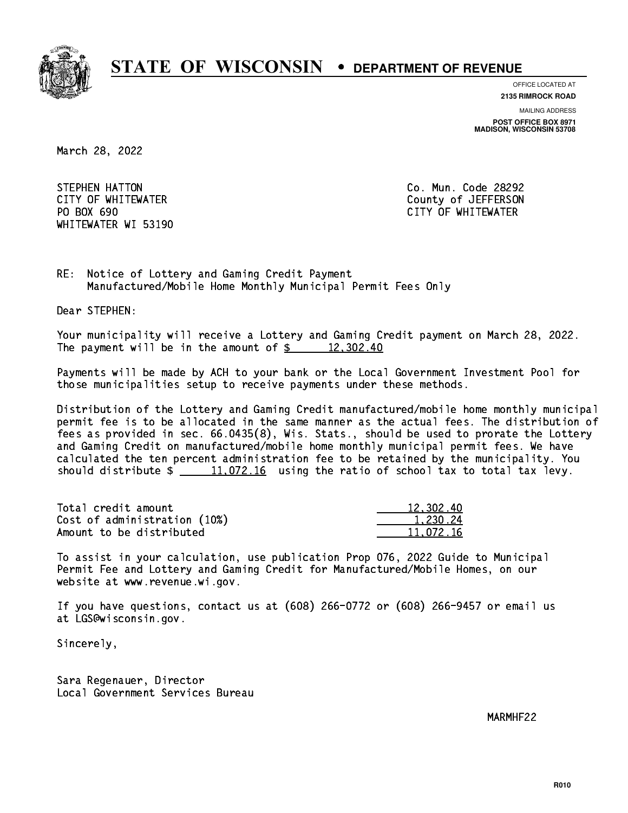

**OFFICE LOCATED AT**

**2135 RIMROCK ROAD**

**MAILING ADDRESS**

**POST OFFICE BOX 8971 MADISON, WISCONSIN 53708**

March 28, 2022

**STEPHEN HATTON** PO BOX 690 WHITEWATER WI 53190

Co. Mun. Code 28292 CITY OF WHITEWATER County of JEFFERSON CITY OF WHITEWATER

RE: Notice of Lottery and Gaming Credit Payment Manufactured/Mobile Home Monthly Municipal Permit Fees Only

Dear STEPHEN:

 Your municipality will receive a Lottery and Gaming Credit payment on March 28, 2022. The payment will be in the amount of  $\frac{2}{3}$  12,302.40

 Payments will be made by ACH to your bank or the Local Government Investment Pool for those municipalities setup to receive payments under these methods.

 Distribution of the Lottery and Gaming Credit manufactured/mobile home monthly municipal permit fee is to be allocated in the same manner as the actual fees. The distribution of fees as provided in sec. 66.0435(8), Wis. Stats., should be used to prorate the Lottery and Gaming Credit on manufactured/mobile home monthly municipal permit fees. We have calculated the ten percent administration fee to be retained by the municipality. You should distribute  $\frac{11,072.16}{11,072.16}$  using the ratio of school tax to total tax levy.

| Total credit amount          | 12,302.40 |
|------------------------------|-----------|
| Cost of administration (10%) | 1.230.24  |
| Amount to be distributed     | 11.072.16 |

 To assist in your calculation, use publication Prop 076, 2022 Guide to Municipal Permit Fee and Lottery and Gaming Credit for Manufactured/Mobile Homes, on our website at www.revenue.wi.gov.

 If you have questions, contact us at (608) 266-0772 or (608) 266-9457 or email us at LGS@wisconsin.gov.

Sincerely,

 Sara Regenauer, Director Local Government Services Bureau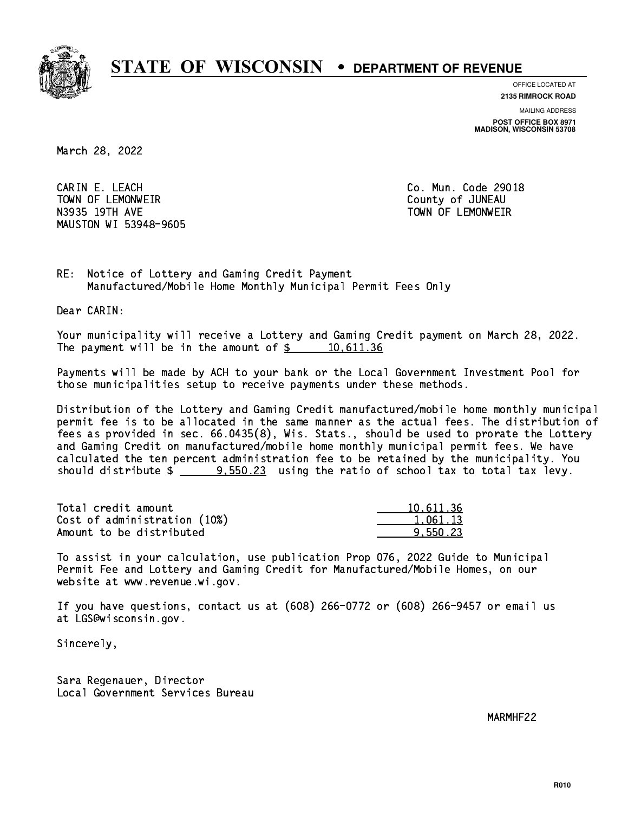

**OFFICE LOCATED AT**

**2135 RIMROCK ROAD**

**MAILING ADDRESS POST OFFICE BOX 8971 MADISON, WISCONSIN 53708**

March 28, 2022

 CARIN E. LEACH Co. Mun. Code 29018 TOWN OF LEMONWEIR County of JUNEAU N3935 19TH AVE TOWN OF LEMONWEIR MAUSTON WI 53948-9605

RE: Notice of Lottery and Gaming Credit Payment Manufactured/Mobile Home Monthly Municipal Permit Fees Only

Dear CARIN:

 Your municipality will receive a Lottery and Gaming Credit payment on March 28, 2022. The payment will be in the amount of  $\frac{2}{3}$  10,611.36

 Payments will be made by ACH to your bank or the Local Government Investment Pool for those municipalities setup to receive payments under these methods.

 Distribution of the Lottery and Gaming Credit manufactured/mobile home monthly municipal permit fee is to be allocated in the same manner as the actual fees. The distribution of fees as provided in sec. 66.0435(8), Wis. Stats., should be used to prorate the Lottery and Gaming Credit on manufactured/mobile home monthly municipal permit fees. We have calculated the ten percent administration fee to be retained by the municipality. You should distribute  $\frac{2}{2}$   $\frac{9.550.23}{2}$  using the ratio of school tax to total tax levy.

| Total credit amount          | 10.611.36 |
|------------------------------|-----------|
| Cost of administration (10%) | 1.061.13  |
| Amount to be distributed     | 9.550.23  |

 To assist in your calculation, use publication Prop 076, 2022 Guide to Municipal Permit Fee and Lottery and Gaming Credit for Manufactured/Mobile Homes, on our website at www.revenue.wi.gov.

 If you have questions, contact us at (608) 266-0772 or (608) 266-9457 or email us at LGS@wisconsin.gov.

Sincerely,

 Sara Regenauer, Director Local Government Services Bureau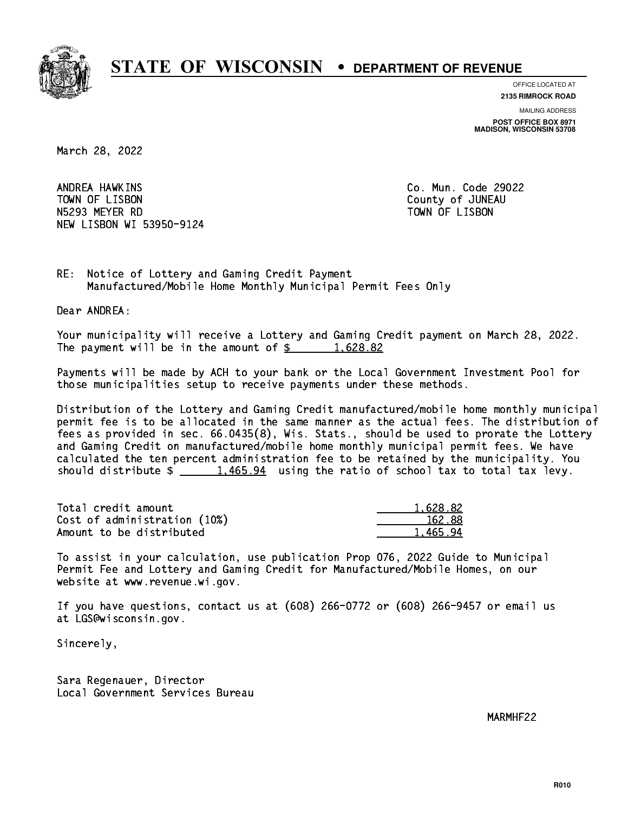

**OFFICE LOCATED AT 2135 RIMROCK ROAD**

**MAILING ADDRESS**

**POST OFFICE BOX 8971 MADISON, WISCONSIN 53708**

March 28, 2022

ANDREA HAWKINS TOWN OF LISBON COUNTY OF A LISBON N5293 MEYER RD TOWN OF LISBON NEW LISBON WI 53950-9124

Co. Mun. Code 29022

RE: Notice of Lottery and Gaming Credit Payment Manufactured/Mobile Home Monthly Municipal Permit Fees Only

Dear ANDREA:

 Your municipality will receive a Lottery and Gaming Credit payment on March 28, 2022. The payment will be in the amount of  $\frac{2}{3}$  1,628.82

 Payments will be made by ACH to your bank or the Local Government Investment Pool for those municipalities setup to receive payments under these methods.

 Distribution of the Lottery and Gaming Credit manufactured/mobile home monthly municipal permit fee is to be allocated in the same manner as the actual fees. The distribution of fees as provided in sec. 66.0435(8), Wis. Stats., should be used to prorate the Lottery and Gaming Credit on manufactured/mobile home monthly municipal permit fees. We have calculated the ten percent administration fee to be retained by the municipality. You should distribute  $\frac{1,465.94}{1,465.94}$  using the ratio of school tax to total tax levy.

| Total credit amount          | 1.628.82 |
|------------------------------|----------|
| Cost of administration (10%) | 162.88   |
| Amount to be distributed     | 1,465.94 |

 To assist in your calculation, use publication Prop 076, 2022 Guide to Municipal Permit Fee and Lottery and Gaming Credit for Manufactured/Mobile Homes, on our website at www.revenue.wi.gov.

 If you have questions, contact us at (608) 266-0772 or (608) 266-9457 or email us at LGS@wisconsin.gov.

Sincerely,

 Sara Regenauer, Director Local Government Services Bureau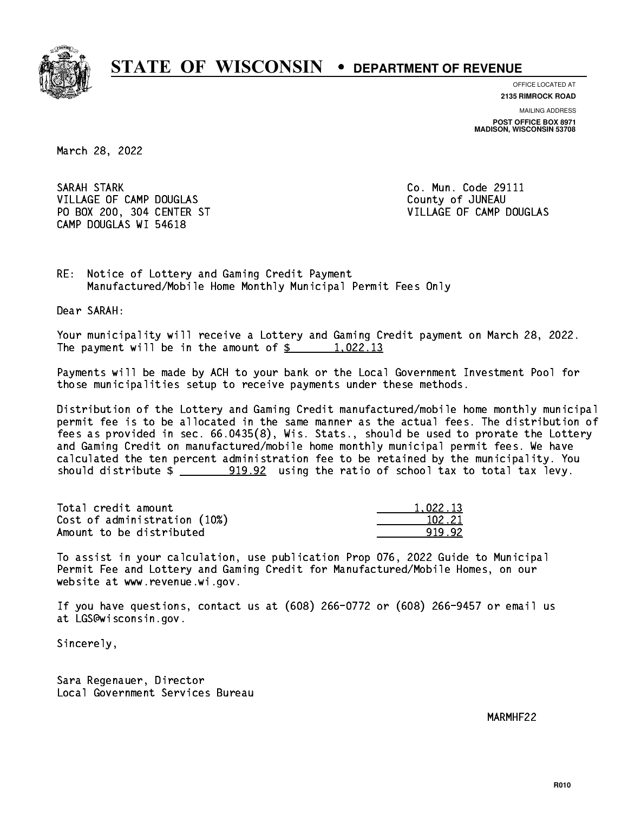

**OFFICE LOCATED AT**

**2135 RIMROCK ROAD**

**MAILING ADDRESS POST OFFICE BOX 8971 MADISON, WISCONSIN 53708**

March 28, 2022

 SARAH STARK Co. Mun. Code 29111 VILLAGE OF CAMP DOUGLAS **COUNTY OF SALLAGE OF CAMP**  PO BOX 200, 304 CENTER ST VILLAGE OF CAMP DOUGLAS CAMP DOUGLAS WI 54618

RE: Notice of Lottery and Gaming Credit Payment Manufactured/Mobile Home Monthly Municipal Permit Fees Only

Dear SARAH:

 Your municipality will receive a Lottery and Gaming Credit payment on March 28, 2022. The payment will be in the amount of  $\frac{2}{3}$  1,022.13

 Payments will be made by ACH to your bank or the Local Government Investment Pool for those municipalities setup to receive payments under these methods.

 Distribution of the Lottery and Gaming Credit manufactured/mobile home monthly municipal permit fee is to be allocated in the same manner as the actual fees. The distribution of fees as provided in sec. 66.0435(8), Wis. Stats., should be used to prorate the Lottery and Gaming Credit on manufactured/mobile home monthly municipal permit fees. We have calculated the ten percent administration fee to be retained by the municipality. You should distribute  $\frac{2}{2}$   $\frac{919.92}{2}$  using the ratio of school tax to total tax levy.

| Total credit amount          | 1.022.13 |
|------------------------------|----------|
| Cost of administration (10%) | 102.21   |
| Amount to be distributed     | 91992    |

 To assist in your calculation, use publication Prop 076, 2022 Guide to Municipal Permit Fee and Lottery and Gaming Credit for Manufactured/Mobile Homes, on our website at www.revenue.wi.gov.

 If you have questions, contact us at (608) 266-0772 or (608) 266-9457 or email us at LGS@wisconsin.gov.

Sincerely,

 Sara Regenauer, Director Local Government Services Bureau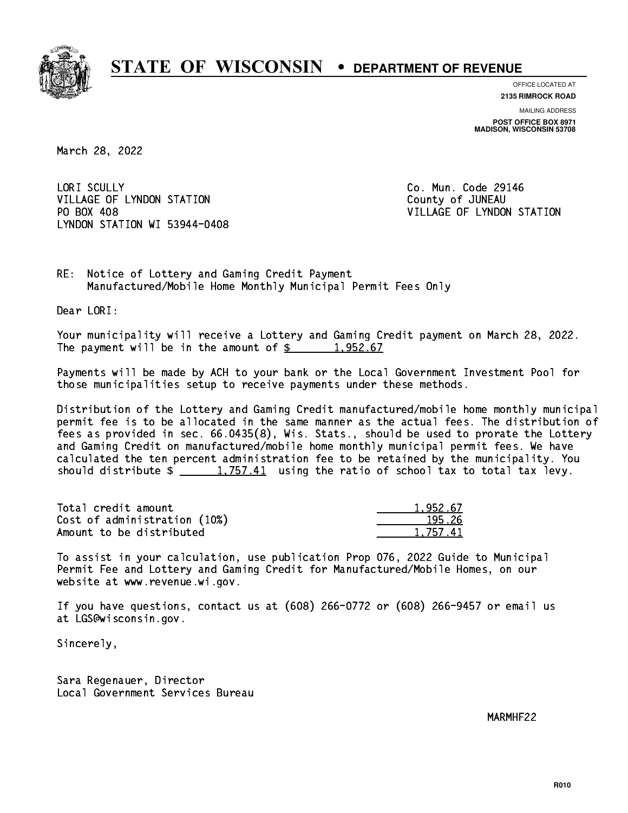

**OFFICE LOCATED AT 2135 RIMROCK ROAD**

**MAILING ADDRESS POST OFFICE BOX 8971 MADISON, WISCONSIN 53708**

March 28, 2022

LORI SCULLY VILLAGE OF LYNDON STATION COUNTY OF JUNEAU PO BOX 408 LYNDON STATION WI 53944-0408

Co. Mun. Code 29146 VILLAGE OF LYNDON STATION

RE: Notice of Lottery and Gaming Credit Payment Manufactured/Mobile Home Monthly Municipal Permit Fees Only

Dear LORI:

 Your municipality will receive a Lottery and Gaming Credit payment on March 28, 2022. The payment will be in the amount of  $\frac{2}{3}$  1,952.67

 Payments will be made by ACH to your bank or the Local Government Investment Pool for those municipalities setup to receive payments under these methods.

 Distribution of the Lottery and Gaming Credit manufactured/mobile home monthly municipal permit fee is to be allocated in the same manner as the actual fees. The distribution of fees as provided in sec. 66.0435(8), Wis. Stats., should be used to prorate the Lottery and Gaming Credit on manufactured/mobile home monthly municipal permit fees. We have calculated the ten percent administration fee to be retained by the municipality. You should distribute  $\frac{1,757.41}{1,757.41}$  using the ratio of school tax to total tax levy.

| Total credit amount          | 1.952.67 |
|------------------------------|----------|
| Cost of administration (10%) | 195.26   |
| Amount to be distributed     | 1.757.41 |

 To assist in your calculation, use publication Prop 076, 2022 Guide to Municipal Permit Fee and Lottery and Gaming Credit for Manufactured/Mobile Homes, on our website at www.revenue.wi.gov.

 If you have questions, contact us at (608) 266-0772 or (608) 266-9457 or email us at LGS@wisconsin.gov.

Sincerely,

 Sara Regenauer, Director Local Government Services Bureau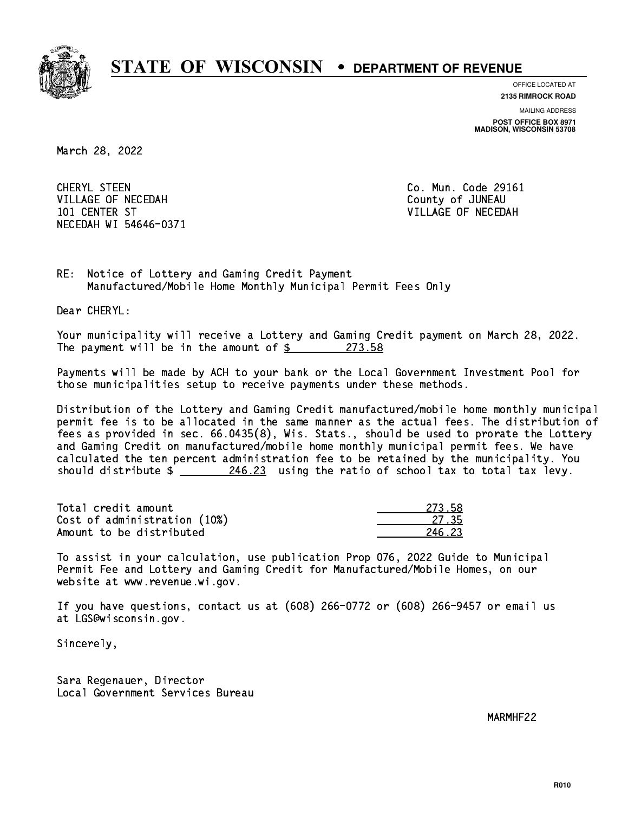

**OFFICE LOCATED AT**

**2135 RIMROCK ROAD**

**MAILING ADDRESS POST OFFICE BOX 8971 MADISON, WISCONSIN 53708**

March 28, 2022

 CHERYL STEEN Co. Mun. Code 29161 VILLAGE OF NECEDAH COUNTY OF JUNEAU 101 CENTER ST VILLAGE OF NECEDAH NECEDAH WI 54646-0371

RE: Notice of Lottery and Gaming Credit Payment Manufactured/Mobile Home Monthly Municipal Permit Fees Only

Dear CHERYL:

 Your municipality will receive a Lottery and Gaming Credit payment on March 28, 2022. The payment will be in the amount of  $\frac{273.58}{273.58}$ 

 Payments will be made by ACH to your bank or the Local Government Investment Pool for those municipalities setup to receive payments under these methods.

 Distribution of the Lottery and Gaming Credit manufactured/mobile home monthly municipal permit fee is to be allocated in the same manner as the actual fees. The distribution of fees as provided in sec. 66.0435(8), Wis. Stats., should be used to prorate the Lottery and Gaming Credit on manufactured/mobile home monthly municipal permit fees. We have calculated the ten percent administration fee to be retained by the municipality. You should distribute  $\frac{246.23}{2}$  using the ratio of school tax to total tax levy.

Total credit amount Cost of administration (10%) Amount to be distributed

| 58.<br>273. |
|-------------|
| 35<br>77.   |
| - 22<br>.,  |

 To assist in your calculation, use publication Prop 076, 2022 Guide to Municipal Permit Fee and Lottery and Gaming Credit for Manufactured/Mobile Homes, on our website at www.revenue.wi.gov.

 If you have questions, contact us at (608) 266-0772 or (608) 266-9457 or email us at LGS@wisconsin.gov.

Sincerely,

 Sara Regenauer, Director Local Government Services Bureau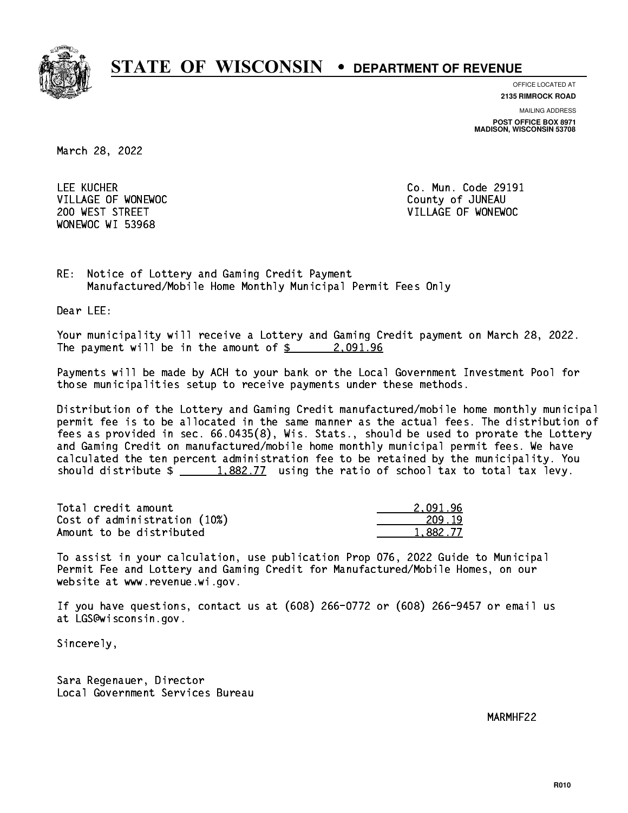

**OFFICE LOCATED AT**

**2135 RIMROCK ROAD**

**MAILING ADDRESS POST OFFICE BOX 8971 MADISON, WISCONSIN 53708**

March 28, 2022

 LEE KUCHER Co. Mun. Code 29191 VILLAGE OF WONEWOC **COUNTY OF SECOND COUNTY OF SUMEAU** WONEWOC WI 53968

200 WEST STREET VILLAGE OF WONEWOC

RE: Notice of Lottery and Gaming Credit Payment Manufactured/Mobile Home Monthly Municipal Permit Fees Only

Dear LEE:

 Your municipality will receive a Lottery and Gaming Credit payment on March 28, 2022. The payment will be in the amount of  $\frac{2.091.96}{2.25}$ 

 Payments will be made by ACH to your bank or the Local Government Investment Pool for those municipalities setup to receive payments under these methods.

 Distribution of the Lottery and Gaming Credit manufactured/mobile home monthly municipal permit fee is to be allocated in the same manner as the actual fees. The distribution of fees as provided in sec. 66.0435(8), Wis. Stats., should be used to prorate the Lottery and Gaming Credit on manufactured/mobile home monthly municipal permit fees. We have calculated the ten percent administration fee to be retained by the municipality. You should distribute  $\frac{1,882.77}{1,882.77}$  using the ratio of school tax to total tax levy.

| Total credit amount          | 2.091.96 |
|------------------------------|----------|
| Cost of administration (10%) | 209.19   |
| Amount to be distributed     | 1.882.77 |

 To assist in your calculation, use publication Prop 076, 2022 Guide to Municipal Permit Fee and Lottery and Gaming Credit for Manufactured/Mobile Homes, on our website at www.revenue.wi.gov.

 If you have questions, contact us at (608) 266-0772 or (608) 266-9457 or email us at LGS@wisconsin.gov.

Sincerely,

 Sara Regenauer, Director Local Government Services Bureau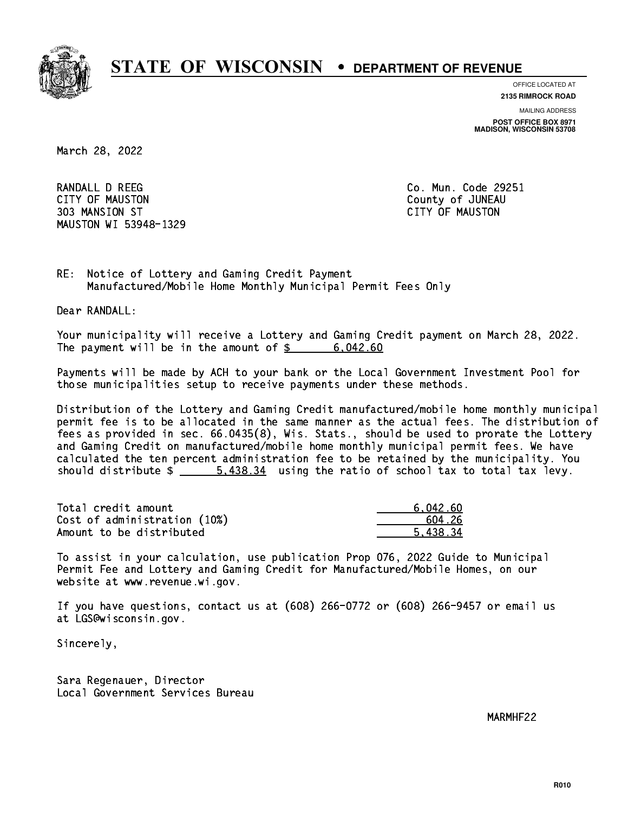

**OFFICE LOCATED AT**

**2135 RIMROCK ROAD**

**MAILING ADDRESS**

**POST OFFICE BOX 8971 MADISON, WISCONSIN 53708**

March 28, 2022

RANDALL D REEG Co. Mun. Code 29251 CITY OF MAUSTON County of JUNEAU 303 MANSION ST CITY OF MAUSTON MAUSTON WI 53948-1329

RE: Notice of Lottery and Gaming Credit Payment Manufactured/Mobile Home Monthly Municipal Permit Fees Only

Dear RANDALL:

 Your municipality will receive a Lottery and Gaming Credit payment on March 28, 2022. The payment will be in the amount of  $\frac{2}{3}$  6,042.60

 Payments will be made by ACH to your bank or the Local Government Investment Pool for those municipalities setup to receive payments under these methods.

 Distribution of the Lottery and Gaming Credit manufactured/mobile home monthly municipal permit fee is to be allocated in the same manner as the actual fees. The distribution of fees as provided in sec. 66.0435(8), Wis. Stats., should be used to prorate the Lottery and Gaming Credit on manufactured/mobile home monthly municipal permit fees. We have calculated the ten percent administration fee to be retained by the municipality. You should distribute  $\frac{2}{3}$   $\frac{5,438.34}{2}$  using the ratio of school tax to total tax levy.

| Total credit amount          | 6,042.60 |
|------------------------------|----------|
| Cost of administration (10%) | .604.26  |
| Amount to be distributed     | 5.438.34 |

 To assist in your calculation, use publication Prop 076, 2022 Guide to Municipal Permit Fee and Lottery and Gaming Credit for Manufactured/Mobile Homes, on our website at www.revenue.wi.gov.

 If you have questions, contact us at (608) 266-0772 or (608) 266-9457 or email us at LGS@wisconsin.gov.

Sincerely,

 Sara Regenauer, Director Local Government Services Bureau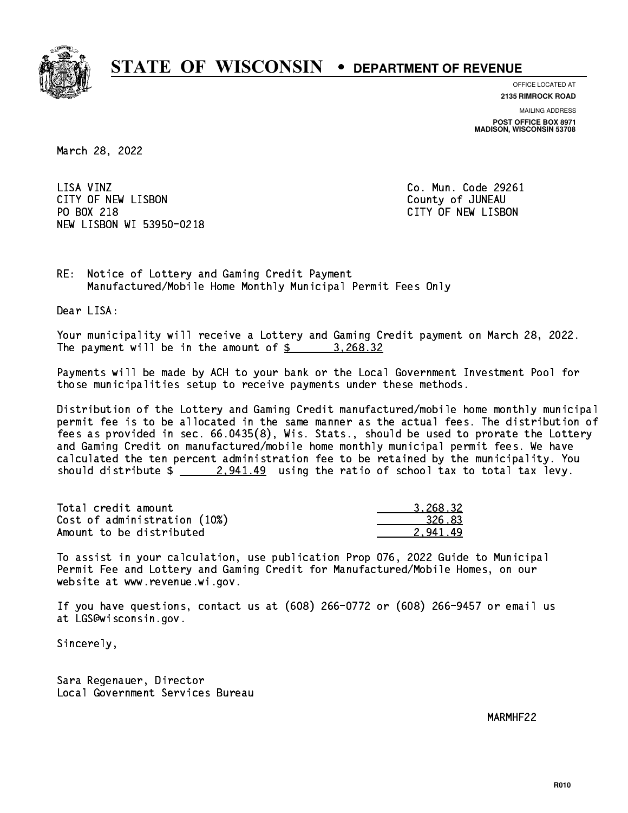

**OFFICE LOCATED AT 2135 RIMROCK ROAD**

**MAILING ADDRESS**

**POST OFFICE BOX 8971 MADISON, WISCONSIN 53708**

March 28, 2022

LISA VINZ CITY OF NEW LISBON County of JUNEAU PO BOX 218 NEW LISBON WI 53950-0218

Co. Mun. Code 29261 CITY OF NEW LISBON

RE: Notice of Lottery and Gaming Credit Payment Manufactured/Mobile Home Monthly Municipal Permit Fees Only

Dear LISA:

 Your municipality will receive a Lottery and Gaming Credit payment on March 28, 2022. The payment will be in the amount of  $\frac{2}{3}$  3,268.32

 Payments will be made by ACH to your bank or the Local Government Investment Pool for those municipalities setup to receive payments under these methods.

 Distribution of the Lottery and Gaming Credit manufactured/mobile home monthly municipal permit fee is to be allocated in the same manner as the actual fees. The distribution of fees as provided in sec. 66.0435(8), Wis. Stats., should be used to prorate the Lottery and Gaming Credit on manufactured/mobile home monthly municipal permit fees. We have calculated the ten percent administration fee to be retained by the municipality. You should distribute  $\frac{2.941.49}{2.941.49}$  using the ratio of school tax to total tax levy.

| Total credit amount          | 3.268.32 |
|------------------------------|----------|
| Cost of administration (10%) | 326.83   |
| Amount to be distributed     | 2.941.49 |

 To assist in your calculation, use publication Prop 076, 2022 Guide to Municipal Permit Fee and Lottery and Gaming Credit for Manufactured/Mobile Homes, on our website at www.revenue.wi.gov.

 If you have questions, contact us at (608) 266-0772 or (608) 266-9457 or email us at LGS@wisconsin.gov.

Sincerely,

 Sara Regenauer, Director Local Government Services Bureau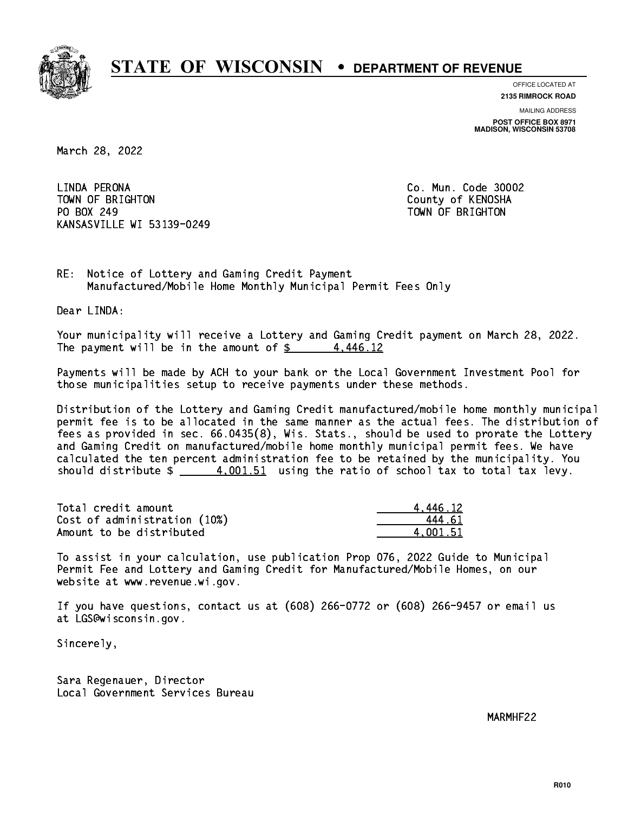

**OFFICE LOCATED AT**

**2135 RIMROCK ROAD**

**MAILING ADDRESS POST OFFICE BOX 8971 MADISON, WISCONSIN 53708**

March 28, 2022

 LINDA PERONA Co. Mun. Code 30002 TOWN OF BRIGHTON County of KENOSHA PO BOX 249 PO BOX 249 TOWN OF BRIGHTON KANSASVILLE WI 53139-0249

RE: Notice of Lottery and Gaming Credit Payment Manufactured/Mobile Home Monthly Municipal Permit Fees Only

Dear LINDA:

 Your municipality will receive a Lottery and Gaming Credit payment on March 28, 2022. The payment will be in the amount of  $\frac{2}{3}$  4,446.12

 Payments will be made by ACH to your bank or the Local Government Investment Pool for those municipalities setup to receive payments under these methods.

 Distribution of the Lottery and Gaming Credit manufactured/mobile home monthly municipal permit fee is to be allocated in the same manner as the actual fees. The distribution of fees as provided in sec. 66.0435(8), Wis. Stats., should be used to prorate the Lottery and Gaming Credit on manufactured/mobile home monthly municipal permit fees. We have calculated the ten percent administration fee to be retained by the municipality. You should distribute  $\frac{4.001.51}{2}$  using the ratio of school tax to total tax levy.

| Total credit amount          | 4.446.12 |
|------------------------------|----------|
| Cost of administration (10%) | 444 61   |
| Amount to be distributed     | 4.001.51 |

 To assist in your calculation, use publication Prop 076, 2022 Guide to Municipal Permit Fee and Lottery and Gaming Credit for Manufactured/Mobile Homes, on our website at www.revenue.wi.gov.

 If you have questions, contact us at (608) 266-0772 or (608) 266-9457 or email us at LGS@wisconsin.gov.

Sincerely,

 Sara Regenauer, Director Local Government Services Bureau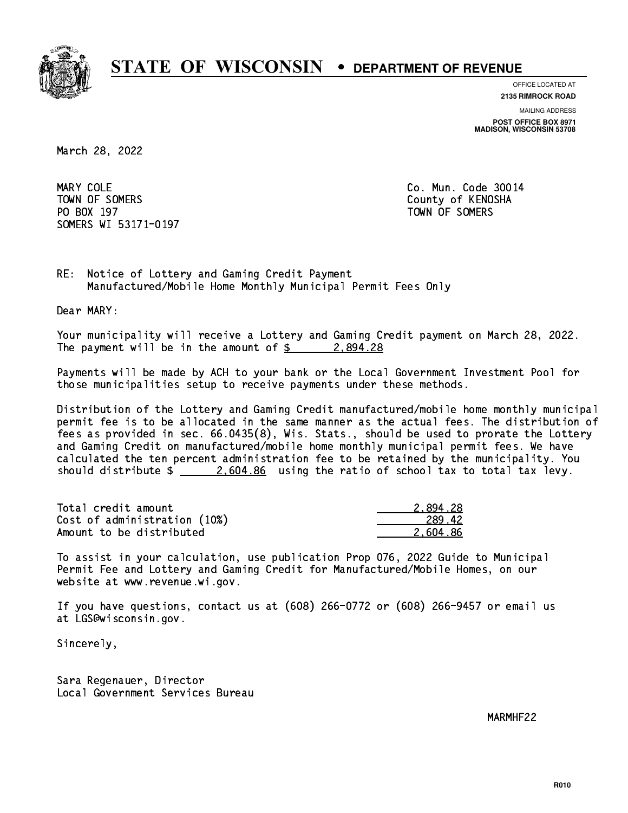

**OFFICE LOCATED AT**

**2135 RIMROCK ROAD**

**MAILING ADDRESS POST OFFICE BOX 8971 MADISON, WISCONSIN 53708**

March 28, 2022

MARY COLE TOWN OF SOMERS County of KENOSHA PO BOX 197 TOWN OF SOMERS SOMERS WI 53171-0197

Co. Mun. Code 30014

RE: Notice of Lottery and Gaming Credit Payment Manufactured/Mobile Home Monthly Municipal Permit Fees Only

Dear MARY:

 Your municipality will receive a Lottery and Gaming Credit payment on March 28, 2022. The payment will be in the amount of  $\frac{2}{3}$  2,894.28

 Payments will be made by ACH to your bank or the Local Government Investment Pool for those municipalities setup to receive payments under these methods.

 Distribution of the Lottery and Gaming Credit manufactured/mobile home monthly municipal permit fee is to be allocated in the same manner as the actual fees. The distribution of fees as provided in sec. 66.0435(8), Wis. Stats., should be used to prorate the Lottery and Gaming Credit on manufactured/mobile home monthly municipal permit fees. We have calculated the ten percent administration fee to be retained by the municipality. You should distribute  $\frac{2.604.86}{2.604.86}$  using the ratio of school tax to total tax levy.

| Total credit amount          | 2.894.28 |
|------------------------------|----------|
| Cost of administration (10%) | 289.42   |
| Amount to be distributed     | 2.604.86 |

 To assist in your calculation, use publication Prop 076, 2022 Guide to Municipal Permit Fee and Lottery and Gaming Credit for Manufactured/Mobile Homes, on our website at www.revenue.wi.gov.

 If you have questions, contact us at (608) 266-0772 or (608) 266-9457 or email us at LGS@wisconsin.gov.

Sincerely,

 Sara Regenauer, Director Local Government Services Bureau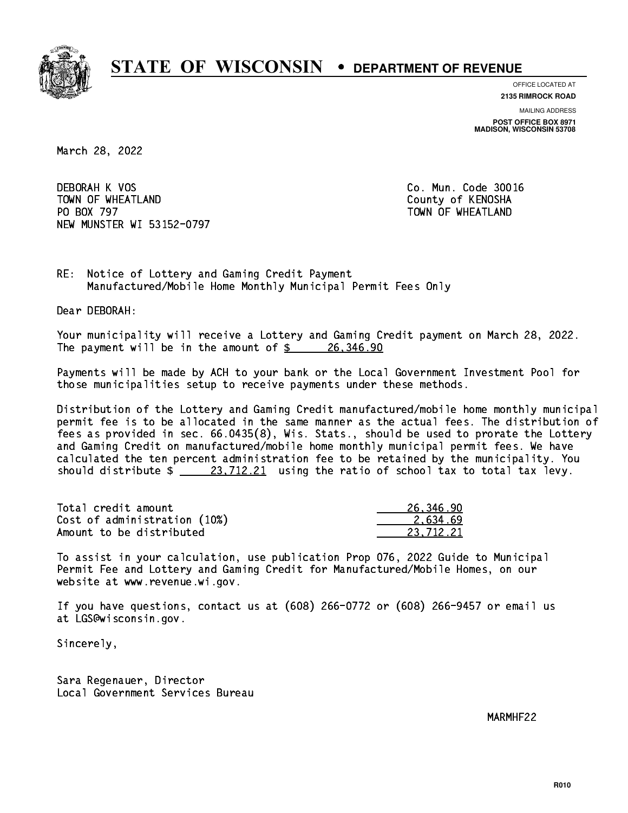

**OFFICE LOCATED AT**

**2135 RIMROCK ROAD**

**MAILING ADDRESS POST OFFICE BOX 8971 MADISON, WISCONSIN 53708**

March 28, 2022

 DEBORAH K VOS Co. Mun. Code 30016 TOWN OF WHEATLAND County of KENOSHA PO BOX 797 NEW MUNSTER WI 53152-0797

TOWN OF WHEATLAND

RE: Notice of Lottery and Gaming Credit Payment Manufactured/Mobile Home Monthly Municipal Permit Fees Only

Dear DEBORAH:

 Your municipality will receive a Lottery and Gaming Credit payment on March 28, 2022. The payment will be in the amount of  $\frac{26}{346.90}$ 

 Payments will be made by ACH to your bank or the Local Government Investment Pool for those municipalities setup to receive payments under these methods.

 Distribution of the Lottery and Gaming Credit manufactured/mobile home monthly municipal permit fee is to be allocated in the same manner as the actual fees. The distribution of fees as provided in sec. 66.0435(8), Wis. Stats., should be used to prorate the Lottery and Gaming Credit on manufactured/mobile home monthly municipal permit fees. We have calculated the ten percent administration fee to be retained by the municipality. You should distribute  $\frac{23,712.21}{23,712.21}$  using the ratio of school tax to total tax levy.

| Total credit amount          | 26,346.90 |
|------------------------------|-----------|
| Cost of administration (10%) | 2.634.69  |
| Amount to be distributed     | 23.712.21 |

 To assist in your calculation, use publication Prop 076, 2022 Guide to Municipal Permit Fee and Lottery and Gaming Credit for Manufactured/Mobile Homes, on our website at www.revenue.wi.gov.

 If you have questions, contact us at (608) 266-0772 or (608) 266-9457 or email us at LGS@wisconsin.gov.

Sincerely,

 Sara Regenauer, Director Local Government Services Bureau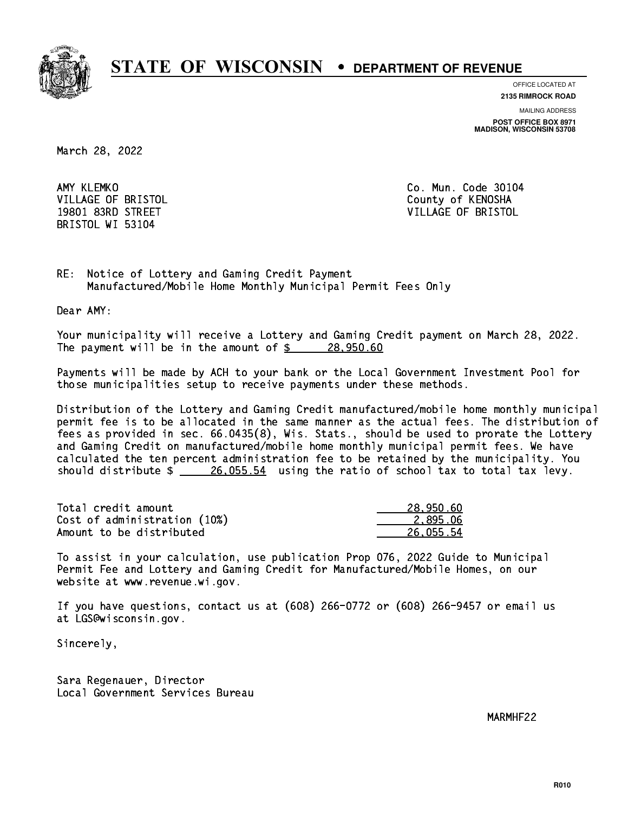

**OFFICE LOCATED AT**

**MAILING ADDRESS 2135 RIMROCK ROAD**

**POST OFFICE BOX 8971 MADISON, WISCONSIN 53708**

March 28, 2022

AMY KLEMKO VILLAGE OF BRISTOL **COUNTY OF SALES AND ACCOUNT OF SALES AND STATES** BRISTOL WI 53104

Co. Mun. Code 30104 19801 83RD STREET VILLAGE OF BRISTOL

RE: Notice of Lottery and Gaming Credit Payment Manufactured/Mobile Home Monthly Municipal Permit Fees Only

Dear AMY:

 Your municipality will receive a Lottery and Gaming Credit payment on March 28, 2022. The payment will be in the amount of  $\frac{28,950.60}{28,950.60}$ 

 Payments will be made by ACH to your bank or the Local Government Investment Pool for those municipalities setup to receive payments under these methods.

 Distribution of the Lottery and Gaming Credit manufactured/mobile home monthly municipal permit fee is to be allocated in the same manner as the actual fees. The distribution of fees as provided in sec. 66.0435(8), Wis. Stats., should be used to prorate the Lottery and Gaming Credit on manufactured/mobile home monthly municipal permit fees. We have calculated the ten percent administration fee to be retained by the municipality. You should distribute  $\frac{26,055.54}{26,055.54}$  using the ratio of school tax to total tax levy.

| Total credit amount          | 28,950.60 |
|------------------------------|-----------|
| Cost of administration (10%) | 2.895.06  |
| Amount to be distributed     | 26,055.54 |

 To assist in your calculation, use publication Prop 076, 2022 Guide to Municipal Permit Fee and Lottery and Gaming Credit for Manufactured/Mobile Homes, on our website at www.revenue.wi.gov.

 If you have questions, contact us at (608) 266-0772 or (608) 266-9457 or email us at LGS@wisconsin.gov.

Sincerely,

 Sara Regenauer, Director Local Government Services Bureau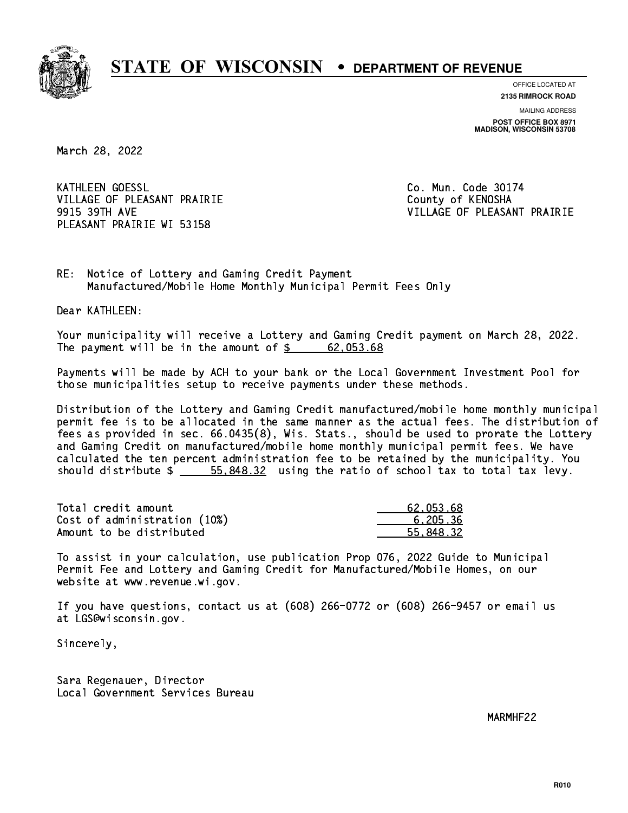

**OFFICE LOCATED AT 2135 RIMROCK ROAD**

**MAILING ADDRESS**

**POST OFFICE BOX 8971 MADISON, WISCONSIN 53708**

March 28, 2022

**KATHLEEN GOESSL** VILLAGE OF PLEASANT PRAIRIE **COUNTY OF COUNTY OF COUNTY** PLEASANT PRAIRIE WI 53158

Co. Mun. Code 30174 9915 39TH AVE VILLAGE OF PLEASANT PRAIRIE

RE: Notice of Lottery and Gaming Credit Payment Manufactured/Mobile Home Monthly Municipal Permit Fees Only

Dear KATHLEEN:

 Your municipality will receive a Lottery and Gaming Credit payment on March 28, 2022. The payment will be in the amount of  $\frac{2}{3}$  62,053.68

 Payments will be made by ACH to your bank or the Local Government Investment Pool for those municipalities setup to receive payments under these methods.

 Distribution of the Lottery and Gaming Credit manufactured/mobile home monthly municipal permit fee is to be allocated in the same manner as the actual fees. The distribution of fees as provided in sec. 66.0435(8), Wis. Stats., should be used to prorate the Lottery and Gaming Credit on manufactured/mobile home monthly municipal permit fees. We have calculated the ten percent administration fee to be retained by the municipality. You should distribute  $\frac{2}{1}$   $\frac{55,848.32}{2}$  using the ratio of school tax to total tax levy.

| Total credit amount          | 62.053.68 |
|------------------------------|-----------|
| Cost of administration (10%) | 6.205.36  |
| Amount to be distributed     | 55.848.32 |

 To assist in your calculation, use publication Prop 076, 2022 Guide to Municipal Permit Fee and Lottery and Gaming Credit for Manufactured/Mobile Homes, on our website at www.revenue.wi.gov.

 If you have questions, contact us at (608) 266-0772 or (608) 266-9457 or email us at LGS@wisconsin.gov.

Sincerely,

 Sara Regenauer, Director Local Government Services Bureau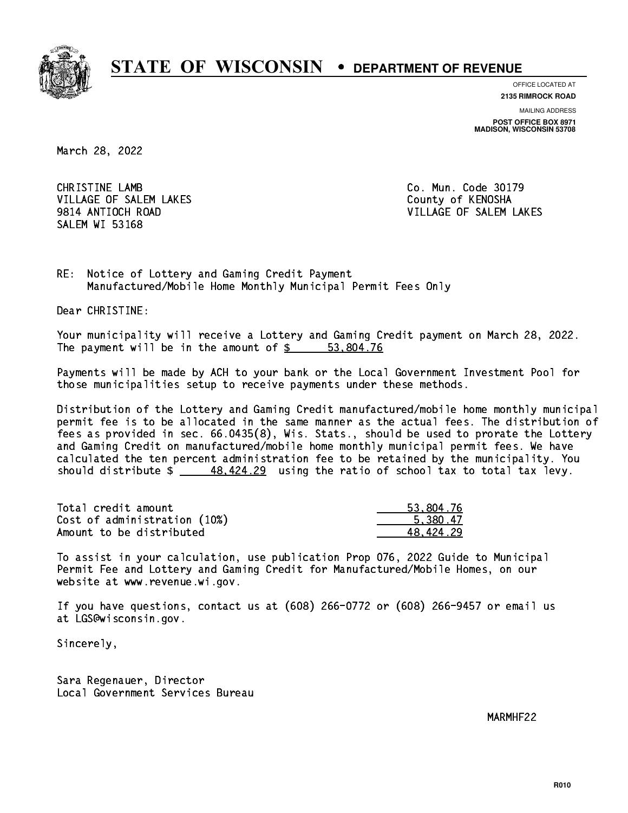

**OFFICE LOCATED AT**

**2135 RIMROCK ROAD**

**MAILING ADDRESS POST OFFICE BOX 8971 MADISON, WISCONSIN 53708**

March 28, 2022

 CHRISTINE LAMB Co. Mun. Code 30179 VILLAGE OF SALEM LAKES County of KENOSHA SALEM WI 53168

9814 ANTIOCH ROAD VILLAGE OF SALEM LAKES

RE: Notice of Lottery and Gaming Credit Payment Manufactured/Mobile Home Monthly Municipal Permit Fees Only

Dear CHRISTINE:

 Your municipality will receive a Lottery and Gaming Credit payment on March 28, 2022. The payment will be in the amount of  $\frac{2}{3}$   $\frac{53,804.76}{2}$ 

 Payments will be made by ACH to your bank or the Local Government Investment Pool for those municipalities setup to receive payments under these methods.

 Distribution of the Lottery and Gaming Credit manufactured/mobile home monthly municipal permit fee is to be allocated in the same manner as the actual fees. The distribution of fees as provided in sec. 66.0435(8), Wis. Stats., should be used to prorate the Lottery and Gaming Credit on manufactured/mobile home monthly municipal permit fees. We have calculated the ten percent administration fee to be retained by the municipality. You should distribute  $\frac{48.424.29}{2}$  using the ratio of school tax to total tax levy.

| Total credit amount          | 53,804.76 |
|------------------------------|-----------|
| Cost of administration (10%) | 5.380.47  |
| Amount to be distributed     | 48.424.29 |

 To assist in your calculation, use publication Prop 076, 2022 Guide to Municipal Permit Fee and Lottery and Gaming Credit for Manufactured/Mobile Homes, on our website at www.revenue.wi.gov.

 If you have questions, contact us at (608) 266-0772 or (608) 266-9457 or email us at LGS@wisconsin.gov.

Sincerely,

 Sara Regenauer, Director Local Government Services Bureau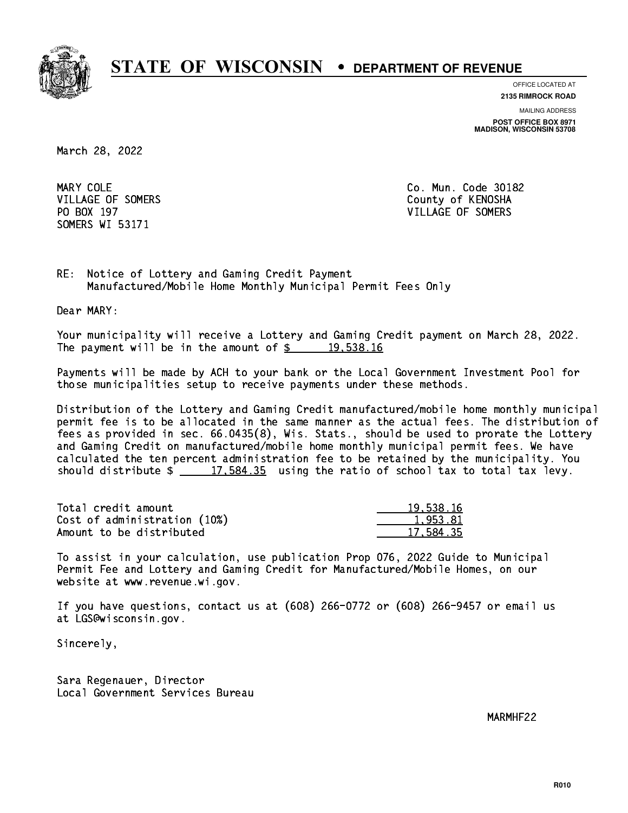

**OFFICE LOCATED AT**

**2135 RIMROCK ROAD**

**MAILING ADDRESS POST OFFICE BOX 8971 MADISON, WISCONSIN 53708**

March 28, 2022

MARY COLE SOMERS WI 53171

Co. Mun. Code 30182 VILLAGE OF SOMERS COUNTY OF KENOSHA PO BOX 197 VILLAGE OF SOMERS

RE: Notice of Lottery and Gaming Credit Payment Manufactured/Mobile Home Monthly Municipal Permit Fees Only

Dear MARY:

 Your municipality will receive a Lottery and Gaming Credit payment on March 28, 2022. The payment will be in the amount of  $\frac{2}{3}$  19,538.16

 Payments will be made by ACH to your bank or the Local Government Investment Pool for those municipalities setup to receive payments under these methods.

 Distribution of the Lottery and Gaming Credit manufactured/mobile home monthly municipal permit fee is to be allocated in the same manner as the actual fees. The distribution of fees as provided in sec. 66.0435(8), Wis. Stats., should be used to prorate the Lottery and Gaming Credit on manufactured/mobile home monthly municipal permit fees. We have calculated the ten percent administration fee to be retained by the municipality. You should distribute  $\frac{2}{17,584.35}$  using the ratio of school tax to total tax levy.

| Total credit amount          | 19,538,16 |
|------------------------------|-----------|
| Cost of administration (10%) | 1,953.81  |
| Amount to be distributed     | 17,584.35 |

 To assist in your calculation, use publication Prop 076, 2022 Guide to Municipal Permit Fee and Lottery and Gaming Credit for Manufactured/Mobile Homes, on our website at www.revenue.wi.gov.

 If you have questions, contact us at (608) 266-0772 or (608) 266-9457 or email us at LGS@wisconsin.gov.

Sincerely,

 Sara Regenauer, Director Local Government Services Bureau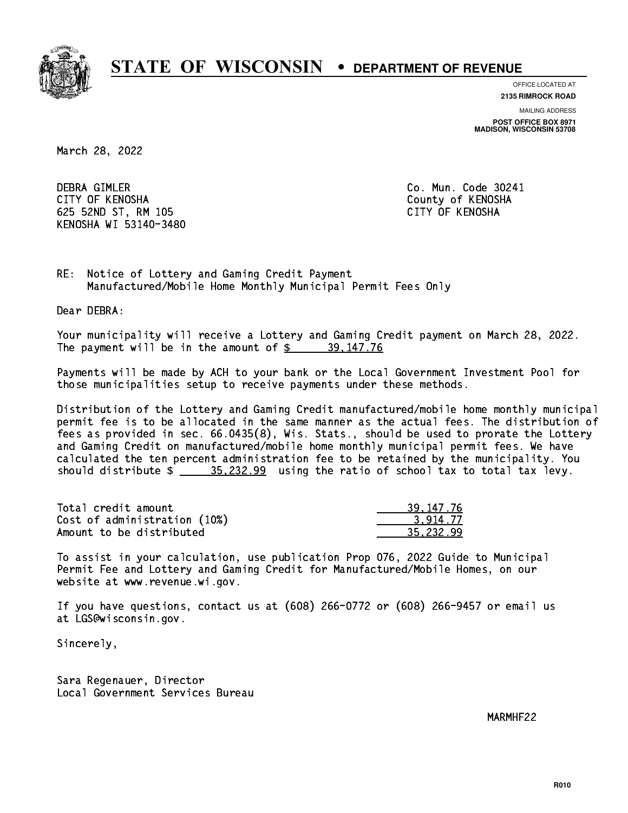

**OFFICE LOCATED AT**

**2135 RIMROCK ROAD**

**MAILING ADDRESS POST OFFICE BOX 8971 MADISON, WISCONSIN 53708**

March 28, 2022

 DEBRA GIMLER Co. Mun. Code 30241 CITY OF KENOSHA County of KENOSHA 625 52ND ST, RM 105 CITY OF KENOSHA KENOSHA WI 53140-3480

RE: Notice of Lottery and Gaming Credit Payment Manufactured/Mobile Home Monthly Municipal Permit Fees Only

Dear DEBRA:

 Your municipality will receive a Lottery and Gaming Credit payment on March 28, 2022. The payment will be in the amount of  $\frac{2}{3}$  39,147.76

 Payments will be made by ACH to your bank or the Local Government Investment Pool for those municipalities setup to receive payments under these methods.

 Distribution of the Lottery and Gaming Credit manufactured/mobile home monthly municipal permit fee is to be allocated in the same manner as the actual fees. The distribution of fees as provided in sec. 66.0435(8), Wis. Stats., should be used to prorate the Lottery and Gaming Credit on manufactured/mobile home monthly municipal permit fees. We have calculated the ten percent administration fee to be retained by the municipality. You should distribute  $\frac{25.232.99}{2}$  using the ratio of school tax to total tax levy.

| Total credit amount          | 39, 147, 76 |
|------------------------------|-------------|
| Cost of administration (10%) | 3.914.77    |
| Amount to be distributed     | 35.232.99   |

 To assist in your calculation, use publication Prop 076, 2022 Guide to Municipal Permit Fee and Lottery and Gaming Credit for Manufactured/Mobile Homes, on our website at www.revenue.wi.gov.

 If you have questions, contact us at (608) 266-0772 or (608) 266-9457 or email us at LGS@wisconsin.gov.

Sincerely,

 Sara Regenauer, Director Local Government Services Bureau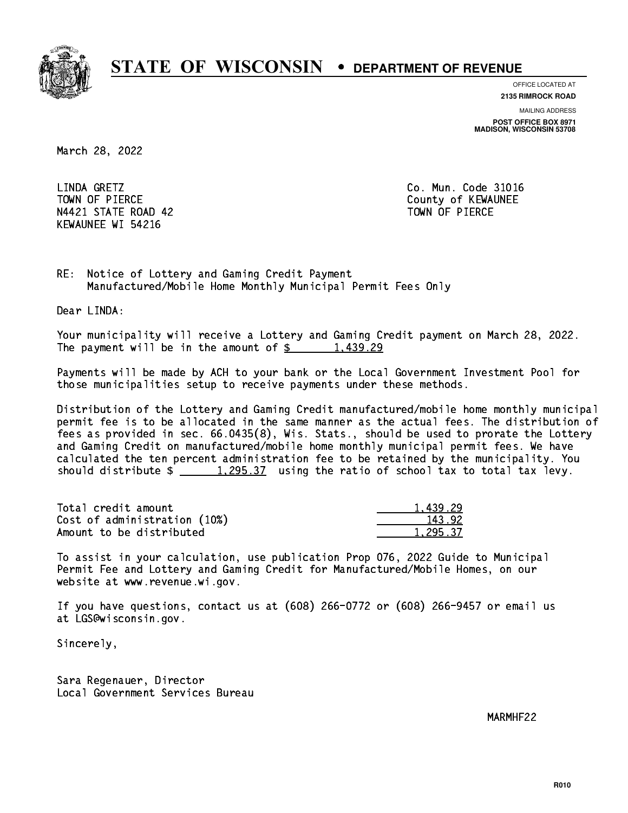

**OFFICE LOCATED AT**

**2135 RIMROCK ROAD**

**MAILING ADDRESS POST OFFICE BOX 8971 MADISON, WISCONSIN 53708**

March 28, 2022

LINDA GRETZ TOWN OF PIERCE **THE COUNTY OF SEXUAL EXAMPLE COUNTY OF KEWAUNEE** N4421 STATE ROAD 42 TOWN OF PIERCE KEWAUNEE WI 54216

Co. Mun. Code 31016

RE: Notice of Lottery and Gaming Credit Payment Manufactured/Mobile Home Monthly Municipal Permit Fees Only

Dear LINDA:

 Your municipality will receive a Lottery and Gaming Credit payment on March 28, 2022. The payment will be in the amount of  $\frac{2}{3}$  1,439.29

 Payments will be made by ACH to your bank or the Local Government Investment Pool for those municipalities setup to receive payments under these methods.

 Distribution of the Lottery and Gaming Credit manufactured/mobile home monthly municipal permit fee is to be allocated in the same manner as the actual fees. The distribution of fees as provided in sec. 66.0435(8), Wis. Stats., should be used to prorate the Lottery and Gaming Credit on manufactured/mobile home monthly municipal permit fees. We have calculated the ten percent administration fee to be retained by the municipality. You should distribute  $\frac{1,295.37}{1,295.37}$  using the ratio of school tax to total tax levy.

| Total credit amount          | 1,439.29 |
|------------------------------|----------|
| Cost of administration (10%) | 143.92   |
| Amount to be distributed     | 1.295.37 |

 To assist in your calculation, use publication Prop 076, 2022 Guide to Municipal Permit Fee and Lottery and Gaming Credit for Manufactured/Mobile Homes, on our website at www.revenue.wi.gov.

 If you have questions, contact us at (608) 266-0772 or (608) 266-9457 or email us at LGS@wisconsin.gov.

Sincerely,

 Sara Regenauer, Director Local Government Services Bureau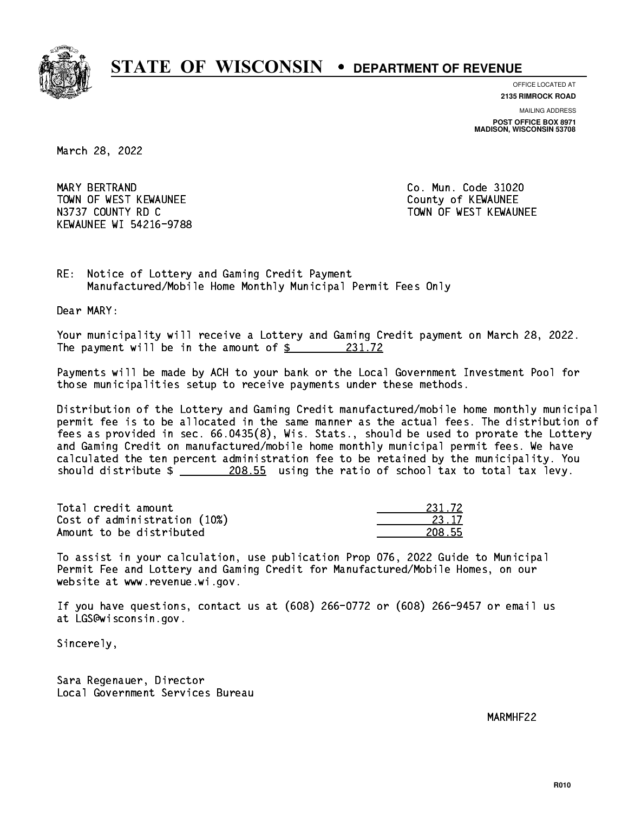

**OFFICE LOCATED AT**

**2135 RIMROCK ROAD**

**MAILING ADDRESS POST OFFICE BOX 8971 MADISON, WISCONSIN 53708**

March 28, 2022

 MARY BERTRAND Co. Mun. Code 31020 TOWN OF WEST KEWAUNEE TOWN OF WEST AND TOWN OF A COUNTY OF A COUNTY OF A COUNTY OF A COUNTY OF A COUNTY OF A COUNTY OF A COUNTY OF A COUNTY OF A COUNTY OF A COUNTY OF A COUNTY OF A COUNTY OF A COUNTY OF A COUNTY OF A COUNT N3737 COUNTY RD C TOWN OF WEST KEWAUNEE KEWAUNEE WI 54216-9788

RE: Notice of Lottery and Gaming Credit Payment Manufactured/Mobile Home Monthly Municipal Permit Fees Only

Dear MARY:

 Your municipality will receive a Lottery and Gaming Credit payment on March 28, 2022. The payment will be in the amount of  $\frac{231.72}{2}$ 

 Payments will be made by ACH to your bank or the Local Government Investment Pool for those municipalities setup to receive payments under these methods.

 Distribution of the Lottery and Gaming Credit manufactured/mobile home monthly municipal permit fee is to be allocated in the same manner as the actual fees. The distribution of fees as provided in sec. 66.0435(8), Wis. Stats., should be used to prorate the Lottery and Gaming Credit on manufactured/mobile home monthly municipal permit fees. We have calculated the ten percent administration fee to be retained by the municipality. You should distribute  $\frac{208.55}{208.55}$  using the ratio of school tax to total tax levy.

Total credit amount Cost of administration (10%) Amount to be distributed

| 1.72 <sub>1</sub> |
|-------------------|
| २ १७              |
| 55                |

 To assist in your calculation, use publication Prop 076, 2022 Guide to Municipal Permit Fee and Lottery and Gaming Credit for Manufactured/Mobile Homes, on our website at www.revenue.wi.gov.

 If you have questions, contact us at (608) 266-0772 or (608) 266-9457 or email us at LGS@wisconsin.gov.

Sincerely,

 Sara Regenauer, Director Local Government Services Bureau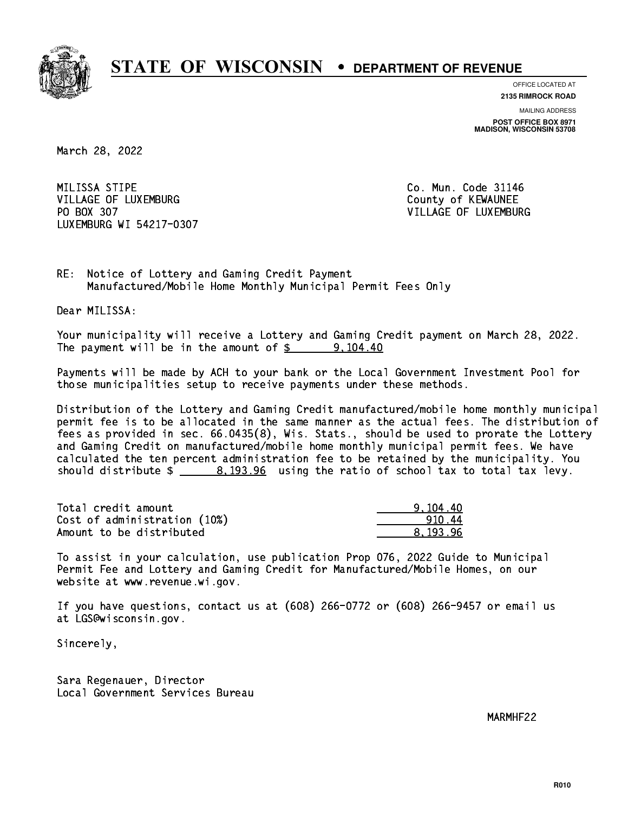

**OFFICE LOCATED AT**

**2135 RIMROCK ROAD**

**MAILING ADDRESS POST OFFICE BOX 8971 MADISON, WISCONSIN 53708**

March 28, 2022

MILISSA STIPE VILLAGE OF LUXEMBURG COUNTY OF KEWAUNEE PO BOX 307 LUXEMBURG WI 54217-0307

Co. Mun. Code 31146 VILLAGE OF LUXEMBURG

RE: Notice of Lottery and Gaming Credit Payment Manufactured/Mobile Home Monthly Municipal Permit Fees Only

Dear MILISSA:

 Your municipality will receive a Lottery and Gaming Credit payment on March 28, 2022. The payment will be in the amount of  $\frac{2}{3}$  9,104.40

 Payments will be made by ACH to your bank or the Local Government Investment Pool for those municipalities setup to receive payments under these methods.

 Distribution of the Lottery and Gaming Credit manufactured/mobile home monthly municipal permit fee is to be allocated in the same manner as the actual fees. The distribution of fees as provided in sec. 66.0435(8), Wis. Stats., should be used to prorate the Lottery and Gaming Credit on manufactured/mobile home monthly municipal permit fees. We have calculated the ten percent administration fee to be retained by the municipality. You should distribute  $\frac{2}{1}$   $\frac{8,193.96}{2}$  using the ratio of school tax to total tax levy.

| Total credit amount          | 9.104.40 |
|------------------------------|----------|
| Cost of administration (10%) | 91044    |
| Amount to be distributed     | 8.193.96 |

 To assist in your calculation, use publication Prop 076, 2022 Guide to Municipal Permit Fee and Lottery and Gaming Credit for Manufactured/Mobile Homes, on our website at www.revenue.wi.gov.

 If you have questions, contact us at (608) 266-0772 or (608) 266-9457 or email us at LGS@wisconsin.gov.

Sincerely,

 Sara Regenauer, Director Local Government Services Bureau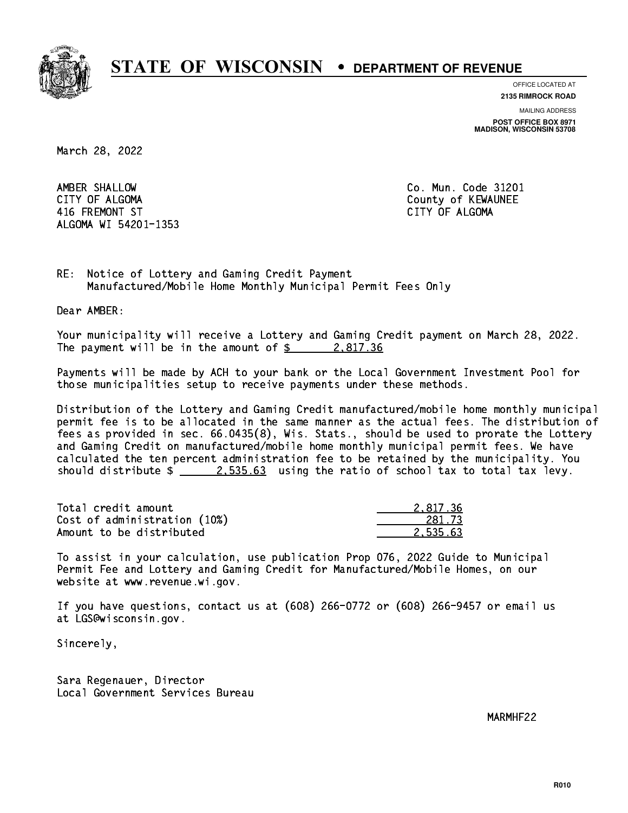

**OFFICE LOCATED AT**

**2135 RIMROCK ROAD**

**MAILING ADDRESS**

**POST OFFICE BOX 8971 MADISON, WISCONSIN 53708**

March 28, 2022

 AMBER SHALLOW Co. Mun. Code 31201 CITY OF ALGOMA COUNTY OF ALGOMA 416 FREMONT ST CITY OF ALGOMA ALGOMA WI 54201-1353

RE: Notice of Lottery and Gaming Credit Payment Manufactured/Mobile Home Monthly Municipal Permit Fees Only

Dear AMBER:

 Your municipality will receive a Lottery and Gaming Credit payment on March 28, 2022. The payment will be in the amount of  $\frac{2.817.36}{2.25}$ 

 Payments will be made by ACH to your bank or the Local Government Investment Pool for those municipalities setup to receive payments under these methods.

 Distribution of the Lottery and Gaming Credit manufactured/mobile home monthly municipal permit fee is to be allocated in the same manner as the actual fees. The distribution of fees as provided in sec. 66.0435(8), Wis. Stats., should be used to prorate the Lottery and Gaming Credit on manufactured/mobile home monthly municipal permit fees. We have calculated the ten percent administration fee to be retained by the municipality. You should distribute  $\frac{2.535.63}{2.535.63}$  using the ratio of school tax to total tax levy.

| Total credit amount          | 2.817.36 |
|------------------------------|----------|
| Cost of administration (10%) | 281.73   |
| Amount to be distributed     | 2.535.63 |

 To assist in your calculation, use publication Prop 076, 2022 Guide to Municipal Permit Fee and Lottery and Gaming Credit for Manufactured/Mobile Homes, on our website at www.revenue.wi.gov.

 If you have questions, contact us at (608) 266-0772 or (608) 266-9457 or email us at LGS@wisconsin.gov.

Sincerely,

 Sara Regenauer, Director Local Government Services Bureau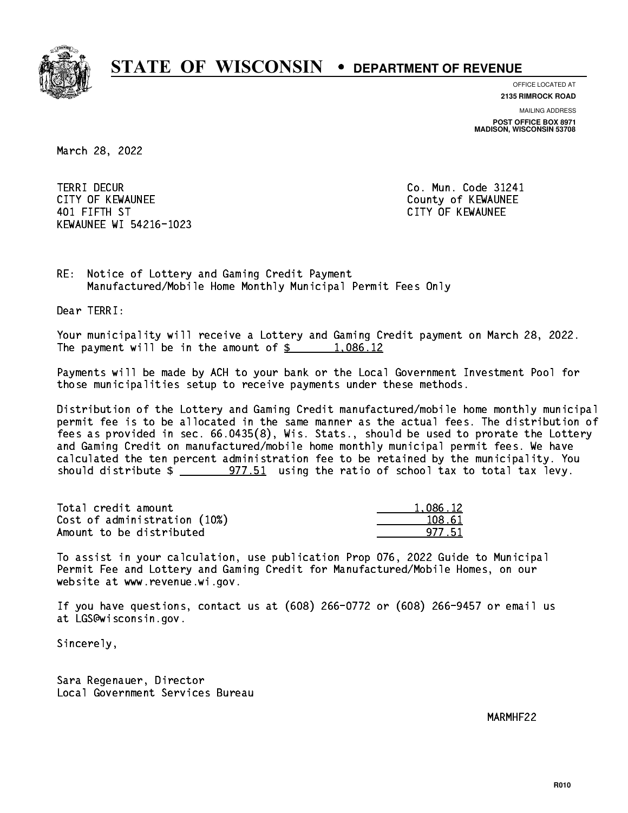

**OFFICE LOCATED AT**

**2135 RIMROCK ROAD**

**MAILING ADDRESS POST OFFICE BOX 8971 MADISON, WISCONSIN 53708**

March 28, 2022

**TERRI DECUR** CITY OF KEWAUNEE **CITY OF KEWAUNEE**  401 FIFTH ST CITY OF KEWAUNEE KEWAUNEE WI 54216-1023

Co. Mun. Code 31241

RE: Notice of Lottery and Gaming Credit Payment Manufactured/Mobile Home Monthly Municipal Permit Fees Only

Dear TERRI:

 Your municipality will receive a Lottery and Gaming Credit payment on March 28, 2022. The payment will be in the amount of  $\frac{2}{3}$  1,086.12

 Payments will be made by ACH to your bank or the Local Government Investment Pool for those municipalities setup to receive payments under these methods.

 Distribution of the Lottery and Gaming Credit manufactured/mobile home monthly municipal permit fee is to be allocated in the same manner as the actual fees. The distribution of fees as provided in sec. 66.0435(8), Wis. Stats., should be used to prorate the Lottery and Gaming Credit on manufactured/mobile home monthly municipal permit fees. We have calculated the ten percent administration fee to be retained by the municipality. You should distribute  $\frac{2}{2}$   $\frac{977.51}{2}$  using the ratio of school tax to total tax levy.

| Total credit amount          | 1,086.12 |
|------------------------------|----------|
| Cost of administration (10%) | 108.61   |
| Amount to be distributed     | 977 51   |

 To assist in your calculation, use publication Prop 076, 2022 Guide to Municipal Permit Fee and Lottery and Gaming Credit for Manufactured/Mobile Homes, on our website at www.revenue.wi.gov.

 If you have questions, contact us at (608) 266-0772 or (608) 266-9457 or email us at LGS@wisconsin.gov.

Sincerely,

 Sara Regenauer, Director Local Government Services Bureau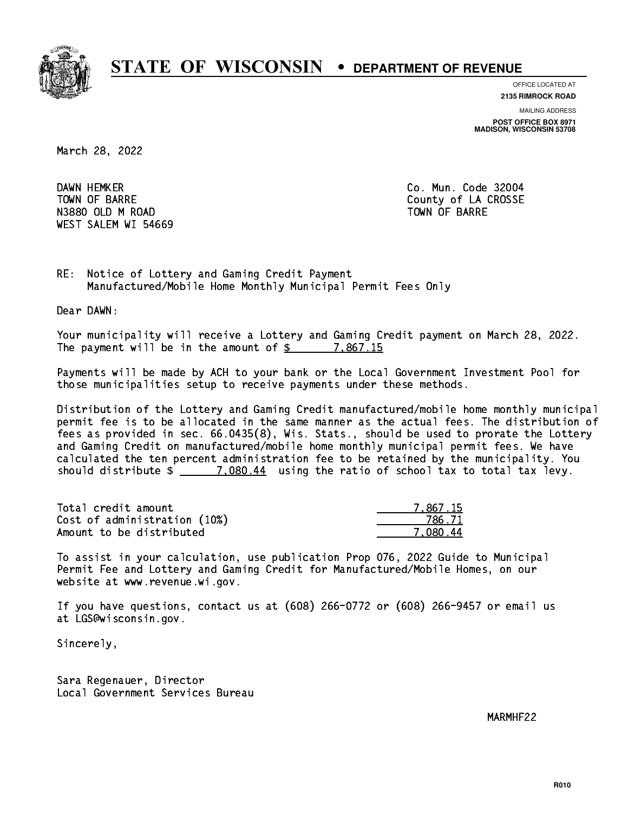

**OFFICE LOCATED AT**

**2135 RIMROCK ROAD**

**MAILING ADDRESS POST OFFICE BOX 8971 MADISON, WISCONSIN 53708**

March 28, 2022

DAWN HEMKER N3880 OLD M ROAD TOWN OF BARRE WEST SALEM WI 54669

Co. Mun. Code 32004 TOWN OF BARRE **COUNTY OF SALES AND SERVICE OF A COUNTY OF LA CROSSE** 

RE: Notice of Lottery and Gaming Credit Payment Manufactured/Mobile Home Monthly Municipal Permit Fees Only

Dear DAWN:

 Your municipality will receive a Lottery and Gaming Credit payment on March 28, 2022. The payment will be in the amount of  $\frac{2}{3}$  7,867.15

 Payments will be made by ACH to your bank or the Local Government Investment Pool for those municipalities setup to receive payments under these methods.

 Distribution of the Lottery and Gaming Credit manufactured/mobile home monthly municipal permit fee is to be allocated in the same manner as the actual fees. The distribution of fees as provided in sec. 66.0435(8), Wis. Stats., should be used to prorate the Lottery and Gaming Credit on manufactured/mobile home monthly municipal permit fees. We have calculated the ten percent administration fee to be retained by the municipality. You should distribute  $\frac{2}{2}$   $\frac{7,080.44}{2}$  using the ratio of school tax to total tax levy.

| Total credit amount          | 7.867.15 |
|------------------------------|----------|
| Cost of administration (10%) | 786.71   |
| Amount to be distributed     | 7.080.44 |

 To assist in your calculation, use publication Prop 076, 2022 Guide to Municipal Permit Fee and Lottery and Gaming Credit for Manufactured/Mobile Homes, on our website at www.revenue.wi.gov.

 If you have questions, contact us at (608) 266-0772 or (608) 266-9457 or email us at LGS@wisconsin.gov.

Sincerely,

 Sara Regenauer, Director Local Government Services Bureau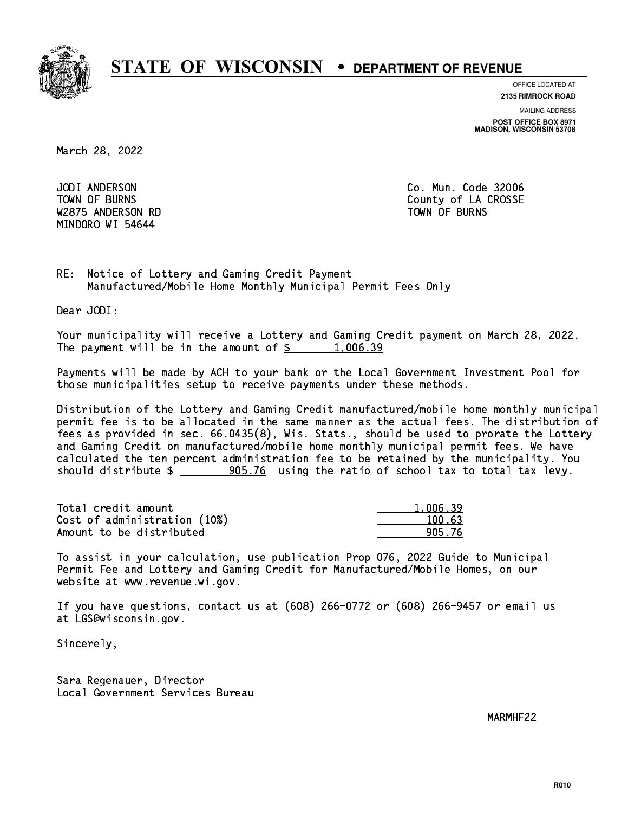

**OFFICE LOCATED AT 2135 RIMROCK ROAD**

**MAILING ADDRESS POST OFFICE BOX 8971 MADISON, WISCONSIN 53708**

March 28, 2022

 JODI ANDERSON Co. Mun. Code 32006 W2875 ANDERSON RD TOWN OF BURNS MINDORO WI 54644

TOWN OF BURNS **COUNTY OF A COULD A** COUNTY OF LA CROSSE

RE: Notice of Lottery and Gaming Credit Payment Manufactured/Mobile Home Monthly Municipal Permit Fees Only

Dear JODI:

 Your municipality will receive a Lottery and Gaming Credit payment on March 28, 2022. The payment will be in the amount of  $\frac{2}{3}$  1,006.39

 Payments will be made by ACH to your bank or the Local Government Investment Pool for those municipalities setup to receive payments under these methods.

 Distribution of the Lottery and Gaming Credit manufactured/mobile home monthly municipal permit fee is to be allocated in the same manner as the actual fees. The distribution of fees as provided in sec. 66.0435(8), Wis. Stats., should be used to prorate the Lottery and Gaming Credit on manufactured/mobile home monthly municipal permit fees. We have calculated the ten percent administration fee to be retained by the municipality. You should distribute  $\frac{1}{2}$   $\frac{905.76}{2}$  using the ratio of school tax to total tax levy.

| Total credit amount          | 1.006.39 |
|------------------------------|----------|
| Cost of administration (10%) | 100.63   |
| Amount to be distributed     | 905.76   |

 To assist in your calculation, use publication Prop 076, 2022 Guide to Municipal Permit Fee and Lottery and Gaming Credit for Manufactured/Mobile Homes, on our website at www.revenue.wi.gov.

 If you have questions, contact us at (608) 266-0772 or (608) 266-9457 or email us at LGS@wisconsin.gov.

Sincerely,

 Sara Regenauer, Director Local Government Services Bureau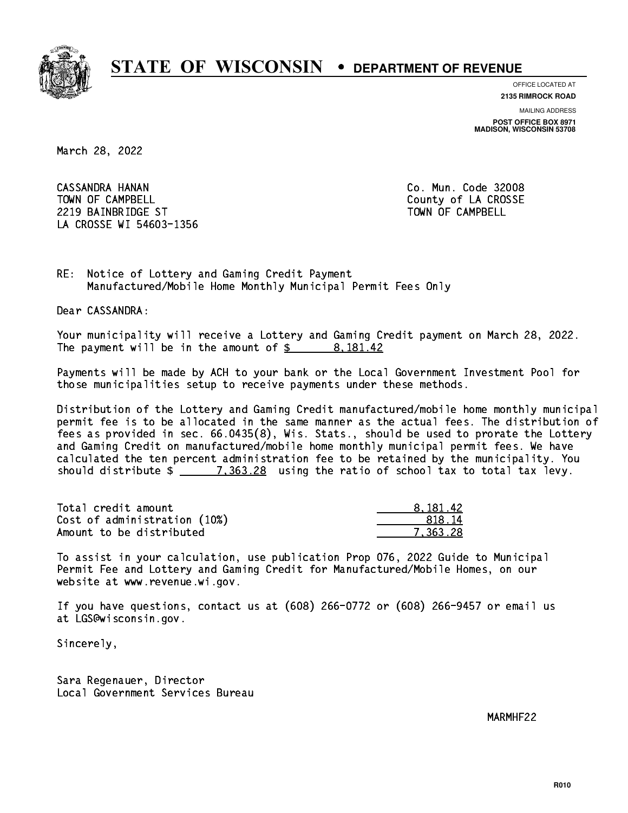

**OFFICE LOCATED AT**

**2135 RIMROCK ROAD**

**MAILING ADDRESS POST OFFICE BOX 8971 MADISON, WISCONSIN 53708**

March 28, 2022

 CASSANDRA HANAN Co. Mun. Code 32008 TOWN OF CAMPBELL **TOWN OF CAMPBELL**  2219 BAINBRIDGE ST TOWN OF CAMPBELL LA CROSSE WI 54603-1356

RE: Notice of Lottery and Gaming Credit Payment Manufactured/Mobile Home Monthly Municipal Permit Fees Only

Dear CASSANDRA:

 Your municipality will receive a Lottery and Gaming Credit payment on March 28, 2022. The payment will be in the amount of  $\frac{2}{3}$  8,181.42

 Payments will be made by ACH to your bank or the Local Government Investment Pool for those municipalities setup to receive payments under these methods.

 Distribution of the Lottery and Gaming Credit manufactured/mobile home monthly municipal permit fee is to be allocated in the same manner as the actual fees. The distribution of fees as provided in sec. 66.0435(8), Wis. Stats., should be used to prorate the Lottery and Gaming Credit on manufactured/mobile home monthly municipal permit fees. We have calculated the ten percent administration fee to be retained by the municipality. You should distribute  $\frac{2}{1.363.28}$  using the ratio of school tax to total tax levy.

| Total credit amount          | 8.181.42 |
|------------------------------|----------|
| Cost of administration (10%) | 818.14   |
| Amount to be distributed     | 7.363.28 |

 To assist in your calculation, use publication Prop 076, 2022 Guide to Municipal Permit Fee and Lottery and Gaming Credit for Manufactured/Mobile Homes, on our website at www.revenue.wi.gov.

 If you have questions, contact us at (608) 266-0772 or (608) 266-9457 or email us at LGS@wisconsin.gov.

Sincerely,

 Sara Regenauer, Director Local Government Services Bureau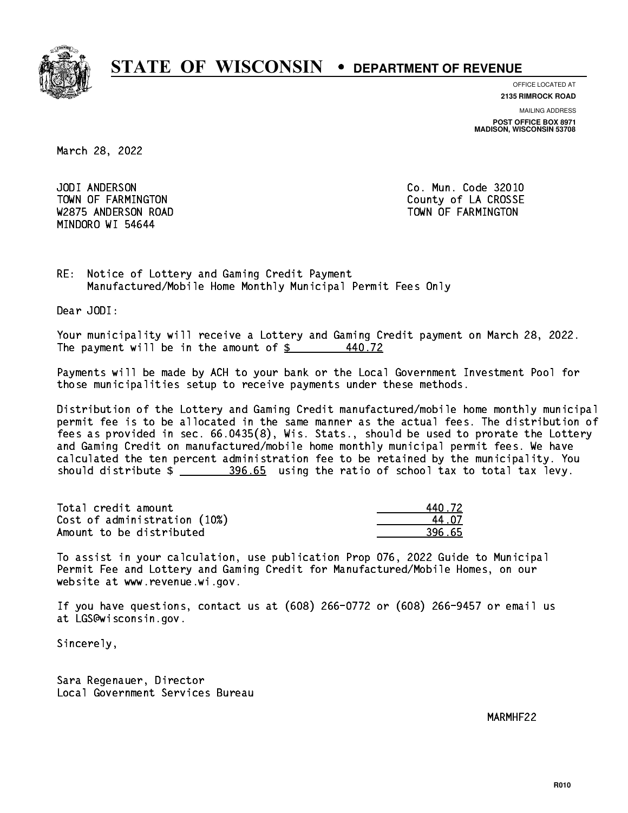

**OFFICE LOCATED AT 2135 RIMROCK ROAD**

**MAILING ADDRESS POST OFFICE BOX 8971 MADISON, WISCONSIN 53708**

March 28, 2022

JODI ANDERSON W2875 ANDERSON ROAD TOWN OF FARMINGTON MINDORO WI 54644

Co. Mun. Code 32010 TOWN OF FARMINGTON County of LA CROSSE

RE: Notice of Lottery and Gaming Credit Payment Manufactured/Mobile Home Monthly Municipal Permit Fees Only

Dear JODI:

 Your municipality will receive a Lottery and Gaming Credit payment on March 28, 2022. The payment will be in the amount of  $\frac{2}{3}$ 440.72

 Payments will be made by ACH to your bank or the Local Government Investment Pool for those municipalities setup to receive payments under these methods.

 Distribution of the Lottery and Gaming Credit manufactured/mobile home monthly municipal permit fee is to be allocated in the same manner as the actual fees. The distribution of fees as provided in sec. 66.0435(8), Wis. Stats., should be used to prorate the Lottery and Gaming Credit on manufactured/mobile home monthly municipal permit fees. We have calculated the ten percent administration fee to be retained by the municipality. You should distribute \$ 396.65 using the ratio of school tax to total tax levy. \_\_\_\_\_\_\_\_\_\_\_\_\_\_

| Total credit amount          | 440 72 |
|------------------------------|--------|
| Cost of administration (10%) | 44 N7  |
| Amount to be distributed     | 396.65 |

| 1.72 |
|------|
| . n7 |
| i 65 |

 To assist in your calculation, use publication Prop 076, 2022 Guide to Municipal Permit Fee and Lottery and Gaming Credit for Manufactured/Mobile Homes, on our website at www.revenue.wi.gov.

 If you have questions, contact us at (608) 266-0772 or (608) 266-9457 or email us at LGS@wisconsin.gov.

Sincerely,

 Sara Regenauer, Director Local Government Services Bureau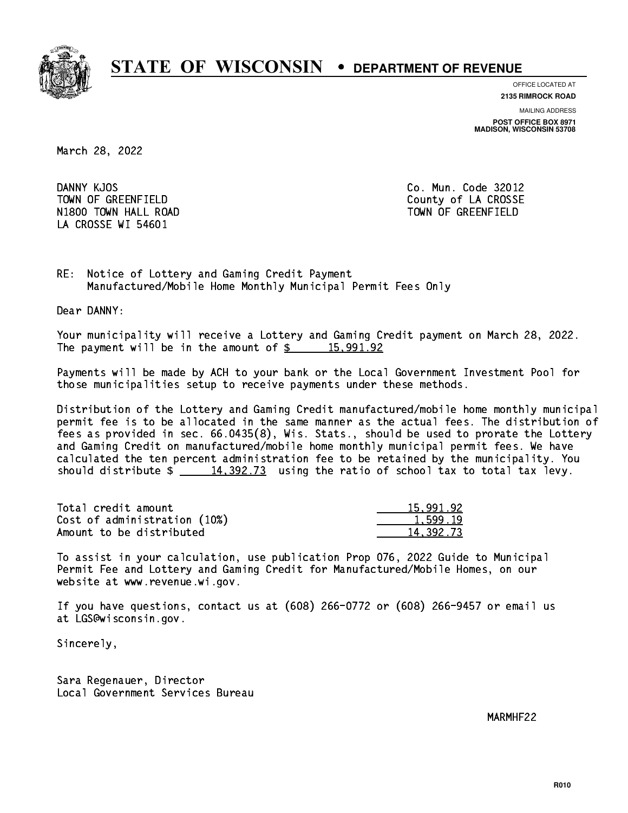

**OFFICE LOCATED AT 2135 RIMROCK ROAD**

**MAILING ADDRESS**

**POST OFFICE BOX 8971 MADISON, WISCONSIN 53708**

March 28, 2022

DANNY KJOS TOWN OF GREENFIELD County of LA CROSSE N1800 TOWN HALL ROAD TOWN OF GREENFIELD LA CROSSE WI 54601

Co. Mun. Code 32012

RE: Notice of Lottery and Gaming Credit Payment Manufactured/Mobile Home Monthly Municipal Permit Fees Only

Dear DANNY:

 Your municipality will receive a Lottery and Gaming Credit payment on March 28, 2022. The payment will be in the amount of  $\frac{2}{3}$  15,991.92

 Payments will be made by ACH to your bank or the Local Government Investment Pool for those municipalities setup to receive payments under these methods.

 Distribution of the Lottery and Gaming Credit manufactured/mobile home monthly municipal permit fee is to be allocated in the same manner as the actual fees. The distribution of fees as provided in sec. 66.0435(8), Wis. Stats., should be used to prorate the Lottery and Gaming Credit on manufactured/mobile home monthly municipal permit fees. We have calculated the ten percent administration fee to be retained by the municipality. You should distribute  $\frac{14,392.73}{2}$  using the ratio of school tax to total tax levy.

| Total credit amount          | 15,991.92 |
|------------------------------|-----------|
| Cost of administration (10%) | 1,599.19  |
| Amount to be distributed     | 14,392.73 |

 To assist in your calculation, use publication Prop 076, 2022 Guide to Municipal Permit Fee and Lottery and Gaming Credit for Manufactured/Mobile Homes, on our website at www.revenue.wi.gov.

 If you have questions, contact us at (608) 266-0772 or (608) 266-9457 or email us at LGS@wisconsin.gov.

Sincerely,

 Sara Regenauer, Director Local Government Services Bureau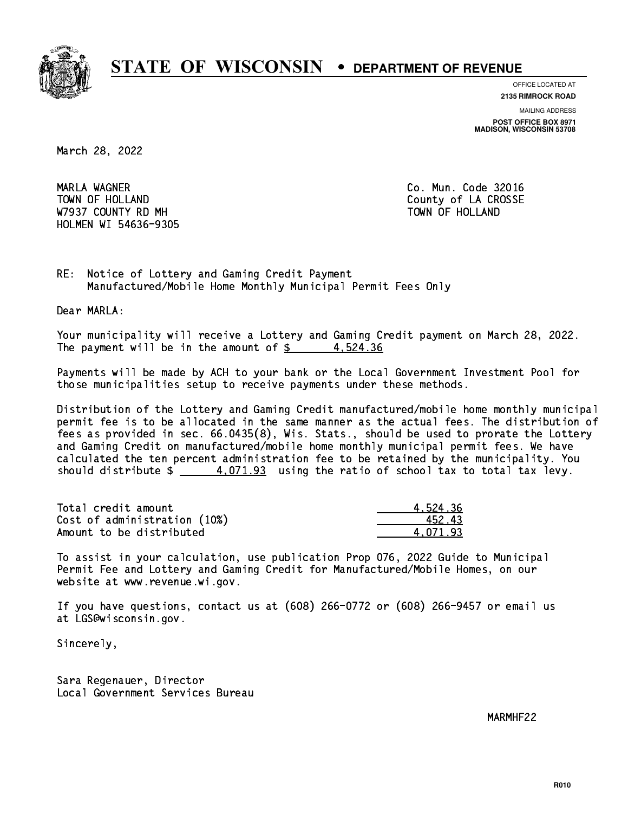

**OFFICE LOCATED AT**

**2135 RIMROCK ROAD**

**MAILING ADDRESS POST OFFICE BOX 8971 MADISON, WISCONSIN 53708**

March 28, 2022

 MARLA WAGNER Co. Mun. Code 32016 TOWN OF HOLLAND **COUNTY OF SALES AND COUNTY OF LA CROSSE** W7937 COUNTY RD MH TOWN OF HOLLAND HOLMEN WI 54636-9305

RE: Notice of Lottery and Gaming Credit Payment Manufactured/Mobile Home Monthly Municipal Permit Fees Only

Dear MARLA:

 Your municipality will receive a Lottery and Gaming Credit payment on March 28, 2022. The payment will be in the amount of  $\frac{2}{3}$  4,524.36

 Payments will be made by ACH to your bank or the Local Government Investment Pool for those municipalities setup to receive payments under these methods.

 Distribution of the Lottery and Gaming Credit manufactured/mobile home monthly municipal permit fee is to be allocated in the same manner as the actual fees. The distribution of fees as provided in sec. 66.0435(8), Wis. Stats., should be used to prorate the Lottery and Gaming Credit on manufactured/mobile home monthly municipal permit fees. We have calculated the ten percent administration fee to be retained by the municipality. You should distribute  $\frac{4.071.93}{2}$  using the ratio of school tax to total tax levy.

| Total credit amount          | 4.524.36 |
|------------------------------|----------|
| Cost of administration (10%) | 452.43   |
| Amount to be distributed     | 4.071.93 |

 To assist in your calculation, use publication Prop 076, 2022 Guide to Municipal Permit Fee and Lottery and Gaming Credit for Manufactured/Mobile Homes, on our website at www.revenue.wi.gov.

 If you have questions, contact us at (608) 266-0772 or (608) 266-9457 or email us at LGS@wisconsin.gov.

Sincerely,

 Sara Regenauer, Director Local Government Services Bureau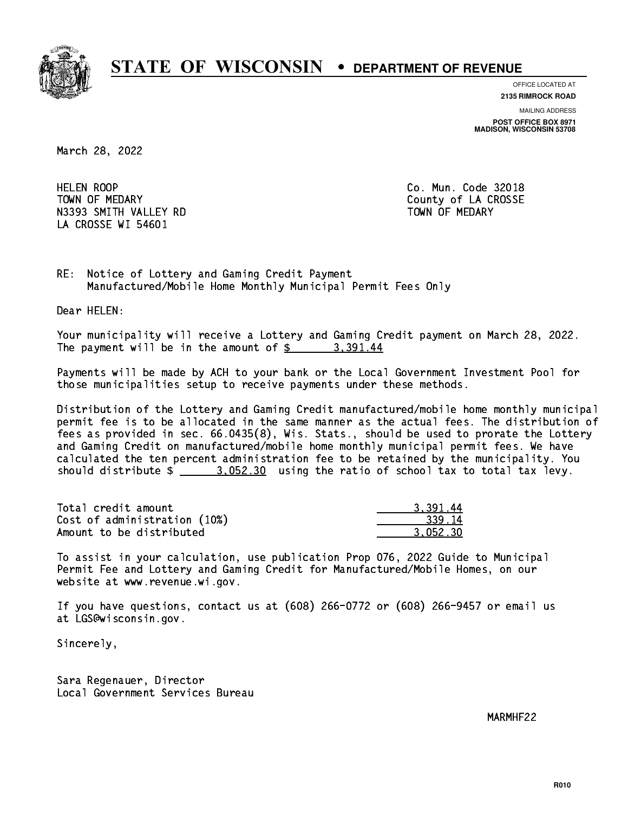

**OFFICE LOCATED AT**

**2135 RIMROCK ROAD**

**MAILING ADDRESS POST OFFICE BOX 8971 MADISON, WISCONSIN 53708**

March 28, 2022

**HELEN ROOP** TOWN OF MEDARY **COUNTY** COUNTY COUNTY OF LA CROSSE N3393 SMITH VALLEY RD TOWN OF MEDARY LA CROSSE WI 54601

Co. Mun. Code 32018

RE: Notice of Lottery and Gaming Credit Payment Manufactured/Mobile Home Monthly Municipal Permit Fees Only

Dear HELEN:

 Your municipality will receive a Lottery and Gaming Credit payment on March 28, 2022. The payment will be in the amount of  $\frac{2}{3}$  3,391.44

 Payments will be made by ACH to your bank or the Local Government Investment Pool for those municipalities setup to receive payments under these methods.

 Distribution of the Lottery and Gaming Credit manufactured/mobile home monthly municipal permit fee is to be allocated in the same manner as the actual fees. The distribution of fees as provided in sec. 66.0435(8), Wis. Stats., should be used to prorate the Lottery and Gaming Credit on manufactured/mobile home monthly municipal permit fees. We have calculated the ten percent administration fee to be retained by the municipality. You should distribute  $\frac{2}{2}$   $\frac{3.052.30}{2}$  using the ratio of school tax to total tax levy.

| Total credit amount          | 3.391.44 |
|------------------------------|----------|
| Cost of administration (10%) | 339.14   |
| Amount to be distributed     | 3.052.30 |

 To assist in your calculation, use publication Prop 076, 2022 Guide to Municipal Permit Fee and Lottery and Gaming Credit for Manufactured/Mobile Homes, on our website at www.revenue.wi.gov.

 If you have questions, contact us at (608) 266-0772 or (608) 266-9457 or email us at LGS@wisconsin.gov.

Sincerely,

 Sara Regenauer, Director Local Government Services Bureau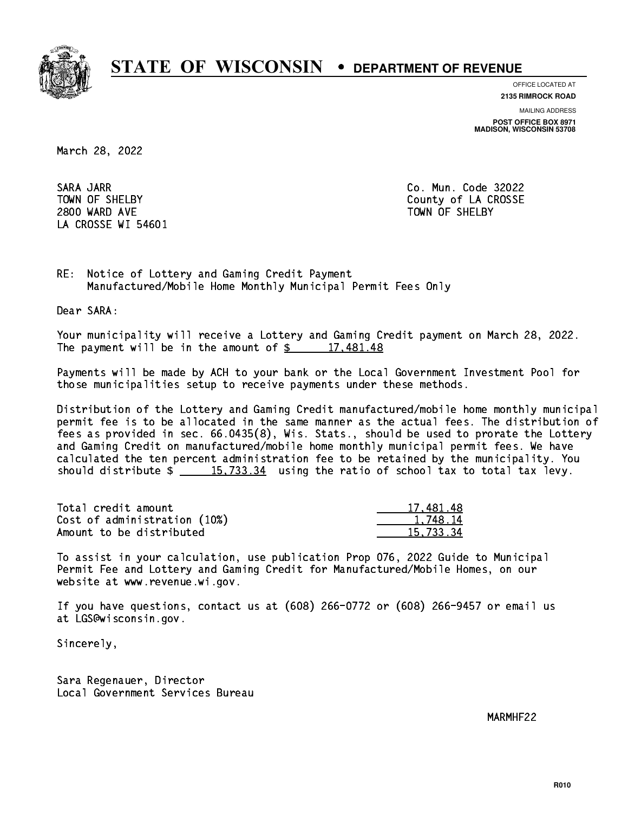

**OFFICE LOCATED AT 2135 RIMROCK ROAD**

**MAILING ADDRESS POST OFFICE BOX 8971 MADISON, WISCONSIN 53708**

March 28, 2022

 SARA JARR Co. Mun. Code 32022 2800 WARD AVE TOWN OF SHELBY LA CROSSE WI 54601

TOWN OF SHELBY **COUNTY** COUNTY OF LA CROSSE

RE: Notice of Lottery and Gaming Credit Payment Manufactured/Mobile Home Monthly Municipal Permit Fees Only

Dear SARA:

 Your municipality will receive a Lottery and Gaming Credit payment on March 28, 2022. The payment will be in the amount of  $\frac{2}{3}$  17,481.48

 Payments will be made by ACH to your bank or the Local Government Investment Pool for those municipalities setup to receive payments under these methods.

 Distribution of the Lottery and Gaming Credit manufactured/mobile home monthly municipal permit fee is to be allocated in the same manner as the actual fees. The distribution of fees as provided in sec. 66.0435(8), Wis. Stats., should be used to prorate the Lottery and Gaming Credit on manufactured/mobile home monthly municipal permit fees. We have calculated the ten percent administration fee to be retained by the municipality. You should distribute  $\frac{15,733.34}{2}$  using the ratio of school tax to total tax levy.

| Total credit amount          | 17,481.48 |
|------------------------------|-----------|
| Cost of administration (10%) | 1.748.14  |
| Amount to be distributed     | 15.733.34 |

 To assist in your calculation, use publication Prop 076, 2022 Guide to Municipal Permit Fee and Lottery and Gaming Credit for Manufactured/Mobile Homes, on our website at www.revenue.wi.gov.

 If you have questions, contact us at (608) 266-0772 or (608) 266-9457 or email us at LGS@wisconsin.gov.

Sincerely,

 Sara Regenauer, Director Local Government Services Bureau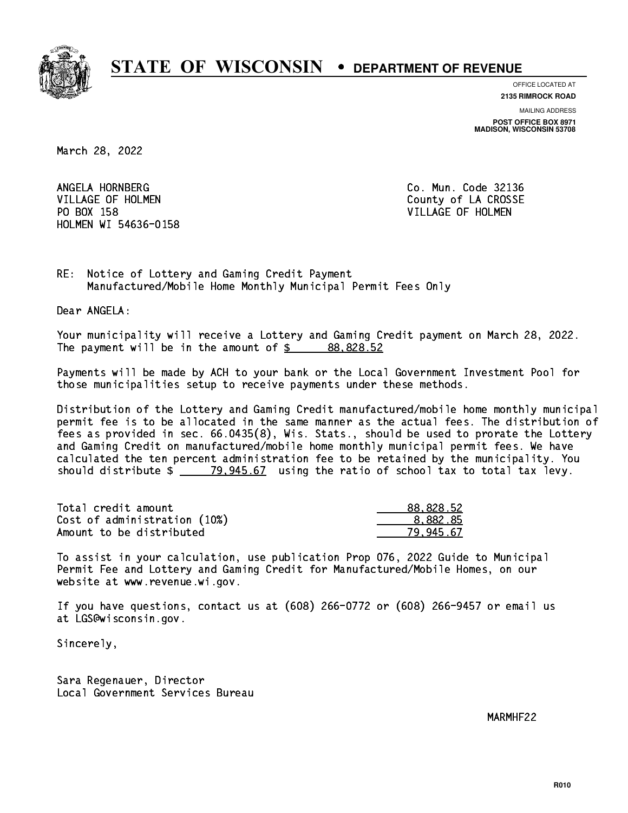

**OFFICE LOCATED AT**

**2135 RIMROCK ROAD**

**MAILING ADDRESS POST OFFICE BOX 8971 MADISON, WISCONSIN 53708**

March 28, 2022

ANGELA HORNBERG VILLAGE OF HOLMEN COUNTY OF LA CROSSE PO BOX 158 VILLAGE OF HOLMEN HOLMEN WI 54636-0158

Co. Mun. Code 32136

RE: Notice of Lottery and Gaming Credit Payment Manufactured/Mobile Home Monthly Municipal Permit Fees Only

Dear ANGELA:

 Your municipality will receive a Lottery and Gaming Credit payment on March 28, 2022. The payment will be in the amount of  $\frac{2}{3}$  88,828.52

 Payments will be made by ACH to your bank or the Local Government Investment Pool for those municipalities setup to receive payments under these methods.

 Distribution of the Lottery and Gaming Credit manufactured/mobile home monthly municipal permit fee is to be allocated in the same manner as the actual fees. The distribution of fees as provided in sec. 66.0435(8), Wis. Stats., should be used to prorate the Lottery and Gaming Credit on manufactured/mobile home monthly municipal permit fees. We have calculated the ten percent administration fee to be retained by the municipality. You should distribute  $\frac{2}{2}$   $\frac{79,945.67}{2}$  using the ratio of school tax to total tax levy.

| Total credit amount          | 88,828.52 |
|------------------------------|-----------|
| Cost of administration (10%) | 8.882.85  |
| Amount to be distributed     | 79.945.67 |

 To assist in your calculation, use publication Prop 076, 2022 Guide to Municipal Permit Fee and Lottery and Gaming Credit for Manufactured/Mobile Homes, on our website at www.revenue.wi.gov.

 If you have questions, contact us at (608) 266-0772 or (608) 266-9457 or email us at LGS@wisconsin.gov.

Sincerely,

 Sara Regenauer, Director Local Government Services Bureau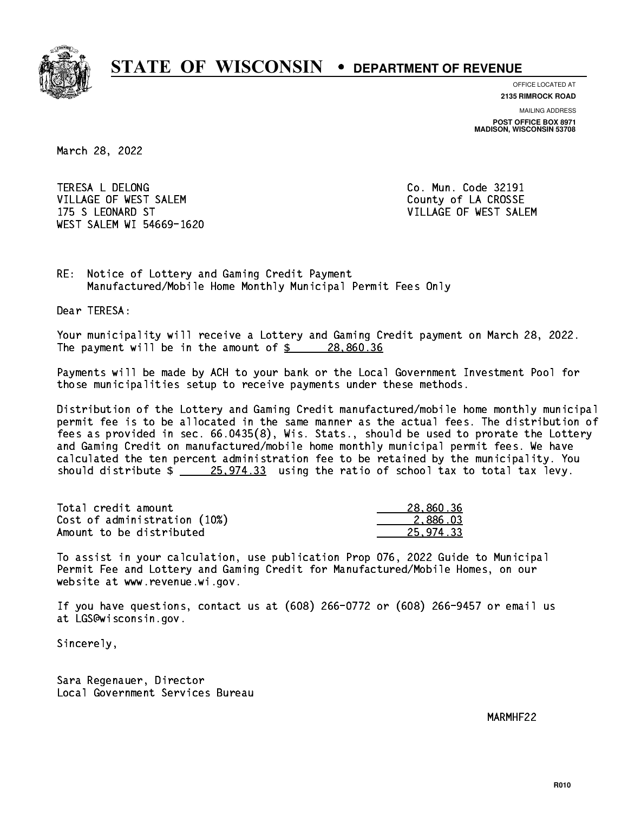

**OFFICE LOCATED AT**

**2135 RIMROCK ROAD**

**MAILING ADDRESS POST OFFICE BOX 8971 MADISON, WISCONSIN 53708**

March 28, 2022

 TERESA L DELONG Co. Mun. Code 32191 VILLAGE OF WEST SALEM **COULD ACCOUNT OF LA CROSSE**  175 S LEONARD ST VILLAGE OF WEST SALEM WEST SALEM WI 54669-1620

RE: Notice of Lottery and Gaming Credit Payment Manufactured/Mobile Home Monthly Municipal Permit Fees Only

Dear TERESA:

 Your municipality will receive a Lottery and Gaming Credit payment on March 28, 2022. The payment will be in the amount of  $\frac{28,860.36}{20}$ 

 Payments will be made by ACH to your bank or the Local Government Investment Pool for those municipalities setup to receive payments under these methods.

 Distribution of the Lottery and Gaming Credit manufactured/mobile home monthly municipal permit fee is to be allocated in the same manner as the actual fees. The distribution of fees as provided in sec. 66.0435(8), Wis. Stats., should be used to prorate the Lottery and Gaming Credit on manufactured/mobile home monthly municipal permit fees. We have calculated the ten percent administration fee to be retained by the municipality. You should distribute  $\frac{25,974.33}{25,974.33}$  using the ratio of school tax to total tax levy.

| Total credit amount          | 28,860.36 |
|------------------------------|-----------|
| Cost of administration (10%) | 2.886.03  |
| Amount to be distributed     | 25,974.33 |

 To assist in your calculation, use publication Prop 076, 2022 Guide to Municipal Permit Fee and Lottery and Gaming Credit for Manufactured/Mobile Homes, on our website at www.revenue.wi.gov.

 If you have questions, contact us at (608) 266-0772 or (608) 266-9457 or email us at LGS@wisconsin.gov.

Sincerely,

 Sara Regenauer, Director Local Government Services Bureau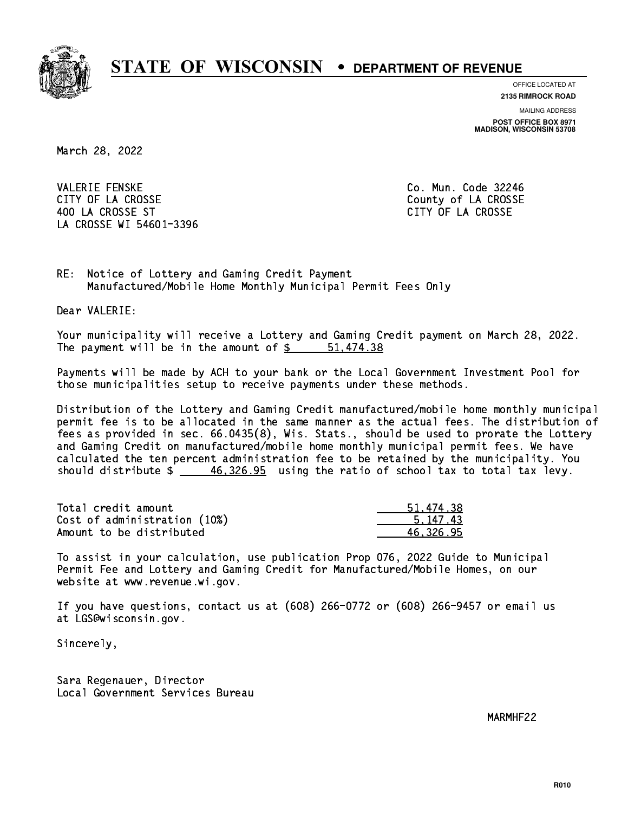

**OFFICE LOCATED AT**

**2135 RIMROCK ROAD**

**MAILING ADDRESS POST OFFICE BOX 8971 MADISON, WISCONSIN 53708**

March 28, 2022

**VALERIE FENSKE** CITY OF LA CROSSE COUNTY OF LA CROSSE 400 LA CROSSE ST CITY OF LA CROSSE LA CROSSE WI 54601-3396

Co. Mun. Code 32246

RE: Notice of Lottery and Gaming Credit Payment Manufactured/Mobile Home Monthly Municipal Permit Fees Only

Dear VALERIE:

 Your municipality will receive a Lottery and Gaming Credit payment on March 28, 2022. The payment will be in the amount of  $\frac{2}{3}$   $\frac{51,474.38}{2}$ 

 Payments will be made by ACH to your bank or the Local Government Investment Pool for those municipalities setup to receive payments under these methods.

 Distribution of the Lottery and Gaming Credit manufactured/mobile home monthly municipal permit fee is to be allocated in the same manner as the actual fees. The distribution of fees as provided in sec. 66.0435(8), Wis. Stats., should be used to prorate the Lottery and Gaming Credit on manufactured/mobile home monthly municipal permit fees. We have calculated the ten percent administration fee to be retained by the municipality. You should distribute  $\frac{46,326.95}{2}$  using the ratio of school tax to total tax levy.

| Total credit amount          | 51,474.38 |
|------------------------------|-----------|
| Cost of administration (10%) | 5.147.43  |
| Amount to be distributed     | 46.326.95 |

 To assist in your calculation, use publication Prop 076, 2022 Guide to Municipal Permit Fee and Lottery and Gaming Credit for Manufactured/Mobile Homes, on our website at www.revenue.wi.gov.

 If you have questions, contact us at (608) 266-0772 or (608) 266-9457 or email us at LGS@wisconsin.gov.

Sincerely,

 Sara Regenauer, Director Local Government Services Bureau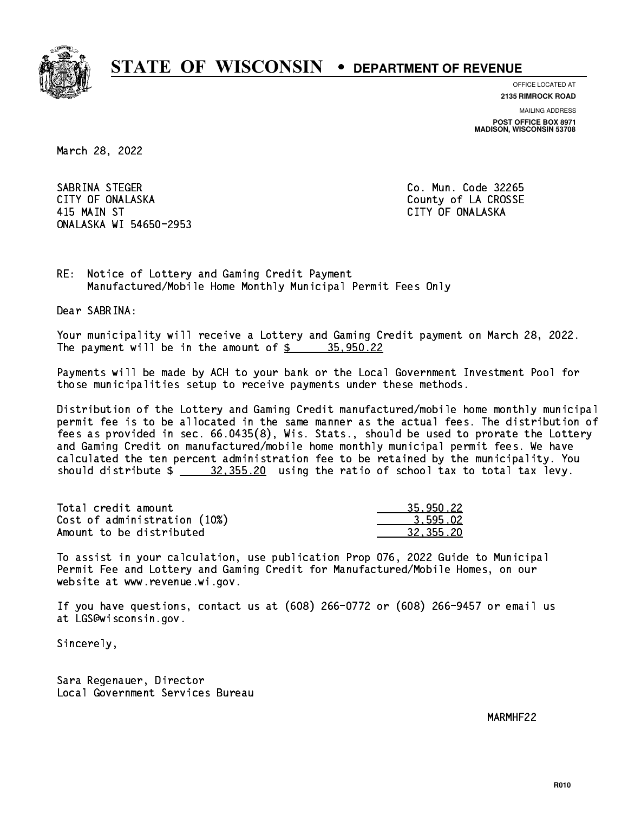

**OFFICE LOCATED AT**

**2135 RIMROCK ROAD**

**MAILING ADDRESS POST OFFICE BOX 8971 MADISON, WISCONSIN 53708**

March 28, 2022

 SABRINA STEGER Co. Mun. Code 32265 CITY OF ONALASKA COUNTY COUNTY OF COUNTY OF COUNTY OF LA CROSSE 415 MAIN ST CITY OF ONALASKA ONALASKA WI 54650-2953

RE: Notice of Lottery and Gaming Credit Payment Manufactured/Mobile Home Monthly Municipal Permit Fees Only

Dear SABRINA:

 Your municipality will receive a Lottery and Gaming Credit payment on March 28, 2022. The payment will be in the amount of  $\frac{2}{3}$   $\frac{35,950.22}{2}$ 

 Payments will be made by ACH to your bank or the Local Government Investment Pool for those municipalities setup to receive payments under these methods.

 Distribution of the Lottery and Gaming Credit manufactured/mobile home monthly municipal permit fee is to be allocated in the same manner as the actual fees. The distribution of fees as provided in sec. 66.0435(8), Wis. Stats., should be used to prorate the Lottery and Gaming Credit on manufactured/mobile home monthly municipal permit fees. We have calculated the ten percent administration fee to be retained by the municipality. You should distribute  $\frac{20}{10}$   $\frac{32}{100}$  using the ratio of school tax to total tax levy.

| Total credit amount          | 35,950.22 |
|------------------------------|-----------|
| Cost of administration (10%) | 3.595.02  |
| Amount to be distributed     | 32,355.20 |

 To assist in your calculation, use publication Prop 076, 2022 Guide to Municipal Permit Fee and Lottery and Gaming Credit for Manufactured/Mobile Homes, on our website at www.revenue.wi.gov.

 If you have questions, contact us at (608) 266-0772 or (608) 266-9457 or email us at LGS@wisconsin.gov.

Sincerely,

 Sara Regenauer, Director Local Government Services Bureau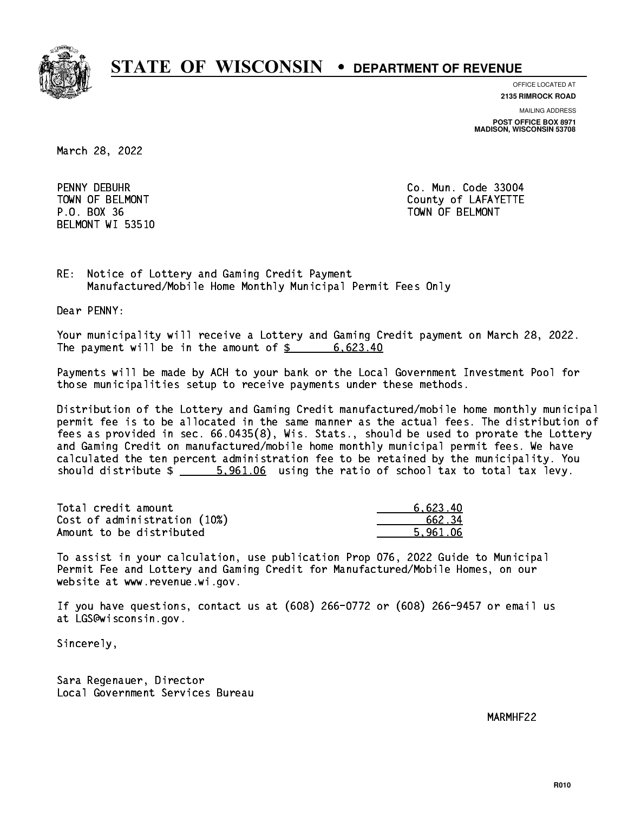

**OFFICE LOCATED AT**

**2135 RIMROCK ROAD**

**MAILING ADDRESS POST OFFICE BOX 8971 MADISON, WISCONSIN 53708**

March 28, 2022

PENNY DEBUHR P.O. BOX 36 TOWN OF BELMONT BELMONT WI 53510

Co. Mun. Code 33004 TOWN OF BELMONT COUNTY COUNTY OF LAFAYETTE

RE: Notice of Lottery and Gaming Credit Payment Manufactured/Mobile Home Monthly Municipal Permit Fees Only

Dear PENNY:

 Your municipality will receive a Lottery and Gaming Credit payment on March 28, 2022. The payment will be in the amount of  $\frac{2}{3}$  6,623.40

 Payments will be made by ACH to your bank or the Local Government Investment Pool for those municipalities setup to receive payments under these methods.

 Distribution of the Lottery and Gaming Credit manufactured/mobile home monthly municipal permit fee is to be allocated in the same manner as the actual fees. The distribution of fees as provided in sec. 66.0435(8), Wis. Stats., should be used to prorate the Lottery and Gaming Credit on manufactured/mobile home monthly municipal permit fees. We have calculated the ten percent administration fee to be retained by the municipality. You should distribute  $\frac{2}{1}$   $\frac{5,961.06}{2}$  using the ratio of school tax to total tax levy.

| Total credit amount          | 6.623.40 |
|------------------------------|----------|
| Cost of administration (10%) | 662.34   |
| Amount to be distributed     | 5.961.06 |

 To assist in your calculation, use publication Prop 076, 2022 Guide to Municipal Permit Fee and Lottery and Gaming Credit for Manufactured/Mobile Homes, on our website at www.revenue.wi.gov.

 If you have questions, contact us at (608) 266-0772 or (608) 266-9457 or email us at LGS@wisconsin.gov.

Sincerely,

 Sara Regenauer, Director Local Government Services Bureau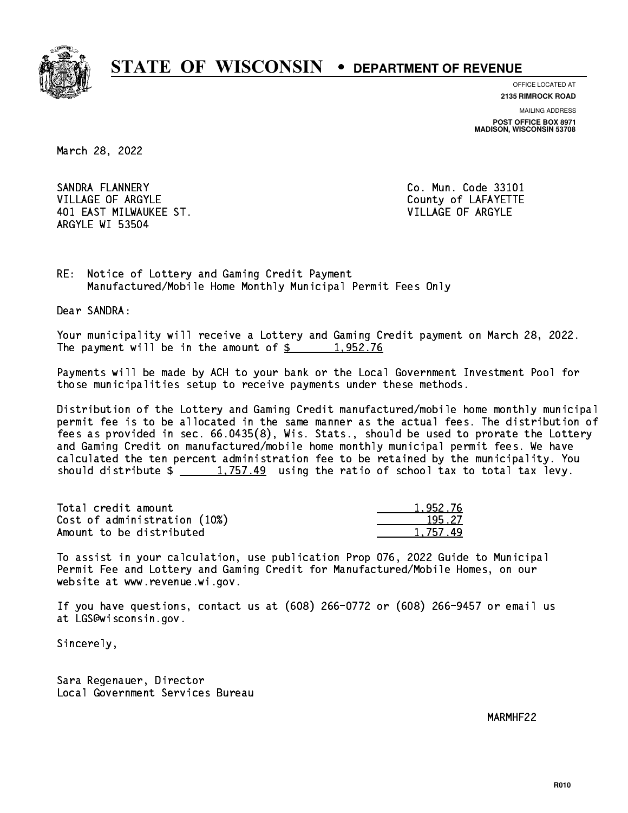

**OFFICE LOCATED AT**

**2135 RIMROCK ROAD**

**MAILING ADDRESS POST OFFICE BOX 8971 MADISON, WISCONSIN 53708**

March 28, 2022

SANDRA FLANNERY VILLAGE OF ARGYLE COUNTY OF LAFAYETTE 401 EAST MILWAUKEE ST. VILLAGE OF ARGYLE ARGYLE WI 53504

Co. Mun. Code 33101

RE: Notice of Lottery and Gaming Credit Payment Manufactured/Mobile Home Monthly Municipal Permit Fees Only

Dear SANDRA:

 Your municipality will receive a Lottery and Gaming Credit payment on March 28, 2022. The payment will be in the amount of  $\frac{2}{3}$  1,952.76

 Payments will be made by ACH to your bank or the Local Government Investment Pool for those municipalities setup to receive payments under these methods.

 Distribution of the Lottery and Gaming Credit manufactured/mobile home monthly municipal permit fee is to be allocated in the same manner as the actual fees. The distribution of fees as provided in sec. 66.0435(8), Wis. Stats., should be used to prorate the Lottery and Gaming Credit on manufactured/mobile home monthly municipal permit fees. We have calculated the ten percent administration fee to be retained by the municipality. You should distribute  $\frac{1,757.49}{1,757.49}$  using the ratio of school tax to total tax levy.

| Total credit amount          | 1.952.76 |
|------------------------------|----------|
| Cost of administration (10%) | 195.27   |
| Amount to be distributed     | 1.757.49 |

 To assist in your calculation, use publication Prop 076, 2022 Guide to Municipal Permit Fee and Lottery and Gaming Credit for Manufactured/Mobile Homes, on our website at www.revenue.wi.gov.

 If you have questions, contact us at (608) 266-0772 or (608) 266-9457 or email us at LGS@wisconsin.gov.

Sincerely,

 Sara Regenauer, Director Local Government Services Bureau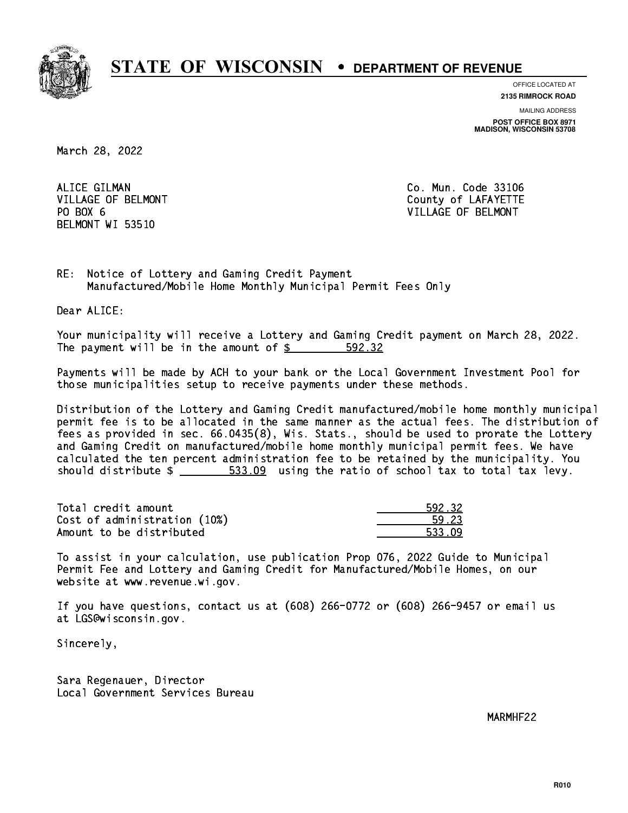

**OFFICE LOCATED AT**

**2135 RIMROCK ROAD**

**MAILING ADDRESS POST OFFICE BOX 8971 MADISON, WISCONSIN 53708**

March 28, 2022

ALICE GILMAN PO BOX 6 BELMONT WI 53510

Co. Mun. Code 33106 VILLAGE OF BELMONT COUNTS AND THE COUNTY OF LAFAYETTE VILLAGE OF BELMONT

RE: Notice of Lottery and Gaming Credit Payment Manufactured/Mobile Home Monthly Municipal Permit Fees Only

Dear ALICE:

 Your municipality will receive a Lottery and Gaming Credit payment on March 28, 2022. The payment will be in the amount of \$ 592.32 \_\_\_\_\_\_\_\_\_\_\_\_\_\_\_\_

 Payments will be made by ACH to your bank or the Local Government Investment Pool for those municipalities setup to receive payments under these methods.

 Distribution of the Lottery and Gaming Credit manufactured/mobile home monthly municipal permit fee is to be allocated in the same manner as the actual fees. The distribution of fees as provided in sec. 66.0435(8), Wis. Stats., should be used to prorate the Lottery and Gaming Credit on manufactured/mobile home monthly municipal permit fees. We have calculated the ten percent administration fee to be retained by the municipality. You should distribute  $\frac{2}{1-x} = \frac{533.09}{1-x}$  using the ratio of school tax to total tax levy.

| Total credit amount          | 592.32 |
|------------------------------|--------|
| Cost of administration (10%) | 59.23  |
| Amount to be distributed     | 533.09 |

| 12.32 |
|-------|
| - 23  |
| 622 - |

 To assist in your calculation, use publication Prop 076, 2022 Guide to Municipal Permit Fee and Lottery and Gaming Credit for Manufactured/Mobile Homes, on our website at www.revenue.wi.gov.

 If you have questions, contact us at (608) 266-0772 or (608) 266-9457 or email us at LGS@wisconsin.gov.

Sincerely,

 Sara Regenauer, Director Local Government Services Bureau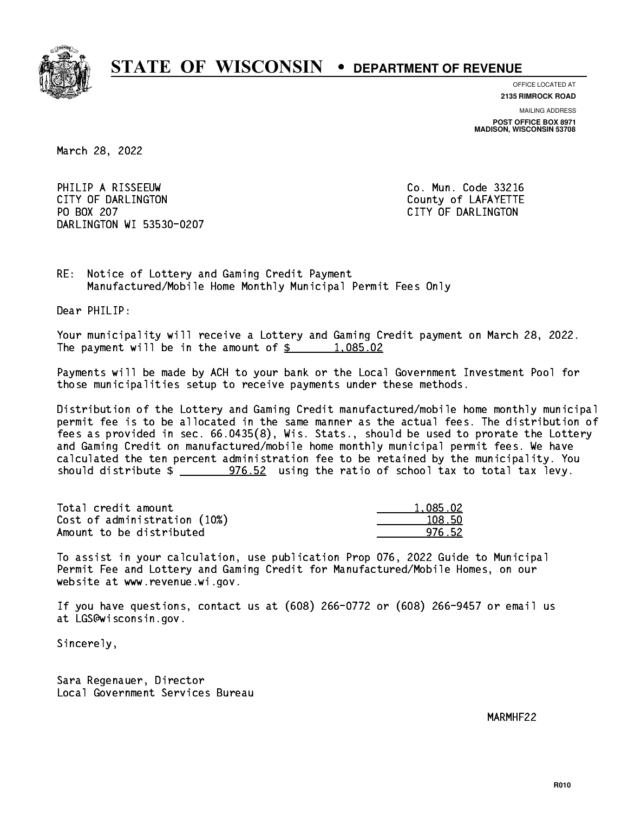

**OFFICE LOCATED AT**

**2135 RIMROCK ROAD**

**MAILING ADDRESS POST OFFICE BOX 8971 MADISON, WISCONSIN 53708**

March 28, 2022

PHILIP A RISSEEUW Co. Mun. Code 33216 CITY OF DARLINGTON County of LAFAYETTE PO BOX 207 DARLINGTON WI 53530-0207

CITY OF DARLINGTON

RE: Notice of Lottery and Gaming Credit Payment Manufactured/Mobile Home Monthly Municipal Permit Fees Only

Dear PHILIP:

 Your municipality will receive a Lottery and Gaming Credit payment on March 28, 2022. The payment will be in the amount of  $\frac{2}{3}$  1,085.02

 Payments will be made by ACH to your bank or the Local Government Investment Pool for those municipalities setup to receive payments under these methods.

 Distribution of the Lottery and Gaming Credit manufactured/mobile home monthly municipal permit fee is to be allocated in the same manner as the actual fees. The distribution of fees as provided in sec. 66.0435(8), Wis. Stats., should be used to prorate the Lottery and Gaming Credit on manufactured/mobile home monthly municipal permit fees. We have calculated the ten percent administration fee to be retained by the municipality. You should distribute  $\frac{2}{2}$   $\frac{976.52}{2}$  using the ratio of school tax to total tax levy.

| Total credit amount          | 1.085.02 |
|------------------------------|----------|
| Cost of administration (10%) | 108.50   |
| Amount to be distributed     | 976.52   |

 To assist in your calculation, use publication Prop 076, 2022 Guide to Municipal Permit Fee and Lottery and Gaming Credit for Manufactured/Mobile Homes, on our website at www.revenue.wi.gov.

 If you have questions, contact us at (608) 266-0772 or (608) 266-9457 or email us at LGS@wisconsin.gov.

Sincerely,

 Sara Regenauer, Director Local Government Services Bureau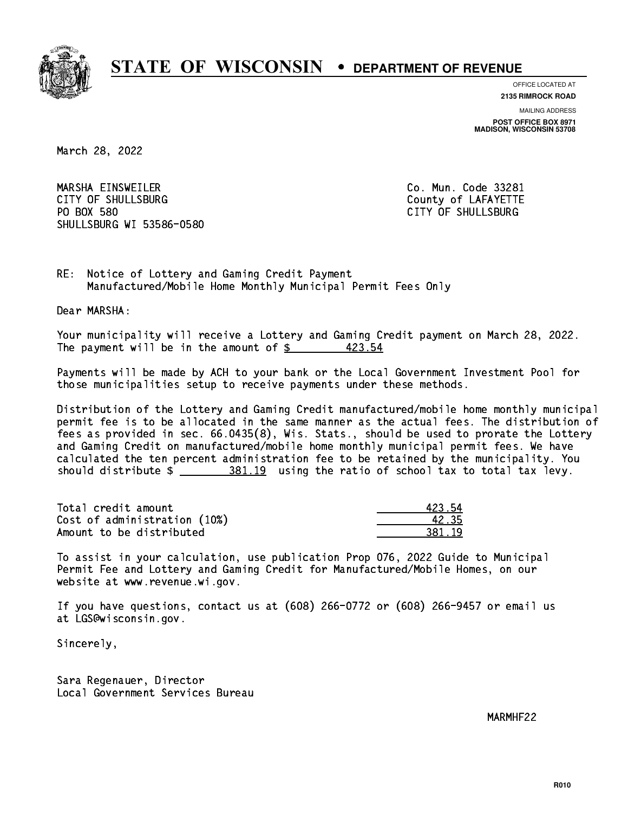

**OFFICE LOCATED AT**

**2135 RIMROCK ROAD**

**MAILING ADDRESS POST OFFICE BOX 8971 MADISON, WISCONSIN 53708**

March 28, 2022

 MARSHA EINSWEILER Co. Mun. Code 33281 CITY OF SHULLSBURG COUNTY COUNTY OF LAFAYETTE PO BOX 580 SHULLSBURG WI 53586-0580

CITY OF SHULLSBURG

RE: Notice of Lottery and Gaming Credit Payment Manufactured/Mobile Home Monthly Municipal Permit Fees Only

Dear MARSHA:

 Your municipality will receive a Lottery and Gaming Credit payment on March 28, 2022. The payment will be in the amount of  $$$ 423.54

 Payments will be made by ACH to your bank or the Local Government Investment Pool for those municipalities setup to receive payments under these methods.

 Distribution of the Lottery and Gaming Credit manufactured/mobile home monthly municipal permit fee is to be allocated in the same manner as the actual fees. The distribution of fees as provided in sec. 66.0435(8), Wis. Stats., should be used to prorate the Lottery and Gaming Credit on manufactured/mobile home monthly municipal permit fees. We have calculated the ten percent administration fee to be retained by the municipality. You should distribute  $\frac{281.19}{2}$  using the ratio of school tax to total tax levy.

Total credit amount Cost of administration (10%) Amount to be distributed

| L23 54   |
|----------|
| .235     |
| 1 U<br>. |

 To assist in your calculation, use publication Prop 076, 2022 Guide to Municipal Permit Fee and Lottery and Gaming Credit for Manufactured/Mobile Homes, on our website at www.revenue.wi.gov.

 If you have questions, contact us at (608) 266-0772 or (608) 266-9457 or email us at LGS@wisconsin.gov.

Sincerely,

 Sara Regenauer, Director Local Government Services Bureau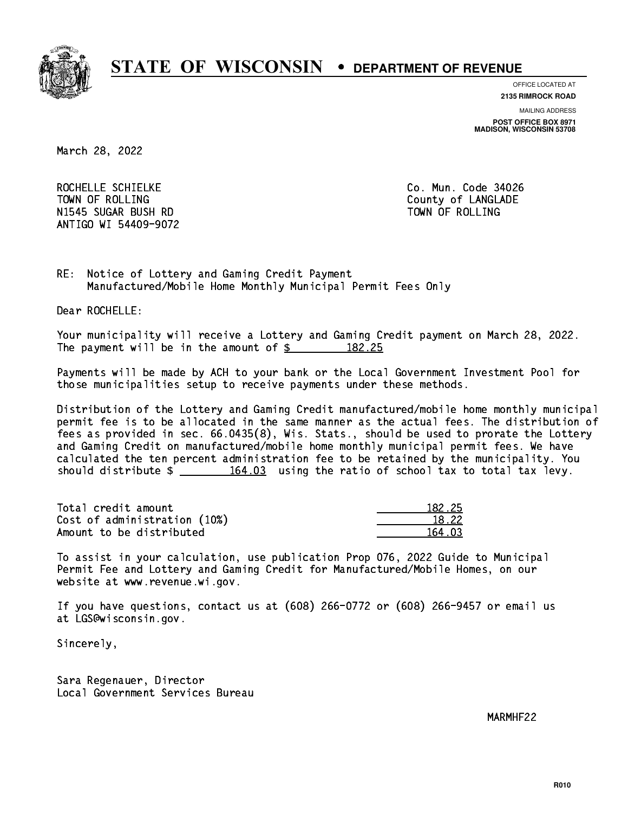

**OFFICE LOCATED AT**

**2135 RIMROCK ROAD**

**MAILING ADDRESS POST OFFICE BOX 8971 MADISON, WISCONSIN 53708**

March 28, 2022

ROCHELLE SCHIELKE CO. Mun. Code 34026 TOWN OF ROLLING **COUNTY OF ROLLING**  N1545 SUGAR BUSH RD TOWN OF ROLLING ANTIGO WI 54409-9072

RE: Notice of Lottery and Gaming Credit Payment Manufactured/Mobile Home Monthly Municipal Permit Fees Only

Dear ROCHELLE:

 Your municipality will receive a Lottery and Gaming Credit payment on March 28, 2022. The payment will be in the amount of  $\frac{2}{3}$  182.25

 Payments will be made by ACH to your bank or the Local Government Investment Pool for those municipalities setup to receive payments under these methods.

 Distribution of the Lottery and Gaming Credit manufactured/mobile home monthly municipal permit fee is to be allocated in the same manner as the actual fees. The distribution of fees as provided in sec. 66.0435(8), Wis. Stats., should be used to prorate the Lottery and Gaming Credit on manufactured/mobile home monthly municipal permit fees. We have calculated the ten percent administration fee to be retained by the municipality. You should distribute  $\frac{164.03}{164.03}$  using the ratio of school tax to total tax levy.

Total credit amount Cost of administration (10%) Amount to be distributed

| 32. 25          |
|-----------------|
| $^{\circ}$ . 22 |
| ่กจ             |

 To assist in your calculation, use publication Prop 076, 2022 Guide to Municipal Permit Fee and Lottery and Gaming Credit for Manufactured/Mobile Homes, on our website at www.revenue.wi.gov.

 If you have questions, contact us at (608) 266-0772 or (608) 266-9457 or email us at LGS@wisconsin.gov.

Sincerely,

 Sara Regenauer, Director Local Government Services Bureau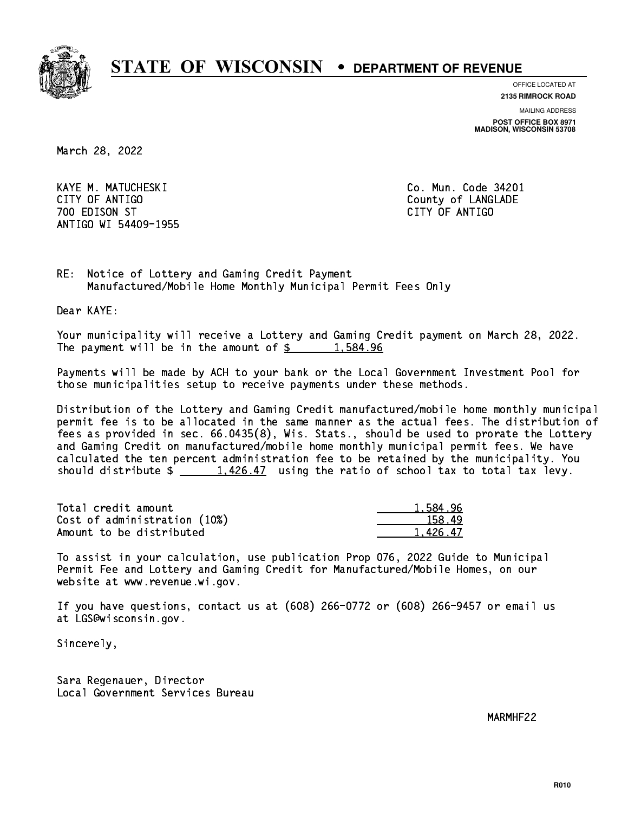

**OFFICE LOCATED AT**

**2135 RIMROCK ROAD**

**MAILING ADDRESS**

**POST OFFICE BOX 8971 MADISON, WISCONSIN 53708**

March 28, 2022

 KAYE M. MATUCHESKI Co. Mun. Code 34201 CITY OF ANTIGO COUNTY OF ANTIGO 700 EDISON ST CITY OF ANTIGO ANTIGO WI 54409-1955

RE: Notice of Lottery and Gaming Credit Payment Manufactured/Mobile Home Monthly Municipal Permit Fees Only

Dear KAYE:

 Your municipality will receive a Lottery and Gaming Credit payment on March 28, 2022. The payment will be in the amount of  $\frac{2}{3}$  1,584.96

 Payments will be made by ACH to your bank or the Local Government Investment Pool for those municipalities setup to receive payments under these methods.

 Distribution of the Lottery and Gaming Credit manufactured/mobile home monthly municipal permit fee is to be allocated in the same manner as the actual fees. The distribution of fees as provided in sec. 66.0435(8), Wis. Stats., should be used to prorate the Lottery and Gaming Credit on manufactured/mobile home monthly municipal permit fees. We have calculated the ten percent administration fee to be retained by the municipality. You should distribute  $\frac{1,426.47}{1,426.47}$  using the ratio of school tax to total tax levy.

| Total credit amount          | 1.584.96 |
|------------------------------|----------|
| Cost of administration (10%) | 158.49   |
| Amount to be distributed     | 1.426.47 |

 To assist in your calculation, use publication Prop 076, 2022 Guide to Municipal Permit Fee and Lottery and Gaming Credit for Manufactured/Mobile Homes, on our website at www.revenue.wi.gov.

 If you have questions, contact us at (608) 266-0772 or (608) 266-9457 or email us at LGS@wisconsin.gov.

Sincerely,

 Sara Regenauer, Director Local Government Services Bureau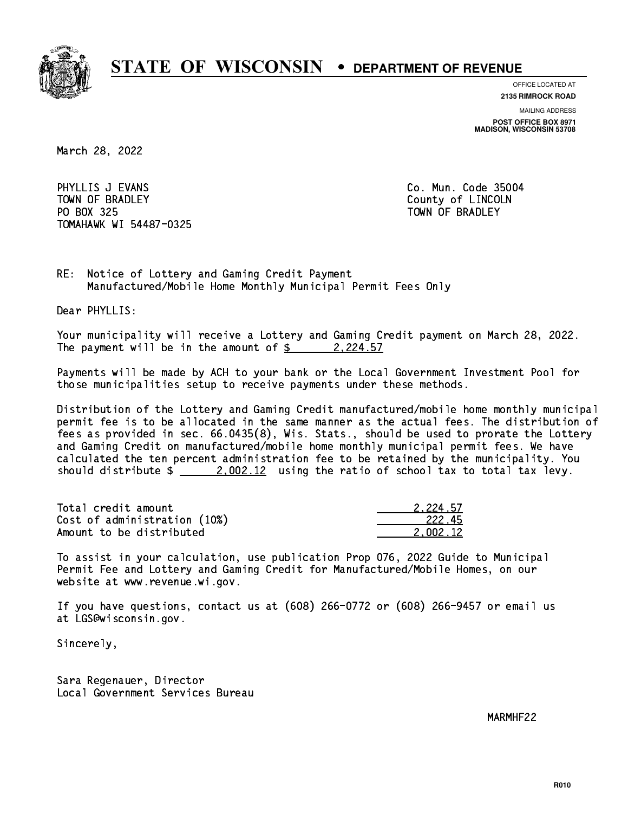

**OFFICE LOCATED AT**

**2135 RIMROCK ROAD**

**MAILING ADDRESS POST OFFICE BOX 8971 MADISON, WISCONSIN 53708**

March 28, 2022

PHYLLIS J EVANS **Co. Mun. Code 35004** TOWN OF BRADLEY **COUNTY COULD AND ACCOUNT OF COULD A** PO BOX 325 PO BOX 325 TOWN OF BRADLEY TOMAHAWK WI 54487-0325

RE: Notice of Lottery and Gaming Credit Payment Manufactured/Mobile Home Monthly Municipal Permit Fees Only

Dear PHYLLIS:

 Your municipality will receive a Lottery and Gaming Credit payment on March 28, 2022. The payment will be in the amount of  $\frac{2}{2}$  2,224.57

 Payments will be made by ACH to your bank or the Local Government Investment Pool for those municipalities setup to receive payments under these methods.

 Distribution of the Lottery and Gaming Credit manufactured/mobile home monthly municipal permit fee is to be allocated in the same manner as the actual fees. The distribution of fees as provided in sec. 66.0435(8), Wis. Stats., should be used to prorate the Lottery and Gaming Credit on manufactured/mobile home monthly municipal permit fees. We have calculated the ten percent administration fee to be retained by the municipality. You should distribute  $\frac{2.002.12}{2.002.12}$  using the ratio of school tax to total tax levy.

| Total credit amount          | 2.224.57 |
|------------------------------|----------|
| Cost of administration (10%) | -222.45  |
| Amount to be distributed     | 2.002.12 |

 To assist in your calculation, use publication Prop 076, 2022 Guide to Municipal Permit Fee and Lottery and Gaming Credit for Manufactured/Mobile Homes, on our website at www.revenue.wi.gov.

 If you have questions, contact us at (608) 266-0772 or (608) 266-9457 or email us at LGS@wisconsin.gov.

Sincerely,

 Sara Regenauer, Director Local Government Services Bureau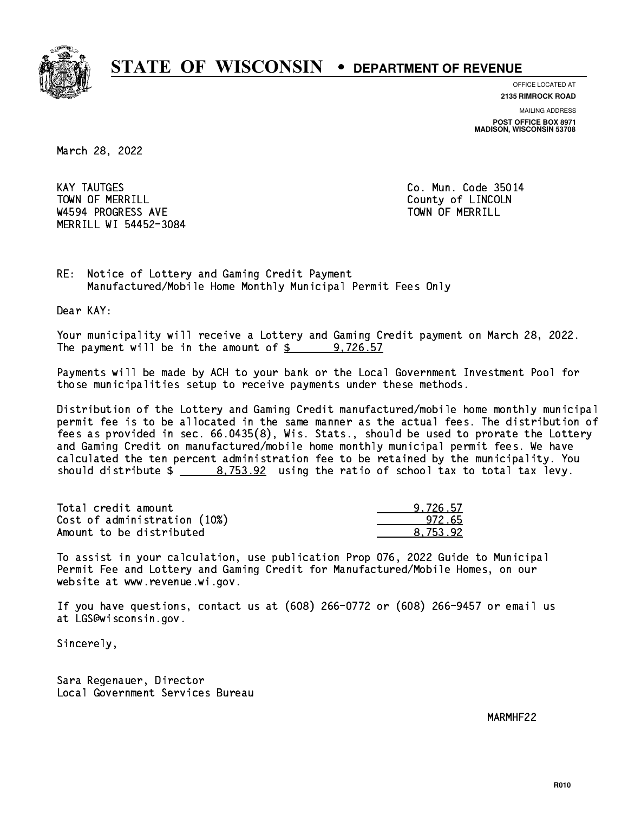

**OFFICE LOCATED AT**

**2135 RIMROCK ROAD**

**MAILING ADDRESS POST OFFICE BOX 8971 MADISON, WISCONSIN 53708**

March 28, 2022

**KAY TAUTGES** TOWN OF MERRILL **TOWN OF MERRILL** W4594 PROGRESS AVE TOWN OF MERRILL MERRILL WI 54452-3084

Co. Mun. Code 35014

RE: Notice of Lottery and Gaming Credit Payment Manufactured/Mobile Home Monthly Municipal Permit Fees Only

Dear KAY:

 Your municipality will receive a Lottery and Gaming Credit payment on March 28, 2022. The payment will be in the amount of  $\frac{2}{3}$  9,726.57

 Payments will be made by ACH to your bank or the Local Government Investment Pool for those municipalities setup to receive payments under these methods.

 Distribution of the Lottery and Gaming Credit manufactured/mobile home monthly municipal permit fee is to be allocated in the same manner as the actual fees. The distribution of fees as provided in sec. 66.0435(8), Wis. Stats., should be used to prorate the Lottery and Gaming Credit on manufactured/mobile home monthly municipal permit fees. We have calculated the ten percent administration fee to be retained by the municipality. You should distribute  $\frac{2}{1}$   $\frac{8,753.92}{2}$  using the ratio of school tax to total tax levy.

| Total credit amount          | 9.726.57 |
|------------------------------|----------|
| Cost of administration (10%) | 972.65   |
| Amount to be distributed     | 8.753.92 |

 To assist in your calculation, use publication Prop 076, 2022 Guide to Municipal Permit Fee and Lottery and Gaming Credit for Manufactured/Mobile Homes, on our website at www.revenue.wi.gov.

 If you have questions, contact us at (608) 266-0772 or (608) 266-9457 or email us at LGS@wisconsin.gov.

Sincerely,

 Sara Regenauer, Director Local Government Services Bureau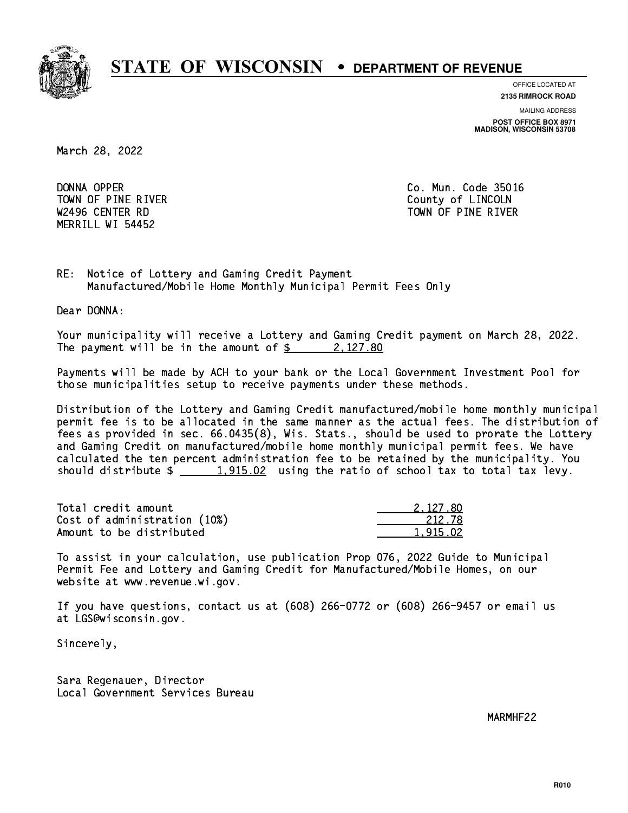

**OFFICE LOCATED AT**

**2135 RIMROCK ROAD**

**MAILING ADDRESS**

**POST OFFICE BOX 8971 MADISON, WISCONSIN 53708**

March 28, 2022

DONNA OPPER TOWN OF PINE RIVER COUNTY OF LINCOLN MERRILL WI 54452

Co. Mun. Code 35016 W2496 CENTER RD TOWN OF PINE RIVER

RE: Notice of Lottery and Gaming Credit Payment Manufactured/Mobile Home Monthly Municipal Permit Fees Only

Dear DONNA:

 Your municipality will receive a Lottery and Gaming Credit payment on March 28, 2022. The payment will be in the amount of  $\frac{2}{3}$  2,127.80

 Payments will be made by ACH to your bank or the Local Government Investment Pool for those municipalities setup to receive payments under these methods.

 Distribution of the Lottery and Gaming Credit manufactured/mobile home monthly municipal permit fee is to be allocated in the same manner as the actual fees. The distribution of fees as provided in sec. 66.0435(8), Wis. Stats., should be used to prorate the Lottery and Gaming Credit on manufactured/mobile home monthly municipal permit fees. We have calculated the ten percent administration fee to be retained by the municipality. You should distribute  $\frac{1,915.02}{1,915.02}$  using the ratio of school tax to total tax levy.

| Total credit amount          | 2.127.80 |
|------------------------------|----------|
| Cost of administration (10%) | 212.78   |
| Amount to be distributed     | 1.915.02 |

 To assist in your calculation, use publication Prop 076, 2022 Guide to Municipal Permit Fee and Lottery and Gaming Credit for Manufactured/Mobile Homes, on our website at www.revenue.wi.gov.

 If you have questions, contact us at (608) 266-0772 or (608) 266-9457 or email us at LGS@wisconsin.gov.

Sincerely,

 Sara Regenauer, Director Local Government Services Bureau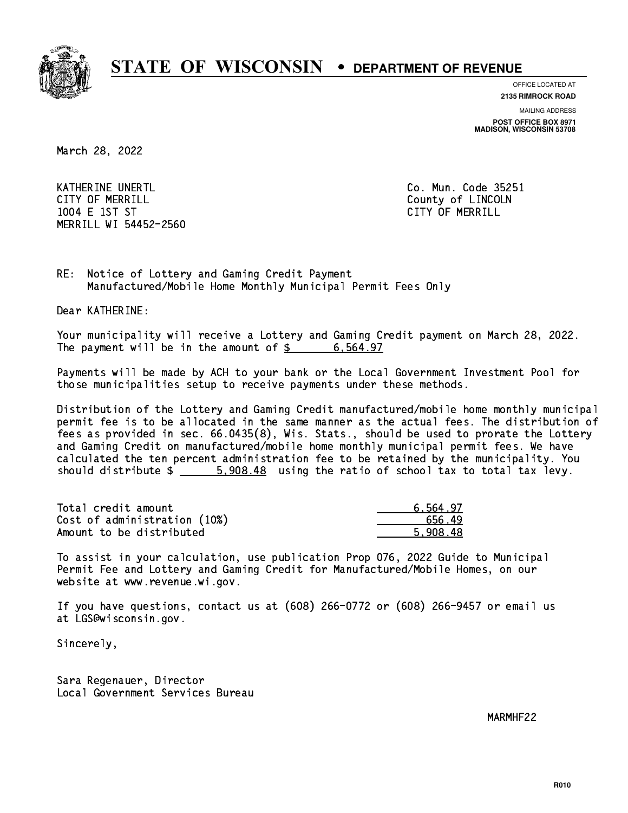

**OFFICE LOCATED AT**

**2135 RIMROCK ROAD**

**MAILING ADDRESS POST OFFICE BOX 8971 MADISON, WISCONSIN 53708**

March 28, 2022

KATHERINE UNERTL Communication of the contract of the contract of the code 25251 CITY OF MERRILL **COUNTY OF MERRILL**  1004 E 1ST ST CITY OF MERRILL MERRILL WI 54452-2560

RE: Notice of Lottery and Gaming Credit Payment Manufactured/Mobile Home Monthly Municipal Permit Fees Only

Dear KATHERINE:

 Your municipality will receive a Lottery and Gaming Credit payment on March 28, 2022. The payment will be in the amount of  $\frac{2}{3}$  6,564.97

 Payments will be made by ACH to your bank or the Local Government Investment Pool for those municipalities setup to receive payments under these methods.

 Distribution of the Lottery and Gaming Credit manufactured/mobile home monthly municipal permit fee is to be allocated in the same manner as the actual fees. The distribution of fees as provided in sec. 66.0435(8), Wis. Stats., should be used to prorate the Lottery and Gaming Credit on manufactured/mobile home monthly municipal permit fees. We have calculated the ten percent administration fee to be retained by the municipality. You should distribute  $\frac{2}{1}$   $\frac{5,908.48}{2}$  using the ratio of school tax to total tax levy.

| Total credit amount          | 6.564.97 |
|------------------------------|----------|
| Cost of administration (10%) | 656.49   |
| Amount to be distributed     | 5.908.48 |

 To assist in your calculation, use publication Prop 076, 2022 Guide to Municipal Permit Fee and Lottery and Gaming Credit for Manufactured/Mobile Homes, on our website at www.revenue.wi.gov.

 If you have questions, contact us at (608) 266-0772 or (608) 266-9457 or email us at LGS@wisconsin.gov.

Sincerely,

 Sara Regenauer, Director Local Government Services Bureau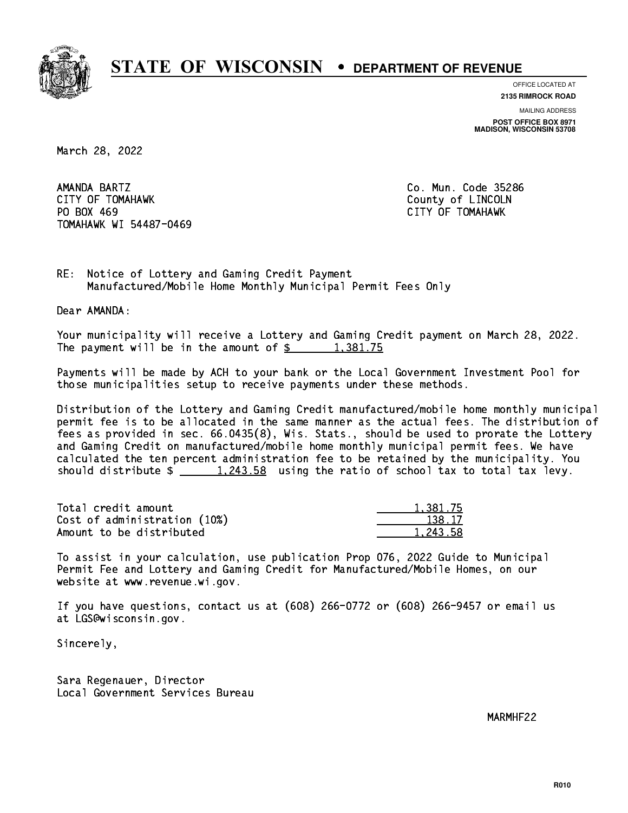

**OFFICE LOCATED AT**

**2135 RIMROCK ROAD**

**MAILING ADDRESS POST OFFICE BOX 8971 MADISON, WISCONSIN 53708**

March 28, 2022

AMANDA BARTZ CITY OF TOMAHAWK County of LINCOLN PO BOX 469 PO BOX 469 CITY OF TOMAHAWK TOMAHAWK WI 54487-0469

Co. Mun. Code 35286

RE: Notice of Lottery and Gaming Credit Payment Manufactured/Mobile Home Monthly Municipal Permit Fees Only

Dear AMANDA:

 Your municipality will receive a Lottery and Gaming Credit payment on March 28, 2022. The payment will be in the amount of  $\frac{2}{3}$  1,381.75

 Payments will be made by ACH to your bank or the Local Government Investment Pool for those municipalities setup to receive payments under these methods.

 Distribution of the Lottery and Gaming Credit manufactured/mobile home monthly municipal permit fee is to be allocated in the same manner as the actual fees. The distribution of fees as provided in sec. 66.0435(8), Wis. Stats., should be used to prorate the Lottery and Gaming Credit on manufactured/mobile home monthly municipal permit fees. We have calculated the ten percent administration fee to be retained by the municipality. You should distribute  $\frac{1,243.58}{1,243.58}$  using the ratio of school tax to total tax levy.

| Total credit amount          | 1,381.75 |
|------------------------------|----------|
| Cost of administration (10%) | 138.17   |
| Amount to be distributed     | 1,243.58 |

 To assist in your calculation, use publication Prop 076, 2022 Guide to Municipal Permit Fee and Lottery and Gaming Credit for Manufactured/Mobile Homes, on our website at www.revenue.wi.gov.

 If you have questions, contact us at (608) 266-0772 or (608) 266-9457 or email us at LGS@wisconsin.gov.

Sincerely,

 Sara Regenauer, Director Local Government Services Bureau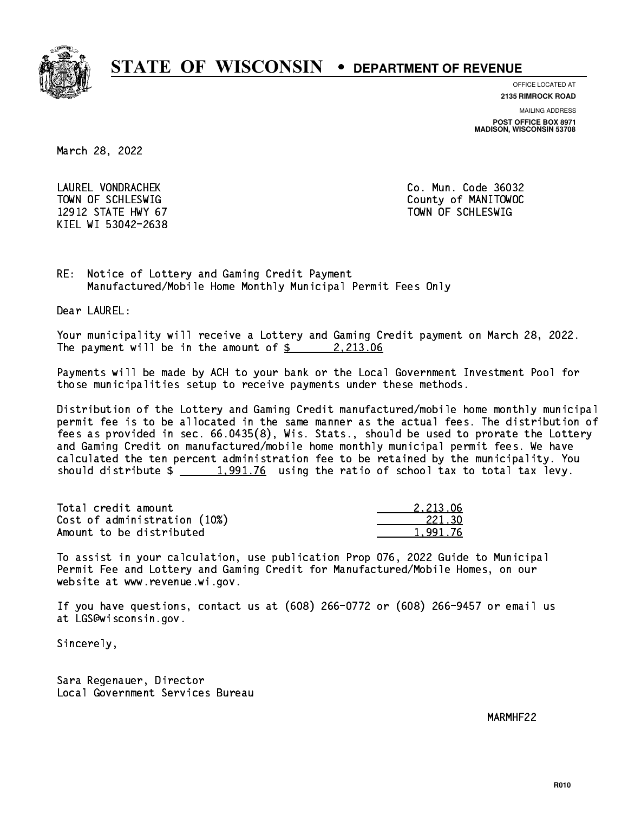

**OFFICE LOCATED AT**

**2135 RIMROCK ROAD**

**MAILING ADDRESS**

**POST OFFICE BOX 8971 MADISON, WISCONSIN 53708**

March 28, 2022

 LAUREL VONDRACHEK Co. Mun. Code 36032 12912 STATE HWY 67 TOWN OF SCHLESWIG KIEL WI 53042-2638

TOWN OF SCHLESWIG County of MANITOWOC

RE: Notice of Lottery and Gaming Credit Payment Manufactured/Mobile Home Monthly Municipal Permit Fees Only

Dear LAUREL:

 Your municipality will receive a Lottery and Gaming Credit payment on March 28, 2022. The payment will be in the amount of  $\frac{2}{3}$  2,213.06

 Payments will be made by ACH to your bank or the Local Government Investment Pool for those municipalities setup to receive payments under these methods.

 Distribution of the Lottery and Gaming Credit manufactured/mobile home monthly municipal permit fee is to be allocated in the same manner as the actual fees. The distribution of fees as provided in sec. 66.0435(8), Wis. Stats., should be used to prorate the Lottery and Gaming Credit on manufactured/mobile home monthly municipal permit fees. We have calculated the ten percent administration fee to be retained by the municipality. You should distribute  $\frac{1,991.76}{2}$  using the ratio of school tax to total tax levy.

| Total credit amount          | 2.213.06 |
|------------------------------|----------|
| Cost of administration (10%) | 221.30   |
| Amount to be distributed     | 1.991.76 |

 To assist in your calculation, use publication Prop 076, 2022 Guide to Municipal Permit Fee and Lottery and Gaming Credit for Manufactured/Mobile Homes, on our website at www.revenue.wi.gov.

 If you have questions, contact us at (608) 266-0772 or (608) 266-9457 or email us at LGS@wisconsin.gov.

Sincerely,

 Sara Regenauer, Director Local Government Services Bureau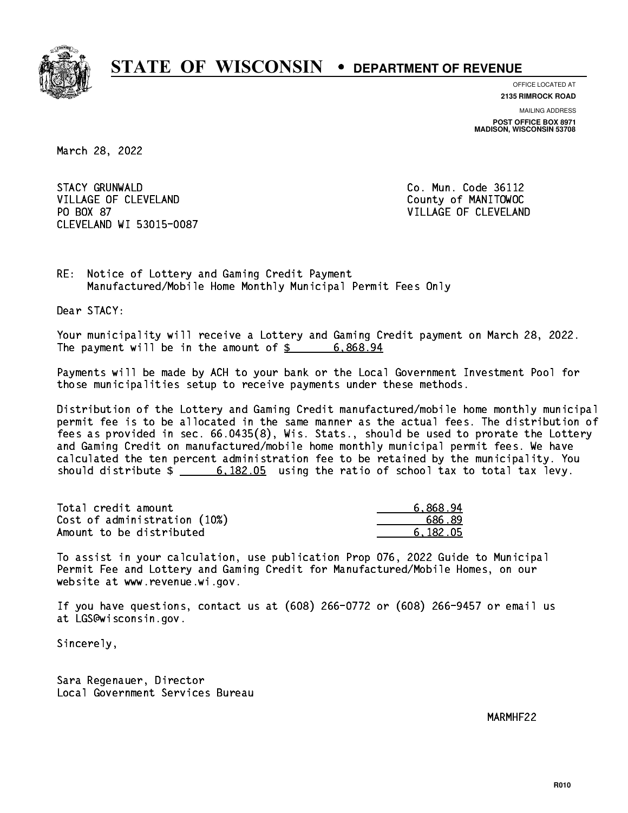

**OFFICE LOCATED AT 2135 RIMROCK ROAD**

**MAILING ADDRESS POST OFFICE BOX 8971 MADISON, WISCONSIN 53708**

March 28, 2022

**STACY GRUNWALD** VILLAGE OF CLEVELAND County of MANITOWOC PO BOX 87 CLEVELAND WI 53015-0087

Co. Mun. Code 36112 VILLAGE OF CLEVELAND

RE: Notice of Lottery and Gaming Credit Payment Manufactured/Mobile Home Monthly Municipal Permit Fees Only

Dear STACY:

 Your municipality will receive a Lottery and Gaming Credit payment on March 28, 2022. The payment will be in the amount of  $\frac{2}{3}$  6,868.94

 Payments will be made by ACH to your bank or the Local Government Investment Pool for those municipalities setup to receive payments under these methods.

 Distribution of the Lottery and Gaming Credit manufactured/mobile home monthly municipal permit fee is to be allocated in the same manner as the actual fees. The distribution of fees as provided in sec. 66.0435(8), Wis. Stats., should be used to prorate the Lottery and Gaming Credit on manufactured/mobile home monthly municipal permit fees. We have calculated the ten percent administration fee to be retained by the municipality. You should distribute  $\frac{2}{1}$   $\frac{6,182.05}{2}$  using the ratio of school tax to total tax levy.

| Total credit amount          | 6.868.94 |
|------------------------------|----------|
| Cost of administration (10%) | 686.89   |
| Amount to be distributed     | 6.182.05 |

 To assist in your calculation, use publication Prop 076, 2022 Guide to Municipal Permit Fee and Lottery and Gaming Credit for Manufactured/Mobile Homes, on our website at www.revenue.wi.gov.

 If you have questions, contact us at (608) 266-0772 or (608) 266-9457 or email us at LGS@wisconsin.gov.

Sincerely,

 Sara Regenauer, Director Local Government Services Bureau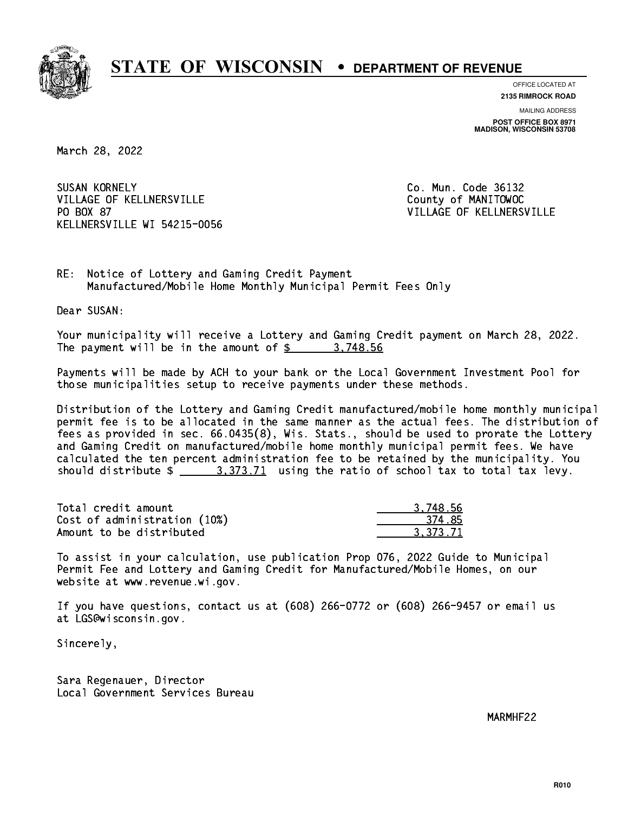

**OFFICE LOCATED AT 2135 RIMROCK ROAD**

**MAILING ADDRESS POST OFFICE BOX 8971 MADISON, WISCONSIN 53708**

March 28, 2022

**SUSAN KORNELY** VILLAGE OF KELLNERSVILLE COUNTY OF MANITOWOC PO BOX 87 KELLNERSVILLE WI 54215-0056

Co. Mun. Code 36132 VILLAGE OF KELLNERSVILLE

RE: Notice of Lottery and Gaming Credit Payment Manufactured/Mobile Home Monthly Municipal Permit Fees Only

Dear SUSAN:

 Your municipality will receive a Lottery and Gaming Credit payment on March 28, 2022. The payment will be in the amount of \$ 3,748.56 \_\_\_\_\_\_\_\_\_\_\_\_\_\_\_\_

 Payments will be made by ACH to your bank or the Local Government Investment Pool for those municipalities setup to receive payments under these methods.

 Distribution of the Lottery and Gaming Credit manufactured/mobile home monthly municipal permit fee is to be allocated in the same manner as the actual fees. The distribution of fees as provided in sec. 66.0435(8), Wis. Stats., should be used to prorate the Lottery and Gaming Credit on manufactured/mobile home monthly municipal permit fees. We have calculated the ten percent administration fee to be retained by the municipality. You should distribute  $\frac{2}{1}$   $\frac{3}{373.71}$  using the ratio of school tax to total tax levy.

| Total credit amount          | 3.748.56 |
|------------------------------|----------|
| Cost of administration (10%) | 374.85   |
| Amount to be distributed     | 3.373.71 |

 To assist in your calculation, use publication Prop 076, 2022 Guide to Municipal Permit Fee and Lottery and Gaming Credit for Manufactured/Mobile Homes, on our website at www.revenue.wi.gov.

 If you have questions, contact us at (608) 266-0772 or (608) 266-9457 or email us at LGS@wisconsin.gov.

Sincerely,

 Sara Regenauer, Director Local Government Services Bureau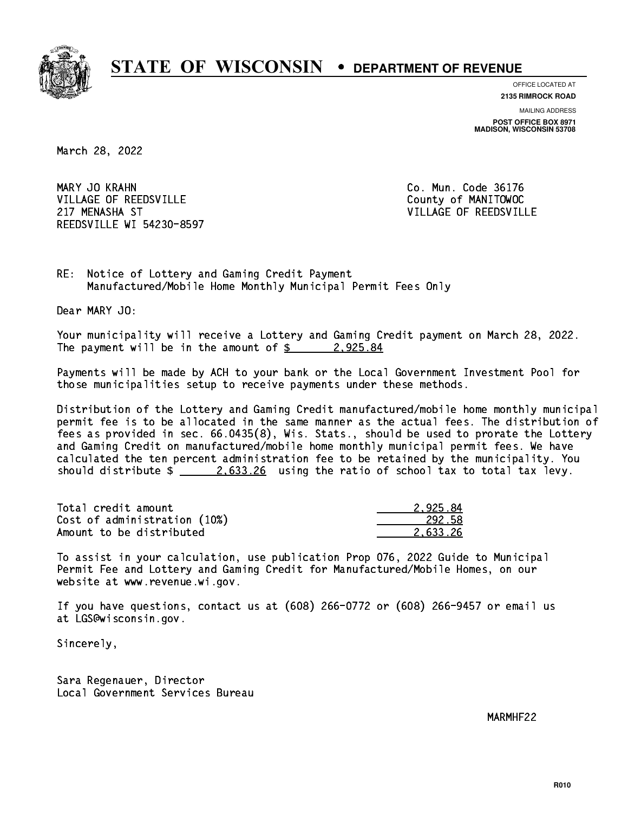

**OFFICE LOCATED AT**

**2135 RIMROCK ROAD**

**MAILING ADDRESS POST OFFICE BOX 8971 MADISON, WISCONSIN 53708**

March 28, 2022

MARY JO KRAHN VILLAGE OF REEDSVILLE COUNTY OF MANITOWOC 217 MENASHA ST VILLAGE OF REEDSVILLE REEDSVILLE WI 54230-8597

Co. Mun. Code 36176

RE: Notice of Lottery and Gaming Credit Payment Manufactured/Mobile Home Monthly Municipal Permit Fees Only

Dear MARY JO:

 Your municipality will receive a Lottery and Gaming Credit payment on March 28, 2022. The payment will be in the amount of  $\frac{2}{3}$  2,925.84

 Payments will be made by ACH to your bank or the Local Government Investment Pool for those municipalities setup to receive payments under these methods.

 Distribution of the Lottery and Gaming Credit manufactured/mobile home monthly municipal permit fee is to be allocated in the same manner as the actual fees. The distribution of fees as provided in sec. 66.0435(8), Wis. Stats., should be used to prorate the Lottery and Gaming Credit on manufactured/mobile home monthly municipal permit fees. We have calculated the ten percent administration fee to be retained by the municipality. You should distribute  $\frac{2.633.26}{2.633.26}$  using the ratio of school tax to total tax levy.

| Total credit amount          | 2.925.84 |
|------------------------------|----------|
| Cost of administration (10%) | 292.58   |
| Amount to be distributed     | 2.633.26 |

 To assist in your calculation, use publication Prop 076, 2022 Guide to Municipal Permit Fee and Lottery and Gaming Credit for Manufactured/Mobile Homes, on our website at www.revenue.wi.gov.

 If you have questions, contact us at (608) 266-0772 or (608) 266-9457 or email us at LGS@wisconsin.gov.

Sincerely,

 Sara Regenauer, Director Local Government Services Bureau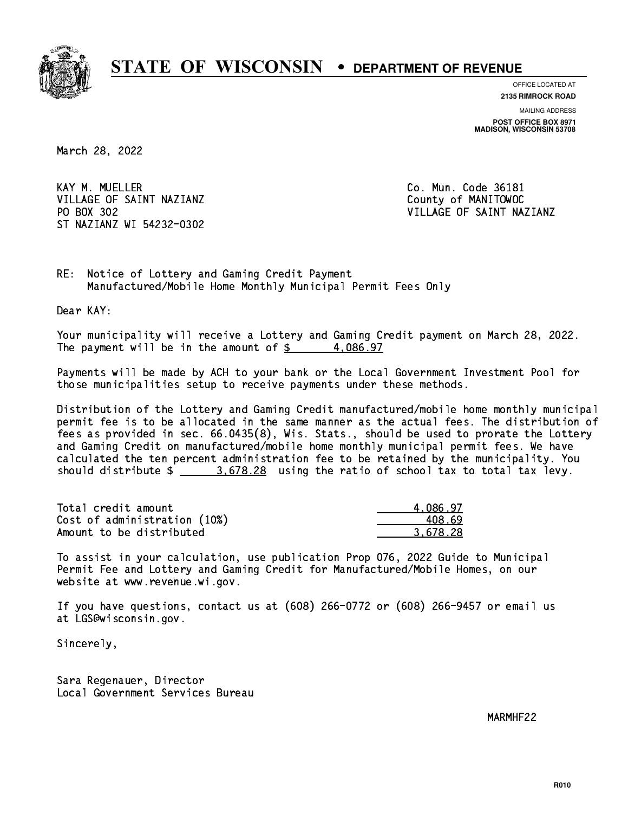

**OFFICE LOCATED AT 2135 RIMROCK ROAD**

**MAILING ADDRESS**

**POST OFFICE BOX 8971 MADISON, WISCONSIN 53708**

March 28, 2022

KAY M. MUELLER VILLAGE OF SAINT NAZIANZ County of MANITOWOC PO BOX 302 ST NAZIANZ WI 54232-0302

Co. Mun. Code 36181 VILLAGE OF SAINT NAZIANZ

RE: Notice of Lottery and Gaming Credit Payment Manufactured/Mobile Home Monthly Municipal Permit Fees Only

Dear KAY:

 Your municipality will receive a Lottery and Gaming Credit payment on March 28, 2022. The payment will be in the amount of  $\frac{2}{3}$  4,086.97

 Payments will be made by ACH to your bank or the Local Government Investment Pool for those municipalities setup to receive payments under these methods.

 Distribution of the Lottery and Gaming Credit manufactured/mobile home monthly municipal permit fee is to be allocated in the same manner as the actual fees. The distribution of fees as provided in sec. 66.0435(8), Wis. Stats., should be used to prorate the Lottery and Gaming Credit on manufactured/mobile home monthly municipal permit fees. We have calculated the ten percent administration fee to be retained by the municipality. You should distribute  $\frac{2}{1}$   $\frac{3.678.28}{2}$  using the ratio of school tax to total tax levy.

| Total credit amount          | 4.086.97 |
|------------------------------|----------|
| Cost of administration (10%) | 408.69   |
| Amount to be distributed     | 3.678.28 |

 To assist in your calculation, use publication Prop 076, 2022 Guide to Municipal Permit Fee and Lottery and Gaming Credit for Manufactured/Mobile Homes, on our website at www.revenue.wi.gov.

 If you have questions, contact us at (608) 266-0772 or (608) 266-9457 or email us at LGS@wisconsin.gov.

Sincerely,

 Sara Regenauer, Director Local Government Services Bureau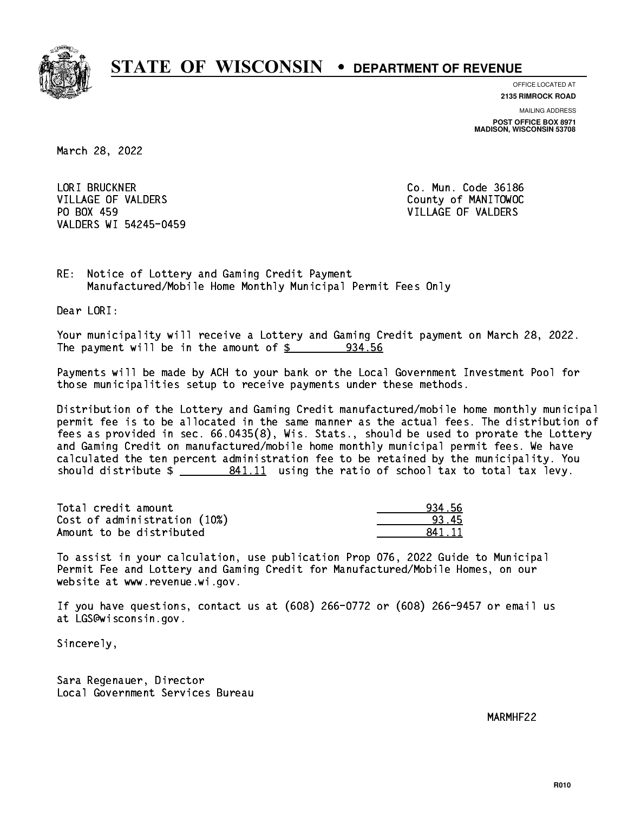

**OFFICE LOCATED AT 2135 RIMROCK ROAD**

**MAILING ADDRESS POST OFFICE BOX 8971 MADISON, WISCONSIN 53708**

March 28, 2022

 LORI BRUCKNER Co. Mun. Code 36186 VILLAGE OF VALDERS County of MANITOWOC PO BOX 459 VILLAGE OF VALDERS VALDERS WI 54245-0459

RE: Notice of Lottery and Gaming Credit Payment Manufactured/Mobile Home Monthly Municipal Permit Fees Only

Dear LORI:

 Your municipality will receive a Lottery and Gaming Credit payment on March 28, 2022. The payment will be in the amount of  $\frac{2}{3}$  934.56

 Payments will be made by ACH to your bank or the Local Government Investment Pool for those municipalities setup to receive payments under these methods.

 Distribution of the Lottery and Gaming Credit manufactured/mobile home monthly municipal permit fee is to be allocated in the same manner as the actual fees. The distribution of fees as provided in sec. 66.0435(8), Wis. Stats., should be used to prorate the Lottery and Gaming Credit on manufactured/mobile home monthly municipal permit fees. We have calculated the ten percent administration fee to be retained by the municipality. You should distribute  $\frac{2}{1}$   $\frac{841.11}{11}$  using the ratio of school tax to total tax levy.

Total credit amount Cost of administration (10%) Amount to be distributed

| l 56 |
|------|
|      |
| 11   |

 To assist in your calculation, use publication Prop 076, 2022 Guide to Municipal Permit Fee and Lottery and Gaming Credit for Manufactured/Mobile Homes, on our website at www.revenue.wi.gov.

 If you have questions, contact us at (608) 266-0772 or (608) 266-9457 or email us at LGS@wisconsin.gov.

Sincerely,

 Sara Regenauer, Director Local Government Services Bureau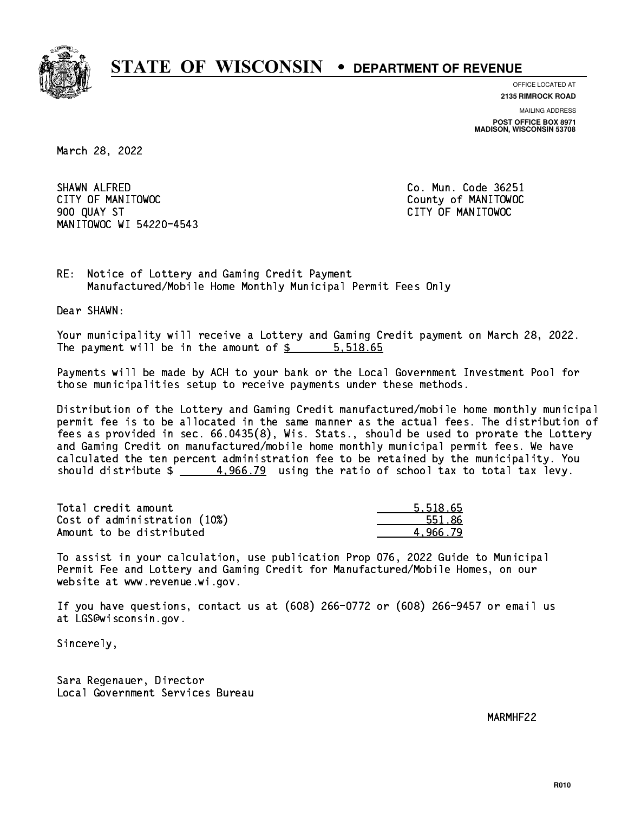

**OFFICE LOCATED AT**

**2135 RIMROCK ROAD**

**MAILING ADDRESS POST OFFICE BOX 8971 MADISON, WISCONSIN 53708**

March 28, 2022

 SHAWN ALFRED Co. Mun. Code 36251 CITY OF MANITOWOC County of MANITOWOC 900 QUAY ST CITY OF MANITOWOC MANITOWOC WI 54220-4543

RE: Notice of Lottery and Gaming Credit Payment Manufactured/Mobile Home Monthly Municipal Permit Fees Only

Dear SHAWN:

 Your municipality will receive a Lottery and Gaming Credit payment on March 28, 2022. The payment will be in the amount of  $\frac{2}{3}$   $\frac{5,518.65}{3}$ 

 Payments will be made by ACH to your bank or the Local Government Investment Pool for those municipalities setup to receive payments under these methods.

 Distribution of the Lottery and Gaming Credit manufactured/mobile home monthly municipal permit fee is to be allocated in the same manner as the actual fees. The distribution of fees as provided in sec. 66.0435(8), Wis. Stats., should be used to prorate the Lottery and Gaming Credit on manufactured/mobile home monthly municipal permit fees. We have calculated the ten percent administration fee to be retained by the municipality. You should distribute  $\frac{4}{1000}$  4,966.79 using the ratio of school tax to total tax levy.

| Total credit amount          | 5.518.65 |
|------------------------------|----------|
| Cost of administration (10%) | 551.86   |
| Amount to be distributed     | 4.966.79 |

 To assist in your calculation, use publication Prop 076, 2022 Guide to Municipal Permit Fee and Lottery and Gaming Credit for Manufactured/Mobile Homes, on our website at www.revenue.wi.gov.

 If you have questions, contact us at (608) 266-0772 or (608) 266-9457 or email us at LGS@wisconsin.gov.

Sincerely,

 Sara Regenauer, Director Local Government Services Bureau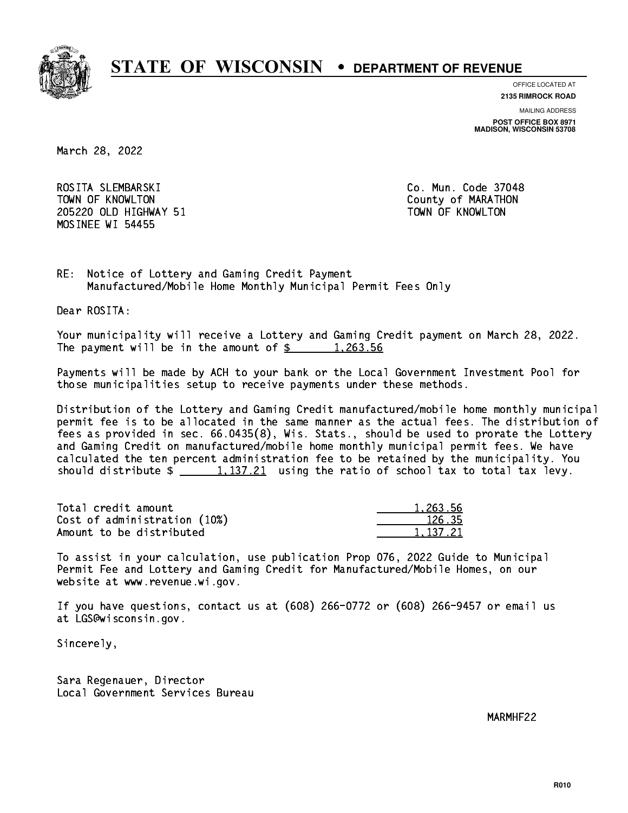

**OFFICE LOCATED AT**

**2135 RIMROCK ROAD**

**MAILING ADDRESS POST OFFICE BOX 8971 MADISON, WISCONSIN 53708**

March 28, 2022

 ROSITA SLEMBARSKI Co. Mun. Code 37048 TOWN OF KNOWLTON County of MARATHON 205220 OLD HIGHWAY 51 TOWN OF KNOWLTON MOSINEE WI 54455

RE: Notice of Lottery and Gaming Credit Payment Manufactured/Mobile Home Monthly Municipal Permit Fees Only

Dear ROSITA:

 Your municipality will receive a Lottery and Gaming Credit payment on March 28, 2022. The payment will be in the amount of  $\frac{2}{3}$  1,263.56

 Payments will be made by ACH to your bank or the Local Government Investment Pool for those municipalities setup to receive payments under these methods.

 Distribution of the Lottery and Gaming Credit manufactured/mobile home monthly municipal permit fee is to be allocated in the same manner as the actual fees. The distribution of fees as provided in sec. 66.0435(8), Wis. Stats., should be used to prorate the Lottery and Gaming Credit on manufactured/mobile home monthly municipal permit fees. We have calculated the ten percent administration fee to be retained by the municipality. You should distribute  $\frac{1,137.21}{2}$  using the ratio of school tax to total tax levy.

| Total credit amount          | 1.263.56 |
|------------------------------|----------|
| Cost of administration (10%) | 126.35   |
| Amount to be distributed     | 1.137.21 |

| $\frac{263.56}{20}$ |
|---------------------|
| 126.35              |
| 137.21              |

 To assist in your calculation, use publication Prop 076, 2022 Guide to Municipal Permit Fee and Lottery and Gaming Credit for Manufactured/Mobile Homes, on our website at www.revenue.wi.gov.

 If you have questions, contact us at (608) 266-0772 or (608) 266-9457 or email us at LGS@wisconsin.gov.

Sincerely,

 Sara Regenauer, Director Local Government Services Bureau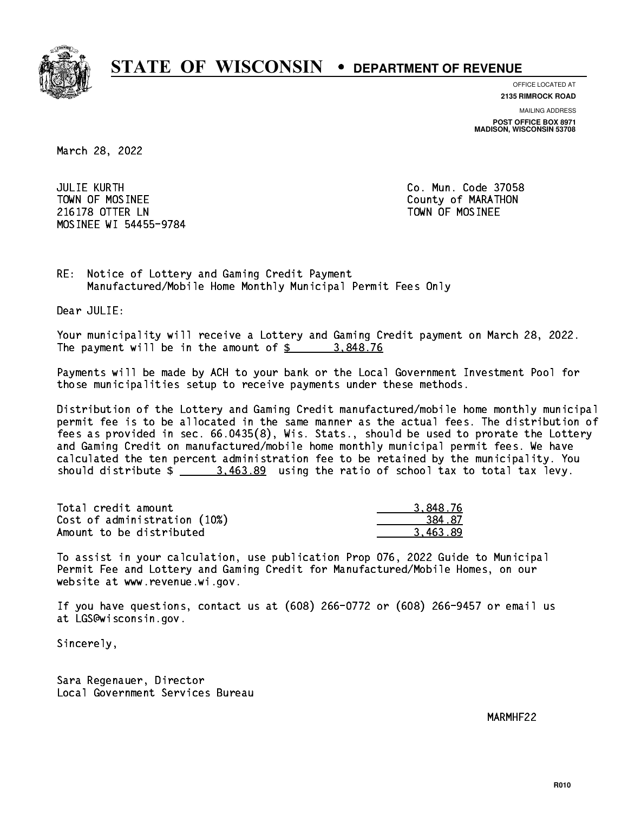

**OFFICE LOCATED AT**

**2135 RIMROCK ROAD**

**MAILING ADDRESS POST OFFICE BOX 8971 MADISON, WISCONSIN 53708**

March 28, 2022

 JULIE KURTH Co. Mun. Code 37058 TOWN OF MOSINEE County of MARATHON 216178 OTTER LN TOWN OF MOSINEE MOSINEE WI 54455-9784

RE: Notice of Lottery and Gaming Credit Payment Manufactured/Mobile Home Monthly Municipal Permit Fees Only

Dear JULIE:

 Your municipality will receive a Lottery and Gaming Credit payment on March 28, 2022. The payment will be in the amount of  $\frac{2}{3}$  3,848.76

 Payments will be made by ACH to your bank or the Local Government Investment Pool for those municipalities setup to receive payments under these methods.

 Distribution of the Lottery and Gaming Credit manufactured/mobile home monthly municipal permit fee is to be allocated in the same manner as the actual fees. The distribution of fees as provided in sec. 66.0435(8), Wis. Stats., should be used to prorate the Lottery and Gaming Credit on manufactured/mobile home monthly municipal permit fees. We have calculated the ten percent administration fee to be retained by the municipality. You should distribute  $\frac{2}{2}$   $\frac{3.463.89}{2}$  using the ratio of school tax to total tax levy.

| Total credit amount          | 3.848.76 |
|------------------------------|----------|
| Cost of administration (10%) | 384.87   |
| Amount to be distributed     | 3.463.89 |

 To assist in your calculation, use publication Prop 076, 2022 Guide to Municipal Permit Fee and Lottery and Gaming Credit for Manufactured/Mobile Homes, on our website at www.revenue.wi.gov.

 If you have questions, contact us at (608) 266-0772 or (608) 266-9457 or email us at LGS@wisconsin.gov.

Sincerely,

 Sara Regenauer, Director Local Government Services Bureau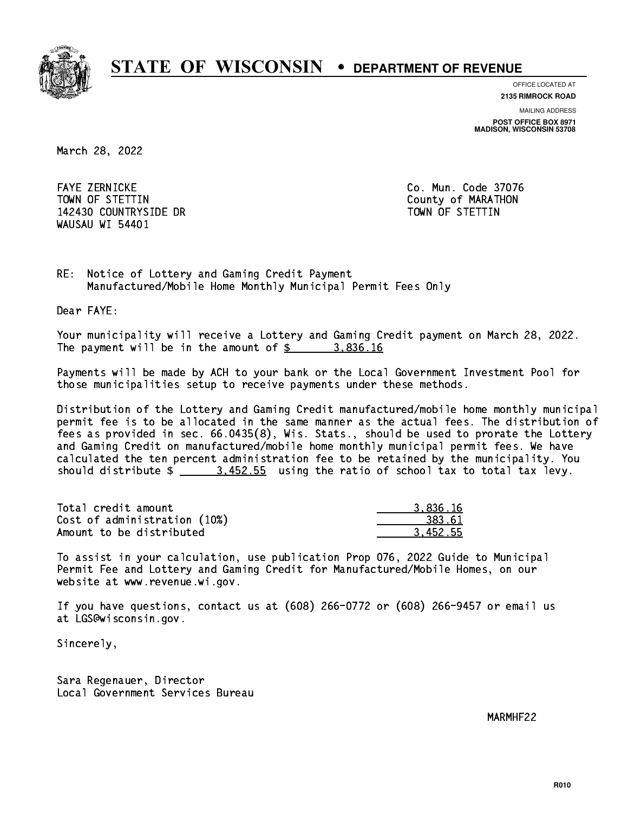

**OFFICE LOCATED AT**

**2135 RIMROCK ROAD**

**MAILING ADDRESS**

**POST OFFICE BOX 8971 MADISON, WISCONSIN 53708**

March 28, 2022

 FAYE ZERNICKE Co. Mun. Code 37076 TOWN OF STETTIN County of MARATHON 142430 COUNTRYSIDE DR TOWN OF STETTIN WAUSAU WI 54401

RE: Notice of Lottery and Gaming Credit Payment Manufactured/Mobile Home Monthly Municipal Permit Fees Only

Dear FAYE:

 Your municipality will receive a Lottery and Gaming Credit payment on March 28, 2022. The payment will be in the amount of \$ 3,836.16 \_\_\_\_\_\_\_\_\_\_\_\_\_\_\_\_

 Payments will be made by ACH to your bank or the Local Government Investment Pool for those municipalities setup to receive payments under these methods.

 Distribution of the Lottery and Gaming Credit manufactured/mobile home monthly municipal permit fee is to be allocated in the same manner as the actual fees. The distribution of fees as provided in sec. 66.0435(8), Wis. Stats., should be used to prorate the Lottery and Gaming Credit on manufactured/mobile home monthly municipal permit fees. We have calculated the ten percent administration fee to be retained by the municipality. You should distribute  $\frac{2}{1}$   $\frac{3.452.55}{2}$  using the ratio of school tax to total tax levy.

| Total credit amount          | 3.836.16 |
|------------------------------|----------|
| Cost of administration (10%) | 383.61   |
| Amount to be distributed     | 3.452.55 |

 To assist in your calculation, use publication Prop 076, 2022 Guide to Municipal Permit Fee and Lottery and Gaming Credit for Manufactured/Mobile Homes, on our website at www.revenue.wi.gov.

 If you have questions, contact us at (608) 266-0772 or (608) 266-9457 or email us at LGS@wisconsin.gov.

Sincerely,

 Sara Regenauer, Director Local Government Services Bureau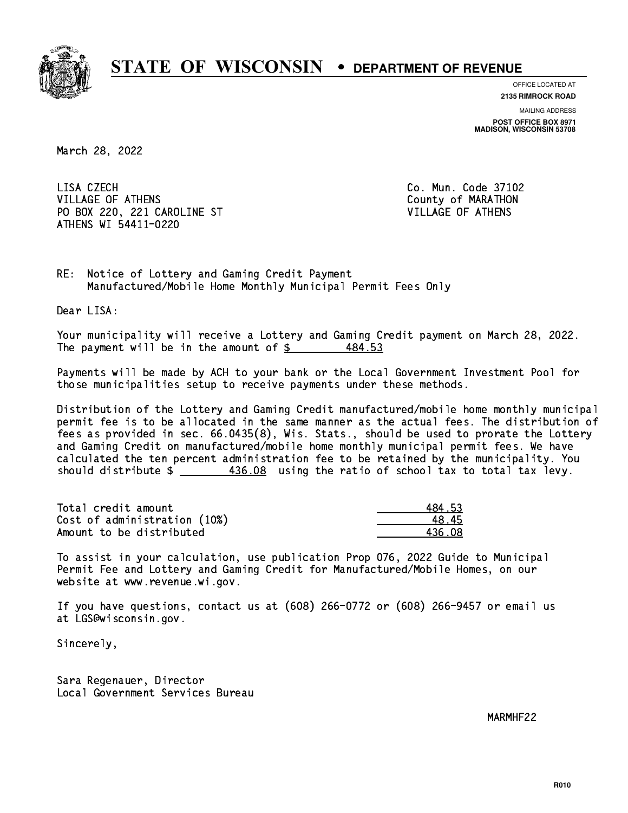

**OFFICE LOCATED AT**

**2135 RIMROCK ROAD**

**MAILING ADDRESS POST OFFICE BOX 8971 MADISON, WISCONSIN 53708**

March 28, 2022

LISA CZECH VILLAGE OF ATHENS County of MARATHON PO BOX 220, 221 CAROLINE ST VILLAGE OF ATHENS ATHENS WI 54411-0220

Co. Mun. Code 37102

RE: Notice of Lottery and Gaming Credit Payment Manufactured/Mobile Home Monthly Municipal Permit Fees Only

Dear LISA:

 Your municipality will receive a Lottery and Gaming Credit payment on March 28, 2022. The payment will be in the amount of  $\frac{2}{3}$ 484.53

 Payments will be made by ACH to your bank or the Local Government Investment Pool for those municipalities setup to receive payments under these methods.

 Distribution of the Lottery and Gaming Credit manufactured/mobile home monthly municipal permit fee is to be allocated in the same manner as the actual fees. The distribution of fees as provided in sec. 66.0435(8), Wis. Stats., should be used to prorate the Lottery and Gaming Credit on manufactured/mobile home monthly municipal permit fees. We have calculated the ten percent administration fee to be retained by the municipality. You should distribute  $\frac{436.08}{2}$  using the ratio of school tax to total tax levy.

| Total credit amount          | 484.53 |
|------------------------------|--------|
| Cost of administration (10%) | 48.45  |
| Amount to be distributed     | 436 08 |

 Amount to be distributed 436.08 \_\_\_\_\_\_\_\_\_\_\_\_\_\_ To assist in your calculation, use publication Prop 076, 2022 Guide to Municipal

 Permit Fee and Lottery and Gaming Credit for Manufactured/Mobile Homes, on our website at www.revenue.wi.gov.

 If you have questions, contact us at (608) 266-0772 or (608) 266-9457 or email us at LGS@wisconsin.gov.

Sincerely,

 Sara Regenauer, Director Local Government Services Bureau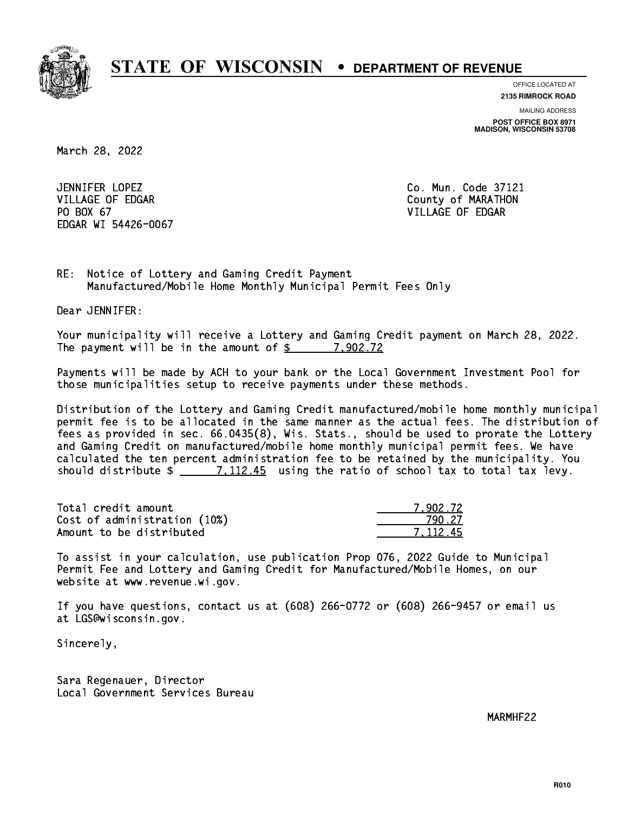

**OFFICE LOCATED AT**

**2135 RIMROCK ROAD**

**MAILING ADDRESS POST OFFICE BOX 8971 MADISON, WISCONSIN 53708**

March 28, 2022

JENNIFER LOPEZ VILLAGE OF EDGAR County of MARATHON PO BOX 67 PO BOX 67 VILLAGE OF EDGAR EDGAR WI 54426-0067

Co. Mun. Code 37121

RE: Notice of Lottery and Gaming Credit Payment Manufactured/Mobile Home Monthly Municipal Permit Fees Only

Dear JENNIFER:

 Your municipality will receive a Lottery and Gaming Credit payment on March 28, 2022. The payment will be in the amount of  $\frac{2}{3}$  7,902.72

 Payments will be made by ACH to your bank or the Local Government Investment Pool for those municipalities setup to receive payments under these methods.

 Distribution of the Lottery and Gaming Credit manufactured/mobile home monthly municipal permit fee is to be allocated in the same manner as the actual fees. The distribution of fees as provided in sec. 66.0435(8), Wis. Stats., should be used to prorate the Lottery and Gaming Credit on manufactured/mobile home monthly municipal permit fees. We have calculated the ten percent administration fee to be retained by the municipality. You should distribute  $\frac{2}{2}$   $\frac{7,112.45}{2}$  using the ratio of school tax to total tax levy.

| Total credit amount          | 7.902.72 |
|------------------------------|----------|
| Cost of administration (10%) | 79N 27   |
| Amount to be distributed     | 7.112.45 |

| 12.72 |
|-------|
| -27   |
| -112  |

 To assist in your calculation, use publication Prop 076, 2022 Guide to Municipal Permit Fee and Lottery and Gaming Credit for Manufactured/Mobile Homes, on our website at www.revenue.wi.gov.

 If you have questions, contact us at (608) 266-0772 or (608) 266-9457 or email us at LGS@wisconsin.gov.

Sincerely,

 Sara Regenauer, Director Local Government Services Bureau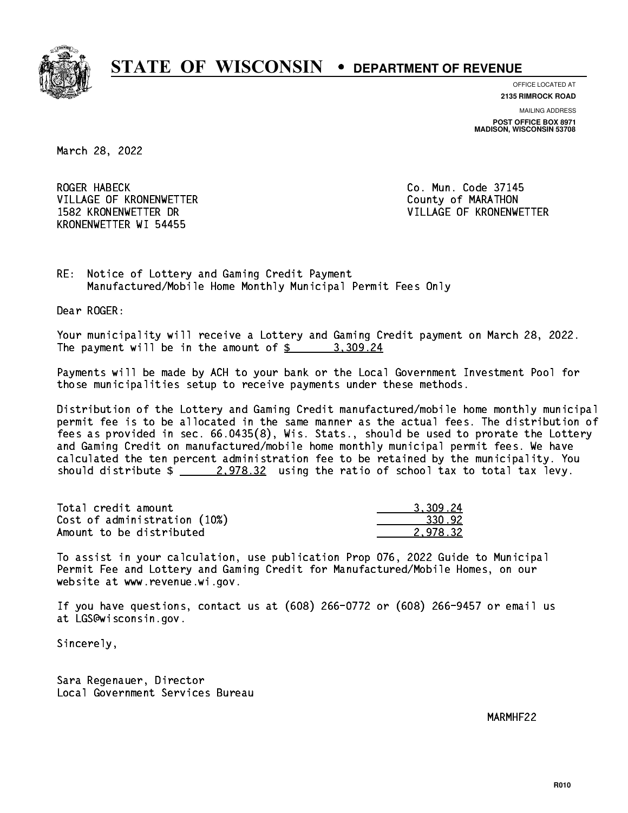

**OFFICE LOCATED AT 2135 RIMROCK ROAD**

**MAILING ADDRESS POST OFFICE BOX 8971 MADISON, WISCONSIN 53708**

March 28, 2022

**ROGER HABECK** VILLAGE OF KRONENWETTER **COUNTY OF MARATHON** KRONENWETTER WI 54455

Co. Mun. Code 37145 1582 KRONENWETTER DR VILLAGE OF KRONENWETTER

RE: Notice of Lottery and Gaming Credit Payment Manufactured/Mobile Home Monthly Municipal Permit Fees Only

Dear ROGER:

 Your municipality will receive a Lottery and Gaming Credit payment on March 28, 2022. The payment will be in the amount of  $\frac{2}{3}$  3,309.24

 Payments will be made by ACH to your bank or the Local Government Investment Pool for those municipalities setup to receive payments under these methods.

 Distribution of the Lottery and Gaming Credit manufactured/mobile home monthly municipal permit fee is to be allocated in the same manner as the actual fees. The distribution of fees as provided in sec. 66.0435(8), Wis. Stats., should be used to prorate the Lottery and Gaming Credit on manufactured/mobile home monthly municipal permit fees. We have calculated the ten percent administration fee to be retained by the municipality. You should distribute  $\frac{2.978.32}{2.978.32}$  using the ratio of school tax to total tax levy.

| Total credit amount          | 3.309.24 |
|------------------------------|----------|
| Cost of administration (10%) | 330.92   |
| Amount to be distributed     | 2.978.32 |

 To assist in your calculation, use publication Prop 076, 2022 Guide to Municipal Permit Fee and Lottery and Gaming Credit for Manufactured/Mobile Homes, on our website at www.revenue.wi.gov.

 If you have questions, contact us at (608) 266-0772 or (608) 266-9457 or email us at LGS@wisconsin.gov.

Sincerely,

 Sara Regenauer, Director Local Government Services Bureau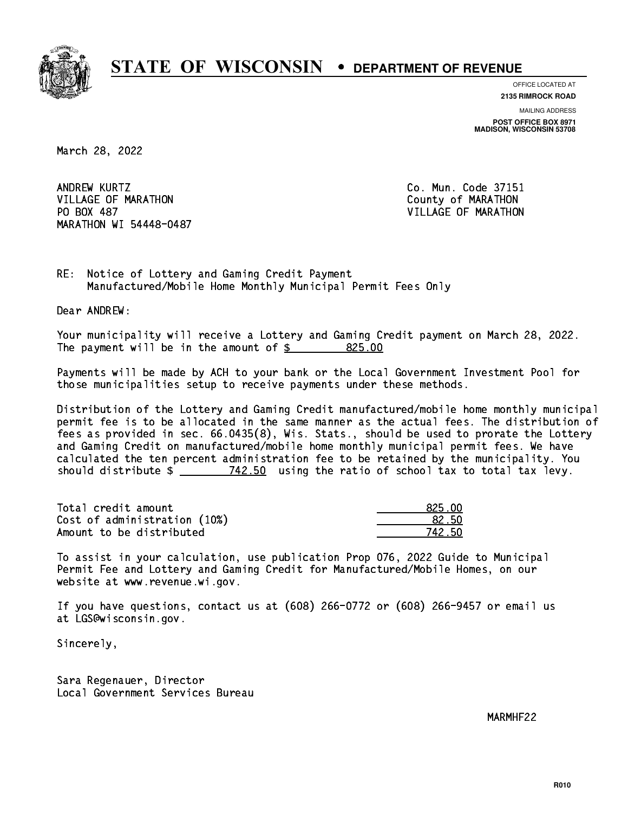

**OFFICE LOCATED AT 2135 RIMROCK ROAD**

**MAILING ADDRESS POST OFFICE BOX 8971 MADISON, WISCONSIN 53708**

March 28, 2022

ANDREW KURTZ VILLAGE OF MARATHON COUNTY OF MARATHON PO BOX 487 MARATHON WI 54448-0487

Co. Mun. Code 37151 VILLAGE OF MARATHON

RE: Notice of Lottery and Gaming Credit Payment Manufactured/Mobile Home Monthly Municipal Permit Fees Only

Dear ANDREW:

 Your municipality will receive a Lottery and Gaming Credit payment on March 28, 2022. The payment will be in the amount of  $\frac{25}{100}$ 

 Payments will be made by ACH to your bank or the Local Government Investment Pool for those municipalities setup to receive payments under these methods.

 Distribution of the Lottery and Gaming Credit manufactured/mobile home monthly municipal permit fee is to be allocated in the same manner as the actual fees. The distribution of fees as provided in sec. 66.0435(8), Wis. Stats., should be used to prorate the Lottery and Gaming Credit on manufactured/mobile home monthly municipal permit fees. We have calculated the ten percent administration fee to be retained by the municipality. You should distribute  $\frac{2}{2}$   $\frac{742.50}{2}$  using the ratio of school tax to total tax levy.

Total credit amount Cost of administration (10%) Amount to be distributed

| 825 NN     |
|------------|
| 22 5N      |
| 42 5N<br>7 |

 To assist in your calculation, use publication Prop 076, 2022 Guide to Municipal Permit Fee and Lottery and Gaming Credit for Manufactured/Mobile Homes, on our website at www.revenue.wi.gov.

 If you have questions, contact us at (608) 266-0772 or (608) 266-9457 or email us at LGS@wisconsin.gov.

Sincerely,

 Sara Regenauer, Director Local Government Services Bureau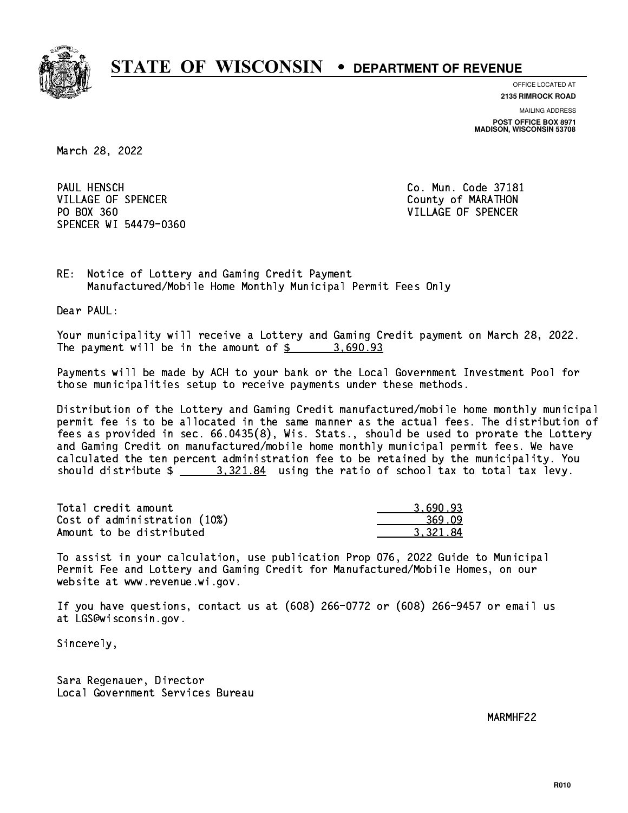

**OFFICE LOCATED AT 2135 RIMROCK ROAD**

**MAILING ADDRESS POST OFFICE BOX 8971 MADISON, WISCONSIN 53708**

March 28, 2022

PAUL HENSCH VILLAGE OF SPENCER COUNTY OF MARATHON PO BOX 360 VILLAGE OF SPENCER SPENCER WI 54479-0360

Co. Mun. Code 37181

RE: Notice of Lottery and Gaming Credit Payment Manufactured/Mobile Home Monthly Municipal Permit Fees Only

Dear PAUL:

 Your municipality will receive a Lottery and Gaming Credit payment on March 28, 2022. The payment will be in the amount of  $\frac{2}{3}$  3,690.93

 Payments will be made by ACH to your bank or the Local Government Investment Pool for those municipalities setup to receive payments under these methods.

 Distribution of the Lottery and Gaming Credit manufactured/mobile home monthly municipal permit fee is to be allocated in the same manner as the actual fees. The distribution of fees as provided in sec. 66.0435(8), Wis. Stats., should be used to prorate the Lottery and Gaming Credit on manufactured/mobile home monthly municipal permit fees. We have calculated the ten percent administration fee to be retained by the municipality. You should distribute  $\frac{2}{2}$   $\frac{3.321.84}{2}$  using the ratio of school tax to total tax levy.

| Total credit amount          | 3.690.93 |
|------------------------------|----------|
| Cost of administration (10%) | 369.09   |
| Amount to be distributed     | 3.321.84 |

 To assist in your calculation, use publication Prop 076, 2022 Guide to Municipal Permit Fee and Lottery and Gaming Credit for Manufactured/Mobile Homes, on our website at www.revenue.wi.gov.

 If you have questions, contact us at (608) 266-0772 or (608) 266-9457 or email us at LGS@wisconsin.gov.

Sincerely,

 Sara Regenauer, Director Local Government Services Bureau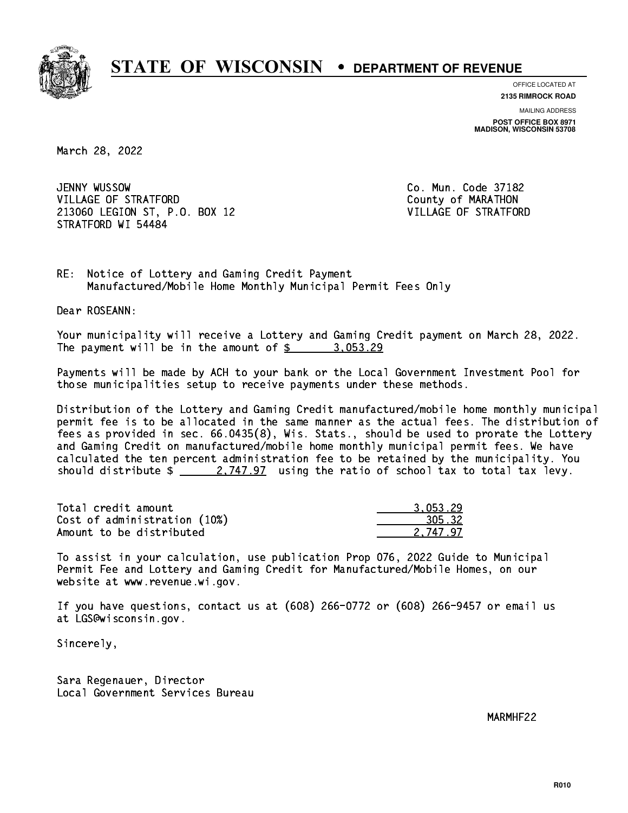

**OFFICE LOCATED AT**

**2135 RIMROCK ROAD**

**MAILING ADDRESS**

**POST OFFICE BOX 8971 MADISON, WISCONSIN 53708**

March 28, 2022

JENNY WUSSOW VILLAGE OF STRATFORD **COUNTY OF MARATHON**  213060 LEGION ST, P.O. BOX 12 VILLAGE OF STRATFORD STRATFORD WI 54484

Co. Mun. Code 37182

RE: Notice of Lottery and Gaming Credit Payment Manufactured/Mobile Home Monthly Municipal Permit Fees Only

Dear ROSEANN:

 Your municipality will receive a Lottery and Gaming Credit payment on March 28, 2022. The payment will be in the amount of  $\frac{2}{3}$  3,053.29

 Payments will be made by ACH to your bank or the Local Government Investment Pool for those municipalities setup to receive payments under these methods.

 Distribution of the Lottery and Gaming Credit manufactured/mobile home monthly municipal permit fee is to be allocated in the same manner as the actual fees. The distribution of fees as provided in sec. 66.0435(8), Wis. Stats., should be used to prorate the Lottery and Gaming Credit on manufactured/mobile home monthly municipal permit fees. We have calculated the ten percent administration fee to be retained by the municipality. You should distribute  $\frac{2.747.97}{2.747.97}$  using the ratio of school tax to total tax levy.

| Total credit amount          | 3.053.29 |
|------------------------------|----------|
| Cost of administration (10%) | 305.32   |
| Amount to be distributed     | 2.747.97 |

 To assist in your calculation, use publication Prop 076, 2022 Guide to Municipal Permit Fee and Lottery and Gaming Credit for Manufactured/Mobile Homes, on our website at www.revenue.wi.gov.

 If you have questions, contact us at (608) 266-0772 or (608) 266-9457 or email us at LGS@wisconsin.gov.

Sincerely,

 Sara Regenauer, Director Local Government Services Bureau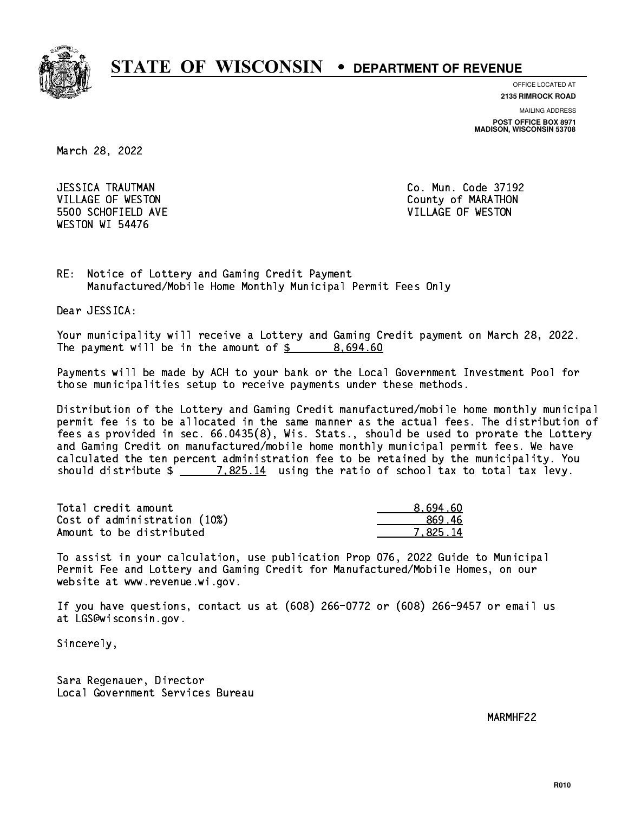

**OFFICE LOCATED AT**

**2135 RIMROCK ROAD**

**MAILING ADDRESS**

**POST OFFICE BOX 8971 MADISON, WISCONSIN 53708**

March 28, 2022

 JESSICA TRAUTMAN Co. Mun. Code 37192 5500 SCHOFIELD AVE VILLAGE OF WESTON WESTON WI 54476

VILLAGE OF WESTON COUNTY OF MARATHON

RE: Notice of Lottery and Gaming Credit Payment Manufactured/Mobile Home Monthly Municipal Permit Fees Only

Dear JESSICA:

 Your municipality will receive a Lottery and Gaming Credit payment on March 28, 2022. The payment will be in the amount of  $\frac{2}{3}$  8,694.60

 Payments will be made by ACH to your bank or the Local Government Investment Pool for those municipalities setup to receive payments under these methods.

 Distribution of the Lottery and Gaming Credit manufactured/mobile home monthly municipal permit fee is to be allocated in the same manner as the actual fees. The distribution of fees as provided in sec. 66.0435(8), Wis. Stats., should be used to prorate the Lottery and Gaming Credit on manufactured/mobile home monthly municipal permit fees. We have calculated the ten percent administration fee to be retained by the municipality. You should distribute  $\frac{2}{2}$   $\frac{7.825.14}{2}$  using the ratio of school tax to total tax levy.

| Total credit amount          | 8.694.60 |
|------------------------------|----------|
| Cost of administration (10%) | 869.46   |
| Amount to be distributed     | 7.825.14 |

 To assist in your calculation, use publication Prop 076, 2022 Guide to Municipal Permit Fee and Lottery and Gaming Credit for Manufactured/Mobile Homes, on our website at www.revenue.wi.gov.

 If you have questions, contact us at (608) 266-0772 or (608) 266-9457 or email us at LGS@wisconsin.gov.

Sincerely,

 Sara Regenauer, Director Local Government Services Bureau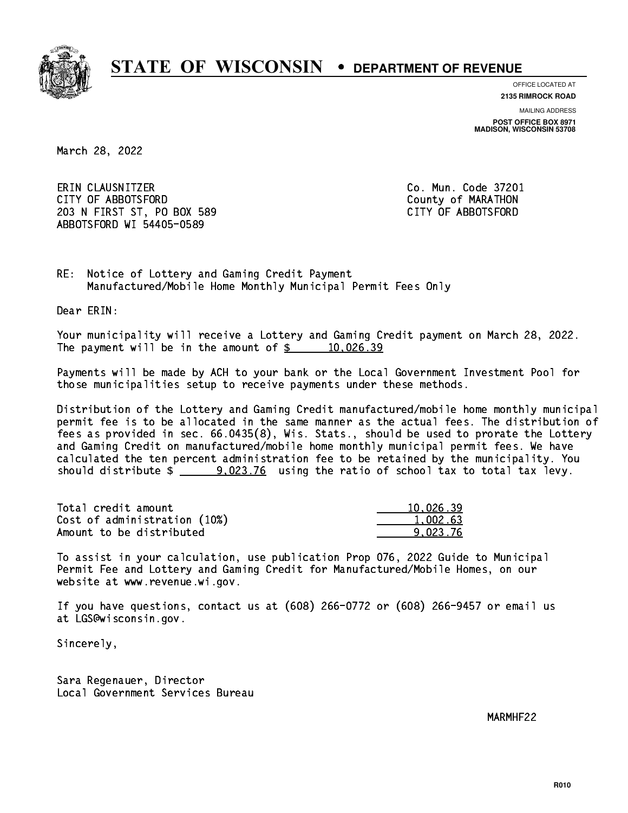

**OFFICE LOCATED AT**

**2135 RIMROCK ROAD**

**MAILING ADDRESS POST OFFICE BOX 8971 MADISON, WISCONSIN 53708**

March 28, 2022

 ERIN CLAUSNITZER Co. Mun. Code 37201 CITY OF ABBOTSFORD County of MARATHON 203 N FIRST ST, PO BOX 589 CITY OF ABBOTSFORD ABBOTSFORD WI 54405-0589

RE: Notice of Lottery and Gaming Credit Payment Manufactured/Mobile Home Monthly Municipal Permit Fees Only

Dear ERIN:

 Your municipality will receive a Lottery and Gaming Credit payment on March 28, 2022. The payment will be in the amount of  $\frac{26!}{20!}$   $\frac{10,026.39}{20!}$ 

 Payments will be made by ACH to your bank or the Local Government Investment Pool for those municipalities setup to receive payments under these methods.

 Distribution of the Lottery and Gaming Credit manufactured/mobile home monthly municipal permit fee is to be allocated in the same manner as the actual fees. The distribution of fees as provided in sec. 66.0435(8), Wis. Stats., should be used to prorate the Lottery and Gaming Credit on manufactured/mobile home monthly municipal permit fees. We have calculated the ten percent administration fee to be retained by the municipality. You should distribute \$ 9,023.76 using the ratio of school tax to total tax levy. \_\_\_\_\_\_\_\_\_\_\_\_\_\_

| Total credit amount          | 10.026.39 |
|------------------------------|-----------|
| Cost of administration (10%) | 1,002.63  |
| Amount to be distributed     | 9.023.76  |

 To assist in your calculation, use publication Prop 076, 2022 Guide to Municipal Permit Fee and Lottery and Gaming Credit for Manufactured/Mobile Homes, on our website at www.revenue.wi.gov.

 If you have questions, contact us at (608) 266-0772 or (608) 266-9457 or email us at LGS@wisconsin.gov.

Sincerely,

 Sara Regenauer, Director Local Government Services Bureau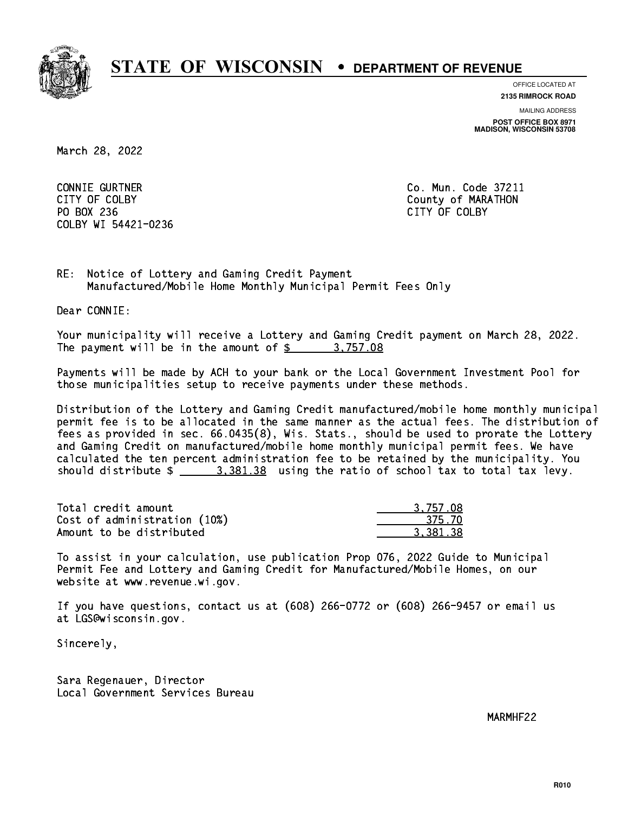

**OFFICE LOCATED AT**

**2135 RIMROCK ROAD**

**MAILING ADDRESS POST OFFICE BOX 8971 MADISON, WISCONSIN 53708**

March 28, 2022

 CONNIE GURTNER Co. Mun. Code 37211 PO BOX 236 PO BOX 236 CITY OF COLBY COLBY WI 54421-0236

CITY OF COLBY COUNTY COUNTY OF COUNTY COUNTY OF MARATHON

RE: Notice of Lottery and Gaming Credit Payment Manufactured/Mobile Home Monthly Municipal Permit Fees Only

Dear CONNIE:

 Your municipality will receive a Lottery and Gaming Credit payment on March 28, 2022. The payment will be in the amount of \$ 3,757.08 \_\_\_\_\_\_\_\_\_\_\_\_\_\_\_\_

 Payments will be made by ACH to your bank or the Local Government Investment Pool for those municipalities setup to receive payments under these methods.

 Distribution of the Lottery and Gaming Credit manufactured/mobile home monthly municipal permit fee is to be allocated in the same manner as the actual fees. The distribution of fees as provided in sec. 66.0435(8), Wis. Stats., should be used to prorate the Lottery and Gaming Credit on manufactured/mobile home monthly municipal permit fees. We have calculated the ten percent administration fee to be retained by the municipality. You should distribute  $\frac{2}{2}$   $\frac{3}{381.38}$  using the ratio of school tax to total tax levy.

| Total credit amount          | 3.757.08 |
|------------------------------|----------|
| Cost of administration (10%) | 375.70   |
| Amount to be distributed     | 3.381.38 |

 To assist in your calculation, use publication Prop 076, 2022 Guide to Municipal Permit Fee and Lottery and Gaming Credit for Manufactured/Mobile Homes, on our website at www.revenue.wi.gov.

 If you have questions, contact us at (608) 266-0772 or (608) 266-9457 or email us at LGS@wisconsin.gov.

Sincerely,

 Sara Regenauer, Director Local Government Services Bureau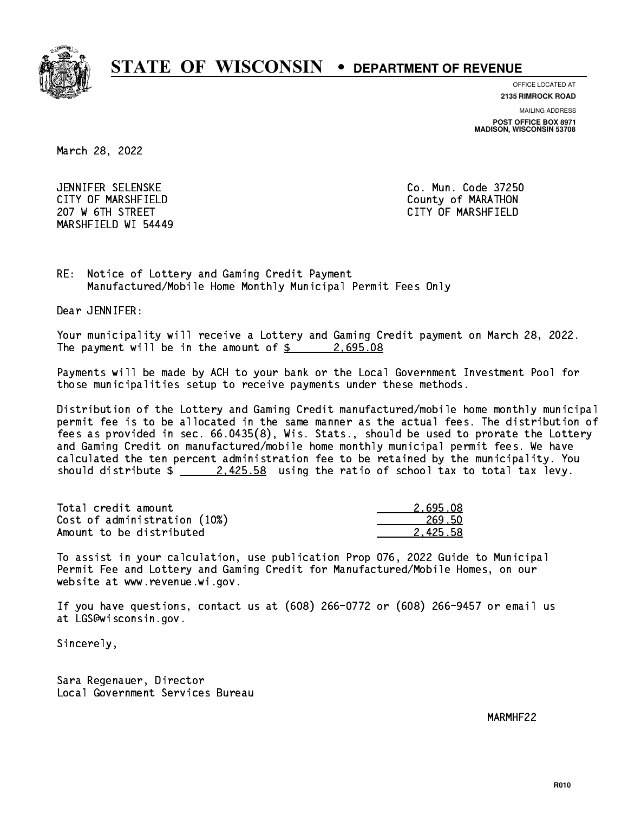

**OFFICE LOCATED AT**

**2135 RIMROCK ROAD**

**MAILING ADDRESS**

**POST OFFICE BOX 8971 MADISON, WISCONSIN 53708**

March 28, 2022

 JENNIFER SELENSKE Co. Mun. Code 37250 CITY OF MARSHFIELD County of MARATHON 207 W 6TH STREET CITY OF MARSHFIELD MARSHFIELD WI 54449

RE: Notice of Lottery and Gaming Credit Payment Manufactured/Mobile Home Monthly Municipal Permit Fees Only

Dear JENNIFER:

 Your municipality will receive a Lottery and Gaming Credit payment on March 28, 2022. The payment will be in the amount of  $\frac{2}{5}$  2,695.08

 Payments will be made by ACH to your bank or the Local Government Investment Pool for those municipalities setup to receive payments under these methods.

 Distribution of the Lottery and Gaming Credit manufactured/mobile home monthly municipal permit fee is to be allocated in the same manner as the actual fees. The distribution of fees as provided in sec. 66.0435(8), Wis. Stats., should be used to prorate the Lottery and Gaming Credit on manufactured/mobile home monthly municipal permit fees. We have calculated the ten percent administration fee to be retained by the municipality. You should distribute  $\frac{2.425.58}{2.425.58}$  using the ratio of school tax to total tax levy.

| Total credit amount          | 2.695.08 |
|------------------------------|----------|
| Cost of administration (10%) | 269.50   |
| Amount to be distributed     | 2.425.58 |

 To assist in your calculation, use publication Prop 076, 2022 Guide to Municipal Permit Fee and Lottery and Gaming Credit for Manufactured/Mobile Homes, on our website at www.revenue.wi.gov.

 If you have questions, contact us at (608) 266-0772 or (608) 266-9457 or email us at LGS@wisconsin.gov.

Sincerely,

 Sara Regenauer, Director Local Government Services Bureau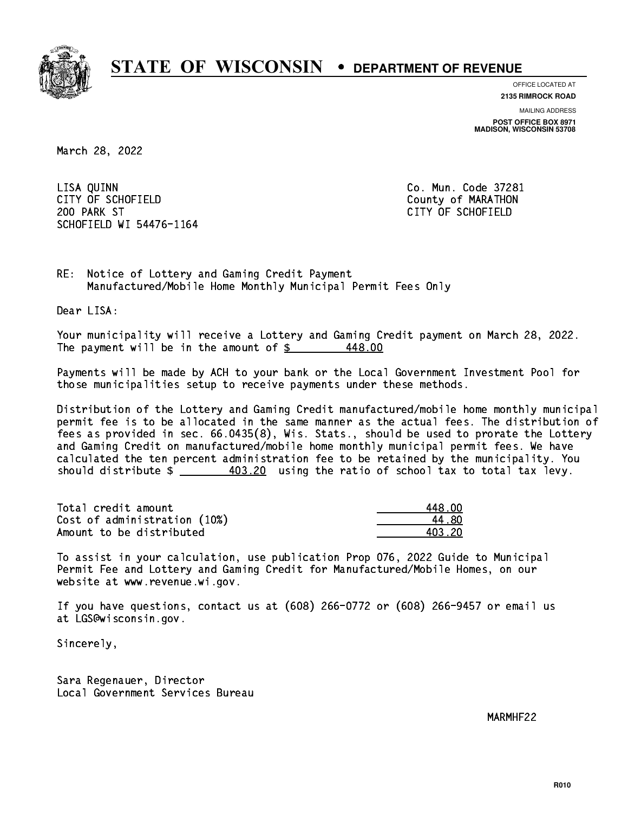

**OFFICE LOCATED AT**

**2135 RIMROCK ROAD**

**MAILING ADDRESS POST OFFICE BOX 8971 MADISON, WISCONSIN 53708**

March 28, 2022

 LISA QUINN Co. Mun. Code 37281 CITY OF SCHOFIELD County of MARATHON 200 PARK ST CITY OF SCHOFIELD SCHOFIELD WI 54476-1164

RE: Notice of Lottery and Gaming Credit Payment Manufactured/Mobile Home Monthly Municipal Permit Fees Only

Dear LISA:

 Your municipality will receive a Lottery and Gaming Credit payment on March 28, 2022. The payment will be in the amount of  $\frac{2}{3}$ 448.00

 Payments will be made by ACH to your bank or the Local Government Investment Pool for those municipalities setup to receive payments under these methods.

 Distribution of the Lottery and Gaming Credit manufactured/mobile home monthly municipal permit fee is to be allocated in the same manner as the actual fees. The distribution of fees as provided in sec. 66.0435(8), Wis. Stats., should be used to prorate the Lottery and Gaming Credit on manufactured/mobile home monthly municipal permit fees. We have calculated the ten percent administration fee to be retained by the municipality. You should distribute  $\frac{403.20}{1}$  using the ratio of school tax to total tax levy.

Total credit amount Cost of administration (10%) Amount to be distributed

| 48 NN  |
|--------|
| 4 RN   |
| 403.20 |

 To assist in your calculation, use publication Prop 076, 2022 Guide to Municipal Permit Fee and Lottery and Gaming Credit for Manufactured/Mobile Homes, on our website at www.revenue.wi.gov.

 If you have questions, contact us at (608) 266-0772 or (608) 266-9457 or email us at LGS@wisconsin.gov.

Sincerely,

 Sara Regenauer, Director Local Government Services Bureau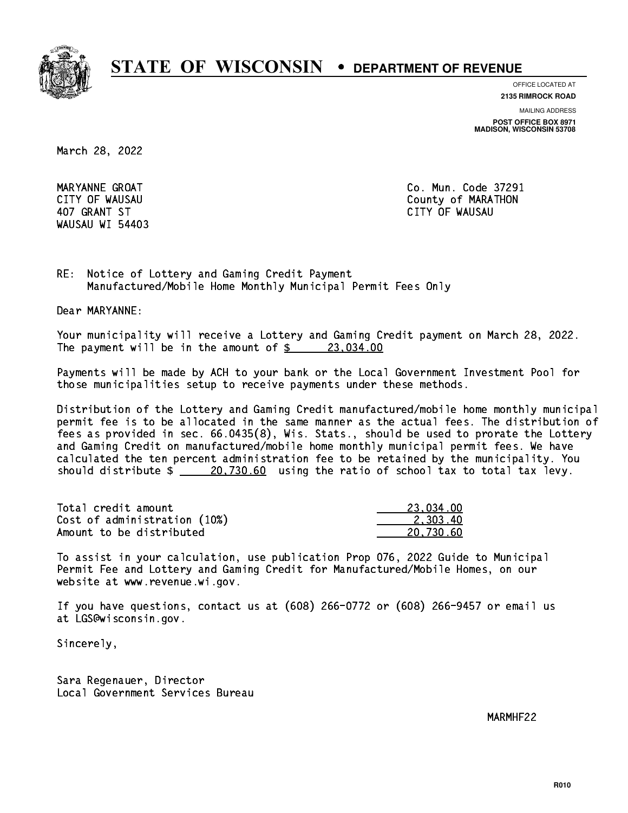

**OFFICE LOCATED AT**

**2135 RIMROCK ROAD**

**MAILING ADDRESS**

**POST OFFICE BOX 8971 MADISON, WISCONSIN 53708**

March 28, 2022

WAUSAU WI 54403

 MARYANNE GROAT Co. Mun. Code 37291 CITY OF WAUSAU COUNTY OF MARATHON 407 GRANT ST CITY OF WAUSAU

RE: Notice of Lottery and Gaming Credit Payment Manufactured/Mobile Home Monthly Municipal Permit Fees Only

Dear MARYANNE:

 Your municipality will receive a Lottery and Gaming Credit payment on March 28, 2022. The payment will be in the amount of  $\frac{23,034.00}{23,034.00}$ 

 Payments will be made by ACH to your bank or the Local Government Investment Pool for those municipalities setup to receive payments under these methods.

 Distribution of the Lottery and Gaming Credit manufactured/mobile home monthly municipal permit fee is to be allocated in the same manner as the actual fees. The distribution of fees as provided in sec. 66.0435(8), Wis. Stats., should be used to prorate the Lottery and Gaming Credit on manufactured/mobile home monthly municipal permit fees. We have calculated the ten percent administration fee to be retained by the municipality. You should distribute  $\frac{20,730.60}{20,730.60}$  using the ratio of school tax to total tax levy.

| Total credit amount          | 23.034.00 |
|------------------------------|-----------|
| Cost of administration (10%) | 2.303.40  |
| Amount to be distributed     | 20.730.60 |

 To assist in your calculation, use publication Prop 076, 2022 Guide to Municipal Permit Fee and Lottery and Gaming Credit for Manufactured/Mobile Homes, on our website at www.revenue.wi.gov.

 If you have questions, contact us at (608) 266-0772 or (608) 266-9457 or email us at LGS@wisconsin.gov.

Sincerely,

 Sara Regenauer, Director Local Government Services Bureau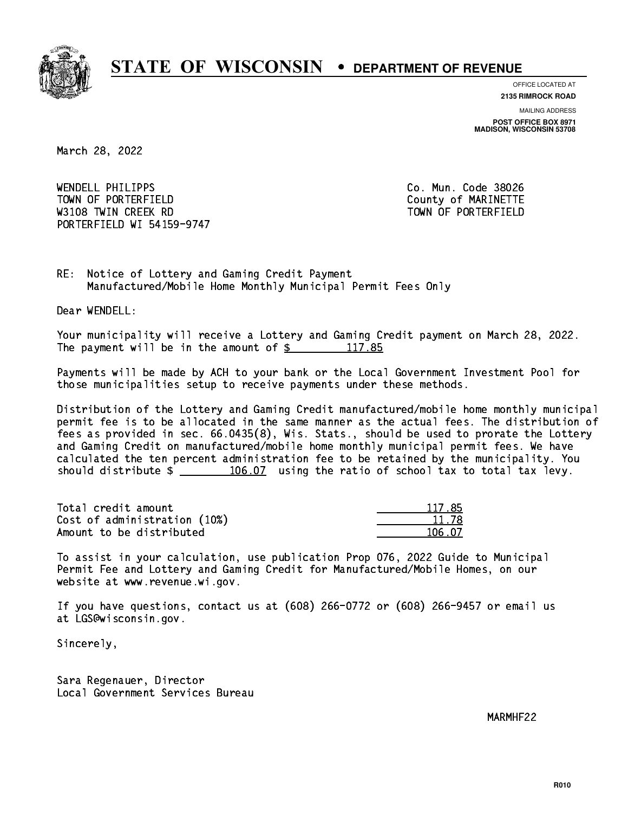

**OFFICE LOCATED AT 2135 RIMROCK ROAD**

**MAILING ADDRESS**

**POST OFFICE BOX 8971 MADISON, WISCONSIN 53708**

March 28, 2022

 WENDELL PHILIPPS Co. Mun. Code 38026 TOWN OF PORTERFIELD County of MARINETTE W3108 TWIN CREEK RD TOWN OF PORTERFIELD PORTERFIELD WI 54159-9747

RE: Notice of Lottery and Gaming Credit Payment Manufactured/Mobile Home Monthly Municipal Permit Fees Only

Dear WENDELL:

 Your municipality will receive a Lottery and Gaming Credit payment on March 28, 2022. The payment will be in the amount of  $\frac{2}{3}$  117.85

 Payments will be made by ACH to your bank or the Local Government Investment Pool for those municipalities setup to receive payments under these methods.

 Distribution of the Lottery and Gaming Credit manufactured/mobile home monthly municipal permit fee is to be allocated in the same manner as the actual fees. The distribution of fees as provided in sec. 66.0435(8), Wis. Stats., should be used to prorate the Lottery and Gaming Credit on manufactured/mobile home monthly municipal permit fees. We have calculated the ten percent administration fee to be retained by the municipality. You should distribute  $\frac{106.07}{106.07}$  using the ratio of school tax to total tax levy.

Total credit amount Cost of administration (10%) Amount to be distributed

| 117.85 |
|--------|
| 11.78  |
| i N7   |

 To assist in your calculation, use publication Prop 076, 2022 Guide to Municipal Permit Fee and Lottery and Gaming Credit for Manufactured/Mobile Homes, on our website at www.revenue.wi.gov.

 If you have questions, contact us at (608) 266-0772 or (608) 266-9457 or email us at LGS@wisconsin.gov.

Sincerely,

 Sara Regenauer, Director Local Government Services Bureau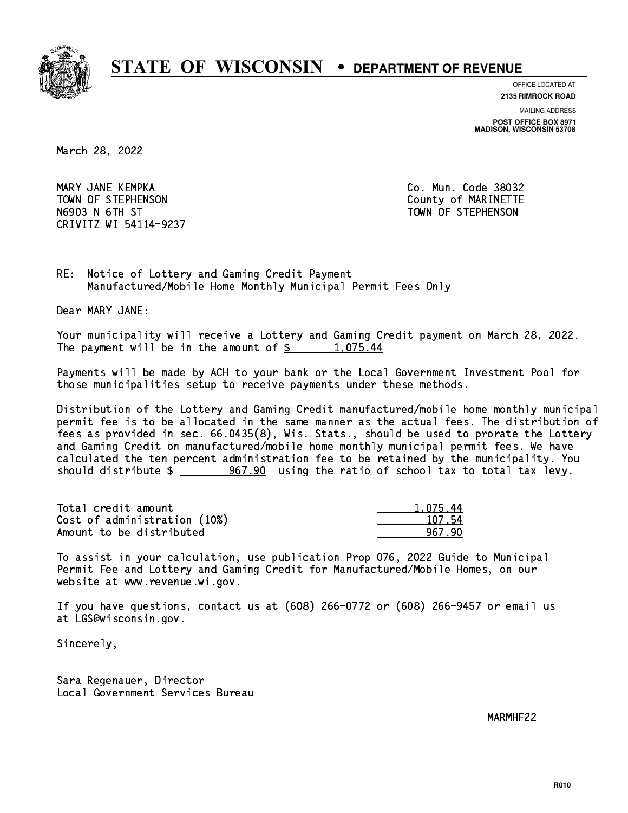

**OFFICE LOCATED AT**

**2135 RIMROCK ROAD**

**MAILING ADDRESS**

**POST OFFICE BOX 8971 MADISON, WISCONSIN 53708**

March 28, 2022

 MARY JANE KEMPKA Co. Mun. Code 38032 TOWN OF STEPHENSON COUNTY OF MARINETTE N6903 N 6TH ST TOWN OF STEPHENSON CRIVITZ WI 54114-9237

1.075.44

RE: Notice of Lottery and Gaming Credit Payment Manufactured/Mobile Home Monthly Municipal Permit Fees Only

Dear MARY JANE:

 Your municipality will receive a Lottery and Gaming Credit payment on March 28, 2022. The payment will be in the amount of  $\frac{2}{3}$  1,075.44

 Payments will be made by ACH to your bank or the Local Government Investment Pool for those municipalities setup to receive payments under these methods.

 Distribution of the Lottery and Gaming Credit manufactured/mobile home monthly municipal permit fee is to be allocated in the same manner as the actual fees. The distribution of fees as provided in sec. 66.0435(8), Wis. Stats., should be used to prorate the Lottery and Gaming Credit on manufactured/mobile home monthly municipal permit fees. We have calculated the ten percent administration fee to be retained by the municipality. You should distribute  $\frac{267.90}{201}$  using the ratio of school tax to total tax levy.

| Total credit amount          | 1.075.44 |
|------------------------------|----------|
| Cost of administration (10%) | 107.54   |
| Amount to be distributed     | 967 90   |

 To assist in your calculation, use publication Prop 076, 2022 Guide to Municipal Permit Fee and Lottery and Gaming Credit for Manufactured/Mobile Homes, on our website at www.revenue.wi.gov.

 If you have questions, contact us at (608) 266-0772 or (608) 266-9457 or email us at LGS@wisconsin.gov.

Sincerely,

 Sara Regenauer, Director Local Government Services Bureau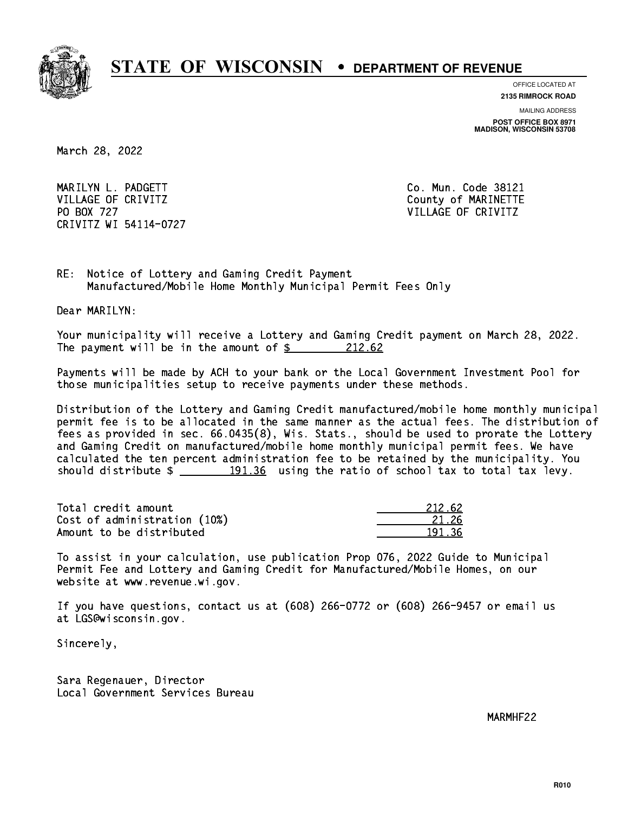

**OFFICE LOCATED AT 2135 RIMROCK ROAD**

**MAILING ADDRESS**

**POST OFFICE BOX 8971 MADISON, WISCONSIN 53708**

March 28, 2022

 MARILYN L. PADGETT Co. Mun. Code 38121 VILLAGE OF CRIVITZ COUNTY COUNTY OF MARINETTE PO BOX 727 VILLAGE OF CRIVITZ CRIVITZ WI 54114-0727

RE: Notice of Lottery and Gaming Credit Payment Manufactured/Mobile Home Monthly Municipal Permit Fees Only

Dear MARILYN:

 Your municipality will receive a Lottery and Gaming Credit payment on March 28, 2022. The payment will be in the amount of  $\frac{212.62}{21}$ 

 Payments will be made by ACH to your bank or the Local Government Investment Pool for those municipalities setup to receive payments under these methods.

 Distribution of the Lottery and Gaming Credit manufactured/mobile home monthly municipal permit fee is to be allocated in the same manner as the actual fees. The distribution of fees as provided in sec. 66.0435(8), Wis. Stats., should be used to prorate the Lottery and Gaming Credit on manufactured/mobile home monthly municipal permit fees. We have calculated the ten percent administration fee to be retained by the municipality. You should distribute  $\frac{191.36}{191.36}$  using the ratio of school tax to total tax levy.

Total credit amount Cost of administration (10%) Amount to be distributed

| 212.62    |
|-----------|
| 17K<br>2. |
|           |

 To assist in your calculation, use publication Prop 076, 2022 Guide to Municipal Permit Fee and Lottery and Gaming Credit for Manufactured/Mobile Homes, on our website at www.revenue.wi.gov.

 If you have questions, contact us at (608) 266-0772 or (608) 266-9457 or email us at LGS@wisconsin.gov.

Sincerely,

 Sara Regenauer, Director Local Government Services Bureau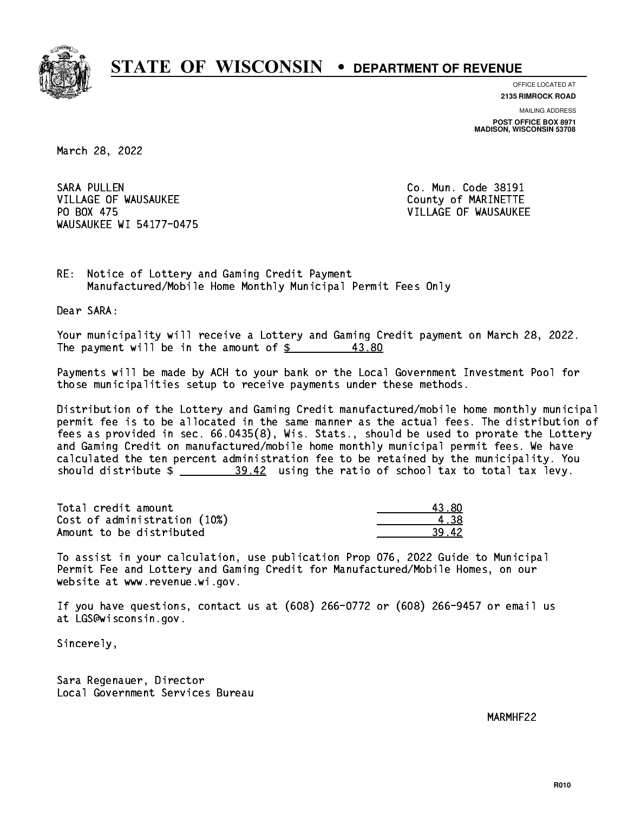

**OFFICE LOCATED AT 2135 RIMROCK ROAD**

**MAILING ADDRESS**

**POST OFFICE BOX 8971 MADISON, WISCONSIN 53708**

March 28, 2022

**SARA PULLEN** VILLAGE OF WAUSAUKEE COUNTY OF MARINETTE PO BOX 475 WAUSAUKEE WI 54177-0475

Co. Mun. Code 38191 VILLAGE OF WAUSAUKEE

RE: Notice of Lottery and Gaming Credit Payment Manufactured/Mobile Home Monthly Municipal Permit Fees Only

Dear SARA:

 Your municipality will receive a Lottery and Gaming Credit payment on March 28, 2022. The payment will be in the amount of  $\frac{2}{3}$ 43.80

 Payments will be made by ACH to your bank or the Local Government Investment Pool for those municipalities setup to receive payments under these methods.

 Distribution of the Lottery and Gaming Credit manufactured/mobile home monthly municipal permit fee is to be allocated in the same manner as the actual fees. The distribution of fees as provided in sec. 66.0435(8), Wis. Stats., should be used to prorate the Lottery and Gaming Credit on manufactured/mobile home monthly municipal permit fees. We have calculated the ten percent administration fee to be retained by the municipality. You should distribute  $\frac{20.42}{2}$  using the ratio of school tax to total tax levy.

Total credit amount the set of the set of the set of the set of the set of the set of the set of the set of th Cost of administration (10%) 4.38 \_\_\_\_\_\_\_\_\_\_\_\_\_\_ Amount to be distributed 39.42

 To assist in your calculation, use publication Prop 076, 2022 Guide to Municipal Permit Fee and Lottery and Gaming Credit for Manufactured/Mobile Homes, on our website at www.revenue.wi.gov.

 If you have questions, contact us at (608) 266-0772 or (608) 266-9457 or email us at LGS@wisconsin.gov.

Sincerely,

 Sara Regenauer, Director Local Government Services Bureau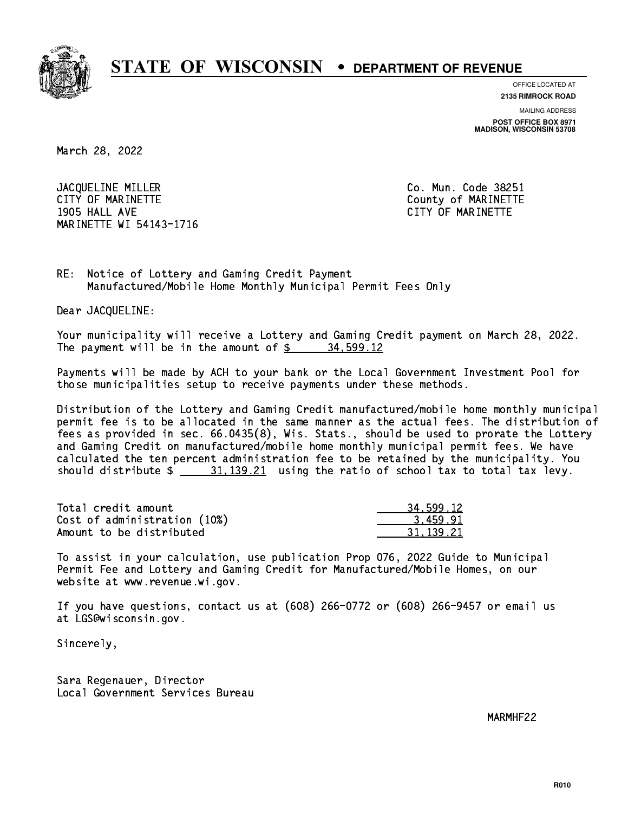

**OFFICE LOCATED AT**

**2135 RIMROCK ROAD**

**MAILING ADDRESS POST OFFICE BOX 8971 MADISON, WISCONSIN 53708**

March 28, 2022

JACQUELINE MILLER Co. Mun. Code 38251 CITY OF MARINETTE COUNTY COUNTY OF MARINETTE 1905 HALL AVE CITY OF MARINETTE MARINETTE WI 54143-1716

RE: Notice of Lottery and Gaming Credit Payment Manufactured/Mobile Home Monthly Municipal Permit Fees Only

Dear JACQUELINE:

 Your municipality will receive a Lottery and Gaming Credit payment on March 28, 2022. The payment will be in the amount of \$ 34,599.12 \_\_\_\_\_\_\_\_\_\_\_\_\_\_\_\_

 Payments will be made by ACH to your bank or the Local Government Investment Pool for those municipalities setup to receive payments under these methods.

 Distribution of the Lottery and Gaming Credit manufactured/mobile home monthly municipal permit fee is to be allocated in the same manner as the actual fees. The distribution of fees as provided in sec. 66.0435(8), Wis. Stats., should be used to prorate the Lottery and Gaming Credit on manufactured/mobile home monthly municipal permit fees. We have calculated the ten percent administration fee to be retained by the municipality. You should distribute  $\frac{21.139.21}{21.139.21}$  using the ratio of school tax to total tax levy.

| Total credit amount          | 34,599.12 |
|------------------------------|-----------|
| Cost of administration (10%) | 3.459.91  |
| Amount to be distributed     | 31.139.21 |

 To assist in your calculation, use publication Prop 076, 2022 Guide to Municipal Permit Fee and Lottery and Gaming Credit for Manufactured/Mobile Homes, on our website at www.revenue.wi.gov.

 If you have questions, contact us at (608) 266-0772 or (608) 266-9457 or email us at LGS@wisconsin.gov.

Sincerely,

 Sara Regenauer, Director Local Government Services Bureau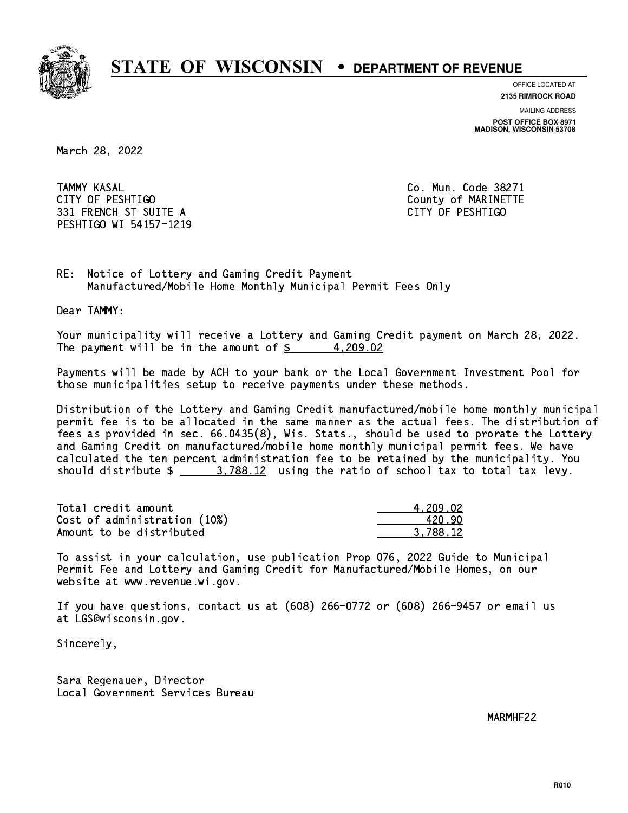

**OFFICE LOCATED AT**

**2135 RIMROCK ROAD**

**MAILING ADDRESS**

**POST OFFICE BOX 8971 MADISON, WISCONSIN 53708**

March 28, 2022

**TAMMY KASAL**  CITY OF PESHTIGO County of MARINETTE 331 FRENCH ST SUITE A CITY OF PESHTIGO PESHTIGO WI 54157-1219

Co. Mun. Code 38271

RE: Notice of Lottery and Gaming Credit Payment Manufactured/Mobile Home Monthly Municipal Permit Fees Only

Dear TAMMY:

 Your municipality will receive a Lottery and Gaming Credit payment on March 28, 2022. The payment will be in the amount of  $\frac{2}{3}$  4,209.02

 Payments will be made by ACH to your bank or the Local Government Investment Pool for those municipalities setup to receive payments under these methods.

 Distribution of the Lottery and Gaming Credit manufactured/mobile home monthly municipal permit fee is to be allocated in the same manner as the actual fees. The distribution of fees as provided in sec. 66.0435(8), Wis. Stats., should be used to prorate the Lottery and Gaming Credit on manufactured/mobile home monthly municipal permit fees. We have calculated the ten percent administration fee to be retained by the municipality. You should distribute  $\frac{2}{1}$   $\frac{3.788.12}{2}$  using the ratio of school tax to total tax levy.

| Total credit amount          | 4.209.02 |
|------------------------------|----------|
| Cost of administration (10%) | 420.90   |
| Amount to be distributed     | 3.788.12 |

 To assist in your calculation, use publication Prop 076, 2022 Guide to Municipal Permit Fee and Lottery and Gaming Credit for Manufactured/Mobile Homes, on our website at www.revenue.wi.gov.

 If you have questions, contact us at (608) 266-0772 or (608) 266-9457 or email us at LGS@wisconsin.gov.

Sincerely,

 Sara Regenauer, Director Local Government Services Bureau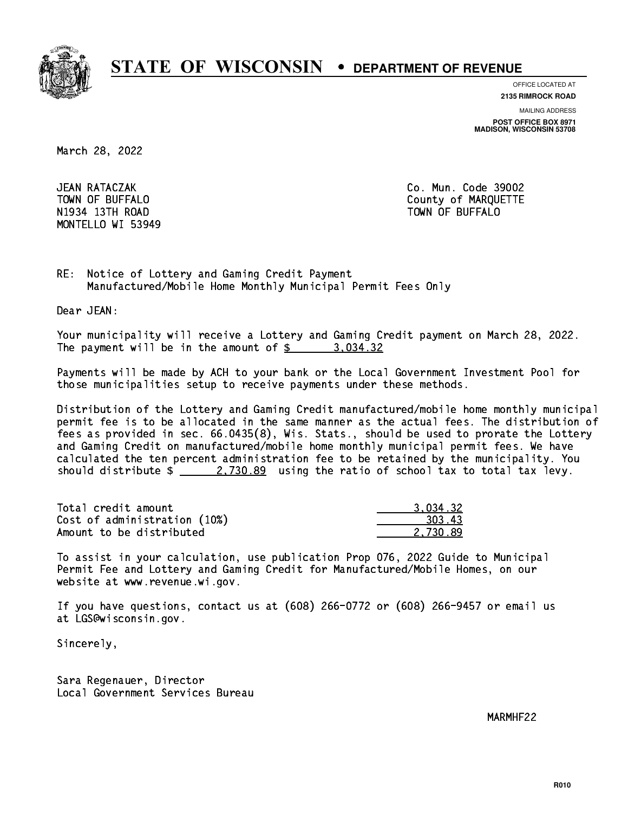

**OFFICE LOCATED AT**

**2135 RIMROCK ROAD**

**MAILING ADDRESS**

**POST OFFICE BOX 8971 MADISON, WISCONSIN 53708**

March 28, 2022

JEAN RATACZAK N1934 13Th Road Town Of Buffalo Town Of Buffalo Town Of Buffalo Town Of Buffalo Town Of Buffalo Town Of Buffalo MONTELLO WI 53949

Co. Mun. Code 39002 TOWN OF BUFFALO **COUNTY OF ALCOHOL** 

RE: Notice of Lottery and Gaming Credit Payment Manufactured/Mobile Home Monthly Municipal Permit Fees Only

Dear JEAN:

 Your municipality will receive a Lottery and Gaming Credit payment on March 28, 2022. The payment will be in the amount of  $\frac{2}{3}$  3,034.32

 Payments will be made by ACH to your bank or the Local Government Investment Pool for those municipalities setup to receive payments under these methods.

 Distribution of the Lottery and Gaming Credit manufactured/mobile home monthly municipal permit fee is to be allocated in the same manner as the actual fees. The distribution of fees as provided in sec. 66.0435(8), Wis. Stats., should be used to prorate the Lottery and Gaming Credit on manufactured/mobile home monthly municipal permit fees. We have calculated the ten percent administration fee to be retained by the municipality. You should distribute  $\frac{2.730.89}{2.730.89}$  using the ratio of school tax to total tax levy.

| Total credit amount          | 3.034.32 |
|------------------------------|----------|
| Cost of administration (10%) | 303.43   |
| Amount to be distributed     | 2.730.89 |

 To assist in your calculation, use publication Prop 076, 2022 Guide to Municipal Permit Fee and Lottery and Gaming Credit for Manufactured/Mobile Homes, on our website at www.revenue.wi.gov.

 If you have questions, contact us at (608) 266-0772 or (608) 266-9457 or email us at LGS@wisconsin.gov.

Sincerely,

 Sara Regenauer, Director Local Government Services Bureau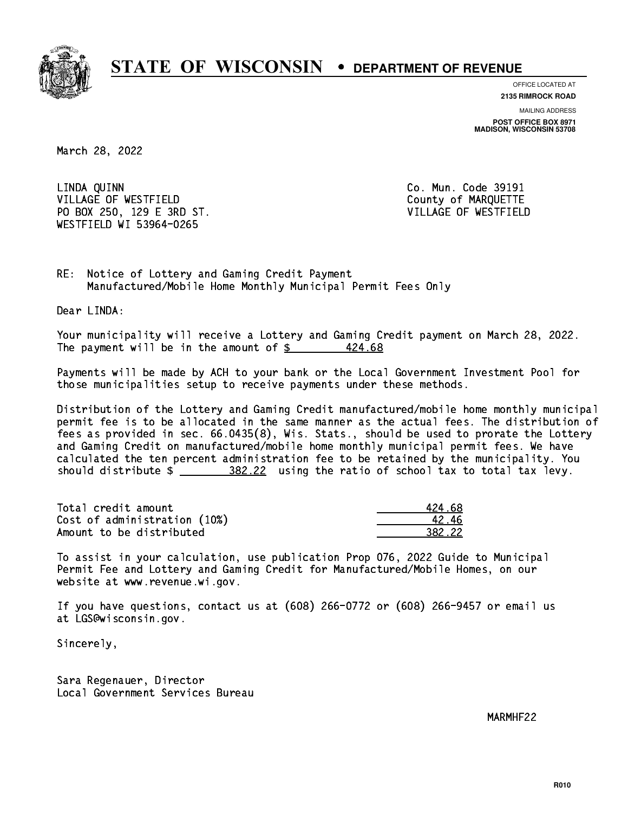

**OFFICE LOCATED AT**

**2135 RIMROCK ROAD**

**MAILING ADDRESS POST OFFICE BOX 8971 MADISON, WISCONSIN 53708**

March 28, 2022

 LINDA QUINN Co. Mun. Code 39191 VILLAGE OF WESTFIELD **COUNTY COUNTY OF MARQUETTE**  PO BOX 250, 129 E 3RD ST. VILLAGE OF WESTFIELD WESTFIELD WI 53964-0265

RE: Notice of Lottery and Gaming Credit Payment Manufactured/Mobile Home Monthly Municipal Permit Fees Only

Dear LINDA:

 Your municipality will receive a Lottery and Gaming Credit payment on March 28, 2022. The payment will be in the amount of  $\frac{2}{3}$ 424.68

 Payments will be made by ACH to your bank or the Local Government Investment Pool for those municipalities setup to receive payments under these methods.

 Distribution of the Lottery and Gaming Credit manufactured/mobile home monthly municipal permit fee is to be allocated in the same manner as the actual fees. The distribution of fees as provided in sec. 66.0435(8), Wis. Stats., should be used to prorate the Lottery and Gaming Credit on manufactured/mobile home monthly municipal permit fees. We have calculated the ten percent administration fee to be retained by the municipality. You should distribute  $\frac{202122}{202}$  using the ratio of school tax to total tax levy.

Total credit amount Cost of administration (10%) Amount to be distributed

| 4 68   |
|--------|
| 12.46  |
| 32.22. |

 To assist in your calculation, use publication Prop 076, 2022 Guide to Municipal Permit Fee and Lottery and Gaming Credit for Manufactured/Mobile Homes, on our website at www.revenue.wi.gov.

 If you have questions, contact us at (608) 266-0772 or (608) 266-9457 or email us at LGS@wisconsin.gov.

Sincerely,

 Sara Regenauer, Director Local Government Services Bureau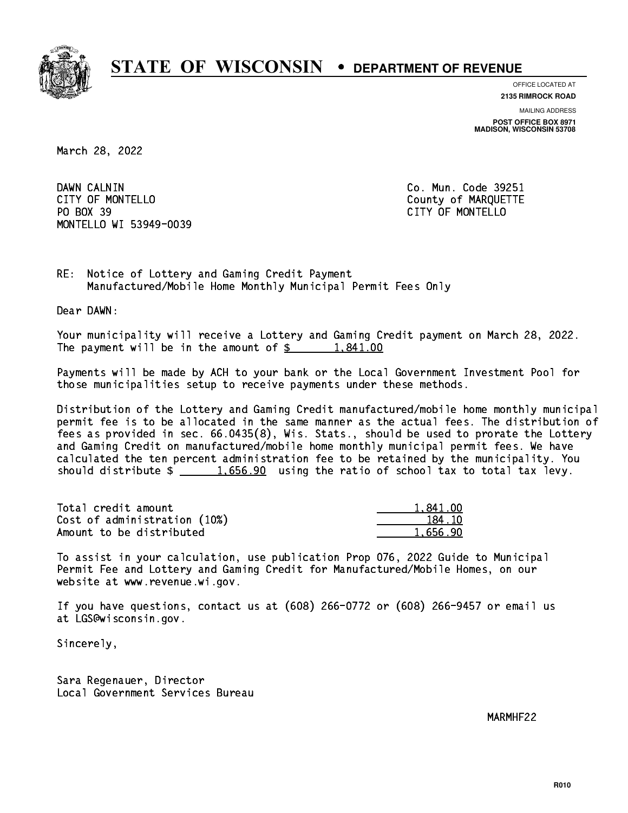

**OFFICE LOCATED AT**

**2135 RIMROCK ROAD**

**MAILING ADDRESS POST OFFICE BOX 8971 MADISON, WISCONSIN 53708**

March 28, 2022

DAWN CALNIN CITY OF MONTELLO **COUNTY OF MARQUETTE** PO BOX 39 PO BOX 39 CITY OF MONTELLO MONTELLO WI 53949-0039

Co. Mun. Code 39251

RE: Notice of Lottery and Gaming Credit Payment Manufactured/Mobile Home Monthly Municipal Permit Fees Only

Dear DAWN:

 Your municipality will receive a Lottery and Gaming Credit payment on March 28, 2022. The payment will be in the amount of  $\frac{2}{3}$  1,841.00

 Payments will be made by ACH to your bank or the Local Government Investment Pool for those municipalities setup to receive payments under these methods.

 Distribution of the Lottery and Gaming Credit manufactured/mobile home monthly municipal permit fee is to be allocated in the same manner as the actual fees. The distribution of fees as provided in sec. 66.0435(8), Wis. Stats., should be used to prorate the Lottery and Gaming Credit on manufactured/mobile home monthly municipal permit fees. We have calculated the ten percent administration fee to be retained by the municipality. You should distribute  $\frac{1.656.90}{1.656.90}$  using the ratio of school tax to total tax levy.

| Total credit amount          | 1,841.00 |
|------------------------------|----------|
| Cost of administration (10%) | 184.10   |
| Amount to be distributed     | 1.656.90 |

 To assist in your calculation, use publication Prop 076, 2022 Guide to Municipal Permit Fee and Lottery and Gaming Credit for Manufactured/Mobile Homes, on our website at www.revenue.wi.gov.

 If you have questions, contact us at (608) 266-0772 or (608) 266-9457 or email us at LGS@wisconsin.gov.

Sincerely,

 Sara Regenauer, Director Local Government Services Bureau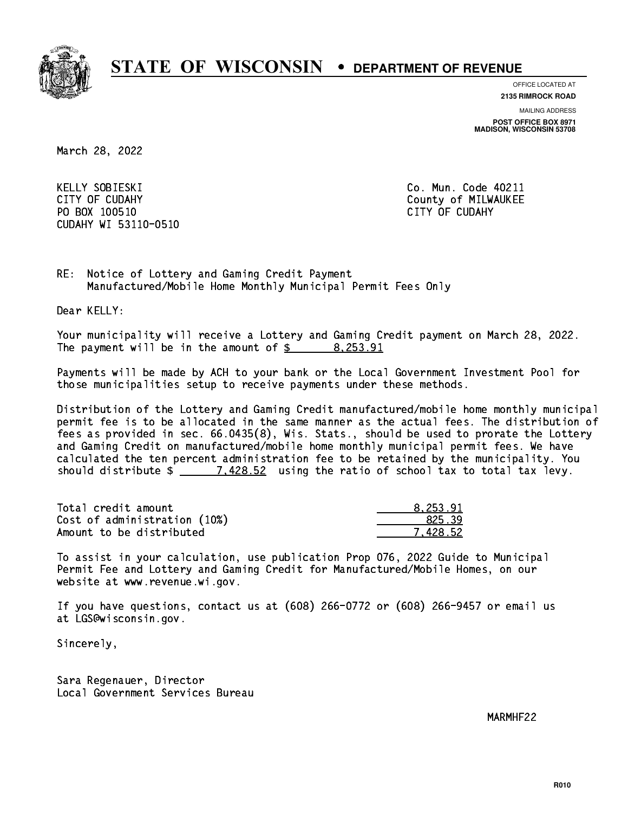

**OFFICE LOCATED AT**

**2135 RIMROCK ROAD**

**MAILING ADDRESS**

**POST OFFICE BOX 8971 MADISON, WISCONSIN 53708**

March 28, 2022

KELLY SOBIESKI CITY OF CUDAHY COUNTY COUNTY COUNTY OF MILWAUKEE PO BOX 100510 CITY OF CUDAHY CUDAHY WI 53110-0510

Co. Mun. Code 40211

RE: Notice of Lottery and Gaming Credit Payment Manufactured/Mobile Home Monthly Municipal Permit Fees Only

Dear KELLY:

 Your municipality will receive a Lottery and Gaming Credit payment on March 28, 2022. The payment will be in the amount of \$ 8,253.91 \_\_\_\_\_\_\_\_\_\_\_\_\_\_\_\_

 Payments will be made by ACH to your bank or the Local Government Investment Pool for those municipalities setup to receive payments under these methods.

 Distribution of the Lottery and Gaming Credit manufactured/mobile home monthly municipal permit fee is to be allocated in the same manner as the actual fees. The distribution of fees as provided in sec. 66.0435(8), Wis. Stats., should be used to prorate the Lottery and Gaming Credit on manufactured/mobile home monthly municipal permit fees. We have calculated the ten percent administration fee to be retained by the municipality. You should distribute  $\frac{2}{2}$   $\frac{7.428.52}{2}$  using the ratio of school tax to total tax levy.

| Total credit amount          | 8.253.91 |
|------------------------------|----------|
| Cost of administration (10%) | 825.39   |
| Amount to be distributed     | 7.428.52 |

 To assist in your calculation, use publication Prop 076, 2022 Guide to Municipal Permit Fee and Lottery and Gaming Credit for Manufactured/Mobile Homes, on our website at www.revenue.wi.gov.

 If you have questions, contact us at (608) 266-0772 or (608) 266-9457 or email us at LGS@wisconsin.gov.

Sincerely,

 Sara Regenauer, Director Local Government Services Bureau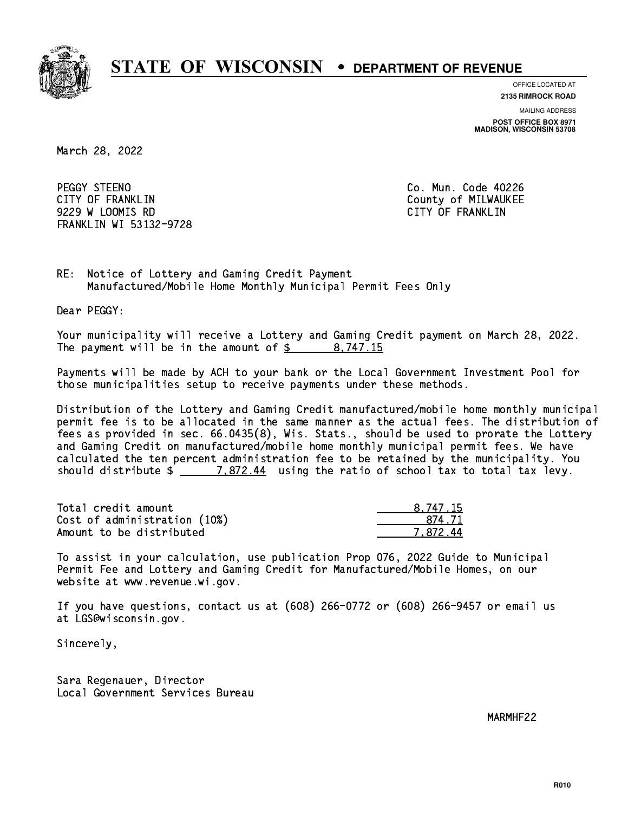

**OFFICE LOCATED AT**

**2135 RIMROCK ROAD**

**MAILING ADDRESS**

**POST OFFICE BOX 8971 MADISON, WISCONSIN 53708**

March 28, 2022

PEGGY STEENO CITY OF FRANKLIN COUNTY OF FRANKLIN 9229 W LOOMIS RD CITY OF FRANKLIN FRANKLIN WI 53132-9728

Co. Mun. Code 40226

RE: Notice of Lottery and Gaming Credit Payment Manufactured/Mobile Home Monthly Municipal Permit Fees Only

Dear PEGGY:

 Your municipality will receive a Lottery and Gaming Credit payment on March 28, 2022. The payment will be in the amount of  $\frac{2}{3}$  8,747.15

 Payments will be made by ACH to your bank or the Local Government Investment Pool for those municipalities setup to receive payments under these methods.

 Distribution of the Lottery and Gaming Credit manufactured/mobile home monthly municipal permit fee is to be allocated in the same manner as the actual fees. The distribution of fees as provided in sec. 66.0435(8), Wis. Stats., should be used to prorate the Lottery and Gaming Credit on manufactured/mobile home monthly municipal permit fees. We have calculated the ten percent administration fee to be retained by the municipality. You should distribute  $\frac{2}{2}$   $\frac{7.872.44}{2}$  using the ratio of school tax to total tax levy.

| Total credit amount          | 8,747.15 |
|------------------------------|----------|
| Cost of administration (10%) | 874.71   |
| Amount to be distributed     | 7.872.44 |

 To assist in your calculation, use publication Prop 076, 2022 Guide to Municipal Permit Fee and Lottery and Gaming Credit for Manufactured/Mobile Homes, on our website at www.revenue.wi.gov.

 If you have questions, contact us at (608) 266-0772 or (608) 266-9457 or email us at LGS@wisconsin.gov.

Sincerely,

 Sara Regenauer, Director Local Government Services Bureau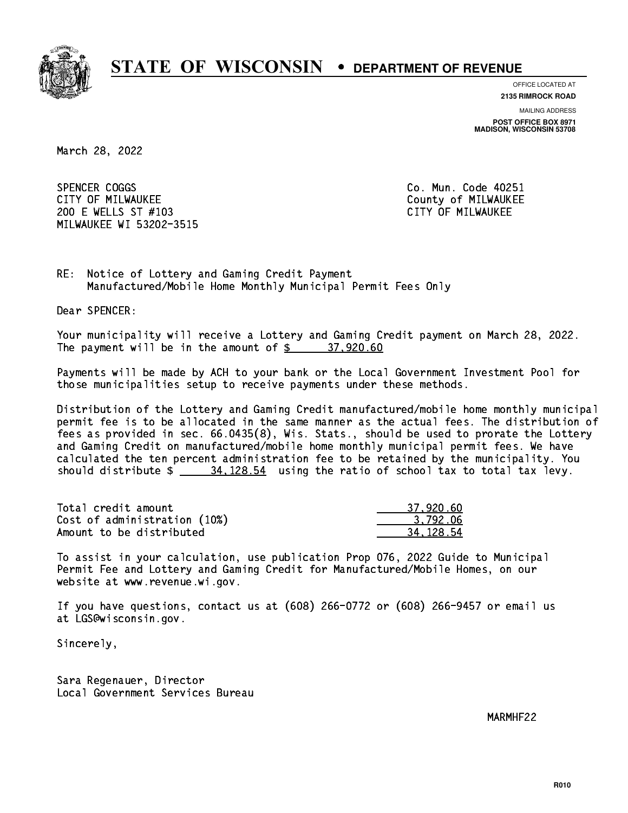

**OFFICE LOCATED AT**

**2135 RIMROCK ROAD**

**MAILING ADDRESS**

**POST OFFICE BOX 8971 MADISON, WISCONSIN 53708**

March 28, 2022

SPENCER COGGS CITY OF MILWAUKEE CITY OF MILWAUKEE 200 E WELLS ST #103 CITY OF MILWAUKEE MILWAUKEE WI 53202-3515

Co. Mun. Code 40251

RE: Notice of Lottery and Gaming Credit Payment Manufactured/Mobile Home Monthly Municipal Permit Fees Only

Dear SPENCER:

 Your municipality will receive a Lottery and Gaming Credit payment on March 28, 2022. The payment will be in the amount of  $\frac{2}{3}$  37,920.60

 Payments will be made by ACH to your bank or the Local Government Investment Pool for those municipalities setup to receive payments under these methods.

 Distribution of the Lottery and Gaming Credit manufactured/mobile home monthly municipal permit fee is to be allocated in the same manner as the actual fees. The distribution of fees as provided in sec. 66.0435(8), Wis. Stats., should be used to prorate the Lottery and Gaming Credit on manufactured/mobile home monthly municipal permit fees. We have calculated the ten percent administration fee to be retained by the municipality. You should distribute  $\frac{24.128.54}{28.54}$  using the ratio of school tax to total tax levy.

| Total credit amount          | 37.920.60 |
|------------------------------|-----------|
| Cost of administration (10%) | 3.792.06  |
| Amount to be distributed     | 34.128.54 |

 To assist in your calculation, use publication Prop 076, 2022 Guide to Municipal Permit Fee and Lottery and Gaming Credit for Manufactured/Mobile Homes, on our website at www.revenue.wi.gov.

 If you have questions, contact us at (608) 266-0772 or (608) 266-9457 or email us at LGS@wisconsin.gov.

Sincerely,

 Sara Regenauer, Director Local Government Services Bureau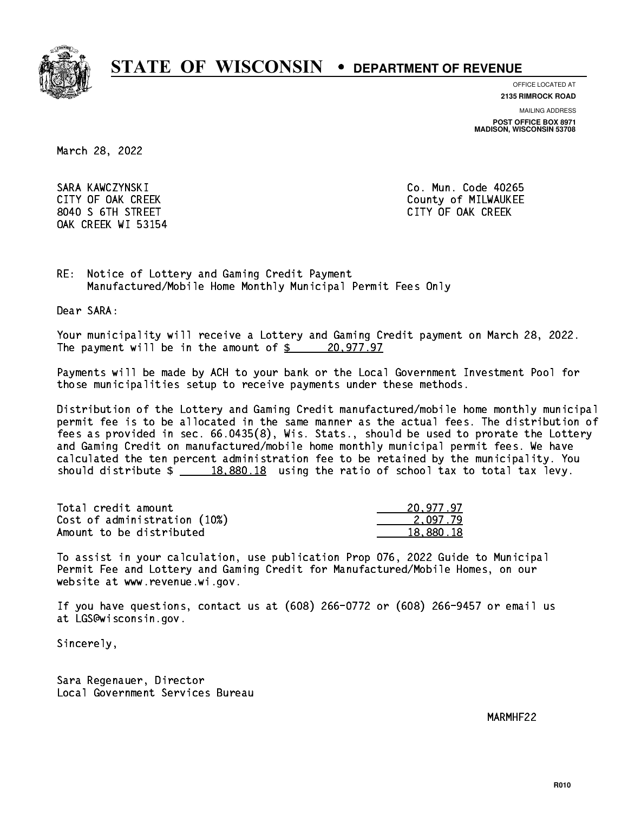

**OFFICE LOCATED AT**

**2135 RIMROCK ROAD**

**MAILING ADDRESS**

**POST OFFICE BOX 8971 MADISON, WISCONSIN 53708**

March 28, 2022

 SARA KAWCZYNSKI Co. Mun. Code 40265 8040 S 6TH STREET CITY OF OAK CREEK OAK CREEK WI 53154

CITY OF OAK CREEK COUNTY COUNTY OF MILWAUKEE

RE: Notice of Lottery and Gaming Credit Payment Manufactured/Mobile Home Monthly Municipal Permit Fees Only

Dear SARA:

 Your municipality will receive a Lottery and Gaming Credit payment on March 28, 2022. The payment will be in the amount of  $\frac{20,977.97}{20,977.97}$ 

 Payments will be made by ACH to your bank or the Local Government Investment Pool for those municipalities setup to receive payments under these methods.

 Distribution of the Lottery and Gaming Credit manufactured/mobile home monthly municipal permit fee is to be allocated in the same manner as the actual fees. The distribution of fees as provided in sec. 66.0435(8), Wis. Stats., should be used to prorate the Lottery and Gaming Credit on manufactured/mobile home monthly municipal permit fees. We have calculated the ten percent administration fee to be retained by the municipality. You should distribute  $\frac{18,880.18}{2}$  using the ratio of school tax to total tax levy.

| Total credit amount          | 20,977.97 |
|------------------------------|-----------|
| Cost of administration (10%) | 2.097.79  |
| Amount to be distributed     | 18.880.18 |

 To assist in your calculation, use publication Prop 076, 2022 Guide to Municipal Permit Fee and Lottery and Gaming Credit for Manufactured/Mobile Homes, on our website at www.revenue.wi.gov.

 If you have questions, contact us at (608) 266-0772 or (608) 266-9457 or email us at LGS@wisconsin.gov.

Sincerely,

 Sara Regenauer, Director Local Government Services Bureau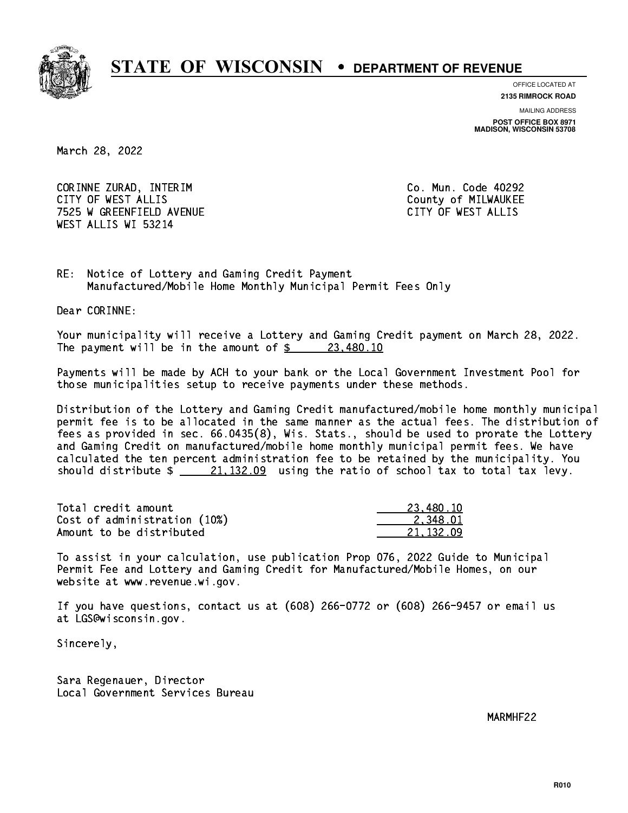

**OFFICE LOCATED AT**

**2135 RIMROCK ROAD**

**MAILING ADDRESS**

**POST OFFICE BOX 8971 MADISON, WISCONSIN 53708**

March 28, 2022

 CORINNE ZURAD, INTERIM Co. Mun. Code 40292 CITY OF WEST ALLIS COUNTY OF MILWAUKEE 7525 W GREENFIELD AVENUE CITY OF WEST ALLIS WEST ALLIS WI 53214

RE: Notice of Lottery and Gaming Credit Payment Manufactured/Mobile Home Monthly Municipal Permit Fees Only

Dear CORINNE:

 Your municipality will receive a Lottery and Gaming Credit payment on March 28, 2022. The payment will be in the amount of  $\frac{23,480.10}{20}$ 

 Payments will be made by ACH to your bank or the Local Government Investment Pool for those municipalities setup to receive payments under these methods.

 Distribution of the Lottery and Gaming Credit manufactured/mobile home monthly municipal permit fee is to be allocated in the same manner as the actual fees. The distribution of fees as provided in sec. 66.0435(8), Wis. Stats., should be used to prorate the Lottery and Gaming Credit on manufactured/mobile home monthly municipal permit fees. We have calculated the ten percent administration fee to be retained by the municipality. You should distribute  $\frac{21,132.09}{21,132.09}$  using the ratio of school tax to total tax levy.

| Total credit amount          | 23,480.10 |
|------------------------------|-----------|
| Cost of administration (10%) | 2.348.01  |
| Amount to be distributed     | 21.132.09 |

 To assist in your calculation, use publication Prop 076, 2022 Guide to Municipal Permit Fee and Lottery and Gaming Credit for Manufactured/Mobile Homes, on our website at www.revenue.wi.gov.

 If you have questions, contact us at (608) 266-0772 or (608) 266-9457 or email us at LGS@wisconsin.gov.

Sincerely,

 Sara Regenauer, Director Local Government Services Bureau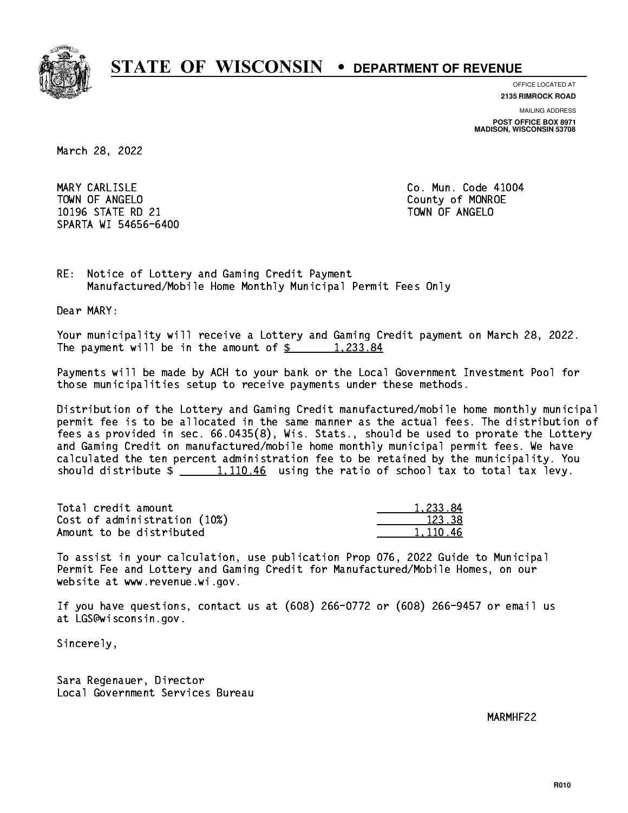

**OFFICE LOCATED AT**

**2135 RIMROCK ROAD**

**MAILING ADDRESS**

**POST OFFICE BOX 8971 MADISON, WISCONSIN 53708**

March 28, 2022

MARY CARLISLE TOWN OF ANGELO County of MONROE 10196 STATE RD 21 TOWN OF ANGELO SPARTA WI 54656-6400

Co. Mun. Code 41004

RE: Notice of Lottery and Gaming Credit Payment Manufactured/Mobile Home Monthly Municipal Permit Fees Only

Dear MARY:

 Your municipality will receive a Lottery and Gaming Credit payment on March 28, 2022. The payment will be in the amount of  $\frac{2}{3}$  1,233.84

 Payments will be made by ACH to your bank or the Local Government Investment Pool for those municipalities setup to receive payments under these methods.

 Distribution of the Lottery and Gaming Credit manufactured/mobile home monthly municipal permit fee is to be allocated in the same manner as the actual fees. The distribution of fees as provided in sec. 66.0435(8), Wis. Stats., should be used to prorate the Lottery and Gaming Credit on manufactured/mobile home monthly municipal permit fees. We have calculated the ten percent administration fee to be retained by the municipality. You should distribute  $\frac{1,110.46}{2}$  using the ratio of school tax to total tax levy.

| Total credit amount          | 1.233.84 |
|------------------------------|----------|
| Cost of administration (10%) | 123.38   |
| Amount to be distributed     | 1.110.46 |

 To assist in your calculation, use publication Prop 076, 2022 Guide to Municipal Permit Fee and Lottery and Gaming Credit for Manufactured/Mobile Homes, on our website at www.revenue.wi.gov.

 If you have questions, contact us at (608) 266-0772 or (608) 266-9457 or email us at LGS@wisconsin.gov.

Sincerely,

 Sara Regenauer, Director Local Government Services Bureau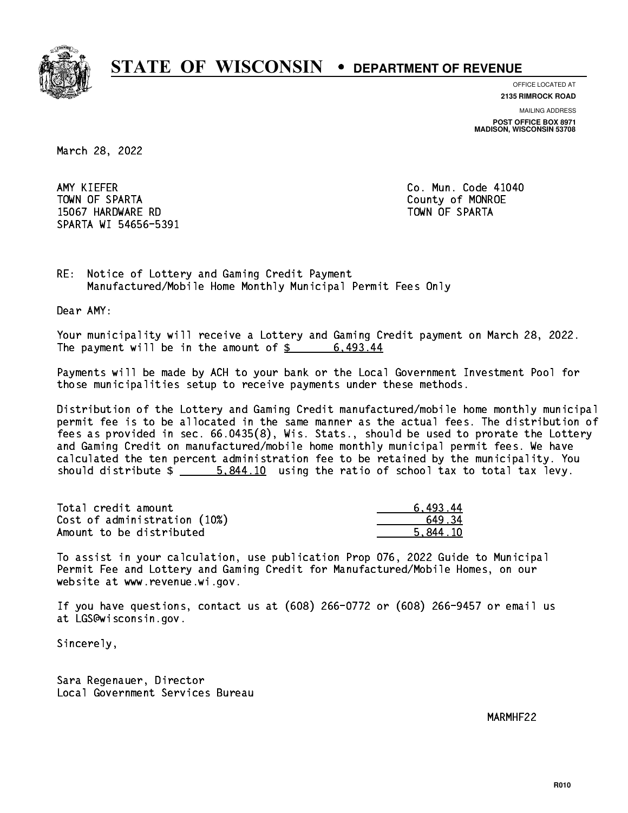

**OFFICE LOCATED AT**

**2135 RIMROCK ROAD**

**MAILING ADDRESS POST OFFICE BOX 8971 MADISON, WISCONSIN 53708**

March 28, 2022

AMY KIEFER TOWN OF SPARTA County of MONROE 15067 HARDWARE RD TOWN OF SPARTA SPARTA WI 54656-5391

Co. Mun. Code 41040

RE: Notice of Lottery and Gaming Credit Payment Manufactured/Mobile Home Monthly Municipal Permit Fees Only

Dear AMY:

 Your municipality will receive a Lottery and Gaming Credit payment on March 28, 2022. The payment will be in the amount of  $\frac{2}{3}$  6,493.44

 Payments will be made by ACH to your bank or the Local Government Investment Pool for those municipalities setup to receive payments under these methods.

 Distribution of the Lottery and Gaming Credit manufactured/mobile home monthly municipal permit fee is to be allocated in the same manner as the actual fees. The distribution of fees as provided in sec. 66.0435(8), Wis. Stats., should be used to prorate the Lottery and Gaming Credit on manufactured/mobile home monthly municipal permit fees. We have calculated the ten percent administration fee to be retained by the municipality. You should distribute  $\frac{2}{1}$   $\frac{5.844.10}{10}$  using the ratio of school tax to total tax levy.

| Total credit amount          | 6.493.44 |
|------------------------------|----------|
| Cost of administration (10%) | 64934    |
| Amount to be distributed     | 5.844.10 |

 To assist in your calculation, use publication Prop 076, 2022 Guide to Municipal Permit Fee and Lottery and Gaming Credit for Manufactured/Mobile Homes, on our website at www.revenue.wi.gov.

 If you have questions, contact us at (608) 266-0772 or (608) 266-9457 or email us at LGS@wisconsin.gov.

Sincerely,

 Sara Regenauer, Director Local Government Services Bureau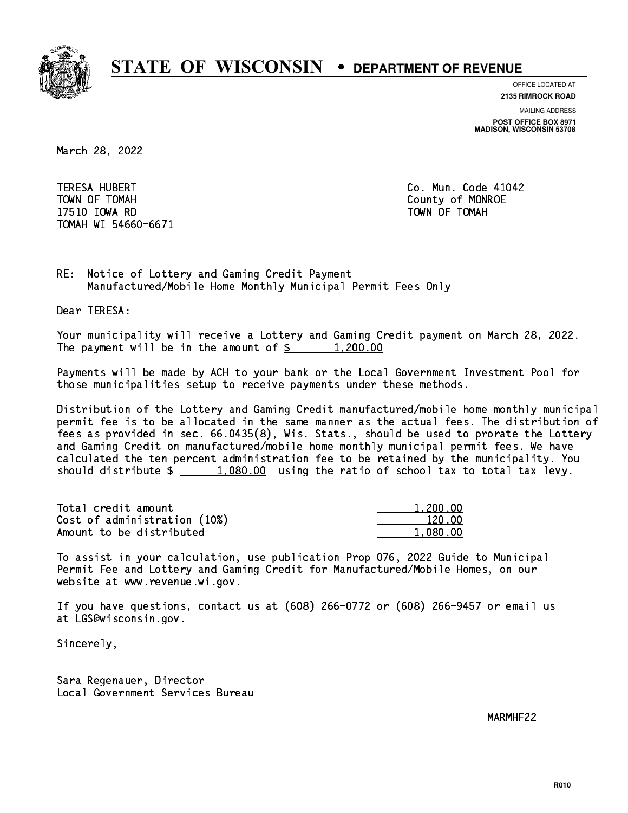

**OFFICE LOCATED AT 2135 RIMROCK ROAD**

**MAILING ADDRESS**

**POST OFFICE BOX 8971 MADISON, WISCONSIN 53708**

March 28, 2022

 TERESA HUBERT Co. Mun. Code 41042 TOWN OF TOMAH County of MONROE 17510 IOWA RD TOWN OF TOMAH TOMAH WI 54660-6671

RE: Notice of Lottery and Gaming Credit Payment Manufactured/Mobile Home Monthly Municipal Permit Fees Only

Dear TERESA:

 Your municipality will receive a Lottery and Gaming Credit payment on March 28, 2022. The payment will be in the amount of  $\frac{200.00}{200}$ 

 Payments will be made by ACH to your bank or the Local Government Investment Pool for those municipalities setup to receive payments under these methods.

 Distribution of the Lottery and Gaming Credit manufactured/mobile home monthly municipal permit fee is to be allocated in the same manner as the actual fees. The distribution of fees as provided in sec. 66.0435(8), Wis. Stats., should be used to prorate the Lottery and Gaming Credit on manufactured/mobile home monthly municipal permit fees. We have calculated the ten percent administration fee to be retained by the municipality. You should distribute  $\frac{1,080.00}{1,080.00}$  using the ratio of school tax to total tax levy.

| Total credit amount          | 1,200.00 |
|------------------------------|----------|
| Cost of administration (10%) | 120.00   |
| Amount to be distributed     | 1.080.00 |

 To assist in your calculation, use publication Prop 076, 2022 Guide to Municipal Permit Fee and Lottery and Gaming Credit for Manufactured/Mobile Homes, on our website at www.revenue.wi.gov.

 If you have questions, contact us at (608) 266-0772 or (608) 266-9457 or email us at LGS@wisconsin.gov.

Sincerely,

 Sara Regenauer, Director Local Government Services Bureau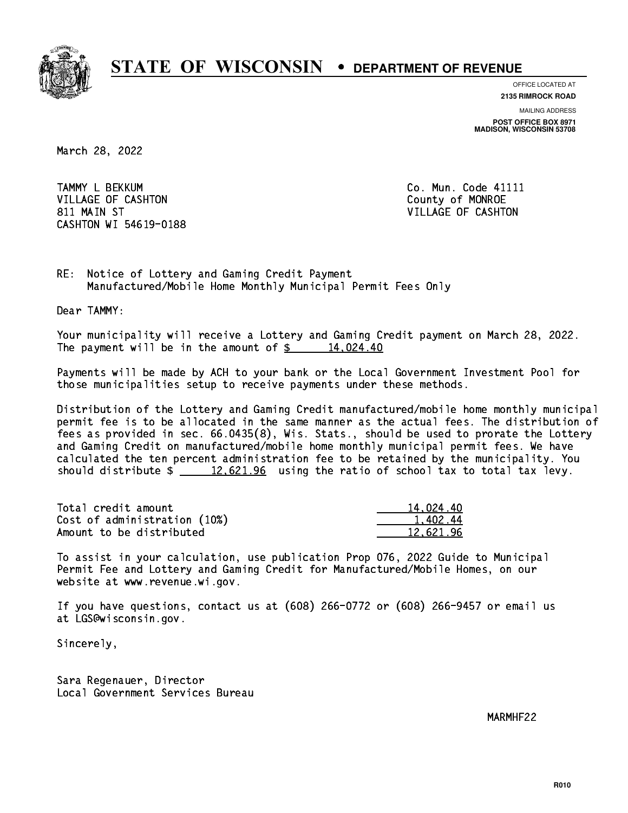

**OFFICE LOCATED AT**

**2135 RIMROCK ROAD**

**MAILING ADDRESS POST OFFICE BOX 8971 MADISON, WISCONSIN 53708**

March 28, 2022

 TAMMY L BEKKUM Co. Mun. Code 41111 VILLAGE OF CASHTON COUNTY OF MONROE 811 MAIN ST VILLAGE OF CASHTON CASHTON WI 54619-0188

RE: Notice of Lottery and Gaming Credit Payment Manufactured/Mobile Home Monthly Municipal Permit Fees Only

Dear TAMMY:

 Your municipality will receive a Lottery and Gaming Credit payment on March 28, 2022. The payment will be in the amount of  $\frac{2}{3}$  14,024.40

 Payments will be made by ACH to your bank or the Local Government Investment Pool for those municipalities setup to receive payments under these methods.

 Distribution of the Lottery and Gaming Credit manufactured/mobile home monthly municipal permit fee is to be allocated in the same manner as the actual fees. The distribution of fees as provided in sec. 66.0435(8), Wis. Stats., should be used to prorate the Lottery and Gaming Credit on manufactured/mobile home monthly municipal permit fees. We have calculated the ten percent administration fee to be retained by the municipality. You should distribute  $\frac{2}{2}$   $\frac{12,621.96}{2}$  using the ratio of school tax to total tax levy.

| Total credit amount          | 14.024.40 |
|------------------------------|-----------|
| Cost of administration (10%) | 1.402.44  |
| Amount to be distributed     | 12.621.96 |

 To assist in your calculation, use publication Prop 076, 2022 Guide to Municipal Permit Fee and Lottery and Gaming Credit for Manufactured/Mobile Homes, on our website at www.revenue.wi.gov.

 If you have questions, contact us at (608) 266-0772 or (608) 266-9457 or email us at LGS@wisconsin.gov.

Sincerely,

 Sara Regenauer, Director Local Government Services Bureau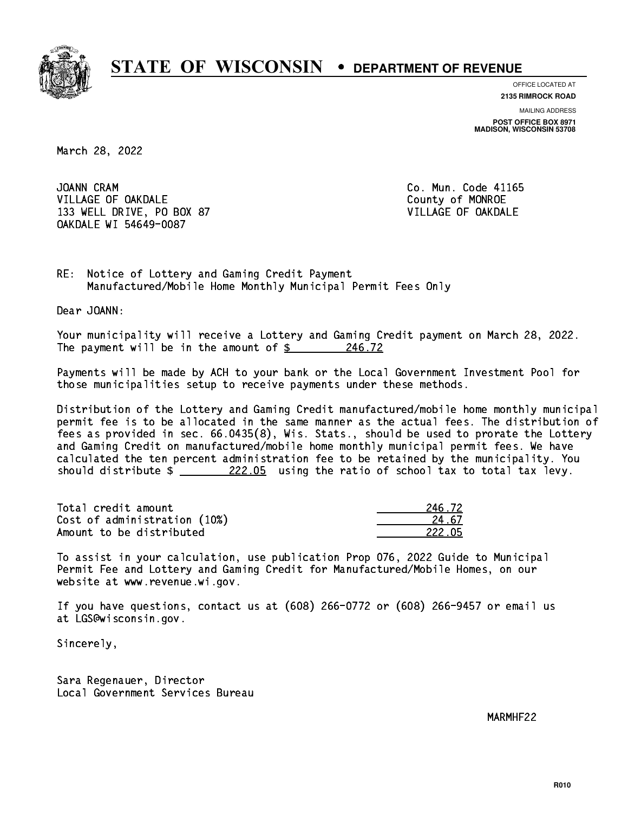

**OFFICE LOCATED AT 2135 RIMROCK ROAD**

**MAILING ADDRESS**

**POST OFFICE BOX 8971 MADISON, WISCONSIN 53708**

March 28, 2022

JOANN CRAM VILLAGE OF OAKDALE COUNTY OF MONROE 133 WELL DRIVE, PO BOX 87 VILLAGE OF OAKDALE OAKDALE WI 54649-0087

Co. Mun. Code 41165

RE: Notice of Lottery and Gaming Credit Payment Manufactured/Mobile Home Monthly Municipal Permit Fees Only

Dear JOANN:

 Your municipality will receive a Lottery and Gaming Credit payment on March 28, 2022. The payment will be in the amount of  $\frac{246.72}{2}$ 

 Payments will be made by ACH to your bank or the Local Government Investment Pool for those municipalities setup to receive payments under these methods.

 Distribution of the Lottery and Gaming Credit manufactured/mobile home monthly municipal permit fee is to be allocated in the same manner as the actual fees. The distribution of fees as provided in sec. 66.0435(8), Wis. Stats., should be used to prorate the Lottery and Gaming Credit on manufactured/mobile home monthly municipal permit fees. We have calculated the ten percent administration fee to be retained by the municipality. You should distribute  $\frac{222.05}{\frac{222.05}{\frac{222.05}{\frac{222.05}{\frac{222.05}{\frac{222.05}{\frac{222.05}{\frac{222.05}{\frac{222.05}{\frac{222.05}{\frac{222.05}{\frac{222.05}{\frac{222.05}{\frac{222.05}{\frac{222.05}{\frac{222.05}{\frac{222.05}{\frac{222.05}{\frac{222.05}{\frac{222.05}{\frac$ 

Total credit amount Cost of administration (10%) Amount to be distributed

| 5.72   |
|--------|
| 4.67   |
| 222 N5 |

 To assist in your calculation, use publication Prop 076, 2022 Guide to Municipal Permit Fee and Lottery and Gaming Credit for Manufactured/Mobile Homes, on our website at www.revenue.wi.gov.

 If you have questions, contact us at (608) 266-0772 or (608) 266-9457 or email us at LGS@wisconsin.gov.

Sincerely,

 Sara Regenauer, Director Local Government Services Bureau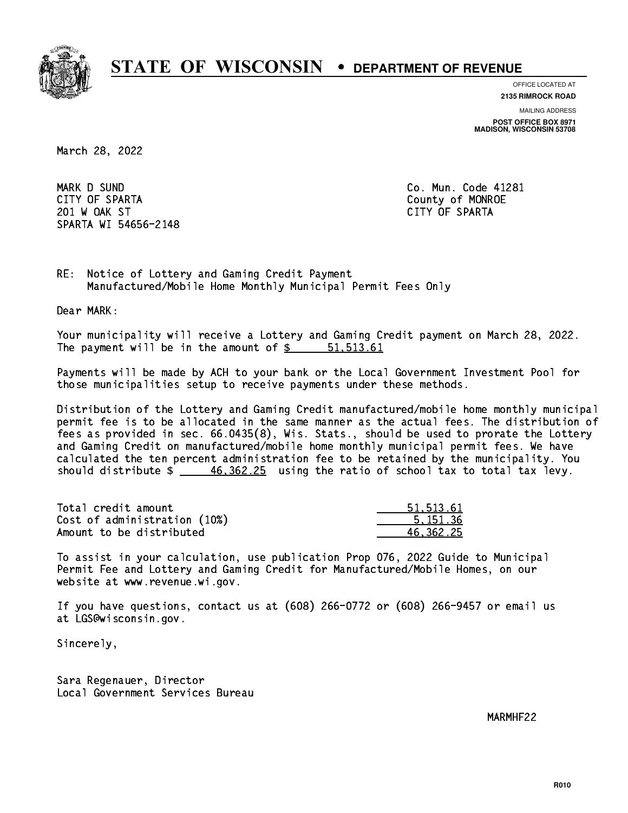

**OFFICE LOCATED AT**

**2135 RIMROCK ROAD**

**MAILING ADDRESS**

**POST OFFICE BOX 8971 MADISON, WISCONSIN 53708**

March 28, 2022

 MARK D SUND Co. Mun. Code 41281 CITY OF SPARTA County of MONROE 201 W OAK ST CITY OF SPARTA SPARTA WI 54656-2148

RE: Notice of Lottery and Gaming Credit Payment Manufactured/Mobile Home Monthly Municipal Permit Fees Only

Dear MARK:

 Your municipality will receive a Lottery and Gaming Credit payment on March 28, 2022. The payment will be in the amount of \$ 51,513.61 \_\_\_\_\_\_\_\_\_\_\_\_\_\_\_\_

 Payments will be made by ACH to your bank or the Local Government Investment Pool for those municipalities setup to receive payments under these methods.

 Distribution of the Lottery and Gaming Credit manufactured/mobile home monthly municipal permit fee is to be allocated in the same manner as the actual fees. The distribution of fees as provided in sec. 66.0435(8), Wis. Stats., should be used to prorate the Lottery and Gaming Credit on manufactured/mobile home monthly municipal permit fees. We have calculated the ten percent administration fee to be retained by the municipality. You should distribute  $\frac{46,362.25}{2}$  using the ratio of school tax to total tax levy.

| Total credit amount          | 51, 513, 61 |
|------------------------------|-------------|
| Cost of administration (10%) | 5.151.36    |
| Amount to be distributed     | 46.362.25   |

 To assist in your calculation, use publication Prop 076, 2022 Guide to Municipal Permit Fee and Lottery and Gaming Credit for Manufactured/Mobile Homes, on our website at www.revenue.wi.gov.

 If you have questions, contact us at (608) 266-0772 or (608) 266-9457 or email us at LGS@wisconsin.gov.

Sincerely,

 Sara Regenauer, Director Local Government Services Bureau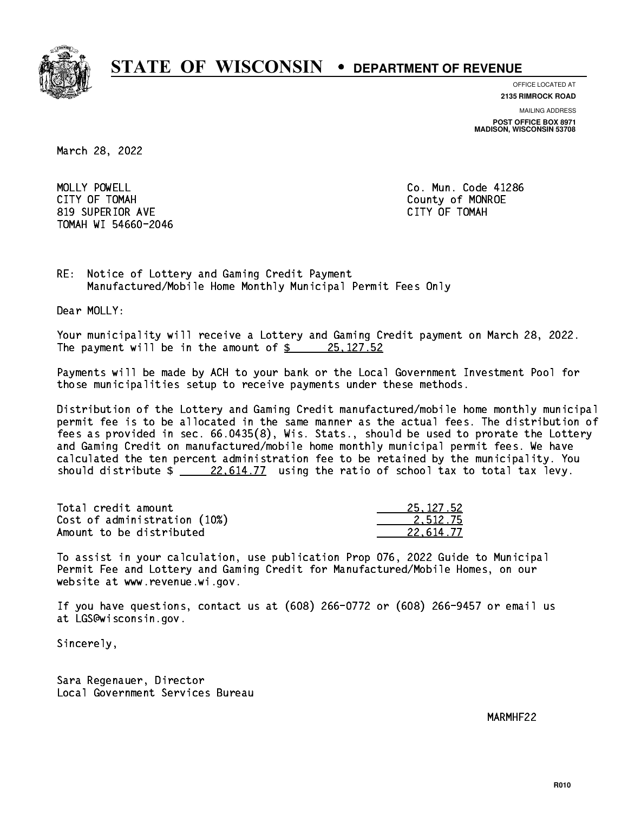

**OFFICE LOCATED AT**

**MAILING ADDRESS 2135 RIMROCK ROAD**

**POST OFFICE BOX 8971 MADISON, WISCONSIN 53708**

March 28, 2022

 MOLLY POWELL Co. Mun. Code 41286 CITY OF TOMAH County of MONROE 819 SUPERIOR AVE CITY OF TOMAH TOMAH WI 54660-2046

RE: Notice of Lottery and Gaming Credit Payment Manufactured/Mobile Home Monthly Municipal Permit Fees Only

Dear MOLLY:

 Your municipality will receive a Lottery and Gaming Credit payment on March 28, 2022. The payment will be in the amount of  $\frac{25,127.52}{25,127.52}$ 

 Payments will be made by ACH to your bank or the Local Government Investment Pool for those municipalities setup to receive payments under these methods.

 Distribution of the Lottery and Gaming Credit manufactured/mobile home monthly municipal permit fee is to be allocated in the same manner as the actual fees. The distribution of fees as provided in sec. 66.0435(8), Wis. Stats., should be used to prorate the Lottery and Gaming Credit on manufactured/mobile home monthly municipal permit fees. We have calculated the ten percent administration fee to be retained by the municipality. You should distribute  $\frac{22,614.77}{2}$  using the ratio of school tax to total tax levy.

| Total credit amount          | 25, 127, 52 |
|------------------------------|-------------|
| Cost of administration (10%) | 2.512.75    |
| Amount to be distributed     | 22.614.77   |

 To assist in your calculation, use publication Prop 076, 2022 Guide to Municipal Permit Fee and Lottery and Gaming Credit for Manufactured/Mobile Homes, on our website at www.revenue.wi.gov.

 If you have questions, contact us at (608) 266-0772 or (608) 266-9457 or email us at LGS@wisconsin.gov.

Sincerely,

 Sara Regenauer, Director Local Government Services Bureau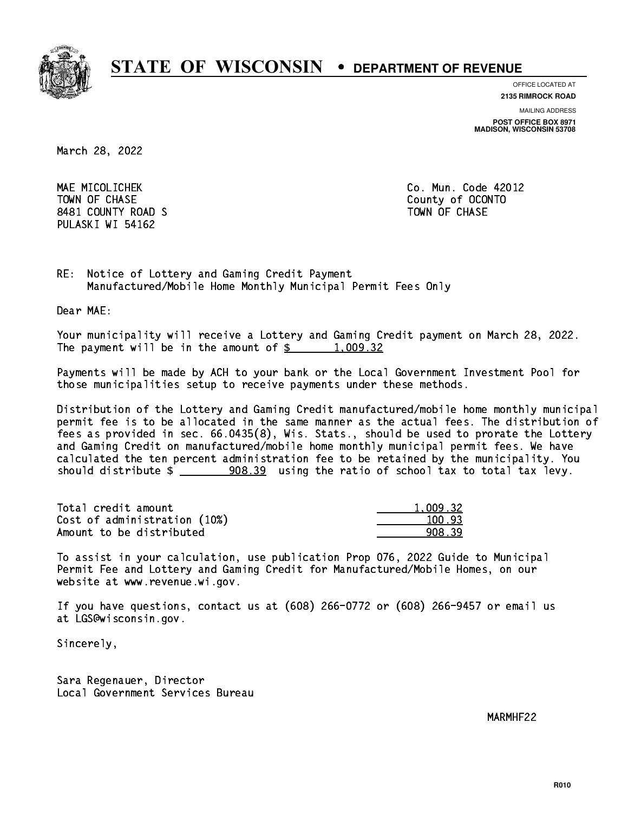

**OFFICE LOCATED AT**

**2135 RIMROCK ROAD**

**MAILING ADDRESS POST OFFICE BOX 8971 MADISON, WISCONSIN 53708**

March 28, 2022

 MAE MICOLICHEK Co. Mun. Code 42012 TOWN OF CHASE County of OCONTO 8481 COUNTY ROAD S TOWN OF CHASE PULASKI WI 54162

RE: Notice of Lottery and Gaming Credit Payment Manufactured/Mobile Home Monthly Municipal Permit Fees Only

Dear MAE:

 Your municipality will receive a Lottery and Gaming Credit payment on March 28, 2022. The payment will be in the amount of  $\frac{2}{3}$  1,009.32

 Payments will be made by ACH to your bank or the Local Government Investment Pool for those municipalities setup to receive payments under these methods.

 Distribution of the Lottery and Gaming Credit manufactured/mobile home monthly municipal permit fee is to be allocated in the same manner as the actual fees. The distribution of fees as provided in sec. 66.0435(8), Wis. Stats., should be used to prorate the Lottery and Gaming Credit on manufactured/mobile home monthly municipal permit fees. We have calculated the ten percent administration fee to be retained by the municipality. You should distribute  $\frac{208.39}{208.39}$  using the ratio of school tax to total tax levy.

| Total credit amount          | 1.009.32 |
|------------------------------|----------|
| Cost of administration (10%) | 100.93   |
| Amount to be distributed     | 908.39   |

 To assist in your calculation, use publication Prop 076, 2022 Guide to Municipal Permit Fee and Lottery and Gaming Credit for Manufactured/Mobile Homes, on our website at www.revenue.wi.gov.

 If you have questions, contact us at (608) 266-0772 or (608) 266-9457 or email us at LGS@wisconsin.gov.

Sincerely,

 Sara Regenauer, Director Local Government Services Bureau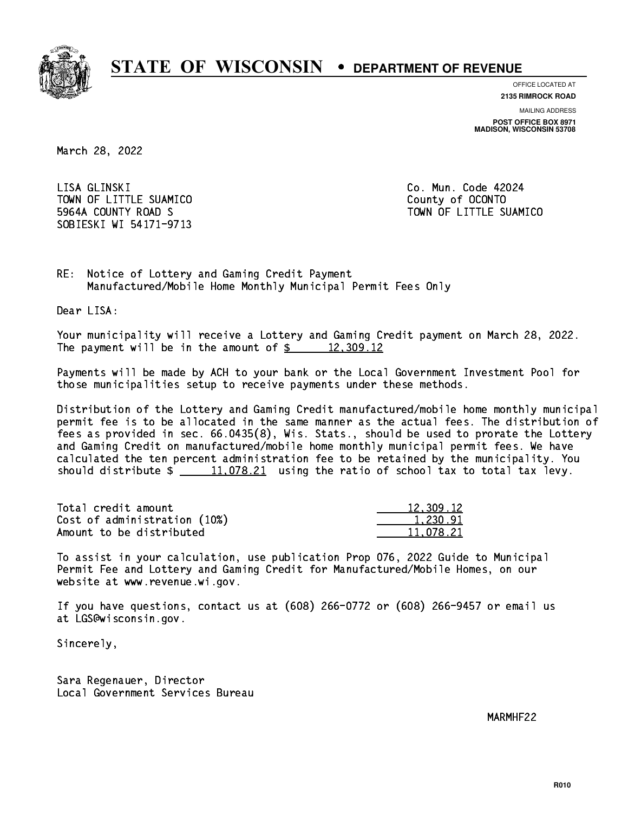

**OFFICE LOCATED AT**

**2135 RIMROCK ROAD**

**MAILING ADDRESS POST OFFICE BOX 8971 MADISON, WISCONSIN 53708**

March 28, 2022

LISA GLINSKI TOWN OF LITTLE SUAMICO **COUNTY COUNTY COUNTY**  5964A COUNTY ROAD S TOWN OF LITTLE SUAMICO SOBIESKI WI 54171-9713

Co. Mun. Code 42024

RE: Notice of Lottery and Gaming Credit Payment Manufactured/Mobile Home Monthly Municipal Permit Fees Only

Dear LISA:

 Your municipality will receive a Lottery and Gaming Credit payment on March 28, 2022. The payment will be in the amount of  $\frac{2}{3}$  12,309.12

 Payments will be made by ACH to your bank or the Local Government Investment Pool for those municipalities setup to receive payments under these methods.

 Distribution of the Lottery and Gaming Credit manufactured/mobile home monthly municipal permit fee is to be allocated in the same manner as the actual fees. The distribution of fees as provided in sec. 66.0435(8), Wis. Stats., should be used to prorate the Lottery and Gaming Credit on manufactured/mobile home monthly municipal permit fees. We have calculated the ten percent administration fee to be retained by the municipality. You should distribute  $\frac{11,078.21}{2}$  using the ratio of school tax to total tax levy.

| Total credit amount          | 12,309.12 |
|------------------------------|-----------|
| Cost of administration (10%) | 1.230.91  |
| Amount to be distributed     | 11.078.21 |

 To assist in your calculation, use publication Prop 076, 2022 Guide to Municipal Permit Fee and Lottery and Gaming Credit for Manufactured/Mobile Homes, on our website at www.revenue.wi.gov.

 If you have questions, contact us at (608) 266-0772 or (608) 266-9457 or email us at LGS@wisconsin.gov.

Sincerely,

 Sara Regenauer, Director Local Government Services Bureau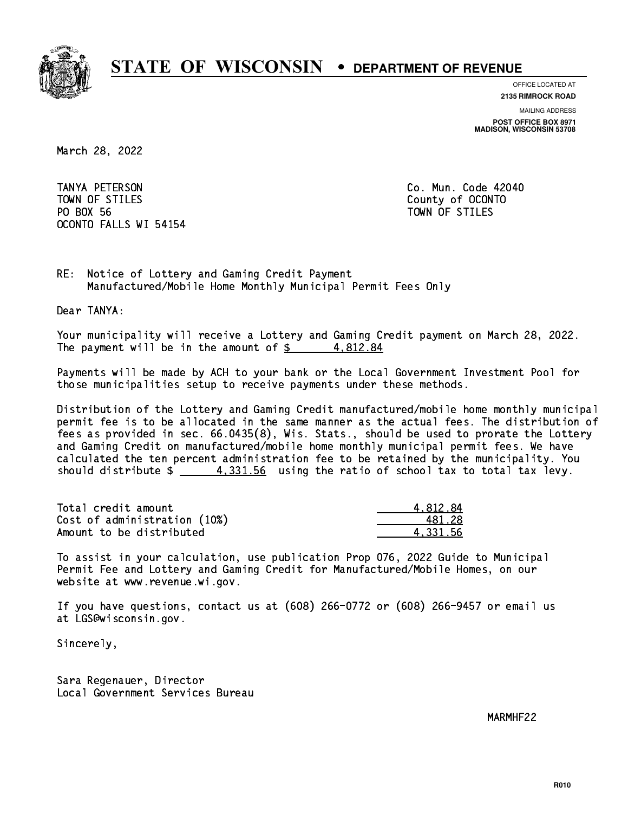

**OFFICE LOCATED AT**

**2135 RIMROCK ROAD**

**MAILING ADDRESS POST OFFICE BOX 8971 MADISON, WISCONSIN 53708**

March 28, 2022

 TANYA PETERSON Co. Mun. Code 42040 TOWN OF STILES County of OCONTO PO BOX 56 PO BOX 56 TOWN OF STILES OCONTO FALLS WI 54154

RE: Notice of Lottery and Gaming Credit Payment Manufactured/Mobile Home Monthly Municipal Permit Fees Only

Dear TANYA:

 Your municipality will receive a Lottery and Gaming Credit payment on March 28, 2022. The payment will be in the amount of  $\frac{2}{3}$  4,812.84

 Payments will be made by ACH to your bank or the Local Government Investment Pool for those municipalities setup to receive payments under these methods.

 Distribution of the Lottery and Gaming Credit manufactured/mobile home monthly municipal permit fee is to be allocated in the same manner as the actual fees. The distribution of fees as provided in sec. 66.0435(8), Wis. Stats., should be used to prorate the Lottery and Gaming Credit on manufactured/mobile home monthly municipal permit fees. We have calculated the ten percent administration fee to be retained by the municipality. You should distribute  $\frac{4}{3}$   $\frac{4}{3}$ .  $\frac{331.56}{30}$  using the ratio of school tax to total tax levy.

| Total credit amount          | 4.812.84 |
|------------------------------|----------|
| Cost of administration (10%) | 481.28   |
| Amount to be distributed     | 4.331.56 |

 To assist in your calculation, use publication Prop 076, 2022 Guide to Municipal Permit Fee and Lottery and Gaming Credit for Manufactured/Mobile Homes, on our website at www.revenue.wi.gov.

 If you have questions, contact us at (608) 266-0772 or (608) 266-9457 or email us at LGS@wisconsin.gov.

Sincerely,

 Sara Regenauer, Director Local Government Services Bureau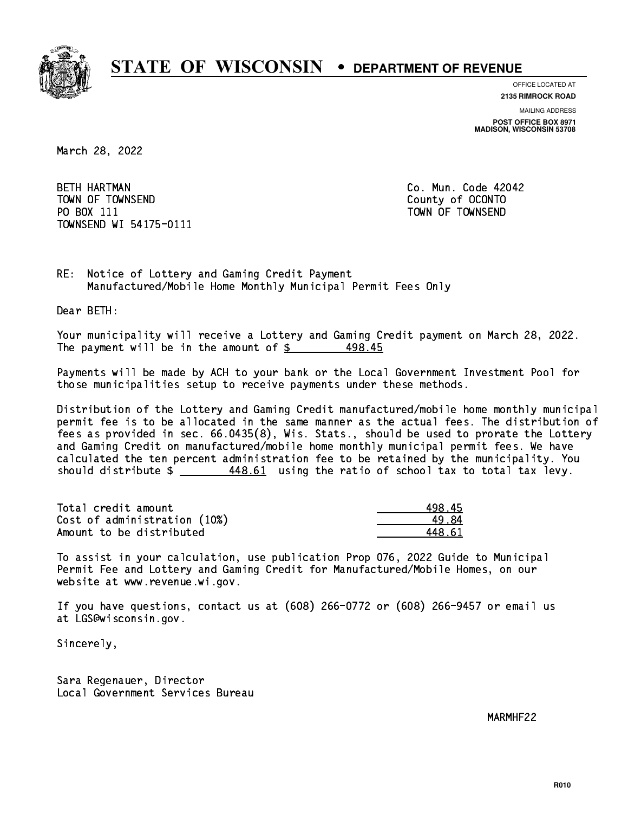

**OFFICE LOCATED AT**

**2135 RIMROCK ROAD**

**MAILING ADDRESS POST OFFICE BOX 8971 MADISON, WISCONSIN 53708**

March 28, 2022

**BETH HARTMAN**  TOWN OF TOWNSEND County of OCONTO PO BOX 111 PO BOX 111 TOWN OF TOWNSEND TOWNSEND WI 54175-0111

Co. Mun. Code 42042

RE: Notice of Lottery and Gaming Credit Payment Manufactured/Mobile Home Monthly Municipal Permit Fees Only

Dear BETH:

 Your municipality will receive a Lottery and Gaming Credit payment on March 28, 2022. The payment will be in the amount of  $\frac{25}{3}$ 498.45

 Payments will be made by ACH to your bank or the Local Government Investment Pool for those municipalities setup to receive payments under these methods.

 Distribution of the Lottery and Gaming Credit manufactured/mobile home monthly municipal permit fee is to be allocated in the same manner as the actual fees. The distribution of fees as provided in sec. 66.0435(8), Wis. Stats., should be used to prorate the Lottery and Gaming Credit on manufactured/mobile home monthly municipal permit fees. We have calculated the ten percent administration fee to be retained by the municipality. You should distribute \$ 448.61 using the ratio of school tax to total tax levy. \_\_\_\_\_\_\_\_\_\_\_\_\_\_

| Total credit amount          | 498.45 |
|------------------------------|--------|
| Cost of administration (10%) | 19 R1  |
| Amount to be distributed     | 448 G1 |

 To assist in your calculation, use publication Prop 076, 2022 Guide to Municipal Permit Fee and Lottery and Gaming Credit for Manufactured/Mobile Homes, on our website at www.revenue.wi.gov.

 If you have questions, contact us at (608) 266-0772 or (608) 266-9457 or email us at LGS@wisconsin.gov.

Sincerely,

 Sara Regenauer, Director Local Government Services Bureau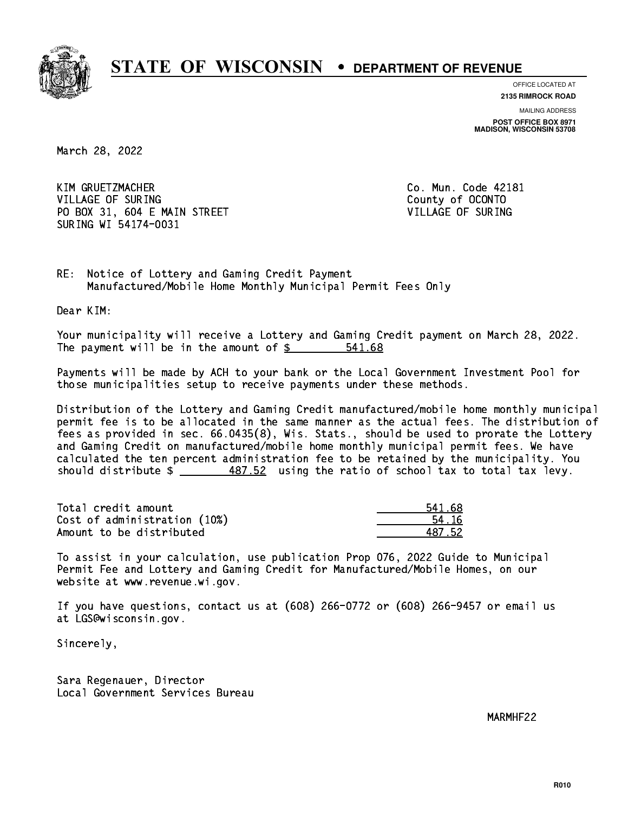

**OFFICE LOCATED AT**

**2135 RIMROCK ROAD**

**MAILING ADDRESS POST OFFICE BOX 8971 MADISON, WISCONSIN 53708**

March 28, 2022

 KIM GRUETZMACHER Co. Mun. Code 42181 VILLAGE OF SURING COUNTY OF COUNTY OF SURING PO BOX 31, 604 E MAIN STREET VILLAGE OF SURING SURING WI 54174-0031

RE: Notice of Lottery and Gaming Credit Payment Manufactured/Mobile Home Monthly Municipal Permit Fees Only

Dear KIM:

 Your municipality will receive a Lottery and Gaming Credit payment on March 28, 2022. The payment will be in the amount of \$ 541.68 \_\_\_\_\_\_\_\_\_\_\_\_\_\_\_\_

 Payments will be made by ACH to your bank or the Local Government Investment Pool for those municipalities setup to receive payments under these methods.

 Distribution of the Lottery and Gaming Credit manufactured/mobile home monthly municipal permit fee is to be allocated in the same manner as the actual fees. The distribution of fees as provided in sec. 66.0435(8), Wis. Stats., should be used to prorate the Lottery and Gaming Credit on manufactured/mobile home monthly municipal permit fees. We have calculated the ten percent administration fee to be retained by the municipality. You should distribute  $\frac{487.52}{1}$  using the ratio of school tax to total tax levy.

| Total credit amount          | 541.68 |
|------------------------------|--------|
| Cost of administration (10%) | 54 16  |
| Amount to be distributed     | 487 52 |

 To assist in your calculation, use publication Prop 076, 2022 Guide to Municipal Permit Fee and Lottery and Gaming Credit for Manufactured/Mobile Homes, on our website at www.revenue.wi.gov.

 If you have questions, contact us at (608) 266-0772 or (608) 266-9457 or email us at LGS@wisconsin.gov.

Sincerely,

 Sara Regenauer, Director Local Government Services Bureau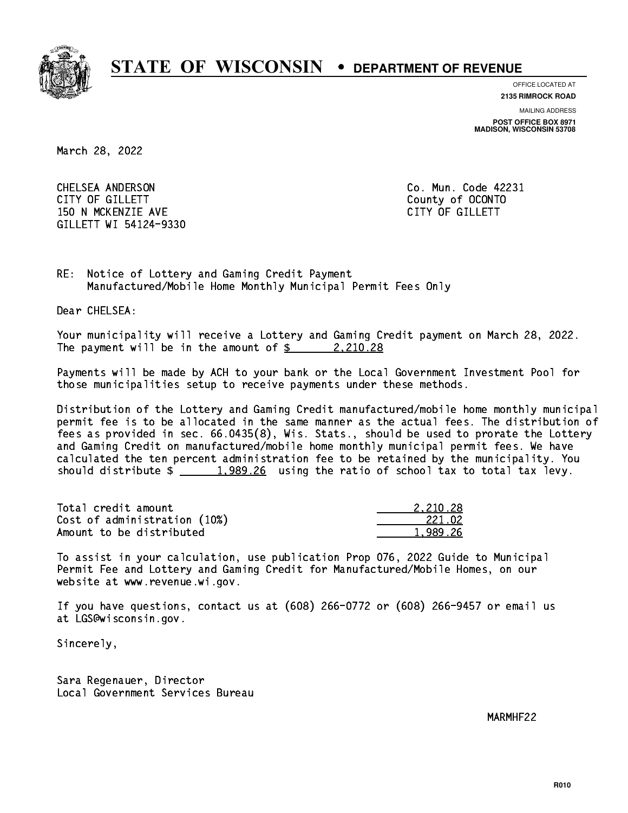

**OFFICE LOCATED AT**

**MAILING ADDRESS 2135 RIMROCK ROAD**

**POST OFFICE BOX 8971 MADISON, WISCONSIN 53708**

March 28, 2022

 CHELSEA ANDERSON Co. Mun. Code 42231 CITY OF GILLETT County of OCONTO 150 N MCKENZIE AVE **CITY OF GILLETT** GILLETT WI 54124-9330

RE: Notice of Lottery and Gaming Credit Payment Manufactured/Mobile Home Monthly Municipal Permit Fees Only

Dear CHELSEA:

 Your municipality will receive a Lottery and Gaming Credit payment on March 28, 2022. The payment will be in the amount of  $\frac{2,210.28}{2}$ 

 Payments will be made by ACH to your bank or the Local Government Investment Pool for those municipalities setup to receive payments under these methods.

 Distribution of the Lottery and Gaming Credit manufactured/mobile home monthly municipal permit fee is to be allocated in the same manner as the actual fees. The distribution of fees as provided in sec. 66.0435(8), Wis. Stats., should be used to prorate the Lottery and Gaming Credit on manufactured/mobile home monthly municipal permit fees. We have calculated the ten percent administration fee to be retained by the municipality. You should distribute  $\frac{1,989.26}{1,989.26}$  using the ratio of school tax to total tax levy.

| Total credit amount          | 2.210.28 |
|------------------------------|----------|
| Cost of administration (10%) | 221.02   |
| Amount to be distributed     | 1,989.26 |

 To assist in your calculation, use publication Prop 076, 2022 Guide to Municipal Permit Fee and Lottery and Gaming Credit for Manufactured/Mobile Homes, on our website at www.revenue.wi.gov.

 If you have questions, contact us at (608) 266-0772 or (608) 266-9457 or email us at LGS@wisconsin.gov.

Sincerely,

 Sara Regenauer, Director Local Government Services Bureau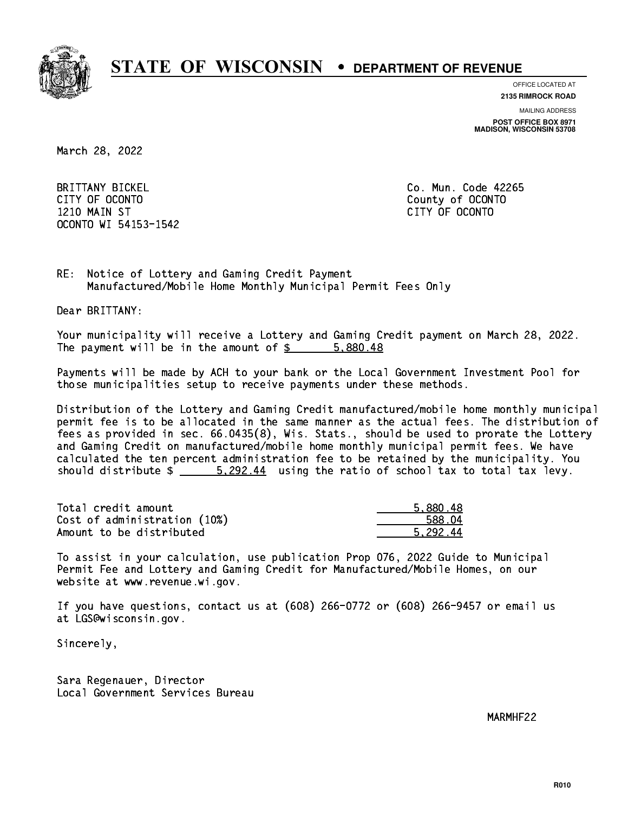

**OFFICE LOCATED AT**

**2135 RIMROCK ROAD**

**MAILING ADDRESS**

**POST OFFICE BOX 8971 MADISON, WISCONSIN 53708**

March 28, 2022

 BRITTANY BICKEL Co. Mun. Code 42265 CITY OF OCONTO County of OCONTO 1210 MAIN ST CITY OF OCONTO OCONTO WI 54153-1542

RE: Notice of Lottery and Gaming Credit Payment Manufactured/Mobile Home Monthly Municipal Permit Fees Only

Dear BRITTANY:

 Your municipality will receive a Lottery and Gaming Credit payment on March 28, 2022. The payment will be in the amount of \$ 5,880.48 \_\_\_\_\_\_\_\_\_\_\_\_\_\_\_\_

 Payments will be made by ACH to your bank or the Local Government Investment Pool for those municipalities setup to receive payments under these methods.

 Distribution of the Lottery and Gaming Credit manufactured/mobile home monthly municipal permit fee is to be allocated in the same manner as the actual fees. The distribution of fees as provided in sec. 66.0435(8), Wis. Stats., should be used to prorate the Lottery and Gaming Credit on manufactured/mobile home monthly municipal permit fees. We have calculated the ten percent administration fee to be retained by the municipality. You should distribute  $\frac{202.44}{20.292.44}$  using the ratio of school tax to total tax levy.

| Total credit amount          | 5,880.48 |
|------------------------------|----------|
| Cost of administration (10%) | 588.04   |
| Amount to be distributed     | 5.292.44 |

 To assist in your calculation, use publication Prop 076, 2022 Guide to Municipal Permit Fee and Lottery and Gaming Credit for Manufactured/Mobile Homes, on our website at www.revenue.wi.gov.

 If you have questions, contact us at (608) 266-0772 or (608) 266-9457 or email us at LGS@wisconsin.gov.

Sincerely,

 Sara Regenauer, Director Local Government Services Bureau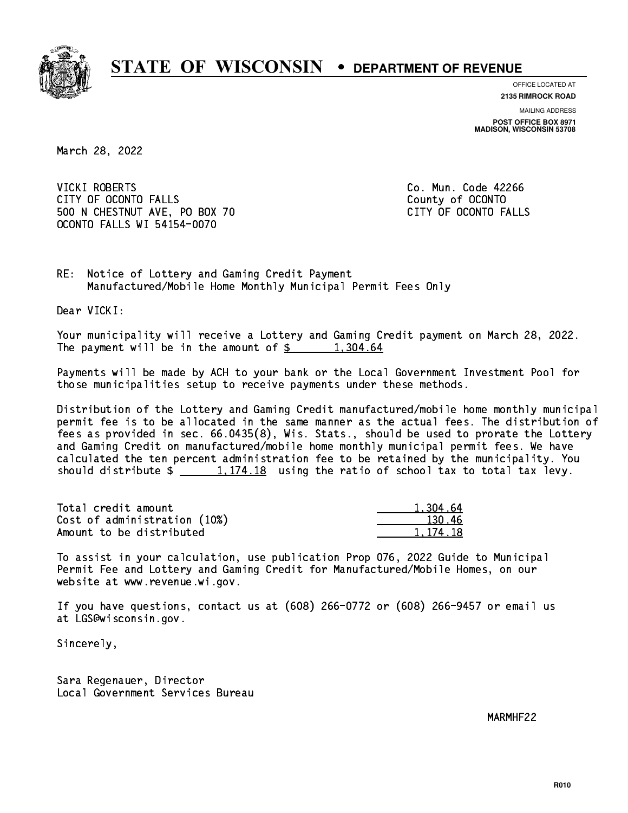

**OFFICE LOCATED AT**

**2135 RIMROCK ROAD**

**MAILING ADDRESS POST OFFICE BOX 8971 MADISON, WISCONSIN 53708**

March 28, 2022

 VICKI ROBERTS Co. Mun. Code 42266 CITY OF OCONTO FALLS **COUNTY COUNTY OF OCONTO** 500 N CHESTNUT AVE, PO BOX 70 CITY OF OCONTO FALLS OCONTO FALLS WI 54154-0070

RE: Notice of Lottery and Gaming Credit Payment Manufactured/Mobile Home Monthly Municipal Permit Fees Only

Dear VICKI:

 Your municipality will receive a Lottery and Gaming Credit payment on March 28, 2022. The payment will be in the amount of  $\frac{2}{3}$  1,304.64

 Payments will be made by ACH to your bank or the Local Government Investment Pool for those municipalities setup to receive payments under these methods.

 Distribution of the Lottery and Gaming Credit manufactured/mobile home monthly municipal permit fee is to be allocated in the same manner as the actual fees. The distribution of fees as provided in sec. 66.0435(8), Wis. Stats., should be used to prorate the Lottery and Gaming Credit on manufactured/mobile home monthly municipal permit fees. We have calculated the ten percent administration fee to be retained by the municipality. You should distribute  $\frac{1,174.18}{1,174.18}$  using the ratio of school tax to total tax levy.

| Total credit amount          | 1.304.64   |
|------------------------------|------------|
| Cost of administration (10%) | 130.46     |
| Amount to be distributed     | 1, 174, 18 |

 To assist in your calculation, use publication Prop 076, 2022 Guide to Municipal Permit Fee and Lottery and Gaming Credit for Manufactured/Mobile Homes, on our website at www.revenue.wi.gov.

 If you have questions, contact us at (608) 266-0772 or (608) 266-9457 or email us at LGS@wisconsin.gov.

Sincerely,

 Sara Regenauer, Director Local Government Services Bureau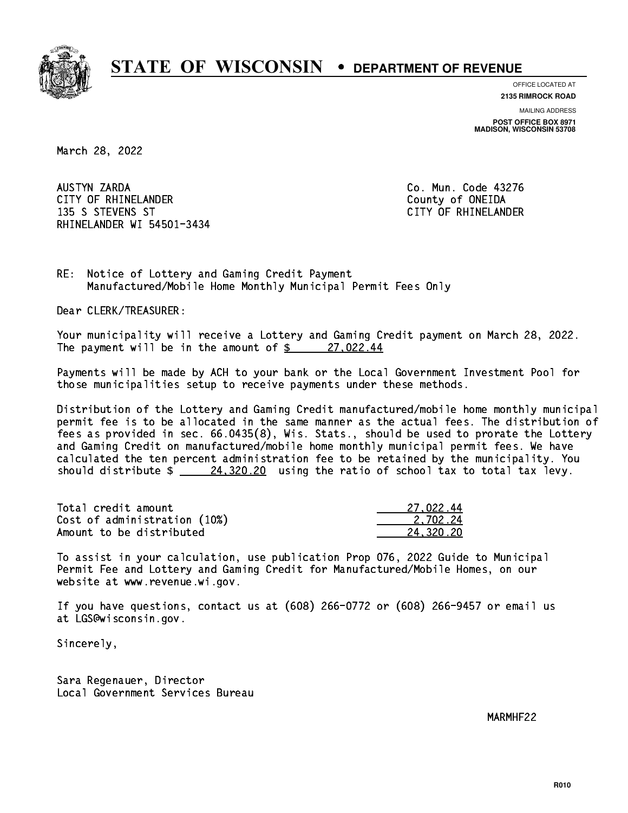

**OFFICE LOCATED AT**

**2135 RIMROCK ROAD**

**MAILING ADDRESS POST OFFICE BOX 8971 MADISON, WISCONSIN 53708**

March 28, 2022

 AUSTYN ZARDA Co. Mun. Code 43276 CITY OF RHINELANDER **COUNTY COUNTY OF SHINE COUNTY** COUNTY OF ONEIDA 135 S STEVENS ST CITY OF RHINELANDER RHINELANDER WI 54501-3434

RE: Notice of Lottery and Gaming Credit Payment Manufactured/Mobile Home Monthly Municipal Permit Fees Only

Dear CLERK/TREASURER:

 Your municipality will receive a Lottery and Gaming Credit payment on March 28, 2022. The payment will be in the amount of  $\frac{27}{022.44}$ 

 Payments will be made by ACH to your bank or the Local Government Investment Pool for those municipalities setup to receive payments under these methods.

 Distribution of the Lottery and Gaming Credit manufactured/mobile home monthly municipal permit fee is to be allocated in the same manner as the actual fees. The distribution of fees as provided in sec. 66.0435(8), Wis. Stats., should be used to prorate the Lottery and Gaming Credit on manufactured/mobile home monthly municipal permit fees. We have calculated the ten percent administration fee to be retained by the municipality. You should distribute  $\frac{24,320.20}{24,320.20}$  using the ratio of school tax to total tax levy.

| Total credit amount          | 27.022.44 |
|------------------------------|-----------|
| Cost of administration (10%) | 2.702.24  |
| Amount to be distributed     | 24.320.20 |

 To assist in your calculation, use publication Prop 076, 2022 Guide to Municipal Permit Fee and Lottery and Gaming Credit for Manufactured/Mobile Homes, on our website at www.revenue.wi.gov.

 If you have questions, contact us at (608) 266-0772 or (608) 266-9457 or email us at LGS@wisconsin.gov.

Sincerely,

 Sara Regenauer, Director Local Government Services Bureau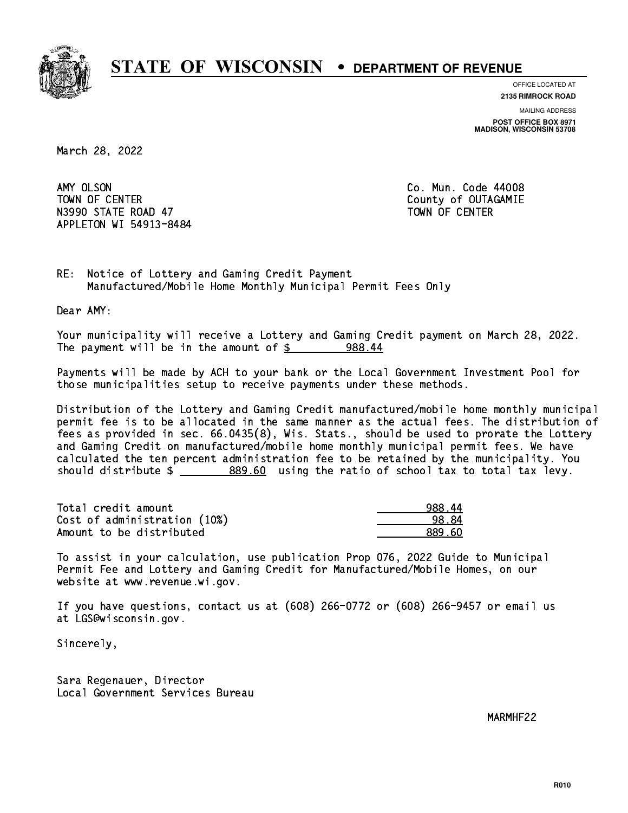

**OFFICE LOCATED AT 2135 RIMROCK ROAD**

**MAILING ADDRESS**

**POST OFFICE BOX 8971 MADISON, WISCONSIN 53708**

March 28, 2022

AMY OLSON TOWN OF CENTER **COUNTY OF COUNTY COUNTY OF COULD AND COUNTY** COUNTY OF OUTAGAMIE N3990 STATE ROAD 47 TOWN OF CENTER APPLETON WI 54913-8484

Co. Mun. Code 44008

RE: Notice of Lottery and Gaming Credit Payment Manufactured/Mobile Home Monthly Municipal Permit Fees Only

Dear AMY:

 Your municipality will receive a Lottery and Gaming Credit payment on March 28, 2022. The payment will be in the amount of  $\frac{2}{3}$  988.44

 Payments will be made by ACH to your bank or the Local Government Investment Pool for those municipalities setup to receive payments under these methods.

 Distribution of the Lottery and Gaming Credit manufactured/mobile home monthly municipal permit fee is to be allocated in the same manner as the actual fees. The distribution of fees as provided in sec. 66.0435(8), Wis. Stats., should be used to prorate the Lottery and Gaming Credit on manufactured/mobile home monthly municipal permit fees. We have calculated the ten percent administration fee to be retained by the municipality. You should distribute \$ 889.60 using the ratio of school tax to total tax levy. \_\_\_\_\_\_\_\_\_\_\_\_\_\_

| Total credit amount          | 988.44 |
|------------------------------|--------|
| Cost of administration (10%) | 98.84  |
| Amount to be distributed     | 889.60 |

 To assist in your calculation, use publication Prop 076, 2022 Guide to Municipal Permit Fee and Lottery and Gaming Credit for Manufactured/Mobile Homes, on our website at www.revenue.wi.gov.

 If you have questions, contact us at (608) 266-0772 or (608) 266-9457 or email us at LGS@wisconsin.gov.

Sincerely,

 Sara Regenauer, Director Local Government Services Bureau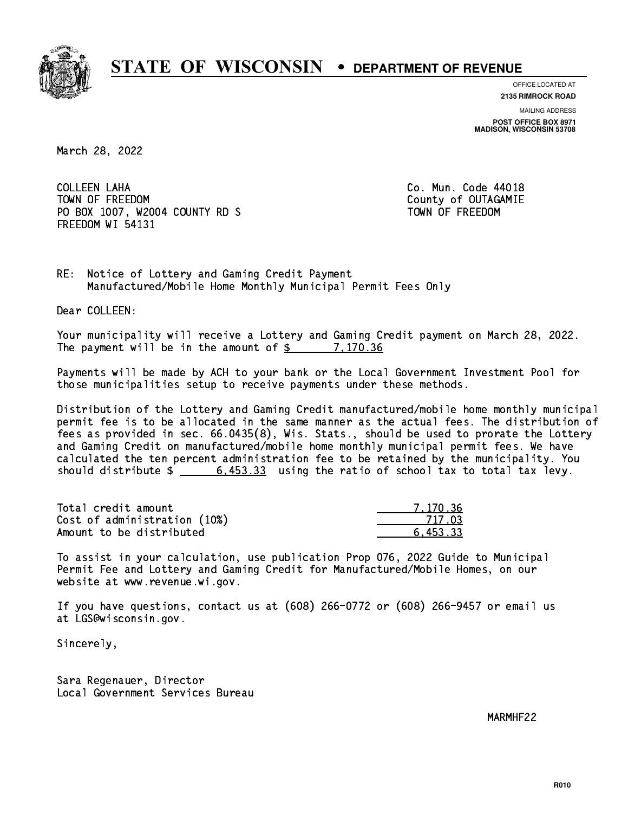

**OFFICE LOCATED AT**

**2135 RIMROCK ROAD**

**MAILING ADDRESS POST OFFICE BOX 8971 MADISON, WISCONSIN 53708**

March 28, 2022

 COLLEEN LAHA Co. Mun. Code 44018 TOWN OF FREEDOM County of OUTAGAMIE PO BOX 1007, W2004 COUNTY RD S TOWN OF FREEDOM FREEDOM WI 54131

RE: Notice of Lottery and Gaming Credit Payment Manufactured/Mobile Home Monthly Municipal Permit Fees Only

Dear COLLEEN:

 Your municipality will receive a Lottery and Gaming Credit payment on March 28, 2022. The payment will be in the amount of  $\frac{2}{3}$  7,170.36

 Payments will be made by ACH to your bank or the Local Government Investment Pool for those municipalities setup to receive payments under these methods.

 Distribution of the Lottery and Gaming Credit manufactured/mobile home monthly municipal permit fee is to be allocated in the same manner as the actual fees. The distribution of fees as provided in sec. 66.0435(8), Wis. Stats., should be used to prorate the Lottery and Gaming Credit on manufactured/mobile home monthly municipal permit fees. We have calculated the ten percent administration fee to be retained by the municipality. You should distribute  $\frac{2}{3}$   $\frac{6,453.33}{2}$  using the ratio of school tax to total tax levy.

| Total credit amount          | 7.170.36 |
|------------------------------|----------|
| Cost of administration (10%) | 717.03   |
| Amount to be distributed     | 6.453.33 |

 To assist in your calculation, use publication Prop 076, 2022 Guide to Municipal Permit Fee and Lottery and Gaming Credit for Manufactured/Mobile Homes, on our website at www.revenue.wi.gov.

 If you have questions, contact us at (608) 266-0772 or (608) 266-9457 or email us at LGS@wisconsin.gov.

Sincerely,

 Sara Regenauer, Director Local Government Services Bureau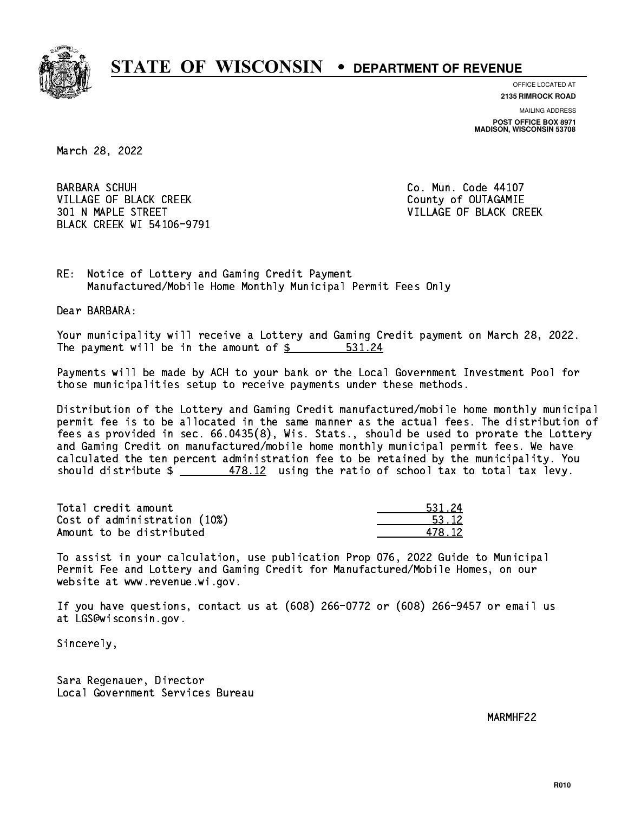

**OFFICE LOCATED AT**

**2135 RIMROCK ROAD**

**MAILING ADDRESS POST OFFICE BOX 8971 MADISON, WISCONSIN 53708**

March 28, 2022

**BARBARA SCHUH** VILLAGE OF BLACK CREEK COUNTY OF OUTAGAMIE 301 N MAPLE STREET VILLAGE OF BLACK CREEK BLACK CREEK WI 54106-9791

Co. Mun. Code 44107

RE: Notice of Lottery and Gaming Credit Payment Manufactured/Mobile Home Monthly Municipal Permit Fees Only

Dear BARBARA:

 Your municipality will receive a Lottery and Gaming Credit payment on March 28, 2022. The payment will be in the amount of \$ 531.24 \_\_\_\_\_\_\_\_\_\_\_\_\_\_\_\_

 Payments will be made by ACH to your bank or the Local Government Investment Pool for those municipalities setup to receive payments under these methods.

 Distribution of the Lottery and Gaming Credit manufactured/mobile home monthly municipal permit fee is to be allocated in the same manner as the actual fees. The distribution of fees as provided in sec. 66.0435(8), Wis. Stats., should be used to prorate the Lottery and Gaming Credit on manufactured/mobile home monthly municipal permit fees. We have calculated the ten percent administration fee to be retained by the municipality. You should distribute  $\frac{2}{\sqrt{3}} \frac{478.12}{2}$  using the ratio of school tax to total tax levy.

Total credit amount Cost of administration (10%) Amount to be distributed

| ٥Δ.<br>. . |
|------------|
| l 12       |
| -12        |

 To assist in your calculation, use publication Prop 076, 2022 Guide to Municipal Permit Fee and Lottery and Gaming Credit for Manufactured/Mobile Homes, on our website at www.revenue.wi.gov.

 If you have questions, contact us at (608) 266-0772 or (608) 266-9457 or email us at LGS@wisconsin.gov.

Sincerely,

 Sara Regenauer, Director Local Government Services Bureau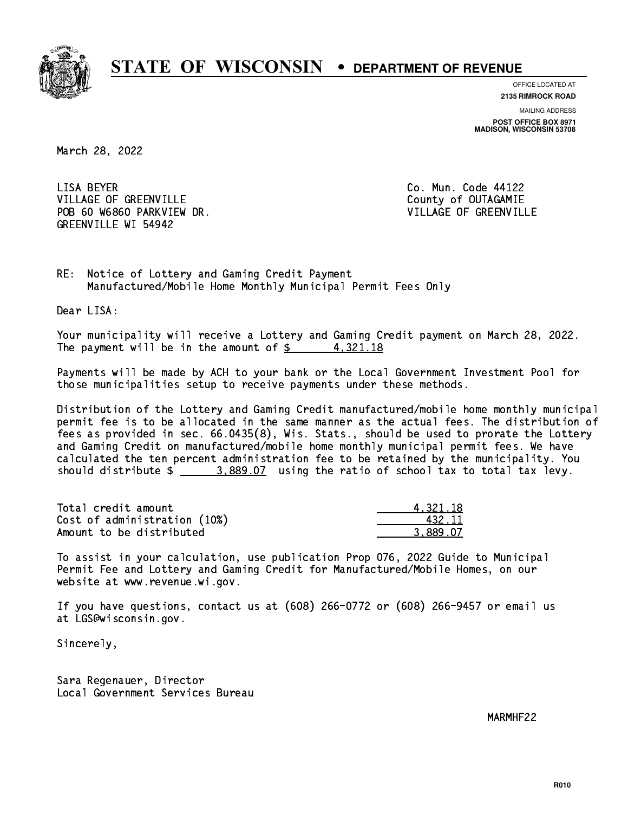

**OFFICE LOCATED AT**

**2135 RIMROCK ROAD**

**MAILING ADDRESS POST OFFICE BOX 8971 MADISON, WISCONSIN 53708**

March 28, 2022

LISA BEYER VILLAGE OF GREENVILLE COUNTY OF OUTAGAMIE POB 60 W6860 PARKVIEW DR. VILLAGE OF GREENVILLE GREENVILLE WI 54942

Co. Mun. Code 44122

RE: Notice of Lottery and Gaming Credit Payment Manufactured/Mobile Home Monthly Municipal Permit Fees Only

Dear LISA:

 Your municipality will receive a Lottery and Gaming Credit payment on March 28, 2022. The payment will be in the amount of  $\frac{2}{3}$  4,321.18

 Payments will be made by ACH to your bank or the Local Government Investment Pool for those municipalities setup to receive payments under these methods.

 Distribution of the Lottery and Gaming Credit manufactured/mobile home monthly municipal permit fee is to be allocated in the same manner as the actual fees. The distribution of fees as provided in sec. 66.0435(8), Wis. Stats., should be used to prorate the Lottery and Gaming Credit on manufactured/mobile home monthly municipal permit fees. We have calculated the ten percent administration fee to be retained by the municipality. You should distribute  $\frac{2.889.07}{2.889.07}$  using the ratio of school tax to total tax levy.

| Total credit amount          | 4.321.18 |
|------------------------------|----------|
| Cost of administration (10%) | 432.11   |
| Amount to be distributed     | 3.889.07 |

 To assist in your calculation, use publication Prop 076, 2022 Guide to Municipal Permit Fee and Lottery and Gaming Credit for Manufactured/Mobile Homes, on our website at www.revenue.wi.gov.

 If you have questions, contact us at (608) 266-0772 or (608) 266-9457 or email us at LGS@wisconsin.gov.

Sincerely,

 Sara Regenauer, Director Local Government Services Bureau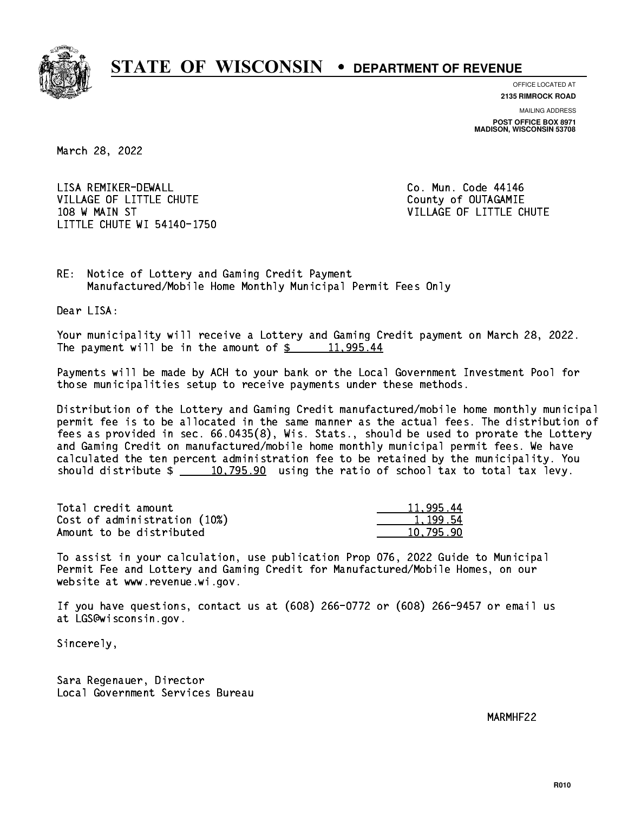

**OFFICE LOCATED AT**

**2135 RIMROCK ROAD**

**MAILING ADDRESS POST OFFICE BOX 8971 MADISON, WISCONSIN 53708**

March 28, 2022

 LISA REMIKER-DEWALL Co. Mun. Code 44146 VILLAGE OF LITTLE CHUTE COUNTY OF OUTAGAMIE 108 W MAIN ST VILLAGE OF LITTLE CHUTE LITTLE CHUTE WI 54140-1750

RE: Notice of Lottery and Gaming Credit Payment Manufactured/Mobile Home Monthly Municipal Permit Fees Only

Dear LISA:

 Your municipality will receive a Lottery and Gaming Credit payment on March 28, 2022. The payment will be in the amount of  $\frac{2}{3}$  11,995.44

 Payments will be made by ACH to your bank or the Local Government Investment Pool for those municipalities setup to receive payments under these methods.

 Distribution of the Lottery and Gaming Credit manufactured/mobile home monthly municipal permit fee is to be allocated in the same manner as the actual fees. The distribution of fees as provided in sec. 66.0435(8), Wis. Stats., should be used to prorate the Lottery and Gaming Credit on manufactured/mobile home monthly municipal permit fees. We have calculated the ten percent administration fee to be retained by the municipality. You should distribute  $\frac{10,795.90}{2}$  using the ratio of school tax to total tax levy.

| Total credit amount          | 11,995.44 |
|------------------------------|-----------|
| Cost of administration (10%) | 1,199.54  |
| Amount to be distributed     | 10.795.90 |

 To assist in your calculation, use publication Prop 076, 2022 Guide to Municipal Permit Fee and Lottery and Gaming Credit for Manufactured/Mobile Homes, on our website at www.revenue.wi.gov.

 If you have questions, contact us at (608) 266-0772 or (608) 266-9457 or email us at LGS@wisconsin.gov.

Sincerely,

 Sara Regenauer, Director Local Government Services Bureau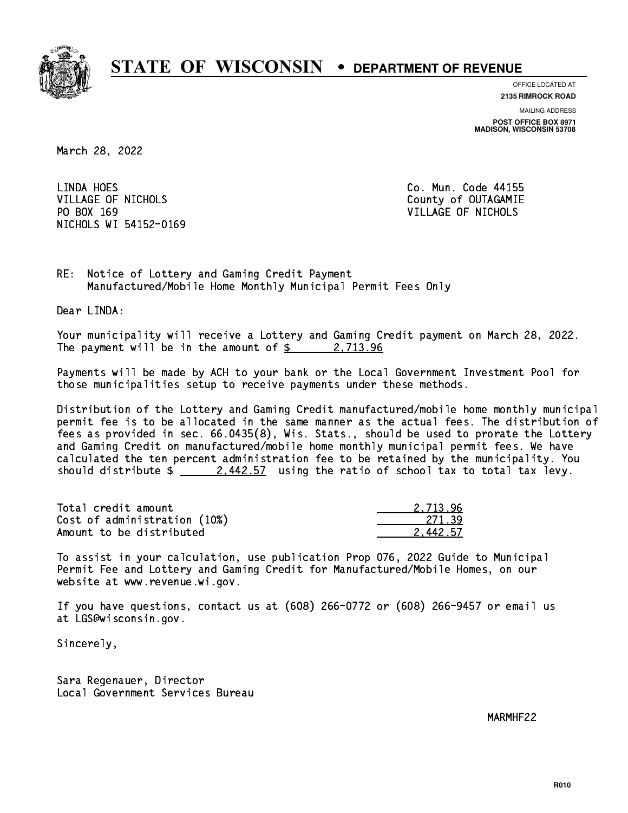

**OFFICE LOCATED AT 2135 RIMROCK ROAD**

**MAILING ADDRESS POST OFFICE BOX 8971 MADISON, WISCONSIN 53708**

March 28, 2022

LINDA HOES VILLAGE OF NICHOLS COUNTY OF OUTAGAMIE PO BOX 169 VILLAGE OF NICHOLS NICHOLS WI 54152-0169

Co. Mun. Code 44155

RE: Notice of Lottery and Gaming Credit Payment Manufactured/Mobile Home Monthly Municipal Permit Fees Only

Dear LINDA:

 Your municipality will receive a Lottery and Gaming Credit payment on March 28, 2022. The payment will be in the amount of  $\frac{2}{3}$  2,713.96

 Payments will be made by ACH to your bank or the Local Government Investment Pool for those municipalities setup to receive payments under these methods.

 Distribution of the Lottery and Gaming Credit manufactured/mobile home monthly municipal permit fee is to be allocated in the same manner as the actual fees. The distribution of fees as provided in sec. 66.0435(8), Wis. Stats., should be used to prorate the Lottery and Gaming Credit on manufactured/mobile home monthly municipal permit fees. We have calculated the ten percent administration fee to be retained by the municipality. You should distribute  $\frac{2.442.57}{ }$  using the ratio of school tax to total tax levy.

| Total credit amount          | 2.713.96 |
|------------------------------|----------|
| Cost of administration (10%) | 271.39   |
| Amount to be distributed     | 2.442.57 |

 To assist in your calculation, use publication Prop 076, 2022 Guide to Municipal Permit Fee and Lottery and Gaming Credit for Manufactured/Mobile Homes, on our website at www.revenue.wi.gov.

 If you have questions, contact us at (608) 266-0772 or (608) 266-9457 or email us at LGS@wisconsin.gov.

Sincerely,

 Sara Regenauer, Director Local Government Services Bureau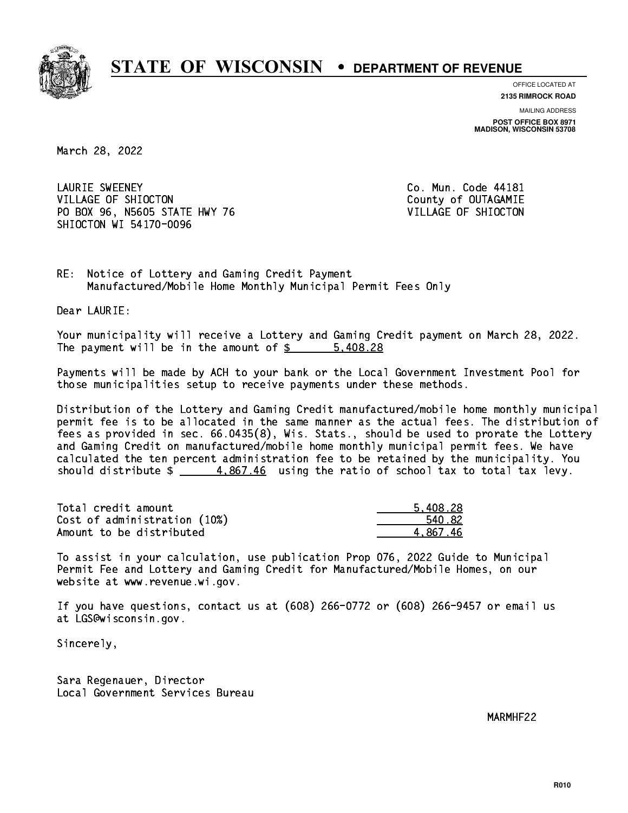

**OFFICE LOCATED AT**

**2135 RIMROCK ROAD**

**MAILING ADDRESS POST OFFICE BOX 8971 MADISON, WISCONSIN 53708**

March 28, 2022

 LAURIE SWEENEY Co. Mun. Code 44181 VILLAGE OF SHIOCTON COUNTY OF OUTAGAMIE PO BOX 96, N5605 STATE HWY 76 VILLAGE OF SHIOCTON SHIOCTON WI 54170-0096

RE: Notice of Lottery and Gaming Credit Payment Manufactured/Mobile Home Monthly Municipal Permit Fees Only

Dear LAURIE:

 Your municipality will receive a Lottery and Gaming Credit payment on March 28, 2022. The payment will be in the amount of  $\frac{28}{1000}$  = 5,408.28

 Payments will be made by ACH to your bank or the Local Government Investment Pool for those municipalities setup to receive payments under these methods.

 Distribution of the Lottery and Gaming Credit manufactured/mobile home monthly municipal permit fee is to be allocated in the same manner as the actual fees. The distribution of fees as provided in sec. 66.0435(8), Wis. Stats., should be used to prorate the Lottery and Gaming Credit on manufactured/mobile home monthly municipal permit fees. We have calculated the ten percent administration fee to be retained by the municipality. You should distribute  $\frac{4.867.46}{2}$  using the ratio of school tax to total tax levy.

| Total credit amount          | 5.408.28 |
|------------------------------|----------|
| Cost of administration (10%) | 540.82   |
| Amount to be distributed     | 4.867.46 |

 To assist in your calculation, use publication Prop 076, 2022 Guide to Municipal Permit Fee and Lottery and Gaming Credit for Manufactured/Mobile Homes, on our website at www.revenue.wi.gov.

 If you have questions, contact us at (608) 266-0772 or (608) 266-9457 or email us at LGS@wisconsin.gov.

Sincerely,

 Sara Regenauer, Director Local Government Services Bureau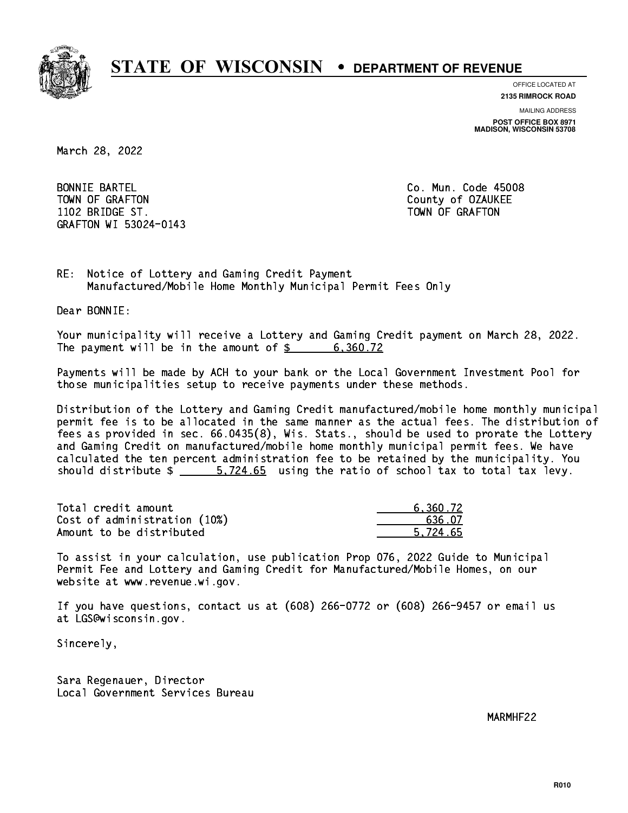

**OFFICE LOCATED AT**

**2135 RIMROCK ROAD**

**MAILING ADDRESS**

**POST OFFICE BOX 8971 MADISON, WISCONSIN 53708**

March 28, 2022

 BONNIE BARTEL Co. Mun. Code 45008 TOWN OF GRAFTON COUNTY OF OUR COUNTY OF OUR COUNTY OF OUR COUNTY OF OUR COUNTY OF OUR COUNTY OF OUR COUNTY OF THE ONLY AND THE OUR COUNTY OF OUR COUNTY OF OUR COUNTY OF OUR COUNTY OF OUR COUNTY OF OUR COUNTY OF OUR COUNTY 1102 BRIDGE ST. TOWN OF GRAFIT ST. TOWN OF GRAFIT ST. TOWN OF GRAFIT ST. TOWN OF GRAFIT ST. TOWN OF GRAFIT ST. GRAFTON WI 53024-0143

RE: Notice of Lottery and Gaming Credit Payment Manufactured/Mobile Home Monthly Municipal Permit Fees Only

Dear BONNIE:

 Your municipality will receive a Lottery and Gaming Credit payment on March 28, 2022. The payment will be in the amount of \$ 6,360.72 \_\_\_\_\_\_\_\_\_\_\_\_\_\_\_\_

 Payments will be made by ACH to your bank or the Local Government Investment Pool for those municipalities setup to receive payments under these methods.

 Distribution of the Lottery and Gaming Credit manufactured/mobile home monthly municipal permit fee is to be allocated in the same manner as the actual fees. The distribution of fees as provided in sec. 66.0435(8), Wis. Stats., should be used to prorate the Lottery and Gaming Credit on manufactured/mobile home monthly municipal permit fees. We have calculated the ten percent administration fee to be retained by the municipality. You should distribute  $\frac{2}{1}$   $\frac{5.724.65}{1.65}$  using the ratio of school tax to total tax levy.

| Total credit amount          | 6.360.72 |
|------------------------------|----------|
| Cost of administration (10%) | 636.07   |
| Amount to be distributed     | 5.724.65 |

 To assist in your calculation, use publication Prop 076, 2022 Guide to Municipal Permit Fee and Lottery and Gaming Credit for Manufactured/Mobile Homes, on our website at www.revenue.wi.gov.

 If you have questions, contact us at (608) 266-0772 or (608) 266-9457 or email us at LGS@wisconsin.gov.

Sincerely,

 Sara Regenauer, Director Local Government Services Bureau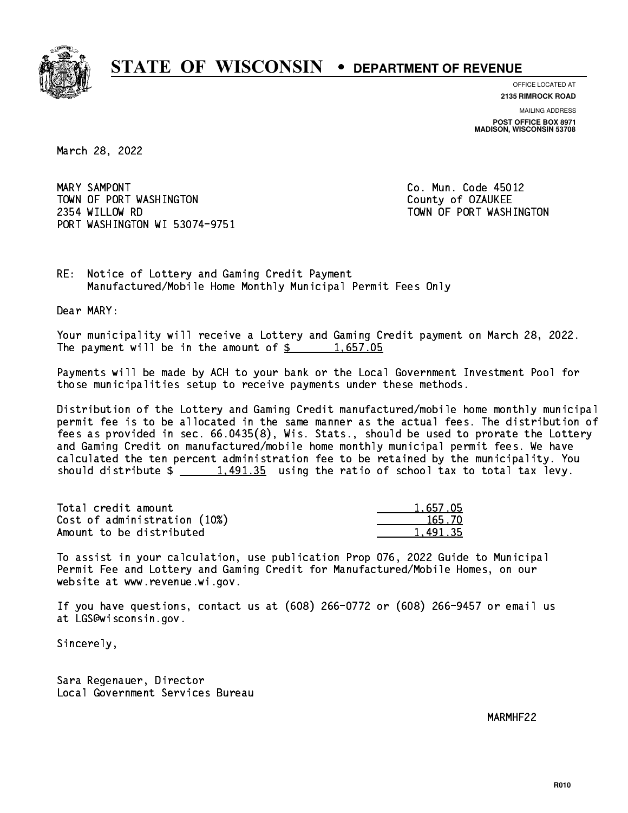

**OFFICE LOCATED AT**

**2135 RIMROCK ROAD**

**MAILING ADDRESS POST OFFICE BOX 8971 MADISON, WISCONSIN 53708**

March 28, 2022

MARY SAMPONT TOWN OF PORT WASHINGTON TOWN COUNTY OF OZAUKEE 2354 WILLOW RD TOWN OF PORT WASHINGTON PORT WASHINGTON WI 53074-9751

Co. Mun. Code 45012

RE: Notice of Lottery and Gaming Credit Payment Manufactured/Mobile Home Monthly Municipal Permit Fees Only

Dear MARY:

 Your municipality will receive a Lottery and Gaming Credit payment on March 28, 2022. The payment will be in the amount of  $\frac{2}{3}$  1,657.05

 Payments will be made by ACH to your bank or the Local Government Investment Pool for those municipalities setup to receive payments under these methods.

 Distribution of the Lottery and Gaming Credit manufactured/mobile home monthly municipal permit fee is to be allocated in the same manner as the actual fees. The distribution of fees as provided in sec. 66.0435(8), Wis. Stats., should be used to prorate the Lottery and Gaming Credit on manufactured/mobile home monthly municipal permit fees. We have calculated the ten percent administration fee to be retained by the municipality. You should distribute  $\frac{1,491.35}{2}$  using the ratio of school tax to total tax levy.

| Total credit amount          | 1,657.05 |
|------------------------------|----------|
| Cost of administration (10%) | 165.70   |
| Amount to be distributed     | 1.491.35 |

 To assist in your calculation, use publication Prop 076, 2022 Guide to Municipal Permit Fee and Lottery and Gaming Credit for Manufactured/Mobile Homes, on our website at www.revenue.wi.gov.

 If you have questions, contact us at (608) 266-0772 or (608) 266-9457 or email us at LGS@wisconsin.gov.

Sincerely,

 Sara Regenauer, Director Local Government Services Bureau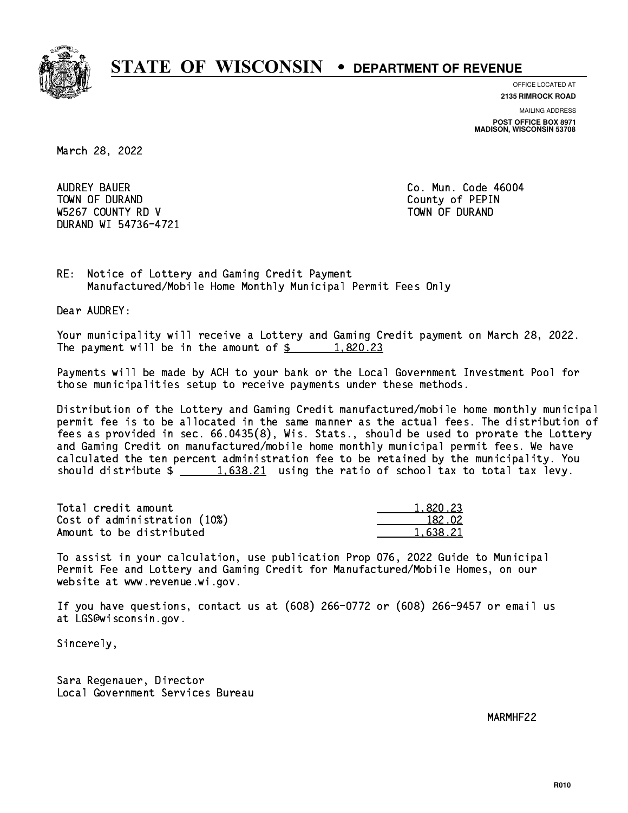

**OFFICE LOCATED AT 2135 RIMROCK ROAD**

**MAILING ADDRESS**

**POST OFFICE BOX 8971 MADISON, WISCONSIN 53708**

March 28, 2022

 AUDREY BAUER Co. Mun. Code 46004 TOWN OF DURAND COUNTY OF PERIODIC COUNTY OF PERIODIC COUNTY OF PERIODIC COUNTY OF PERIODIC COUNTY OF PERIODIC W5267 COUNTY RD V TOWN OF DURAND DURAND WI 54736-4721

RE: Notice of Lottery and Gaming Credit Payment Manufactured/Mobile Home Monthly Municipal Permit Fees Only

Dear AUDREY:

 Your municipality will receive a Lottery and Gaming Credit payment on March 28, 2022. The payment will be in the amount of  $\frac{2}{3}$  1,820.23

 Payments will be made by ACH to your bank or the Local Government Investment Pool for those municipalities setup to receive payments under these methods.

 Distribution of the Lottery and Gaming Credit manufactured/mobile home monthly municipal permit fee is to be allocated in the same manner as the actual fees. The distribution of fees as provided in sec. 66.0435(8), Wis. Stats., should be used to prorate the Lottery and Gaming Credit on manufactured/mobile home monthly municipal permit fees. We have calculated the ten percent administration fee to be retained by the municipality. You should distribute  $\frac{1.638.21}{1.638.21}$  using the ratio of school tax to total tax levy.

| Total credit amount          | 1,820.23 |
|------------------------------|----------|
| Cost of administration (10%) | 182.02   |
| Amount to be distributed     | 1.638.21 |

 To assist in your calculation, use publication Prop 076, 2022 Guide to Municipal Permit Fee and Lottery and Gaming Credit for Manufactured/Mobile Homes, on our website at www.revenue.wi.gov.

 If you have questions, contact us at (608) 266-0772 or (608) 266-9457 or email us at LGS@wisconsin.gov.

Sincerely,

 Sara Regenauer, Director Local Government Services Bureau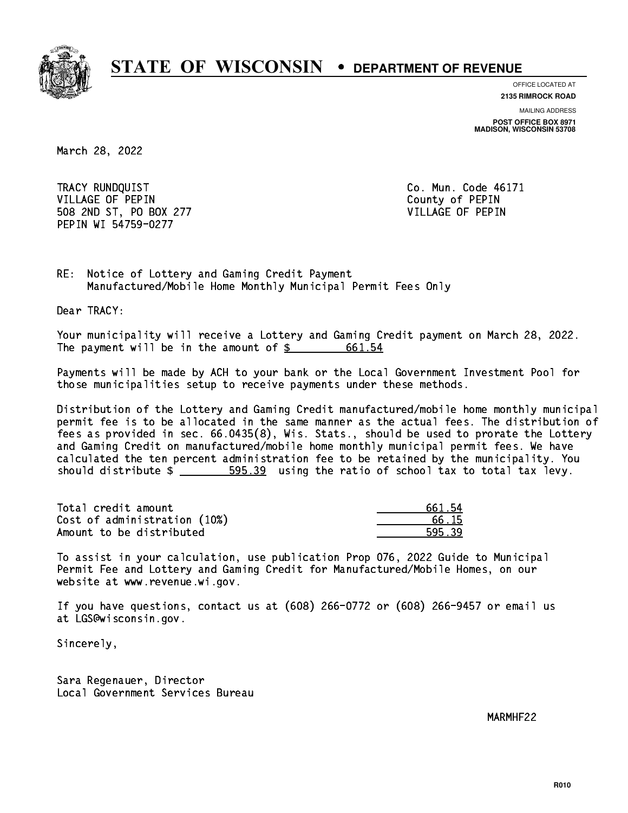

**OFFICE LOCATED AT**

**2135 RIMROCK ROAD**

**MAILING ADDRESS POST OFFICE BOX 8971 MADISON, WISCONSIN 53708**

March 28, 2022

 TRACY RUNDQUIST Co. Mun. Code 46171 VILLAGE OF PEPIN County of PEPIN 508 2ND ST, PO BOX 277 VILLAGE OF PEPIN PEPIN WI 54759-0277

RE: Notice of Lottery and Gaming Credit Payment Manufactured/Mobile Home Monthly Municipal Permit Fees Only

Dear TRACY:

 Your municipality will receive a Lottery and Gaming Credit payment on March 28, 2022. The payment will be in the amount of \$ 661.54 \_\_\_\_\_\_\_\_\_\_\_\_\_\_\_\_

 Payments will be made by ACH to your bank or the Local Government Investment Pool for those municipalities setup to receive payments under these methods.

 Distribution of the Lottery and Gaming Credit manufactured/mobile home monthly municipal permit fee is to be allocated in the same manner as the actual fees. The distribution of fees as provided in sec. 66.0435(8), Wis. Stats., should be used to prorate the Lottery and Gaming Credit on manufactured/mobile home monthly municipal permit fees. We have calculated the ten percent administration fee to be retained by the municipality. You should distribute  $\frac{2}{2}$   $\frac{595.39}{2}$  using the ratio of school tax to total tax levy.

Total credit amount Cost of administration (10%) Amount to be distributed

| 661 54 |
|--------|
| ճ. 15  |
| 1⊑ ?Q  |

 To assist in your calculation, use publication Prop 076, 2022 Guide to Municipal Permit Fee and Lottery and Gaming Credit for Manufactured/Mobile Homes, on our website at www.revenue.wi.gov.

 If you have questions, contact us at (608) 266-0772 or (608) 266-9457 or email us at LGS@wisconsin.gov.

Sincerely,

 Sara Regenauer, Director Local Government Services Bureau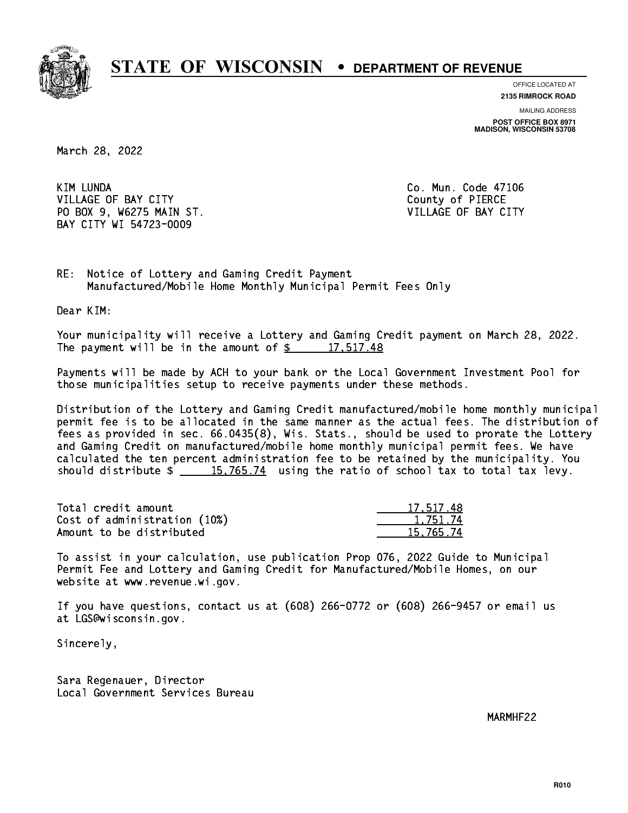

**OFFICE LOCATED AT**

**2135 RIMROCK ROAD**

**MAILING ADDRESS POST OFFICE BOX 8971 MADISON, WISCONSIN 53708**

March 28, 2022

**KIM LUNDA** VILLAGE OF BAY CITY **COUNTY** County of PIERCE PO BOX 9, W6275 MAIN ST. VILLAGE OF BAY CITY BAY CITY WI 54723-0009

Co. Mun. Code 47106

RE: Notice of Lottery and Gaming Credit Payment Manufactured/Mobile Home Monthly Municipal Permit Fees Only

Dear KIM:

 Your municipality will receive a Lottery and Gaming Credit payment on March 28, 2022. The payment will be in the amount of  $\frac{2}{3}$  17,517.48

 Payments will be made by ACH to your bank or the Local Government Investment Pool for those municipalities setup to receive payments under these methods.

 Distribution of the Lottery and Gaming Credit manufactured/mobile home monthly municipal permit fee is to be allocated in the same manner as the actual fees. The distribution of fees as provided in sec. 66.0435(8), Wis. Stats., should be used to prorate the Lottery and Gaming Credit on manufactured/mobile home monthly municipal permit fees. We have calculated the ten percent administration fee to be retained by the municipality. You should distribute  $\frac{15,765.74}{2}$  using the ratio of school tax to total tax levy.

| Total credit amount          | 17,517.48 |
|------------------------------|-----------|
| Cost of administration (10%) | 1.751.74  |
| Amount to be distributed     | 15,765.74 |

 To assist in your calculation, use publication Prop 076, 2022 Guide to Municipal Permit Fee and Lottery and Gaming Credit for Manufactured/Mobile Homes, on our website at www.revenue.wi.gov.

 If you have questions, contact us at (608) 266-0772 or (608) 266-9457 or email us at LGS@wisconsin.gov.

Sincerely,

 Sara Regenauer, Director Local Government Services Bureau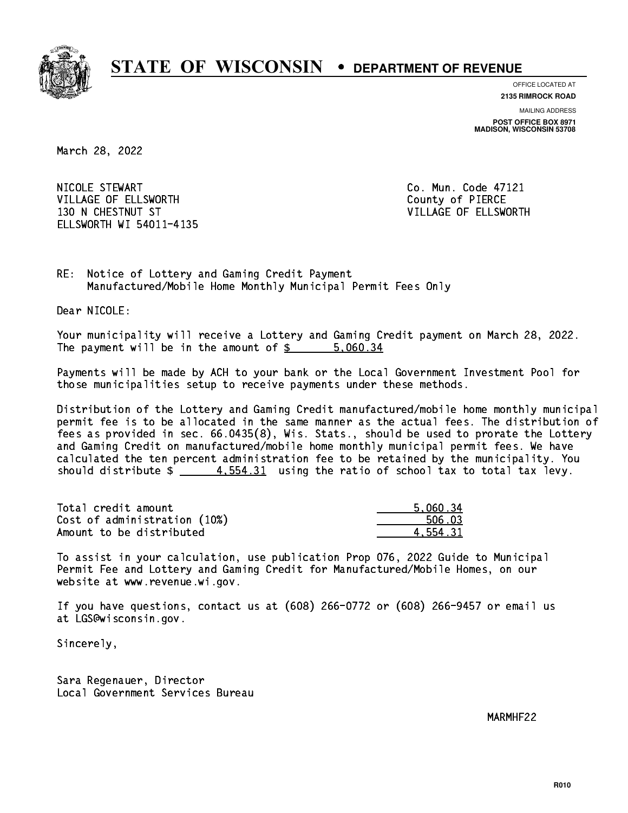

**OFFICE LOCATED AT**

**2135 RIMROCK ROAD**

**MAILING ADDRESS POST OFFICE BOX 8971 MADISON, WISCONSIN 53708**

March 28, 2022

 NICOLE STEWART Co. Mun. Code 47121 VILLAGE OF ELLSWORTH COUNTY OF PIERCE 130 N CHESTNUT ST VILLAGE OF ELLSWORTH ELLSWORTH WI 54011-4135

RE: Notice of Lottery and Gaming Credit Payment Manufactured/Mobile Home Monthly Municipal Permit Fees Only

Dear NICOLE:

 Your municipality will receive a Lottery and Gaming Credit payment on March 28, 2022. The payment will be in the amount of \$ 5,060.34 \_\_\_\_\_\_\_\_\_\_\_\_\_\_\_\_

 Payments will be made by ACH to your bank or the Local Government Investment Pool for those municipalities setup to receive payments under these methods.

 Distribution of the Lottery and Gaming Credit manufactured/mobile home monthly municipal permit fee is to be allocated in the same manner as the actual fees. The distribution of fees as provided in sec. 66.0435(8), Wis. Stats., should be used to prorate the Lottery and Gaming Credit on manufactured/mobile home monthly municipal permit fees. We have calculated the ten percent administration fee to be retained by the municipality. You should distribute  $\frac{4}{5}$  4,554.31 using the ratio of school tax to total tax levy.

| Total credit amount          | 5.060.34 |
|------------------------------|----------|
| Cost of administration (10%) | 506.03   |
| Amount to be distributed     | 4.554.31 |

 To assist in your calculation, use publication Prop 076, 2022 Guide to Municipal Permit Fee and Lottery and Gaming Credit for Manufactured/Mobile Homes, on our website at www.revenue.wi.gov.

 If you have questions, contact us at (608) 266-0772 or (608) 266-9457 or email us at LGS@wisconsin.gov.

Sincerely,

 Sara Regenauer, Director Local Government Services Bureau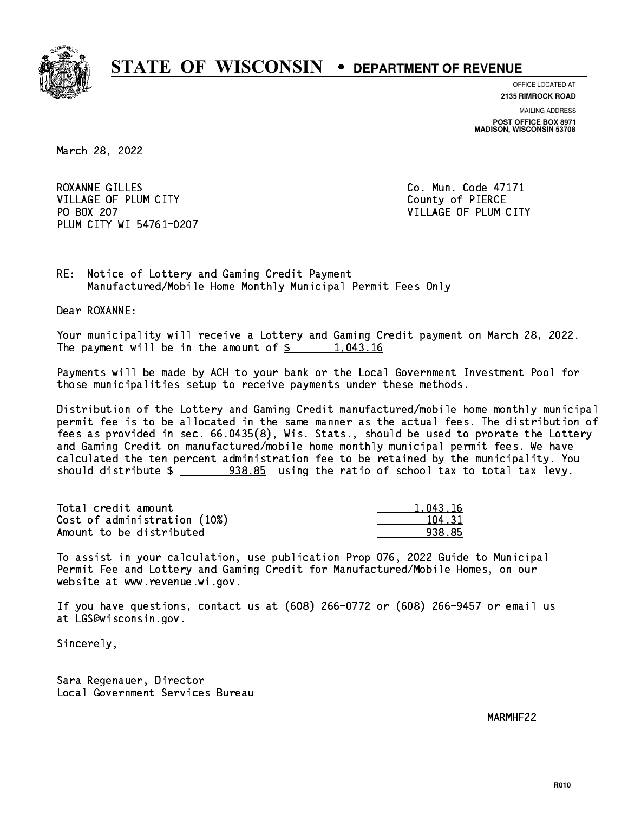

**OFFICE LOCATED AT**

**2135 RIMROCK ROAD**

**MAILING ADDRESS POST OFFICE BOX 8971 MADISON, WISCONSIN 53708**

March 28, 2022

ROXANNE GILLES Co. Mun. Code 47171 VILLAGE OF PLUM CITY COUNTY County of PIERCE PO BOX 207 PLUM CITY WI 54761-0207

VILLAGE OF PLUM CITY

RE: Notice of Lottery and Gaming Credit Payment Manufactured/Mobile Home Monthly Municipal Permit Fees Only

Dear ROXANNE:

 Your municipality will receive a Lottery and Gaming Credit payment on March 28, 2022. The payment will be in the amount of  $\frac{2}{3}$  1,043.16

 Payments will be made by ACH to your bank or the Local Government Investment Pool for those municipalities setup to receive payments under these methods.

 Distribution of the Lottery and Gaming Credit manufactured/mobile home monthly municipal permit fee is to be allocated in the same manner as the actual fees. The distribution of fees as provided in sec. 66.0435(8), Wis. Stats., should be used to prorate the Lottery and Gaming Credit on manufactured/mobile home monthly municipal permit fees. We have calculated the ten percent administration fee to be retained by the municipality. You should distribute  $\frac{2.288.85}{1.258}$  using the ratio of school tax to total tax levy.

| Total credit amount          | 1.043.16 |
|------------------------------|----------|
| Cost of administration (10%) | 104.31   |
| Amount to be distributed     | 938.85   |

 To assist in your calculation, use publication Prop 076, 2022 Guide to Municipal Permit Fee and Lottery and Gaming Credit for Manufactured/Mobile Homes, on our website at www.revenue.wi.gov.

 If you have questions, contact us at (608) 266-0772 or (608) 266-9457 or email us at LGS@wisconsin.gov.

Sincerely,

 Sara Regenauer, Director Local Government Services Bureau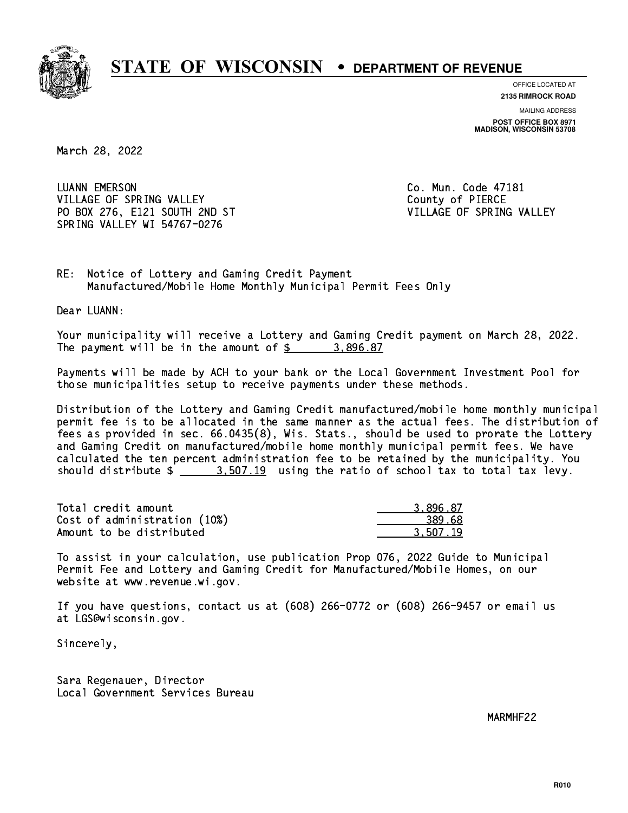

**OFFICE LOCATED AT**

**2135 RIMROCK ROAD**

**MAILING ADDRESS POST OFFICE BOX 8971 MADISON, WISCONSIN 53708**

March 28, 2022

 LUANN EMERSON Co. Mun. Code 47181 VILLAGE OF SPRING VALLEY **COUNTY COUNTY OF PIERCE** PO BOX 276, E121 SOUTH 2ND ST VILLAGE OF SPRING VALLEY SPRING VALLEY WI 54767-0276

RE: Notice of Lottery and Gaming Credit Payment Manufactured/Mobile Home Monthly Municipal Permit Fees Only

Dear LUANN:

 Your municipality will receive a Lottery and Gaming Credit payment on March 28, 2022. The payment will be in the amount of  $\frac{2}{3}$  3,896.87

 Payments will be made by ACH to your bank or the Local Government Investment Pool for those municipalities setup to receive payments under these methods.

 Distribution of the Lottery and Gaming Credit manufactured/mobile home monthly municipal permit fee is to be allocated in the same manner as the actual fees. The distribution of fees as provided in sec. 66.0435(8), Wis. Stats., should be used to prorate the Lottery and Gaming Credit on manufactured/mobile home monthly municipal permit fees. We have calculated the ten percent administration fee to be retained by the municipality. You should distribute  $\frac{2}{2}$   $\frac{3.507.19}{2}$  using the ratio of school tax to total tax levy.

| Total credit amount          | 3.896.87 |
|------------------------------|----------|
| Cost of administration (10%) | 389.68   |
| Amount to be distributed     | 3.507.19 |

 To assist in your calculation, use publication Prop 076, 2022 Guide to Municipal Permit Fee and Lottery and Gaming Credit for Manufactured/Mobile Homes, on our website at www.revenue.wi.gov.

 If you have questions, contact us at (608) 266-0772 or (608) 266-9457 or email us at LGS@wisconsin.gov.

Sincerely,

 Sara Regenauer, Director Local Government Services Bureau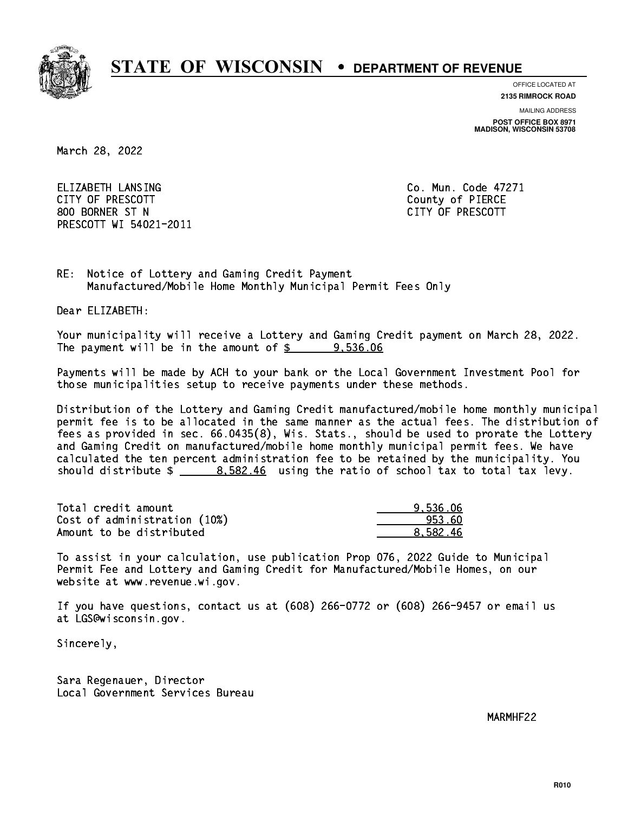

**OFFICE LOCATED AT 2135 RIMROCK ROAD**

**MAILING ADDRESS**

**POST OFFICE BOX 8971 MADISON, WISCONSIN 53708**

March 28, 2022

 ELIZABETH LANSING Co. Mun. Code 47271 CITY OF PRESCOTT County of PIERCE 800 BORNER ST N CITY OF PRESCOTT PRESCOTT WI 54021-2011

RE: Notice of Lottery and Gaming Credit Payment Manufactured/Mobile Home Monthly Municipal Permit Fees Only

Dear ELIZABETH:

 Your municipality will receive a Lottery and Gaming Credit payment on March 28, 2022. The payment will be in the amount of  $\frac{2}{3}$  9,536.06

 Payments will be made by ACH to your bank or the Local Government Investment Pool for those municipalities setup to receive payments under these methods.

 Distribution of the Lottery and Gaming Credit manufactured/mobile home monthly municipal permit fee is to be allocated in the same manner as the actual fees. The distribution of fees as provided in sec. 66.0435(8), Wis. Stats., should be used to prorate the Lottery and Gaming Credit on manufactured/mobile home monthly municipal permit fees. We have calculated the ten percent administration fee to be retained by the municipality. You should distribute  $\frac{2}{1}$   $\frac{8.582.46}{2}$  using the ratio of school tax to total tax levy.

| Total credit amount          | 9.536.06 |
|------------------------------|----------|
| Cost of administration (10%) | 953.60   |
| Amount to be distributed     | 8.582.46 |

 To assist in your calculation, use publication Prop 076, 2022 Guide to Municipal Permit Fee and Lottery and Gaming Credit for Manufactured/Mobile Homes, on our website at www.revenue.wi.gov.

 If you have questions, contact us at (608) 266-0772 or (608) 266-9457 or email us at LGS@wisconsin.gov.

Sincerely,

 Sara Regenauer, Director Local Government Services Bureau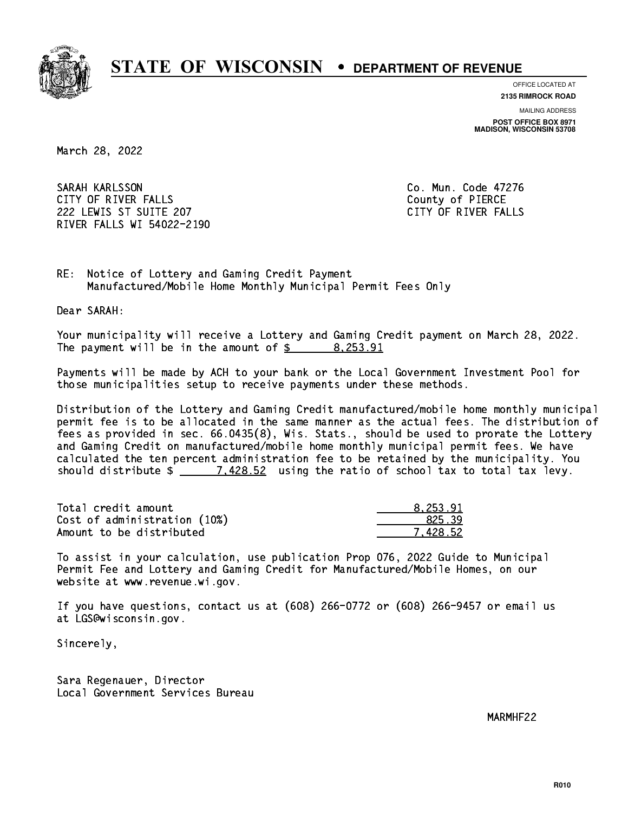

**OFFICE LOCATED AT**

**2135 RIMROCK ROAD**

**MAILING ADDRESS**

**POST OFFICE BOX 8971 MADISON, WISCONSIN 53708**

March 28, 2022

 SARAH KARLSSON Co. Mun. Code 47276 CITY OF RIVER FALLS COUNTY OF PIERCE 222 LEWIS ST SUITE 207 CITY OF RIVER FALLS RIVER FALLS WI 54022-2190

RE: Notice of Lottery and Gaming Credit Payment Manufactured/Mobile Home Monthly Municipal Permit Fees Only

Dear SARAH:

 Your municipality will receive a Lottery and Gaming Credit payment on March 28, 2022. The payment will be in the amount of \$ 8,253.91 \_\_\_\_\_\_\_\_\_\_\_\_\_\_\_\_

 Payments will be made by ACH to your bank or the Local Government Investment Pool for those municipalities setup to receive payments under these methods.

 Distribution of the Lottery and Gaming Credit manufactured/mobile home monthly municipal permit fee is to be allocated in the same manner as the actual fees. The distribution of fees as provided in sec. 66.0435(8), Wis. Stats., should be used to prorate the Lottery and Gaming Credit on manufactured/mobile home monthly municipal permit fees. We have calculated the ten percent administration fee to be retained by the municipality. You should distribute  $\frac{2}{2}$   $\frac{7.428.52}{2}$  using the ratio of school tax to total tax levy.

| Total credit amount          | 8.253.91 |
|------------------------------|----------|
| Cost of administration (10%) | 825.39   |
| Amount to be distributed     | 7.428.52 |

 To assist in your calculation, use publication Prop 076, 2022 Guide to Municipal Permit Fee and Lottery and Gaming Credit for Manufactured/Mobile Homes, on our website at www.revenue.wi.gov.

 If you have questions, contact us at (608) 266-0772 or (608) 266-9457 or email us at LGS@wisconsin.gov.

Sincerely,

 Sara Regenauer, Director Local Government Services Bureau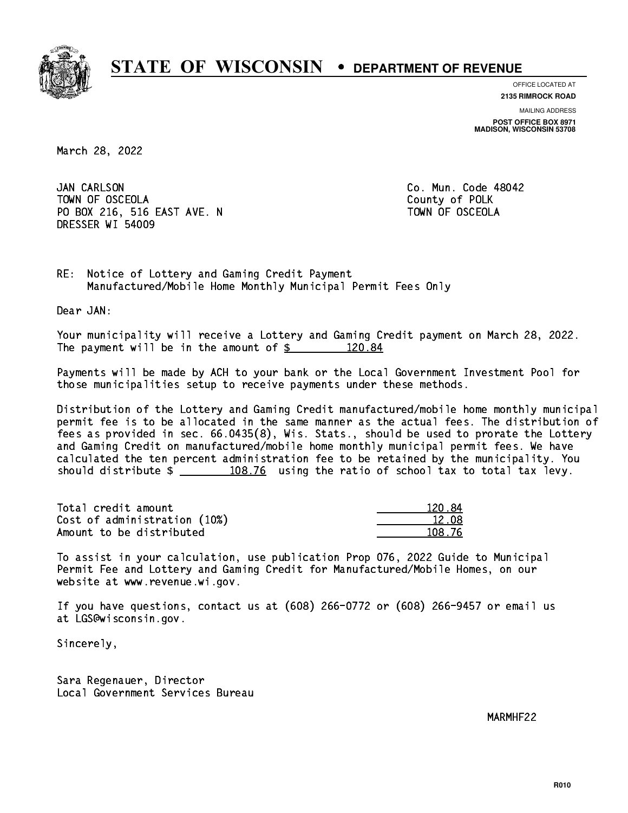

**OFFICE LOCATED AT 2135 RIMROCK ROAD**

**MAILING ADDRESS**

**POST OFFICE BOX 8971 MADISON, WISCONSIN 53708**

March 28, 2022

JAN CARLSON TOWN OF OSCEOLA County of POLK PO BOX 216, 516 EAST AVE. N TOWN OF OSCEOLA DRESSER WI 54009

Co. Mun. Code 48042

RE: Notice of Lottery and Gaming Credit Payment Manufactured/Mobile Home Monthly Municipal Permit Fees Only

Dear JAN:

 Your municipality will receive a Lottery and Gaming Credit payment on March 28, 2022. The payment will be in the amount of  $\frac{20.84}{120.84}$ 

 Payments will be made by ACH to your bank or the Local Government Investment Pool for those municipalities setup to receive payments under these methods.

 Distribution of the Lottery and Gaming Credit manufactured/mobile home monthly municipal permit fee is to be allocated in the same manner as the actual fees. The distribution of fees as provided in sec. 66.0435(8), Wis. Stats., should be used to prorate the Lottery and Gaming Credit on manufactured/mobile home monthly municipal permit fees. We have calculated the ten percent administration fee to be retained by the municipality. You should distribute  $\frac{108.76}{108.76}$  using the ratio of school tax to total tax levy.

Total credit amount Cost of administration (10%) Amount to be distributed

| 120.84 |
|--------|
| 12.08  |
| 108.76 |

 To assist in your calculation, use publication Prop 076, 2022 Guide to Municipal Permit Fee and Lottery and Gaming Credit for Manufactured/Mobile Homes, on our website at www.revenue.wi.gov.

 If you have questions, contact us at (608) 266-0772 or (608) 266-9457 or email us at LGS@wisconsin.gov.

Sincerely,

 Sara Regenauer, Director Local Government Services Bureau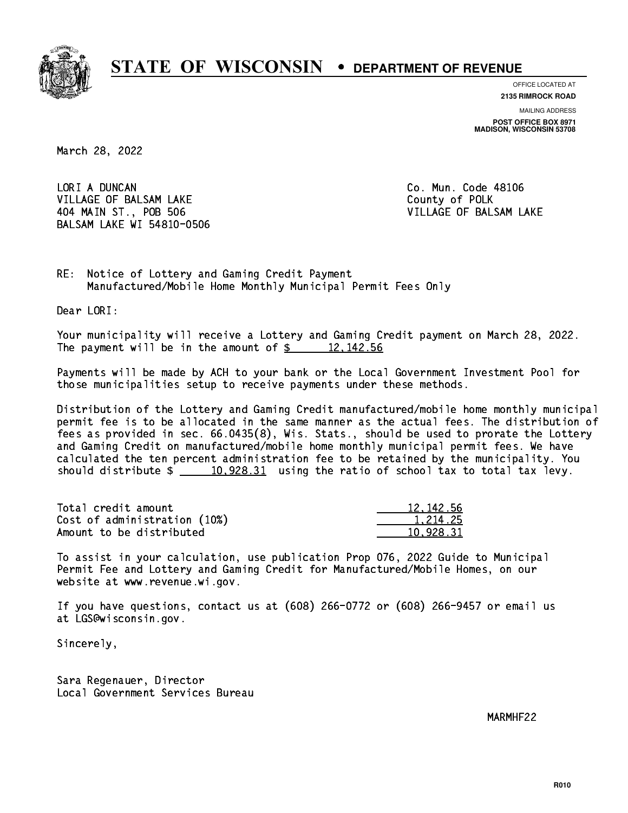

**OFFICE LOCATED AT**

**2135 RIMROCK ROAD**

**MAILING ADDRESS POST OFFICE BOX 8971 MADISON, WISCONSIN 53708**

March 28, 2022

LORI A DUNCAN VILLAGE OF BALSAM LAKE County of POLK 404 MAIN ST., POB 506 VILLAGE OF BALSAM LAKE BALSAM LAKE WI 54810-0506

Co. Mun. Code 48106

RE: Notice of Lottery and Gaming Credit Payment Manufactured/Mobile Home Monthly Municipal Permit Fees Only

Dear LORI:

 Your municipality will receive a Lottery and Gaming Credit payment on March 28, 2022. The payment will be in the amount of  $\frac{2}{3}$  12,142.56

 Payments will be made by ACH to your bank or the Local Government Investment Pool for those municipalities setup to receive payments under these methods.

 Distribution of the Lottery and Gaming Credit manufactured/mobile home monthly municipal permit fee is to be allocated in the same manner as the actual fees. The distribution of fees as provided in sec. 66.0435(8), Wis. Stats., should be used to prorate the Lottery and Gaming Credit on manufactured/mobile home monthly municipal permit fees. We have calculated the ten percent administration fee to be retained by the municipality. You should distribute  $\frac{10,928.31}{2}$  using the ratio of school tax to total tax levy.

| Total credit amount          | 12, 142.56 |
|------------------------------|------------|
| Cost of administration (10%) | 1.214.25   |
| Amount to be distributed     | 10.928.31  |

 To assist in your calculation, use publication Prop 076, 2022 Guide to Municipal Permit Fee and Lottery and Gaming Credit for Manufactured/Mobile Homes, on our website at www.revenue.wi.gov.

 If you have questions, contact us at (608) 266-0772 or (608) 266-9457 or email us at LGS@wisconsin.gov.

Sincerely,

 Sara Regenauer, Director Local Government Services Bureau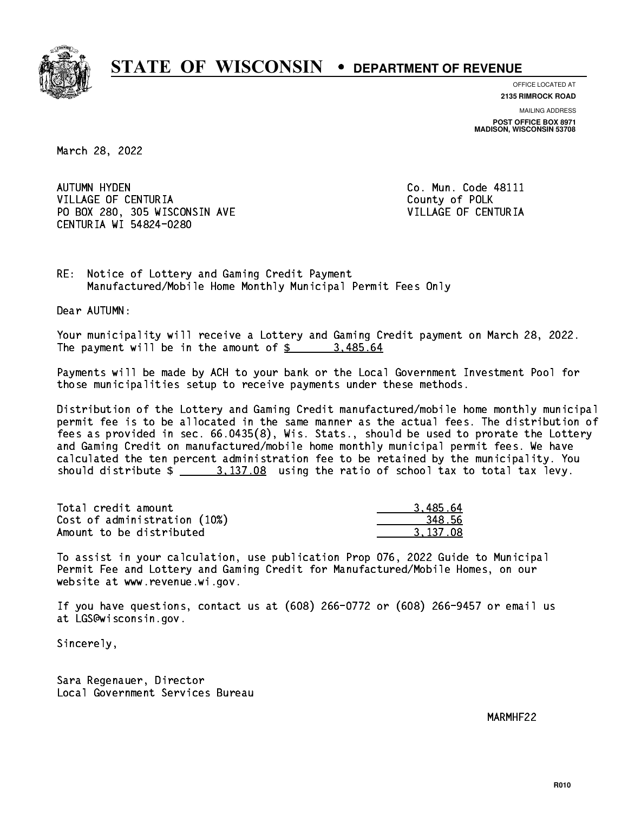

**OFFICE LOCATED AT**

**2135 RIMROCK ROAD**

**MAILING ADDRESS POST OFFICE BOX 8971 MADISON, WISCONSIN 53708**

March 28, 2022

AUTUMN HYDEN VILLAGE OF CENTURIA COUNTY OF POLK PO BOX 280, 305 WISCONSIN AVE VILLAGE OF CENTURIA CENTURIA WI 54824-0280

Co. Mun. Code 48111

RE: Notice of Lottery and Gaming Credit Payment Manufactured/Mobile Home Monthly Municipal Permit Fees Only

Dear AUTUMN:

 Your municipality will receive a Lottery and Gaming Credit payment on March 28, 2022. The payment will be in the amount of  $\frac{2}{3}$  3,485.64

 Payments will be made by ACH to your bank or the Local Government Investment Pool for those municipalities setup to receive payments under these methods.

 Distribution of the Lottery and Gaming Credit manufactured/mobile home monthly municipal permit fee is to be allocated in the same manner as the actual fees. The distribution of fees as provided in sec. 66.0435(8), Wis. Stats., should be used to prorate the Lottery and Gaming Credit on manufactured/mobile home monthly municipal permit fees. We have calculated the ten percent administration fee to be retained by the municipality. You should distribute  $\frac{2}{1}$   $\frac{3.137.08}{2}$  using the ratio of school tax to total tax levy.

| Total credit amount          | 3.485.64 |
|------------------------------|----------|
| Cost of administration (10%) | 348.56   |
| Amount to be distributed     | 3.137.08 |

 To assist in your calculation, use publication Prop 076, 2022 Guide to Municipal Permit Fee and Lottery and Gaming Credit for Manufactured/Mobile Homes, on our website at www.revenue.wi.gov.

 If you have questions, contact us at (608) 266-0772 or (608) 266-9457 or email us at LGS@wisconsin.gov.

Sincerely,

 Sara Regenauer, Director Local Government Services Bureau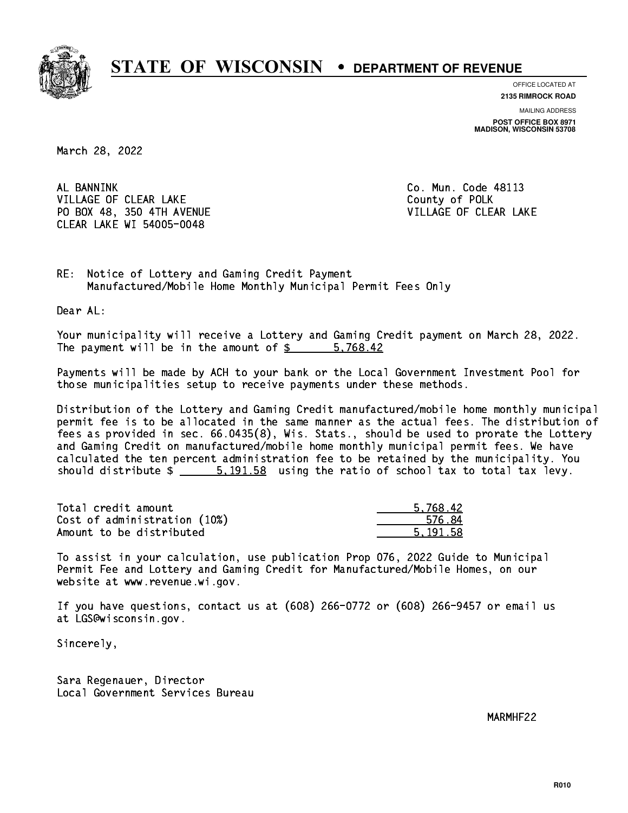

**OFFICE LOCATED AT**

**2135 RIMROCK ROAD**

**MAILING ADDRESS POST OFFICE BOX 8971 MADISON, WISCONSIN 53708**

March 28, 2022

AL BANNINK VILLAGE OF CLEAR LAKE County of POLK PO BOX 48, 350 4TH AVENUE VILLAGE OF CLEAR LAKE CLEAR LAKE WI 54005-0048

Co. Mun. Code 48113

RE: Notice of Lottery and Gaming Credit Payment Manufactured/Mobile Home Monthly Municipal Permit Fees Only

Dear AL:

 Your municipality will receive a Lottery and Gaming Credit payment on March 28, 2022. The payment will be in the amount of \$ 5,768.42 \_\_\_\_\_\_\_\_\_\_\_\_\_\_\_\_

 Payments will be made by ACH to your bank or the Local Government Investment Pool for those municipalities setup to receive payments under these methods.

 Distribution of the Lottery and Gaming Credit manufactured/mobile home monthly municipal permit fee is to be allocated in the same manner as the actual fees. The distribution of fees as provided in sec. 66.0435(8), Wis. Stats., should be used to prorate the Lottery and Gaming Credit on manufactured/mobile home monthly municipal permit fees. We have calculated the ten percent administration fee to be retained by the municipality. You should distribute  $\frac{2}{1}$   $\frac{5}{191.58}$  using the ratio of school tax to total tax levy.

| Total credit amount          | 5.768.42 |
|------------------------------|----------|
| Cost of administration (10%) | 576.84   |
| Amount to be distributed     | 5.191.58 |

 To assist in your calculation, use publication Prop 076, 2022 Guide to Municipal Permit Fee and Lottery and Gaming Credit for Manufactured/Mobile Homes, on our website at www.revenue.wi.gov.

 If you have questions, contact us at (608) 266-0772 or (608) 266-9457 or email us at LGS@wisconsin.gov.

Sincerely,

 Sara Regenauer, Director Local Government Services Bureau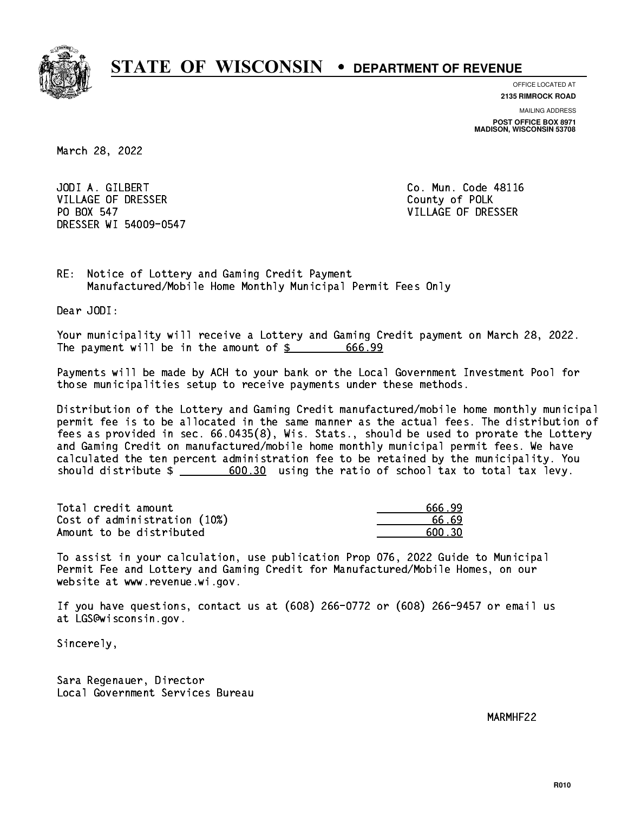

**OFFICE LOCATED AT**

**2135 RIMROCK ROAD**

**MAILING ADDRESS POST OFFICE BOX 8971 MADISON, WISCONSIN 53708**

March 28, 2022

 JODI A. GILBERT Co. Mun. Code 48116 VILLAGE OF DRESSER COUNTY OF POLK PO BOX 547 DRESSER WI 54009-0547

VILLAGE OF DRESSER

RE: Notice of Lottery and Gaming Credit Payment Manufactured/Mobile Home Monthly Municipal Permit Fees Only

Dear JODI:

 Your municipality will receive a Lottery and Gaming Credit payment on March 28, 2022. The payment will be in the amount of  $\frac{2}{3}$  666.99

 Payments will be made by ACH to your bank or the Local Government Investment Pool for those municipalities setup to receive payments under these methods.

 Distribution of the Lottery and Gaming Credit manufactured/mobile home monthly municipal permit fee is to be allocated in the same manner as the actual fees. The distribution of fees as provided in sec. 66.0435(8), Wis. Stats., should be used to prorate the Lottery and Gaming Credit on manufactured/mobile home monthly municipal permit fees. We have calculated the ten percent administration fee to be retained by the municipality. You should distribute  $\frac{2}{1}$   $\frac{600.30}{2}$  using the ratio of school tax to total tax levy.

Total credit amount Cost of administration (10%) Amount to be distributed

| 666.99 |
|--------|
| 66.69  |
| 600 RD |

 To assist in your calculation, use publication Prop 076, 2022 Guide to Municipal Permit Fee and Lottery and Gaming Credit for Manufactured/Mobile Homes, on our website at www.revenue.wi.gov.

 If you have questions, contact us at (608) 266-0772 or (608) 266-9457 or email us at LGS@wisconsin.gov.

Sincerely,

 Sara Regenauer, Director Local Government Services Bureau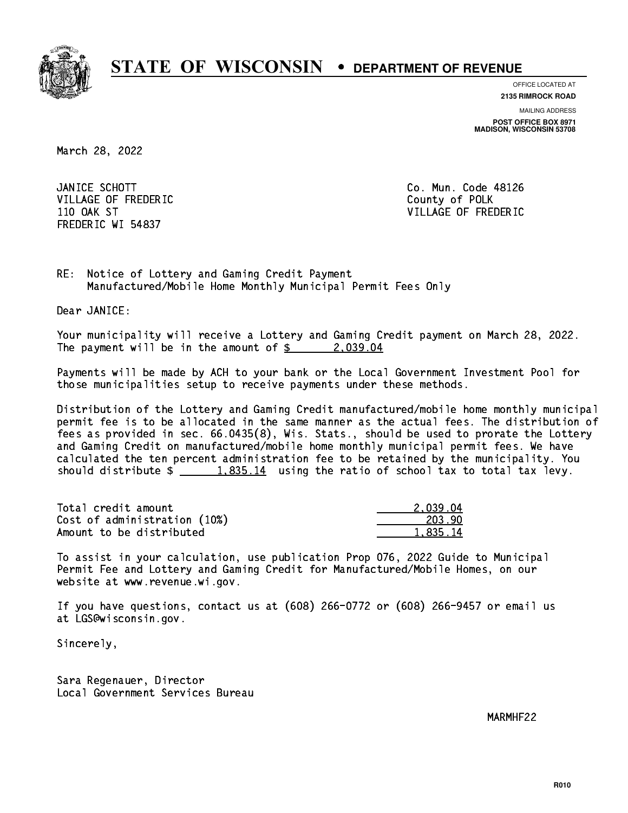

**OFFICE LOCATED AT**

**2135 RIMROCK ROAD**

**MAILING ADDRESS POST OFFICE BOX 8971 MADISON, WISCONSIN 53708**

March 28, 2022

JANICE SCHOTT VILLAGE OF FREDERIC **COUNTY OF SALES AND ACCOUNT OF POLK** FREDERIC WI 54837

Co. Mun. Code 48126 110 OAK ST VILLAGE OF FREDERIC

RE: Notice of Lottery and Gaming Credit Payment Manufactured/Mobile Home Monthly Municipal Permit Fees Only

Dear JANICE:

 Your municipality will receive a Lottery and Gaming Credit payment on March 28, 2022. The payment will be in the amount of  $\frac{2}{3}$  2,039.04

 Payments will be made by ACH to your bank or the Local Government Investment Pool for those municipalities setup to receive payments under these methods.

 Distribution of the Lottery and Gaming Credit manufactured/mobile home monthly municipal permit fee is to be allocated in the same manner as the actual fees. The distribution of fees as provided in sec. 66.0435(8), Wis. Stats., should be used to prorate the Lottery and Gaming Credit on manufactured/mobile home monthly municipal permit fees. We have calculated the ten percent administration fee to be retained by the municipality. You should distribute  $\frac{1.835.14}{1.835.14}$  using the ratio of school tax to total tax levy.

| Total credit amount          | 2.039.04 |
|------------------------------|----------|
| Cost of administration (10%) | 203.90   |
| Amount to be distributed     | 1.835.14 |

 To assist in your calculation, use publication Prop 076, 2022 Guide to Municipal Permit Fee and Lottery and Gaming Credit for Manufactured/Mobile Homes, on our website at www.revenue.wi.gov.

 If you have questions, contact us at (608) 266-0772 or (608) 266-9457 or email us at LGS@wisconsin.gov.

Sincerely,

 Sara Regenauer, Director Local Government Services Bureau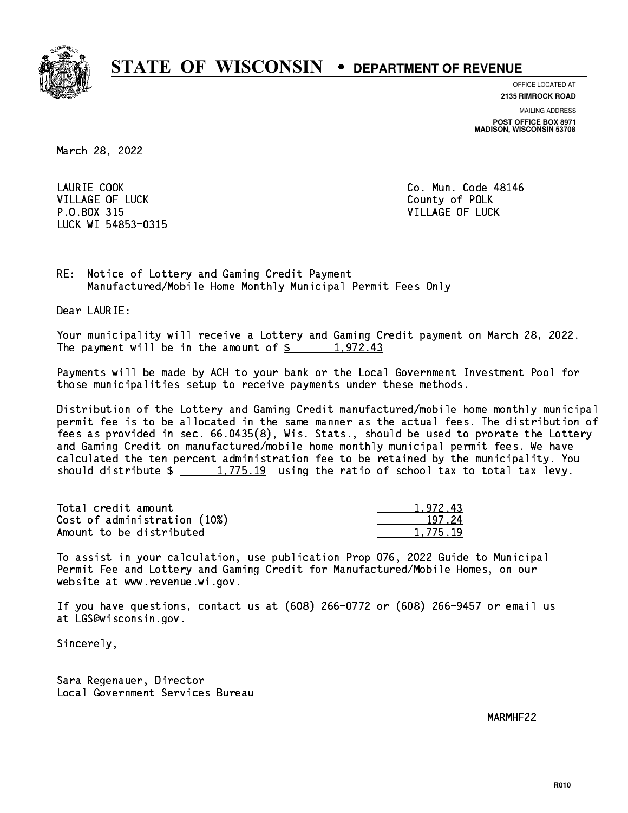

**OFFICE LOCATED AT 2135 RIMROCK ROAD**

**MAILING ADDRESS**

**POST OFFICE BOX 8971 MADISON, WISCONSIN 53708**

March 28, 2022

LAURIE COOK VILLAGE OF LUCK County of POLK P.O.BOX 315 VILLAGE OF LUCK LUCK WI 54853-0315

Co. Mun. Code 48146

RE: Notice of Lottery and Gaming Credit Payment Manufactured/Mobile Home Monthly Municipal Permit Fees Only

Dear LAURIE:

 Your municipality will receive a Lottery and Gaming Credit payment on March 28, 2022. The payment will be in the amount of  $\frac{2}{3}$  1,972.43

 Payments will be made by ACH to your bank or the Local Government Investment Pool for those municipalities setup to receive payments under these methods.

 Distribution of the Lottery and Gaming Credit manufactured/mobile home monthly municipal permit fee is to be allocated in the same manner as the actual fees. The distribution of fees as provided in sec. 66.0435(8), Wis. Stats., should be used to prorate the Lottery and Gaming Credit on manufactured/mobile home monthly municipal permit fees. We have calculated the ten percent administration fee to be retained by the municipality. You should distribute  $\frac{1,775.19}{1,775.19}$  using the ratio of school tax to total tax levy.

| Total credit amount          | 1.972.43 |
|------------------------------|----------|
| Cost of administration (10%) | 197.24   |
| Amount to be distributed     | 1,775.19 |

 To assist in your calculation, use publication Prop 076, 2022 Guide to Municipal Permit Fee and Lottery and Gaming Credit for Manufactured/Mobile Homes, on our website at www.revenue.wi.gov.

 If you have questions, contact us at (608) 266-0772 or (608) 266-9457 or email us at LGS@wisconsin.gov.

Sincerely,

 Sara Regenauer, Director Local Government Services Bureau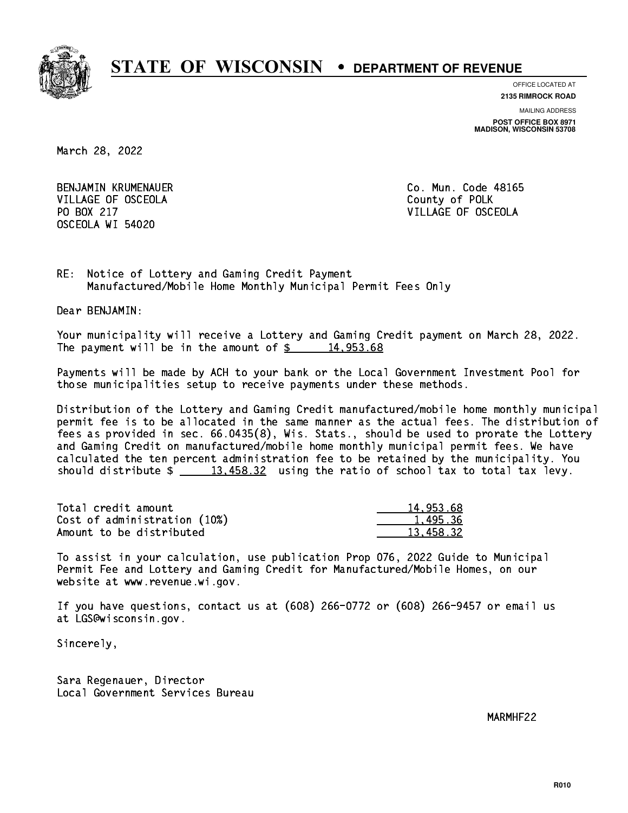

**OFFICE LOCATED AT**

**2135 RIMROCK ROAD**

**MAILING ADDRESS POST OFFICE BOX 8971 MADISON, WISCONSIN 53708**

March 28, 2022

 BENJAMIN KRUMENAUER Co. Mun. Code 48165 VILLAGE OF OSCEOLA COUNTY OF POLK PO BOX 217 VILLAGE OF OSCEOLA OSCEOLA WI 54020

RE: Notice of Lottery and Gaming Credit Payment Manufactured/Mobile Home Monthly Municipal Permit Fees Only

Dear BENJAMIN:

 Your municipality will receive a Lottery and Gaming Credit payment on March 28, 2022. The payment will be in the amount of  $\frac{2}{3}$  14,953.68

 Payments will be made by ACH to your bank or the Local Government Investment Pool for those municipalities setup to receive payments under these methods.

 Distribution of the Lottery and Gaming Credit manufactured/mobile home monthly municipal permit fee is to be allocated in the same manner as the actual fees. The distribution of fees as provided in sec. 66.0435(8), Wis. Stats., should be used to prorate the Lottery and Gaming Credit on manufactured/mobile home monthly municipal permit fees. We have calculated the ten percent administration fee to be retained by the municipality. You should distribute  $\frac{2}{13,458.32}$  using the ratio of school tax to total tax levy.

| Total credit amount          | 14,953.68 |
|------------------------------|-----------|
| Cost of administration (10%) | 1.495.36  |
| Amount to be distributed     | 13.458.32 |

 To assist in your calculation, use publication Prop 076, 2022 Guide to Municipal Permit Fee and Lottery and Gaming Credit for Manufactured/Mobile Homes, on our website at www.revenue.wi.gov.

 If you have questions, contact us at (608) 266-0772 or (608) 266-9457 or email us at LGS@wisconsin.gov.

Sincerely,

 Sara Regenauer, Director Local Government Services Bureau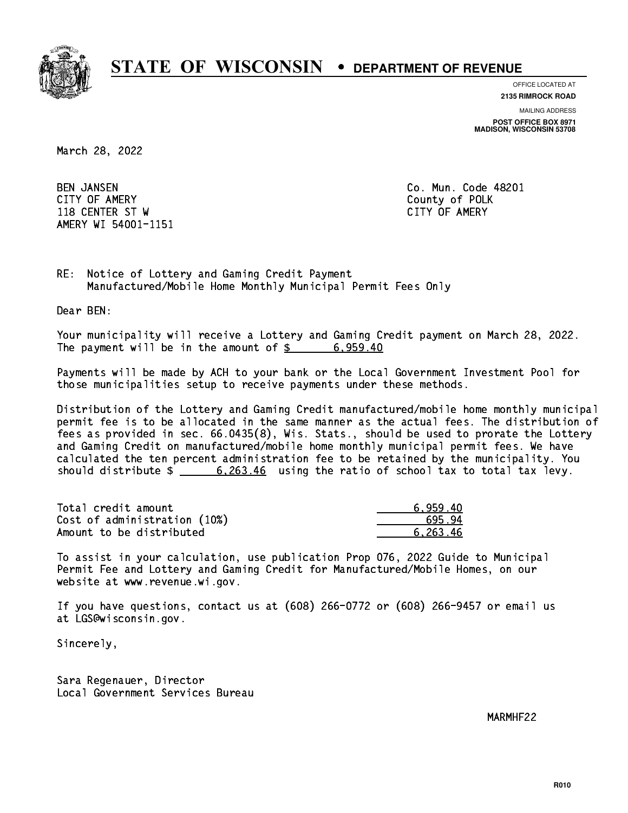

**OFFICE LOCATED AT**

**MAILING ADDRESS 2135 RIMROCK ROAD**

**POST OFFICE BOX 8971 MADISON, WISCONSIN 53708**

March 28, 2022

**BEN JANSEN**  CITY OF AMERY County of POLK 118 CENTER ST W CITY OF AMERY AMERY WI 54001-1151

Co. Mun. Code 48201

RE: Notice of Lottery and Gaming Credit Payment Manufactured/Mobile Home Monthly Municipal Permit Fees Only

Dear BEN:

 Your municipality will receive a Lottery and Gaming Credit payment on March 28, 2022. The payment will be in the amount of  $\frac{2}{3}$  6,959.40

 Payments will be made by ACH to your bank or the Local Government Investment Pool for those municipalities setup to receive payments under these methods.

 Distribution of the Lottery and Gaming Credit manufactured/mobile home monthly municipal permit fee is to be allocated in the same manner as the actual fees. The distribution of fees as provided in sec. 66.0435(8), Wis. Stats., should be used to prorate the Lottery and Gaming Credit on manufactured/mobile home monthly municipal permit fees. We have calculated the ten percent administration fee to be retained by the municipality. You should distribute  $\frac{263.46}{263.46}$  using the ratio of school tax to total tax levy.

| Total credit amount          | 6.959.40 |
|------------------------------|----------|
| Cost of administration (10%) | 695.94   |
| Amount to be distributed     | 6.263.46 |

 To assist in your calculation, use publication Prop 076, 2022 Guide to Municipal Permit Fee and Lottery and Gaming Credit for Manufactured/Mobile Homes, on our website at www.revenue.wi.gov.

 If you have questions, contact us at (608) 266-0772 or (608) 266-9457 or email us at LGS@wisconsin.gov.

Sincerely,

 Sara Regenauer, Director Local Government Services Bureau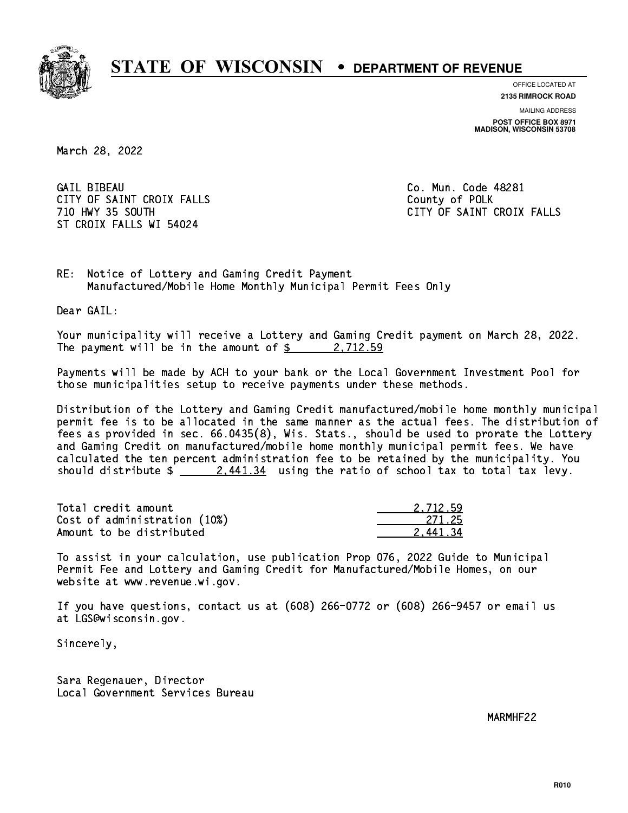

**OFFICE LOCATED AT**

**2135 RIMROCK ROAD**

**MAILING ADDRESS POST OFFICE BOX 8971 MADISON, WISCONSIN 53708**

March 28, 2022

**GAIL BIBEAU** CITY OF SAINT CROIX FALLS COUNTY OF SAINT CROIX FALLS ST CROIX FALLS WI 54024

Co. Mun. Code 48281 710 HWY 35 SOUTH CITY OF SAINT CROIX FALLS

RE: Notice of Lottery and Gaming Credit Payment Manufactured/Mobile Home Monthly Municipal Permit Fees Only

Dear GAIL:

 Your municipality will receive a Lottery and Gaming Credit payment on March 28, 2022. The payment will be in the amount of  $\frac{2}{3}$  2,712.59

 Payments will be made by ACH to your bank or the Local Government Investment Pool for those municipalities setup to receive payments under these methods.

 Distribution of the Lottery and Gaming Credit manufactured/mobile home monthly municipal permit fee is to be allocated in the same manner as the actual fees. The distribution of fees as provided in sec. 66.0435(8), Wis. Stats., should be used to prorate the Lottery and Gaming Credit on manufactured/mobile home monthly municipal permit fees. We have calculated the ten percent administration fee to be retained by the municipality. You should distribute  $\frac{2.441.34}{2.441.34}$  using the ratio of school tax to total tax levy.

| Total credit amount          | 2.712.59 |
|------------------------------|----------|
| Cost of administration (10%) | -271.25  |
| Amount to be distributed     | 2.441.34 |

 To assist in your calculation, use publication Prop 076, 2022 Guide to Municipal Permit Fee and Lottery and Gaming Credit for Manufactured/Mobile Homes, on our website at www.revenue.wi.gov.

 If you have questions, contact us at (608) 266-0772 or (608) 266-9457 or email us at LGS@wisconsin.gov.

Sincerely,

 Sara Regenauer, Director Local Government Services Bureau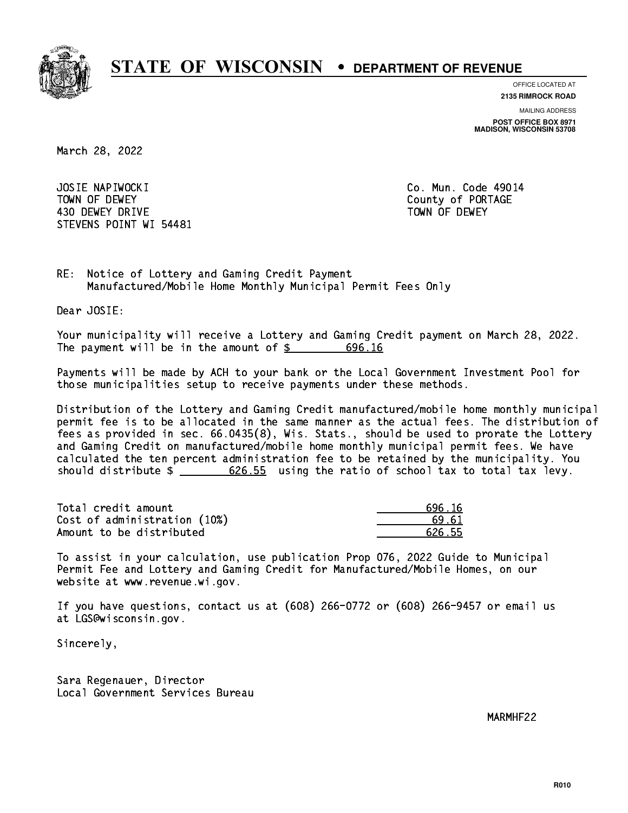

**OFFICE LOCATED AT**

**2135 RIMROCK ROAD**

**MAILING ADDRESS POST OFFICE BOX 8971 MADISON, WISCONSIN 53708**

March 28, 2022

 JOSIE NAPIWOCKI Co. Mun. Code 49014 TOWN OF DEWEY COUNTY OF RESERVE TOWN OF DEWEY 430 DEWEY DRIVE TOWN OF DEWEY STEVENS POINT WI 54481

RE: Notice of Lottery and Gaming Credit Payment Manufactured/Mobile Home Monthly Municipal Permit Fees Only

Dear JOSIE:

 Your municipality will receive a Lottery and Gaming Credit payment on March 28, 2022. The payment will be in the amount of  $\frac{2}{3}$  696.16

 Payments will be made by ACH to your bank or the Local Government Investment Pool for those municipalities setup to receive payments under these methods.

 Distribution of the Lottery and Gaming Credit manufactured/mobile home monthly municipal permit fee is to be allocated in the same manner as the actual fees. The distribution of fees as provided in sec. 66.0435(8), Wis. Stats., should be used to prorate the Lottery and Gaming Credit on manufactured/mobile home monthly municipal permit fees. We have calculated the ten percent administration fee to be retained by the municipality. You should distribute  $\frac{26.55}{2}$  using the ratio of school tax to total tax levy.

| Total credit amount          | 696.16 |
|------------------------------|--------|
| Cost of administration (10%) | 69 67  |
| Amount to be distributed     | 626.55 |

 To assist in your calculation, use publication Prop 076, 2022 Guide to Municipal Permit Fee and Lottery and Gaming Credit for Manufactured/Mobile Homes, on our website at www.revenue.wi.gov.

 If you have questions, contact us at (608) 266-0772 or (608) 266-9457 or email us at LGS@wisconsin.gov.

Sincerely,

 Sara Regenauer, Director Local Government Services Bureau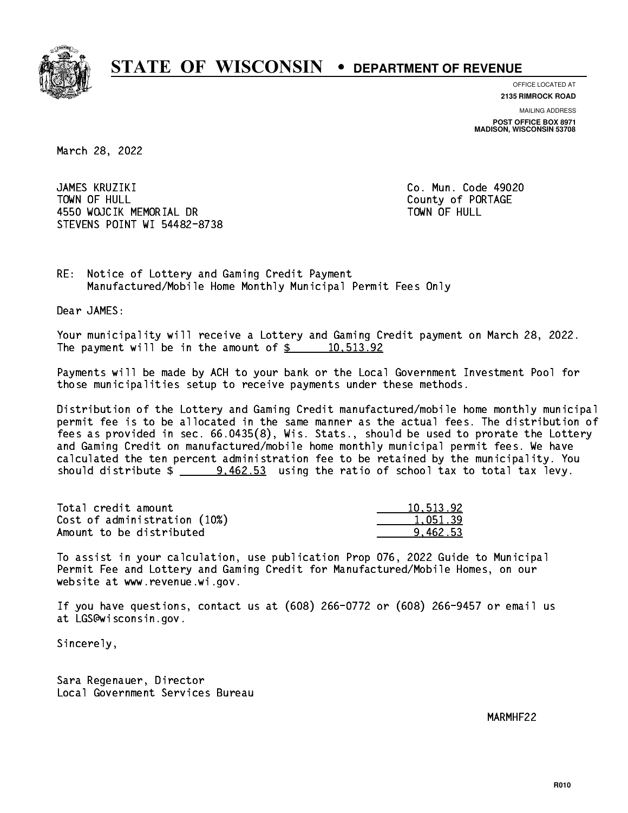

**OFFICE LOCATED AT**

**2135 RIMROCK ROAD**

**MAILING ADDRESS POST OFFICE BOX 8971 MADISON, WISCONSIN 53708**

March 28, 2022

 JAMES KRUZIKI Co. Mun. Code 49020 TOWN OF HULL 4550 WOJCIK MEMORIAL DR STEVENS POINT WI 54482-8738

County of PORTAGE TOWN OF HULL

RE: Notice of Lottery and Gaming Credit Payment Manufactured/Mobile Home Monthly Municipal Permit Fees Only

Dear JAMES:

 Your municipality will receive a Lottery and Gaming Credit payment on March 28, 2022. The payment will be in the amount of  $\frac{2}{3}$  10,513.92

 Payments will be made by ACH to your bank or the Local Government Investment Pool for those municipalities setup to receive payments under these methods.

 Distribution of the Lottery and Gaming Credit manufactured/mobile home monthly municipal permit fee is to be allocated in the same manner as the actual fees. The distribution of fees as provided in sec. 66.0435(8), Wis. Stats., should be used to prorate the Lottery and Gaming Credit on manufactured/mobile home monthly municipal permit fees. We have calculated the ten percent administration fee to be retained by the municipality. You should distribute  $\frac{2}{2}$   $\frac{9.462.53}{2}$  using the ratio of school tax to total tax levy.

| Total credit amount          | 10.513.92 |
|------------------------------|-----------|
| Cost of administration (10%) | 1.051.39  |
| Amount to be distributed     | 9.462.53  |

 To assist in your calculation, use publication Prop 076, 2022 Guide to Municipal Permit Fee and Lottery and Gaming Credit for Manufactured/Mobile Homes, on our website at www.revenue.wi.gov.

 If you have questions, contact us at (608) 266-0772 or (608) 266-9457 or email us at LGS@wisconsin.gov.

Sincerely,

 Sara Regenauer, Director Local Government Services Bureau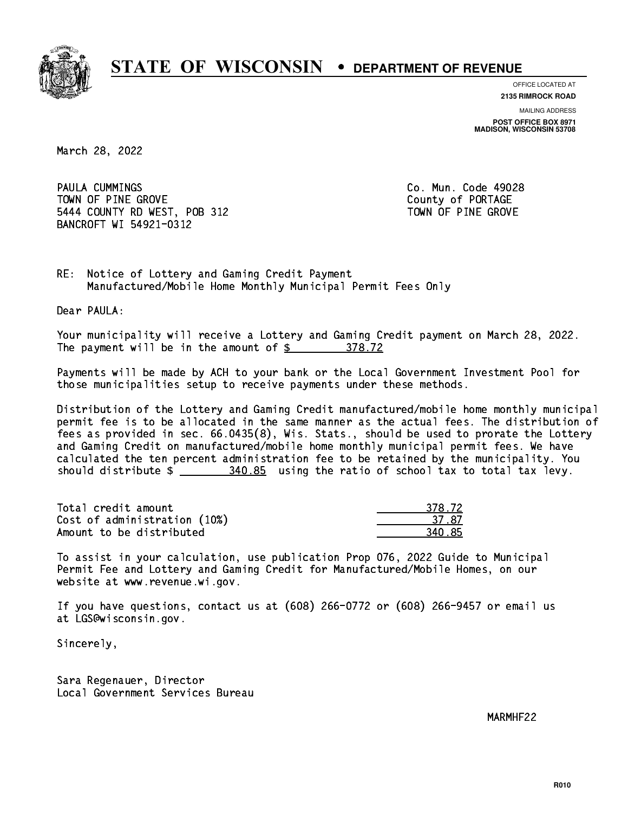

**OFFICE LOCATED AT**

**2135 RIMROCK ROAD**

**MAILING ADDRESS**

**POST OFFICE BOX 8971 MADISON, WISCONSIN 53708**

March 28, 2022

PAULA CUMMINGS **COMMINGS COLLEGE ASSESSMENT COMMINGS COLLEGE AGAINST COLLEGE AGAINST COLLEGE AGAINST COLLEGE AGAINST COLLEGE AGAINST COLLEGE AGAINST COLLEGE AGAINST COLLEGE AGAINST COLLEGE AGAINST COLLEGE AGAINST COLLE** TOWN OF PINE GROVE TOWN OF PORTAGE 5444 COUNTY RD WEST, POB 312 TOWN OF PINE GROVE BANCROFT WI 54921-0312

RE: Notice of Lottery and Gaming Credit Payment Manufactured/Mobile Home Monthly Municipal Permit Fees Only

Dear PAULA:

 Your municipality will receive a Lottery and Gaming Credit payment on March 28, 2022. The payment will be in the amount of \$ 378.72 \_\_\_\_\_\_\_\_\_\_\_\_\_\_\_\_

 Payments will be made by ACH to your bank or the Local Government Investment Pool for those municipalities setup to receive payments under these methods.

 Distribution of the Lottery and Gaming Credit manufactured/mobile home monthly municipal permit fee is to be allocated in the same manner as the actual fees. The distribution of fees as provided in sec. 66.0435(8), Wis. Stats., should be used to prorate the Lottery and Gaming Credit on manufactured/mobile home monthly municipal permit fees. We have calculated the ten percent administration fee to be retained by the municipality. You should distribute  $\frac{240.85}{2}$  using the ratio of school tax to total tax levy.

| Total credit amount          | 378.72 |
|------------------------------|--------|
| Cost of administration (10%) | -37-87 |
| Amount to be distributed     | 340.85 |

 To assist in your calculation, use publication Prop 076, 2022 Guide to Municipal Permit Fee and Lottery and Gaming Credit for Manufactured/Mobile Homes, on our website at www.revenue.wi.gov.

 If you have questions, contact us at (608) 266-0772 or (608) 266-9457 or email us at LGS@wisconsin.gov.

Sincerely,

 Sara Regenauer, Director Local Government Services Bureau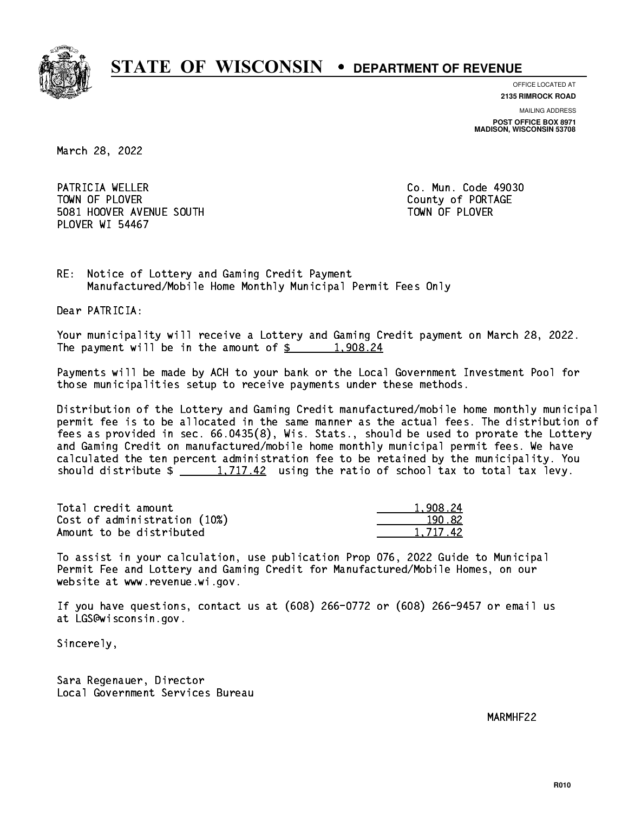

**OFFICE LOCATED AT**

**2135 RIMROCK ROAD**

**MAILING ADDRESS POST OFFICE BOX 8971 MADISON, WISCONSIN 53708**

March 28, 2022

PATRICIA WELLER **Co. Mun. Code 49030** TOWN OF PLOVER **COUNTY OF PORTAGE**  5081 HOOVER AVENUE SOUTH TOWN OF PLOVER PLOVER WI 54467

RE: Notice of Lottery and Gaming Credit Payment Manufactured/Mobile Home Monthly Municipal Permit Fees Only

Dear PATRICIA:

 Your municipality will receive a Lottery and Gaming Credit payment on March 28, 2022. The payment will be in the amount of  $\frac{2}{3}$  1,908.24

 Payments will be made by ACH to your bank or the Local Government Investment Pool for those municipalities setup to receive payments under these methods.

 Distribution of the Lottery and Gaming Credit manufactured/mobile home monthly municipal permit fee is to be allocated in the same manner as the actual fees. The distribution of fees as provided in sec. 66.0435(8), Wis. Stats., should be used to prorate the Lottery and Gaming Credit on manufactured/mobile home monthly municipal permit fees. We have calculated the ten percent administration fee to be retained by the municipality. You should distribute  $\frac{1,717.42}{1,717.42}$  using the ratio of school tax to total tax levy.

| Total credit amount          | 1.908.24 |
|------------------------------|----------|
| Cost of administration (10%) | 190.82   |
| Amount to be distributed     | 1.717.42 |

 To assist in your calculation, use publication Prop 076, 2022 Guide to Municipal Permit Fee and Lottery and Gaming Credit for Manufactured/Mobile Homes, on our website at www.revenue.wi.gov.

 If you have questions, contact us at (608) 266-0772 or (608) 266-9457 or email us at LGS@wisconsin.gov.

Sincerely,

 Sara Regenauer, Director Local Government Services Bureau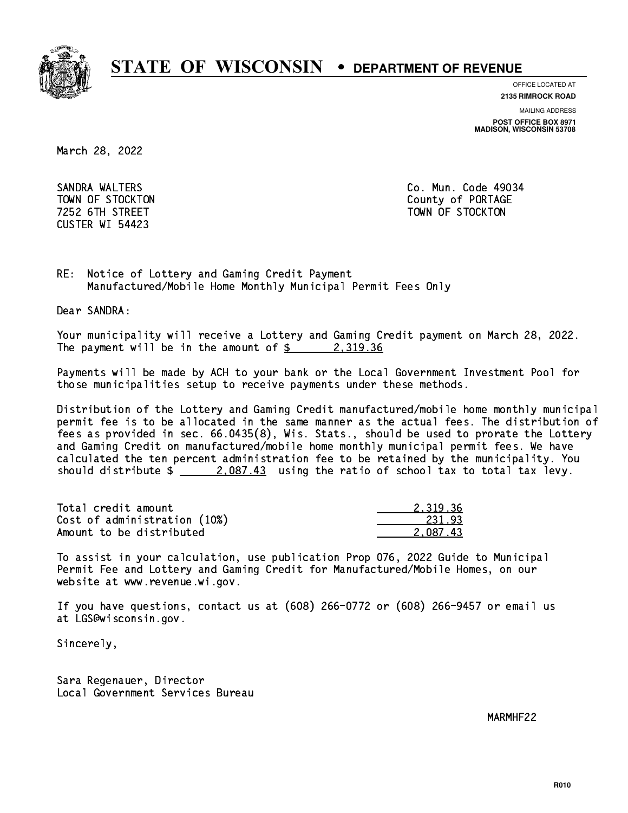

**OFFICE LOCATED AT**

**2135 RIMROCK ROAD**

**MAILING ADDRESS**

**POST OFFICE BOX 8971 MADISON, WISCONSIN 53708**

March 28, 2022

 SANDRA WALTERS Co. Mun. Code 49034 CUSTER WI 54423

 TOWN OF STOCKTON County of PORTAGE 7252 6TH STREET TOWN OF STOCKTON

RE: Notice of Lottery and Gaming Credit Payment Manufactured/Mobile Home Monthly Municipal Permit Fees Only

Dear SANDRA:

 Your municipality will receive a Lottery and Gaming Credit payment on March 28, 2022. The payment will be in the amount of  $\frac{2}{3}$  2,319.36

 Payments will be made by ACH to your bank or the Local Government Investment Pool for those municipalities setup to receive payments under these methods.

 Distribution of the Lottery and Gaming Credit manufactured/mobile home monthly municipal permit fee is to be allocated in the same manner as the actual fees. The distribution of fees as provided in sec. 66.0435(8), Wis. Stats., should be used to prorate the Lottery and Gaming Credit on manufactured/mobile home monthly municipal permit fees. We have calculated the ten percent administration fee to be retained by the municipality. You should distribute  $\frac{2.087.43}{2.087.43}$  using the ratio of school tax to total tax levy.

| Total credit amount          | 2.319.36 |
|------------------------------|----------|
| Cost of administration (10%) | 231.93   |
| Amount to be distributed     | 2.087.43 |

 To assist in your calculation, use publication Prop 076, 2022 Guide to Municipal Permit Fee and Lottery and Gaming Credit for Manufactured/Mobile Homes, on our website at www.revenue.wi.gov.

 If you have questions, contact us at (608) 266-0772 or (608) 266-9457 or email us at LGS@wisconsin.gov.

Sincerely,

 Sara Regenauer, Director Local Government Services Bureau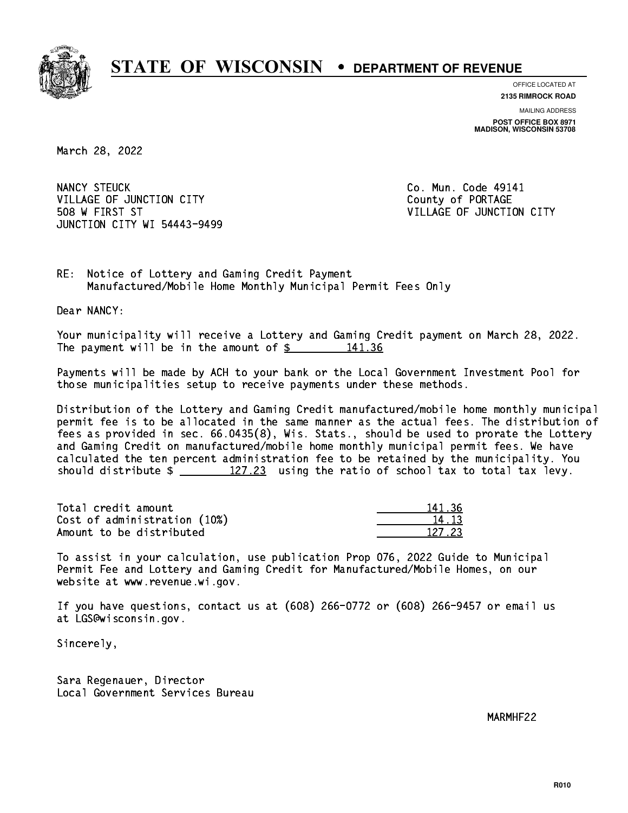

**OFFICE LOCATED AT 2135 RIMROCK ROAD**

**MAILING ADDRESS POST OFFICE BOX 8971 MADISON, WISCONSIN 53708**

March 28, 2022

NANCY STEUCK VILLAGE OF JUNCTION CITY COUNTY County of PORTAGE 508 W FIRST ST VILLAGE OF JUNCTION CITY JUNCTION CITY WI 54443-9499

Co. Mun. Code 49141

RE: Notice of Lottery and Gaming Credit Payment Manufactured/Mobile Home Monthly Municipal Permit Fees Only

Dear NANCY:

 Your municipality will receive a Lottery and Gaming Credit payment on March 28, 2022. The payment will be in the amount of  $\frac{2}{3}$  141.36

 Payments will be made by ACH to your bank or the Local Government Investment Pool for those municipalities setup to receive payments under these methods.

 Distribution of the Lottery and Gaming Credit manufactured/mobile home monthly municipal permit fee is to be allocated in the same manner as the actual fees. The distribution of fees as provided in sec. 66.0435(8), Wis. Stats., should be used to prorate the Lottery and Gaming Credit on manufactured/mobile home monthly municipal permit fees. We have calculated the ten percent administration fee to be retained by the municipality. You should distribute  $\frac{27.23}{127.23}$  using the ratio of school tax to total tax levy.

Total credit amount Cost of administration (10%) Amount to be distributed

| - 36     |
|----------|
| $\pm$ 12 |
| 2723     |

 To assist in your calculation, use publication Prop 076, 2022 Guide to Municipal Permit Fee and Lottery and Gaming Credit for Manufactured/Mobile Homes, on our website at www.revenue.wi.gov.

 If you have questions, contact us at (608) 266-0772 or (608) 266-9457 or email us at LGS@wisconsin.gov.

Sincerely,

 Sara Regenauer, Director Local Government Services Bureau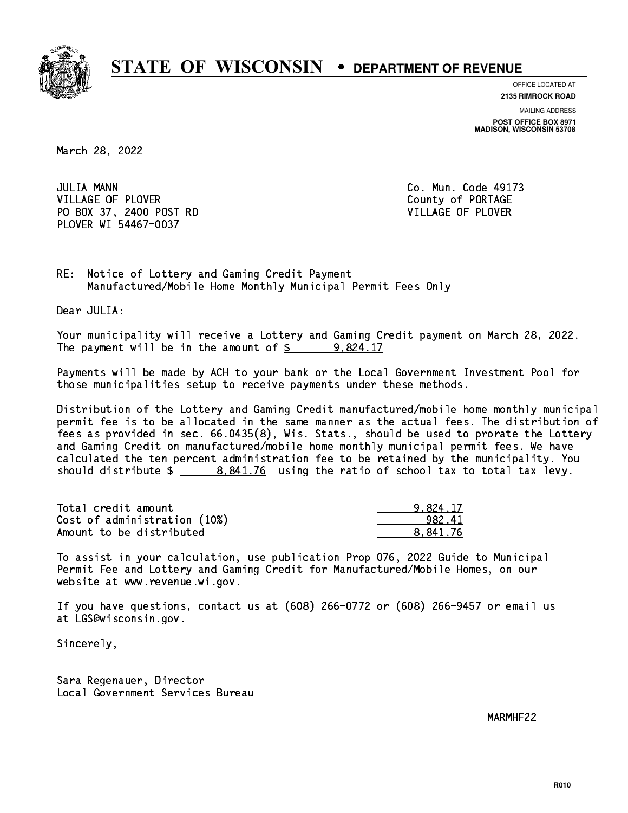

**OFFICE LOCATED AT**

**2135 RIMROCK ROAD**

**MAILING ADDRESS POST OFFICE BOX 8971 MADISON, WISCONSIN 53708**

March 28, 2022

**JULIA MANN** VILLAGE OF PLOVER COUNTY OF PORTAGE PO BOX 37, 2400 POST RD VILLAGE OF PLOVER PLOVER WI 54467-0037

Co. Mun. Code 49173

RE: Notice of Lottery and Gaming Credit Payment Manufactured/Mobile Home Monthly Municipal Permit Fees Only

Dear JULIA:

 Your municipality will receive a Lottery and Gaming Credit payment on March 28, 2022. The payment will be in the amount of  $\frac{2}{3}$  9,824.17

 Payments will be made by ACH to your bank or the Local Government Investment Pool for those municipalities setup to receive payments under these methods.

 Distribution of the Lottery and Gaming Credit manufactured/mobile home monthly municipal permit fee is to be allocated in the same manner as the actual fees. The distribution of fees as provided in sec. 66.0435(8), Wis. Stats., should be used to prorate the Lottery and Gaming Credit on manufactured/mobile home monthly municipal permit fees. We have calculated the ten percent administration fee to be retained by the municipality. You should distribute  $\frac{2}{1}$   $\frac{8.841.76}{2}$  using the ratio of school tax to total tax levy.

| Total credit amount          | 9.824.17 |
|------------------------------|----------|
| Cost of administration (10%) | 982.41   |
| Amount to be distributed     | 8.841.76 |

 To assist in your calculation, use publication Prop 076, 2022 Guide to Municipal Permit Fee and Lottery and Gaming Credit for Manufactured/Mobile Homes, on our website at www.revenue.wi.gov.

 If you have questions, contact us at (608) 266-0772 or (608) 266-9457 or email us at LGS@wisconsin.gov.

Sincerely,

 Sara Regenauer, Director Local Government Services Bureau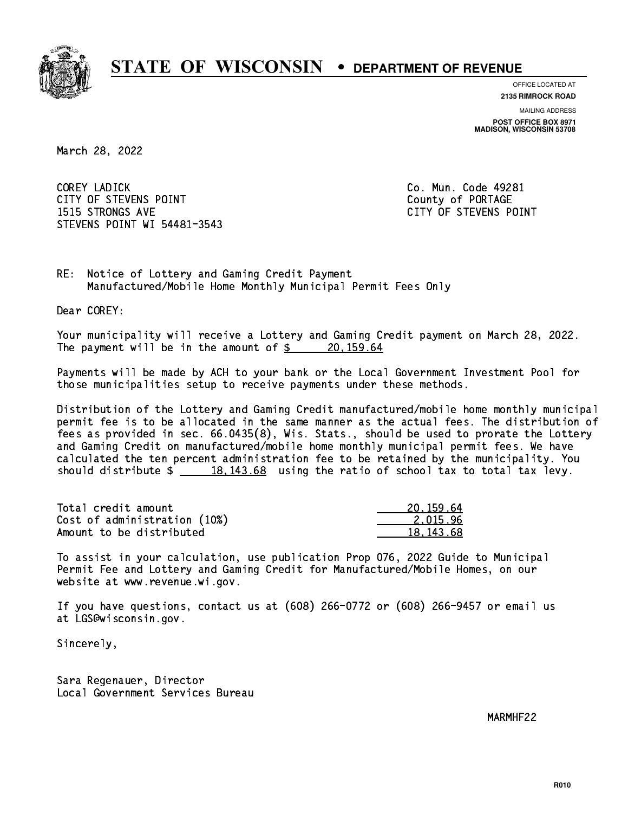

**OFFICE LOCATED AT**

**2135 RIMROCK ROAD**

**MAILING ADDRESS POST OFFICE BOX 8971 MADISON, WISCONSIN 53708**

March 28, 2022

 COREY LADICK Co. Mun. Code 49281 CITY OF STEVENS POINT COUNTS AND COUNTY OF PORTAGE 1515 STRONGS AVE CITY OF STEVENS POINT STEVENS POINT WI 54481-3543

RE: Notice of Lottery and Gaming Credit Payment Manufactured/Mobile Home Monthly Municipal Permit Fees Only

Dear COREY:

 Your municipality will receive a Lottery and Gaming Credit payment on March 28, 2022. The payment will be in the amount of  $\frac{20,159.64}{20,159.64}$ 

 Payments will be made by ACH to your bank or the Local Government Investment Pool for those municipalities setup to receive payments under these methods.

 Distribution of the Lottery and Gaming Credit manufactured/mobile home monthly municipal permit fee is to be allocated in the same manner as the actual fees. The distribution of fees as provided in sec. 66.0435(8), Wis. Stats., should be used to prorate the Lottery and Gaming Credit on manufactured/mobile home monthly municipal permit fees. We have calculated the ten percent administration fee to be retained by the municipality. You should distribute  $\frac{18,143.68}{2}$  using the ratio of school tax to total tax levy.

| Total credit amount          | 20.159.64   |
|------------------------------|-------------|
| Cost of administration (10%) | 2.015.96    |
| Amount to be distributed     | 18, 143, 68 |

 To assist in your calculation, use publication Prop 076, 2022 Guide to Municipal Permit Fee and Lottery and Gaming Credit for Manufactured/Mobile Homes, on our website at www.revenue.wi.gov.

 If you have questions, contact us at (608) 266-0772 or (608) 266-9457 or email us at LGS@wisconsin.gov.

Sincerely,

 Sara Regenauer, Director Local Government Services Bureau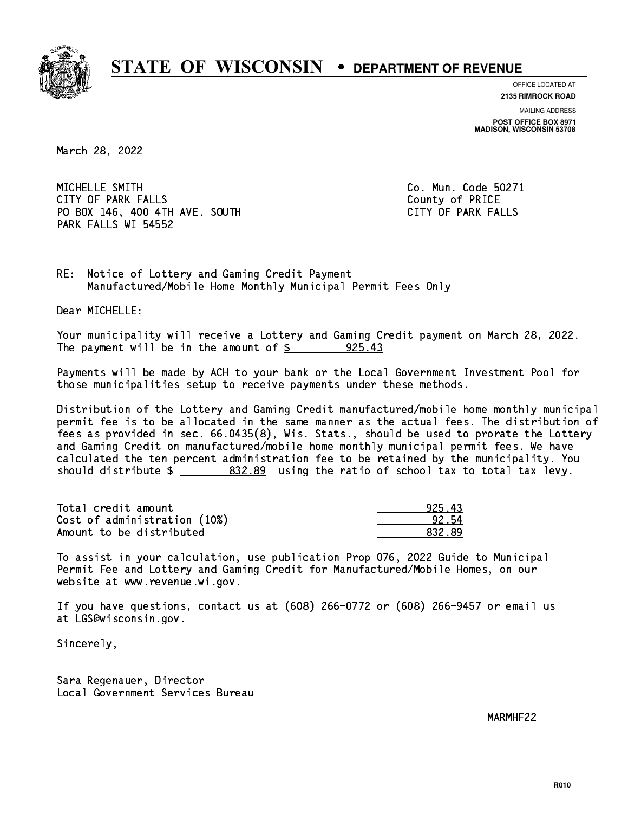

**OFFICE LOCATED AT**

**2135 RIMROCK ROAD**

**MAILING ADDRESS POST OFFICE BOX 8971 MADISON, WISCONSIN 53708**

March 28, 2022

MICHELLE SMITH CITY OF PARK FALLS **COUNTY OF PARK** FALLS PO BOX 146, 400 4TH AVE. SOUTH CITY OF PARK FALLS PARK FALLS WI 54552

Co. Mun. Code 50271

RE: Notice of Lottery and Gaming Credit Payment Manufactured/Mobile Home Monthly Municipal Permit Fees Only

Dear MICHELLE:

 Your municipality will receive a Lottery and Gaming Credit payment on March 28, 2022. The payment will be in the amount of  $\frac{25.43}{25.43}$ 

 Payments will be made by ACH to your bank or the Local Government Investment Pool for those municipalities setup to receive payments under these methods.

 Distribution of the Lottery and Gaming Credit manufactured/mobile home monthly municipal permit fee is to be allocated in the same manner as the actual fees. The distribution of fees as provided in sec. 66.0435(8), Wis. Stats., should be used to prorate the Lottery and Gaming Credit on manufactured/mobile home monthly municipal permit fees. We have calculated the ten percent administration fee to be retained by the municipality. You should distribute  $\frac{2}{2}$   $\frac{832.89}{2}$  using the ratio of school tax to total tax levy.

Total credit amount Cost of administration (10%) Amount to be distributed

| l ર         |
|-------------|
| 12 54       |
| ₹d<br>RR2 1 |

 To assist in your calculation, use publication Prop 076, 2022 Guide to Municipal Permit Fee and Lottery and Gaming Credit for Manufactured/Mobile Homes, on our website at www.revenue.wi.gov.

 If you have questions, contact us at (608) 266-0772 or (608) 266-9457 or email us at LGS@wisconsin.gov.

Sincerely,

 Sara Regenauer, Director Local Government Services Bureau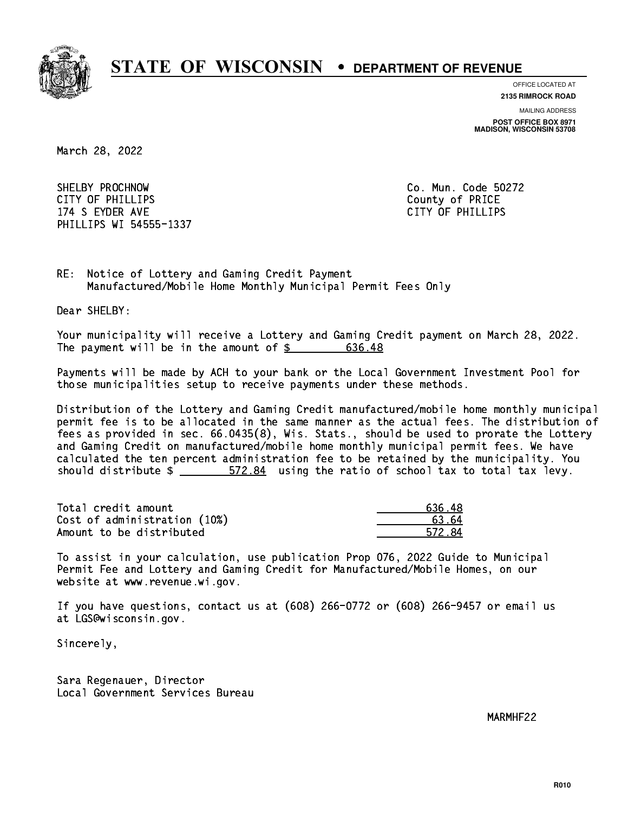

**OFFICE LOCATED AT**

**MAILING ADDRESS 2135 RIMROCK ROAD**

**POST OFFICE BOX 8971 MADISON, WISCONSIN 53708**

March 28, 2022

 SHELBY PROCHNOW Co. Mun. Code 50272 CITY OF PHILLIPS County of PRICE 174 S EYDER AVE CITY OF PHILLIPS OF PHILLIPS OF PHILLIPS OF PHILLIPS OF PHILLIPS OF PHILLIPS OF PHILLIPS OF PH PHILLIPS WI 54555-1337

RE: Notice of Lottery and Gaming Credit Payment Manufactured/Mobile Home Monthly Municipal Permit Fees Only

Dear SHELBY:

 Your municipality will receive a Lottery and Gaming Credit payment on March 28, 2022. The payment will be in the amount of  $\frac{2}{3}$  636.48

 Payments will be made by ACH to your bank or the Local Government Investment Pool for those municipalities setup to receive payments under these methods.

 Distribution of the Lottery and Gaming Credit manufactured/mobile home monthly municipal permit fee is to be allocated in the same manner as the actual fees. The distribution of fees as provided in sec. 66.0435(8), Wis. Stats., should be used to prorate the Lottery and Gaming Credit on manufactured/mobile home monthly municipal permit fees. We have calculated the ten percent administration fee to be retained by the municipality. You should distribute  $\frac{2}{2}$   $\frac{572.84}{2}$  using the ratio of school tax to total tax levy.

| Total credit amount          | 636.48   |
|------------------------------|----------|
| Cost of administration (10%) | . 63. 64 |
| Amount to be distributed     | 572.84   |

 To assist in your calculation, use publication Prop 076, 2022 Guide to Municipal Permit Fee and Lottery and Gaming Credit for Manufactured/Mobile Homes, on our website at www.revenue.wi.gov.

 If you have questions, contact us at (608) 266-0772 or (608) 266-9457 or email us at LGS@wisconsin.gov.

Sincerely,

 Sara Regenauer, Director Local Government Services Bureau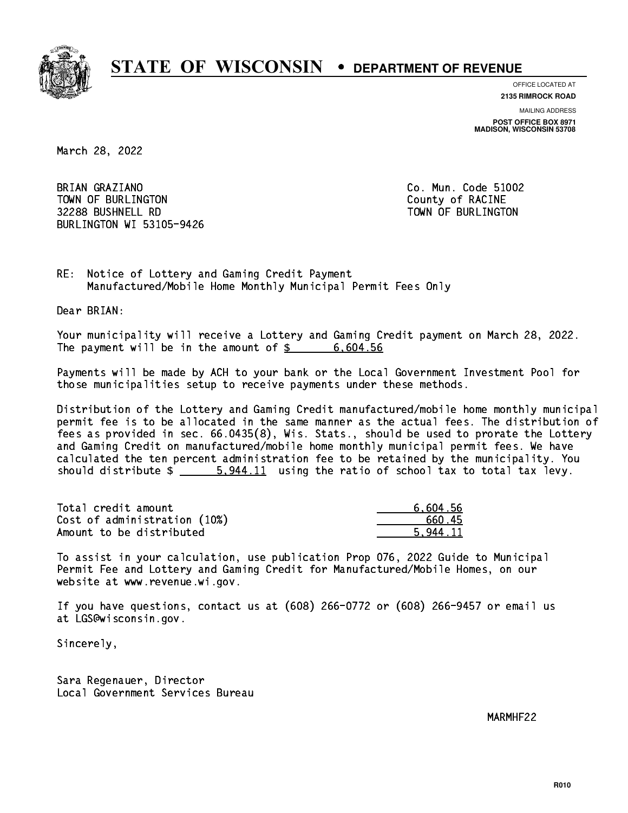

**OFFICE LOCATED AT**

**2135 RIMROCK ROAD**

**MAILING ADDRESS POST OFFICE BOX 8971 MADISON, WISCONSIN 53708**

March 28, 2022

BRIAN GRAZIANO TOWN OF BURLINGTON COUNTY OF RACINE 32288 BUSHNELL RD TOWN OF BURLINGTON BURLINGTON WI 53105-9426

Co. Mun. Code 51002

RE: Notice of Lottery and Gaming Credit Payment Manufactured/Mobile Home Monthly Municipal Permit Fees Only

Dear BRIAN:

 Your municipality will receive a Lottery and Gaming Credit payment on March 28, 2022. The payment will be in the amount of  $\frac{2}{3}$  6,604.56

 Payments will be made by ACH to your bank or the Local Government Investment Pool for those municipalities setup to receive payments under these methods.

 Distribution of the Lottery and Gaming Credit manufactured/mobile home monthly municipal permit fee is to be allocated in the same manner as the actual fees. The distribution of fees as provided in sec. 66.0435(8), Wis. Stats., should be used to prorate the Lottery and Gaming Credit on manufactured/mobile home monthly municipal permit fees. We have calculated the ten percent administration fee to be retained by the municipality. You should distribute  $\frac{2}{1}$   $\frac{5.944.11}{2}$  using the ratio of school tax to total tax levy.

| Total credit amount          | 6,604.56 |
|------------------------------|----------|
| Cost of administration (10%) | 660.45   |
| Amount to be distributed     | 5.944.11 |

 To assist in your calculation, use publication Prop 076, 2022 Guide to Municipal Permit Fee and Lottery and Gaming Credit for Manufactured/Mobile Homes, on our website at www.revenue.wi.gov.

 If you have questions, contact us at (608) 266-0772 or (608) 266-9457 or email us at LGS@wisconsin.gov.

Sincerely,

 Sara Regenauer, Director Local Government Services Bureau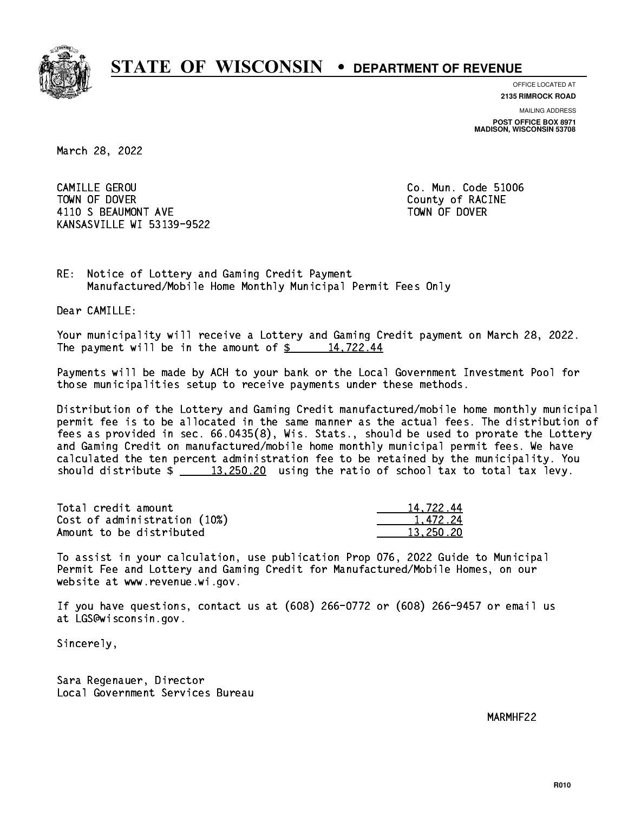

**OFFICE LOCATED AT**

**2135 RIMROCK ROAD**

**MAILING ADDRESS POST OFFICE BOX 8971 MADISON, WISCONSIN 53708**

March 28, 2022

 CAMILLE GEROU Co. Mun. Code 51006 TOWN OF DOVER COUNTY OF RACINE 4110 S BEAUMONT AVE **TOWN OF DOVER** KANSASVILLE WI 53139-9522

RE: Notice of Lottery and Gaming Credit Payment Manufactured/Mobile Home Monthly Municipal Permit Fees Only

Dear CAMILLE:

 Your municipality will receive a Lottery and Gaming Credit payment on March 28, 2022. The payment will be in the amount of  $\frac{2}{3}$  14,722.44

 Payments will be made by ACH to your bank or the Local Government Investment Pool for those municipalities setup to receive payments under these methods.

 Distribution of the Lottery and Gaming Credit manufactured/mobile home monthly municipal permit fee is to be allocated in the same manner as the actual fees. The distribution of fees as provided in sec. 66.0435(8), Wis. Stats., should be used to prorate the Lottery and Gaming Credit on manufactured/mobile home monthly municipal permit fees. We have calculated the ten percent administration fee to be retained by the municipality. You should distribute  $\frac{13,250.20}{2}$  using the ratio of school tax to total tax levy.

| Total credit amount          | 14,722.44 |
|------------------------------|-----------|
| Cost of administration (10%) | 1.472.24  |
| Amount to be distributed     | 13.250.20 |

 To assist in your calculation, use publication Prop 076, 2022 Guide to Municipal Permit Fee and Lottery and Gaming Credit for Manufactured/Mobile Homes, on our website at www.revenue.wi.gov.

 If you have questions, contact us at (608) 266-0772 or (608) 266-9457 or email us at LGS@wisconsin.gov.

Sincerely,

 Sara Regenauer, Director Local Government Services Bureau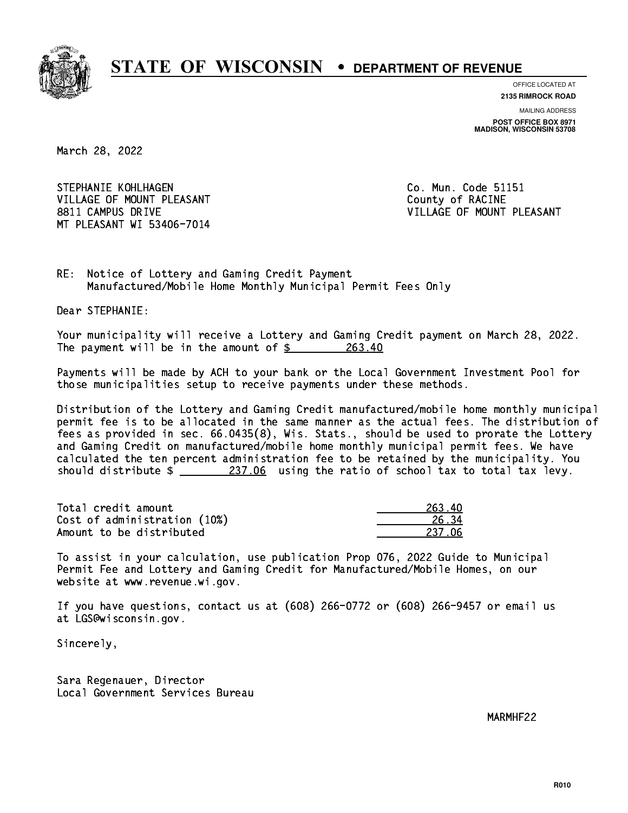

**OFFICE LOCATED AT**

**2135 RIMROCK ROAD**

**MAILING ADDRESS POST OFFICE BOX 8971 MADISON, WISCONSIN 53708**

March 28, 2022

STEPHANIE KOHLHAGEN **Co. Mun. Code 51151** VILLAGE OF MOUNT PLEASANT COUNTY OF RACINE 8811 CAMPUS DRIVE VILLAGE OF MOUNT PLEASANT MT PLEASANT WI 53406-7014

RE: Notice of Lottery and Gaming Credit Payment Manufactured/Mobile Home Monthly Municipal Permit Fees Only

Dear STEPHANIE:

 Your municipality will receive a Lottery and Gaming Credit payment on March 28, 2022. The payment will be in the amount of  $\frac{263.40}{263.40}$ 

 Payments will be made by ACH to your bank or the Local Government Investment Pool for those municipalities setup to receive payments under these methods.

 Distribution of the Lottery and Gaming Credit manufactured/mobile home monthly municipal permit fee is to be allocated in the same manner as the actual fees. The distribution of fees as provided in sec. 66.0435(8), Wis. Stats., should be used to prorate the Lottery and Gaming Credit on manufactured/mobile home monthly municipal permit fees. We have calculated the ten percent administration fee to be retained by the municipality. You should distribute  $\frac{237.06}{237.06}$  using the ratio of school tax to total tax levy.

Total credit amount Cost of administration (10%) Amount to be distributed

| ւո<br>263. |
|------------|
| 6.34       |
| 237 N6     |

 To assist in your calculation, use publication Prop 076, 2022 Guide to Municipal Permit Fee and Lottery and Gaming Credit for Manufactured/Mobile Homes, on our website at www.revenue.wi.gov.

 If you have questions, contact us at (608) 266-0772 or (608) 266-9457 or email us at LGS@wisconsin.gov.

Sincerely,

 Sara Regenauer, Director Local Government Services Bureau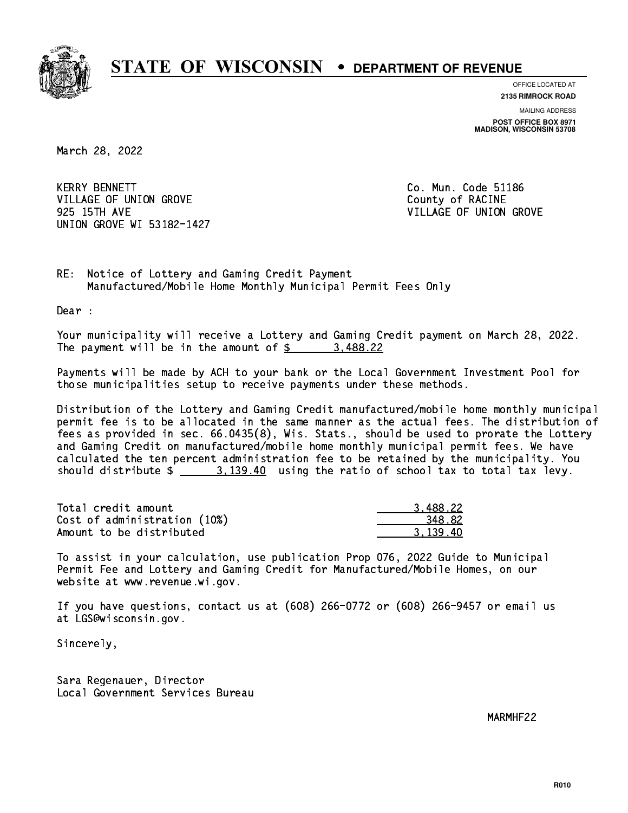

**OFFICE LOCATED AT**

**2135 RIMROCK ROAD**

**MAILING ADDRESS POST OFFICE BOX 8971 MADISON, WISCONSIN 53708**

March 28, 2022

**KERRY BENNETT** VILLAGE OF UNION GROVE COUNTY OF RACINE 925 15TH AVE VILLAGE OF UNION GROVE UNION GROVE WI 53182-1427

Co. Mun. Code 51186

RE: Notice of Lottery and Gaming Credit Payment Manufactured/Mobile Home Monthly Municipal Permit Fees Only

Dear :

 Your municipality will receive a Lottery and Gaming Credit payment on March 28, 2022. The payment will be in the amount of  $\frac{2}{3}$  3,488.22

 Payments will be made by ACH to your bank or the Local Government Investment Pool for those municipalities setup to receive payments under these methods.

 Distribution of the Lottery and Gaming Credit manufactured/mobile home monthly municipal permit fee is to be allocated in the same manner as the actual fees. The distribution of fees as provided in sec. 66.0435(8), Wis. Stats., should be used to prorate the Lottery and Gaming Credit on manufactured/mobile home monthly municipal permit fees. We have calculated the ten percent administration fee to be retained by the municipality. You should distribute  $\frac{2}{2}$   $\frac{3,139.40}{2}$  using the ratio of school tax to total tax levy.

| Total credit amount          | 3.488.22 |
|------------------------------|----------|
| Cost of administration (10%) | 348.82   |
| Amount to be distributed     | 3.139.40 |

 To assist in your calculation, use publication Prop 076, 2022 Guide to Municipal Permit Fee and Lottery and Gaming Credit for Manufactured/Mobile Homes, on our website at www.revenue.wi.gov.

 If you have questions, contact us at (608) 266-0772 or (608) 266-9457 or email us at LGS@wisconsin.gov.

Sincerely,

 Sara Regenauer, Director Local Government Services Bureau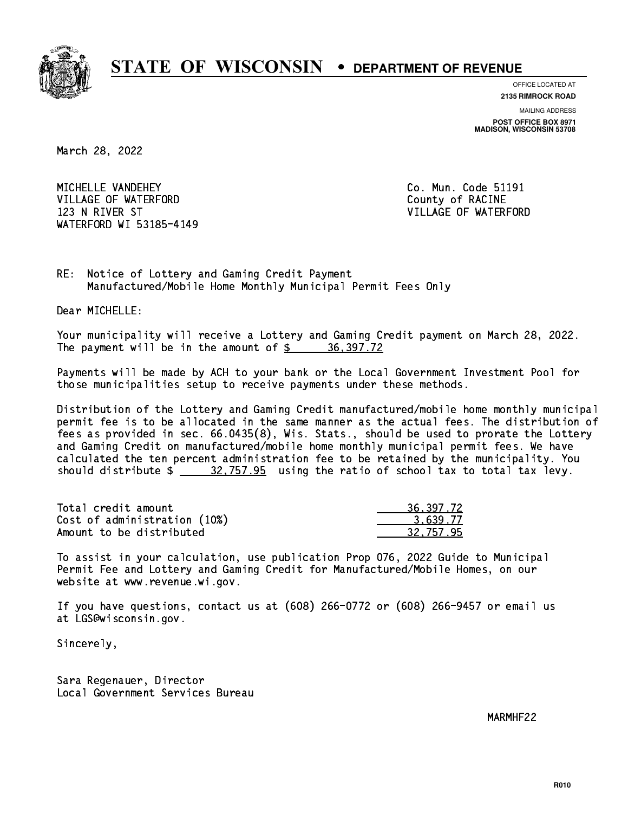

**OFFICE LOCATED AT**

**2135 RIMROCK ROAD**

**MAILING ADDRESS POST OFFICE BOX 8971 MADISON, WISCONSIN 53708**

March 28, 2022

MICHELLE VANDEHEY VILLAGE OF WATERFORD County of RACINE 123 N RIVER ST VILLAGE OF WATERFORD WATERFORD WI 53185-4149

Co. Mun. Code 51191

RE: Notice of Lottery and Gaming Credit Payment Manufactured/Mobile Home Monthly Municipal Permit Fees Only

Dear MICHELLE:

 Your municipality will receive a Lottery and Gaming Credit payment on March 28, 2022. The payment will be in the amount of  $\frac{2}{3}$  36,397.72

 Payments will be made by ACH to your bank or the Local Government Investment Pool for those municipalities setup to receive payments under these methods.

 Distribution of the Lottery and Gaming Credit manufactured/mobile home monthly municipal permit fee is to be allocated in the same manner as the actual fees. The distribution of fees as provided in sec. 66.0435(8), Wis. Stats., should be used to prorate the Lottery and Gaming Credit on manufactured/mobile home monthly municipal permit fees. We have calculated the ten percent administration fee to be retained by the municipality. You should distribute  $\frac{20,757.95}{20,0000}$  using the ratio of school tax to total tax levy.

| Total credit amount          | 36, 397, 72 |
|------------------------------|-------------|
| Cost of administration (10%) | 3.639.77    |
| Amount to be distributed     | 32,757.95   |

 To assist in your calculation, use publication Prop 076, 2022 Guide to Municipal Permit Fee and Lottery and Gaming Credit for Manufactured/Mobile Homes, on our website at www.revenue.wi.gov.

 If you have questions, contact us at (608) 266-0772 or (608) 266-9457 or email us at LGS@wisconsin.gov.

Sincerely,

 Sara Regenauer, Director Local Government Services Bureau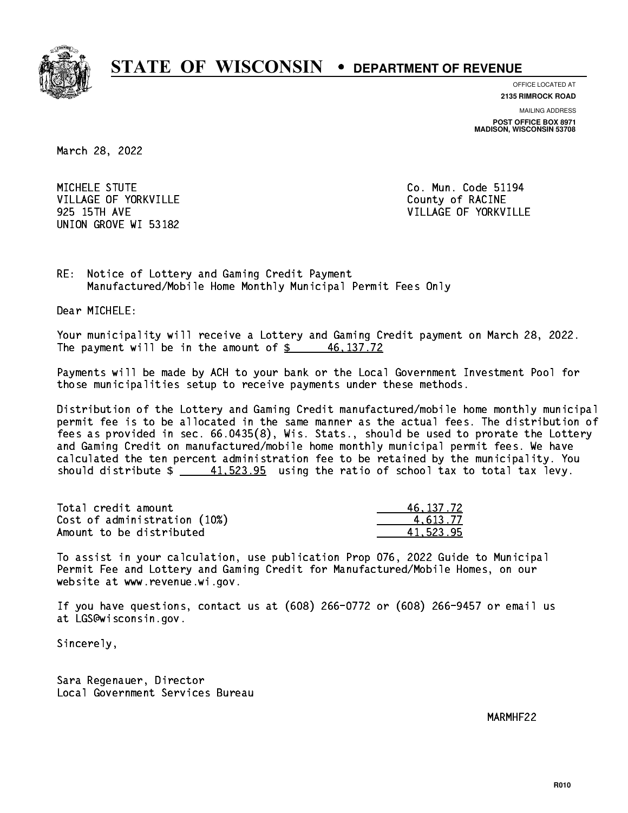

**OFFICE LOCATED AT**

**2135 RIMROCK ROAD**

**MAILING ADDRESS POST OFFICE BOX 8971 MADISON, WISCONSIN 53708**

March 28, 2022

MICHELE STUTE VILLAGE OF YORKVILLE COUNTY OF RACINE UNION GROVE WI 53182

Co. Mun. Code 51194 925 15TH AVE VILLAGE OF YORKVILLE

RE: Notice of Lottery and Gaming Credit Payment Manufactured/Mobile Home Monthly Municipal Permit Fees Only

Dear MICHELE:

 Your municipality will receive a Lottery and Gaming Credit payment on March 28, 2022. The payment will be in the amount of  $\frac{2}{3}$   $\frac{46,137.72}{2}$ 

 Payments will be made by ACH to your bank or the Local Government Investment Pool for those municipalities setup to receive payments under these methods.

 Distribution of the Lottery and Gaming Credit manufactured/mobile home monthly municipal permit fee is to be allocated in the same manner as the actual fees. The distribution of fees as provided in sec. 66.0435(8), Wis. Stats., should be used to prorate the Lottery and Gaming Credit on manufactured/mobile home monthly municipal permit fees. We have calculated the ten percent administration fee to be retained by the municipality. You should distribute  $\frac{41.523.95}{2}$  using the ratio of school tax to total tax levy.

| Total credit amount          | 46, 137, 72 |
|------------------------------|-------------|
| Cost of administration (10%) | 4.613.77    |
| Amount to be distributed     | 41.523.95   |

 To assist in your calculation, use publication Prop 076, 2022 Guide to Municipal Permit Fee and Lottery and Gaming Credit for Manufactured/Mobile Homes, on our website at www.revenue.wi.gov.

 If you have questions, contact us at (608) 266-0772 or (608) 266-9457 or email us at LGS@wisconsin.gov.

Sincerely,

 Sara Regenauer, Director Local Government Services Bureau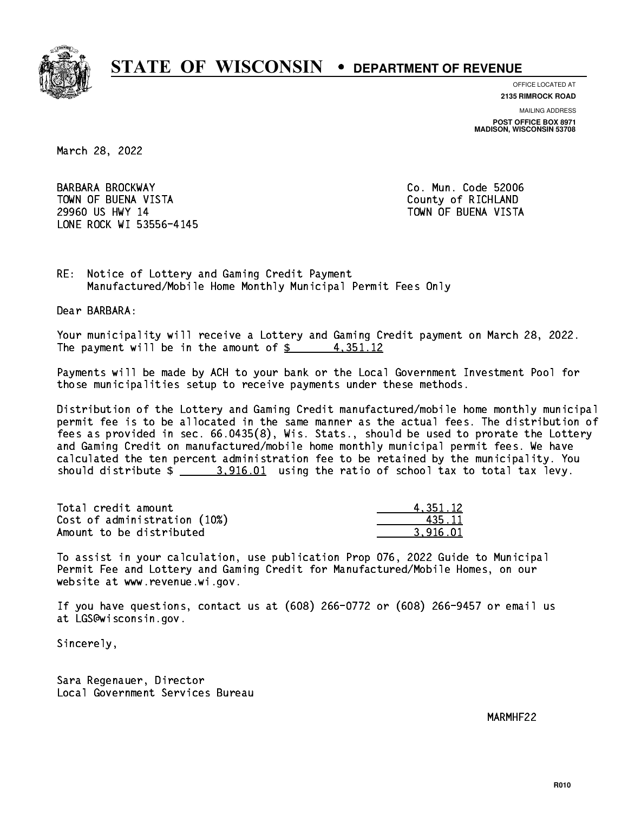

**OFFICE LOCATED AT**

**2135 RIMROCK ROAD**

**MAILING ADDRESS**

**POST OFFICE BOX 8971 MADISON, WISCONSIN 53708**

March 28, 2022

 BARBARA BROCKWAY Co. Mun. Code 52006 TOWN OF BUENA VISTA County of RICHLAND 29960 US HWY 14 TOWN OF BUENA VISTA LONE ROCK WI 53556-4145

RE: Notice of Lottery and Gaming Credit Payment Manufactured/Mobile Home Monthly Municipal Permit Fees Only

Dear BARBARA:

 Your municipality will receive a Lottery and Gaming Credit payment on March 28, 2022. The payment will be in the amount of  $\frac{2}{3}$  4,351.12

 Payments will be made by ACH to your bank or the Local Government Investment Pool for those municipalities setup to receive payments under these methods.

 Distribution of the Lottery and Gaming Credit manufactured/mobile home monthly municipal permit fee is to be allocated in the same manner as the actual fees. The distribution of fees as provided in sec. 66.0435(8), Wis. Stats., should be used to prorate the Lottery and Gaming Credit on manufactured/mobile home monthly municipal permit fees. We have calculated the ten percent administration fee to be retained by the municipality. You should distribute  $\frac{2}{1}$   $\frac{3.916.01}{2}$  using the ratio of school tax to total tax levy.

| Total credit amount          | 4.351.12 |
|------------------------------|----------|
| Cost of administration (10%) | 435.11   |
| Amount to be distributed     | 3.916.01 |

 To assist in your calculation, use publication Prop 076, 2022 Guide to Municipal Permit Fee and Lottery and Gaming Credit for Manufactured/Mobile Homes, on our website at www.revenue.wi.gov.

 If you have questions, contact us at (608) 266-0772 or (608) 266-9457 or email us at LGS@wisconsin.gov.

Sincerely,

 Sara Regenauer, Director Local Government Services Bureau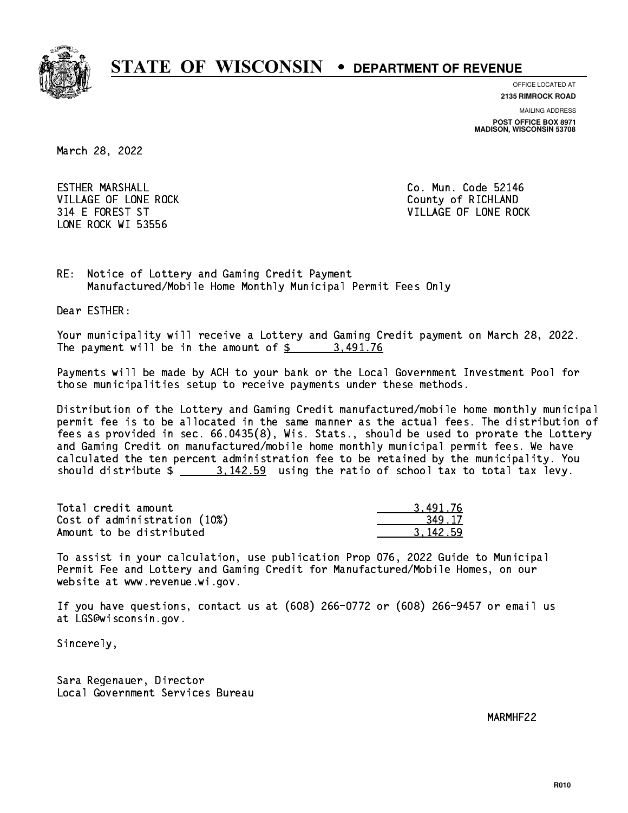

**OFFICE LOCATED AT**

**2135 RIMROCK ROAD**

**MAILING ADDRESS**

**POST OFFICE BOX 8971 MADISON, WISCONSIN 53708**

March 28, 2022

**ESTHER MARSHALL** VILLAGE OF LONE ROCK **COUNTY COULD A** County of RICHLAND LONE ROCK WI 53556

Co. Mun. Code 52146 314 E FOREST ST VILLAGE OF LONE ROCK

RE: Notice of Lottery and Gaming Credit Payment Manufactured/Mobile Home Monthly Municipal Permit Fees Only

Dear ESTHER:

 Your municipality will receive a Lottery and Gaming Credit payment on March 28, 2022. The payment will be in the amount of  $\frac{2}{3}$  3,491.76

 Payments will be made by ACH to your bank or the Local Government Investment Pool for those municipalities setup to receive payments under these methods.

 Distribution of the Lottery and Gaming Credit manufactured/mobile home monthly municipal permit fee is to be allocated in the same manner as the actual fees. The distribution of fees as provided in sec. 66.0435(8), Wis. Stats., should be used to prorate the Lottery and Gaming Credit on manufactured/mobile home monthly municipal permit fees. We have calculated the ten percent administration fee to be retained by the municipality. You should distribute  $\frac{2}{2}$   $\frac{3.142.59}{2}$  using the ratio of school tax to total tax levy.

| Total credit amount          | 3.491.76 |
|------------------------------|----------|
| Cost of administration (10%) | 349.17   |
| Amount to be distributed     | 3.142.59 |

 To assist in your calculation, use publication Prop 076, 2022 Guide to Municipal Permit Fee and Lottery and Gaming Credit for Manufactured/Mobile Homes, on our website at www.revenue.wi.gov.

 If you have questions, contact us at (608) 266-0772 or (608) 266-9457 or email us at LGS@wisconsin.gov.

Sincerely,

 Sara Regenauer, Director Local Government Services Bureau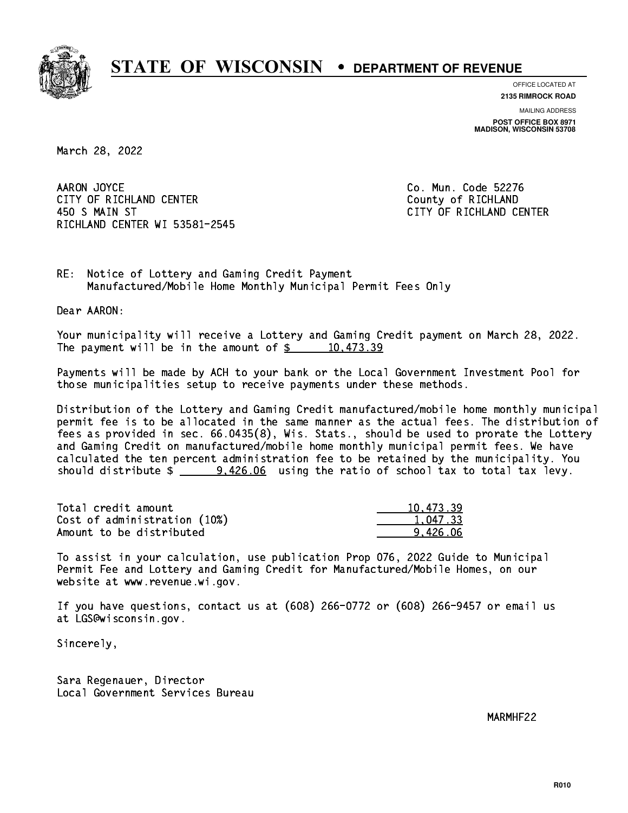

**OFFICE LOCATED AT**

**2135 RIMROCK ROAD**

**MAILING ADDRESS POST OFFICE BOX 8971 MADISON, WISCONSIN 53708**

March 28, 2022

AARON JOYCE CITY OF RICHLAND CENTER **COUNTY OF RICHLAND**  450 S MAIN ST CITY OF RICHLAND CENTER RICHLAND CENTER WI 53581-2545

Co. Mun. Code 52276

RE: Notice of Lottery and Gaming Credit Payment Manufactured/Mobile Home Monthly Municipal Permit Fees Only

Dear AARON:

 Your municipality will receive a Lottery and Gaming Credit payment on March 28, 2022. The payment will be in the amount of  $\frac{2}{3}$  10,473.39

 Payments will be made by ACH to your bank or the Local Government Investment Pool for those municipalities setup to receive payments under these methods.

 Distribution of the Lottery and Gaming Credit manufactured/mobile home monthly municipal permit fee is to be allocated in the same manner as the actual fees. The distribution of fees as provided in sec. 66.0435(8), Wis. Stats., should be used to prorate the Lottery and Gaming Credit on manufactured/mobile home monthly municipal permit fees. We have calculated the ten percent administration fee to be retained by the municipality. You should distribute  $\frac{2}{2}$  9,426.06 using the ratio of school tax to total tax levy.

| Total credit amount          | 10.473.39 |
|------------------------------|-----------|
| Cost of administration (10%) | 1.047.33  |
| Amount to be distributed     | 9.426.06  |

 To assist in your calculation, use publication Prop 076, 2022 Guide to Municipal Permit Fee and Lottery and Gaming Credit for Manufactured/Mobile Homes, on our website at www.revenue.wi.gov.

 If you have questions, contact us at (608) 266-0772 or (608) 266-9457 or email us at LGS@wisconsin.gov.

Sincerely,

 Sara Regenauer, Director Local Government Services Bureau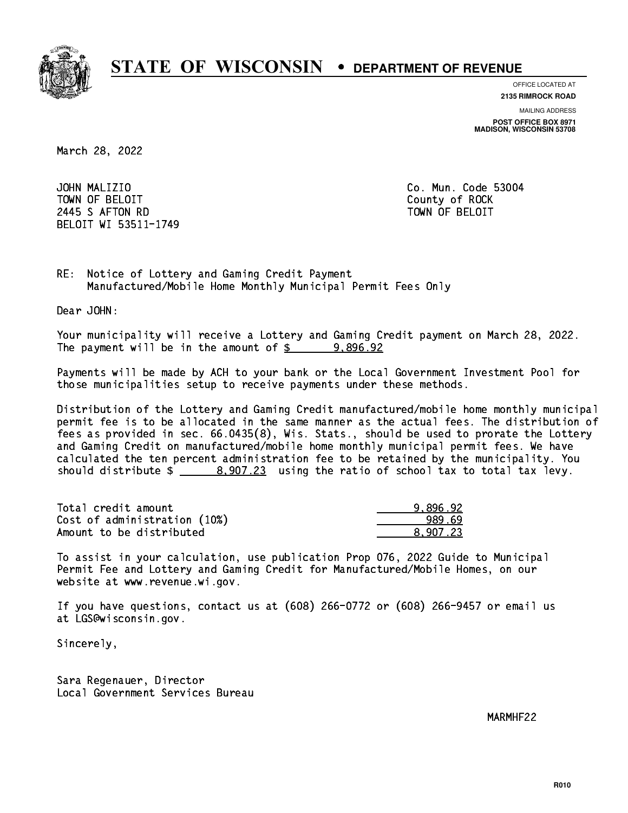

**OFFICE LOCATED AT**

**2135 RIMROCK ROAD**

**MAILING ADDRESS POST OFFICE BOX 8971 MADISON, WISCONSIN 53708**

March 28, 2022

JOHN MALIZIO TOWN OF BELOIT County of ROCK 2445 SAFTON RD TOWN OF BELOIT BELOIT WI 53511-1749

Co. Mun. Code 53004

RE: Notice of Lottery and Gaming Credit Payment Manufactured/Mobile Home Monthly Municipal Permit Fees Only

Dear JOHN:

 Your municipality will receive a Lottery and Gaming Credit payment on March 28, 2022. The payment will be in the amount of  $\frac{2}{3}$  9,896.92

 Payments will be made by ACH to your bank or the Local Government Investment Pool for those municipalities setup to receive payments under these methods.

 Distribution of the Lottery and Gaming Credit manufactured/mobile home monthly municipal permit fee is to be allocated in the same manner as the actual fees. The distribution of fees as provided in sec. 66.0435(8), Wis. Stats., should be used to prorate the Lottery and Gaming Credit on manufactured/mobile home monthly municipal permit fees. We have calculated the ten percent administration fee to be retained by the municipality. You should distribute  $\frac{207.23}{207.23}$  using the ratio of school tax to total tax levy.

| Total credit amount          | 9.896.92 |
|------------------------------|----------|
| Cost of administration (10%) | 989.69   |
| Amount to be distributed     | 8.907.23 |

 To assist in your calculation, use publication Prop 076, 2022 Guide to Municipal Permit Fee and Lottery and Gaming Credit for Manufactured/Mobile Homes, on our website at www.revenue.wi.gov.

 If you have questions, contact us at (608) 266-0772 or (608) 266-9457 or email us at LGS@wisconsin.gov.

Sincerely,

 Sara Regenauer, Director Local Government Services Bureau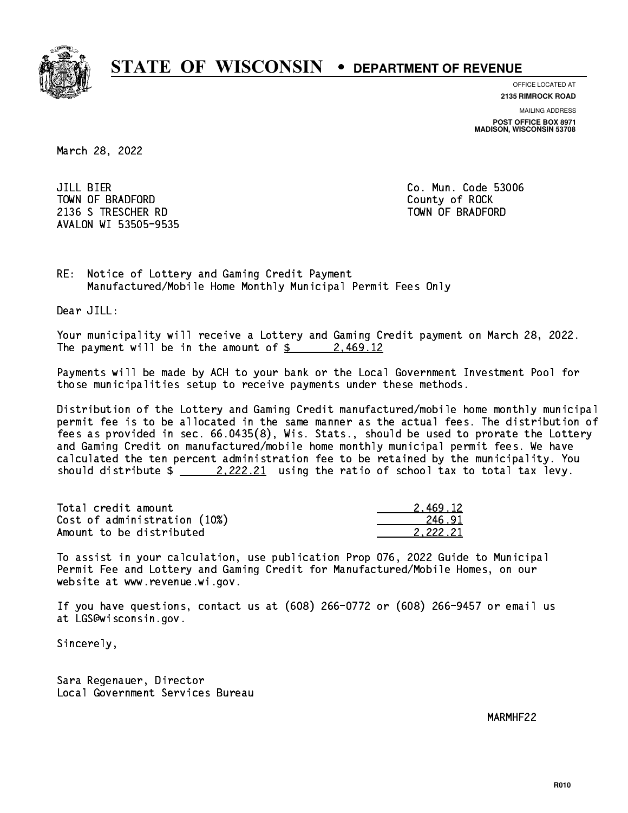

**OFFICE LOCATED AT 2135 RIMROCK ROAD**

**MAILING ADDRESS**

**POST OFFICE BOX 8971 MADISON, WISCONSIN 53708**

March 28, 2022

JILL BIER TOWN OF BRADFORD **COUNTY COUNTY OF ROCK** 2136 S TRESCHER RD TOWN OF BRADFORD AVALON WI 53505-9535

Co. Mun. Code 53006

RE: Notice of Lottery and Gaming Credit Payment Manufactured/Mobile Home Monthly Municipal Permit Fees Only

Dear JILL:

 Your municipality will receive a Lottery and Gaming Credit payment on March 28, 2022. The payment will be in the amount of  $\frac{2}{3}$  2,469.12

 Payments will be made by ACH to your bank or the Local Government Investment Pool for those municipalities setup to receive payments under these methods.

 Distribution of the Lottery and Gaming Credit manufactured/mobile home monthly municipal permit fee is to be allocated in the same manner as the actual fees. The distribution of fees as provided in sec. 66.0435(8), Wis. Stats., should be used to prorate the Lottery and Gaming Credit on manufactured/mobile home monthly municipal permit fees. We have calculated the ten percent administration fee to be retained by the municipality. You should distribute  $\frac{2.222.21}{2.222.21}$  using the ratio of school tax to total tax levy.

| Total credit amount          | 2.469.12 |
|------------------------------|----------|
| Cost of administration (10%) | 246.91   |
| Amount to be distributed     | 2.222.21 |

 To assist in your calculation, use publication Prop 076, 2022 Guide to Municipal Permit Fee and Lottery and Gaming Credit for Manufactured/Mobile Homes, on our website at www.revenue.wi.gov.

 If you have questions, contact us at (608) 266-0772 or (608) 266-9457 or email us at LGS@wisconsin.gov.

Sincerely,

 Sara Regenauer, Director Local Government Services Bureau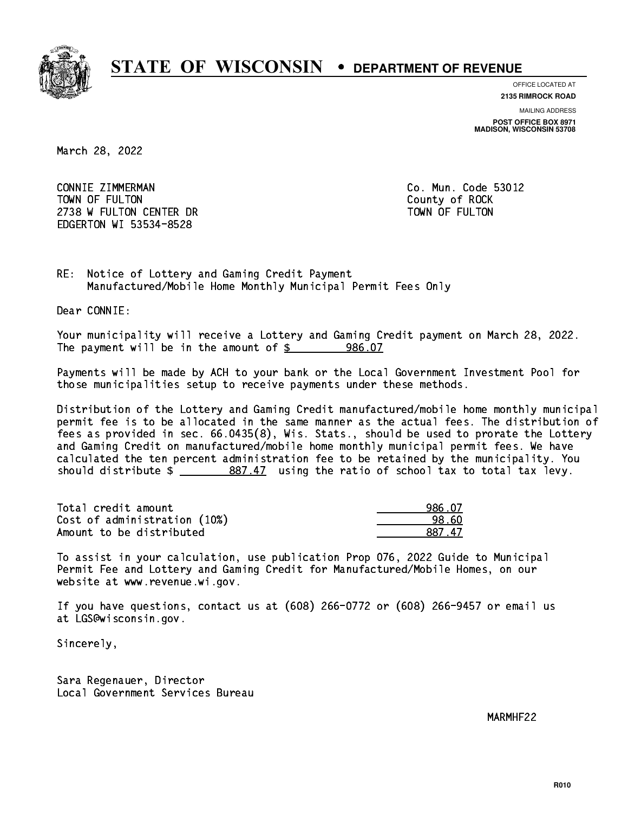

**OFFICE LOCATED AT**

**2135 RIMROCK ROAD**

**MAILING ADDRESS POST OFFICE BOX 8971 MADISON, WISCONSIN 53708**

March 28, 2022

 CONNIE ZIMMERMAN Co. Mun. Code 53012 TOWN OF FULTON County of ROCK 2738 W FULTON CENTER DR TOWN OF FULTON EDGERTON WI 53534-8528

RE: Notice of Lottery and Gaming Credit Payment Manufactured/Mobile Home Monthly Municipal Permit Fees Only

Dear CONNIE:

 Your municipality will receive a Lottery and Gaming Credit payment on March 28, 2022. The payment will be in the amount of  $$ 986.07$ 

 Payments will be made by ACH to your bank or the Local Government Investment Pool for those municipalities setup to receive payments under these methods.

 Distribution of the Lottery and Gaming Credit manufactured/mobile home monthly municipal permit fee is to be allocated in the same manner as the actual fees. The distribution of fees as provided in sec. 66.0435(8), Wis. Stats., should be used to prorate the Lottery and Gaming Credit on manufactured/mobile home monthly municipal permit fees. We have calculated the ten percent administration fee to be retained by the municipality. You should distribute  $\frac{2}{2}$   $\frac{887.47}{2}$  using the ratio of school tax to total tax levy.

| Total credit amount          | 986.07 |
|------------------------------|--------|
| Cost of administration (10%) | 98.60  |
| Amount to be distributed     | 887 47 |

 To assist in your calculation, use publication Prop 076, 2022 Guide to Municipal Permit Fee and Lottery and Gaming Credit for Manufactured/Mobile Homes, on our website at www.revenue.wi.gov.

 If you have questions, contact us at (608) 266-0772 or (608) 266-9457 or email us at LGS@wisconsin.gov.

Sincerely,

 Sara Regenauer, Director Local Government Services Bureau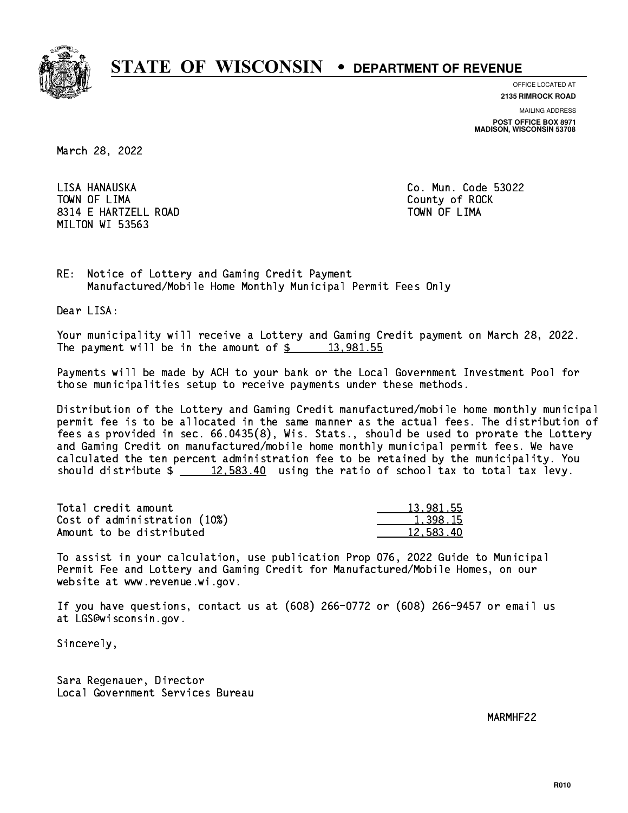

**OFFICE LOCATED AT**

**2135 RIMROCK ROAD**

**MAILING ADDRESS POST OFFICE BOX 8971 MADISON, WISCONSIN 53708**

March 28, 2022

LISA HANAUSKA TOWN OF LIMA TOWN OF LIMA County of ROCK 8314 E HARTZELL ROAD TOWN OF LIMA MILTON WI 53563

Co. Mun. Code 53022

RE: Notice of Lottery and Gaming Credit Payment Manufactured/Mobile Home Monthly Municipal Permit Fees Only

Dear LISA:

 Your municipality will receive a Lottery and Gaming Credit payment on March 28, 2022. The payment will be in the amount of  $\frac{2}{3}$  13,981.55

 Payments will be made by ACH to your bank or the Local Government Investment Pool for those municipalities setup to receive payments under these methods.

 Distribution of the Lottery and Gaming Credit manufactured/mobile home monthly municipal permit fee is to be allocated in the same manner as the actual fees. The distribution of fees as provided in sec. 66.0435(8), Wis. Stats., should be used to prorate the Lottery and Gaming Credit on manufactured/mobile home monthly municipal permit fees. We have calculated the ten percent administration fee to be retained by the municipality. You should distribute  $\frac{2}{2}$   $\frac{12,583.40}{2}$  using the ratio of school tax to total tax levy.

| Total credit amount          | 13,981.55 |
|------------------------------|-----------|
| Cost of administration (10%) | 1.398.15  |
| Amount to be distributed     | 12.583.40 |

 To assist in your calculation, use publication Prop 076, 2022 Guide to Municipal Permit Fee and Lottery and Gaming Credit for Manufactured/Mobile Homes, on our website at www.revenue.wi.gov.

 If you have questions, contact us at (608) 266-0772 or (608) 266-9457 or email us at LGS@wisconsin.gov.

Sincerely,

 Sara Regenauer, Director Local Government Services Bureau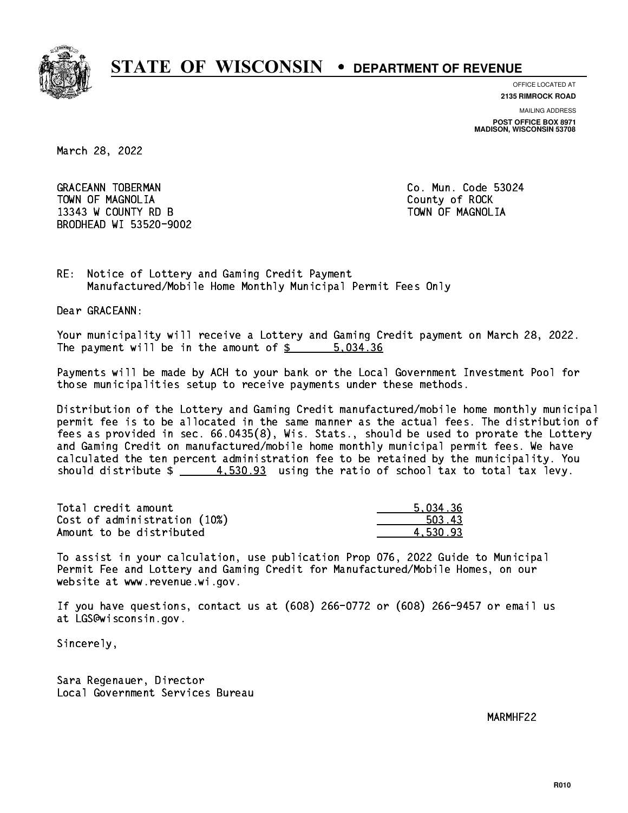

**OFFICE LOCATED AT**

**2135 RIMROCK ROAD**

**MAILING ADDRESS POST OFFICE BOX 8971 MADISON, WISCONSIN 53708**

March 28, 2022

GRACEANN TOBERMAN CONTROLLER CO. Mun. Code 53024 TOWN OF MAGNOLIA COUNTY OF ROCK 13343 W COUNTY RD B TOWN OF MAGNOLIA BRODHEAD WI 53520-9002

RE: Notice of Lottery and Gaming Credit Payment Manufactured/Mobile Home Monthly Municipal Permit Fees Only

Dear GRACEANN:

 Your municipality will receive a Lottery and Gaming Credit payment on March 28, 2022. The payment will be in the amount of \$ 5,034.36 \_\_\_\_\_\_\_\_\_\_\_\_\_\_\_\_

 Payments will be made by ACH to your bank or the Local Government Investment Pool for those municipalities setup to receive payments under these methods.

 Distribution of the Lottery and Gaming Credit manufactured/mobile home monthly municipal permit fee is to be allocated in the same manner as the actual fees. The distribution of fees as provided in sec. 66.0435(8), Wis. Stats., should be used to prorate the Lottery and Gaming Credit on manufactured/mobile home monthly municipal permit fees. We have calculated the ten percent administration fee to be retained by the municipality. You should distribute  $\frac{4.530.93}{4.530.93}$  using the ratio of school tax to total tax levy.

| Total credit amount          | 5.034.36 |
|------------------------------|----------|
| Cost of administration (10%) | 503.43   |
| Amount to be distributed     | 4.530.93 |

 To assist in your calculation, use publication Prop 076, 2022 Guide to Municipal Permit Fee and Lottery and Gaming Credit for Manufactured/Mobile Homes, on our website at www.revenue.wi.gov.

 If you have questions, contact us at (608) 266-0772 or (608) 266-9457 or email us at LGS@wisconsin.gov.

Sincerely,

 Sara Regenauer, Director Local Government Services Bureau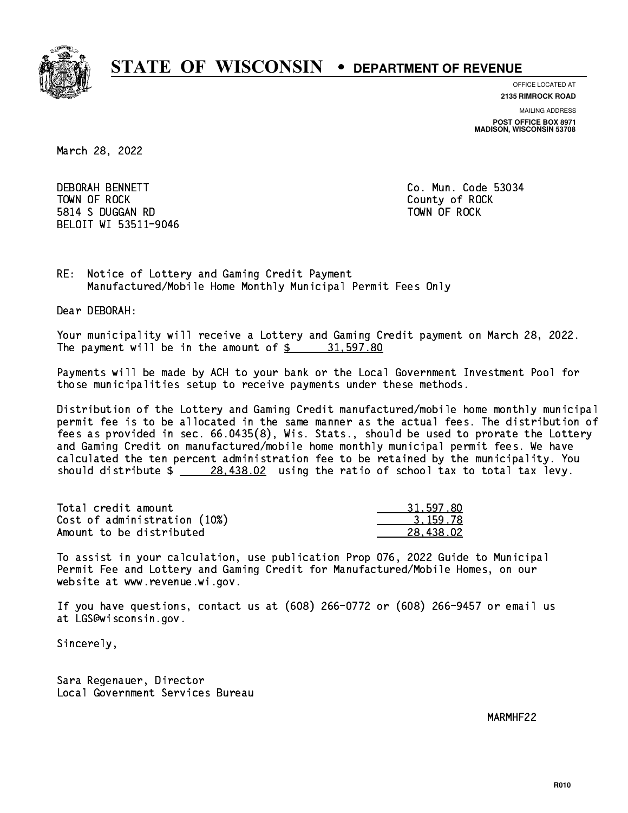

**OFFICE LOCATED AT**

**2135 RIMROCK ROAD**

**MAILING ADDRESS POST OFFICE BOX 8971 MADISON, WISCONSIN 53708**

March 28, 2022

**DEBORAH BENNETT**  TOWN OF ROCK County of ROCK 5814 S DUGGAN RD TOWN OF ROCK BELOIT WI 53511-9046

Co. Mun. Code 53034

RE: Notice of Lottery and Gaming Credit Payment Manufactured/Mobile Home Monthly Municipal Permit Fees Only

Dear DEBORAH:

 Your municipality will receive a Lottery and Gaming Credit payment on March 28, 2022. The payment will be in the amount of  $\frac{2}{3}$  31,597.80

 Payments will be made by ACH to your bank or the Local Government Investment Pool for those municipalities setup to receive payments under these methods.

 Distribution of the Lottery and Gaming Credit manufactured/mobile home monthly municipal permit fee is to be allocated in the same manner as the actual fees. The distribution of fees as provided in sec. 66.0435(8), Wis. Stats., should be used to prorate the Lottery and Gaming Credit on manufactured/mobile home monthly municipal permit fees. We have calculated the ten percent administration fee to be retained by the municipality. You should distribute  $\frac{28,438.02}{2}$  using the ratio of school tax to total tax levy.

| Total credit amount          | 31,597.80 |
|------------------------------|-----------|
| Cost of administration (10%) | 3.159.78  |
| Amount to be distributed     | 28.438.02 |

 To assist in your calculation, use publication Prop 076, 2022 Guide to Municipal Permit Fee and Lottery and Gaming Credit for Manufactured/Mobile Homes, on our website at www.revenue.wi.gov.

 If you have questions, contact us at (608) 266-0772 or (608) 266-9457 or email us at LGS@wisconsin.gov.

Sincerely,

 Sara Regenauer, Director Local Government Services Bureau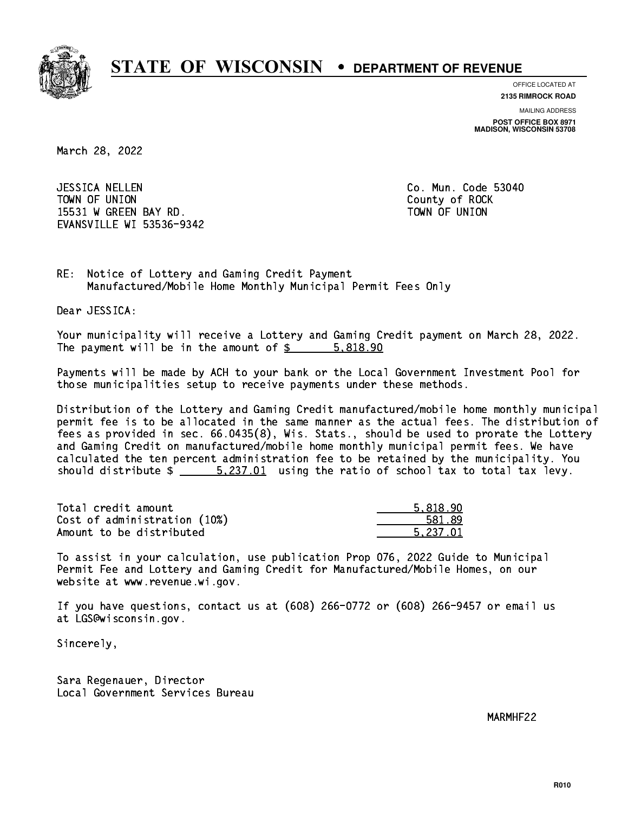

**OFFICE LOCATED AT**

**2135 RIMROCK ROAD**

**MAILING ADDRESS POST OFFICE BOX 8971 MADISON, WISCONSIN 53708**

March 28, 2022

 JESSICA NELLEN Co. Mun. Code 53040 TOWN OF UNION COUNTY OF ROCK 15531 W GREEN BAY RD. TOWN OF UNION EVANSVILLE WI 53536-9342

RE: Notice of Lottery and Gaming Credit Payment Manufactured/Mobile Home Monthly Municipal Permit Fees Only

Dear JESSICA:

 Your municipality will receive a Lottery and Gaming Credit payment on March 28, 2022. The payment will be in the amount of \$ 5,818.90 \_\_\_\_\_\_\_\_\_\_\_\_\_\_\_\_

 Payments will be made by ACH to your bank or the Local Government Investment Pool for those municipalities setup to receive payments under these methods.

 Distribution of the Lottery and Gaming Credit manufactured/mobile home monthly municipal permit fee is to be allocated in the same manner as the actual fees. The distribution of fees as provided in sec. 66.0435(8), Wis. Stats., should be used to prorate the Lottery and Gaming Credit on manufactured/mobile home monthly municipal permit fees. We have calculated the ten percent administration fee to be retained by the municipality. You should distribute  $\frac{2.237.01}{2}$  using the ratio of school tax to total tax levy.

| Total credit amount          | 5.818.90 |
|------------------------------|----------|
| Cost of administration (10%) | 581.89   |
| Amount to be distributed     | 5.237.01 |

 To assist in your calculation, use publication Prop 076, 2022 Guide to Municipal Permit Fee and Lottery and Gaming Credit for Manufactured/Mobile Homes, on our website at www.revenue.wi.gov.

 If you have questions, contact us at (608) 266-0772 or (608) 266-9457 or email us at LGS@wisconsin.gov.

Sincerely,

 Sara Regenauer, Director Local Government Services Bureau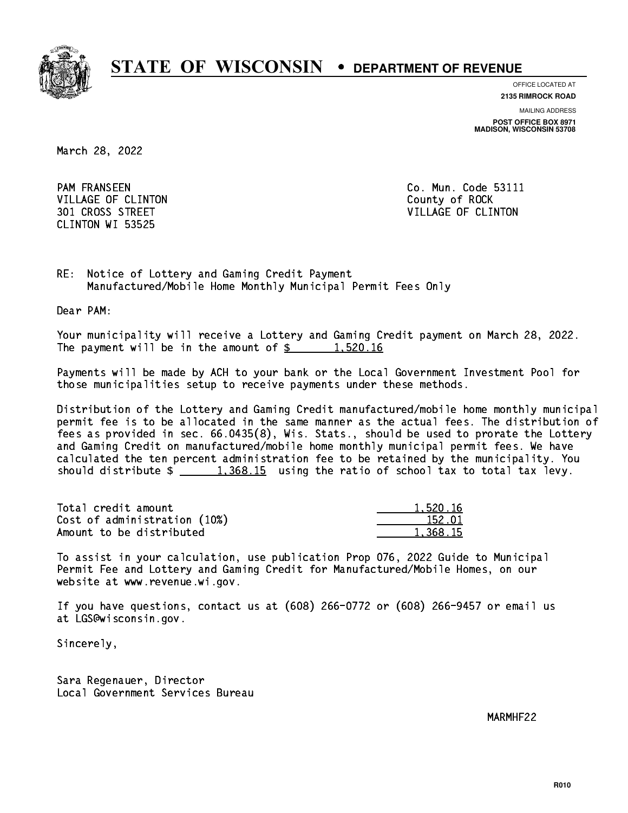

**OFFICE LOCATED AT**

**2135 RIMROCK ROAD**

**MAILING ADDRESS POST OFFICE BOX 8971 MADISON, WISCONSIN 53708**

March 28, 2022

**PAM FRANSEEN** VILLAGE OF CLINTON COUNTY OF ROCK CLINTON WI 53525

Co. Mun. Code 53111 301 CROSS STREET VILLAGE OF CLINTON

RE: Notice of Lottery and Gaming Credit Payment Manufactured/Mobile Home Monthly Municipal Permit Fees Only

Dear PAM:

 Your municipality will receive a Lottery and Gaming Credit payment on March 28, 2022. The payment will be in the amount of  $\frac{2}{3}$  1,520.16

 Payments will be made by ACH to your bank or the Local Government Investment Pool for those municipalities setup to receive payments under these methods.

 Distribution of the Lottery and Gaming Credit manufactured/mobile home monthly municipal permit fee is to be allocated in the same manner as the actual fees. The distribution of fees as provided in sec. 66.0435(8), Wis. Stats., should be used to prorate the Lottery and Gaming Credit on manufactured/mobile home monthly municipal permit fees. We have calculated the ten percent administration fee to be retained by the municipality. You should distribute  $\frac{1,368.15}{1,368.15}$  using the ratio of school tax to total tax levy.

| Total credit amount          | 1,520.16 |
|------------------------------|----------|
| Cost of administration (10%) | 152.01   |
| Amount to be distributed     | 1,368,15 |

 To assist in your calculation, use publication Prop 076, 2022 Guide to Municipal Permit Fee and Lottery and Gaming Credit for Manufactured/Mobile Homes, on our website at www.revenue.wi.gov.

 If you have questions, contact us at (608) 266-0772 or (608) 266-9457 or email us at LGS@wisconsin.gov.

Sincerely,

 Sara Regenauer, Director Local Government Services Bureau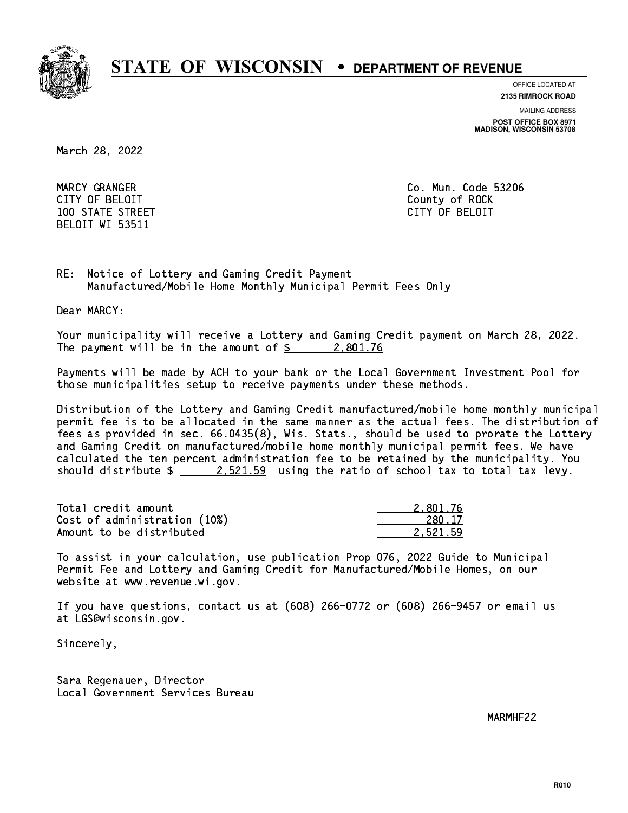

**OFFICE LOCATED AT**

**2135 RIMROCK ROAD**

**MAILING ADDRESS**

**POST OFFICE BOX 8971 MADISON, WISCONSIN 53708**

March 28, 2022

 CITY OF BELOIT County of ROCK 100 STATE STREET CITY OF BELOIT BELOIT WI 53511

MARCY GRANGER Co. Mun. Code 53206

RE: Notice of Lottery and Gaming Credit Payment Manufactured/Mobile Home Monthly Municipal Permit Fees Only

Dear MARCY:

 Your municipality will receive a Lottery and Gaming Credit payment on March 28, 2022. The payment will be in the amount of  $\frac{2}{3}$  2,801.76

 Payments will be made by ACH to your bank or the Local Government Investment Pool for those municipalities setup to receive payments under these methods.

 Distribution of the Lottery and Gaming Credit manufactured/mobile home monthly municipal permit fee is to be allocated in the same manner as the actual fees. The distribution of fees as provided in sec. 66.0435(8), Wis. Stats., should be used to prorate the Lottery and Gaming Credit on manufactured/mobile home monthly municipal permit fees. We have calculated the ten percent administration fee to be retained by the municipality. You should distribute  $\frac{2.521.59}{2.521.59}$  using the ratio of school tax to total tax levy.

| Total credit amount          | 2.801.76 |
|------------------------------|----------|
| Cost of administration (10%) | 280.17   |
| Amount to be distributed     | 2.521.59 |

 To assist in your calculation, use publication Prop 076, 2022 Guide to Municipal Permit Fee and Lottery and Gaming Credit for Manufactured/Mobile Homes, on our website at www.revenue.wi.gov.

 If you have questions, contact us at (608) 266-0772 or (608) 266-9457 or email us at LGS@wisconsin.gov.

Sincerely,

 Sara Regenauer, Director Local Government Services Bureau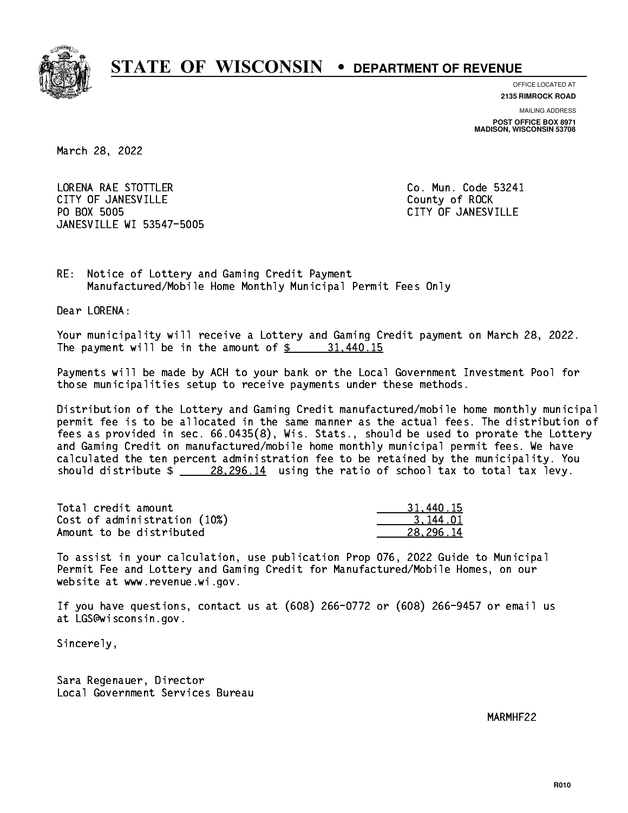

**OFFICE LOCATED AT**

**2135 RIMROCK ROAD**

**MAILING ADDRESS POST OFFICE BOX 8971 MADISON, WISCONSIN 53708**

March 28, 2022

 LORENA RAE STOTTLER Co. Mun. Code 53241 CITY OF JANESVILLE **COUNTY COUNTY OF ROCK** PO BOX 5005 JANESVILLE WI 53547-5005

CITY OF JANESVILLE

RE: Notice of Lottery and Gaming Credit Payment Manufactured/Mobile Home Monthly Municipal Permit Fees Only

Dear LORENA:

 Your municipality will receive a Lottery and Gaming Credit payment on March 28, 2022. The payment will be in the amount of  $\frac{2}{3}$  31,440.15

 Payments will be made by ACH to your bank or the Local Government Investment Pool for those municipalities setup to receive payments under these methods.

 Distribution of the Lottery and Gaming Credit manufactured/mobile home monthly municipal permit fee is to be allocated in the same manner as the actual fees. The distribution of fees as provided in sec. 66.0435(8), Wis. Stats., should be used to prorate the Lottery and Gaming Credit on manufactured/mobile home monthly municipal permit fees. We have calculated the ten percent administration fee to be retained by the municipality. You should distribute  $\frac{28,296.14}{28,296.14}$  using the ratio of school tax to total tax levy.

| Total credit amount          | 31,440.15 |
|------------------------------|-----------|
| Cost of administration (10%) | 3.144.01  |
| Amount to be distributed     | 28.296.14 |

 To assist in your calculation, use publication Prop 076, 2022 Guide to Municipal Permit Fee and Lottery and Gaming Credit for Manufactured/Mobile Homes, on our website at www.revenue.wi.gov.

 If you have questions, contact us at (608) 266-0772 or (608) 266-9457 or email us at LGS@wisconsin.gov.

Sincerely,

 Sara Regenauer, Director Local Government Services Bureau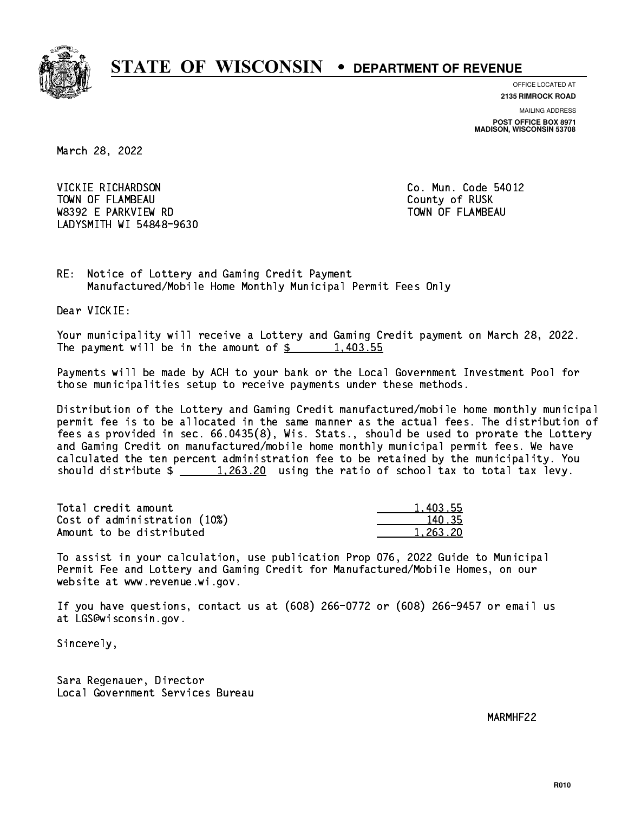

**OFFICE LOCATED AT**

**2135 RIMROCK ROAD**

**MAILING ADDRESS POST OFFICE BOX 8971 MADISON, WISCONSIN 53708**

March 28, 2022

VICKIE RICHARDSON TOWN OF FLAMBEAU COUNTY OF RUSK W8392 E PARKVIEW RD TOWN OF FLAMBEAU LADYSMITH WI 54848-9630

Co. Mun. Code 54012

RE: Notice of Lottery and Gaming Credit Payment Manufactured/Mobile Home Monthly Municipal Permit Fees Only

Dear VICKIE:

 Your municipality will receive a Lottery and Gaming Credit payment on March 28, 2022. The payment will be in the amount of  $\frac{2}{3}$  1,403.55

 Payments will be made by ACH to your bank or the Local Government Investment Pool for those municipalities setup to receive payments under these methods.

 Distribution of the Lottery and Gaming Credit manufactured/mobile home monthly municipal permit fee is to be allocated in the same manner as the actual fees. The distribution of fees as provided in sec. 66.0435(8), Wis. Stats., should be used to prorate the Lottery and Gaming Credit on manufactured/mobile home monthly municipal permit fees. We have calculated the ten percent administration fee to be retained by the municipality. You should distribute  $\frac{1,263.20}{1,263.20}$  using the ratio of school tax to total tax levy.

| Total credit amount          | 1.403.55 |
|------------------------------|----------|
| Cost of administration (10%) | 140.35   |
| Amount to be distributed     | 1.263.20 |

 To assist in your calculation, use publication Prop 076, 2022 Guide to Municipal Permit Fee and Lottery and Gaming Credit for Manufactured/Mobile Homes, on our website at www.revenue.wi.gov.

 If you have questions, contact us at (608) 266-0772 or (608) 266-9457 or email us at LGS@wisconsin.gov.

Sincerely,

 Sara Regenauer, Director Local Government Services Bureau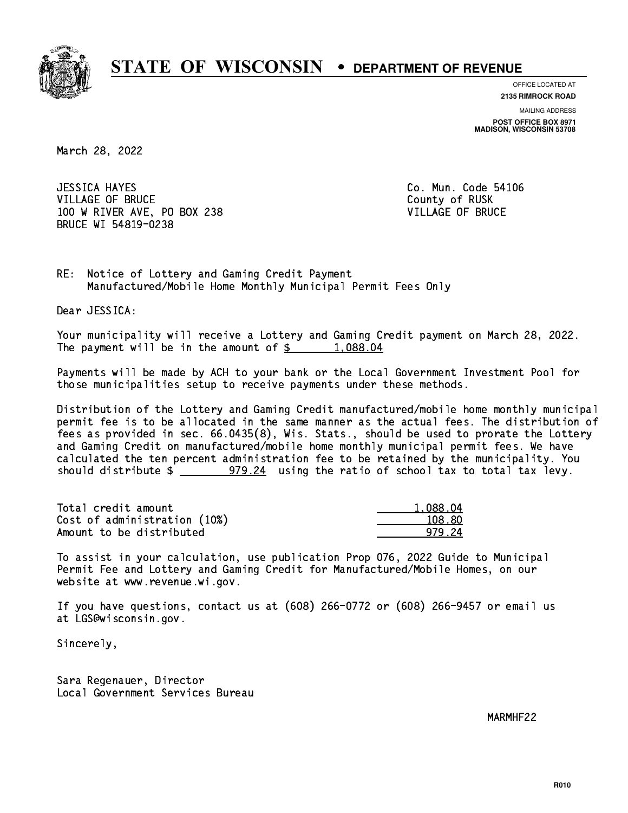

**OFFICE LOCATED AT**

**2135 RIMROCK ROAD**

**MAILING ADDRESS POST OFFICE BOX 8971 MADISON, WISCONSIN 53708**

March 28, 2022

**JESSICA HAYES** VILLAGE OF BRUCE COUNTY OF RUSK 100 W RIVER AVE, PO BOX 238 VILLAGE OF BRUCE BRUCE WI 54819-0238

Co. Mun. Code 54106

RE: Notice of Lottery and Gaming Credit Payment Manufactured/Mobile Home Monthly Municipal Permit Fees Only

Dear JESSICA:

 Your municipality will receive a Lottery and Gaming Credit payment on March 28, 2022. The payment will be in the amount of  $\frac{2}{3}$  1,088.04

 Payments will be made by ACH to your bank or the Local Government Investment Pool for those municipalities setup to receive payments under these methods.

 Distribution of the Lottery and Gaming Credit manufactured/mobile home monthly municipal permit fee is to be allocated in the same manner as the actual fees. The distribution of fees as provided in sec. 66.0435(8), Wis. Stats., should be used to prorate the Lottery and Gaming Credit on manufactured/mobile home monthly municipal permit fees. We have calculated the ten percent administration fee to be retained by the municipality. You should distribute  $\frac{279.24}{1000}$  using the ratio of school tax to total tax levy.

| Total credit amount          | 1,088.04 |
|------------------------------|----------|
| Cost of administration (10%) | 108.80   |
| Amount to be distributed     | 979 24   |

 To assist in your calculation, use publication Prop 076, 2022 Guide to Municipal Permit Fee and Lottery and Gaming Credit for Manufactured/Mobile Homes, on our website at www.revenue.wi.gov.

 If you have questions, contact us at (608) 266-0772 or (608) 266-9457 or email us at LGS@wisconsin.gov.

Sincerely,

 Sara Regenauer, Director Local Government Services Bureau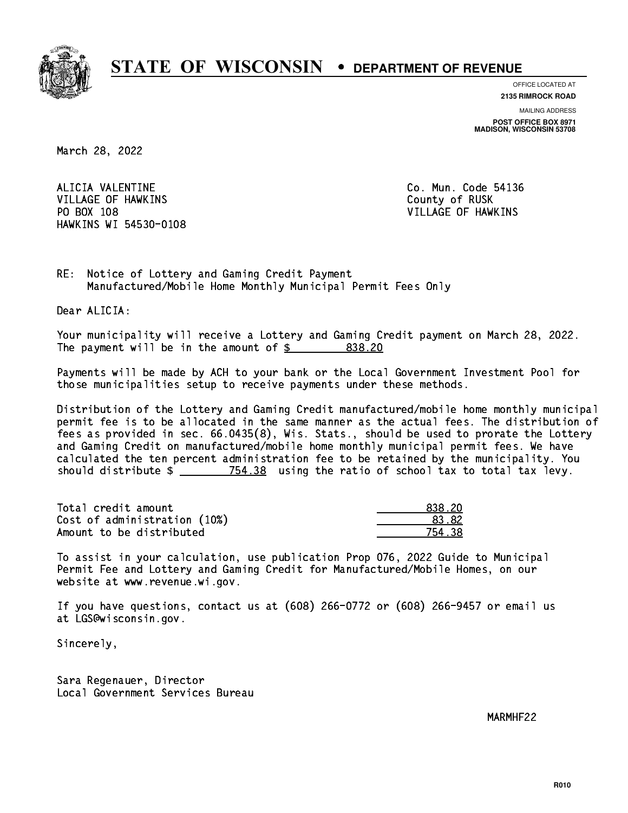

**OFFICE LOCATED AT**

**2135 RIMROCK ROAD**

**MAILING ADDRESS POST OFFICE BOX 8971 MADISON, WISCONSIN 53708**

March 28, 2022

 ALICIA VALENTINE Co. Mun. Code 54136 VILLAGE OF HAWKINS COUNTY OF RUSK PO BOX 108 VILLAGE OF HAWKINS HAWKINS WI 54530-0108

RE: Notice of Lottery and Gaming Credit Payment Manufactured/Mobile Home Monthly Municipal Permit Fees Only

Dear ALICIA:

 Your municipality will receive a Lottery and Gaming Credit payment on March 28, 2022. The payment will be in the amount of  $\frac{2}{3}$  838.20

 Payments will be made by ACH to your bank or the Local Government Investment Pool for those municipalities setup to receive payments under these methods.

 Distribution of the Lottery and Gaming Credit manufactured/mobile home monthly municipal permit fee is to be allocated in the same manner as the actual fees. The distribution of fees as provided in sec. 66.0435(8), Wis. Stats., should be used to prorate the Lottery and Gaming Credit on manufactured/mobile home monthly municipal permit fees. We have calculated the ten percent administration fee to be retained by the municipality. You should distribute  $\frac{2}{2}$   $\frac{754.38}{2}$  using the ratio of school tax to total tax levy.

| Total credit amount          | 838.20       |
|------------------------------|--------------|
| Cost of administration (10%) | <b>83.82</b> |
| Amount to be distributed     | 754.38       |

 To assist in your calculation, use publication Prop 076, 2022 Guide to Municipal Permit Fee and Lottery and Gaming Credit for Manufactured/Mobile Homes, on our website at www.revenue.wi.gov.

 If you have questions, contact us at (608) 266-0772 or (608) 266-9457 or email us at LGS@wisconsin.gov.

Sincerely,

 Sara Regenauer, Director Local Government Services Bureau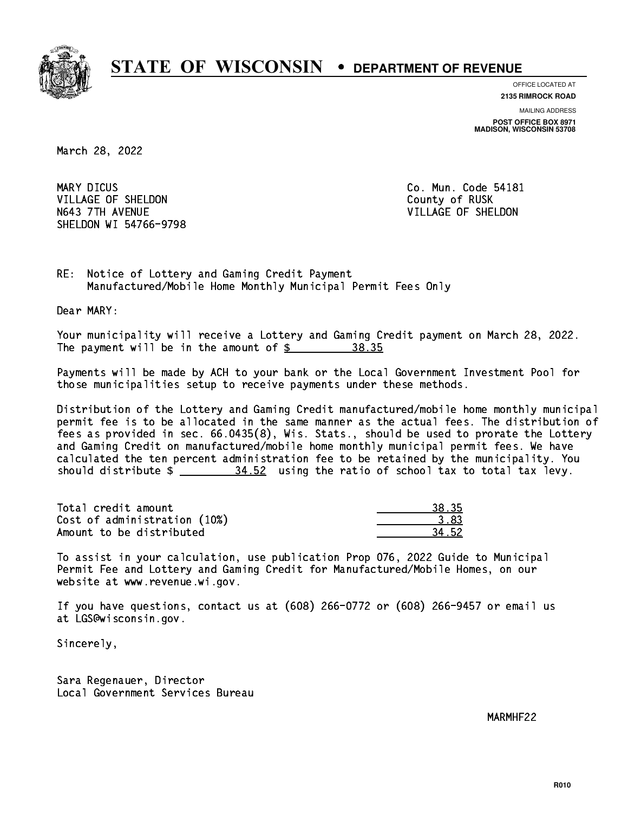

**OFFICE LOCATED AT**

**2135 RIMROCK ROAD**

**MAILING ADDRESS POST OFFICE BOX 8971 MADISON, WISCONSIN 53708**

March 28, 2022

MARY DICUS VILLAGE OF SHELDON COUNTY OF RUSK N643 7TH AVENUE VILLAGE OF SHELDON SHELDON WI 54766-9798

Co. Mun. Code 54181

RE: Notice of Lottery and Gaming Credit Payment Manufactured/Mobile Home Monthly Municipal Permit Fees Only

Dear MARY:

 Your municipality will receive a Lottery and Gaming Credit payment on March 28, 2022. The payment will be in the amount of  $\frac{2}{3}$  38.35

 Payments will be made by ACH to your bank or the Local Government Investment Pool for those municipalities setup to receive payments under these methods.

 Distribution of the Lottery and Gaming Credit manufactured/mobile home monthly municipal permit fee is to be allocated in the same manner as the actual fees. The distribution of fees as provided in sec. 66.0435(8), Wis. Stats., should be used to prorate the Lottery and Gaming Credit on manufactured/mobile home monthly municipal permit fees. We have calculated the ten percent administration fee to be retained by the municipality. You should distribute  $\frac{24.52}{100}$  using the ratio of school tax to total tax levy.

Total credit amount 38.35 Cost of administration (10%) 3.83 \_\_\_\_\_\_\_\_\_\_\_\_\_\_ Amount to be distributed 34.52

 To assist in your calculation, use publication Prop 076, 2022 Guide to Municipal Permit Fee and Lottery and Gaming Credit for Manufactured/Mobile Homes, on our website at www.revenue.wi.gov.

 If you have questions, contact us at (608) 266-0772 or (608) 266-9457 or email us at LGS@wisconsin.gov.

Sincerely,

 Sara Regenauer, Director Local Government Services Bureau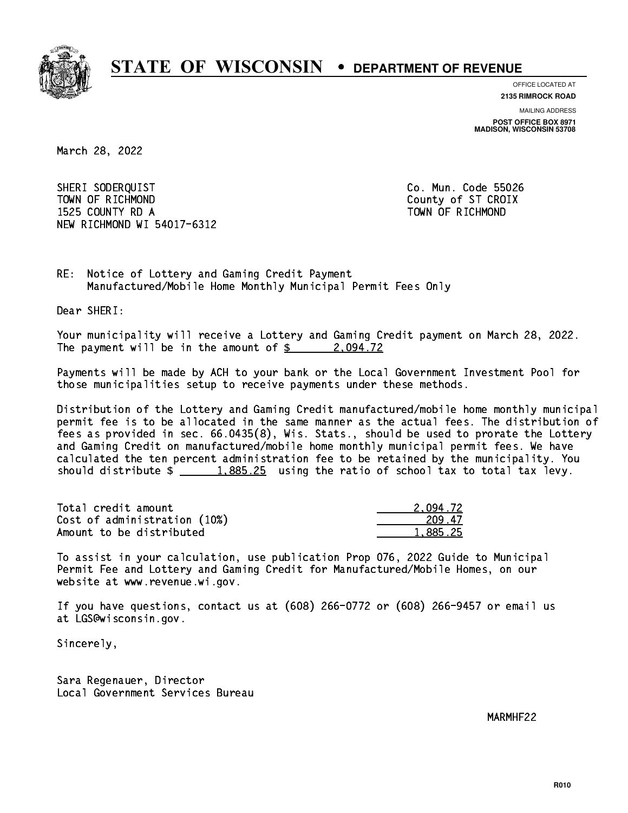

**OFFICE LOCATED AT**

**2135 RIMROCK ROAD**

**MAILING ADDRESS POST OFFICE BOX 8971 MADISON, WISCONSIN 53708**

March 28, 2022

 SHERI SODERQUIST Co. Mun. Code 55026 TOWN OF RICHMOND COUNTY COUNTY OF ST CROIX 1525 COUNTY RD A TOWN OF RICHMOND NEW RICHMOND WI 54017-6312

RE: Notice of Lottery and Gaming Credit Payment Manufactured/Mobile Home Monthly Municipal Permit Fees Only

Dear SHERI:

 Your municipality will receive a Lottery and Gaming Credit payment on March 28, 2022. The payment will be in the amount of  $\frac{2.094.72}{2.0022}$ 

 Payments will be made by ACH to your bank or the Local Government Investment Pool for those municipalities setup to receive payments under these methods.

 Distribution of the Lottery and Gaming Credit manufactured/mobile home monthly municipal permit fee is to be allocated in the same manner as the actual fees. The distribution of fees as provided in sec. 66.0435(8), Wis. Stats., should be used to prorate the Lottery and Gaming Credit on manufactured/mobile home monthly municipal permit fees. We have calculated the ten percent administration fee to be retained by the municipality. You should distribute  $\frac{1.885.25}{1.885.25}$  using the ratio of school tax to total tax levy.

| Total credit amount          | 2.094.72 |
|------------------------------|----------|
| Cost of administration (10%) | 209.47   |
| Amount to be distributed     | 1.885.25 |

 To assist in your calculation, use publication Prop 076, 2022 Guide to Municipal Permit Fee and Lottery and Gaming Credit for Manufactured/Mobile Homes, on our website at www.revenue.wi.gov.

 If you have questions, contact us at (608) 266-0772 or (608) 266-9457 or email us at LGS@wisconsin.gov.

Sincerely,

 Sara Regenauer, Director Local Government Services Bureau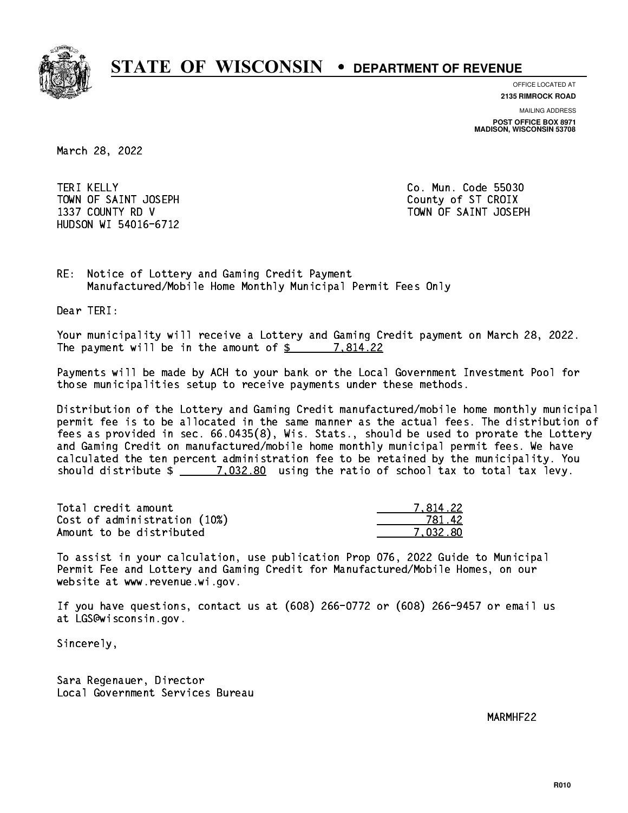

**OFFICE LOCATED AT**

**2135 RIMROCK ROAD**

**MAILING ADDRESS**

**POST OFFICE BOX 8971 MADISON, WISCONSIN 53708**

March 28, 2022

**TERI KELLY** TOWN OF SAINT JOSEPH COUNTY OF STICROIX HUDSON WI 54016-6712

Co. Mun. Code 55030 1337 COUNTY RD V TOWN OF SAINT JOSEPH

RE: Notice of Lottery and Gaming Credit Payment Manufactured/Mobile Home Monthly Municipal Permit Fees Only

Dear TERI:

 Your municipality will receive a Lottery and Gaming Credit payment on March 28, 2022. The payment will be in the amount of  $\frac{2}{3}$  7,814.22

 Payments will be made by ACH to your bank or the Local Government Investment Pool for those municipalities setup to receive payments under these methods.

 Distribution of the Lottery and Gaming Credit manufactured/mobile home monthly municipal permit fee is to be allocated in the same manner as the actual fees. The distribution of fees as provided in sec. 66.0435(8), Wis. Stats., should be used to prorate the Lottery and Gaming Credit on manufactured/mobile home monthly municipal permit fees. We have calculated the ten percent administration fee to be retained by the municipality. You should distribute  $\frac{2}{2}$   $\frac{7,032.80}{2}$  using the ratio of school tax to total tax levy.

| Total credit amount          | 7.814.22 |
|------------------------------|----------|
| Cost of administration (10%) | 781.42   |
| Amount to be distributed     | 7.032.80 |

 To assist in your calculation, use publication Prop 076, 2022 Guide to Municipal Permit Fee and Lottery and Gaming Credit for Manufactured/Mobile Homes, on our website at www.revenue.wi.gov.

 If you have questions, contact us at (608) 266-0772 or (608) 266-9457 or email us at LGS@wisconsin.gov.

Sincerely,

 Sara Regenauer, Director Local Government Services Bureau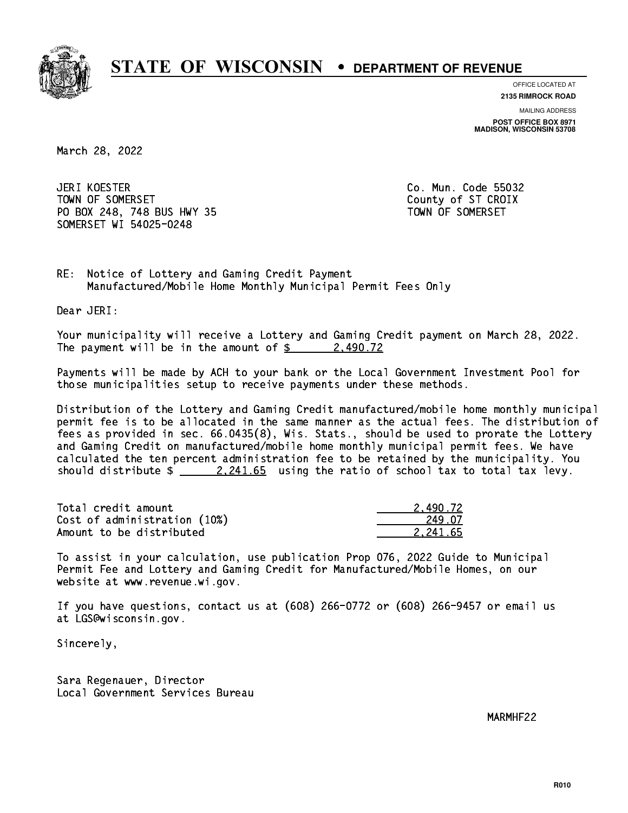

**OFFICE LOCATED AT**

**2135 RIMROCK ROAD**

**MAILING ADDRESS POST OFFICE BOX 8971 MADISON, WISCONSIN 53708**

March 28, 2022

**JERI KOESTER** TOWN OF SOMERSET COUNTY OF STATES COUNTY OF STATES OF STATES OF STATES OF STATES OF STATES OF STATES OF STATES PO BOX 248, 748 BUS HWY 35 TOWN OF SOMERSET SOMERSET WI 54025-0248

Co. Mun. Code 55032

RE: Notice of Lottery and Gaming Credit Payment Manufactured/Mobile Home Monthly Municipal Permit Fees Only

Dear JERI:

 Your municipality will receive a Lottery and Gaming Credit payment on March 28, 2022. The payment will be in the amount of  $\frac{2}{3}$  2,490.72

 Payments will be made by ACH to your bank or the Local Government Investment Pool for those municipalities setup to receive payments under these methods.

 Distribution of the Lottery and Gaming Credit manufactured/mobile home monthly municipal permit fee is to be allocated in the same manner as the actual fees. The distribution of fees as provided in sec. 66.0435(8), Wis. Stats., should be used to prorate the Lottery and Gaming Credit on manufactured/mobile home monthly municipal permit fees. We have calculated the ten percent administration fee to be retained by the municipality. You should distribute  $\frac{2.241.65}{2.241.65}$  using the ratio of school tax to total tax levy.

| Total credit amount          | 2.490.72 |
|------------------------------|----------|
| Cost of administration (10%) | 249.07   |
| Amount to be distributed     | 2.241.65 |

 To assist in your calculation, use publication Prop 076, 2022 Guide to Municipal Permit Fee and Lottery and Gaming Credit for Manufactured/Mobile Homes, on our website at www.revenue.wi.gov.

 If you have questions, contact us at (608) 266-0772 or (608) 266-9457 or email us at LGS@wisconsin.gov.

Sincerely,

 Sara Regenauer, Director Local Government Services Bureau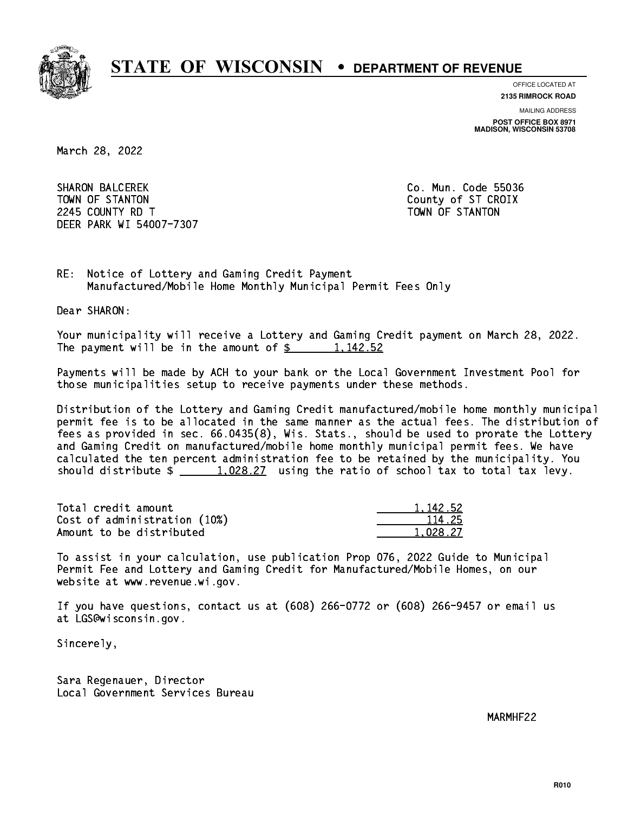

**OFFICE LOCATED AT**

**2135 RIMROCK ROAD**

**MAILING ADDRESS POST OFFICE BOX 8971 MADISON, WISCONSIN 53708**

March 28, 2022

**SHARON BALCEREK** TOWN OF STANTON COUNTY OF STANTON 224 COUNTY RD T TOWN OF STANDARD COUNTY ROLL AND STRUCTURE OF STANDARD COUNTY AND ALL COUNTY OF STANDARD COUNTY. DEER PARK WI 54007-7307

Co. Mun. Code 55036

RE: Notice of Lottery and Gaming Credit Payment Manufactured/Mobile Home Monthly Municipal Permit Fees Only

Dear SHARON:

 Your municipality will receive a Lottery and Gaming Credit payment on March 28, 2022. The payment will be in the amount of  $\frac{2}{3}$  1,142.52

 Payments will be made by ACH to your bank or the Local Government Investment Pool for those municipalities setup to receive payments under these methods.

 Distribution of the Lottery and Gaming Credit manufactured/mobile home monthly municipal permit fee is to be allocated in the same manner as the actual fees. The distribution of fees as provided in sec. 66.0435(8), Wis. Stats., should be used to prorate the Lottery and Gaming Credit on manufactured/mobile home monthly municipal permit fees. We have calculated the ten percent administration fee to be retained by the municipality. You should distribute  $\frac{1,028.27}{1,028.27}$  using the ratio of school tax to total tax levy.

| Total credit amount          | 1.142.52 |
|------------------------------|----------|
| Cost of administration (10%) | 114.25   |
| Amount to be distributed     | 1.028.27 |

 To assist in your calculation, use publication Prop 076, 2022 Guide to Municipal Permit Fee and Lottery and Gaming Credit for Manufactured/Mobile Homes, on our website at www.revenue.wi.gov.

 If you have questions, contact us at (608) 266-0772 or (608) 266-9457 or email us at LGS@wisconsin.gov.

Sincerely,

 Sara Regenauer, Director Local Government Services Bureau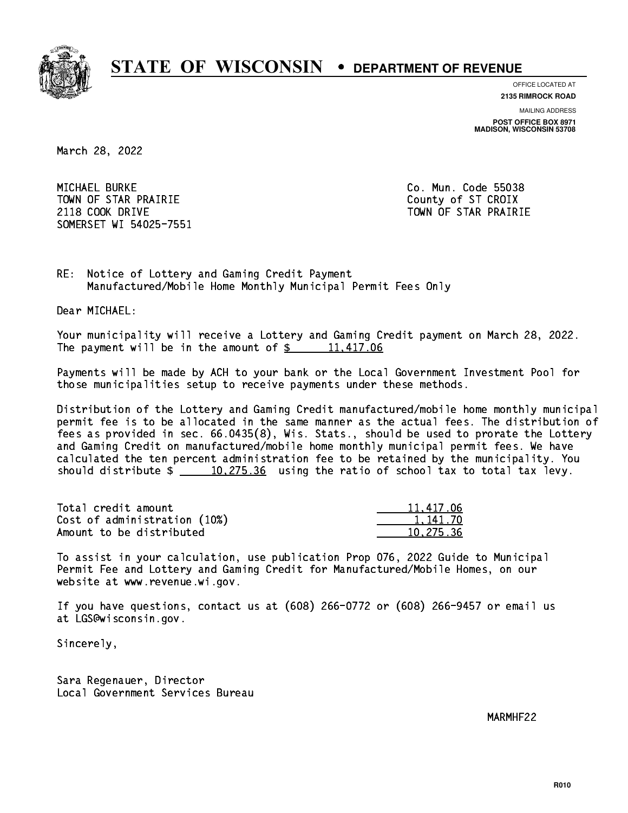

**OFFICE LOCATED AT**

**2135 RIMROCK ROAD**

**MAILING ADDRESS POST OFFICE BOX 8971 MADISON, WISCONSIN 53708**

March 28, 2022

 MICHAEL BURKE Co. Mun. Code 55038 TOWN OF STAR PRAIRIE **COUNTY COUNTY OF STAR PRAIRIE** 2118 COOK DRIVE TOWN OF STAR PRAIRIE SOMERSET WI 54025-7551

RE: Notice of Lottery and Gaming Credit Payment Manufactured/Mobile Home Monthly Municipal Permit Fees Only

Dear MICHAEL:

 Your municipality will receive a Lottery and Gaming Credit payment on March 28, 2022. The payment will be in the amount of  $\frac{2}{3}$  11,417.06

 Payments will be made by ACH to your bank or the Local Government Investment Pool for those municipalities setup to receive payments under these methods.

 Distribution of the Lottery and Gaming Credit manufactured/mobile home monthly municipal permit fee is to be allocated in the same manner as the actual fees. The distribution of fees as provided in sec. 66.0435(8), Wis. Stats., should be used to prorate the Lottery and Gaming Credit on manufactured/mobile home monthly municipal permit fees. We have calculated the ten percent administration fee to be retained by the municipality. You should distribute  $\frac{10,275.36}{275.36}$  using the ratio of school tax to total tax levy.

| Total credit amount          | 11,417.06 |
|------------------------------|-----------|
| Cost of administration (10%) | 1.141.70  |
| Amount to be distributed     | 10.275.36 |

 To assist in your calculation, use publication Prop 076, 2022 Guide to Municipal Permit Fee and Lottery and Gaming Credit for Manufactured/Mobile Homes, on our website at www.revenue.wi.gov.

 If you have questions, contact us at (608) 266-0772 or (608) 266-9457 or email us at LGS@wisconsin.gov.

Sincerely,

 Sara Regenauer, Director Local Government Services Bureau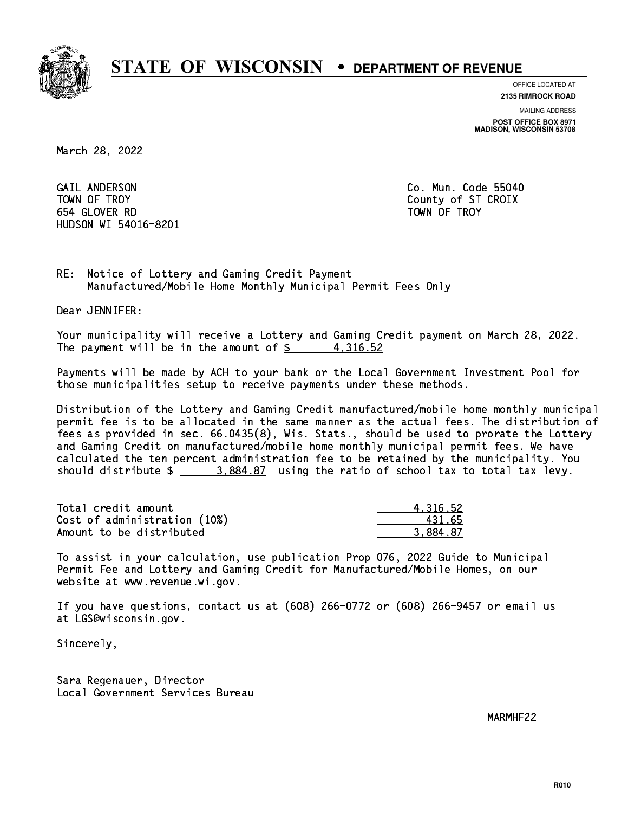

**OFFICE LOCATED AT**

**2135 RIMROCK ROAD**

**MAILING ADDRESS**

**POST OFFICE BOX 8971 MADISON, WISCONSIN 53708**

March 28, 2022

 GAIL ANDERSON Co. Mun. Code 55040 TOWN OF TROY County of ST CROIX 654 GLOVER RD TOWN OF TROY HUDSON WI 54016-8201

RE: Notice of Lottery and Gaming Credit Payment Manufactured/Mobile Home Monthly Municipal Permit Fees Only

Dear JENNIFER:

 Your municipality will receive a Lottery and Gaming Credit payment on March 28, 2022. The payment will be in the amount of  $\frac{2}{3}$  4,316.52

 Payments will be made by ACH to your bank or the Local Government Investment Pool for those municipalities setup to receive payments under these methods.

 Distribution of the Lottery and Gaming Credit manufactured/mobile home monthly municipal permit fee is to be allocated in the same manner as the actual fees. The distribution of fees as provided in sec. 66.0435(8), Wis. Stats., should be used to prorate the Lottery and Gaming Credit on manufactured/mobile home monthly municipal permit fees. We have calculated the ten percent administration fee to be retained by the municipality. You should distribute  $\frac{2}{2}$   $\frac{3.884.87}{2}$  using the ratio of school tax to total tax levy.

| Total credit amount          | 4.316.52 |
|------------------------------|----------|
| Cost of administration (10%) | 431.65   |
| Amount to be distributed     | 3.884.87 |

 To assist in your calculation, use publication Prop 076, 2022 Guide to Municipal Permit Fee and Lottery and Gaming Credit for Manufactured/Mobile Homes, on our website at www.revenue.wi.gov.

 If you have questions, contact us at (608) 266-0772 or (608) 266-9457 or email us at LGS@wisconsin.gov.

Sincerely,

 Sara Regenauer, Director Local Government Services Bureau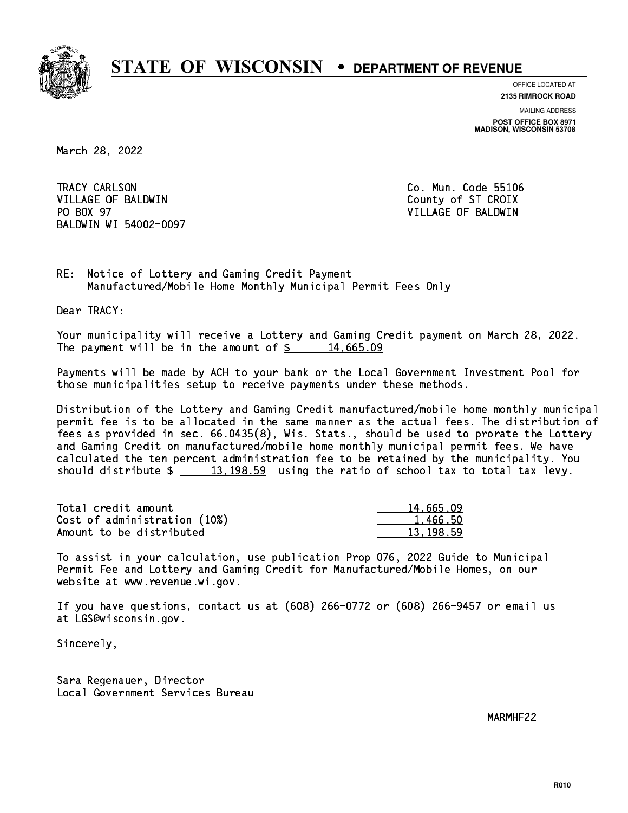

**OFFICE LOCATED AT**

**2135 RIMROCK ROAD**

**MAILING ADDRESS POST OFFICE BOX 8971 MADISON, WISCONSIN 53708**

March 28, 2022

TRACY CARLSON VILLAGE OF BALDWIN COUNTY COUNTY OF ST CROIX PO BOX 97 BALDWIN WI 54002-0097

Co. Mun. Code 55106 VILLAGE OF BALDWIN

RE: Notice of Lottery and Gaming Credit Payment Manufactured/Mobile Home Monthly Municipal Permit Fees Only

Dear TRACY:

 Your municipality will receive a Lottery and Gaming Credit payment on March 28, 2022. The payment will be in the amount of  $\frac{2}{3}$  14,665.09

 Payments will be made by ACH to your bank or the Local Government Investment Pool for those municipalities setup to receive payments under these methods.

 Distribution of the Lottery and Gaming Credit manufactured/mobile home monthly municipal permit fee is to be allocated in the same manner as the actual fees. The distribution of fees as provided in sec. 66.0435(8), Wis. Stats., should be used to prorate the Lottery and Gaming Credit on manufactured/mobile home monthly municipal permit fees. We have calculated the ten percent administration fee to be retained by the municipality. You should distribute  $\frac{2}{13,198.59}$  using the ratio of school tax to total tax levy.

| Total credit amount          | 14,665.09 |
|------------------------------|-----------|
| Cost of administration (10%) | 1.466.50  |
| Amount to be distributed     | 13.198.59 |

 To assist in your calculation, use publication Prop 076, 2022 Guide to Municipal Permit Fee and Lottery and Gaming Credit for Manufactured/Mobile Homes, on our website at www.revenue.wi.gov.

 If you have questions, contact us at (608) 266-0772 or (608) 266-9457 or email us at LGS@wisconsin.gov.

Sincerely,

 Sara Regenauer, Director Local Government Services Bureau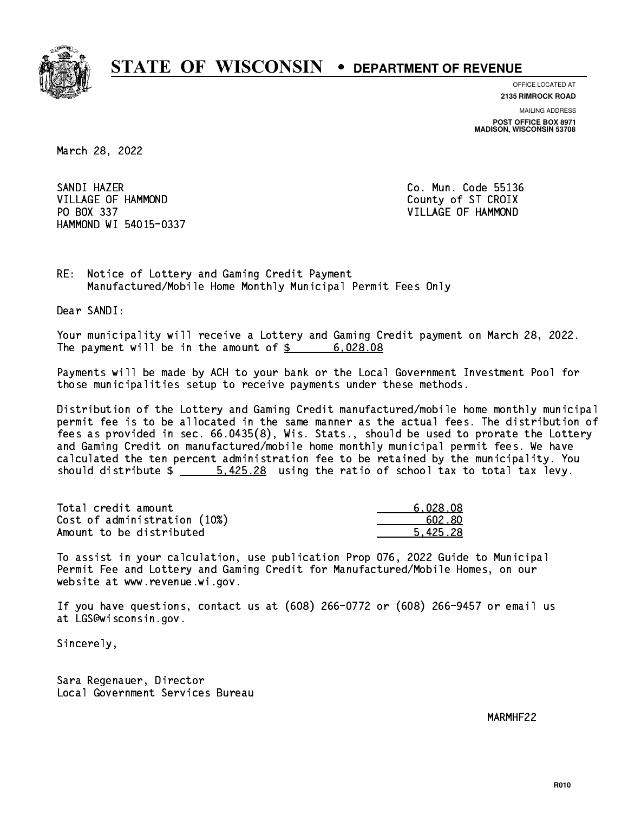

**OFFICE LOCATED AT 2135 RIMROCK ROAD**

**MAILING ADDRESS POST OFFICE BOX 8971 MADISON, WISCONSIN 53708**

March 28, 2022

SANDI HAZER SANDI HAZER CO. MUNICIPALITY OF THE SANDWAY OF THE SANDWAY OF THE SANDWAY OF THE SANDWAY OF THE SANDWAY OF THE VILLAGE OF HAMMOND County of ST CROIX PO BOX 337 VILLAGE OF HAMMOND HAMMOND WI 54015-0337

RE: Notice of Lottery and Gaming Credit Payment Manufactured/Mobile Home Monthly Municipal Permit Fees Only

Dear SANDI:

 Your municipality will receive a Lottery and Gaming Credit payment on March 28, 2022. The payment will be in the amount of \$ 6,028.08 \_\_\_\_\_\_\_\_\_\_\_\_\_\_\_\_

 Payments will be made by ACH to your bank or the Local Government Investment Pool for those municipalities setup to receive payments under these methods.

 Distribution of the Lottery and Gaming Credit manufactured/mobile home monthly municipal permit fee is to be allocated in the same manner as the actual fees. The distribution of fees as provided in sec. 66.0435(8), Wis. Stats., should be used to prorate the Lottery and Gaming Credit on manufactured/mobile home monthly municipal permit fees. We have calculated the ten percent administration fee to be retained by the municipality. You should distribute  $\frac{2}{1}$   $\frac{5.425.28}{2}$  using the ratio of school tax to total tax levy.

| Total credit amount          | 6,028.08 |
|------------------------------|----------|
| Cost of administration (10%) | 602.80   |
| Amount to be distributed     | 5.425.28 |

 To assist in your calculation, use publication Prop 076, 2022 Guide to Municipal Permit Fee and Lottery and Gaming Credit for Manufactured/Mobile Homes, on our website at www.revenue.wi.gov.

 If you have questions, contact us at (608) 266-0772 or (608) 266-9457 or email us at LGS@wisconsin.gov.

Sincerely,

 Sara Regenauer, Director Local Government Services Bureau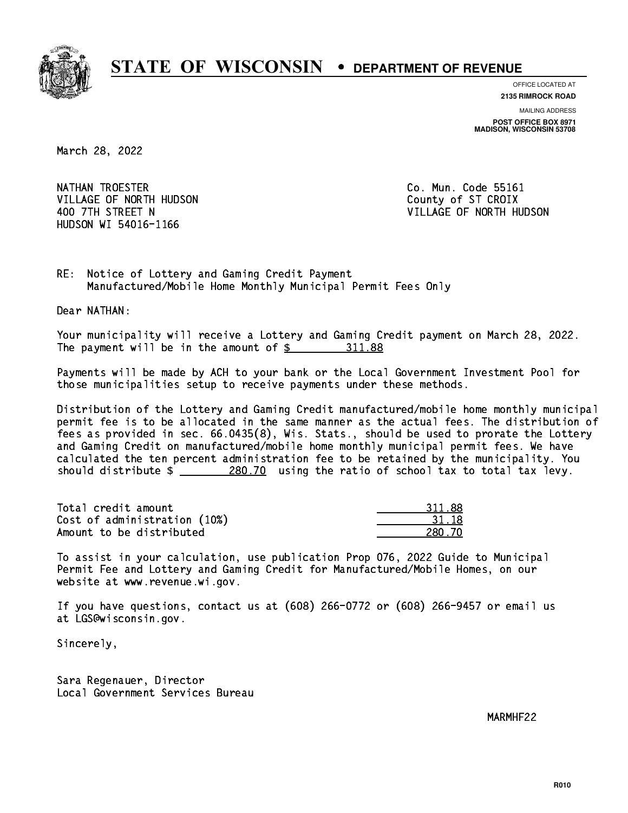

**OFFICE LOCATED AT**

**2135 RIMROCK ROAD**

**MAILING ADDRESS POST OFFICE BOX 8971 MADISON, WISCONSIN 53708**

March 28, 2022

NATHAN TROESTER **Co. Mun. Code 55161** VILLAGE OF NORTH HUDSON COUNTY OF ST CROIX HUDSON WI 54016-1166

400 7TH STREET N VILLAGE OF NORTH HUDSON

RE: Notice of Lottery and Gaming Credit Payment Manufactured/Mobile Home Monthly Municipal Permit Fees Only

Dear NATHAN:

 Your municipality will receive a Lottery and Gaming Credit payment on March 28, 2022. The payment will be in the amount of \$ 311.88 \_\_\_\_\_\_\_\_\_\_\_\_\_\_\_\_

 Payments will be made by ACH to your bank or the Local Government Investment Pool for those municipalities setup to receive payments under these methods.

 Distribution of the Lottery and Gaming Credit manufactured/mobile home monthly municipal permit fee is to be allocated in the same manner as the actual fees. The distribution of fees as provided in sec. 66.0435(8), Wis. Stats., should be used to prorate the Lottery and Gaming Credit on manufactured/mobile home monthly municipal permit fees. We have calculated the ten percent administration fee to be retained by the municipality. You should distribute  $\frac{280.70}{280.70}$  using the ratio of school tax to total tax levy.

Total credit amount Cost of administration (10%) Amount to be distributed

| 311.88 |
|--------|
| 31.18  |
| - 70   |

 To assist in your calculation, use publication Prop 076, 2022 Guide to Municipal Permit Fee and Lottery and Gaming Credit for Manufactured/Mobile Homes, on our website at www.revenue.wi.gov.

 If you have questions, contact us at (608) 266-0772 or (608) 266-9457 or email us at LGS@wisconsin.gov.

Sincerely,

 Sara Regenauer, Director Local Government Services Bureau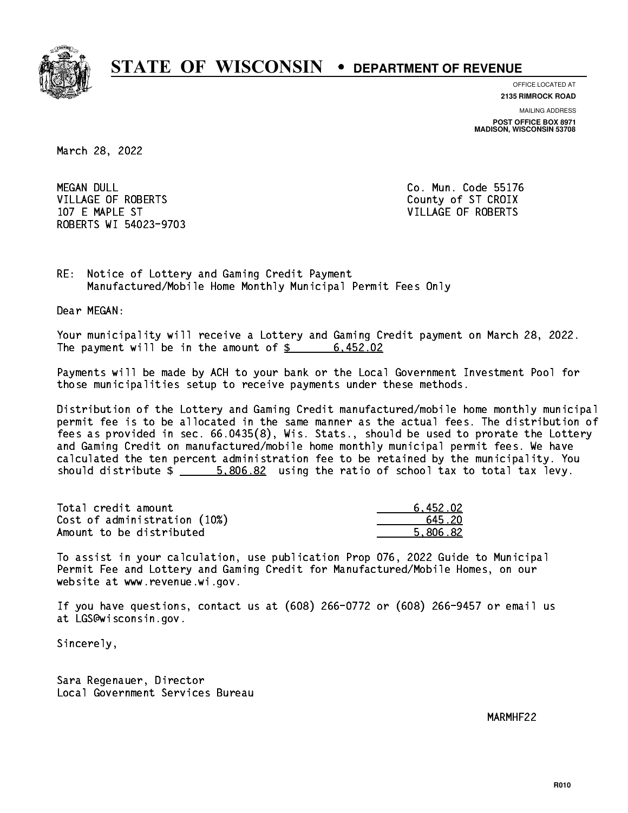

**OFFICE LOCATED AT 2135 RIMROCK ROAD**

**MAILING ADDRESS POST OFFICE BOX 8971 MADISON, WISCONSIN 53708**

March 28, 2022

**MEGAN DULL** VILLAGE OF ROBERTS COUNTY OF ST CROIX 107 E MAPLE ST VILLAGE OF ROBERTS ROBERTS WI 54023-9703

Co. Mun. Code 55176

RE: Notice of Lottery and Gaming Credit Payment Manufactured/Mobile Home Monthly Municipal Permit Fees Only

Dear MEGAN:

 Your municipality will receive a Lottery and Gaming Credit payment on March 28, 2022. The payment will be in the amount of  $\frac{2}{3}$  6,452.02

 Payments will be made by ACH to your bank or the Local Government Investment Pool for those municipalities setup to receive payments under these methods.

 Distribution of the Lottery and Gaming Credit manufactured/mobile home monthly municipal permit fee is to be allocated in the same manner as the actual fees. The distribution of fees as provided in sec. 66.0435(8), Wis. Stats., should be used to prorate the Lottery and Gaming Credit on manufactured/mobile home monthly municipal permit fees. We have calculated the ten percent administration fee to be retained by the municipality. You should distribute  $\frac{2}{1}$   $\frac{5,806.82}{2}$  using the ratio of school tax to total tax levy.

| Total credit amount          | 6.452.02 |
|------------------------------|----------|
| Cost of administration (10%) | 645.20   |
| Amount to be distributed     | 5.806.82 |

 To assist in your calculation, use publication Prop 076, 2022 Guide to Municipal Permit Fee and Lottery and Gaming Credit for Manufactured/Mobile Homes, on our website at www.revenue.wi.gov.

 If you have questions, contact us at (608) 266-0772 or (608) 266-9457 or email us at LGS@wisconsin.gov.

Sincerely,

 Sara Regenauer, Director Local Government Services Bureau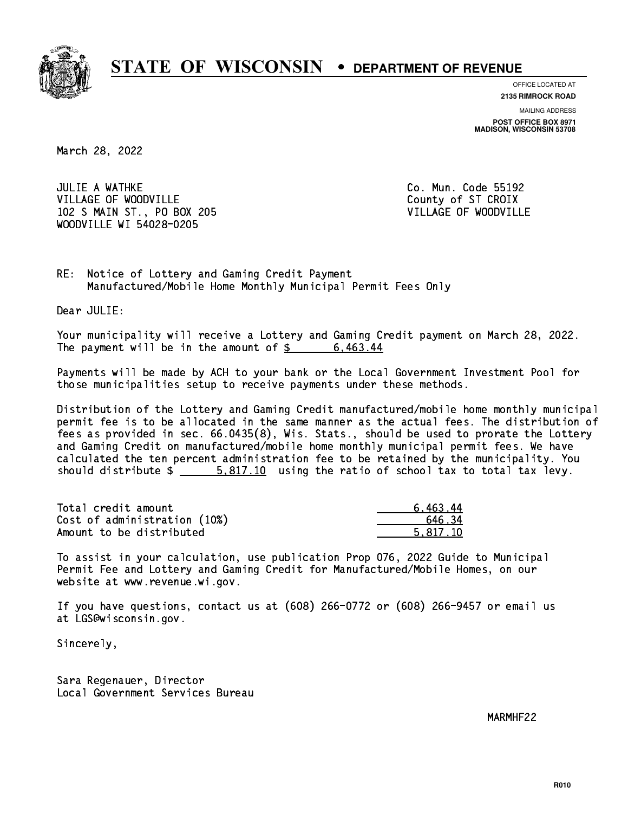

**OFFICE LOCATED AT 2135 RIMROCK ROAD**

**MAILING ADDRESS POST OFFICE BOX 8971 MADISON, WISCONSIN 53708**

March 28, 2022

**JULIE A WATHKE** VILLAGE OF WOODVILLE COUNTY OF ST CROIX 102 S MAIN ST., PO BOX 205 VILLAGE OF WOODVILLE WOODVILLE WI 54028-0205

Co. Mun. Code 55192

RE: Notice of Lottery and Gaming Credit Payment Manufactured/Mobile Home Monthly Municipal Permit Fees Only

Dear JULIE:

 Your municipality will receive a Lottery and Gaming Credit payment on March 28, 2022. The payment will be in the amount of  $\frac{2}{3}$  6,463.44

 Payments will be made by ACH to your bank or the Local Government Investment Pool for those municipalities setup to receive payments under these methods.

 Distribution of the Lottery and Gaming Credit manufactured/mobile home monthly municipal permit fee is to be allocated in the same manner as the actual fees. The distribution of fees as provided in sec. 66.0435(8), Wis. Stats., should be used to prorate the Lottery and Gaming Credit on manufactured/mobile home monthly municipal permit fees. We have calculated the ten percent administration fee to be retained by the municipality. You should distribute  $\frac{2}{1}$   $\frac{5.817.10}{10}$  using the ratio of school tax to total tax levy.

| Total credit amount          | 6,463.44 |
|------------------------------|----------|
| Cost of administration (10%) | 646.34   |
| Amount to be distributed     | 5.817.10 |

 To assist in your calculation, use publication Prop 076, 2022 Guide to Municipal Permit Fee and Lottery and Gaming Credit for Manufactured/Mobile Homes, on our website at www.revenue.wi.gov.

 If you have questions, contact us at (608) 266-0772 or (608) 266-9457 or email us at LGS@wisconsin.gov.

Sincerely,

 Sara Regenauer, Director Local Government Services Bureau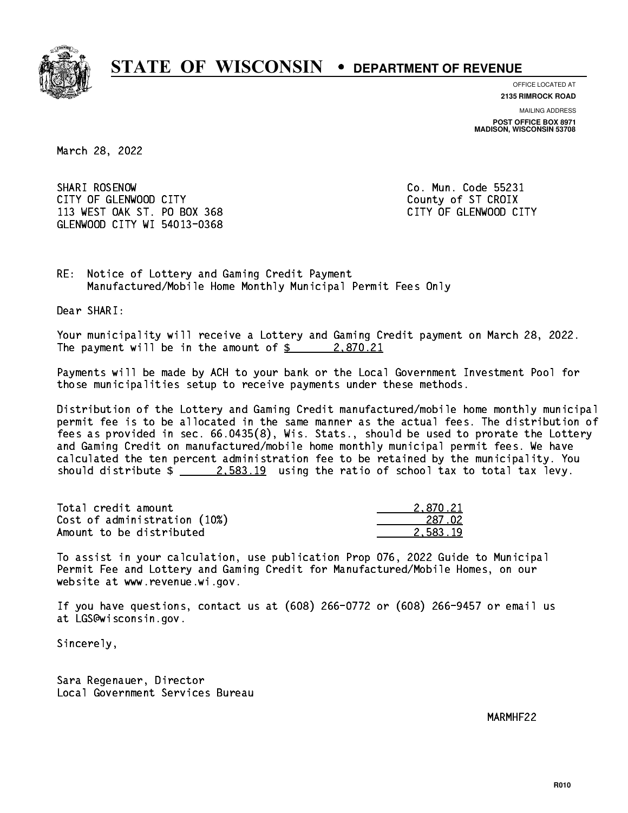

**OFFICE LOCATED AT**

**2135 RIMROCK ROAD**

**MAILING ADDRESS**

**POST OFFICE BOX 8971 MADISON, WISCONSIN 53708**

March 28, 2022

SHARI ROSENOW CITY OF GLENWOOD CITY COUNTY COUNTY COUNTY OF ST CROIX 113 WEST OAK ST. PO BOX 368 CITY OF GLENWOOD CITY GLENWOOD CITY WI 54013-0368

Co. Mun. Code 55231

RE: Notice of Lottery and Gaming Credit Payment Manufactured/Mobile Home Monthly Municipal Permit Fees Only

Dear SHARI:

 Your municipality will receive a Lottery and Gaming Credit payment on March 28, 2022. The payment will be in the amount of  $\frac{2}{3}$  2,870.21

 Payments will be made by ACH to your bank or the Local Government Investment Pool for those municipalities setup to receive payments under these methods.

 Distribution of the Lottery and Gaming Credit manufactured/mobile home monthly municipal permit fee is to be allocated in the same manner as the actual fees. The distribution of fees as provided in sec. 66.0435(8), Wis. Stats., should be used to prorate the Lottery and Gaming Credit on manufactured/mobile home monthly municipal permit fees. We have calculated the ten percent administration fee to be retained by the municipality. You should distribute  $\frac{2.583.19}{2.583.19}$  using the ratio of school tax to total tax levy.

| Total credit amount          | 2.870.21 |
|------------------------------|----------|
| Cost of administration (10%) | 287.02   |
| Amount to be distributed     | 2.583.19 |

 To assist in your calculation, use publication Prop 076, 2022 Guide to Municipal Permit Fee and Lottery and Gaming Credit for Manufactured/Mobile Homes, on our website at www.revenue.wi.gov.

 If you have questions, contact us at (608) 266-0772 or (608) 266-9457 or email us at LGS@wisconsin.gov.

Sincerely,

 Sara Regenauer, Director Local Government Services Bureau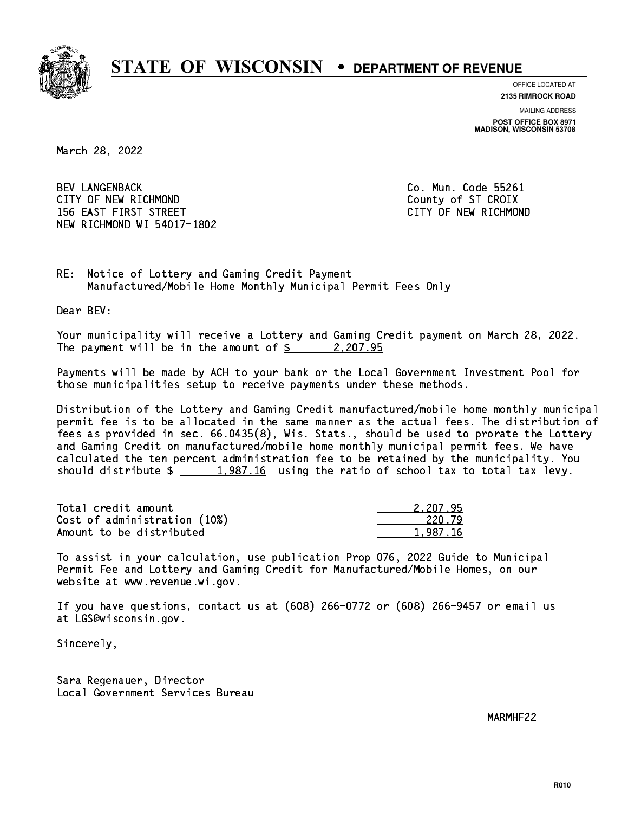

**OFFICE LOCATED AT**

**2135 RIMROCK ROAD**

**MAILING ADDRESS POST OFFICE BOX 8971 MADISON, WISCONSIN 53708**

March 28, 2022

 BEV LANGENBACK Co. Mun. Code 55261 CITY OF NEW RICHMOND COUNTY OF ST CROIX 156 EAST FIRST STREET CITY OF NEW RICHMOND NEW RICHMOND WI 54017-1802

RE: Notice of Lottery and Gaming Credit Payment Manufactured/Mobile Home Monthly Municipal Permit Fees Only

Dear BEV:

 Your municipality will receive a Lottery and Gaming Credit payment on March 28, 2022. The payment will be in the amount of  $\frac{2}{2}$  2,207.95

 Payments will be made by ACH to your bank or the Local Government Investment Pool for those municipalities setup to receive payments under these methods.

 Distribution of the Lottery and Gaming Credit manufactured/mobile home monthly municipal permit fee is to be allocated in the same manner as the actual fees. The distribution of fees as provided in sec. 66.0435(8), Wis. Stats., should be used to prorate the Lottery and Gaming Credit on manufactured/mobile home monthly municipal permit fees. We have calculated the ten percent administration fee to be retained by the municipality. You should distribute  $\frac{1,987.16}{1,987.16}$  using the ratio of school tax to total tax levy.

| Total credit amount          | 2.207.95 |
|------------------------------|----------|
| Cost of administration (10%) | 220.79   |
| Amount to be distributed     | 1.987.16 |

 To assist in your calculation, use publication Prop 076, 2022 Guide to Municipal Permit Fee and Lottery and Gaming Credit for Manufactured/Mobile Homes, on our website at www.revenue.wi.gov.

 If you have questions, contact us at (608) 266-0772 or (608) 266-9457 or email us at LGS@wisconsin.gov.

Sincerely,

 Sara Regenauer, Director Local Government Services Bureau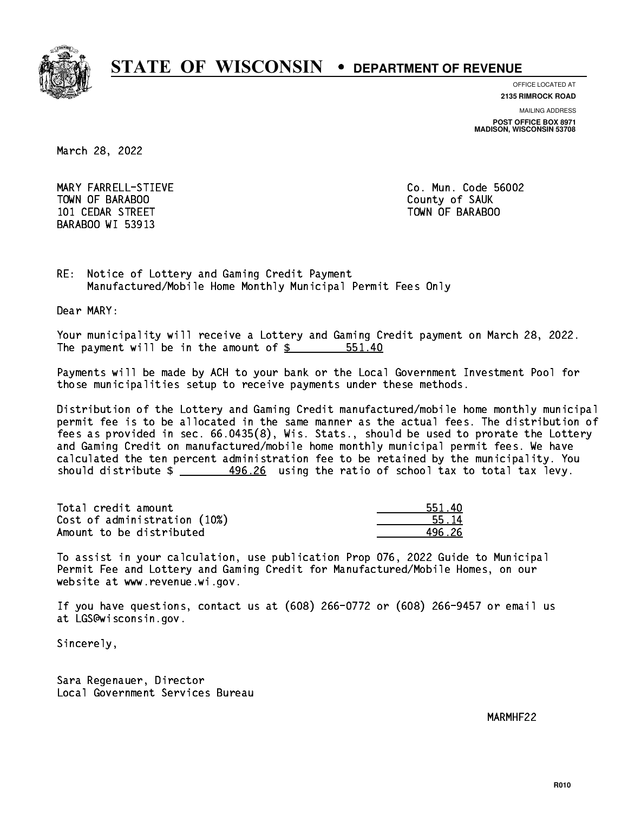

**OFFICE LOCATED AT 2135 RIMROCK ROAD**

**MAILING ADDRESS**

**POST OFFICE BOX 8971 MADISON, WISCONSIN 53708**

March 28, 2022

 MARY FARRELL-STIEVE Co. Mun. Code 56002 TOWN OF BARABOO **COUNTY OF SAUK**  101 CEDAR STREET TOWN OF BARABOO BARABOO WI 53913

RE: Notice of Lottery and Gaming Credit Payment Manufactured/Mobile Home Monthly Municipal Permit Fees Only

Dear MARY:

 Your municipality will receive a Lottery and Gaming Credit payment on March 28, 2022. The payment will be in the amount of \$ 551.40 \_\_\_\_\_\_\_\_\_\_\_\_\_\_\_\_

 Payments will be made by ACH to your bank or the Local Government Investment Pool for those municipalities setup to receive payments under these methods.

 Distribution of the Lottery and Gaming Credit manufactured/mobile home monthly municipal permit fee is to be allocated in the same manner as the actual fees. The distribution of fees as provided in sec. 66.0435(8), Wis. Stats., should be used to prorate the Lottery and Gaming Credit on manufactured/mobile home monthly municipal permit fees. We have calculated the ten percent administration fee to be retained by the municipality. You should distribute  $\frac{496.26}{2}$  using the ratio of school tax to total tax levy.

| Total credit amount          | 551.40 |
|------------------------------|--------|
| Cost of administration (10%) | 55.14  |
| Amount to be distributed     | 496 26 |

 To assist in your calculation, use publication Prop 076, 2022 Guide to Municipal Permit Fee and Lottery and Gaming Credit for Manufactured/Mobile Homes, on our website at www.revenue.wi.gov.

 If you have questions, contact us at (608) 266-0772 or (608) 266-9457 or email us at LGS@wisconsin.gov.

Sincerely,

 Sara Regenauer, Director Local Government Services Bureau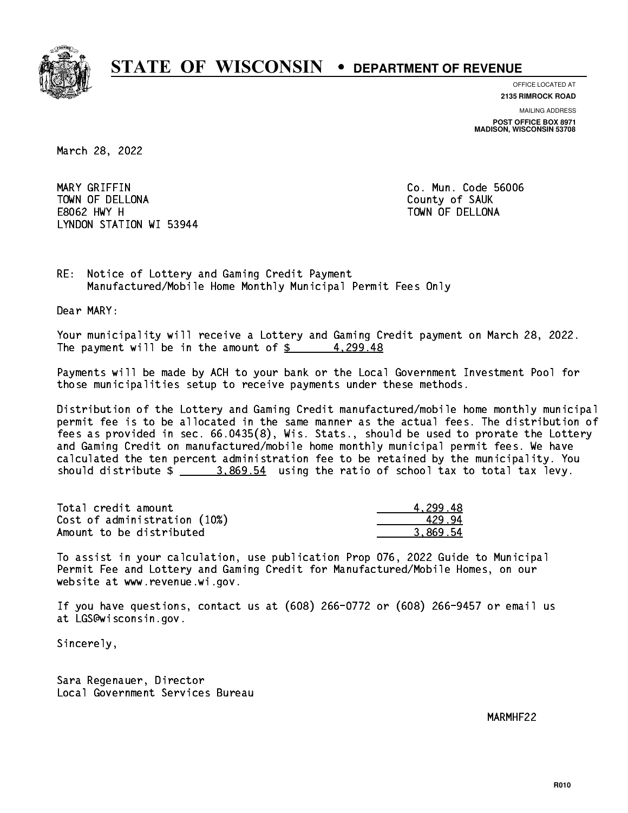

**OFFICE LOCATED AT**

**2135 RIMROCK ROAD**

**MAILING ADDRESS POST OFFICE BOX 8971 MADISON, WISCONSIN 53708**

March 28, 2022

 MARY GRIFFIN Co. Mun. Code 56006 TOWN OF DELLONA County of SAUK E8062 HWY H TOWN OF DELLONA LYNDON STATION WI 53944

RE: Notice of Lottery and Gaming Credit Payment Manufactured/Mobile Home Monthly Municipal Permit Fees Only

Dear MARY:

 Your municipality will receive a Lottery and Gaming Credit payment on March 28, 2022. The payment will be in the amount of  $\frac{2}{3}$  4,299.48

 Payments will be made by ACH to your bank or the Local Government Investment Pool for those municipalities setup to receive payments under these methods.

 Distribution of the Lottery and Gaming Credit manufactured/mobile home monthly municipal permit fee is to be allocated in the same manner as the actual fees. The distribution of fees as provided in sec. 66.0435(8), Wis. Stats., should be used to prorate the Lottery and Gaming Credit on manufactured/mobile home monthly municipal permit fees. We have calculated the ten percent administration fee to be retained by the municipality. You should distribute \$ 3,869.54 using the ratio of school tax to total tax levy. \_\_\_\_\_\_\_\_\_\_\_\_\_\_

| Total credit amount          | 4.299.48 |
|------------------------------|----------|
| Cost of administration (10%) | 429.94   |
| Amount to be distributed     | 3.869.54 |

 To assist in your calculation, use publication Prop 076, 2022 Guide to Municipal Permit Fee and Lottery and Gaming Credit for Manufactured/Mobile Homes, on our website at www.revenue.wi.gov.

 If you have questions, contact us at (608) 266-0772 or (608) 266-9457 or email us at LGS@wisconsin.gov.

Sincerely,

 Sara Regenauer, Director Local Government Services Bureau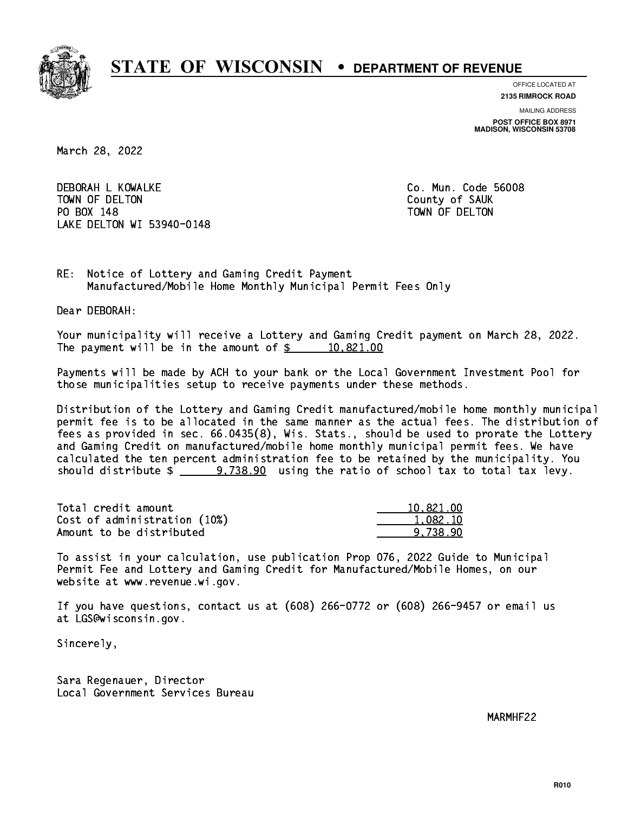

**OFFICE LOCATED AT 2135 RIMROCK ROAD**

**MAILING ADDRESS**

**POST OFFICE BOX 8971 MADISON, WISCONSIN 53708**

March 28, 2022

 DEBORAH L KOWALKE Co. Mun. Code 56008 TOWN OF DELTON COUNTY OF SAUK PO BOX 148 PO BOX 148 TOWN OF DELTON LAKE DELTON WI 53940-0148

RE: Notice of Lottery and Gaming Credit Payment Manufactured/Mobile Home Monthly Municipal Permit Fees Only

Dear DEBORAH:

 Your municipality will receive a Lottery and Gaming Credit payment on March 28, 2022. The payment will be in the amount of  $\frac{2}{3}$  10,821.00

 Payments will be made by ACH to your bank or the Local Government Investment Pool for those municipalities setup to receive payments under these methods.

 Distribution of the Lottery and Gaming Credit manufactured/mobile home monthly municipal permit fee is to be allocated in the same manner as the actual fees. The distribution of fees as provided in sec. 66.0435(8), Wis. Stats., should be used to prorate the Lottery and Gaming Credit on manufactured/mobile home monthly municipal permit fees. We have calculated the ten percent administration fee to be retained by the municipality. You should distribute  $\frac{2}{2}$   $\frac{9}{738.90}$  using the ratio of school tax to total tax levy.

| Total credit amount          | 10,821,00 |
|------------------------------|-----------|
| Cost of administration (10%) | 1,082.10  |
| Amount to be distributed     | 9.738.90  |

 To assist in your calculation, use publication Prop 076, 2022 Guide to Municipal Permit Fee and Lottery and Gaming Credit for Manufactured/Mobile Homes, on our website at www.revenue.wi.gov.

 If you have questions, contact us at (608) 266-0772 or (608) 266-9457 or email us at LGS@wisconsin.gov.

Sincerely,

 Sara Regenauer, Director Local Government Services Bureau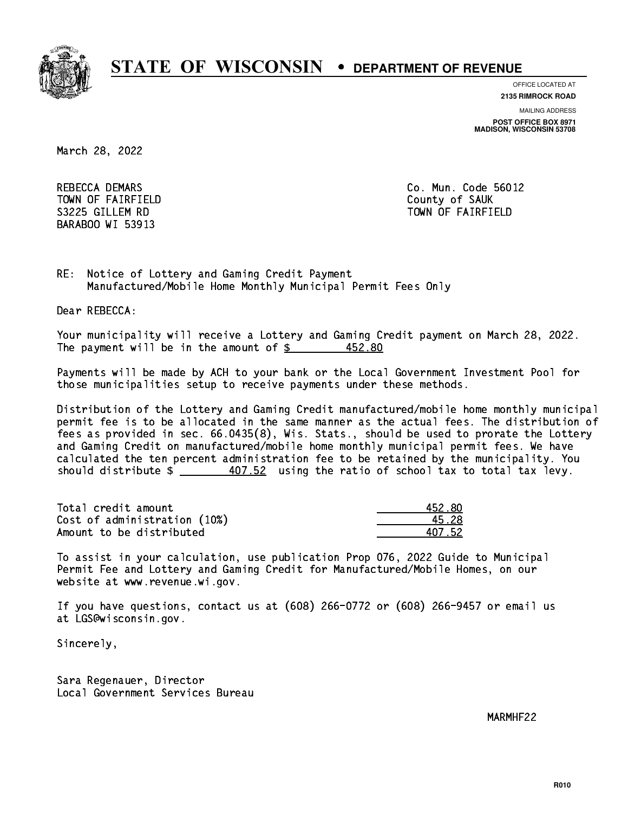

**OFFICE LOCATED AT**

**2135 RIMROCK ROAD**

**MAILING ADDRESS POST OFFICE BOX 8971 MADISON, WISCONSIN 53708**

March 28, 2022

REBECCA DEMARS **Co. Mun. Code 56012** TOWN OF FAIRFIELD County of SAUK BARABOO WI 53913

S3225 GILLEM RD TOWN OF FAIRFIELD

RE: Notice of Lottery and Gaming Credit Payment Manufactured/Mobile Home Monthly Municipal Permit Fees Only

Dear REBECCA:

 Your municipality will receive a Lottery and Gaming Credit payment on March 28, 2022. The payment will be in the amount of  $$$ 452.80

 Payments will be made by ACH to your bank or the Local Government Investment Pool for those municipalities setup to receive payments under these methods.

 Distribution of the Lottery and Gaming Credit manufactured/mobile home monthly municipal permit fee is to be allocated in the same manner as the actual fees. The distribution of fees as provided in sec. 66.0435(8), Wis. Stats., should be used to prorate the Lottery and Gaming Credit on manufactured/mobile home monthly municipal permit fees. We have calculated the ten percent administration fee to be retained by the municipality. You should distribute \$ 407.52 using the ratio of school tax to total tax levy. \_\_\_\_\_\_\_\_\_\_\_\_\_\_

Total credit amount Cost of administration (10%) Amount to be distributed

| L52 XN |
|--------|
| ՝ 28   |
| 1752   |

 To assist in your calculation, use publication Prop 076, 2022 Guide to Municipal Permit Fee and Lottery and Gaming Credit for Manufactured/Mobile Homes, on our website at www.revenue.wi.gov.

 If you have questions, contact us at (608) 266-0772 or (608) 266-9457 or email us at LGS@wisconsin.gov.

Sincerely,

 Sara Regenauer, Director Local Government Services Bureau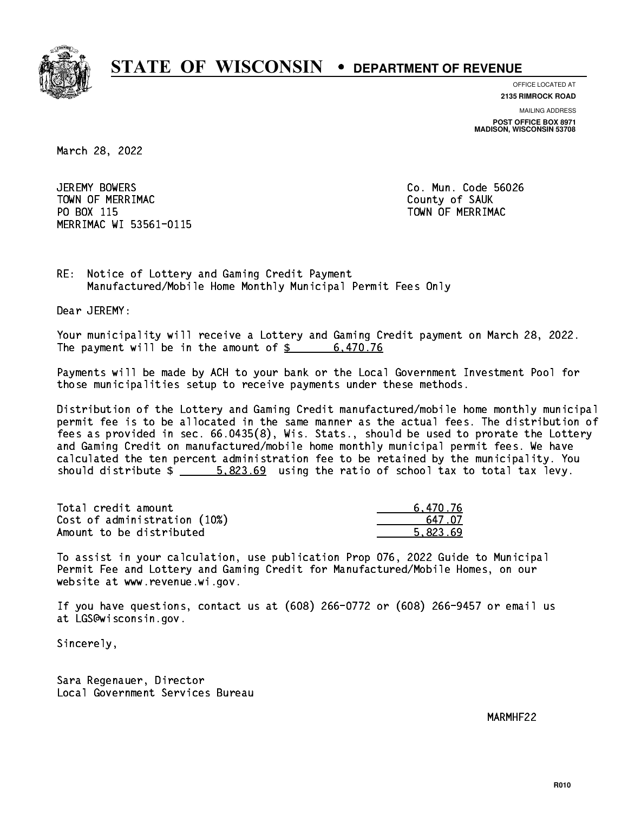

**OFFICE LOCATED AT**

**2135 RIMROCK ROAD**

**MAILING ADDRESS POST OFFICE BOX 8971 MADISON, WISCONSIN 53708**

March 28, 2022

JEREMY BOWERS Town of Merriman County of Sauka County of Sauka County of Sauka County of Sauka County of Sauka County of Sau PO BOX 115 PO BOX 115 TOWN OF MERRIMAC MERRIMAC WI 53561-0115

Co. Mun. Code 56026

RE: Notice of Lottery and Gaming Credit Payment Manufactured/Mobile Home Monthly Municipal Permit Fees Only

Dear JEREMY:

 Your municipality will receive a Lottery and Gaming Credit payment on March 28, 2022. The payment will be in the amount of  $\frac{2}{3}$  6,470.76

 Payments will be made by ACH to your bank or the Local Government Investment Pool for those municipalities setup to receive payments under these methods.

 Distribution of the Lottery and Gaming Credit manufactured/mobile home monthly municipal permit fee is to be allocated in the same manner as the actual fees. The distribution of fees as provided in sec. 66.0435(8), Wis. Stats., should be used to prorate the Lottery and Gaming Credit on manufactured/mobile home monthly municipal permit fees. We have calculated the ten percent administration fee to be retained by the municipality. You should distribute  $\frac{2}{1}$   $\frac{5.823.69}{2}$  using the ratio of school tax to total tax levy.

| Total credit amount          | 6.470.76 |
|------------------------------|----------|
| Cost of administration (10%) | 647 N7   |
| Amount to be distributed     | 5.823.69 |

 To assist in your calculation, use publication Prop 076, 2022 Guide to Municipal Permit Fee and Lottery and Gaming Credit for Manufactured/Mobile Homes, on our website at www.revenue.wi.gov.

 If you have questions, contact us at (608) 266-0772 or (608) 266-9457 or email us at LGS@wisconsin.gov.

Sincerely,

 Sara Regenauer, Director Local Government Services Bureau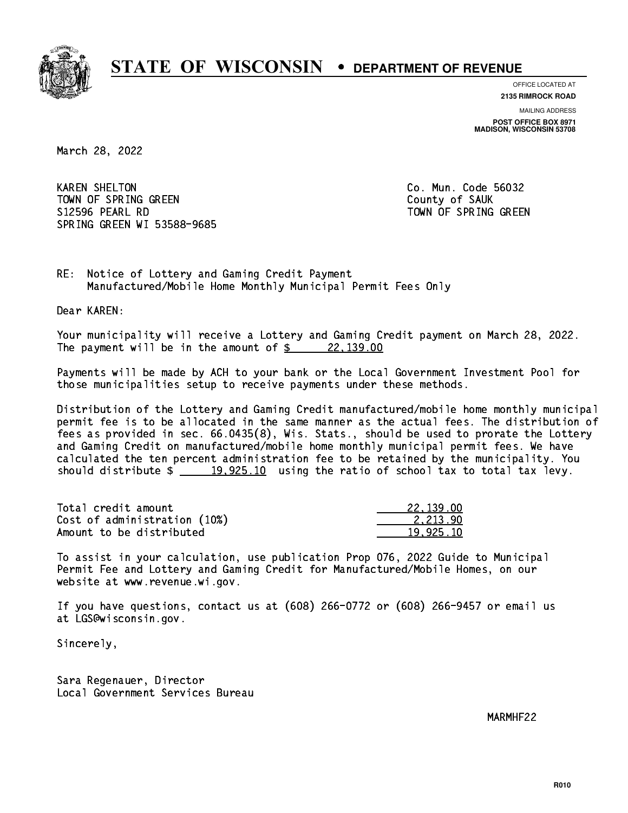

**OFFICE LOCATED AT**

**2135 RIMROCK ROAD**

**MAILING ADDRESS POST OFFICE BOX 8971 MADISON, WISCONSIN 53708**

March 28, 2022

**KAREN SHELTON** TOWN OF SPRING GREEN COUNTY OF SAUK S12596 PEARL RD TOWN OF SPRING GREEN SPRING GREEN WI 53588-9685

Co. Mun. Code 56032

RE: Notice of Lottery and Gaming Credit Payment Manufactured/Mobile Home Monthly Municipal Permit Fees Only

Dear KAREN:

 Your municipality will receive a Lottery and Gaming Credit payment on March 28, 2022. The payment will be in the amount of  $\frac{22,139.00}{22,139.00}$ 

 Payments will be made by ACH to your bank or the Local Government Investment Pool for those municipalities setup to receive payments under these methods.

 Distribution of the Lottery and Gaming Credit manufactured/mobile home monthly municipal permit fee is to be allocated in the same manner as the actual fees. The distribution of fees as provided in sec. 66.0435(8), Wis. Stats., should be used to prorate the Lottery and Gaming Credit on manufactured/mobile home monthly municipal permit fees. We have calculated the ten percent administration fee to be retained by the municipality. You should distribute  $\frac{19,925.10}{2}$  using the ratio of school tax to total tax levy.

| Total credit amount          | 22,139.00 |
|------------------------------|-----------|
| Cost of administration (10%) | 2.213.90  |
| Amount to be distributed     | 19.925.10 |

 To assist in your calculation, use publication Prop 076, 2022 Guide to Municipal Permit Fee and Lottery and Gaming Credit for Manufactured/Mobile Homes, on our website at www.revenue.wi.gov.

 If you have questions, contact us at (608) 266-0772 or (608) 266-9457 or email us at LGS@wisconsin.gov.

Sincerely,

 Sara Regenauer, Director Local Government Services Bureau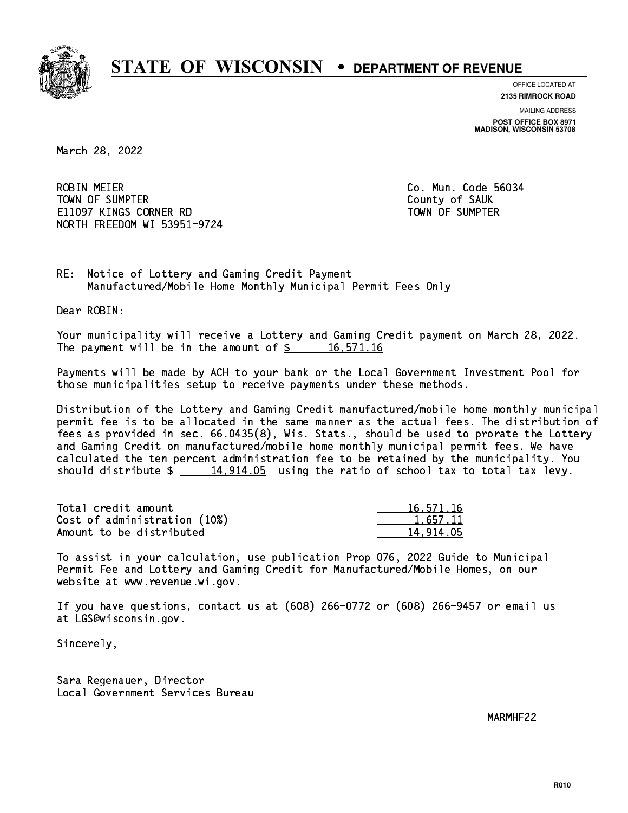

**OFFICE LOCATED AT**

**2135 RIMROCK ROAD**

**MAILING ADDRESS POST OFFICE BOX 8971 MADISON, WISCONSIN 53708**

March 28, 2022

**ROBIN MEIER**  TOWN OF SUMPTER County of SAUK E11097 KINGS CORNER RD TOWN OF SUMPTER NORTH FREEDOM WI 53951-9724

Co. Mun. Code 56034

RE: Notice of Lottery and Gaming Credit Payment Manufactured/Mobile Home Monthly Municipal Permit Fees Only

Dear ROBIN:

 Your municipality will receive a Lottery and Gaming Credit payment on March 28, 2022. The payment will be in the amount of  $\frac{2}{3}$  16,571.16

 Payments will be made by ACH to your bank or the Local Government Investment Pool for those municipalities setup to receive payments under these methods.

 Distribution of the Lottery and Gaming Credit manufactured/mobile home monthly municipal permit fee is to be allocated in the same manner as the actual fees. The distribution of fees as provided in sec. 66.0435(8), Wis. Stats., should be used to prorate the Lottery and Gaming Credit on manufactured/mobile home monthly municipal permit fees. We have calculated the ten percent administration fee to be retained by the municipality. You should distribute  $\frac{14,914.05}{2}$  using the ratio of school tax to total tax levy.

| Total credit amount          | 16,571.16 |
|------------------------------|-----------|
| Cost of administration (10%) | 1.657.11  |
| Amount to be distributed     | 14.914.05 |

 To assist in your calculation, use publication Prop 076, 2022 Guide to Municipal Permit Fee and Lottery and Gaming Credit for Manufactured/Mobile Homes, on our website at www.revenue.wi.gov.

 If you have questions, contact us at (608) 266-0772 or (608) 266-9457 or email us at LGS@wisconsin.gov.

Sincerely,

 Sara Regenauer, Director Local Government Services Bureau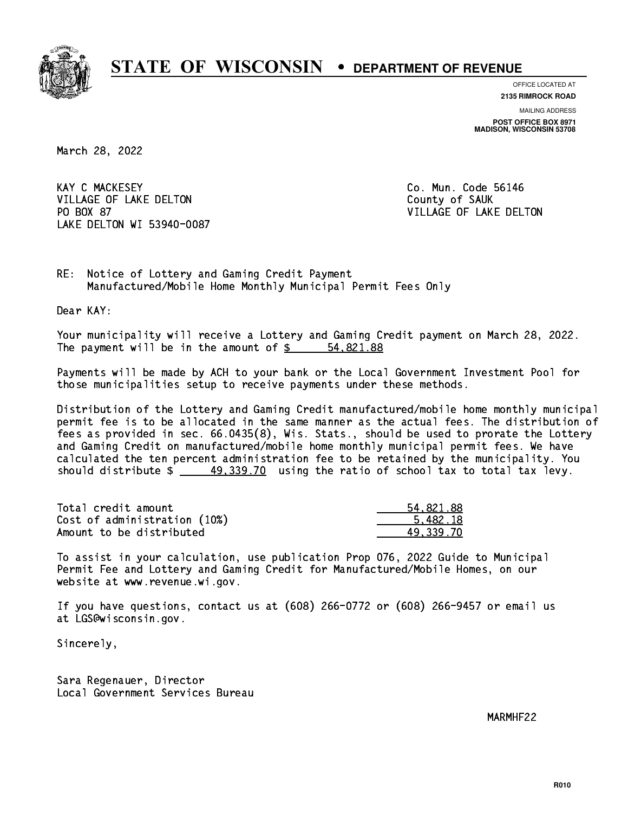

**OFFICE LOCATED AT**

**2135 RIMROCK ROAD**

**MAILING ADDRESS POST OFFICE BOX 8971 MADISON, WISCONSIN 53708**

March 28, 2022

**KAY C MACKESEY** VILLAGE OF LAKE DELTON COUNTY OF SAUK PO BOX 87 LAKE DELTON WI 53940-0087

Co. Mun. Code 56146 VILLAGE OF LAKE DELTON

RE: Notice of Lottery and Gaming Credit Payment Manufactured/Mobile Home Monthly Municipal Permit Fees Only

Dear KAY:

 Your municipality will receive a Lottery and Gaming Credit payment on March 28, 2022. The payment will be in the amount of  $\frac{2}{3}$  54,821.88

 Payments will be made by ACH to your bank or the Local Government Investment Pool for those municipalities setup to receive payments under these methods.

 Distribution of the Lottery and Gaming Credit manufactured/mobile home monthly municipal permit fee is to be allocated in the same manner as the actual fees. The distribution of fees as provided in sec. 66.0435(8), Wis. Stats., should be used to prorate the Lottery and Gaming Credit on manufactured/mobile home monthly municipal permit fees. We have calculated the ten percent administration fee to be retained by the municipality. You should distribute  $\frac{49,339.70}{2}$  using the ratio of school tax to total tax levy.

| Total credit amount          | 54.821.88 |
|------------------------------|-----------|
| Cost of administration (10%) | 5.482.18  |
| Amount to be distributed     | 49.339.70 |

 To assist in your calculation, use publication Prop 076, 2022 Guide to Municipal Permit Fee and Lottery and Gaming Credit for Manufactured/Mobile Homes, on our website at www.revenue.wi.gov.

 If you have questions, contact us at (608) 266-0772 or (608) 266-9457 or email us at LGS@wisconsin.gov.

Sincerely,

 Sara Regenauer, Director Local Government Services Bureau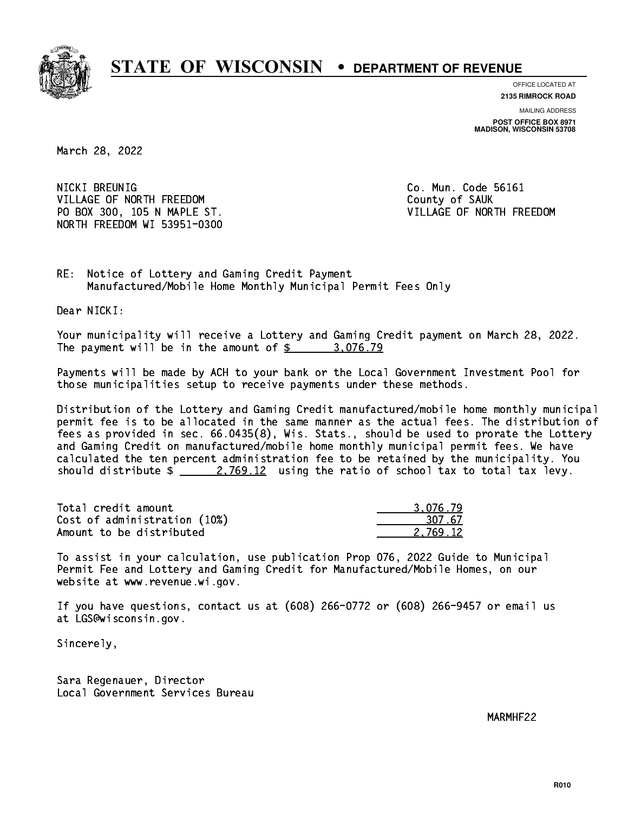

**OFFICE LOCATED AT**

**2135 RIMROCK ROAD**

**MAILING ADDRESS POST OFFICE BOX 8971 MADISON, WISCONSIN 53708**

March 28, 2022

NICKI BREUNIG VILLAGE OF NORTH FREEDOM County of SAUK PO BOX 300, 105 N MAPLE ST. SALL SERVICE STRANGE OF NORTH FREEDOM NORTH FREEDOM WI 53951-0300

Co. Mun. Code 56161

RE: Notice of Lottery and Gaming Credit Payment Manufactured/Mobile Home Monthly Municipal Permit Fees Only

Dear NICKI:

 Your municipality will receive a Lottery and Gaming Credit payment on March 28, 2022. The payment will be in the amount of  $\frac{2}{3}$  3,076.79

 Payments will be made by ACH to your bank or the Local Government Investment Pool for those municipalities setup to receive payments under these methods.

 Distribution of the Lottery and Gaming Credit manufactured/mobile home monthly municipal permit fee is to be allocated in the same manner as the actual fees. The distribution of fees as provided in sec. 66.0435(8), Wis. Stats., should be used to prorate the Lottery and Gaming Credit on manufactured/mobile home monthly municipal permit fees. We have calculated the ten percent administration fee to be retained by the municipality. You should distribute  $\frac{2.769.12}{2.769.12}$  using the ratio of school tax to total tax levy.

| Total credit amount          | 3.076.79 |
|------------------------------|----------|
| Cost of administration (10%) | 307.67   |
| Amount to be distributed     | 2.769.12 |

 To assist in your calculation, use publication Prop 076, 2022 Guide to Municipal Permit Fee and Lottery and Gaming Credit for Manufactured/Mobile Homes, on our website at www.revenue.wi.gov.

 If you have questions, contact us at (608) 266-0772 or (608) 266-9457 or email us at LGS@wisconsin.gov.

Sincerely,

 Sara Regenauer, Director Local Government Services Bureau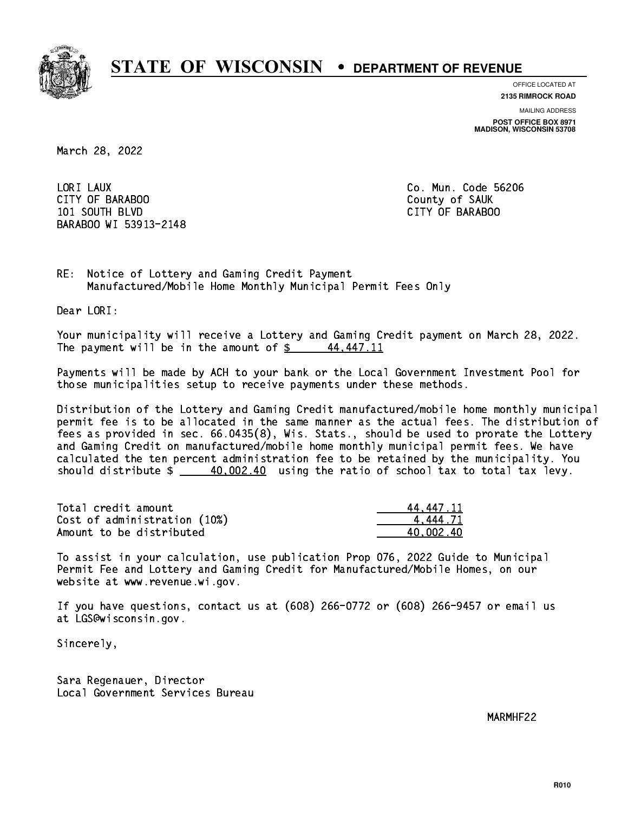

**OFFICE LOCATED AT**

**MAILING ADDRESS 2135 RIMROCK ROAD**

**POST OFFICE BOX 8971 MADISON, WISCONSIN 53708**

March 28, 2022

LORI LAUX CITY OF BARABOO County of SAUK 101 SOUTH BLVD CITY OF BARABOO BARABOO WI 53913-2148

Co. Mun. Code 56206

RE: Notice of Lottery and Gaming Credit Payment Manufactured/Mobile Home Monthly Municipal Permit Fees Only

Dear LORI:

 Your municipality will receive a Lottery and Gaming Credit payment on March 28, 2022. The payment will be in the amount of  $\frac{2}{3}$  44,447.11

 Payments will be made by ACH to your bank or the Local Government Investment Pool for those municipalities setup to receive payments under these methods.

 Distribution of the Lottery and Gaming Credit manufactured/mobile home monthly municipal permit fee is to be allocated in the same manner as the actual fees. The distribution of fees as provided in sec. 66.0435(8), Wis. Stats., should be used to prorate the Lottery and Gaming Credit on manufactured/mobile home monthly municipal permit fees. We have calculated the ten percent administration fee to be retained by the municipality. You should distribute  $\frac{40,002.40}{2}$  using the ratio of school tax to total tax levy.

| Total credit amount          | 44.447.11 |
|------------------------------|-----------|
| Cost of administration (10%) | 4.444.71  |
| Amount to be distributed     | 40.002.40 |

 To assist in your calculation, use publication Prop 076, 2022 Guide to Municipal Permit Fee and Lottery and Gaming Credit for Manufactured/Mobile Homes, on our website at www.revenue.wi.gov.

 If you have questions, contact us at (608) 266-0772 or (608) 266-9457 or email us at LGS@wisconsin.gov.

Sincerely,

 Sara Regenauer, Director Local Government Services Bureau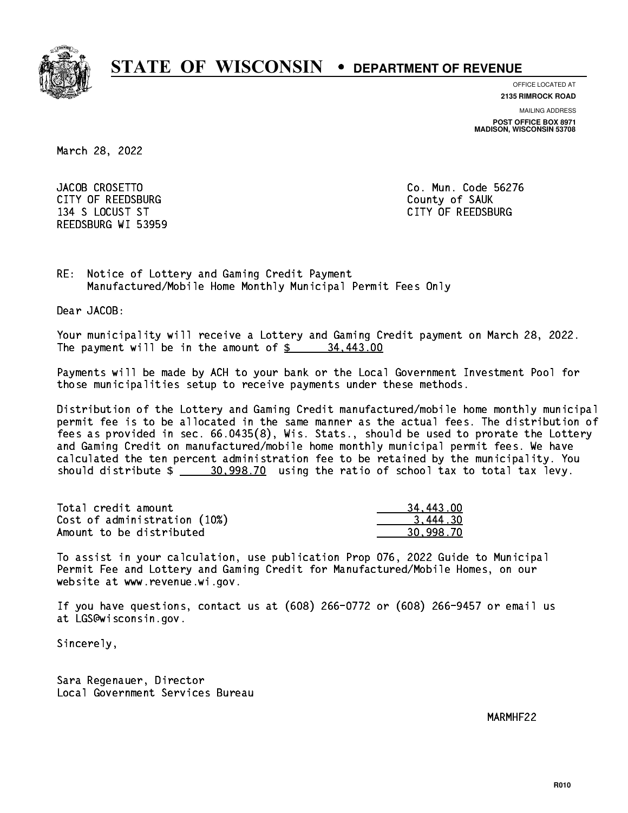

**OFFICE LOCATED AT**

**2135 RIMROCK ROAD**

**MAILING ADDRESS POST OFFICE BOX 8971 MADISON, WISCONSIN 53708**

March 28, 2022

JACOB CROSETTO CITY OF REEDSBURG COUNTY COUNTY OF SAUK 134 S LOCUST ST CITY OF REEDSBURG REEDSBURG WI 53959

Co. Mun. Code 56276

RE: Notice of Lottery and Gaming Credit Payment Manufactured/Mobile Home Monthly Municipal Permit Fees Only

Dear JACOB:

 Your municipality will receive a Lottery and Gaming Credit payment on March 28, 2022. The payment will be in the amount of  $\frac{2}{3}$  34,443.00

 Payments will be made by ACH to your bank or the Local Government Investment Pool for those municipalities setup to receive payments under these methods.

 Distribution of the Lottery and Gaming Credit manufactured/mobile home monthly municipal permit fee is to be allocated in the same manner as the actual fees. The distribution of fees as provided in sec. 66.0435(8), Wis. Stats., should be used to prorate the Lottery and Gaming Credit on manufactured/mobile home monthly municipal permit fees. We have calculated the ten percent administration fee to be retained by the municipality. You should distribute  $\frac{20,998.70}{20,998.70}$  using the ratio of school tax to total tax levy.

| Total credit amount          | 34,443,00 |
|------------------------------|-----------|
| Cost of administration (10%) | 3.444.30  |
| Amount to be distributed     | 30.998.70 |

 To assist in your calculation, use publication Prop 076, 2022 Guide to Municipal Permit Fee and Lottery and Gaming Credit for Manufactured/Mobile Homes, on our website at www.revenue.wi.gov.

 If you have questions, contact us at (608) 266-0772 or (608) 266-9457 or email us at LGS@wisconsin.gov.

Sincerely,

 Sara Regenauer, Director Local Government Services Bureau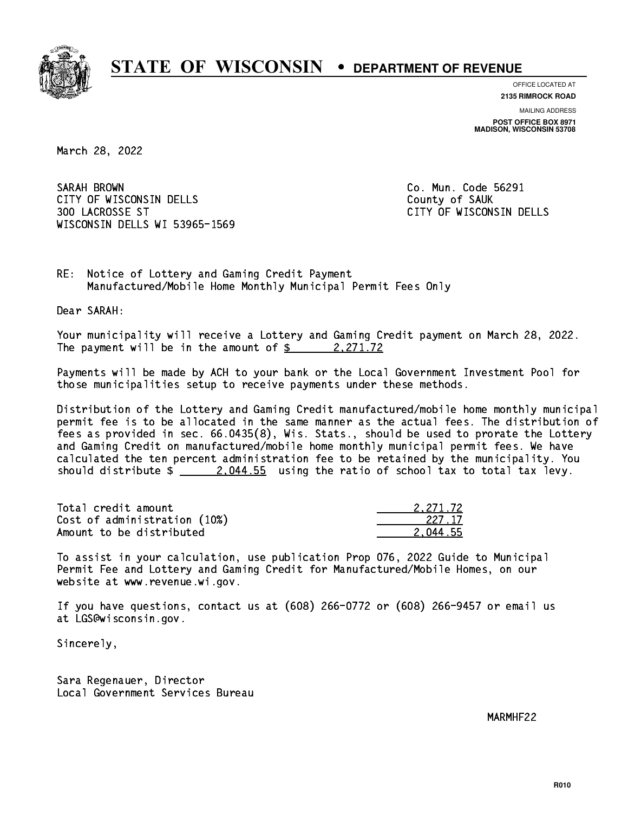

**OFFICE LOCATED AT**

**2135 RIMROCK ROAD**

**MAILING ADDRESS POST OFFICE BOX 8971 MADISON, WISCONSIN 53708**

March 28, 2022

SARAH BROWN CITY OF WISCONSIN DELLS COUNTY OF SAUK 300 LACROSSE ST CITY OF WISCONSIN DELLS WISCONSIN DELLS WI 53965-1569

Co. Mun. Code 56291

RE: Notice of Lottery and Gaming Credit Payment Manufactured/Mobile Home Monthly Municipal Permit Fees Only

Dear SARAH:

 Your municipality will receive a Lottery and Gaming Credit payment on March 28, 2022. The payment will be in the amount of  $\frac{2}{2}$  2,271.72

 Payments will be made by ACH to your bank or the Local Government Investment Pool for those municipalities setup to receive payments under these methods.

 Distribution of the Lottery and Gaming Credit manufactured/mobile home monthly municipal permit fee is to be allocated in the same manner as the actual fees. The distribution of fees as provided in sec. 66.0435(8), Wis. Stats., should be used to prorate the Lottery and Gaming Credit on manufactured/mobile home monthly municipal permit fees. We have calculated the ten percent administration fee to be retained by the municipality. You should distribute  $\frac{2.044.55}{2.044.55}$  using the ratio of school tax to total tax levy.

| Total credit amount          | 2.271.72 |
|------------------------------|----------|
| Cost of administration (10%) | -227 17  |
| Amount to be distributed     | 2.044.55 |

 To assist in your calculation, use publication Prop 076, 2022 Guide to Municipal Permit Fee and Lottery and Gaming Credit for Manufactured/Mobile Homes, on our website at www.revenue.wi.gov.

 If you have questions, contact us at (608) 266-0772 or (608) 266-9457 or email us at LGS@wisconsin.gov.

Sincerely,

 Sara Regenauer, Director Local Government Services Bureau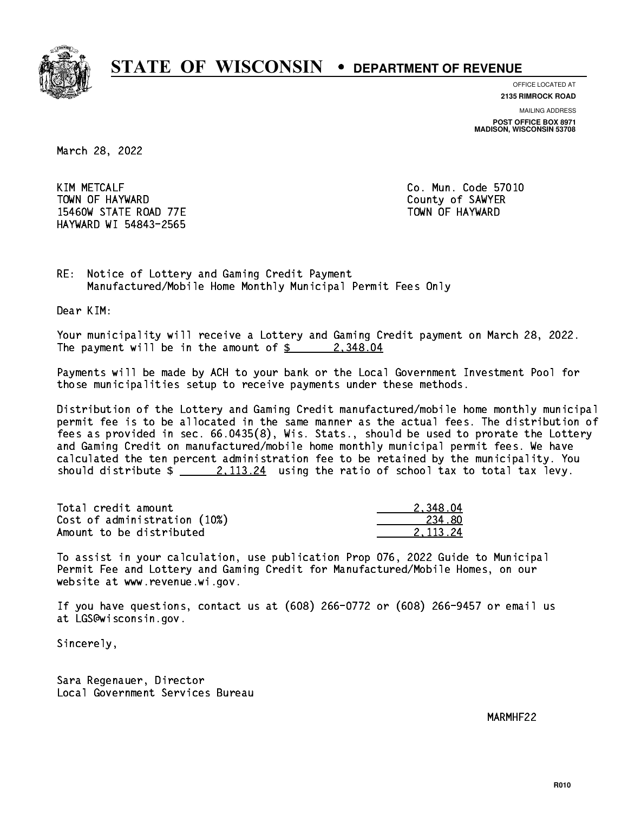

**OFFICE LOCATED AT**

**2135 RIMROCK ROAD**

**MAILING ADDRESS POST OFFICE BOX 8971 MADISON, WISCONSIN 53708**

March 28, 2022

**KIM METCALF** TOWN OF HAYWARD COUNTY OF SAMPLE COUNTY OF SAMPLER 15460W STATE ROAD 77E TOWN OF HAYWARD HAYWARD WI 54843-2565

Co. Mun. Code 57010

RE: Notice of Lottery and Gaming Credit Payment Manufactured/Mobile Home Monthly Municipal Permit Fees Only

Dear KIM:

 Your municipality will receive a Lottery and Gaming Credit payment on March 28, 2022. The payment will be in the amount of  $\frac{2}{3}$  2,348.04

 Payments will be made by ACH to your bank or the Local Government Investment Pool for those municipalities setup to receive payments under these methods.

 Distribution of the Lottery and Gaming Credit manufactured/mobile home monthly municipal permit fee is to be allocated in the same manner as the actual fees. The distribution of fees as provided in sec. 66.0435(8), Wis. Stats., should be used to prorate the Lottery and Gaming Credit on manufactured/mobile home monthly municipal permit fees. We have calculated the ten percent administration fee to be retained by the municipality. You should distribute  $\frac{2,113.24}{2}$  using the ratio of school tax to total tax levy.

| Total credit amount          | 2.348.04 |
|------------------------------|----------|
| Cost of administration (10%) | 234.80   |
| Amount to be distributed     | 2.113.24 |

 To assist in your calculation, use publication Prop 076, 2022 Guide to Municipal Permit Fee and Lottery and Gaming Credit for Manufactured/Mobile Homes, on our website at www.revenue.wi.gov.

 If you have questions, contact us at (608) 266-0772 or (608) 266-9457 or email us at LGS@wisconsin.gov.

Sincerely,

 Sara Regenauer, Director Local Government Services Bureau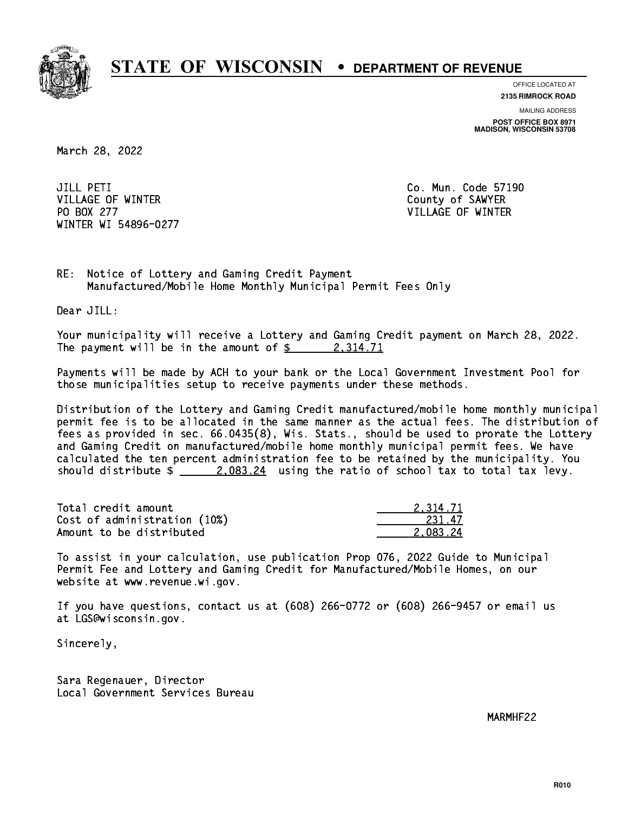

**OFFICE LOCATED AT 2135 RIMROCK ROAD**

**MAILING ADDRESS POST OFFICE BOX 8971 MADISON, WISCONSIN 53708**

March 28, 2022

JILL PETI VILLAGE OF WINTER COUNTY OF SAMPLE COUNTY OF SAMPLE COUNTY OF SAMPLE COUNTY OF SAMPLE COUNTY OF SAMPLE COUNTY OF SAMPLE COUNTY OF SAMPLE COUNTY OF SAMPLE COUNTY OF SAMPLE COUNTY OF SAMPLE COUNTY OF SAMPLE COUNTY OF SAMPLE PO BOX 277 VILLAGE OF WINTER WINTER WI 54896-0277

Co. Mun. Code 57190

RE: Notice of Lottery and Gaming Credit Payment Manufactured/Mobile Home Monthly Municipal Permit Fees Only

Dear JILL:

 Your municipality will receive a Lottery and Gaming Credit payment on March 28, 2022. The payment will be in the amount of  $\frac{2}{3}$  2,314.71

 Payments will be made by ACH to your bank or the Local Government Investment Pool for those municipalities setup to receive payments under these methods.

 Distribution of the Lottery and Gaming Credit manufactured/mobile home monthly municipal permit fee is to be allocated in the same manner as the actual fees. The distribution of fees as provided in sec. 66.0435(8), Wis. Stats., should be used to prorate the Lottery and Gaming Credit on manufactured/mobile home monthly municipal permit fees. We have calculated the ten percent administration fee to be retained by the municipality. You should distribute  $\frac{2.083.24}{2.083.24}$  using the ratio of school tax to total tax levy.

| Total credit amount          | 2.314.71 |
|------------------------------|----------|
| Cost of administration (10%) | 231.47   |
| Amount to be distributed     | 2.083.24 |

 To assist in your calculation, use publication Prop 076, 2022 Guide to Municipal Permit Fee and Lottery and Gaming Credit for Manufactured/Mobile Homes, on our website at www.revenue.wi.gov.

 If you have questions, contact us at (608) 266-0772 or (608) 266-9457 or email us at LGS@wisconsin.gov.

Sincerely,

 Sara Regenauer, Director Local Government Services Bureau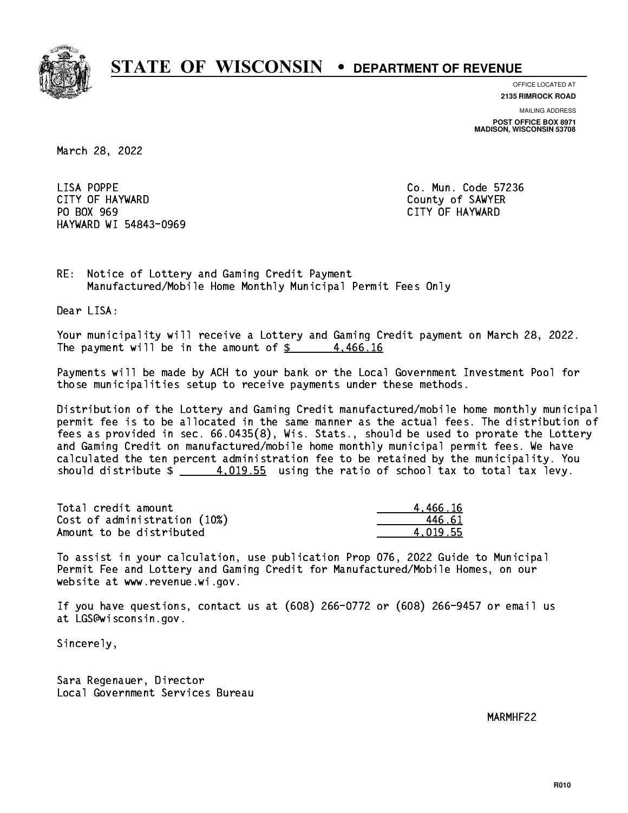

**OFFICE LOCATED AT**

**2135 RIMROCK ROAD**

**MAILING ADDRESS POST OFFICE BOX 8971 MADISON, WISCONSIN 53708**

March 28, 2022

LISA POPPE CITY OF HAYWARD COUNTY OF SAWYER PO BOX 969 PO BOX 969 CITY OF HAYWARD HAYWARD WI 54843-0969

Co. Mun. Code 57236

RE: Notice of Lottery and Gaming Credit Payment Manufactured/Mobile Home Monthly Municipal Permit Fees Only

Dear LISA:

 Your municipality will receive a Lottery and Gaming Credit payment on March 28, 2022. The payment will be in the amount of  $\frac{2}{3}$  4,466.16

 Payments will be made by ACH to your bank or the Local Government Investment Pool for those municipalities setup to receive payments under these methods.

 Distribution of the Lottery and Gaming Credit manufactured/mobile home monthly municipal permit fee is to be allocated in the same manner as the actual fees. The distribution of fees as provided in sec. 66.0435(8), Wis. Stats., should be used to prorate the Lottery and Gaming Credit on manufactured/mobile home monthly municipal permit fees. We have calculated the ten percent administration fee to be retained by the municipality. You should distribute  $\frac{4.019.55}{2}$  using the ratio of school tax to total tax levy.

| Total credit amount          | 4.466.16 |
|------------------------------|----------|
| Cost of administration (10%) | 446.61   |
| Amount to be distributed     | 4.019.55 |

 To assist in your calculation, use publication Prop 076, 2022 Guide to Municipal Permit Fee and Lottery and Gaming Credit for Manufactured/Mobile Homes, on our website at www.revenue.wi.gov.

 If you have questions, contact us at (608) 266-0772 or (608) 266-9457 or email us at LGS@wisconsin.gov.

Sincerely,

 Sara Regenauer, Director Local Government Services Bureau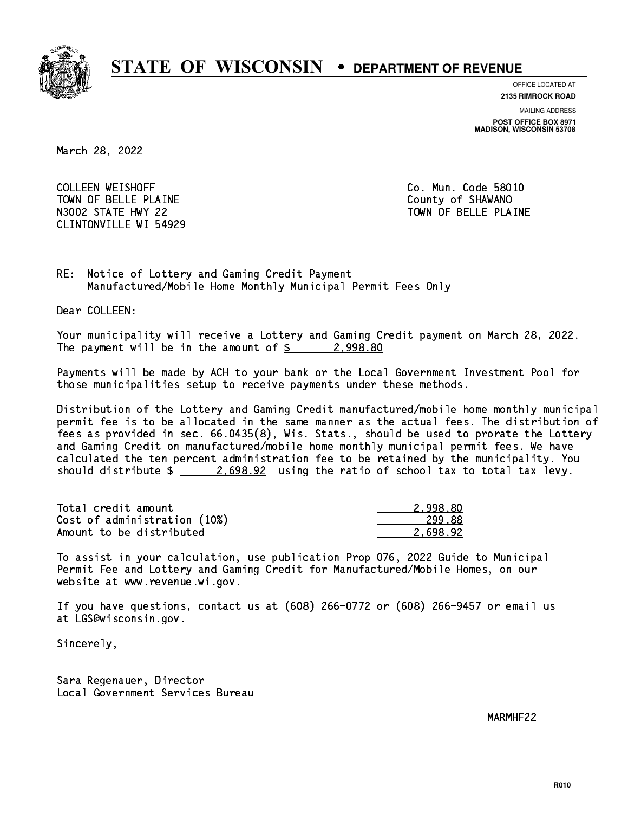

**OFFICE LOCATED AT**

**2135 RIMROCK ROAD**

**MAILING ADDRESS POST OFFICE BOX 8971 MADISON, WISCONSIN 53708**

March 28, 2022

**COLLEEN WEISHOFF** TOWN OF BELLE PLAINE **COUNTY OF SHAWANO** N3002 STATE HWY 22 TOWN OF BELLE PLAINE CLINTONVILLE WI 54929

Co. Mun. Code 58010

RE: Notice of Lottery and Gaming Credit Payment Manufactured/Mobile Home Monthly Municipal Permit Fees Only

Dear COLLEEN:

 Your municipality will receive a Lottery and Gaming Credit payment on March 28, 2022. The payment will be in the amount of  $\frac{2}{998.80}$ 

 Payments will be made by ACH to your bank or the Local Government Investment Pool for those municipalities setup to receive payments under these methods.

 Distribution of the Lottery and Gaming Credit manufactured/mobile home monthly municipal permit fee is to be allocated in the same manner as the actual fees. The distribution of fees as provided in sec. 66.0435(8), Wis. Stats., should be used to prorate the Lottery and Gaming Credit on manufactured/mobile home monthly municipal permit fees. We have calculated the ten percent administration fee to be retained by the municipality. You should distribute  $\frac{2.698.92}{2.698.22}$  using the ratio of school tax to total tax levy.

| Total credit amount          | 2.998.80 |
|------------------------------|----------|
| Cost of administration (10%) | 299.88   |
| Amount to be distributed     | 2.698.92 |

 To assist in your calculation, use publication Prop 076, 2022 Guide to Municipal Permit Fee and Lottery and Gaming Credit for Manufactured/Mobile Homes, on our website at www.revenue.wi.gov.

 If you have questions, contact us at (608) 266-0772 or (608) 266-9457 or email us at LGS@wisconsin.gov.

Sincerely,

 Sara Regenauer, Director Local Government Services Bureau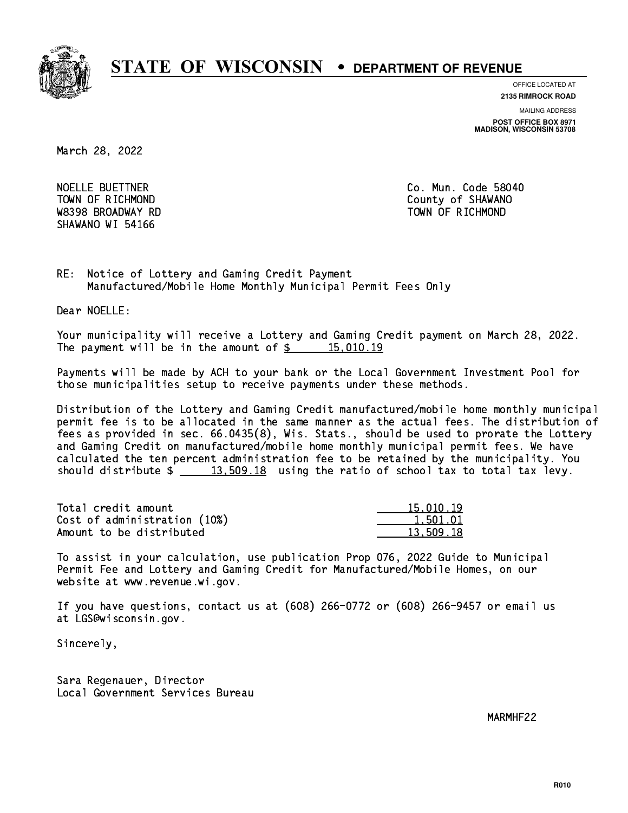

**OFFICE LOCATED AT**

**2135 RIMROCK ROAD**

**MAILING ADDRESS**

**POST OFFICE BOX 8971 MADISON, WISCONSIN 53708**

March 28, 2022

NOELLE BUETTNER W8398 BROADWAY RD TOWN OF RICHMOND SHAWANO WI 54166

Co. Mun. Code 58040 TOWN OF RICHMOND COUNTY OF SHAWANO

RE: Notice of Lottery and Gaming Credit Payment Manufactured/Mobile Home Monthly Municipal Permit Fees Only

Dear NOELLE:

 Your municipality will receive a Lottery and Gaming Credit payment on March 28, 2022. The payment will be in the amount of  $\frac{2}{3}$  15,010.19

 Payments will be made by ACH to your bank or the Local Government Investment Pool for those municipalities setup to receive payments under these methods.

 Distribution of the Lottery and Gaming Credit manufactured/mobile home monthly municipal permit fee is to be allocated in the same manner as the actual fees. The distribution of fees as provided in sec. 66.0435(8), Wis. Stats., should be used to prorate the Lottery and Gaming Credit on manufactured/mobile home monthly municipal permit fees. We have calculated the ten percent administration fee to be retained by the municipality. You should distribute  $\frac{2}{13,509.18}$  using the ratio of school tax to total tax levy.

| Total credit amount          | 15,010.19 |
|------------------------------|-----------|
| Cost of administration (10%) | 1.501.01  |
| Amount to be distributed     | 13.509.18 |

 To assist in your calculation, use publication Prop 076, 2022 Guide to Municipal Permit Fee and Lottery and Gaming Credit for Manufactured/Mobile Homes, on our website at www.revenue.wi.gov.

 If you have questions, contact us at (608) 266-0772 or (608) 266-9457 or email us at LGS@wisconsin.gov.

Sincerely,

 Sara Regenauer, Director Local Government Services Bureau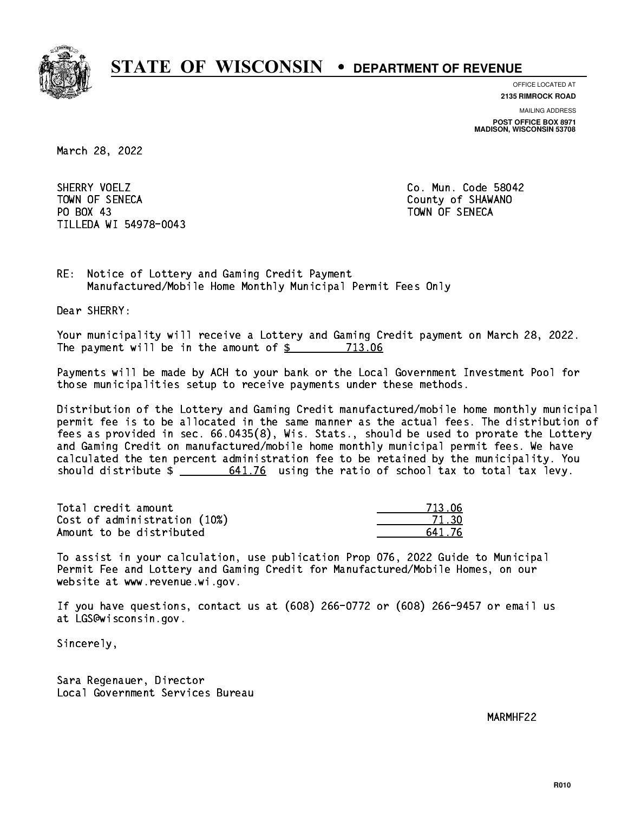

**OFFICE LOCATED AT**

**2135 RIMROCK ROAD**

**MAILING ADDRESS**

**POST OFFICE BOX 8971 MADISON, WISCONSIN 53708**

March 28, 2022

SHERRY VOELZ TOWN OF SENECA County of SHAWANO PO BOX 43 PO BOX 43 TOWN OF SENECA TILLEDA WI 54978-0043

Co. Mun. Code 58042

RE: Notice of Lottery and Gaming Credit Payment Manufactured/Mobile Home Monthly Municipal Permit Fees Only

Dear SHERRY:

 Your municipality will receive a Lottery and Gaming Credit payment on March 28, 2022. The payment will be in the amount of \$ 713.06 \_\_\_\_\_\_\_\_\_\_\_\_\_\_\_\_

 Payments will be made by ACH to your bank or the Local Government Investment Pool for those municipalities setup to receive payments under these methods.

 Distribution of the Lottery and Gaming Credit manufactured/mobile home monthly municipal permit fee is to be allocated in the same manner as the actual fees. The distribution of fees as provided in sec. 66.0435(8), Wis. Stats., should be used to prorate the Lottery and Gaming Credit on manufactured/mobile home monthly municipal permit fees. We have calculated the ten percent administration fee to be retained by the municipality. You should distribute  $\frac{2}{1}$   $\frac{641.76}{2}$  using the ratio of school tax to total tax levy.

Total credit amount Cost of administration (10%) Amount to be distributed

| 7131  |
|-------|
| кn    |
| 41.76 |

 To assist in your calculation, use publication Prop 076, 2022 Guide to Municipal Permit Fee and Lottery and Gaming Credit for Manufactured/Mobile Homes, on our website at www.revenue.wi.gov.

 If you have questions, contact us at (608) 266-0772 or (608) 266-9457 or email us at LGS@wisconsin.gov.

Sincerely,

 Sara Regenauer, Director Local Government Services Bureau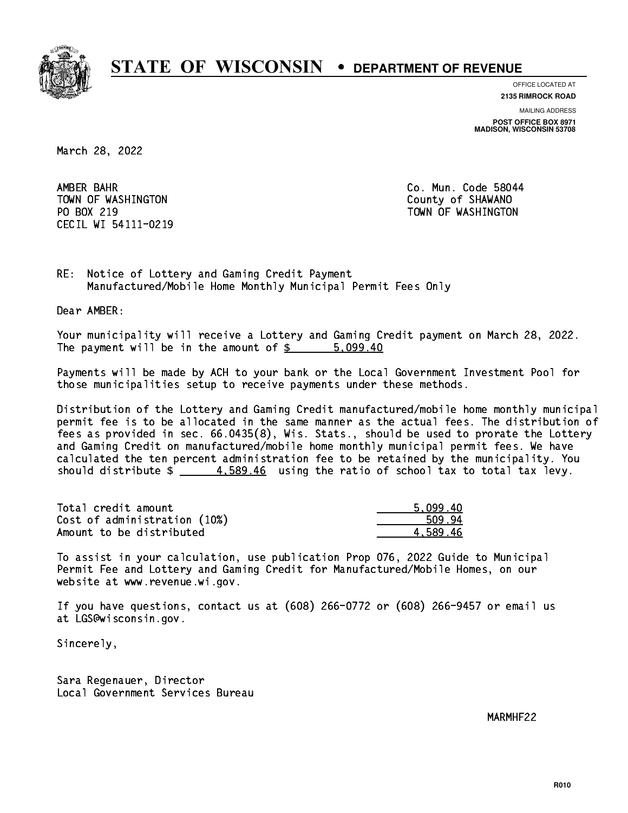

**OFFICE LOCATED AT**

**2135 RIMROCK ROAD**

**MAILING ADDRESS**

**POST OFFICE BOX 8971 MADISON, WISCONSIN 53708**

March 28, 2022

AMBER BAHR TOWN OF WASHINGTON COUNTY OF SHAWANO PO BOX 219 CECIL WI 54111-0219

Co. Mun. Code 58044 TOWN OF WASHINGTON

RE: Notice of Lottery and Gaming Credit Payment Manufactured/Mobile Home Monthly Municipal Permit Fees Only

Dear AMBER:

 Your municipality will receive a Lottery and Gaming Credit payment on March 28, 2022. The payment will be in the amount of \$ 5,099.40 \_\_\_\_\_\_\_\_\_\_\_\_\_\_\_\_

 Payments will be made by ACH to your bank or the Local Government Investment Pool for those municipalities setup to receive payments under these methods.

 Distribution of the Lottery and Gaming Credit manufactured/mobile home monthly municipal permit fee is to be allocated in the same manner as the actual fees. The distribution of fees as provided in sec. 66.0435(8), Wis. Stats., should be used to prorate the Lottery and Gaming Credit on manufactured/mobile home monthly municipal permit fees. We have calculated the ten percent administration fee to be retained by the municipality. You should distribute  $\frac{4.589.46}{2}$  using the ratio of school tax to total tax levy.

| Total credit amount          | 5.099.40 |
|------------------------------|----------|
| Cost of administration (10%) | 509.94   |
| Amount to be distributed     | 4.589.46 |

 To assist in your calculation, use publication Prop 076, 2022 Guide to Municipal Permit Fee and Lottery and Gaming Credit for Manufactured/Mobile Homes, on our website at www.revenue.wi.gov.

 If you have questions, contact us at (608) 266-0772 or (608) 266-9457 or email us at LGS@wisconsin.gov.

Sincerely,

 Sara Regenauer, Director Local Government Services Bureau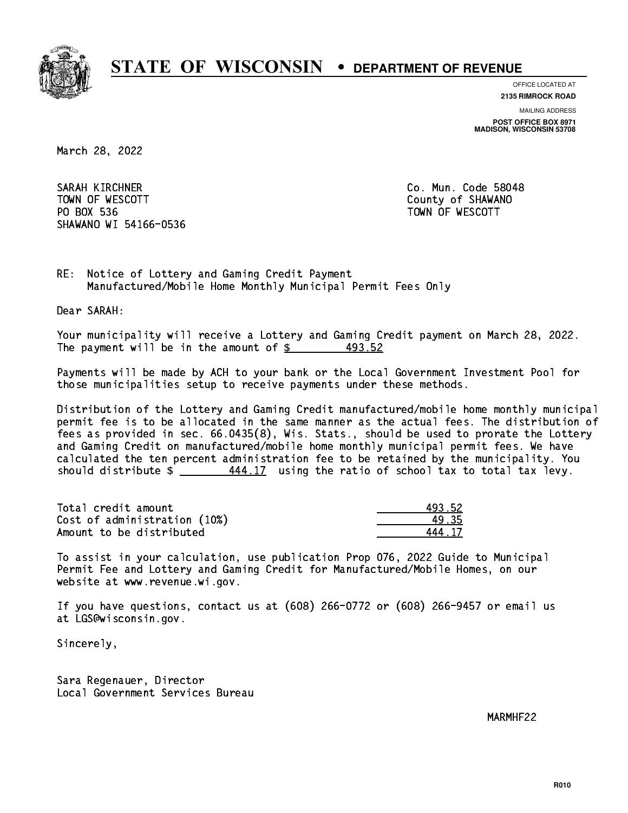

**OFFICE LOCATED AT**

**2135 RIMROCK ROAD**

**MAILING ADDRESS**

**POST OFFICE BOX 8971 MADISON, WISCONSIN 53708**

March 28, 2022

SARAH KIRCHNER CO. Mun. Code 58048 TOWN OF WESCOTT COUNTY OF SHAWANO PO BOX 536 PO BOX 536 TOWN OF WESCOTT SHAWANO WI 54166-0536

RE: Notice of Lottery and Gaming Credit Payment Manufactured/Mobile Home Monthly Municipal Permit Fees Only

Dear SARAH:

 Your municipality will receive a Lottery and Gaming Credit payment on March 28, 2022. The payment will be in the amount of  $$$ 493.52

 Payments will be made by ACH to your bank or the Local Government Investment Pool for those municipalities setup to receive payments under these methods.

 Distribution of the Lottery and Gaming Credit manufactured/mobile home monthly municipal permit fee is to be allocated in the same manner as the actual fees. The distribution of fees as provided in sec. 66.0435(8), Wis. Stats., should be used to prorate the Lottery and Gaming Credit on manufactured/mobile home monthly municipal permit fees. We have calculated the ten percent administration fee to be retained by the municipality. You should distribute  $\frac{444.17}{12}$  using the ratio of school tax to total tax levy.

| Total credit amount          | 493.52 |
|------------------------------|--------|
| Cost of administration (10%) | 49.35  |
| Amount to be distributed     | 444 17 |

| 3. 52 |
|-------|
| - २५  |
| - 17  |

 To assist in your calculation, use publication Prop 076, 2022 Guide to Municipal Permit Fee and Lottery and Gaming Credit for Manufactured/Mobile Homes, on our website at www.revenue.wi.gov.

 If you have questions, contact us at (608) 266-0772 or (608) 266-9457 or email us at LGS@wisconsin.gov.

Sincerely,

 Sara Regenauer, Director Local Government Services Bureau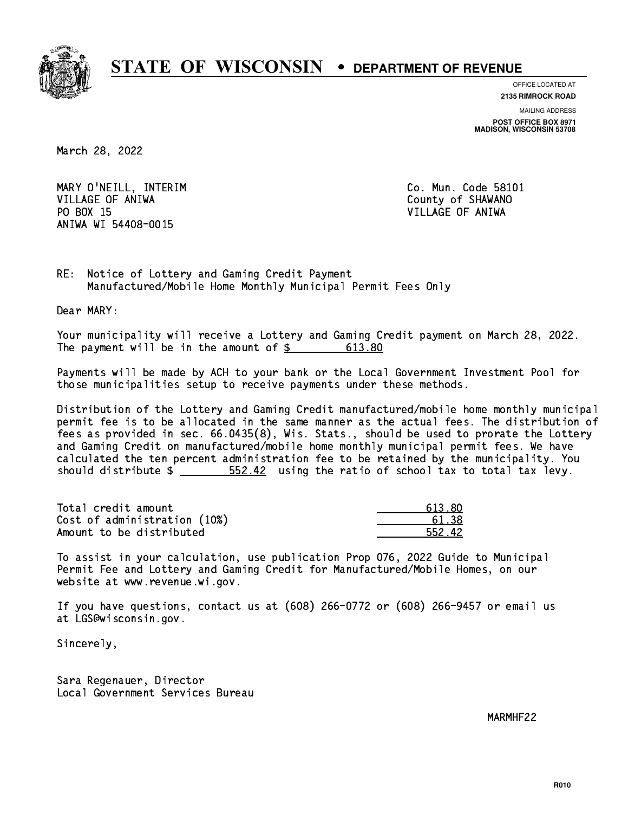

**OFFICE LOCATED AT**

**2135 RIMROCK ROAD**

**MAILING ADDRESS POST OFFICE BOX 8971 MADISON, WISCONSIN 53708**

March 28, 2022

 MARY O'NEILL, INTERIM Co. Mun. Code 58101 VILLAGE OF ANIWA **COULD AND SERVICE OF ANIWA** PO BOX 15 PO BOX 15 VILLAGE OF ANIWA ANIWA WI 54408-0015

RE: Notice of Lottery and Gaming Credit Payment Manufactured/Mobile Home Monthly Municipal Permit Fees Only

Dear MARY:

 Your municipality will receive a Lottery and Gaming Credit payment on March 28, 2022. The payment will be in the amount of \$ 613.80 \_\_\_\_\_\_\_\_\_\_\_\_\_\_\_\_

 Payments will be made by ACH to your bank or the Local Government Investment Pool for those municipalities setup to receive payments under these methods.

 Distribution of the Lottery and Gaming Credit manufactured/mobile home monthly municipal permit fee is to be allocated in the same manner as the actual fees. The distribution of fees as provided in sec. 66.0435(8), Wis. Stats., should be used to prorate the Lottery and Gaming Credit on manufactured/mobile home monthly municipal permit fees. We have calculated the ten percent administration fee to be retained by the municipality. You should distribute  $\frac{2}{2}$   $\frac{552.42}{2}$  using the ratio of school tax to total tax levy.

Total credit amount Cost of administration (10%) Amount to be distributed

| ווא דו      |
|-------------|
| .। २४       |
| 42.<br>ららクー |

 To assist in your calculation, use publication Prop 076, 2022 Guide to Municipal Permit Fee and Lottery and Gaming Credit for Manufactured/Mobile Homes, on our website at www.revenue.wi.gov.

 If you have questions, contact us at (608) 266-0772 or (608) 266-9457 or email us at LGS@wisconsin.gov.

Sincerely,

 Sara Regenauer, Director Local Government Services Bureau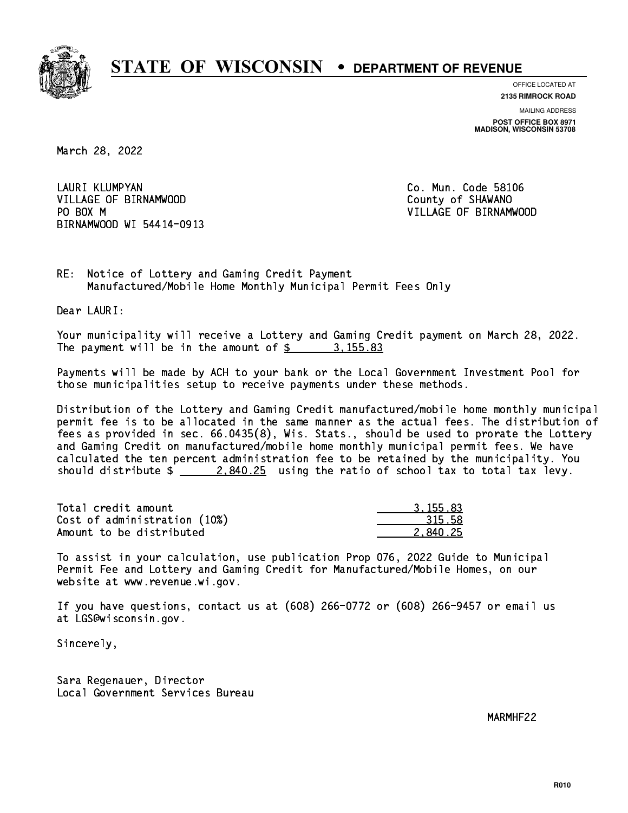

**OFFICE LOCATED AT**

**2135 RIMROCK ROAD**

**MAILING ADDRESS POST OFFICE BOX 8971 MADISON, WISCONSIN 53708**

March 28, 2022

 LAURI KLUMPYAN Co. Mun. Code 58106 VILLAGE OF BIRNAMWOOD **County of SHAWANO** PO BOX M BIRNAMWOOD WI 54414-0913

VILLAGE OF BIRNAMWOOD

RE: Notice of Lottery and Gaming Credit Payment Manufactured/Mobile Home Monthly Municipal Permit Fees Only

Dear LAURI:

 Your municipality will receive a Lottery and Gaming Credit payment on March 28, 2022. The payment will be in the amount of \$ 3,155.83 \_\_\_\_\_\_\_\_\_\_\_\_\_\_\_\_

 Payments will be made by ACH to your bank or the Local Government Investment Pool for those municipalities setup to receive payments under these methods.

 Distribution of the Lottery and Gaming Credit manufactured/mobile home monthly municipal permit fee is to be allocated in the same manner as the actual fees. The distribution of fees as provided in sec. 66.0435(8), Wis. Stats., should be used to prorate the Lottery and Gaming Credit on manufactured/mobile home monthly municipal permit fees. We have calculated the ten percent administration fee to be retained by the municipality. You should distribute  $\frac{2.840.25}{2.840.25}$  using the ratio of school tax to total tax levy.

| Total credit amount          | 3.155.83 |
|------------------------------|----------|
| Cost of administration (10%) | 315.58   |
| Amount to be distributed     | 2.840.25 |

 To assist in your calculation, use publication Prop 076, 2022 Guide to Municipal Permit Fee and Lottery and Gaming Credit for Manufactured/Mobile Homes, on our website at www.revenue.wi.gov.

 If you have questions, contact us at (608) 266-0772 or (608) 266-9457 or email us at LGS@wisconsin.gov.

Sincerely,

 Sara Regenauer, Director Local Government Services Bureau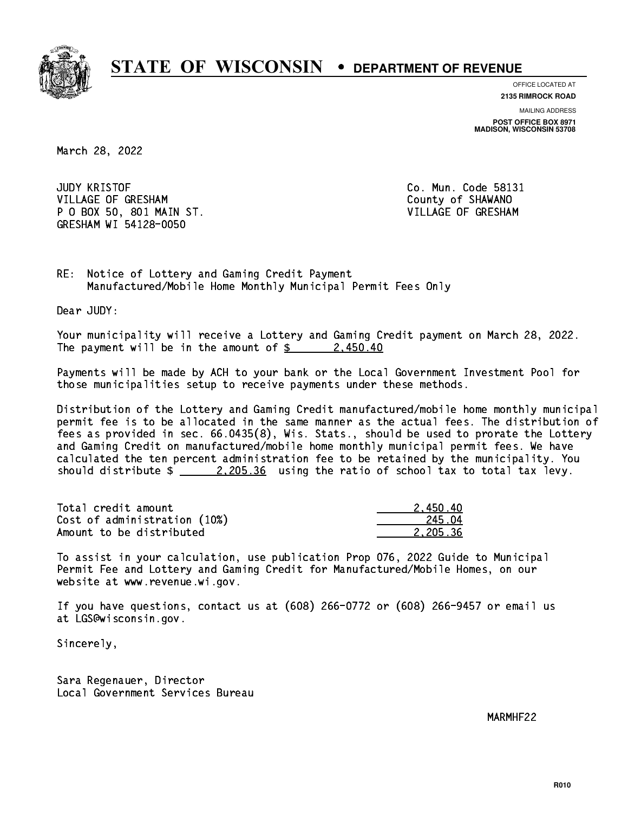

**OFFICE LOCATED AT**

**2135 RIMROCK ROAD**

**MAILING ADDRESS POST OFFICE BOX 8971 MADISON, WISCONSIN 53708**

March 28, 2022

**JUDY KRISTOF** VILLAGE OF GRESHAM COUNTY OF SHAWANO P O BOX 50, 801 MAIN ST. VILLAGE OF GRESHAM GRESHAM WI 54128-0050

Co. Mun. Code 58131

RE: Notice of Lottery and Gaming Credit Payment Manufactured/Mobile Home Monthly Municipal Permit Fees Only

Dear JUDY:

 Your municipality will receive a Lottery and Gaming Credit payment on March 28, 2022. The payment will be in the amount of  $\frac{2450.40}{240}$ 

 Payments will be made by ACH to your bank or the Local Government Investment Pool for those municipalities setup to receive payments under these methods.

 Distribution of the Lottery and Gaming Credit manufactured/mobile home monthly municipal permit fee is to be allocated in the same manner as the actual fees. The distribution of fees as provided in sec. 66.0435(8), Wis. Stats., should be used to prorate the Lottery and Gaming Credit on manufactured/mobile home monthly municipal permit fees. We have calculated the ten percent administration fee to be retained by the municipality. You should distribute  $\frac{2.205.36}{2.205.36}$  using the ratio of school tax to total tax levy.

| Total credit amount          | 2.450.40 |
|------------------------------|----------|
| Cost of administration (10%) | 245.04   |
| Amount to be distributed     | 2.205.36 |

 To assist in your calculation, use publication Prop 076, 2022 Guide to Municipal Permit Fee and Lottery and Gaming Credit for Manufactured/Mobile Homes, on our website at www.revenue.wi.gov.

 If you have questions, contact us at (608) 266-0772 or (608) 266-9457 or email us at LGS@wisconsin.gov.

Sincerely,

 Sara Regenauer, Director Local Government Services Bureau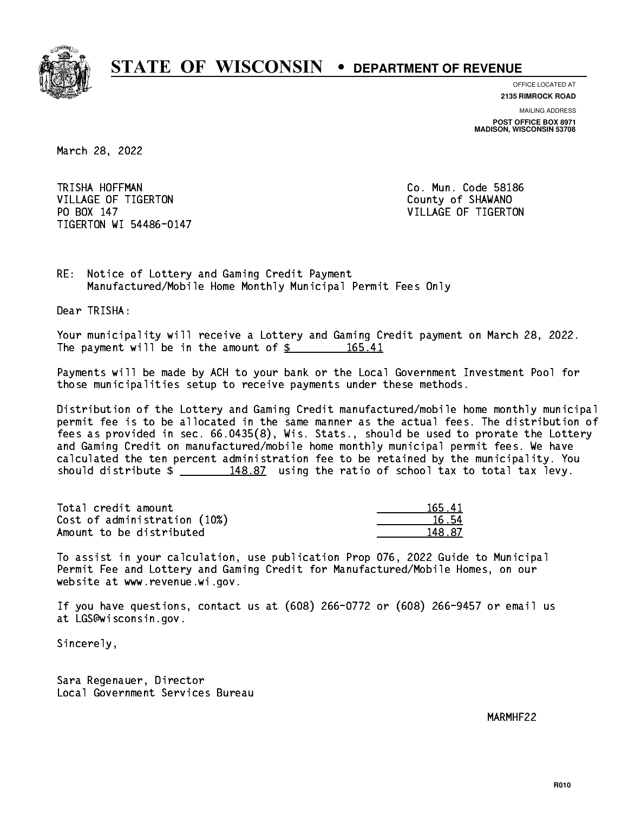

**OFFICE LOCATED AT**

**2135 RIMROCK ROAD**

**MAILING ADDRESS POST OFFICE BOX 8971 MADISON, WISCONSIN 53708**

March 28, 2022

TRISHA HOFFMAN VILLAGE OF TIGERTON COUNTY OF SHAWANO PO BOX 147 TIGERTON WI 54486-0147

Co. Mun. Code 58186 VILLAGE OF TIGERTON

RE: Notice of Lottery and Gaming Credit Payment Manufactured/Mobile Home Monthly Municipal Permit Fees Only

Dear TRISHA:

 Your municipality will receive a Lottery and Gaming Credit payment on March 28, 2022. The payment will be in the amount of \$ 165.41 \_\_\_\_\_\_\_\_\_\_\_\_\_\_\_\_

 Payments will be made by ACH to your bank or the Local Government Investment Pool for those municipalities setup to receive payments under these methods.

 Distribution of the Lottery and Gaming Credit manufactured/mobile home monthly municipal permit fee is to be allocated in the same manner as the actual fees. The distribution of fees as provided in sec. 66.0435(8), Wis. Stats., should be used to prorate the Lottery and Gaming Credit on manufactured/mobile home monthly municipal permit fees. We have calculated the ten percent administration fee to be retained by the municipality. You should distribute  $\frac{4}{2}$   $\frac{148.87}{2}$  using the ratio of school tax to total tax levy.

Total credit amount Cost of administration (10%) Amount to be distributed

| 41<br>16 E . |
|--------------|
| ና 54<br>п.   |
| - 87         |

 To assist in your calculation, use publication Prop 076, 2022 Guide to Municipal Permit Fee and Lottery and Gaming Credit for Manufactured/Mobile Homes, on our website at www.revenue.wi.gov.

 If you have questions, contact us at (608) 266-0772 or (608) 266-9457 or email us at LGS@wisconsin.gov.

Sincerely,

 Sara Regenauer, Director Local Government Services Bureau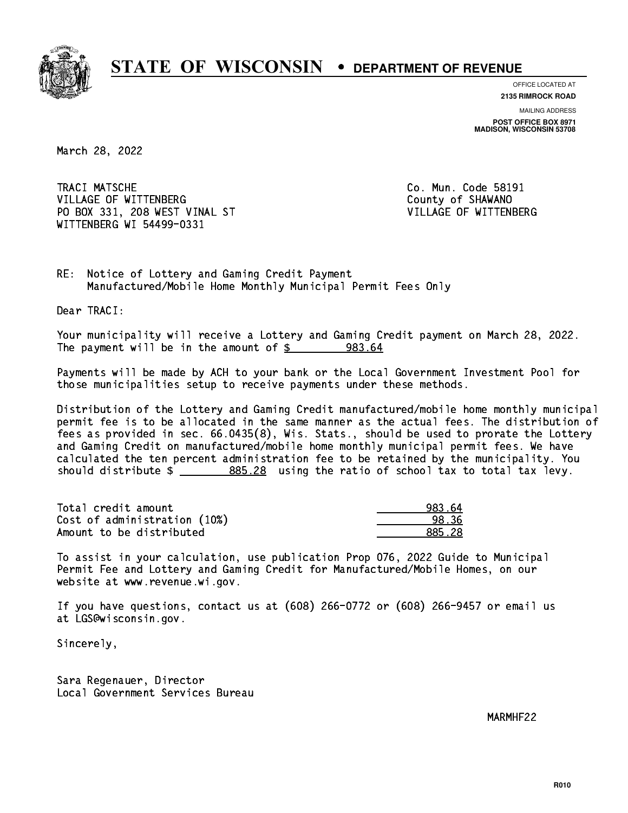

**OFFICE LOCATED AT**

**2135 RIMROCK ROAD**

**MAILING ADDRESS POST OFFICE BOX 8971 MADISON, WISCONSIN 53708**

March 28, 2022

TRACI MATSCHE VILLAGE OF WITTENBERG COUNTY OF SHAWANO PO BOX 331, 208 WEST VINAL ST VILLAGE OF WITTENBERG WITTENBERG WI 54499-0331

Co. Mun. Code 58191

RE: Notice of Lottery and Gaming Credit Payment Manufactured/Mobile Home Monthly Municipal Permit Fees Only

Dear TRACI:

 Your municipality will receive a Lottery and Gaming Credit payment on March 28, 2022. The payment will be in the amount of  $\frac{2}{3}$  983.64

 Payments will be made by ACH to your bank or the Local Government Investment Pool for those municipalities setup to receive payments under these methods.

 Distribution of the Lottery and Gaming Credit manufactured/mobile home monthly municipal permit fee is to be allocated in the same manner as the actual fees. The distribution of fees as provided in sec. 66.0435(8), Wis. Stats., should be used to prorate the Lottery and Gaming Credit on manufactured/mobile home monthly municipal permit fees. We have calculated the ten percent administration fee to be retained by the municipality. You should distribute  $\frac{285.28}{1000}$  using the ratio of school tax to total tax levy.

| Total credit amount          | 983.64 |
|------------------------------|--------|
| Cost of administration (10%) | 98.36  |
| Amount to be distributed     | 885.28 |

 To assist in your calculation, use publication Prop 076, 2022 Guide to Municipal Permit Fee and Lottery and Gaming Credit for Manufactured/Mobile Homes, on our website at www.revenue.wi.gov.

 If you have questions, contact us at (608) 266-0772 or (608) 266-9457 or email us at LGS@wisconsin.gov.

Sincerely,

 Sara Regenauer, Director Local Government Services Bureau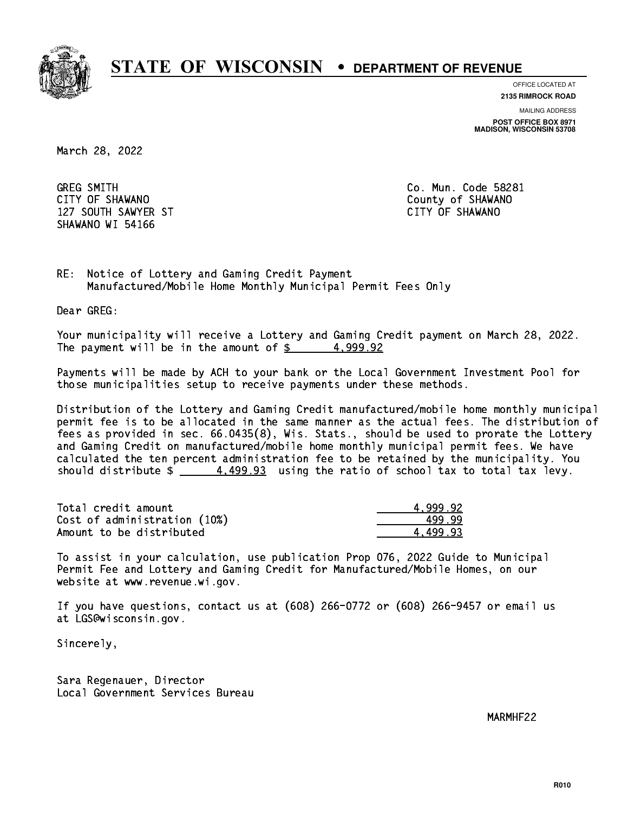

**OFFICE LOCATED AT**

**2135 RIMROCK ROAD**

**MAILING ADDRESS**

**POST OFFICE BOX 8971 MADISON, WISCONSIN 53708**

March 28, 2022

**GREG SMITH** CITY OF SHAWANO **COULD AND SHAWANO COULD AND SHAWANO**  127 SOUTH SAWYER ST CITY OF SHAWANO SHAWANO WI 54166

Co. Mun. Code 58281

RE: Notice of Lottery and Gaming Credit Payment Manufactured/Mobile Home Monthly Municipal Permit Fees Only

Dear GREG:

 Your municipality will receive a Lottery and Gaming Credit payment on March 28, 2022. The payment will be in the amount of  $\frac{2}{3}$  4,999.92

 Payments will be made by ACH to your bank or the Local Government Investment Pool for those municipalities setup to receive payments under these methods.

 Distribution of the Lottery and Gaming Credit manufactured/mobile home monthly municipal permit fee is to be allocated in the same manner as the actual fees. The distribution of fees as provided in sec. 66.0435(8), Wis. Stats., should be used to prorate the Lottery and Gaming Credit on manufactured/mobile home monthly municipal permit fees. We have calculated the ten percent administration fee to be retained by the municipality. You should distribute  $\frac{4.499.93}{2}$  using the ratio of school tax to total tax levy.

| Total credit amount          | 4.999.92 |
|------------------------------|----------|
| Cost of administration (10%) | 499.99   |
| Amount to be distributed     | 4.499.93 |

 To assist in your calculation, use publication Prop 076, 2022 Guide to Municipal Permit Fee and Lottery and Gaming Credit for Manufactured/Mobile Homes, on our website at www.revenue.wi.gov.

 If you have questions, contact us at (608) 266-0772 or (608) 266-9457 or email us at LGS@wisconsin.gov.

Sincerely,

 Sara Regenauer, Director Local Government Services Bureau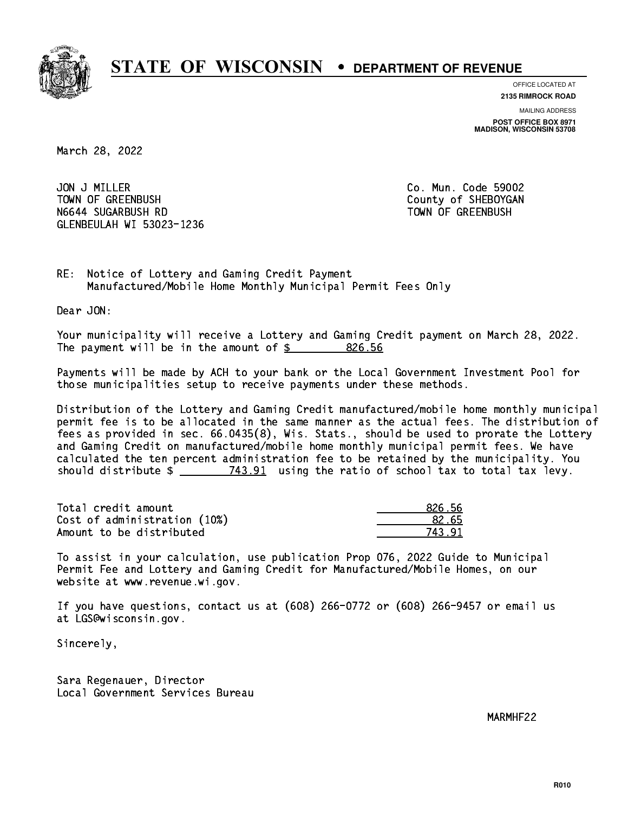

**OFFICE LOCATED AT 2135 RIMROCK ROAD**

**MAILING ADDRESS**

**POST OFFICE BOX 8971 MADISON, WISCONSIN 53708**

March 28, 2022

JON J MILLER TOWN OF GREENBUSH N6644 SUGARBUSH RD TOWN OF GREENBUSH GLENBEULAH WI 53023-1236

Co. Mun. Code 59002 County of SHEBOYGAN

RE: Notice of Lottery and Gaming Credit Payment Manufactured/Mobile Home Monthly Municipal Permit Fees Only

Dear JON:

 Your municipality will receive a Lottery and Gaming Credit payment on March 28, 2022. The payment will be in the amount of \$ 826.56 \_\_\_\_\_\_\_\_\_\_\_\_\_\_\_\_

 Payments will be made by ACH to your bank or the Local Government Investment Pool for those municipalities setup to receive payments under these methods.

 Distribution of the Lottery and Gaming Credit manufactured/mobile home monthly municipal permit fee is to be allocated in the same manner as the actual fees. The distribution of fees as provided in sec. 66.0435(8), Wis. Stats., should be used to prorate the Lottery and Gaming Credit on manufactured/mobile home monthly municipal permit fees. We have calculated the ten percent administration fee to be retained by the municipality. You should distribute  $\frac{2}{2}$   $\frac{743.91}{2}$  using the ratio of school tax to total tax levy.

Total credit amount and the set of the set of the set of the set of the set of the set of the set of the set o  $Cost of administration (10%) \t\t\t\t\t\t\t\t\t\t\t\t\t\t\t\t\t\t\t\t\t\t 82.65$ Amount to be distributed and the set of  $\sim$  743.91

 To assist in your calculation, use publication Prop 076, 2022 Guide to Municipal Permit Fee and Lottery and Gaming Credit for Manufactured/Mobile Homes, on our website at www.revenue.wi.gov.

 If you have questions, contact us at (608) 266-0772 or (608) 266-9457 or email us at LGS@wisconsin.gov.

Sincerely,

 Sara Regenauer, Director Local Government Services Bureau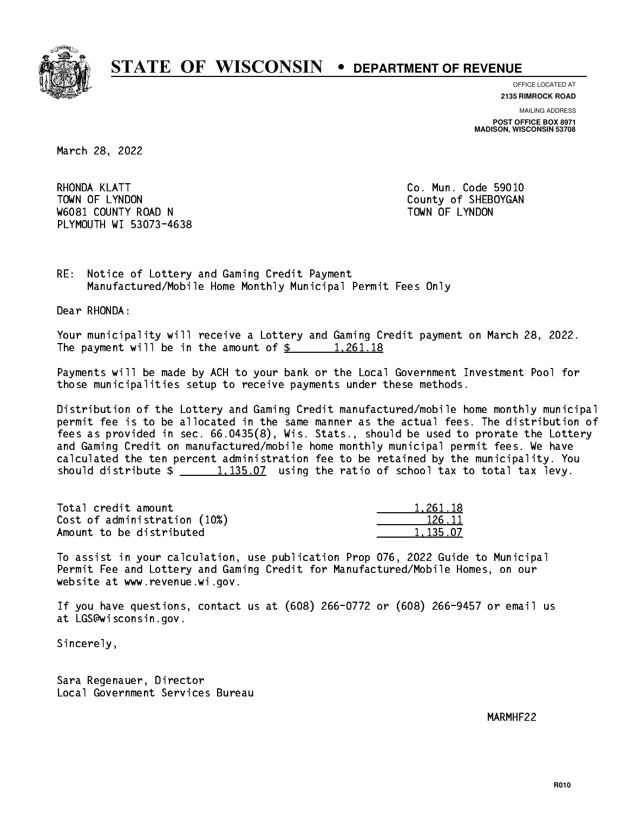

**OFFICE LOCATED AT 2135 RIMROCK ROAD**

**MAILING ADDRESS POST OFFICE BOX 8971 MADISON, WISCONSIN 53708**

March 28, 2022

RHONDA KLATT TOWN OF LYNDON COUNTY OF SHEBOYGAN W6081 COUNTY ROAD N TOWN OF LYNDON PLYMOUTH WI 53073-4638

Co. Mun. Code 59010

RE: Notice of Lottery and Gaming Credit Payment Manufactured/Mobile Home Monthly Municipal Permit Fees Only

Dear RHONDA:

 Your municipality will receive a Lottery and Gaming Credit payment on March 28, 2022. The payment will be in the amount of  $\frac{261.18}{1,261.18}$ 

 Payments will be made by ACH to your bank or the Local Government Investment Pool for those municipalities setup to receive payments under these methods.

 Distribution of the Lottery and Gaming Credit manufactured/mobile home monthly municipal permit fee is to be allocated in the same manner as the actual fees. The distribution of fees as provided in sec. 66.0435(8), Wis. Stats., should be used to prorate the Lottery and Gaming Credit on manufactured/mobile home monthly municipal permit fees. We have calculated the ten percent administration fee to be retained by the municipality. You should distribute  $\frac{1}{2}$   $\frac{1}{1}$   $\frac{135.07}{1}$  using the ratio of school tax to total tax levy.

| Total credit amount          | 1.261.18 |
|------------------------------|----------|
| Cost of administration (10%) | 126.11   |
| Amount to be distributed     | 1.135.07 |

 To assist in your calculation, use publication Prop 076, 2022 Guide to Municipal Permit Fee and Lottery and Gaming Credit for Manufactured/Mobile Homes, on our website at www.revenue.wi.gov.

 If you have questions, contact us at (608) 266-0772 or (608) 266-9457 or email us at LGS@wisconsin.gov.

Sincerely,

 Sara Regenauer, Director Local Government Services Bureau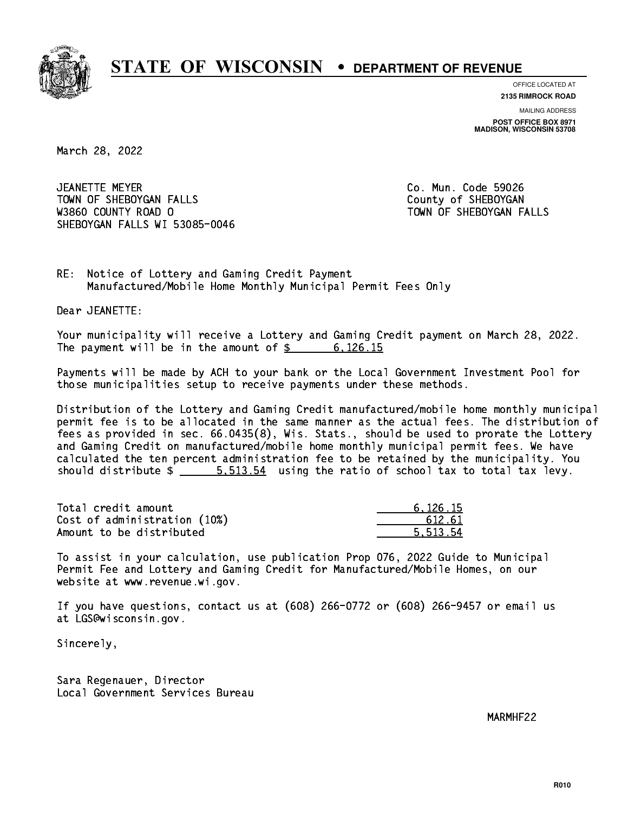

**OFFICE LOCATED AT**

**2135 RIMROCK ROAD**

**MAILING ADDRESS POST OFFICE BOX 8971 MADISON, WISCONSIN 53708**

March 28, 2022

 JEANETTE MEYER Co. Mun. Code 59026 TOWN OF SHEBOYGAN FALLS TOWN OF SHEBOYGAN W3860 COUNTY ROAD O TOWN OF SHEBOYGAN FALLS SHEBOYGAN FALLS WI 53085-0046

RE: Notice of Lottery and Gaming Credit Payment Manufactured/Mobile Home Monthly Municipal Permit Fees Only

Dear JEANETTE:

 Your municipality will receive a Lottery and Gaming Credit payment on March 28, 2022. The payment will be in the amount of  $\frac{2}{3}$  6,126.15

 Payments will be made by ACH to your bank or the Local Government Investment Pool for those municipalities setup to receive payments under these methods.

 Distribution of the Lottery and Gaming Credit manufactured/mobile home monthly municipal permit fee is to be allocated in the same manner as the actual fees. The distribution of fees as provided in sec. 66.0435(8), Wis. Stats., should be used to prorate the Lottery and Gaming Credit on manufactured/mobile home monthly municipal permit fees. We have calculated the ten percent administration fee to be retained by the municipality. You should distribute  $\frac{2}{1}$   $\frac{5.513.54}{2}$  using the ratio of school tax to total tax levy.

| Total credit amount          | 6.126.15 |
|------------------------------|----------|
| Cost of administration (10%) | 612.61   |
| Amount to be distributed     | 5.513.54 |

 To assist in your calculation, use publication Prop 076, 2022 Guide to Municipal Permit Fee and Lottery and Gaming Credit for Manufactured/Mobile Homes, on our website at www.revenue.wi.gov.

 If you have questions, contact us at (608) 266-0772 or (608) 266-9457 or email us at LGS@wisconsin.gov.

Sincerely,

 Sara Regenauer, Director Local Government Services Bureau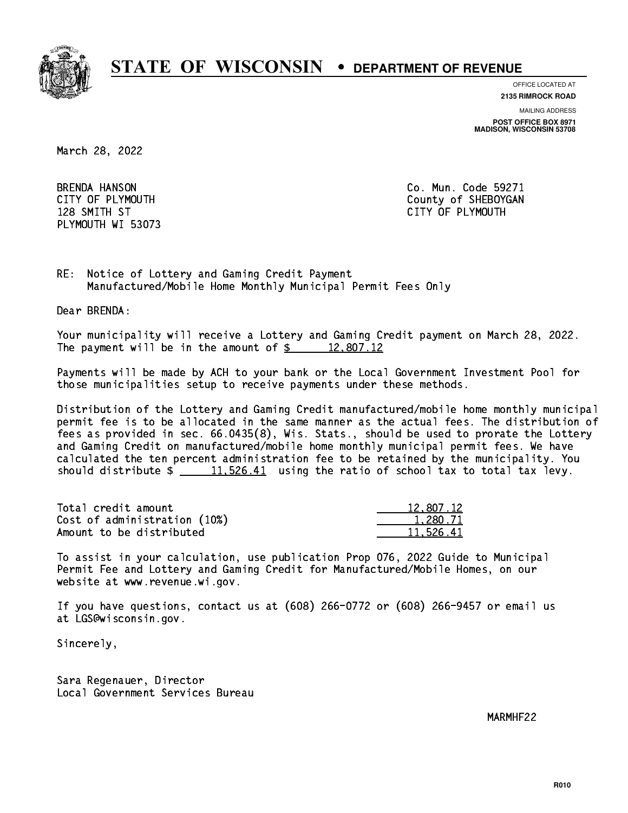

**OFFICE LOCATED AT**

**2135 RIMROCK ROAD**

**MAILING ADDRESS**

**POST OFFICE BOX 8971 MADISON, WISCONSIN 53708**

March 28, 2022

**BRENDA HANSON** 128 SMITH ST PLYMOUTH WI 53073

Co. Mun. Code 59271 CITY OF PLYMOUTH CITY OF PLYMOUTH 128 SMITH ST CITY OF PLYMOUTH ST CITY OF PLYMOUTH ST CITY OF PLYMOUTH ST CITY OF PLYMOUTH ST CITY OF PLYMOUTH

RE: Notice of Lottery and Gaming Credit Payment Manufactured/Mobile Home Monthly Municipal Permit Fees Only

Dear BRENDA:

 Your municipality will receive a Lottery and Gaming Credit payment on March 28, 2022. The payment will be in the amount of  $\frac{2}{3}$  12,807.12

 Payments will be made by ACH to your bank or the Local Government Investment Pool for those municipalities setup to receive payments under these methods.

 Distribution of the Lottery and Gaming Credit manufactured/mobile home monthly municipal permit fee is to be allocated in the same manner as the actual fees. The distribution of fees as provided in sec. 66.0435(8), Wis. Stats., should be used to prorate the Lottery and Gaming Credit on manufactured/mobile home monthly municipal permit fees. We have calculated the ten percent administration fee to be retained by the municipality. You should distribute  $\frac{11,526.41}{2}$  using the ratio of school tax to total tax levy.

| Total credit amount          | 12,807.12 |
|------------------------------|-----------|
| Cost of administration (10%) | 1,280.71  |
| Amount to be distributed     | 11.526.41 |

 To assist in your calculation, use publication Prop 076, 2022 Guide to Municipal Permit Fee and Lottery and Gaming Credit for Manufactured/Mobile Homes, on our website at www.revenue.wi.gov.

 If you have questions, contact us at (608) 266-0772 or (608) 266-9457 or email us at LGS@wisconsin.gov.

Sincerely,

 Sara Regenauer, Director Local Government Services Bureau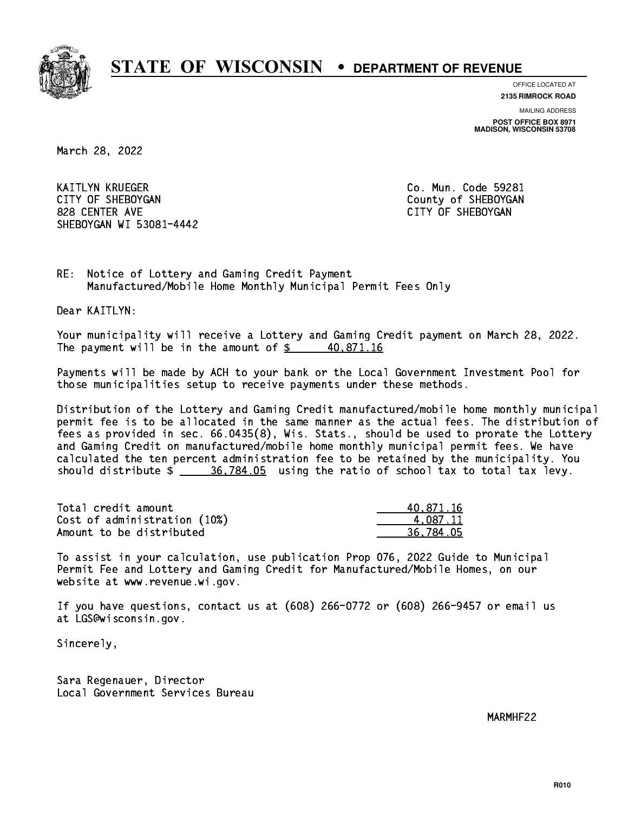

**OFFICE LOCATED AT 2135 RIMROCK ROAD**

**MAILING ADDRESS**

**POST OFFICE BOX 8971 MADISON, WISCONSIN 53708**

March 28, 2022

 KAITLYN KRUEGER Co. Mun. Code 59281 CITY OF SHEBOYGAN COUNTY OF SHEBOYGAN 828 CENTER AVE CITY OF SHEBOYGAN SHEBOYGAN WI 53081-4442

RE: Notice of Lottery and Gaming Credit Payment Manufactured/Mobile Home Monthly Municipal Permit Fees Only

Dear KAITLYN:

 Your municipality will receive a Lottery and Gaming Credit payment on March 28, 2022. The payment will be in the amount of  $\frac{2}{3}$  40,871.16

 Payments will be made by ACH to your bank or the Local Government Investment Pool for those municipalities setup to receive payments under these methods.

 Distribution of the Lottery and Gaming Credit manufactured/mobile home monthly municipal permit fee is to be allocated in the same manner as the actual fees. The distribution of fees as provided in sec. 66.0435(8), Wis. Stats., should be used to prorate the Lottery and Gaming Credit on manufactured/mobile home monthly municipal permit fees. We have calculated the ten percent administration fee to be retained by the municipality. You should distribute  $\frac{26,784.05}{2}$  using the ratio of school tax to total tax levy.

| Total credit amount          | 40.871.16 |
|------------------------------|-----------|
| Cost of administration (10%) | 4.087.11  |
| Amount to be distributed     | 36.784.05 |

 To assist in your calculation, use publication Prop 076, 2022 Guide to Municipal Permit Fee and Lottery and Gaming Credit for Manufactured/Mobile Homes, on our website at www.revenue.wi.gov.

 If you have questions, contact us at (608) 266-0772 or (608) 266-9457 or email us at LGS@wisconsin.gov.

Sincerely,

 Sara Regenauer, Director Local Government Services Bureau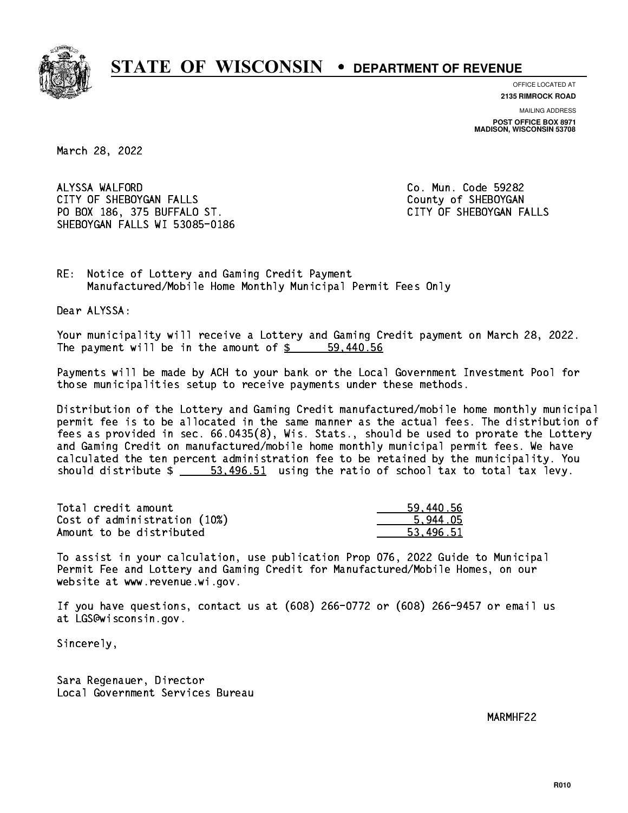

**OFFICE LOCATED AT**

**2135 RIMROCK ROAD**

**MAILING ADDRESS POST OFFICE BOX 8971 MADISON, WISCONSIN 53708**

March 28, 2022

 ALYSSA WALFORD Co. Mun. Code 59282 CITY OF SHEBOYGAN FALLS COUNTY OF SHEBOYGAN PO BOX 186, 375 BUFFALO ST. CITY OF SHEBOYGAN FALLS SHEBOYGAN FALLS WI 53085-0186

RE: Notice of Lottery and Gaming Credit Payment Manufactured/Mobile Home Monthly Municipal Permit Fees Only

Dear ALYSSA:

 Your municipality will receive a Lottery and Gaming Credit payment on March 28, 2022. The payment will be in the amount of  $\frac{2}{3}$  59,440.56

 Payments will be made by ACH to your bank or the Local Government Investment Pool for those municipalities setup to receive payments under these methods.

 Distribution of the Lottery and Gaming Credit manufactured/mobile home monthly municipal permit fee is to be allocated in the same manner as the actual fees. The distribution of fees as provided in sec. 66.0435(8), Wis. Stats., should be used to prorate the Lottery and Gaming Credit on manufactured/mobile home monthly municipal permit fees. We have calculated the ten percent administration fee to be retained by the municipality. You should distribute  $\frac{2}{1}$   $\frac{53,496.51}{2}$  using the ratio of school tax to total tax levy.

| Total credit amount          | 59,440.56 |
|------------------------------|-----------|
| Cost of administration (10%) | 5.944.05  |
| Amount to be distributed     | 53.496.51 |

 To assist in your calculation, use publication Prop 076, 2022 Guide to Municipal Permit Fee and Lottery and Gaming Credit for Manufactured/Mobile Homes, on our website at www.revenue.wi.gov.

 If you have questions, contact us at (608) 266-0772 or (608) 266-9457 or email us at LGS@wisconsin.gov.

Sincerely,

 Sara Regenauer, Director Local Government Services Bureau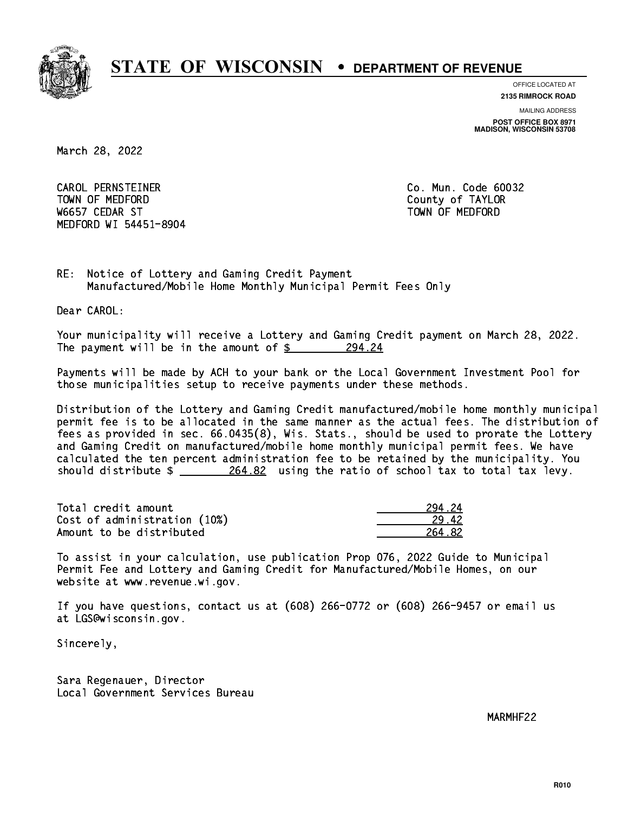

**OFFICE LOCATED AT**

**2135 RIMROCK ROAD**

**MAILING ADDRESS POST OFFICE BOX 8971 MADISON, WISCONSIN 53708**

March 28, 2022

 CAROL PERNSTEINER Co. Mun. Code 60032 TOWN OF MEDICINE COUNTY OF MEDICINE COUNTY OF TAXABLE COUNTY OF TAXABLE COUNTY OF TAXABLE COUNTY OF TAXABLE CO W6657 CEDAR ST TOWN OF MEDFORD MEDFORD WI 54451-8904

RE: Notice of Lottery and Gaming Credit Payment Manufactured/Mobile Home Monthly Municipal Permit Fees Only

Dear CAROL:

 Your municipality will receive a Lottery and Gaming Credit payment on March 28, 2022. The payment will be in the amount of  $$ 294.24$ 

 Payments will be made by ACH to your bank or the Local Government Investment Pool for those municipalities setup to receive payments under these methods.

 Distribution of the Lottery and Gaming Credit manufactured/mobile home monthly municipal permit fee is to be allocated in the same manner as the actual fees. The distribution of fees as provided in sec. 66.0435(8), Wis. Stats., should be used to prorate the Lottery and Gaming Credit on manufactured/mobile home monthly municipal permit fees. We have calculated the ten percent administration fee to be retained by the municipality. You should distribute  $\frac{264.82}{2}$  using the ratio of school tax to total tax levy.

| Total credit amount          | 294.24 |
|------------------------------|--------|
| Cost of administration (10%) | 29.42  |
| Amount to be distributed     | 264.82 |

 To assist in your calculation, use publication Prop 076, 2022 Guide to Municipal Permit Fee and Lottery and Gaming Credit for Manufactured/Mobile Homes, on our website at www.revenue.wi.gov.

 If you have questions, contact us at (608) 266-0772 or (608) 266-9457 or email us at LGS@wisconsin.gov.

Sincerely,

 Sara Regenauer, Director Local Government Services Bureau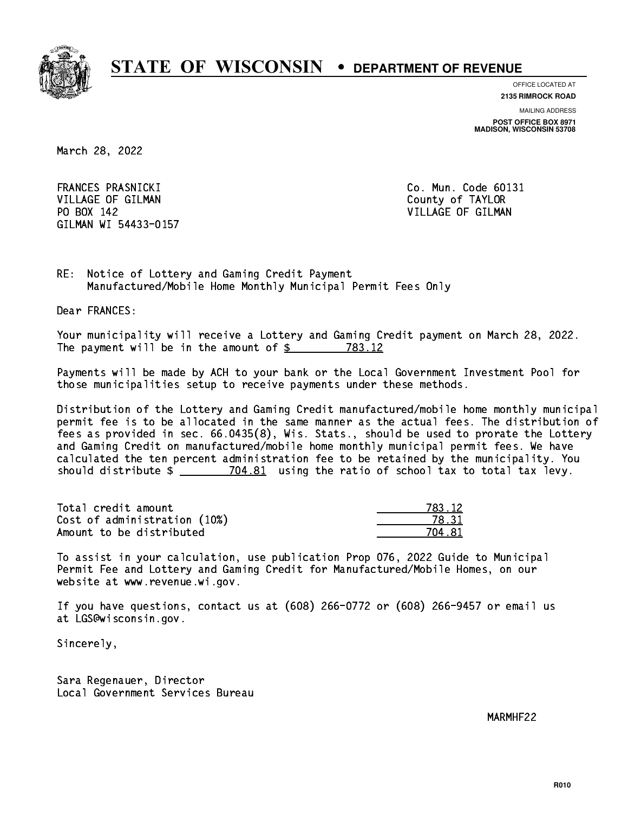

**OFFICE LOCATED AT**

**2135 RIMROCK ROAD**

**MAILING ADDRESS POST OFFICE BOX 8971 MADISON, WISCONSIN 53708**

March 28, 2022

FRANCES PRASNICKI VILLAGE OF GILMAN COUNTY OF TAYLOR PO BOX 142 VILLAGE OF GILMAN GILMAN WI 54433-0157

Co. Mun. Code 60131

RE: Notice of Lottery and Gaming Credit Payment Manufactured/Mobile Home Monthly Municipal Permit Fees Only

Dear FRANCES:

 Your municipality will receive a Lottery and Gaming Credit payment on March 28, 2022. The payment will be in the amount of \$ 783.12 \_\_\_\_\_\_\_\_\_\_\_\_\_\_\_\_

 Payments will be made by ACH to your bank or the Local Government Investment Pool for those municipalities setup to receive payments under these methods.

 Distribution of the Lottery and Gaming Credit manufactured/mobile home monthly municipal permit fee is to be allocated in the same manner as the actual fees. The distribution of fees as provided in sec. 66.0435(8), Wis. Stats., should be used to prorate the Lottery and Gaming Credit on manufactured/mobile home monthly municipal permit fees. We have calculated the ten percent administration fee to be retained by the municipality. You should distribute  $\frac{2}{2}$   $\frac{704.81}{2}$  using the ratio of school tax to total tax levy.

| Total credit amount          | 783.12 |
|------------------------------|--------|
| Cost of administration (10%) | 78.31  |
| Amount to be distributed     | 704.81 |

| 783.12 |
|--------|
| 8. 31  |
| - 81   |

 To assist in your calculation, use publication Prop 076, 2022 Guide to Municipal Permit Fee and Lottery and Gaming Credit for Manufactured/Mobile Homes, on our website at www.revenue.wi.gov.

 If you have questions, contact us at (608) 266-0772 or (608) 266-9457 or email us at LGS@wisconsin.gov.

Sincerely,

 Sara Regenauer, Director Local Government Services Bureau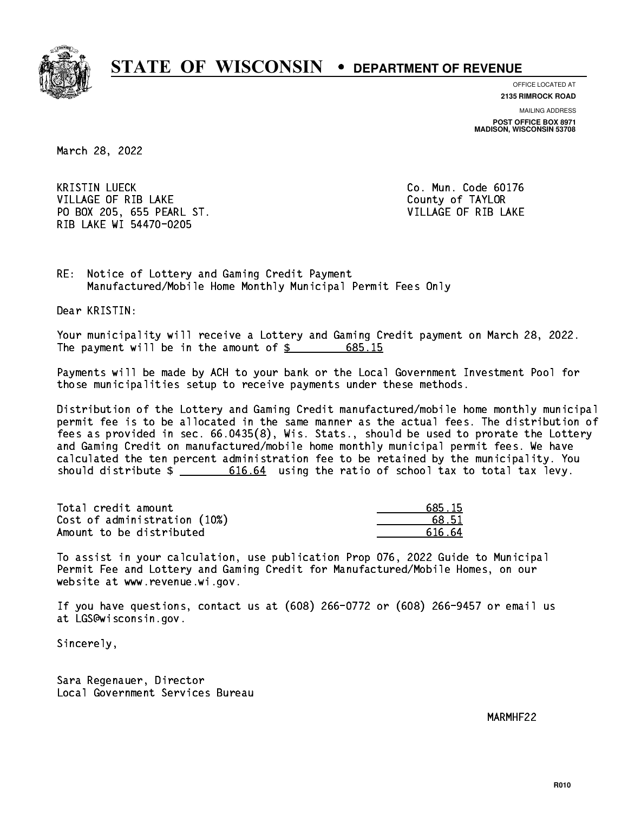

**OFFICE LOCATED AT**

**2135 RIMROCK ROAD**

**MAILING ADDRESS POST OFFICE BOX 8971 MADISON, WISCONSIN 53708**

March 28, 2022

**KRISTIN LUECK** VILLAGE OF RIB LAKE County of TAYLOR PO BOX 205, 655 PEARL ST. THE RESERVITION OF RIB LAKE RIB LAKE WI 54470-0205

Co. Mun. Code 60176

RE: Notice of Lottery and Gaming Credit Payment Manufactured/Mobile Home Monthly Municipal Permit Fees Only

Dear KRISTIN:

 Your municipality will receive a Lottery and Gaming Credit payment on March 28, 2022. The payment will be in the amount of  $\frac{2}{3}$  685.15

 Payments will be made by ACH to your bank or the Local Government Investment Pool for those municipalities setup to receive payments under these methods.

 Distribution of the Lottery and Gaming Credit manufactured/mobile home monthly municipal permit fee is to be allocated in the same manner as the actual fees. The distribution of fees as provided in sec. 66.0435(8), Wis. Stats., should be used to prorate the Lottery and Gaming Credit on manufactured/mobile home monthly municipal permit fees. We have calculated the ten percent administration fee to be retained by the municipality. You should distribute  $\frac{2}{100}$   $\frac{616.64}{64}$  using the ratio of school tax to total tax levy.

Total credit amount Cost of administration  $(10%)$ Amount to be distributed

| 685.15 |
|--------|
| 8.51   |
| 616 64 |

 To assist in your calculation, use publication Prop 076, 2022 Guide to Municipal Permit Fee and Lottery and Gaming Credit for Manufactured/Mobile Homes, on our website at www.revenue.wi.gov.

 If you have questions, contact us at (608) 266-0772 or (608) 266-9457 or email us at LGS@wisconsin.gov.

Sincerely,

 Sara Regenauer, Director Local Government Services Bureau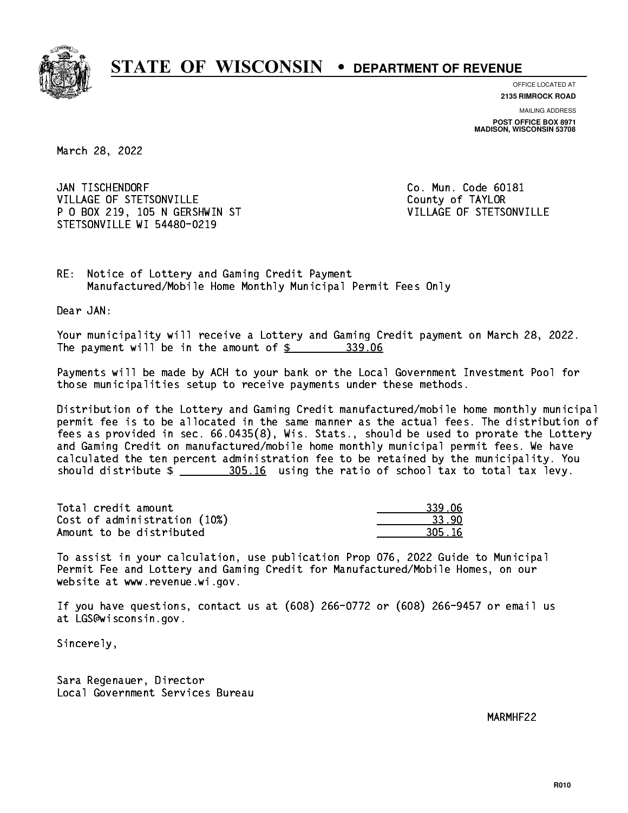

**OFFICE LOCATED AT**

**2135 RIMROCK ROAD**

**MAILING ADDRESS POST OFFICE BOX 8971 MADISON, WISCONSIN 53708**

March 28, 2022

JAN TISCHENDORF VILLAGE OF STETSONVILLE COUNTY OF TAYLOR P O BOX 219, 105 N GERSHWIN ST VILLAGE OF STETSONVILLE STETSONVILLE WI 54480-0219

Co. Mun. Code 60181

RE: Notice of Lottery and Gaming Credit Payment Manufactured/Mobile Home Monthly Municipal Permit Fees Only

Dear JAN:

 Your municipality will receive a Lottery and Gaming Credit payment on March 28, 2022. The payment will be in the amount of \$ 339.06 \_\_\_\_\_\_\_\_\_\_\_\_\_\_\_\_

 Payments will be made by ACH to your bank or the Local Government Investment Pool for those municipalities setup to receive payments under these methods.

 Distribution of the Lottery and Gaming Credit manufactured/mobile home monthly municipal permit fee is to be allocated in the same manner as the actual fees. The distribution of fees as provided in sec. 66.0435(8), Wis. Stats., should be used to prorate the Lottery and Gaming Credit on manufactured/mobile home monthly municipal permit fees. We have calculated the ten percent administration fee to be retained by the municipality. You should distribute \$ 305.16 using the ratio of school tax to total tax levy. \_\_\_\_\_\_\_\_\_\_\_\_\_\_

| Total credit amount          | 339.06 |
|------------------------------|--------|
| Cost of administration (10%) | -33.90 |
| Amount to be distributed     | 305.16 |

 To assist in your calculation, use publication Prop 076, 2022 Guide to Municipal Permit Fee and Lottery and Gaming Credit for Manufactured/Mobile Homes, on our website at www.revenue.wi.gov.

 If you have questions, contact us at (608) 266-0772 or (608) 266-9457 or email us at LGS@wisconsin.gov.

Sincerely,

 Sara Regenauer, Director Local Government Services Bureau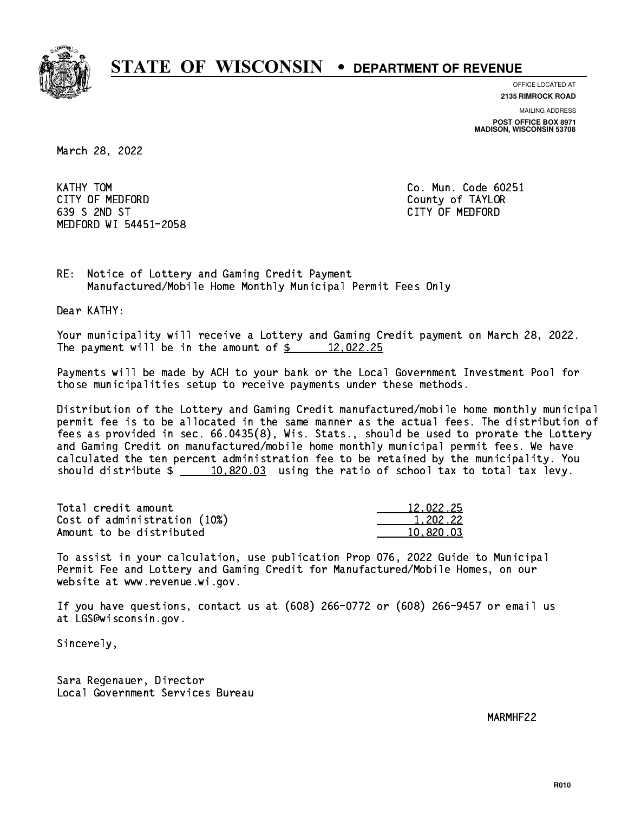

**OFFICE LOCATED AT**

**2135 RIMROCK ROAD**

**MAILING ADDRESS POST OFFICE BOX 8971 MADISON, WISCONSIN 53708**

March 28, 2022

KATHY TOM CITY OF MEDFORD County of TAYLOR 639 S 2ND ST CITY OF MEDFORD MEDFORD WI 54451-2058

Co. Mun. Code 60251

RE: Notice of Lottery and Gaming Credit Payment Manufactured/Mobile Home Monthly Municipal Permit Fees Only

Dear KATHY:

 Your municipality will receive a Lottery and Gaming Credit payment on March 28, 2022. The payment will be in the amount of  $\frac{2}{3}$  12,022.25

 Payments will be made by ACH to your bank or the Local Government Investment Pool for those municipalities setup to receive payments under these methods.

 Distribution of the Lottery and Gaming Credit manufactured/mobile home monthly municipal permit fee is to be allocated in the same manner as the actual fees. The distribution of fees as provided in sec. 66.0435(8), Wis. Stats., should be used to prorate the Lottery and Gaming Credit on manufactured/mobile home monthly municipal permit fees. We have calculated the ten percent administration fee to be retained by the municipality. You should distribute  $\frac{10,820.03}{2}$  using the ratio of school tax to total tax levy.

| Total credit amount          | 12,022.25 |
|------------------------------|-----------|
| Cost of administration (10%) | 1.202.22  |
| Amount to be distributed     | 10.820.03 |

 To assist in your calculation, use publication Prop 076, 2022 Guide to Municipal Permit Fee and Lottery and Gaming Credit for Manufactured/Mobile Homes, on our website at www.revenue.wi.gov.

 If you have questions, contact us at (608) 266-0772 or (608) 266-9457 or email us at LGS@wisconsin.gov.

Sincerely,

 Sara Regenauer, Director Local Government Services Bureau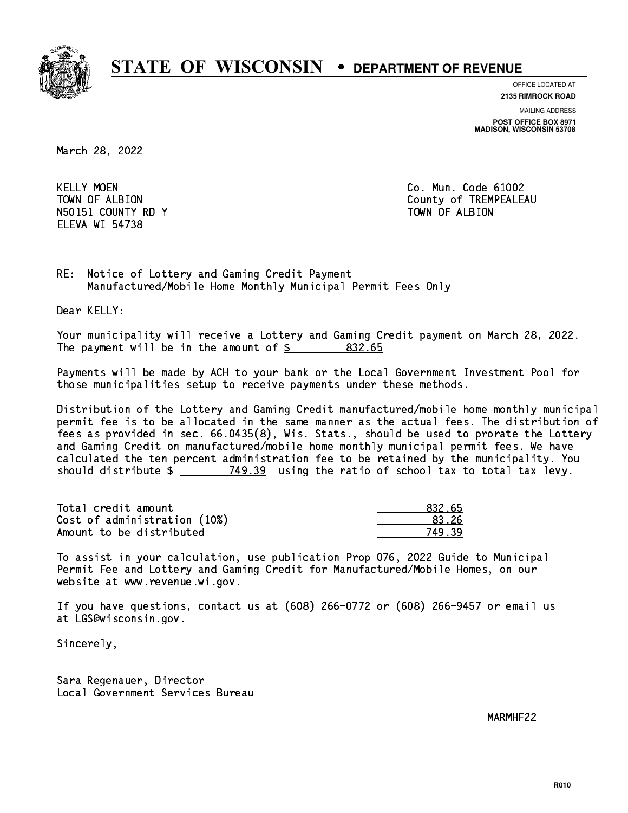

**OFFICE LOCATED AT**

**2135 RIMROCK ROAD**

**MAILING ADDRESS POST OFFICE BOX 8971 MADISON, WISCONSIN 53708**

March 28, 2022

**KELLY MOEN** N50151 COUNTY RD Y TOWN OF ALBION ELEVA WI 54738

Co. Mun. Code 61002 TOWN OF ALBION COUNTY OF TREMPEALEAU

RE: Notice of Lottery and Gaming Credit Payment Manufactured/Mobile Home Monthly Municipal Permit Fees Only

Dear KELLY:

 Your municipality will receive a Lottery and Gaming Credit payment on March 28, 2022. The payment will be in the amount of \$ 832.65 \_\_\_\_\_\_\_\_\_\_\_\_\_\_\_\_

 Payments will be made by ACH to your bank or the Local Government Investment Pool for those municipalities setup to receive payments under these methods.

 Distribution of the Lottery and Gaming Credit manufactured/mobile home monthly municipal permit fee is to be allocated in the same manner as the actual fees. The distribution of fees as provided in sec. 66.0435(8), Wis. Stats., should be used to prorate the Lottery and Gaming Credit on manufactured/mobile home monthly municipal permit fees. We have calculated the ten percent administration fee to be retained by the municipality. You should distribute  $\frac{2}{2}$   $\frac{749.39}{2}$  using the ratio of school tax to total tax levy.

Total credit amount Cost of administration (10%) Amount to be distributed

| 32.65    |
|----------|
| የ 26     |
| -20<br>⋾ |

 To assist in your calculation, use publication Prop 076, 2022 Guide to Municipal Permit Fee and Lottery and Gaming Credit for Manufactured/Mobile Homes, on our website at www.revenue.wi.gov.

 If you have questions, contact us at (608) 266-0772 or (608) 266-9457 or email us at LGS@wisconsin.gov.

Sincerely,

 Sara Regenauer, Director Local Government Services Bureau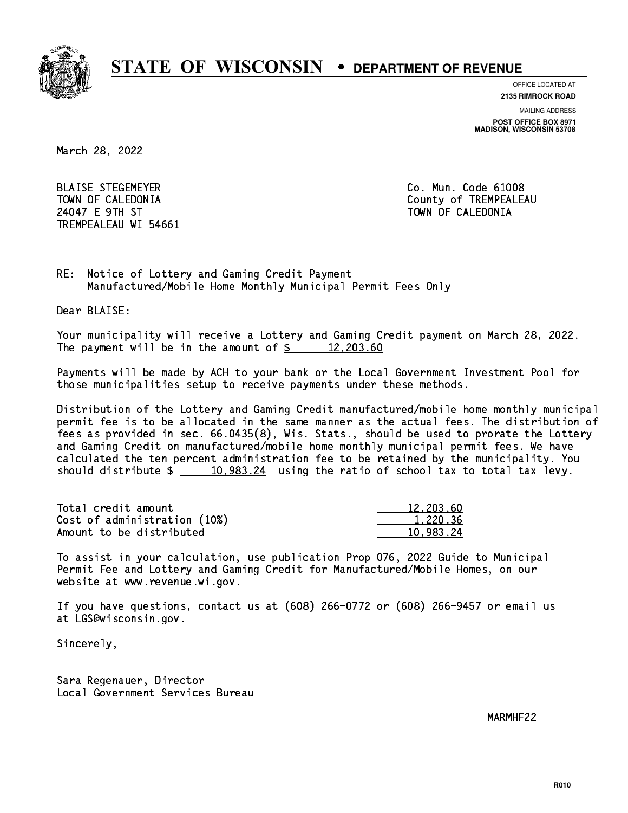

**OFFICE LOCATED AT**

**2135 RIMROCK ROAD**

**MAILING ADDRESS POST OFFICE BOX 8971 MADISON, WISCONSIN 53708**

March 28, 2022

 BLAISE STEGEMEYER Co. Mun. Code 61008 24047 E 9TH ST TOWN OF CALEDONIA TREMPEALEAU WI 54661

TOWN OF CALEDONIA County of TREMPEALEAU

RE: Notice of Lottery and Gaming Credit Payment Manufactured/Mobile Home Monthly Municipal Permit Fees Only

Dear BLAISE:

 Your municipality will receive a Lottery and Gaming Credit payment on March 28, 2022. The payment will be in the amount of  $\frac{2}{3}$  12,203.60

 Payments will be made by ACH to your bank or the Local Government Investment Pool for those municipalities setup to receive payments under these methods.

 Distribution of the Lottery and Gaming Credit manufactured/mobile home monthly municipal permit fee is to be allocated in the same manner as the actual fees. The distribution of fees as provided in sec. 66.0435(8), Wis. Stats., should be used to prorate the Lottery and Gaming Credit on manufactured/mobile home monthly municipal permit fees. We have calculated the ten percent administration fee to be retained by the municipality. You should distribute  $\frac{2}{10,983.24}$  using the ratio of school tax to total tax levy.

| Total credit amount          | 12,203.60 |
|------------------------------|-----------|
| Cost of administration (10%) | 1.220.36  |
| Amount to be distributed     | 10.983.24 |

 To assist in your calculation, use publication Prop 076, 2022 Guide to Municipal Permit Fee and Lottery and Gaming Credit for Manufactured/Mobile Homes, on our website at www.revenue.wi.gov.

 If you have questions, contact us at (608) 266-0772 or (608) 266-9457 or email us at LGS@wisconsin.gov.

Sincerely,

 Sara Regenauer, Director Local Government Services Bureau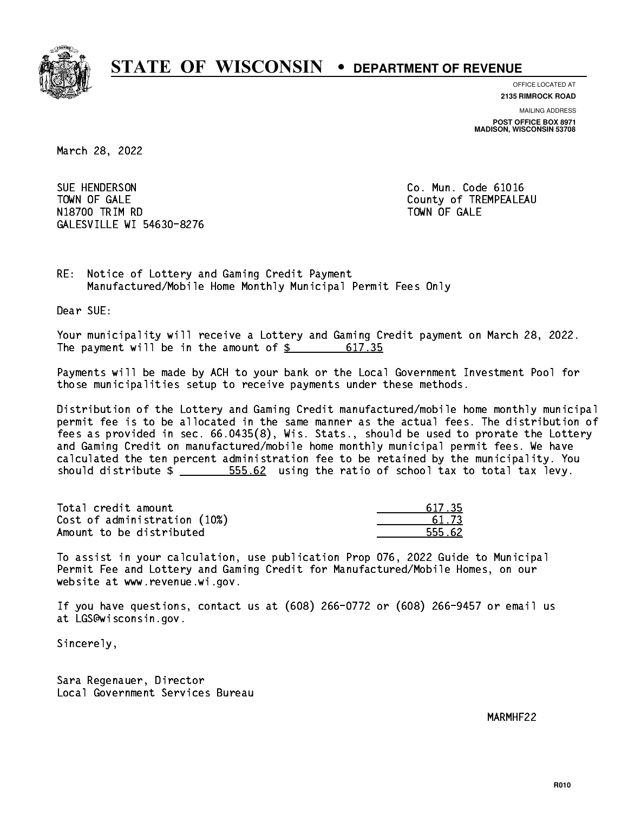

**OFFICE LOCATED AT**

**2135 RIMROCK ROAD**

**MAILING ADDRESS POST OFFICE BOX 8971 MADISON, WISCONSIN 53708**

March 28, 2022

SUE HENDERSON TOWN OF GALE **COUNTY OF SALE** N1880 TRIM RD TOWN OF GALERY COMPUTER STATES OF GALERY COMPUTER STATES OF GALERY COMPUTER STATES OF GALERY COMPUTERS GALESVILLE WI 54630-8276

Co. Mun. Code 61016 TOWN OF GALE

RE: Notice of Lottery and Gaming Credit Payment Manufactured/Mobile Home Monthly Municipal Permit Fees Only

Dear SUE:

 Your municipality will receive a Lottery and Gaming Credit payment on March 28, 2022. The payment will be in the amount of  $\frac{2}{3}$ 617.35

 Payments will be made by ACH to your bank or the Local Government Investment Pool for those municipalities setup to receive payments under these methods.

 Distribution of the Lottery and Gaming Credit manufactured/mobile home monthly municipal permit fee is to be allocated in the same manner as the actual fees. The distribution of fees as provided in sec. 66.0435(8), Wis. Stats., should be used to prorate the Lottery and Gaming Credit on manufactured/mobile home monthly municipal permit fees. We have calculated the ten percent administration fee to be retained by the municipality. You should distribute  $\frac{2}{2}$   $\frac{555.62}{2}$  using the ratio of school tax to total tax levy.

Total credit amount Cost of administration (10%) Amount to be distributed

| 17.35 |
|-------|
| - 73  |
| .62   |

 To assist in your calculation, use publication Prop 076, 2022 Guide to Municipal Permit Fee and Lottery and Gaming Credit for Manufactured/Mobile Homes, on our website at www.revenue.wi.gov.

 If you have questions, contact us at (608) 266-0772 or (608) 266-9457 or email us at LGS@wisconsin.gov.

Sincerely,

 Sara Regenauer, Director Local Government Services Bureau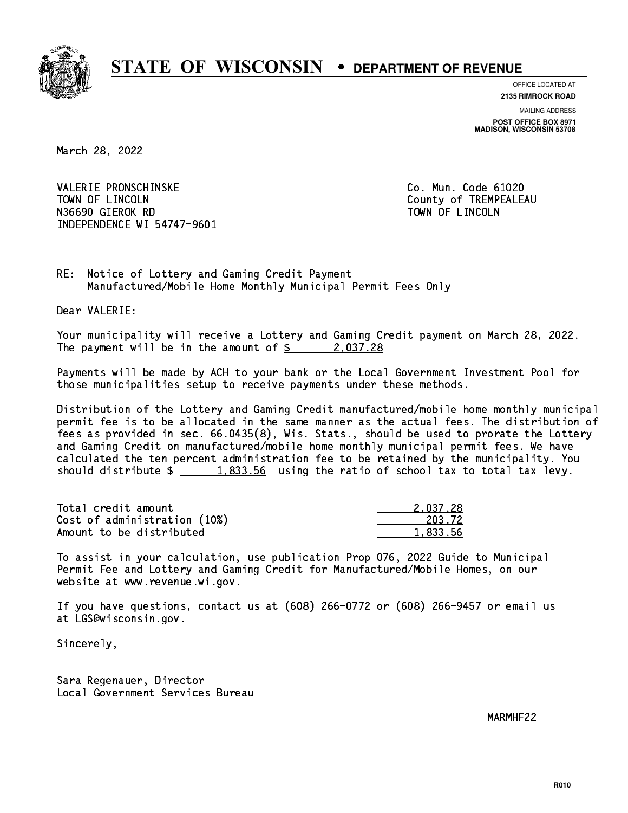

**OFFICE LOCATED AT**

**2135 RIMROCK ROAD**

**MAILING ADDRESS POST OFFICE BOX 8971 MADISON, WISCONSIN 53708**

March 28, 2022

 VALERIE PRONSCHINSKE Co. Mun. Code 61020 TOWN OF LINCOLN County of TREMPEALEAU N36690 GIEROK RD TOWN OF LINCOLN INDEPENDENCE WI 54747-9601

RE: Notice of Lottery and Gaming Credit Payment Manufactured/Mobile Home Monthly Municipal Permit Fees Only

Dear VALERIE:

 Your municipality will receive a Lottery and Gaming Credit payment on March 28, 2022. The payment will be in the amount of  $\frac{2}{3}$  2,037.28

 Payments will be made by ACH to your bank or the Local Government Investment Pool for those municipalities setup to receive payments under these methods.

 Distribution of the Lottery and Gaming Credit manufactured/mobile home monthly municipal permit fee is to be allocated in the same manner as the actual fees. The distribution of fees as provided in sec. 66.0435(8), Wis. Stats., should be used to prorate the Lottery and Gaming Credit on manufactured/mobile home monthly municipal permit fees. We have calculated the ten percent administration fee to be retained by the municipality. You should distribute  $\frac{1.833.56}{1.833.56}$  using the ratio of school tax to total tax levy.

| Total credit amount          | 2.037.28 |
|------------------------------|----------|
| Cost of administration (10%) | 203.72   |
| Amount to be distributed     | 1,833.56 |

 To assist in your calculation, use publication Prop 076, 2022 Guide to Municipal Permit Fee and Lottery and Gaming Credit for Manufactured/Mobile Homes, on our website at www.revenue.wi.gov.

 If you have questions, contact us at (608) 266-0772 or (608) 266-9457 or email us at LGS@wisconsin.gov.

Sincerely,

 Sara Regenauer, Director Local Government Services Bureau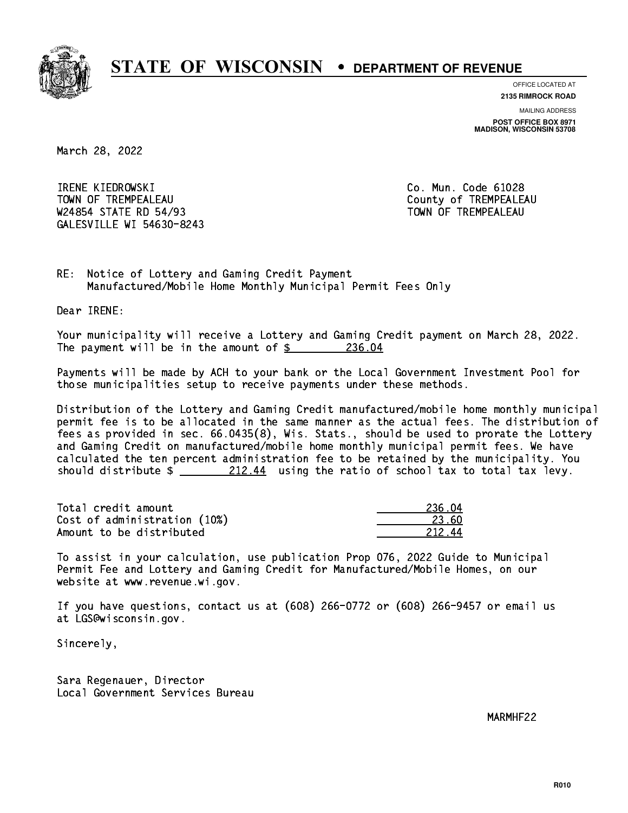

**OFFICE LOCATED AT**

**2135 RIMROCK ROAD**

**MAILING ADDRESS POST OFFICE BOX 8971 MADISON, WISCONSIN 53708**

March 28, 2022

 IRENE KIEDROWSKI Co. Mun. Code 61028 TOWN OF TREMPEALEAU **TOWA COUNTY OF TREMPEALEAU** W24854 STATE RD 54/93 TOWN OF TREMPEALEAU GALESVILLE WI 54630-8243

RE: Notice of Lottery and Gaming Credit Payment Manufactured/Mobile Home Monthly Municipal Permit Fees Only

Dear IRENE:

 Your municipality will receive a Lottery and Gaming Credit payment on March 28, 2022. The payment will be in the amount of  $\frac{236.04}{236.04}$ 

 Payments will be made by ACH to your bank or the Local Government Investment Pool for those municipalities setup to receive payments under these methods.

 Distribution of the Lottery and Gaming Credit manufactured/mobile home monthly municipal permit fee is to be allocated in the same manner as the actual fees. The distribution of fees as provided in sec. 66.0435(8), Wis. Stats., should be used to prorate the Lottery and Gaming Credit on manufactured/mobile home monthly municipal permit fees. We have calculated the ten percent administration fee to be retained by the municipality. You should distribute  $\frac{212.44}{212.44}$  using the ratio of school tax to total tax levy.

Total credit amount Cost of administration (10%) Amount to be distributed

| 236.04    |
|-----------|
| 23. KN    |
| ι4<br>212 |

 To assist in your calculation, use publication Prop 076, 2022 Guide to Municipal Permit Fee and Lottery and Gaming Credit for Manufactured/Mobile Homes, on our website at www.revenue.wi.gov.

 If you have questions, contact us at (608) 266-0772 or (608) 266-9457 or email us at LGS@wisconsin.gov.

Sincerely,

 Sara Regenauer, Director Local Government Services Bureau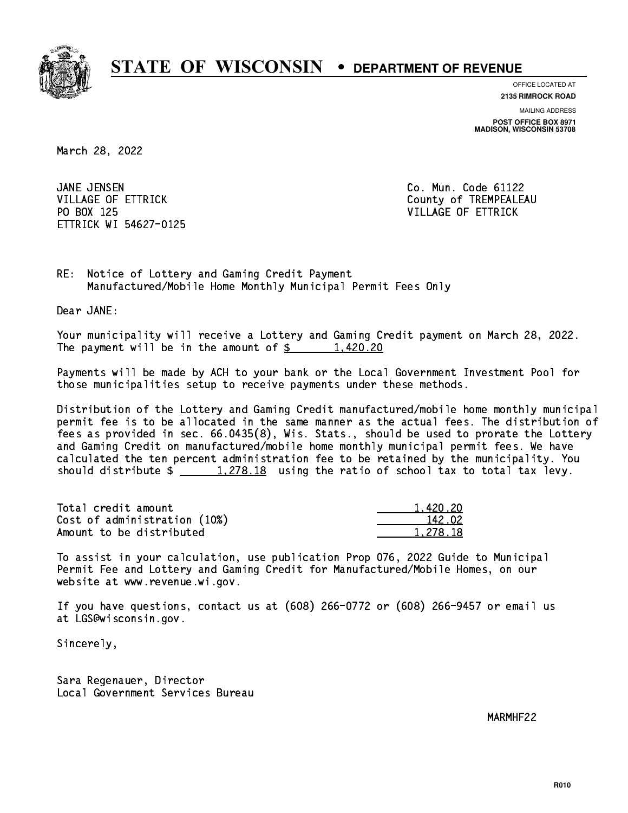

**OFFICE LOCATED AT**

**2135 RIMROCK ROAD**

**MAILING ADDRESS POST OFFICE BOX 8971 MADISON, WISCONSIN 53708**

March 28, 2022

JANE JENSEN PO BOX 125 VILLAGE OF ETTRICK ETTRICK WI 54627-0125

Co. Mun. Code 61122 VILLAGE OF ETTRICK County of TREMPEALEAU

RE: Notice of Lottery and Gaming Credit Payment Manufactured/Mobile Home Monthly Municipal Permit Fees Only

Dear JANE:

 Your municipality will receive a Lottery and Gaming Credit payment on March 28, 2022. The payment will be in the amount of  $\frac{2}{3}$  1,420.20

 Payments will be made by ACH to your bank or the Local Government Investment Pool for those municipalities setup to receive payments under these methods.

 Distribution of the Lottery and Gaming Credit manufactured/mobile home monthly municipal permit fee is to be allocated in the same manner as the actual fees. The distribution of fees as provided in sec. 66.0435(8), Wis. Stats., should be used to prorate the Lottery and Gaming Credit on manufactured/mobile home monthly municipal permit fees. We have calculated the ten percent administration fee to be retained by the municipality. You should distribute  $\frac{1,278.18}{1,278.18}$  using the ratio of school tax to total tax levy.

| Total credit amount          | 1.420.20 |
|------------------------------|----------|
| Cost of administration (10%) | 142.02   |
| Amount to be distributed     | 1,278.18 |

 To assist in your calculation, use publication Prop 076, 2022 Guide to Municipal Permit Fee and Lottery and Gaming Credit for Manufactured/Mobile Homes, on our website at www.revenue.wi.gov.

 If you have questions, contact us at (608) 266-0772 or (608) 266-9457 or email us at LGS@wisconsin.gov.

Sincerely,

 Sara Regenauer, Director Local Government Services Bureau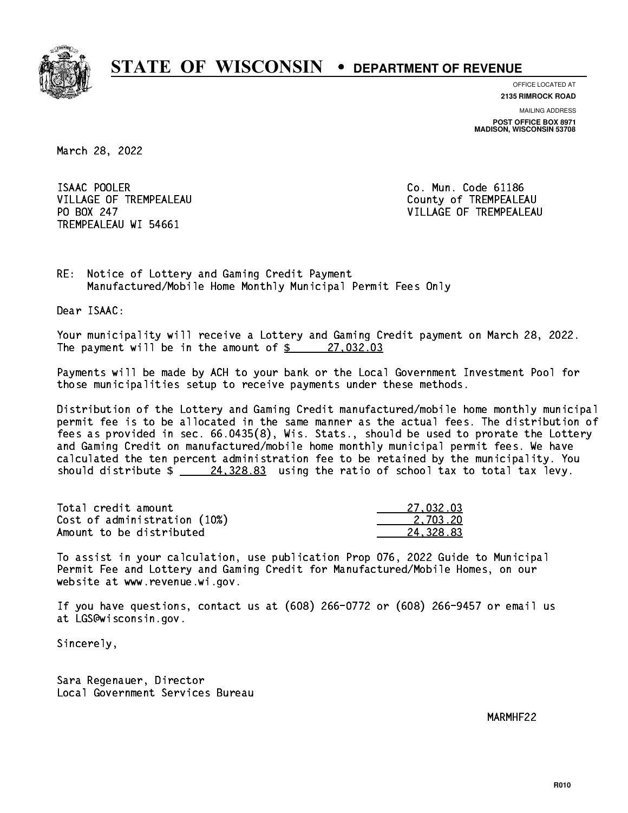

**OFFICE LOCATED AT**

**2135 RIMROCK ROAD**

**MAILING ADDRESS POST OFFICE BOX 8971 MADISON, WISCONSIN 53708**

March 28, 2022

ISAAC POOLER VILLAGE OF TREMPEALEAU County of TREMPEALEAU PO BOX 247 TREMPEALEAU WI 54661

Co. Mun. Code 61186 VILLAGE OF TREMPEALEAU

RE: Notice of Lottery and Gaming Credit Payment Manufactured/Mobile Home Monthly Municipal Permit Fees Only

Dear ISAAC:

 Your municipality will receive a Lottery and Gaming Credit payment on March 28, 2022. The payment will be in the amount of  $\frac{27,032.03}{27}$ 

 Payments will be made by ACH to your bank or the Local Government Investment Pool for those municipalities setup to receive payments under these methods.

 Distribution of the Lottery and Gaming Credit manufactured/mobile home monthly municipal permit fee is to be allocated in the same manner as the actual fees. The distribution of fees as provided in sec. 66.0435(8), Wis. Stats., should be used to prorate the Lottery and Gaming Credit on manufactured/mobile home monthly municipal permit fees. We have calculated the ten percent administration fee to be retained by the municipality. You should distribute  $\frac{24,328.83}{24,328.83}$  using the ratio of school tax to total tax levy.

| Total credit amount          | 27.032.03 |
|------------------------------|-----------|
| Cost of administration (10%) | 2.703.20  |
| Amount to be distributed     | 24.328.83 |

 To assist in your calculation, use publication Prop 076, 2022 Guide to Municipal Permit Fee and Lottery and Gaming Credit for Manufactured/Mobile Homes, on our website at www.revenue.wi.gov.

 If you have questions, contact us at (608) 266-0772 or (608) 266-9457 or email us at LGS@wisconsin.gov.

Sincerely,

 Sara Regenauer, Director Local Government Services Bureau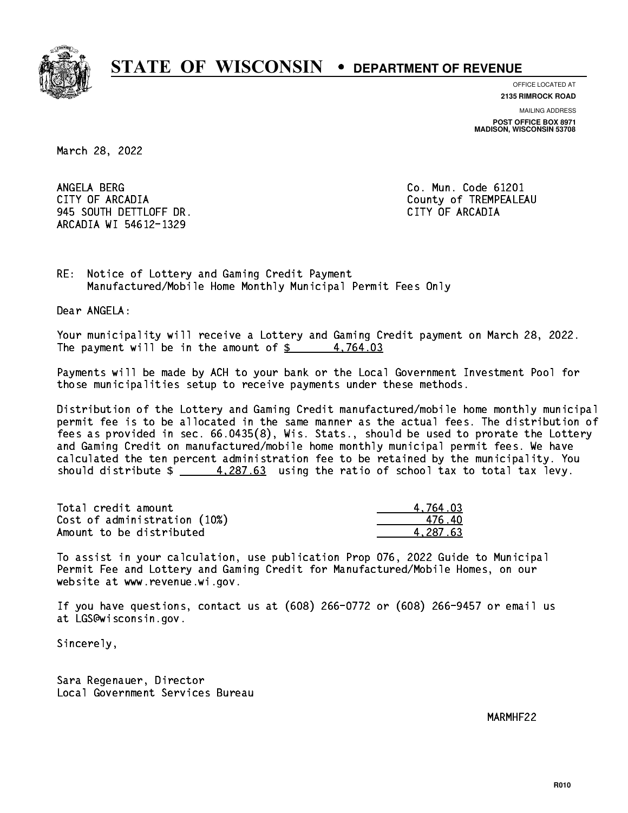

**OFFICE LOCATED AT**

**2135 RIMROCK ROAD**

**MAILING ADDRESS POST OFFICE BOX 8971 MADISON, WISCONSIN 53708**

March 28, 2022

ANGELA BERG CITY OF ARCADIA County of TREMPEALEAU 945 SOUTH DETTLOFF DR. CITY OF ARCADIA ARCADIA WI 54612-1329

Co. Mun. Code 61201

RE: Notice of Lottery and Gaming Credit Payment Manufactured/Mobile Home Monthly Municipal Permit Fees Only

Dear ANGELA:

 Your municipality will receive a Lottery and Gaming Credit payment on March 28, 2022. The payment will be in the amount of  $\frac{2}{3}$  4,764.03

 Payments will be made by ACH to your bank or the Local Government Investment Pool for those municipalities setup to receive payments under these methods.

 Distribution of the Lottery and Gaming Credit manufactured/mobile home monthly municipal permit fee is to be allocated in the same manner as the actual fees. The distribution of fees as provided in sec. 66.0435(8), Wis. Stats., should be used to prorate the Lottery and Gaming Credit on manufactured/mobile home monthly municipal permit fees. We have calculated the ten percent administration fee to be retained by the municipality. You should distribute  $\frac{4.287.63}{ }$  using the ratio of school tax to total tax levy.

| Total credit amount          | 4.764.03 |
|------------------------------|----------|
| Cost of administration (10%) | 476.40   |
| Amount to be distributed     | 4.287.63 |

 To assist in your calculation, use publication Prop 076, 2022 Guide to Municipal Permit Fee and Lottery and Gaming Credit for Manufactured/Mobile Homes, on our website at www.revenue.wi.gov.

 If you have questions, contact us at (608) 266-0772 or (608) 266-9457 or email us at LGS@wisconsin.gov.

Sincerely,

 Sara Regenauer, Director Local Government Services Bureau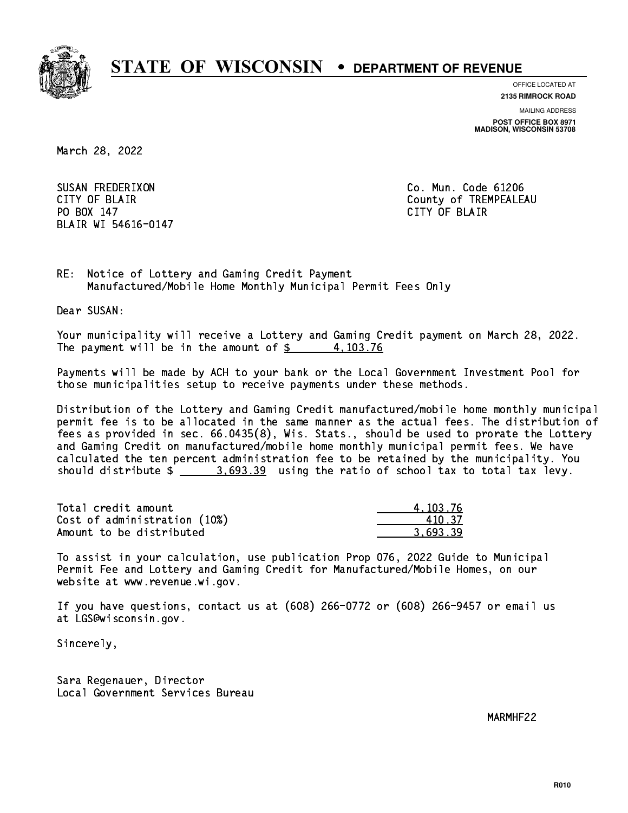

**OFFICE LOCATED AT**

**2135 RIMROCK ROAD**

**MAILING ADDRESS POST OFFICE BOX 8971 MADISON, WISCONSIN 53708**

March 28, 2022

 SUSAN FREDERIXON Co. Mun. Code 61206 PO BOX 147 PO BOX 147 CITY OF BLACK IS A RELEASED OF BLACK IS A RELEASED OF BLACK IS A RELEASED OF BLACK IS A RELEASED OF BLAIR WI 54616-0147

CITY OF BLAIR COUNTY OF BLAIR

RE: Notice of Lottery and Gaming Credit Payment Manufactured/Mobile Home Monthly Municipal Permit Fees Only

Dear SUSAN:

 Your municipality will receive a Lottery and Gaming Credit payment on March 28, 2022. The payment will be in the amount of  $\frac{2}{3}$  4,103.76

 Payments will be made by ACH to your bank or the Local Government Investment Pool for those municipalities setup to receive payments under these methods.

 Distribution of the Lottery and Gaming Credit manufactured/mobile home monthly municipal permit fee is to be allocated in the same manner as the actual fees. The distribution of fees as provided in sec. 66.0435(8), Wis. Stats., should be used to prorate the Lottery and Gaming Credit on manufactured/mobile home monthly municipal permit fees. We have calculated the ten percent administration fee to be retained by the municipality. You should distribute  $\frac{2}{2}$   $\frac{3.693.39}{2}$  using the ratio of school tax to total tax levy.

| Total credit amount          | 4.103.76 |
|------------------------------|----------|
| Cost of administration (10%) | 410.37   |
| Amount to be distributed     | 3.693.39 |

 To assist in your calculation, use publication Prop 076, 2022 Guide to Municipal Permit Fee and Lottery and Gaming Credit for Manufactured/Mobile Homes, on our website at www.revenue.wi.gov.

 If you have questions, contact us at (608) 266-0772 or (608) 266-9457 or email us at LGS@wisconsin.gov.

Sincerely,

 Sara Regenauer, Director Local Government Services Bureau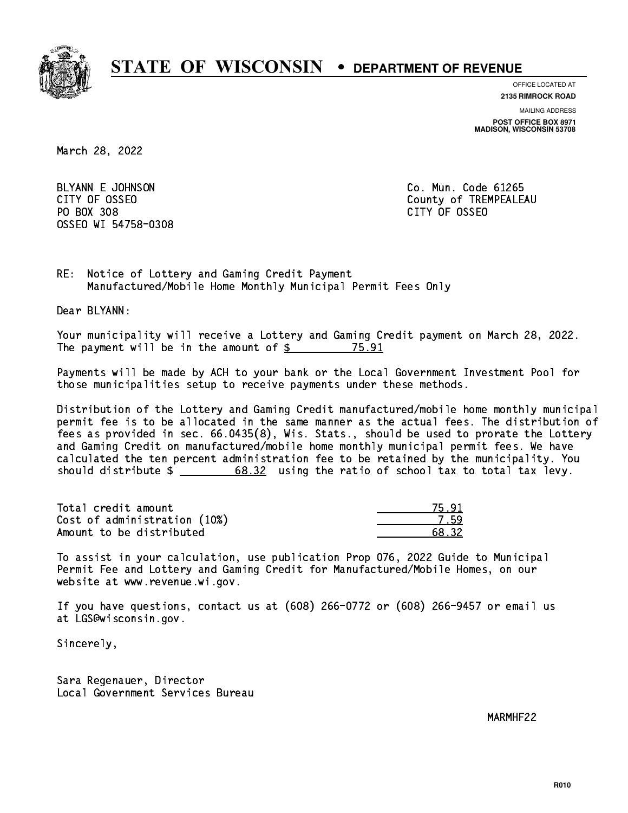

**OFFICE LOCATED AT 2135 RIMROCK ROAD**

**MAILING ADDRESS**

**POST OFFICE BOX 8971 MADISON, WISCONSIN 53708**

March 28, 2022

 BLYANN E JOHNSON Co. Mun. Code 61265 PO BOX 308 PO BOX 308 CITY OF OSSEO OSSEO WI 54758-0308

CITY OF OSSEO COUNTY OF OSSEO

RE: Notice of Lottery and Gaming Credit Payment Manufactured/Mobile Home Monthly Municipal Permit Fees Only

Dear BLYANN:

 Your municipality will receive a Lottery and Gaming Credit payment on March 28, 2022. The payment will be in the amount of  $\frac{25}{3}$ 75.91

 Payments will be made by ACH to your bank or the Local Government Investment Pool for those municipalities setup to receive payments under these methods.

 Distribution of the Lottery and Gaming Credit manufactured/mobile home monthly municipal permit fee is to be allocated in the same manner as the actual fees. The distribution of fees as provided in sec. 66.0435(8), Wis. Stats., should be used to prorate the Lottery and Gaming Credit on manufactured/mobile home monthly municipal permit fees. We have calculated the ten percent administration fee to be retained by the municipality. You should distribute  $\frac{2}{1}$   $\frac{68.32}{100}$  using the ratio of school tax to total tax levy.

Total credit amount Cost of administration (10%) Amount to be distributed

| -32. |
|------|

 To assist in your calculation, use publication Prop 076, 2022 Guide to Municipal Permit Fee and Lottery and Gaming Credit for Manufactured/Mobile Homes, on our website at www.revenue.wi.gov.

 If you have questions, contact us at (608) 266-0772 or (608) 266-9457 or email us at LGS@wisconsin.gov.

Sincerely,

 Sara Regenauer, Director Local Government Services Bureau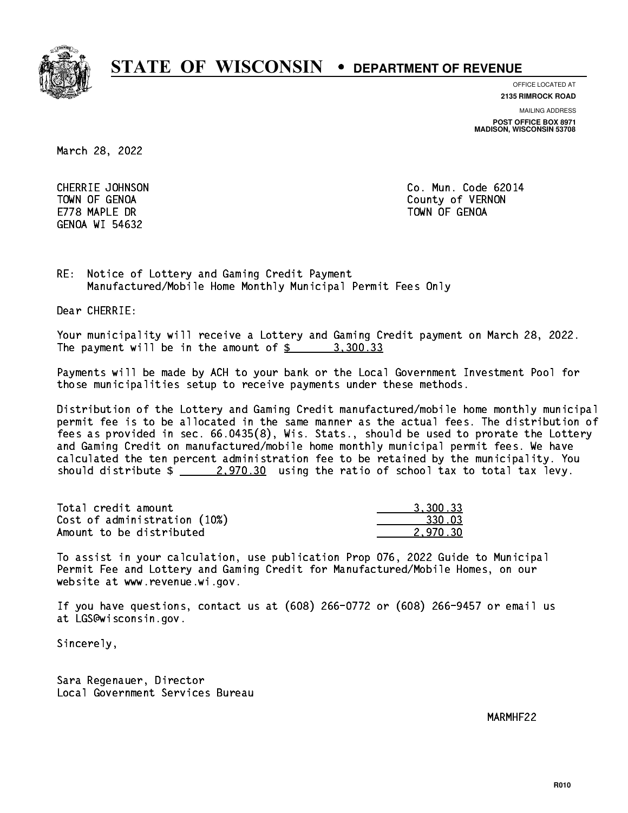

**OFFICE LOCATED AT 2135 RIMROCK ROAD**

**MAILING ADDRESS**

**POST OFFICE BOX 8971 MADISON, WISCONSIN 53708**

March 28, 2022

E778 MAPLE DR TOWN OF GENOA GENOA WI 54632

 CHERRIE JOHNSON Co. Mun. Code 62014 TOWN OF GENOA County of VERNON

RE: Notice of Lottery and Gaming Credit Payment Manufactured/Mobile Home Monthly Municipal Permit Fees Only

Dear CHERRIE:

 Your municipality will receive a Lottery and Gaming Credit payment on March 28, 2022. The payment will be in the amount of  $\frac{2}{3}$  3,300.33

 Payments will be made by ACH to your bank or the Local Government Investment Pool for those municipalities setup to receive payments under these methods.

 Distribution of the Lottery and Gaming Credit manufactured/mobile home monthly municipal permit fee is to be allocated in the same manner as the actual fees. The distribution of fees as provided in sec. 66.0435(8), Wis. Stats., should be used to prorate the Lottery and Gaming Credit on manufactured/mobile home monthly municipal permit fees. We have calculated the ten percent administration fee to be retained by the municipality. You should distribute  $\frac{2,970.30}{2}$  using the ratio of school tax to total tax levy.

| Total credit amount          | 3,300.33 |
|------------------------------|----------|
| Cost of administration (10%) | 330.03   |
| Amount to be distributed     | 2.970.30 |

 To assist in your calculation, use publication Prop 076, 2022 Guide to Municipal Permit Fee and Lottery and Gaming Credit for Manufactured/Mobile Homes, on our website at www.revenue.wi.gov.

 If you have questions, contact us at (608) 266-0772 or (608) 266-9457 or email us at LGS@wisconsin.gov.

Sincerely,

 Sara Regenauer, Director Local Government Services Bureau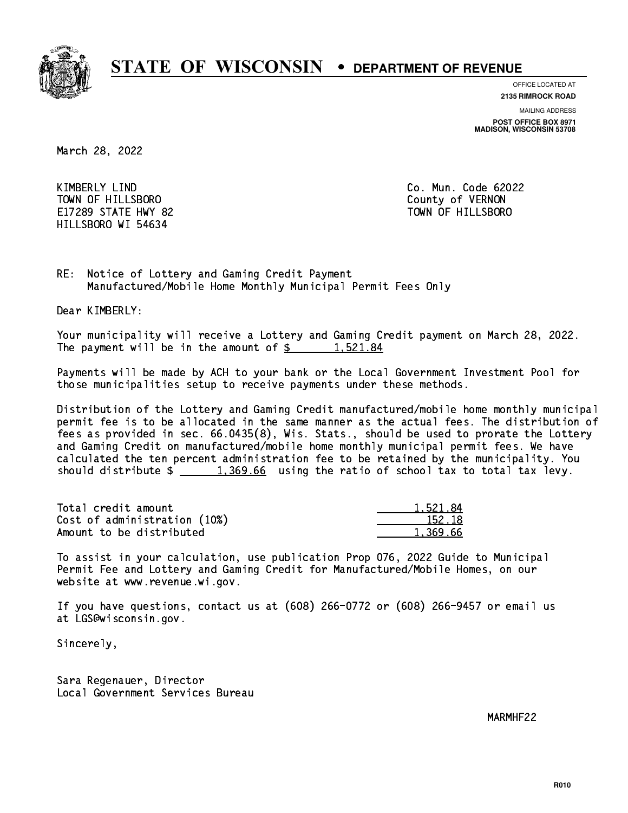

**OFFICE LOCATED AT**

**2135 RIMROCK ROAD**

**MAILING ADDRESS**

**POST OFFICE BOX 8971 MADISON, WISCONSIN 53708**

March 28, 2022

 KIMBERLY LIND Co. Mun. Code 62022 TOWN OF HILLSBORO County of VERNON E17289 STATE HWY 82 TOWN OF HILLSBORO HILLSBORO WI 54634

RE: Notice of Lottery and Gaming Credit Payment Manufactured/Mobile Home Monthly Municipal Permit Fees Only

Dear KIMBERLY:

 Your municipality will receive a Lottery and Gaming Credit payment on March 28, 2022. The payment will be in the amount of  $\frac{2}{3}$  1,521.84

 Payments will be made by ACH to your bank or the Local Government Investment Pool for those municipalities setup to receive payments under these methods.

 Distribution of the Lottery and Gaming Credit manufactured/mobile home monthly municipal permit fee is to be allocated in the same manner as the actual fees. The distribution of fees as provided in sec. 66.0435(8), Wis. Stats., should be used to prorate the Lottery and Gaming Credit on manufactured/mobile home monthly municipal permit fees. We have calculated the ten percent administration fee to be retained by the municipality. You should distribute  $\frac{1,369.66}{1,369.66}$  using the ratio of school tax to total tax levy.

| Total credit amount          | 1,521.84 |
|------------------------------|----------|
| Cost of administration (10%) | 152.18   |
| Amount to be distributed     | 1,369.66 |

 To assist in your calculation, use publication Prop 076, 2022 Guide to Municipal Permit Fee and Lottery and Gaming Credit for Manufactured/Mobile Homes, on our website at www.revenue.wi.gov.

 If you have questions, contact us at (608) 266-0772 or (608) 266-9457 or email us at LGS@wisconsin.gov.

Sincerely,

 Sara Regenauer, Director Local Government Services Bureau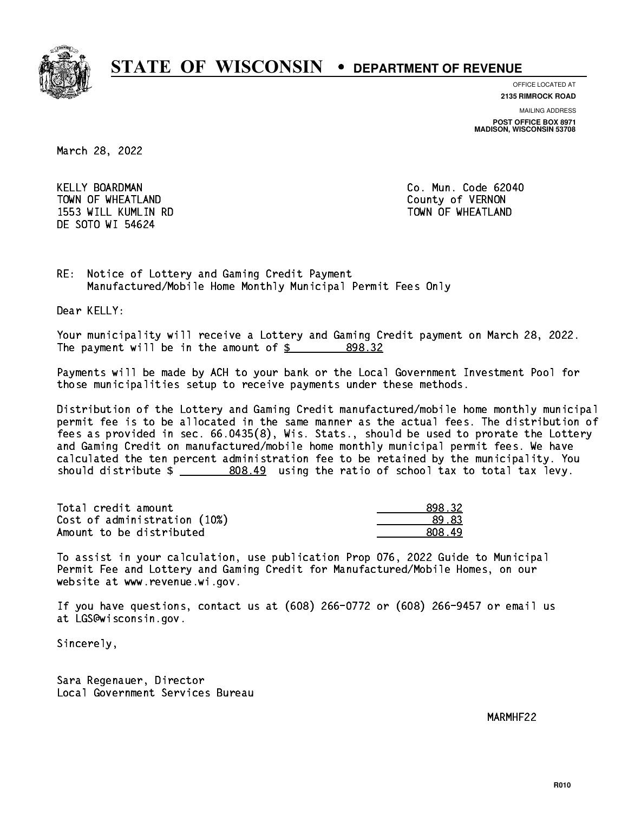

**OFFICE LOCATED AT**

**2135 RIMROCK ROAD**

**MAILING ADDRESS POST OFFICE BOX 8971 MADISON, WISCONSIN 53708**

March 28, 2022

 KELLY BOARDMAN Co. Mun. Code 62040 TOWN OF WHEATLAND County of VERNON 1553 WILL KUMLIN RD TOWN OF WHEATLAND DE SOTO WI 54624

RE: Notice of Lottery and Gaming Credit Payment Manufactured/Mobile Home Monthly Municipal Permit Fees Only

Dear KELLY:

 Your municipality will receive a Lottery and Gaming Credit payment on March 28, 2022. The payment will be in the amount of \$ 898.32 \_\_\_\_\_\_\_\_\_\_\_\_\_\_\_\_

 Payments will be made by ACH to your bank or the Local Government Investment Pool for those municipalities setup to receive payments under these methods.

 Distribution of the Lottery and Gaming Credit manufactured/mobile home monthly municipal permit fee is to be allocated in the same manner as the actual fees. The distribution of fees as provided in sec. 66.0435(8), Wis. Stats., should be used to prorate the Lottery and Gaming Credit on manufactured/mobile home monthly municipal permit fees. We have calculated the ten percent administration fee to be retained by the municipality. You should distribute  $\frac{2}{2}$   $\frac{808.49}{2}$  using the ratio of school tax to total tax levy.

| Total credit amount          | 898.32  |
|------------------------------|---------|
| Cost of administration (10%) | 89.83   |
| Amount to be distributed     | .808.49 |

 To assist in your calculation, use publication Prop 076, 2022 Guide to Municipal Permit Fee and Lottery and Gaming Credit for Manufactured/Mobile Homes, on our website at www.revenue.wi.gov.

 If you have questions, contact us at (608) 266-0772 or (608) 266-9457 or email us at LGS@wisconsin.gov.

Sincerely,

 Sara Regenauer, Director Local Government Services Bureau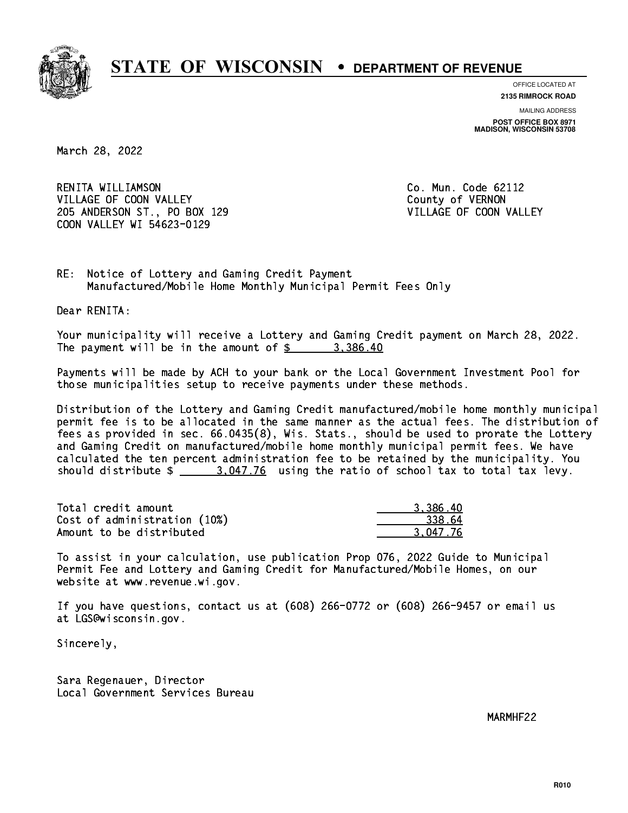

**OFFICE LOCATED AT**

**2135 RIMROCK ROAD**

**MAILING ADDRESS POST OFFICE BOX 8971 MADISON, WISCONSIN 53708**

March 28, 2022

 RENITA WILLIAMSON Co. Mun. Code 62112 VILLAGE OF COON VALLEY COUNTY OF VERNON 205 ANDERSON ST., PO BOX 129 VILLAGE OF COON VALLEY COON VALLEY WI 54623-0129

RE: Notice of Lottery and Gaming Credit Payment Manufactured/Mobile Home Monthly Municipal Permit Fees Only

Dear RENITA:

 Your municipality will receive a Lottery and Gaming Credit payment on March 28, 2022. The payment will be in the amount of  $\frac{2}{3}$  3,386.40

 Payments will be made by ACH to your bank or the Local Government Investment Pool for those municipalities setup to receive payments under these methods.

 Distribution of the Lottery and Gaming Credit manufactured/mobile home monthly municipal permit fee is to be allocated in the same manner as the actual fees. The distribution of fees as provided in sec. 66.0435(8), Wis. Stats., should be used to prorate the Lottery and Gaming Credit on manufactured/mobile home monthly municipal permit fees. We have calculated the ten percent administration fee to be retained by the municipality. You should distribute  $\frac{2.047.76}{2.047.76}$  using the ratio of school tax to total tax levy.

| Total credit amount          | 3.386.40 |
|------------------------------|----------|
| Cost of administration (10%) | 338.64   |
| Amount to be distributed     | 3.047.76 |

 To assist in your calculation, use publication Prop 076, 2022 Guide to Municipal Permit Fee and Lottery and Gaming Credit for Manufactured/Mobile Homes, on our website at www.revenue.wi.gov.

 If you have questions, contact us at (608) 266-0772 or (608) 266-9457 or email us at LGS@wisconsin.gov.

Sincerely,

 Sara Regenauer, Director Local Government Services Bureau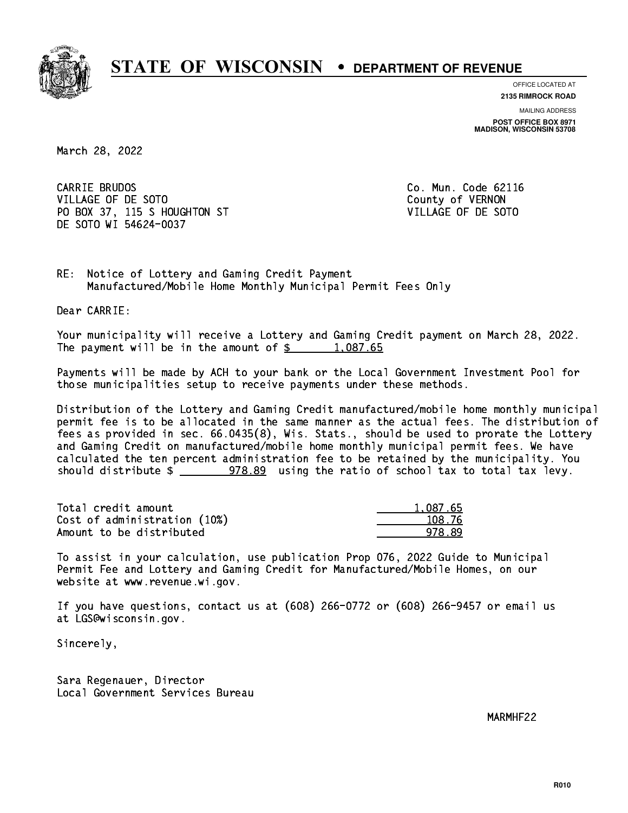

**OFFICE LOCATED AT**

**2135 RIMROCK ROAD**

**MAILING ADDRESS POST OFFICE BOX 8971 MADISON, WISCONSIN 53708**

March 28, 2022

CARRIE BRUDOS VILLAGE OF DE SOTO COUNTY OF VERNON PO BOX 37, 115 S HOUGHTON ST VILLAGE OF DE SOTO DE SOTO WI 54624-0037

Co. Mun. Code 62116

RE: Notice of Lottery and Gaming Credit Payment Manufactured/Mobile Home Monthly Municipal Permit Fees Only

Dear CARRIE:

 Your municipality will receive a Lottery and Gaming Credit payment on March 28, 2022. The payment will be in the amount of  $\frac{2}{3}$  1,087.65

 Payments will be made by ACH to your bank or the Local Government Investment Pool for those municipalities setup to receive payments under these methods.

 Distribution of the Lottery and Gaming Credit manufactured/mobile home monthly municipal permit fee is to be allocated in the same manner as the actual fees. The distribution of fees as provided in sec. 66.0435(8), Wis. Stats., should be used to prorate the Lottery and Gaming Credit on manufactured/mobile home monthly municipal permit fees. We have calculated the ten percent administration fee to be retained by the municipality. You should distribute  $\frac{2}{2}$   $\frac{978.89}{2}$  using the ratio of school tax to total tax levy.

| Total credit amount          | 1.087.65 |
|------------------------------|----------|
| Cost of administration (10%) | 108.76   |
| Amount to be distributed     | 978.89   |

 To assist in your calculation, use publication Prop 076, 2022 Guide to Municipal Permit Fee and Lottery and Gaming Credit for Manufactured/Mobile Homes, on our website at www.revenue.wi.gov.

 If you have questions, contact us at (608) 266-0772 or (608) 266-9457 or email us at LGS@wisconsin.gov.

Sincerely,

 Sara Regenauer, Director Local Government Services Bureau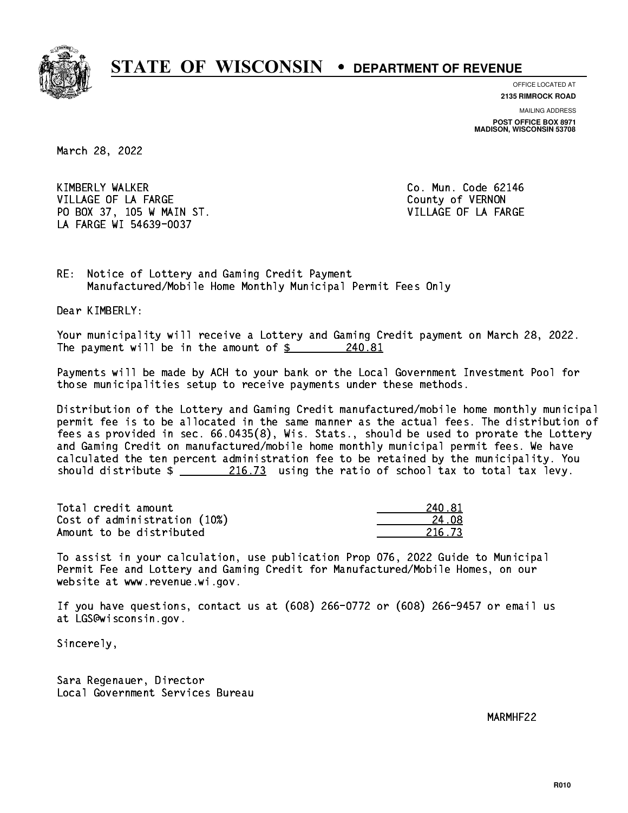

**OFFICE LOCATED AT**

**2135 RIMROCK ROAD**

**MAILING ADDRESS POST OFFICE BOX 8971 MADISON, WISCONSIN 53708**

March 28, 2022

 KIMBERLY WALKER Co. Mun. Code 62146 VILLAGE OF LA FARGE COUNTY OF VERNON PO BOX 37, 105 W MAIN ST. VILLAGE OF LA FARGE LA FARGE WI 54639-0037

RE: Notice of Lottery and Gaming Credit Payment Manufactured/Mobile Home Monthly Municipal Permit Fees Only

Dear KIMBERLY:

 Your municipality will receive a Lottery and Gaming Credit payment on March 28, 2022. The payment will be in the amount of  $\frac{240.81}{5}$ 

 Payments will be made by ACH to your bank or the Local Government Investment Pool for those municipalities setup to receive payments under these methods.

 Distribution of the Lottery and Gaming Credit manufactured/mobile home monthly municipal permit fee is to be allocated in the same manner as the actual fees. The distribution of fees as provided in sec. 66.0435(8), Wis. Stats., should be used to prorate the Lottery and Gaming Credit on manufactured/mobile home monthly municipal permit fees. We have calculated the ten percent administration fee to be retained by the municipality. You should distribute  $\frac{216.73}{2}$  using the ratio of school tax to total tax levy.

Total credit amount Cost of administration (10%) Amount to be distributed

| -81<br>2   |
|------------|
| 4. N.R     |
| 5.73<br>21 |

 To assist in your calculation, use publication Prop 076, 2022 Guide to Municipal Permit Fee and Lottery and Gaming Credit for Manufactured/Mobile Homes, on our website at www.revenue.wi.gov.

 If you have questions, contact us at (608) 266-0772 or (608) 266-9457 or email us at LGS@wisconsin.gov.

Sincerely,

 Sara Regenauer, Director Local Government Services Bureau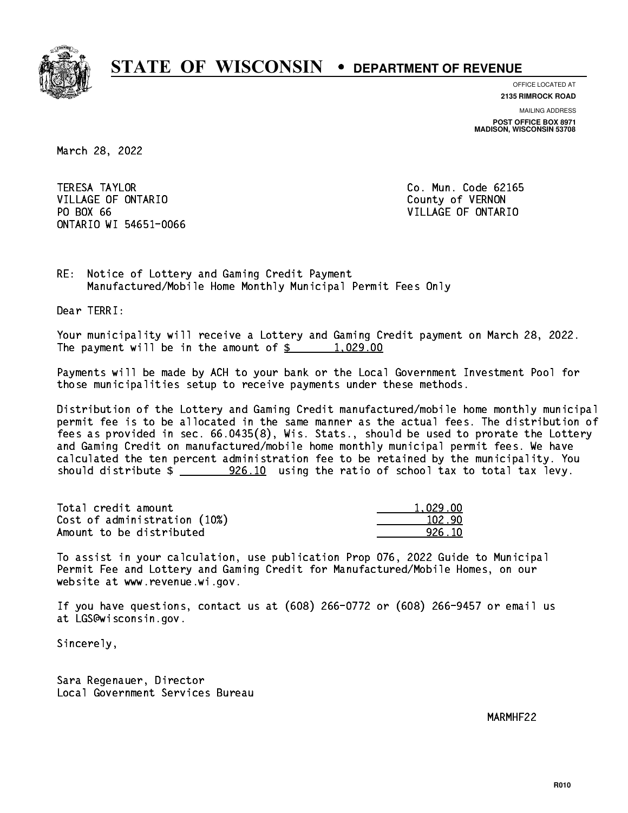

**OFFICE LOCATED AT**

**2135 RIMROCK ROAD**

**MAILING ADDRESS POST OFFICE BOX 8971 MADISON, WISCONSIN 53708**

March 28, 2022

**TERESA TAYLOR** VILLAGE OF ONTARIO **COUNTY OF SERVICE OF STATE OF STATE OF STATE OF STATE OF STATE OF STATE OF STATE OF STATE OF STATE OF STATE OF STATE OF STATE OF STATE OF STATE OF STATE OF STATE OF STATE OF STATE OF STATE OF STATE OF S** PO BOX 66 ONTARIO WI 54651-0066

Co. Mun. Code 62165 VILLAGE OF ONTARIO

RE: Notice of Lottery and Gaming Credit Payment Manufactured/Mobile Home Monthly Municipal Permit Fees Only

Dear TERRI:

 Your municipality will receive a Lottery and Gaming Credit payment on March 28, 2022. The payment will be in the amount of  $\frac{2}{3}$  1,029.00

 Payments will be made by ACH to your bank or the Local Government Investment Pool for those municipalities setup to receive payments under these methods.

 Distribution of the Lottery and Gaming Credit manufactured/mobile home monthly municipal permit fee is to be allocated in the same manner as the actual fees. The distribution of fees as provided in sec. 66.0435(8), Wis. Stats., should be used to prorate the Lottery and Gaming Credit on manufactured/mobile home monthly municipal permit fees. We have calculated the ten percent administration fee to be retained by the municipality. You should distribute  $\frac{26.10}{10}$  using the ratio of school tax to total tax levy.

| Total credit amount          | 1.029.00 |
|------------------------------|----------|
| Cost of administration (10%) | 102.90   |
| Amount to be distributed     | 926.10   |

 To assist in your calculation, use publication Prop 076, 2022 Guide to Municipal Permit Fee and Lottery and Gaming Credit for Manufactured/Mobile Homes, on our website at www.revenue.wi.gov.

 If you have questions, contact us at (608) 266-0772 or (608) 266-9457 or email us at LGS@wisconsin.gov.

Sincerely,

 Sara Regenauer, Director Local Government Services Bureau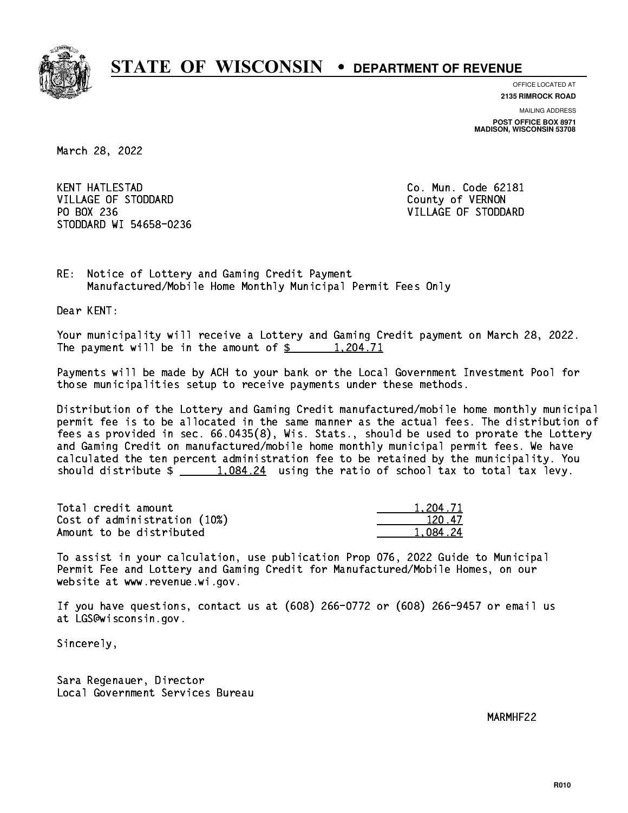

**OFFICE LOCATED AT**

**2135 RIMROCK ROAD**

**MAILING ADDRESS POST OFFICE BOX 8971 MADISON, WISCONSIN 53708**

March 28, 2022

**KENT HATLESTAD** VILLAGE OF STODDARD County of VERNON PO BOX 236 STODDARD WI 54658-0236

Co. Mun. Code 62181 VILLAGE OF STODDARD

RE: Notice of Lottery and Gaming Credit Payment Manufactured/Mobile Home Monthly Municipal Permit Fees Only

Dear KENT:

 Your municipality will receive a Lottery and Gaming Credit payment on March 28, 2022. The payment will be in the amount of  $\frac{2}{3}$  1,204.71

 Payments will be made by ACH to your bank or the Local Government Investment Pool for those municipalities setup to receive payments under these methods.

 Distribution of the Lottery and Gaming Credit manufactured/mobile home monthly municipal permit fee is to be allocated in the same manner as the actual fees. The distribution of fees as provided in sec. 66.0435(8), Wis. Stats., should be used to prorate the Lottery and Gaming Credit on manufactured/mobile home monthly municipal permit fees. We have calculated the ten percent administration fee to be retained by the municipality. You should distribute  $\frac{24}{1,084.24}$  using the ratio of school tax to total tax levy.

| Total credit amount          | 1,204.71 |
|------------------------------|----------|
| Cost of administration (10%) | 120.47   |
| Amount to be distributed     | 1.084.24 |

 To assist in your calculation, use publication Prop 076, 2022 Guide to Municipal Permit Fee and Lottery and Gaming Credit for Manufactured/Mobile Homes, on our website at www.revenue.wi.gov.

 If you have questions, contact us at (608) 266-0772 or (608) 266-9457 or email us at LGS@wisconsin.gov.

Sincerely,

 Sara Regenauer, Director Local Government Services Bureau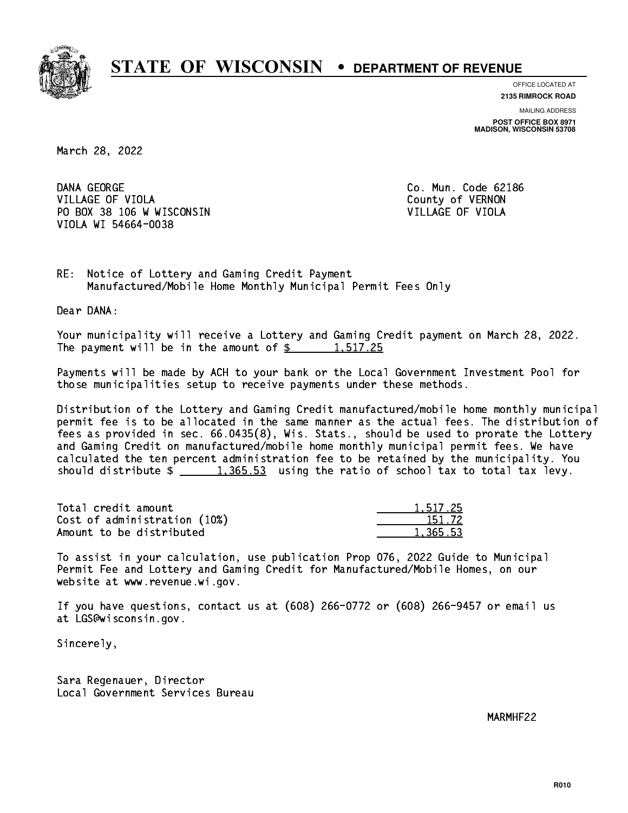

**OFFICE LOCATED AT**

**2135 RIMROCK ROAD**

**MAILING ADDRESS POST OFFICE BOX 8971 MADISON, WISCONSIN 53708**

March 28, 2022

DANA GEORGE VILLAGE OF VIOLA **COUNTY OF VIOLA** PO BOX 38 106 W WISCONSIN VILLAGE OF VIOLA VIOLA WI 54664-0038

Co. Mun. Code 62186

RE: Notice of Lottery and Gaming Credit Payment Manufactured/Mobile Home Monthly Municipal Permit Fees Only

Dear DANA:

 Your municipality will receive a Lottery and Gaming Credit payment on March 28, 2022. The payment will be in the amount of  $\frac{2}{3}$  1,517.25

 Payments will be made by ACH to your bank or the Local Government Investment Pool for those municipalities setup to receive payments under these methods.

 Distribution of the Lottery and Gaming Credit manufactured/mobile home monthly municipal permit fee is to be allocated in the same manner as the actual fees. The distribution of fees as provided in sec. 66.0435(8), Wis. Stats., should be used to prorate the Lottery and Gaming Credit on manufactured/mobile home monthly municipal permit fees. We have calculated the ten percent administration fee to be retained by the municipality. You should distribute  $\frac{1,365.53}{1,365.53}$  using the ratio of school tax to total tax levy.

| Total credit amount          | 1.517.25 |
|------------------------------|----------|
| Cost of administration (10%) | 151.72   |
| Amount to be distributed     | 1.365.53 |

 To assist in your calculation, use publication Prop 076, 2022 Guide to Municipal Permit Fee and Lottery and Gaming Credit for Manufactured/Mobile Homes, on our website at www.revenue.wi.gov.

 If you have questions, contact us at (608) 266-0772 or (608) 266-9457 or email us at LGS@wisconsin.gov.

Sincerely,

 Sara Regenauer, Director Local Government Services Bureau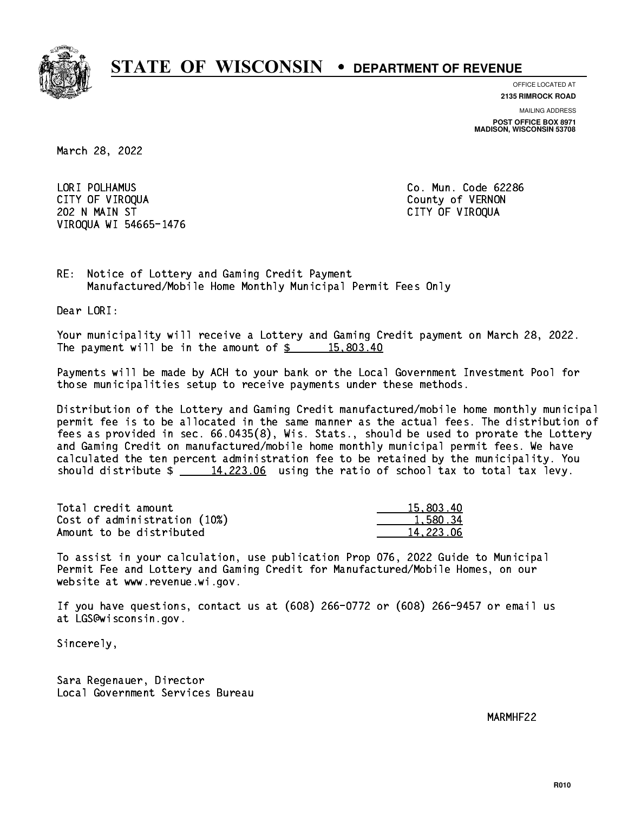

**OFFICE LOCATED AT**

**2135 RIMROCK ROAD**

**MAILING ADDRESS**

**POST OFFICE BOX 8971 MADISON, WISCONSIN 53708**

March 28, 2022

 LORI POLHAMUS Co. Mun. Code 62286 CITY OF VIROQUA COUNTY OF VERNON 202 N MAIN ST CITY OF VIROQUA VIROQUA WI 54665-1476

RE: Notice of Lottery and Gaming Credit Payment Manufactured/Mobile Home Monthly Municipal Permit Fees Only

Dear LORI:

 Your municipality will receive a Lottery and Gaming Credit payment on March 28, 2022. The payment will be in the amount of  $\frac{2}{3}$  15,803.40

 Payments will be made by ACH to your bank or the Local Government Investment Pool for those municipalities setup to receive payments under these methods.

 Distribution of the Lottery and Gaming Credit manufactured/mobile home monthly municipal permit fee is to be allocated in the same manner as the actual fees. The distribution of fees as provided in sec. 66.0435(8), Wis. Stats., should be used to prorate the Lottery and Gaming Credit on manufactured/mobile home monthly municipal permit fees. We have calculated the ten percent administration fee to be retained by the municipality. You should distribute  $\frac{14,223.06}{2}$  using the ratio of school tax to total tax levy.

| Total credit amount          | 15,803,40 |
|------------------------------|-----------|
| Cost of administration (10%) | 1.580.34  |
| Amount to be distributed     | 14.223.06 |

 To assist in your calculation, use publication Prop 076, 2022 Guide to Municipal Permit Fee and Lottery and Gaming Credit for Manufactured/Mobile Homes, on our website at www.revenue.wi.gov.

 If you have questions, contact us at (608) 266-0772 or (608) 266-9457 or email us at LGS@wisconsin.gov.

Sincerely,

 Sara Regenauer, Director Local Government Services Bureau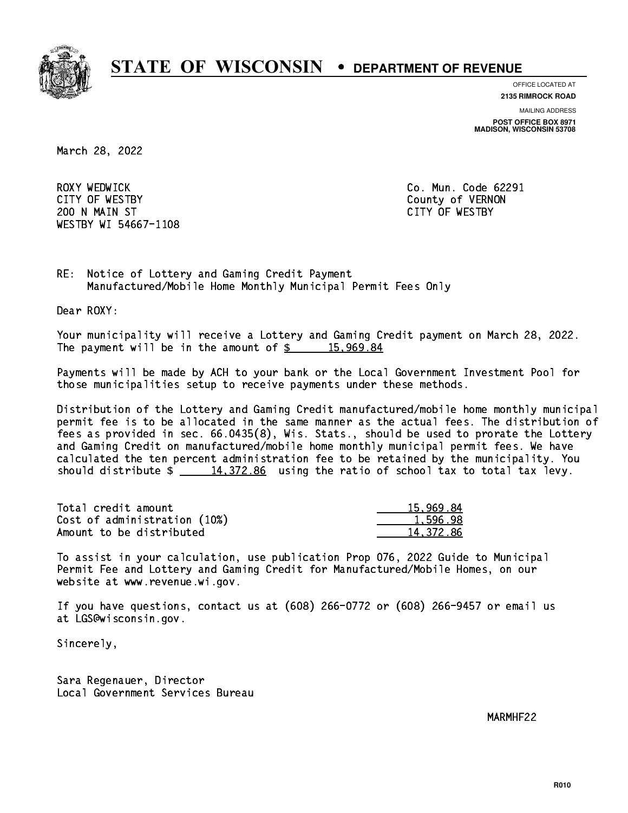

**OFFICE LOCATED AT**

**2135 RIMROCK ROAD**

**MAILING ADDRESS**

**POST OFFICE BOX 8971 MADISON, WISCONSIN 53708**

March 28, 2022

ROXY WEDWICK CITY OF WESTBY County of VERNON 200 N MAIN ST CITY OF WESTBY WESTBY WI 54667-1108

Co. Mun. Code 62291

RE: Notice of Lottery and Gaming Credit Payment Manufactured/Mobile Home Monthly Municipal Permit Fees Only

Dear ROXY:

 Your municipality will receive a Lottery and Gaming Credit payment on March 28, 2022. The payment will be in the amount of  $\frac{2}{3}$  15,969.84

 Payments will be made by ACH to your bank or the Local Government Investment Pool for those municipalities setup to receive payments under these methods.

 Distribution of the Lottery and Gaming Credit manufactured/mobile home monthly municipal permit fee is to be allocated in the same manner as the actual fees. The distribution of fees as provided in sec. 66.0435(8), Wis. Stats., should be used to prorate the Lottery and Gaming Credit on manufactured/mobile home monthly municipal permit fees. We have calculated the ten percent administration fee to be retained by the municipality. You should distribute  $\frac{14,372.86}{2}$  using the ratio of school tax to total tax levy.

| Total credit amount          | 15,969.84 |
|------------------------------|-----------|
| Cost of administration (10%) | 1,596.98  |
| Amount to be distributed     | 14.372.86 |

 To assist in your calculation, use publication Prop 076, 2022 Guide to Municipal Permit Fee and Lottery and Gaming Credit for Manufactured/Mobile Homes, on our website at www.revenue.wi.gov.

 If you have questions, contact us at (608) 266-0772 or (608) 266-9457 or email us at LGS@wisconsin.gov.

Sincerely,

 Sara Regenauer, Director Local Government Services Bureau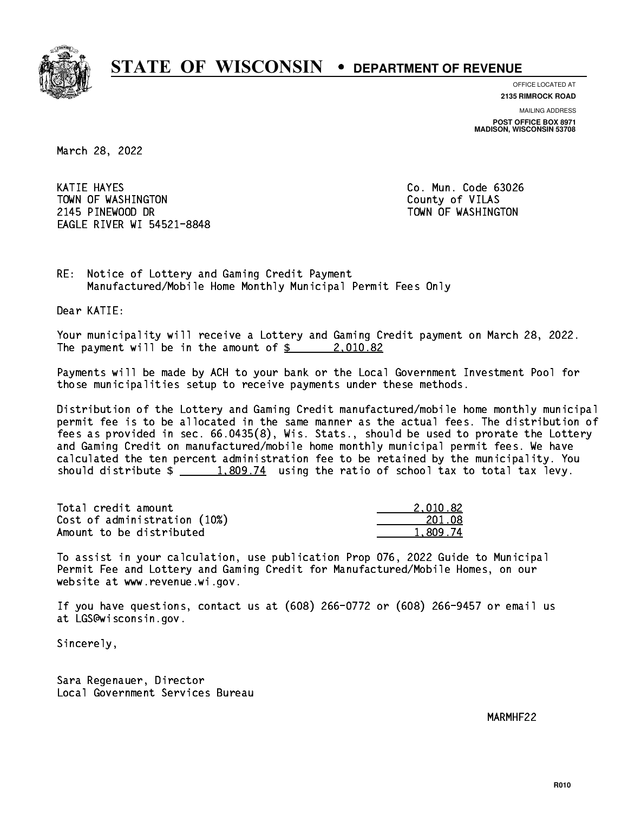

**OFFICE LOCATED AT**

**2135 RIMROCK ROAD**

**MAILING ADDRESS POST OFFICE BOX 8971 MADISON, WISCONSIN 53708**

March 28, 2022

 KATIE HAYES Co. Mun. Code 63026 TOWN OF WASHINGTON COUNTY OF VILAS 2145 PINEWOOD DR TOWN OF WASHINGTON EAGLE RIVER WI 54521-8848

RE: Notice of Lottery and Gaming Credit Payment Manufactured/Mobile Home Monthly Municipal Permit Fees Only

Dear KATIE:

 Your municipality will receive a Lottery and Gaming Credit payment on March 28, 2022. The payment will be in the amount of  $\frac{2}{3}$  2,010.82

 Payments will be made by ACH to your bank or the Local Government Investment Pool for those municipalities setup to receive payments under these methods.

 Distribution of the Lottery and Gaming Credit manufactured/mobile home monthly municipal permit fee is to be allocated in the same manner as the actual fees. The distribution of fees as provided in sec. 66.0435(8), Wis. Stats., should be used to prorate the Lottery and Gaming Credit on manufactured/mobile home monthly municipal permit fees. We have calculated the ten percent administration fee to be retained by the municipality. You should distribute  $\frac{1,809.74}{1,809.74}$  using the ratio of school tax to total tax levy.

| Total credit amount          | 2.010.82 |
|------------------------------|----------|
| Cost of administration (10%) | 201.08   |
| Amount to be distributed     | 1.809.74 |

 To assist in your calculation, use publication Prop 076, 2022 Guide to Municipal Permit Fee and Lottery and Gaming Credit for Manufactured/Mobile Homes, on our website at www.revenue.wi.gov.

 If you have questions, contact us at (608) 266-0772 or (608) 266-9457 or email us at LGS@wisconsin.gov.

Sincerely,

 Sara Regenauer, Director Local Government Services Bureau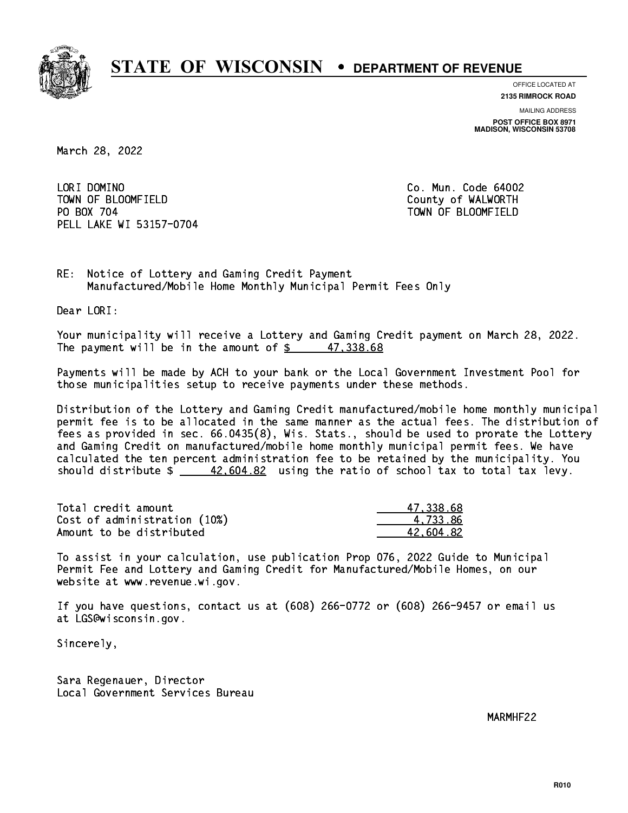

**OFFICE LOCATED AT**

**2135 RIMROCK ROAD**

**MAILING ADDRESS**

**POST OFFICE BOX 8971 MADISON, WISCONSIN 53708**

March 28, 2022

LORI DOMINO TOWN OF BLOOMFIELD County of WALWORTH PO BOX 704 PELL LAKE WI 53157-0704

Co. Mun. Code 64002 TOWN OF BLOOMFIELD

RE: Notice of Lottery and Gaming Credit Payment Manufactured/Mobile Home Monthly Municipal Permit Fees Only

Dear LORI:

 Your municipality will receive a Lottery and Gaming Credit payment on March 28, 2022. The payment will be in the amount of  $\frac{2}{3}$  47,338.68

 Payments will be made by ACH to your bank or the Local Government Investment Pool for those municipalities setup to receive payments under these methods.

 Distribution of the Lottery and Gaming Credit manufactured/mobile home monthly municipal permit fee is to be allocated in the same manner as the actual fees. The distribution of fees as provided in sec. 66.0435(8), Wis. Stats., should be used to prorate the Lottery and Gaming Credit on manufactured/mobile home monthly municipal permit fees. We have calculated the ten percent administration fee to be retained by the municipality. You should distribute  $\frac{42,604.82}{2}$  using the ratio of school tax to total tax levy.

| Total credit amount          | 47.338.68 |
|------------------------------|-----------|
| Cost of administration (10%) | 4.733.86  |
| Amount to be distributed     | 42.604.82 |

 To assist in your calculation, use publication Prop 076, 2022 Guide to Municipal Permit Fee and Lottery and Gaming Credit for Manufactured/Mobile Homes, on our website at www.revenue.wi.gov.

 If you have questions, contact us at (608) 266-0772 or (608) 266-9457 or email us at LGS@wisconsin.gov.

Sincerely,

 Sara Regenauer, Director Local Government Services Bureau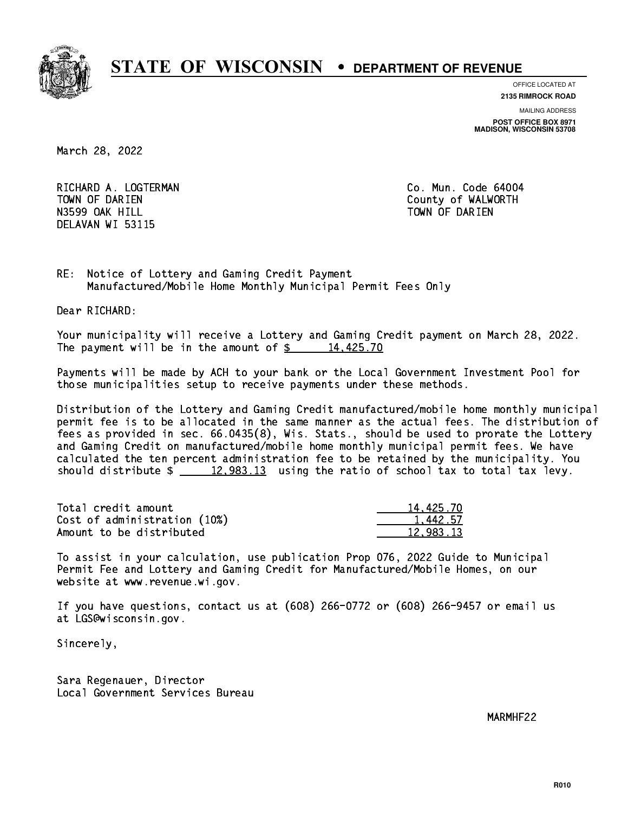

**OFFICE LOCATED AT**

**2135 RIMROCK ROAD**

**MAILING ADDRESS**

**POST OFFICE BOX 8971 MADISON, WISCONSIN 53708**

March 28, 2022

RICHARD A. LOGTERMAN **Co. Mun. Code 64004** TOWN OF DARIEN County of WALWORTH N3599 OAK HILL TOWN OF DARIEN OF DARIES OF DARIES OF DAYS OF DAYS OF DAYS OF DAYS OF DAYS OF DAYS OF DAYS OF D DELAVAN WI 53115

RE: Notice of Lottery and Gaming Credit Payment Manufactured/Mobile Home Monthly Municipal Permit Fees Only

Dear RICHARD:

 Your municipality will receive a Lottery and Gaming Credit payment on March 28, 2022. The payment will be in the amount of  $\frac{2}{3}$  14,425.70

 Payments will be made by ACH to your bank or the Local Government Investment Pool for those municipalities setup to receive payments under these methods.

 Distribution of the Lottery and Gaming Credit manufactured/mobile home monthly municipal permit fee is to be allocated in the same manner as the actual fees. The distribution of fees as provided in sec. 66.0435(8), Wis. Stats., should be used to prorate the Lottery and Gaming Credit on manufactured/mobile home monthly municipal permit fees. We have calculated the ten percent administration fee to be retained by the municipality. You should distribute  $\frac{2}{2}$   $\frac{12,983.13}{2}$  using the ratio of school tax to total tax levy.

| Total credit amount          | 14,425.70 |
|------------------------------|-----------|
| Cost of administration (10%) | 1.442.57  |
| Amount to be distributed     | 12,983.13 |

 To assist in your calculation, use publication Prop 076, 2022 Guide to Municipal Permit Fee and Lottery and Gaming Credit for Manufactured/Mobile Homes, on our website at www.revenue.wi.gov.

 If you have questions, contact us at (608) 266-0772 or (608) 266-9457 or email us at LGS@wisconsin.gov.

Sincerely,

 Sara Regenauer, Director Local Government Services Bureau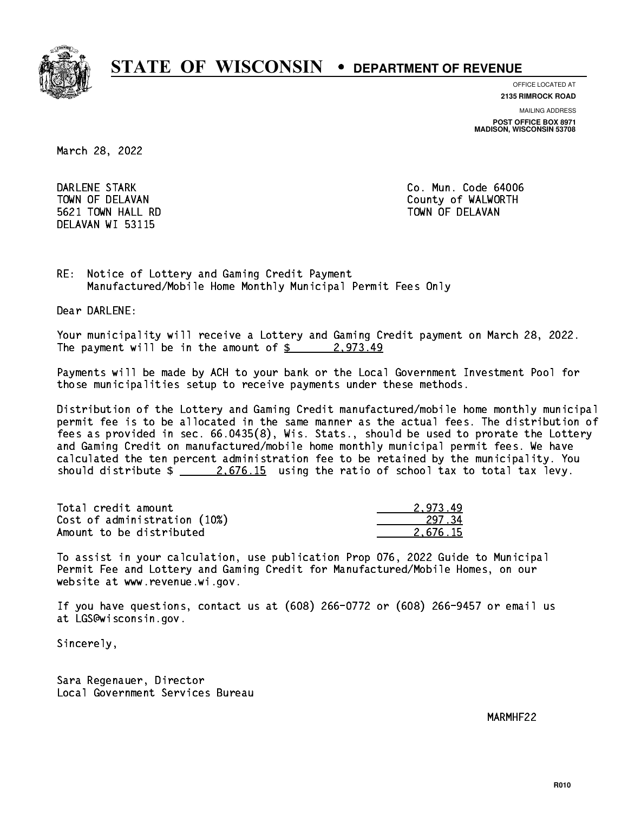

**OFFICE LOCATED AT**

**2135 RIMROCK ROAD**

**MAILING ADDRESS**

**POST OFFICE BOX 8971 MADISON, WISCONSIN 53708**

March 28, 2022

 DARLENE STARK Co. Mun. Code 64006 5621 TOWN HALL RD TOWN OF DELAVAN DELAVAN WI 53115

TOWN OF DELAVAN COUNTY OF WALWORTH

RE: Notice of Lottery and Gaming Credit Payment Manufactured/Mobile Home Monthly Municipal Permit Fees Only

Dear DARLENE:

 Your municipality will receive a Lottery and Gaming Credit payment on March 28, 2022. The payment will be in the amount of  $\frac{2}{9}$  2,973.49

 Payments will be made by ACH to your bank or the Local Government Investment Pool for those municipalities setup to receive payments under these methods.

 Distribution of the Lottery and Gaming Credit manufactured/mobile home monthly municipal permit fee is to be allocated in the same manner as the actual fees. The distribution of fees as provided in sec. 66.0435(8), Wis. Stats., should be used to prorate the Lottery and Gaming Credit on manufactured/mobile home monthly municipal permit fees. We have calculated the ten percent administration fee to be retained by the municipality. You should distribute  $\frac{2.676.15}{2.676.15}$  using the ratio of school tax to total tax levy.

| Total credit amount          | 2.973.49 |
|------------------------------|----------|
| Cost of administration (10%) | 297.34   |
| Amount to be distributed     | 2.676.15 |

 To assist in your calculation, use publication Prop 076, 2022 Guide to Municipal Permit Fee and Lottery and Gaming Credit for Manufactured/Mobile Homes, on our website at www.revenue.wi.gov.

 If you have questions, contact us at (608) 266-0772 or (608) 266-9457 or email us at LGS@wisconsin.gov.

Sincerely,

 Sara Regenauer, Director Local Government Services Bureau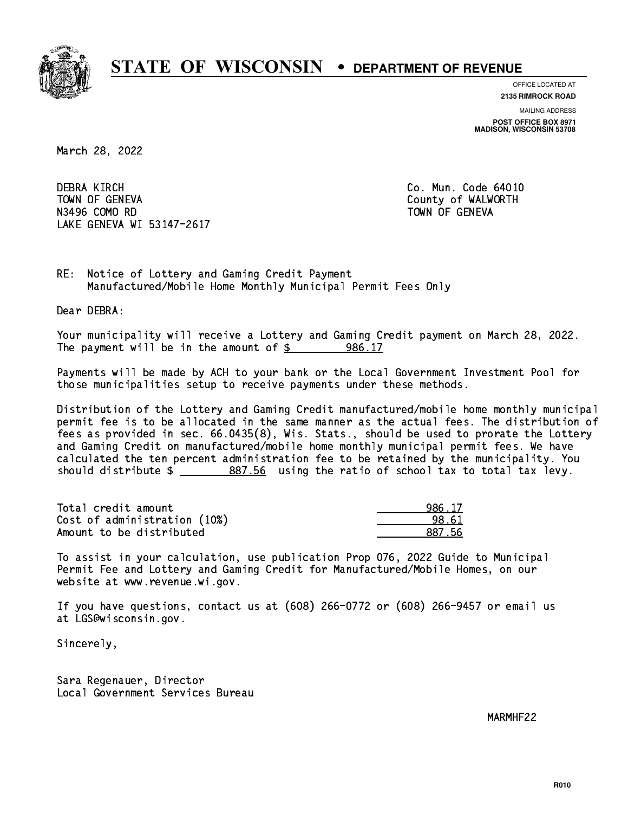

**OFFICE LOCATED AT**

**2135 RIMROCK ROAD**

**MAILING ADDRESS**

**POST OFFICE BOX 8971 MADISON, WISCONSIN 53708**

March 28, 2022

**DEBRA KIRCH**  TOWN OF GENEVA County of WALWORTH N3496 COMO RD N3496 COMO RD TOWN OF GENEVAL COMO RD TOWN OF GENEVAL COMO RD TOWN OF GENEVAL COMO RD TOWN OF GENEVAL COMO RD T LAKE GENEVA WI 53147-2617

Co. Mun. Code 64010

RE: Notice of Lottery and Gaming Credit Payment Manufactured/Mobile Home Monthly Municipal Permit Fees Only

Dear DEBRA:

 Your municipality will receive a Lottery and Gaming Credit payment on March 28, 2022. The payment will be in the amount of  $\frac{2}{3}$  986.17

 Payments will be made by ACH to your bank or the Local Government Investment Pool for those municipalities setup to receive payments under these methods.

 Distribution of the Lottery and Gaming Credit manufactured/mobile home monthly municipal permit fee is to be allocated in the same manner as the actual fees. The distribution of fees as provided in sec. 66.0435(8), Wis. Stats., should be used to prorate the Lottery and Gaming Credit on manufactured/mobile home monthly municipal permit fees. We have calculated the ten percent administration fee to be retained by the municipality. You should distribute  $\frac{2}{2}$   $\frac{887.56}{2}$  using the ratio of school tax to total tax levy.

| Total credit amount          | 986.17 |
|------------------------------|--------|
| Cost of administration (10%) | 98.61  |
| Amount to be distributed     | 887.56 |

| . 17  |
|-------|
| : 61  |
| 27 56 |

 To assist in your calculation, use publication Prop 076, 2022 Guide to Municipal Permit Fee and Lottery and Gaming Credit for Manufactured/Mobile Homes, on our website at www.revenue.wi.gov.

 If you have questions, contact us at (608) 266-0772 or (608) 266-9457 or email us at LGS@wisconsin.gov.

Sincerely,

 Sara Regenauer, Director Local Government Services Bureau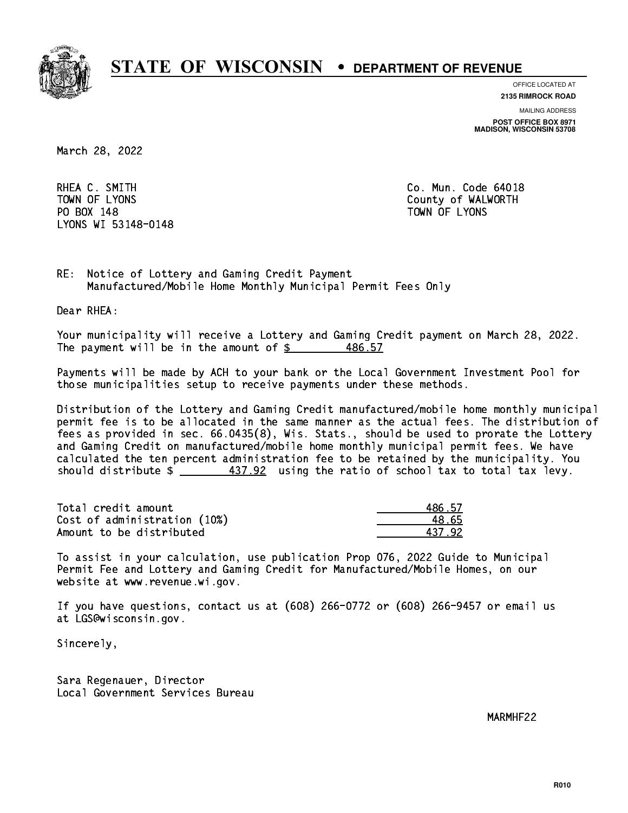

**OFFICE LOCATED AT**

**2135 RIMROCK ROAD**

**MAILING ADDRESS**

**POST OFFICE BOX 8971 MADISON, WISCONSIN 53708**

March 28, 2022

RHEA C. SMITH COMERCIAL COMUNICATION CO. Mun. Code 64018 PO BOX 148 PO BOX 148 TOWN OF LYONS LYONS WI 53148-0148

TOWN OF LYONS **County of WALWORTH** 

RE: Notice of Lottery and Gaming Credit Payment Manufactured/Mobile Home Monthly Municipal Permit Fees Only

Dear RHEA:

 Your municipality will receive a Lottery and Gaming Credit payment on March 28, 2022. The payment will be in the amount of  $\frac{2}{3}$ 486.57

 Payments will be made by ACH to your bank or the Local Government Investment Pool for those municipalities setup to receive payments under these methods.

 Distribution of the Lottery and Gaming Credit manufactured/mobile home monthly municipal permit fee is to be allocated in the same manner as the actual fees. The distribution of fees as provided in sec. 66.0435(8), Wis. Stats., should be used to prorate the Lottery and Gaming Credit on manufactured/mobile home monthly municipal permit fees. We have calculated the ten percent administration fee to be retained by the municipality. You should distribute  $\frac{437.92}{2}$  using the ratio of school tax to total tax levy.

Total credit amount Cost of administration (10%) Amount to be distributed

| 36.57  |
|--------|
| 1.65   |
| 37.92. |

 To assist in your calculation, use publication Prop 076, 2022 Guide to Municipal Permit Fee and Lottery and Gaming Credit for Manufactured/Mobile Homes, on our website at www.revenue.wi.gov.

 If you have questions, contact us at (608) 266-0772 or (608) 266-9457 or email us at LGS@wisconsin.gov.

Sincerely,

 Sara Regenauer, Director Local Government Services Bureau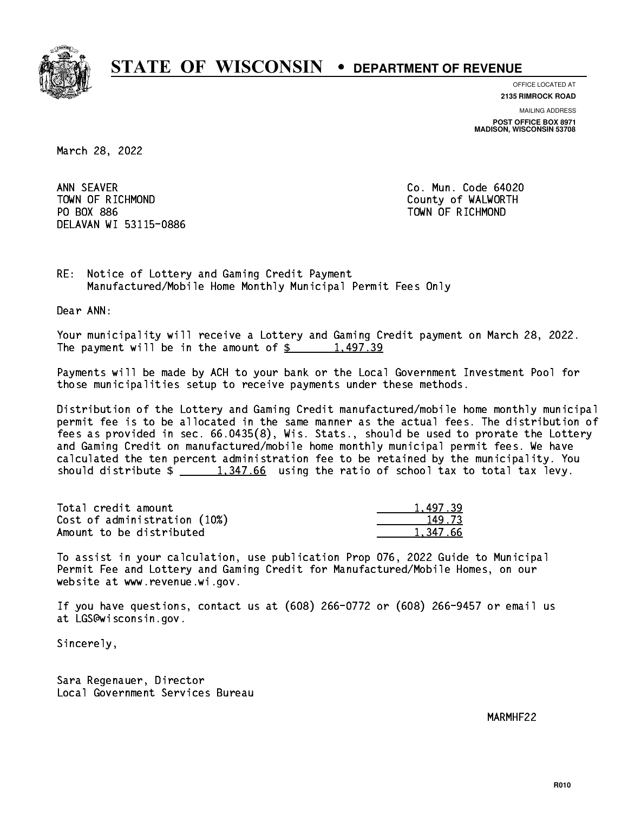

**OFFICE LOCATED AT**

**2135 RIMROCK ROAD**

**MAILING ADDRESS**

**POST OFFICE BOX 8971 MADISON, WISCONSIN 53708**

March 28, 2022

ANN SEAVER TOWN OF RICHMOND County of WALWORTH PO BOX 886 PO BOX 886 TOWN OF RICHMOND DELAVAN WI 53115-0886

Co. Mun. Code 64020

RE: Notice of Lottery and Gaming Credit Payment Manufactured/Mobile Home Monthly Municipal Permit Fees Only

Dear ANN:

 Your municipality will receive a Lottery and Gaming Credit payment on March 28, 2022. The payment will be in the amount of  $\frac{2}{3}$  1,497.39

 Payments will be made by ACH to your bank or the Local Government Investment Pool for those municipalities setup to receive payments under these methods.

 Distribution of the Lottery and Gaming Credit manufactured/mobile home monthly municipal permit fee is to be allocated in the same manner as the actual fees. The distribution of fees as provided in sec. 66.0435(8), Wis. Stats., should be used to prorate the Lottery and Gaming Credit on manufactured/mobile home monthly municipal permit fees. We have calculated the ten percent administration fee to be retained by the municipality. You should distribute  $\frac{1,347.66}{1,347.66}$  using the ratio of school tax to total tax levy.

| Total credit amount          | 1,497.39 |
|------------------------------|----------|
| Cost of administration (10%) | 149.73   |
| Amount to be distributed     | 1.347.66 |

 To assist in your calculation, use publication Prop 076, 2022 Guide to Municipal Permit Fee and Lottery and Gaming Credit for Manufactured/Mobile Homes, on our website at www.revenue.wi.gov.

 If you have questions, contact us at (608) 266-0772 or (608) 266-9457 or email us at LGS@wisconsin.gov.

Sincerely,

 Sara Regenauer, Director Local Government Services Bureau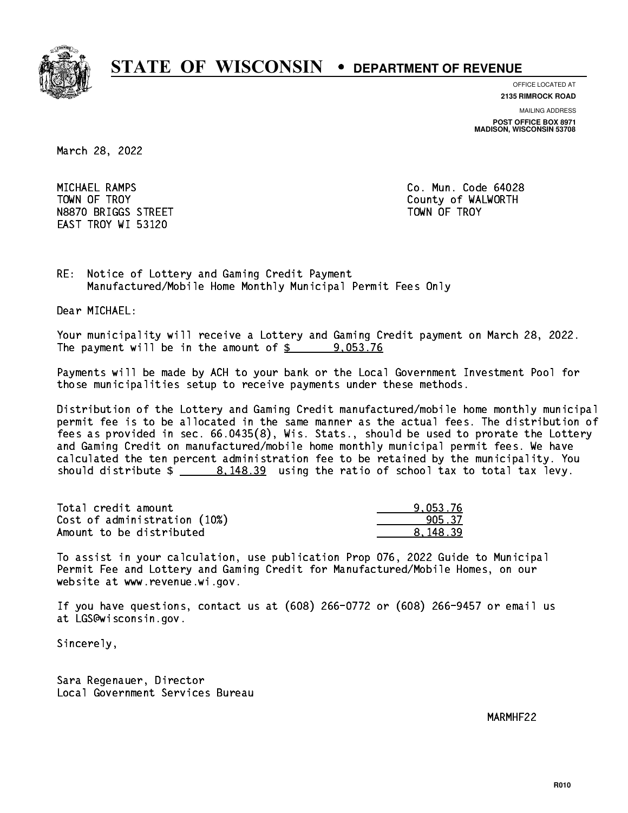

**OFFICE LOCATED AT**

**2135 RIMROCK ROAD**

**MAILING ADDRESS**

**POST OFFICE BOX 8971 MADISON, WISCONSIN 53708**

March 28, 2022

 MICHAEL RAMPS Co. Mun. Code 64028 TOWN OF TROY **COUNTY COUNTY COUNTY OF WALWORTH** N8870 BRIGGS STREET TOWN OF TROY EAST TROY WI 53120

RE: Notice of Lottery and Gaming Credit Payment Manufactured/Mobile Home Monthly Municipal Permit Fees Only

Dear MICHAEL:

 Your municipality will receive a Lottery and Gaming Credit payment on March 28, 2022. The payment will be in the amount of  $\frac{2}{3}$  9,053.76

 Payments will be made by ACH to your bank or the Local Government Investment Pool for those municipalities setup to receive payments under these methods.

 Distribution of the Lottery and Gaming Credit manufactured/mobile home monthly municipal permit fee is to be allocated in the same manner as the actual fees. The distribution of fees as provided in sec. 66.0435(8), Wis. Stats., should be used to prorate the Lottery and Gaming Credit on manufactured/mobile home monthly municipal permit fees. We have calculated the ten percent administration fee to be retained by the municipality. You should distribute  $\frac{2}{1}$   $\frac{8,148.39}{2}$  using the ratio of school tax to total tax levy.

| Total credit amount          | 9.053.76 |
|------------------------------|----------|
| Cost of administration (10%) | 905.37   |
| Amount to be distributed     | 8.148.39 |

 To assist in your calculation, use publication Prop 076, 2022 Guide to Municipal Permit Fee and Lottery and Gaming Credit for Manufactured/Mobile Homes, on our website at www.revenue.wi.gov.

 If you have questions, contact us at (608) 266-0772 or (608) 266-9457 or email us at LGS@wisconsin.gov.

Sincerely,

 Sara Regenauer, Director Local Government Services Bureau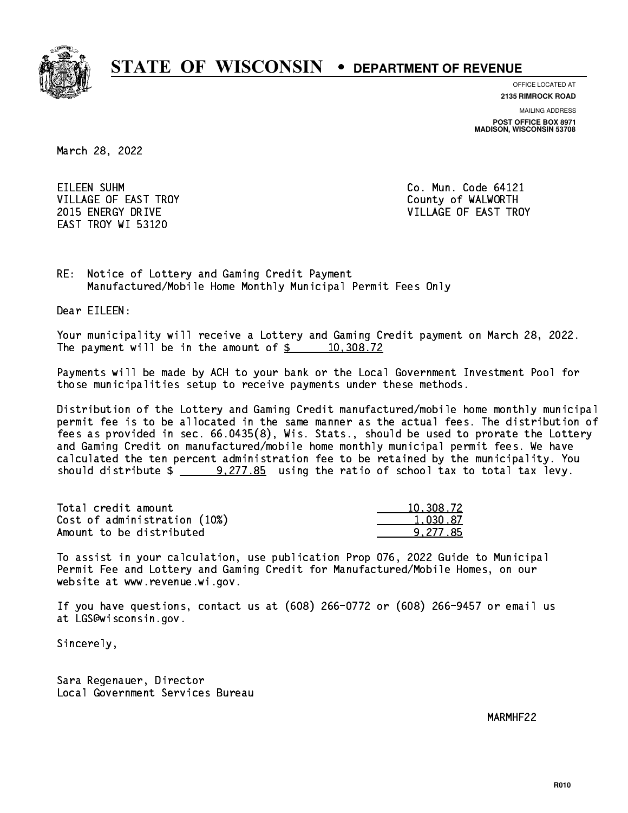

**OFFICE LOCATED AT**

**2135 RIMROCK ROAD**

**MAILING ADDRESS**

**POST OFFICE BOX 8971 MADISON, WISCONSIN 53708**

March 28, 2022

EILEEN SUHM VILLAGE OF EAST TROY COUNTY OF WALWORTH EAST TROY WI 53120

Co. Mun. Code 64121 2015 ENERGY DRIVE VILLAGE OF EAST TROY

RE: Notice of Lottery and Gaming Credit Payment Manufactured/Mobile Home Monthly Municipal Permit Fees Only

Dear EILEEN:

 Your municipality will receive a Lottery and Gaming Credit payment on March 28, 2022. The payment will be in the amount of  $\frac{2}{3}$  10,308.72

 Payments will be made by ACH to your bank or the Local Government Investment Pool for those municipalities setup to receive payments under these methods.

 Distribution of the Lottery and Gaming Credit manufactured/mobile home monthly municipal permit fee is to be allocated in the same manner as the actual fees. The distribution of fees as provided in sec. 66.0435(8), Wis. Stats., should be used to prorate the Lottery and Gaming Credit on manufactured/mobile home monthly municipal permit fees. We have calculated the ten percent administration fee to be retained by the municipality. You should distribute  $\frac{20,277.85}{20,277.85}$  using the ratio of school tax to total tax levy.

| Total credit amount          | 10,308.72 |
|------------------------------|-----------|
| Cost of administration (10%) | 1.030.87  |
| Amount to be distributed     | 9.277.85  |

 To assist in your calculation, use publication Prop 076, 2022 Guide to Municipal Permit Fee and Lottery and Gaming Credit for Manufactured/Mobile Homes, on our website at www.revenue.wi.gov.

 If you have questions, contact us at (608) 266-0772 or (608) 266-9457 or email us at LGS@wisconsin.gov.

Sincerely,

 Sara Regenauer, Director Local Government Services Bureau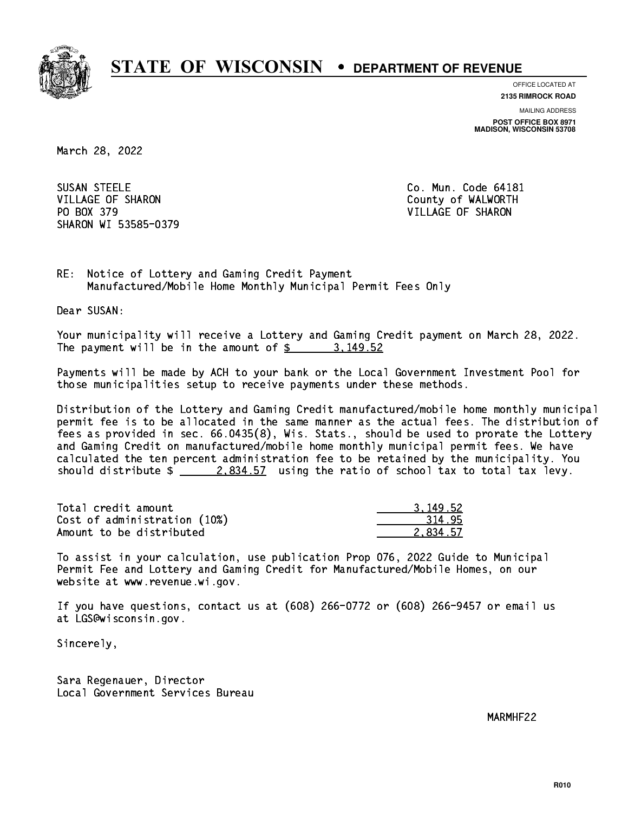

**OFFICE LOCATED AT**

**2135 RIMROCK ROAD**

**MAILING ADDRESS POST OFFICE BOX 8971 MADISON, WISCONSIN 53708**

March 28, 2022

**SUSAN STEELE** VILLAGE OF SHARON **COUNTY OF SHARON COULD A** COUNTY OF WALWORTH PO BOX 379 VILLAGE OF SHARON SHARON WI 53585-0379

Co. Mun. Code 64181

RE: Notice of Lottery and Gaming Credit Payment Manufactured/Mobile Home Monthly Municipal Permit Fees Only

Dear SUSAN:

 Your municipality will receive a Lottery and Gaming Credit payment on March 28, 2022. The payment will be in the amount of \$ 3,149.52 \_\_\_\_\_\_\_\_\_\_\_\_\_\_\_\_

 Payments will be made by ACH to your bank or the Local Government Investment Pool for those municipalities setup to receive payments under these methods.

 Distribution of the Lottery and Gaming Credit manufactured/mobile home monthly municipal permit fee is to be allocated in the same manner as the actual fees. The distribution of fees as provided in sec. 66.0435(8), Wis. Stats., should be used to prorate the Lottery and Gaming Credit on manufactured/mobile home monthly municipal permit fees. We have calculated the ten percent administration fee to be retained by the municipality. You should distribute  $\frac{2.834.57}{2.834.57}$  using the ratio of school tax to total tax levy.

| Total credit amount          | 3.149.52 |
|------------------------------|----------|
| Cost of administration (10%) | 314.95   |
| Amount to be distributed     | 2.834.57 |

 To assist in your calculation, use publication Prop 076, 2022 Guide to Municipal Permit Fee and Lottery and Gaming Credit for Manufactured/Mobile Homes, on our website at www.revenue.wi.gov.

 If you have questions, contact us at (608) 266-0772 or (608) 266-9457 or email us at LGS@wisconsin.gov.

Sincerely,

 Sara Regenauer, Director Local Government Services Bureau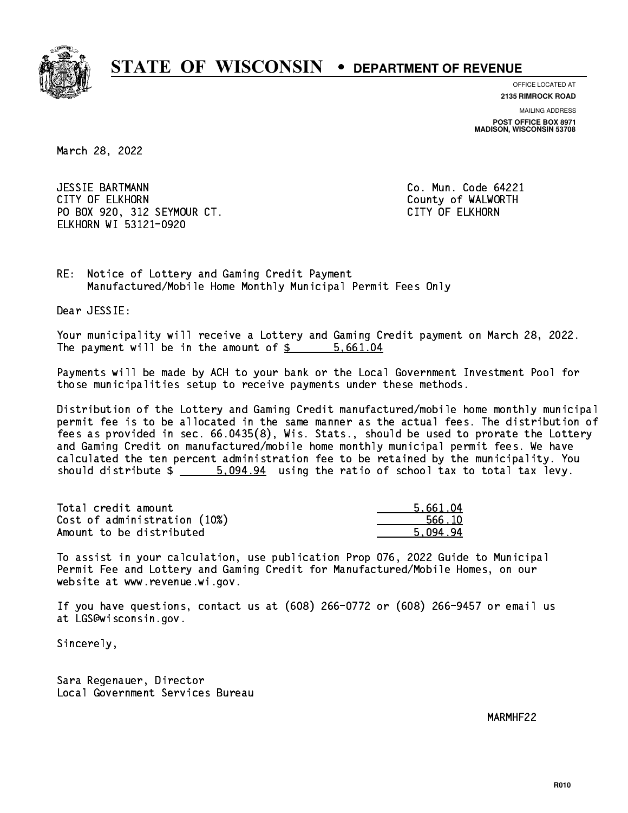

**OFFICE LOCATED AT**

**2135 RIMROCK ROAD**

**MAILING ADDRESS**

**POST OFFICE BOX 8971 MADISON, WISCONSIN 53708**

March 28, 2022

 JESSIE BARTMANN Co. Mun. Code 64221 CITY OF ELKHORN County of WALWORTH PO BOX 920, 312 SEYMOUR CT. CITY OF ELKHORN ELKHORN WI 53121-0920

RE: Notice of Lottery and Gaming Credit Payment Manufactured/Mobile Home Monthly Municipal Permit Fees Only

Dear JESSIE:

 Your municipality will receive a Lottery and Gaming Credit payment on March 28, 2022. The payment will be in the amount of \$ 5,661.04 \_\_\_\_\_\_\_\_\_\_\_\_\_\_\_\_

 Payments will be made by ACH to your bank or the Local Government Investment Pool for those municipalities setup to receive payments under these methods.

 Distribution of the Lottery and Gaming Credit manufactured/mobile home monthly municipal permit fee is to be allocated in the same manner as the actual fees. The distribution of fees as provided in sec. 66.0435(8), Wis. Stats., should be used to prorate the Lottery and Gaming Credit on manufactured/mobile home monthly municipal permit fees. We have calculated the ten percent administration fee to be retained by the municipality. You should distribute  $\frac{2}{1}$   $\frac{5.094.94}{94}$  using the ratio of school tax to total tax levy.

| Total credit amount          | 5.661.04 |
|------------------------------|----------|
| Cost of administration (10%) | 566.10   |
| Amount to be distributed     | 5.094.94 |

 To assist in your calculation, use publication Prop 076, 2022 Guide to Municipal Permit Fee and Lottery and Gaming Credit for Manufactured/Mobile Homes, on our website at www.revenue.wi.gov.

 If you have questions, contact us at (608) 266-0772 or (608) 266-9457 or email us at LGS@wisconsin.gov.

Sincerely,

 Sara Regenauer, Director Local Government Services Bureau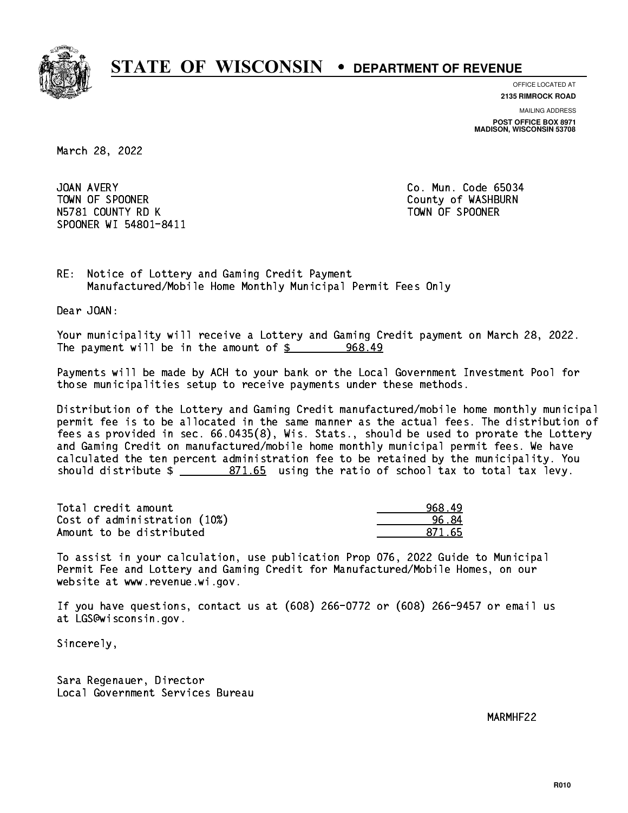

**OFFICE LOCATED AT 2135 RIMROCK ROAD**

**MAILING ADDRESS**

**POST OFFICE BOX 8971 MADISON, WISCONSIN 53708**

March 28, 2022

JOAN AVERY TOWN OF SPOONER County of WASHBURN N5781 COUNTY RD K TOWN OF SPOONER SPOONER WI 54801-8411

Co. Mun. Code 65034

RE: Notice of Lottery and Gaming Credit Payment Manufactured/Mobile Home Monthly Municipal Permit Fees Only

Dear JOAN:

 Your municipality will receive a Lottery and Gaming Credit payment on March 28, 2022. The payment will be in the amount of  $\frac{2}{3}$ 968.49

 Payments will be made by ACH to your bank or the Local Government Investment Pool for those municipalities setup to receive payments under these methods.

 Distribution of the Lottery and Gaming Credit manufactured/mobile home monthly municipal permit fee is to be allocated in the same manner as the actual fees. The distribution of fees as provided in sec. 66.0435(8), Wis. Stats., should be used to prorate the Lottery and Gaming Credit on manufactured/mobile home monthly municipal permit fees. We have calculated the ten percent administration fee to be retained by the municipality. You should distribute  $\frac{2}{2}$   $\frac{871.65}{2}$  using the ratio of school tax to total tax levy.

| Total credit amount          | 968.49 |
|------------------------------|--------|
| Cost of administration (10%) | 96.84  |
| Amount to be distributed     | 871 65 |

 To assist in your calculation, use publication Prop 076, 2022 Guide to Municipal Permit Fee and Lottery and Gaming Credit for Manufactured/Mobile Homes, on our website at www.revenue.wi.gov.

 If you have questions, contact us at (608) 266-0772 or (608) 266-9457 or email us at LGS@wisconsin.gov.

Sincerely,

 Sara Regenauer, Director Local Government Services Bureau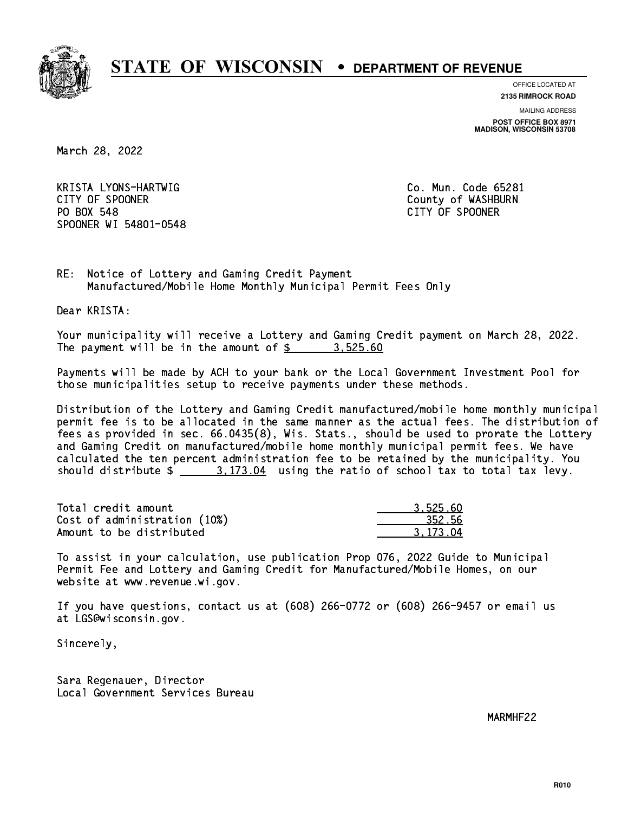

**OFFICE LOCATED AT**

**2135 RIMROCK ROAD**

**MAILING ADDRESS**

**POST OFFICE BOX 8971 MADISON, WISCONSIN 53708**

March 28, 2022

 KRISTA LYONS-HARTWIG Co. Mun. Code 65281 CITY OF SPOONER COUNTY OF SPOONER PO BOX 548 PO BOX 548 CITY OF SPOONER SPOONER WI 54801-0548

RE: Notice of Lottery and Gaming Credit Payment Manufactured/Mobile Home Monthly Municipal Permit Fees Only

Dear KRISTA:

 Your municipality will receive a Lottery and Gaming Credit payment on March 28, 2022. The payment will be in the amount of  $\frac{2}{3}$  3,525.60

 Payments will be made by ACH to your bank or the Local Government Investment Pool for those municipalities setup to receive payments under these methods.

 Distribution of the Lottery and Gaming Credit manufactured/mobile home monthly municipal permit fee is to be allocated in the same manner as the actual fees. The distribution of fees as provided in sec. 66.0435(8), Wis. Stats., should be used to prorate the Lottery and Gaming Credit on manufactured/mobile home monthly municipal permit fees. We have calculated the ten percent administration fee to be retained by the municipality. You should distribute  $\frac{2}{1}$   $\frac{3.173.04}{2}$  using the ratio of school tax to total tax levy.

| Total credit amount          | 3.525.60 |
|------------------------------|----------|
| Cost of administration (10%) | 352.56   |
| Amount to be distributed     | 3.173.04 |

 To assist in your calculation, use publication Prop 076, 2022 Guide to Municipal Permit Fee and Lottery and Gaming Credit for Manufactured/Mobile Homes, on our website at www.revenue.wi.gov.

 If you have questions, contact us at (608) 266-0772 or (608) 266-9457 or email us at LGS@wisconsin.gov.

Sincerely,

 Sara Regenauer, Director Local Government Services Bureau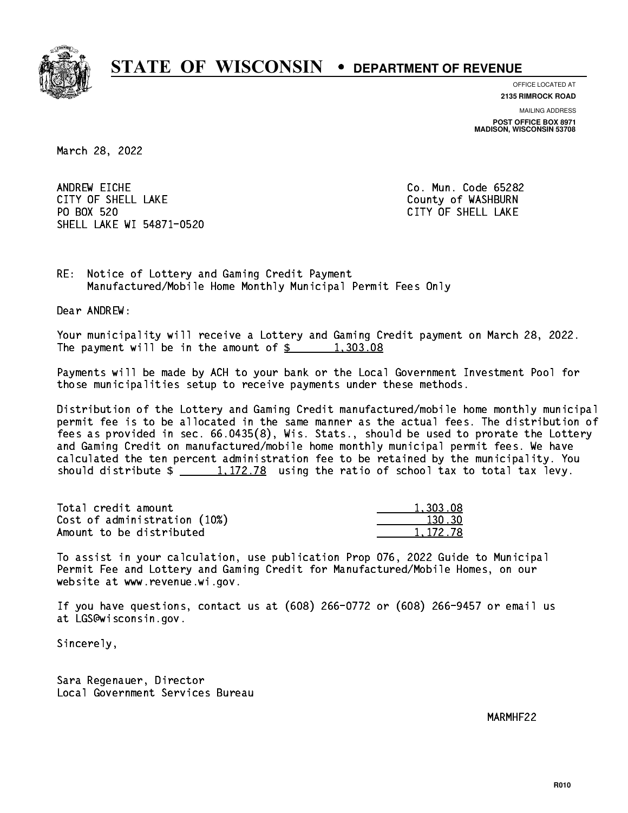

**OFFICE LOCATED AT**

**2135 RIMROCK ROAD**

**MAILING ADDRESS**

**POST OFFICE BOX 8971 MADISON, WISCONSIN 53708**

March 28, 2022

ANDREW EICHE CITY OF SHELL LAKE **COUNTY OF SHELL LAKE** PO BOX 520 SHELL LAKE WI 54871-0520

Co. Mun. Code 65282 CITY OF SHELL LAKE

RE: Notice of Lottery and Gaming Credit Payment Manufactured/Mobile Home Monthly Municipal Permit Fees Only

Dear ANDREW:

 Your municipality will receive a Lottery and Gaming Credit payment on March 28, 2022. The payment will be in the amount of  $\frac{2}{3}$  1,303.08

 Payments will be made by ACH to your bank or the Local Government Investment Pool for those municipalities setup to receive payments under these methods.

 Distribution of the Lottery and Gaming Credit manufactured/mobile home monthly municipal permit fee is to be allocated in the same manner as the actual fees. The distribution of fees as provided in sec. 66.0435(8), Wis. Stats., should be used to prorate the Lottery and Gaming Credit on manufactured/mobile home monthly municipal permit fees. We have calculated the ten percent administration fee to be retained by the municipality. You should distribute  $\frac{1,172.78}{1,172.78}$  using the ratio of school tax to total tax levy.

| Total credit amount          | 1,303.08 |
|------------------------------|----------|
| Cost of administration (10%) | 130.30   |
| Amount to be distributed     | 1,172.78 |

 To assist in your calculation, use publication Prop 076, 2022 Guide to Municipal Permit Fee and Lottery and Gaming Credit for Manufactured/Mobile Homes, on our website at www.revenue.wi.gov.

 If you have questions, contact us at (608) 266-0772 or (608) 266-9457 or email us at LGS@wisconsin.gov.

Sincerely,

 Sara Regenauer, Director Local Government Services Bureau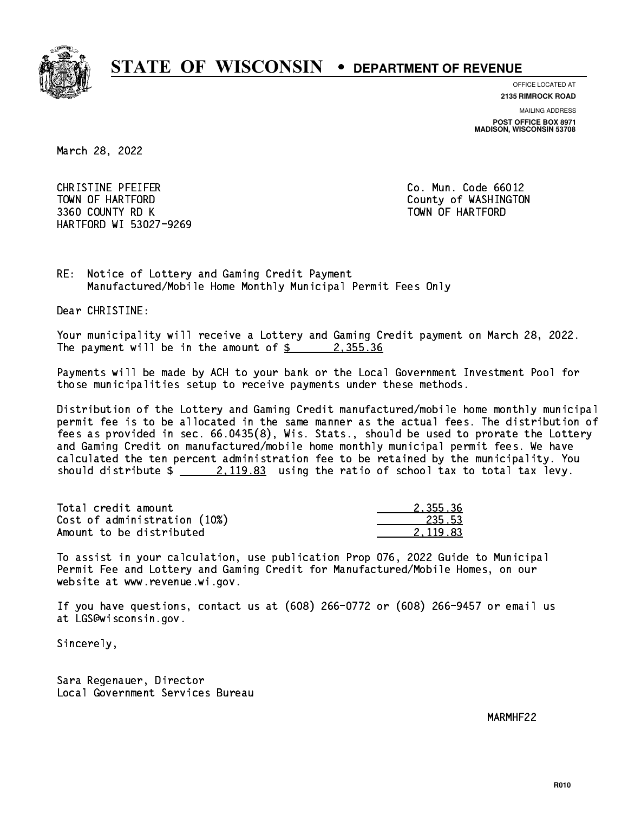

**OFFICE LOCATED AT**

**2135 RIMROCK ROAD**

**MAILING ADDRESS**

**POST OFFICE BOX 8971 MADISON, WISCONSIN 53708**

March 28, 2022

 CHRISTINE PFEIFER Co. Mun. Code 66012 TOWN OF HARTFORD County of WASHINGTON 3360 COUNTY RD K TOWN OF HARTFORD HARTFORD WI 53027-9269

RE: Notice of Lottery and Gaming Credit Payment Manufactured/Mobile Home Monthly Municipal Permit Fees Only

Dear CHRISTINE:

 Your municipality will receive a Lottery and Gaming Credit payment on March 28, 2022. The payment will be in the amount of  $\frac{2}{3}$  2,355.36

 Payments will be made by ACH to your bank or the Local Government Investment Pool for those municipalities setup to receive payments under these methods.

 Distribution of the Lottery and Gaming Credit manufactured/mobile home monthly municipal permit fee is to be allocated in the same manner as the actual fees. The distribution of fees as provided in sec. 66.0435(8), Wis. Stats., should be used to prorate the Lottery and Gaming Credit on manufactured/mobile home monthly municipal permit fees. We have calculated the ten percent administration fee to be retained by the municipality. You should distribute  $\frac{2,119.83}{2}$  using the ratio of school tax to total tax levy.

| Total credit amount          | 2.355.36 |
|------------------------------|----------|
| Cost of administration (10%) | 235.53   |
| Amount to be distributed     | 2.119.83 |

 To assist in your calculation, use publication Prop 076, 2022 Guide to Municipal Permit Fee and Lottery and Gaming Credit for Manufactured/Mobile Homes, on our website at www.revenue.wi.gov.

 If you have questions, contact us at (608) 266-0772 or (608) 266-9457 or email us at LGS@wisconsin.gov.

Sincerely,

 Sara Regenauer, Director Local Government Services Bureau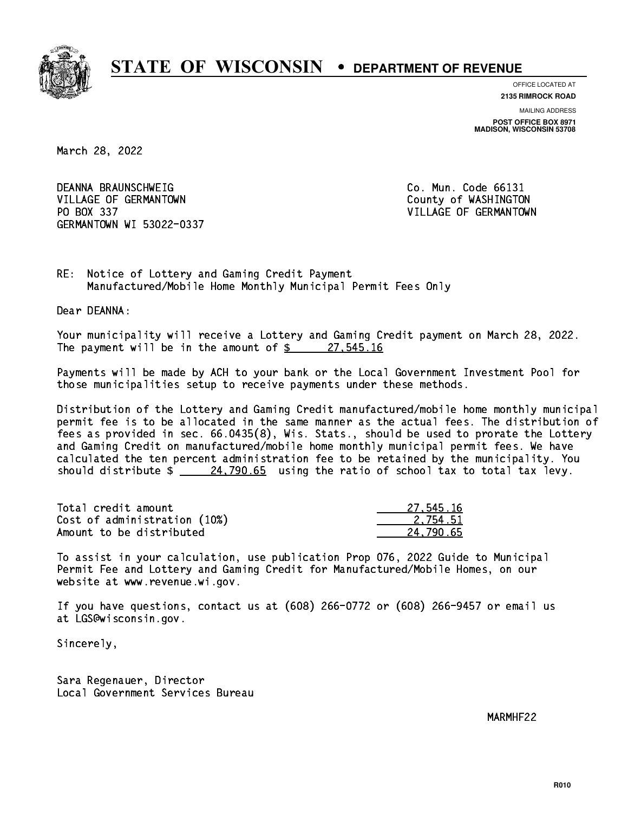

**OFFICE LOCATED AT**

**2135 RIMROCK ROAD**

**MAILING ADDRESS POST OFFICE BOX 8971 MADISON, WISCONSIN 53708**

March 28, 2022

 DEANNA BRAUNSCHWEIG Co. Mun. Code 66131 VILLAGE OF GERMANTOWN COUNTY OF WASHINGTON PO BOX 337 VILLAGE OF GERMANTOWN GERMANTOWN WI 53022-0337

RE: Notice of Lottery and Gaming Credit Payment Manufactured/Mobile Home Monthly Municipal Permit Fees Only

Dear DEANNA:

 Your municipality will receive a Lottery and Gaming Credit payment on March 28, 2022. The payment will be in the amount of  $\frac{27}{545.16}$ 

 Payments will be made by ACH to your bank or the Local Government Investment Pool for those municipalities setup to receive payments under these methods.

 Distribution of the Lottery and Gaming Credit manufactured/mobile home monthly municipal permit fee is to be allocated in the same manner as the actual fees. The distribution of fees as provided in sec. 66.0435(8), Wis. Stats., should be used to prorate the Lottery and Gaming Credit on manufactured/mobile home monthly municipal permit fees. We have calculated the ten percent administration fee to be retained by the municipality. You should distribute  $\frac{24,790.65}{24,790.65}$  using the ratio of school tax to total tax levy.

| Total credit amount          | 27.545.16 |
|------------------------------|-----------|
| Cost of administration (10%) | 2.754.51  |
| Amount to be distributed     | 24.790.65 |

 To assist in your calculation, use publication Prop 076, 2022 Guide to Municipal Permit Fee and Lottery and Gaming Credit for Manufactured/Mobile Homes, on our website at www.revenue.wi.gov.

 If you have questions, contact us at (608) 266-0772 or (608) 266-9457 or email us at LGS@wisconsin.gov.

Sincerely,

 Sara Regenauer, Director Local Government Services Bureau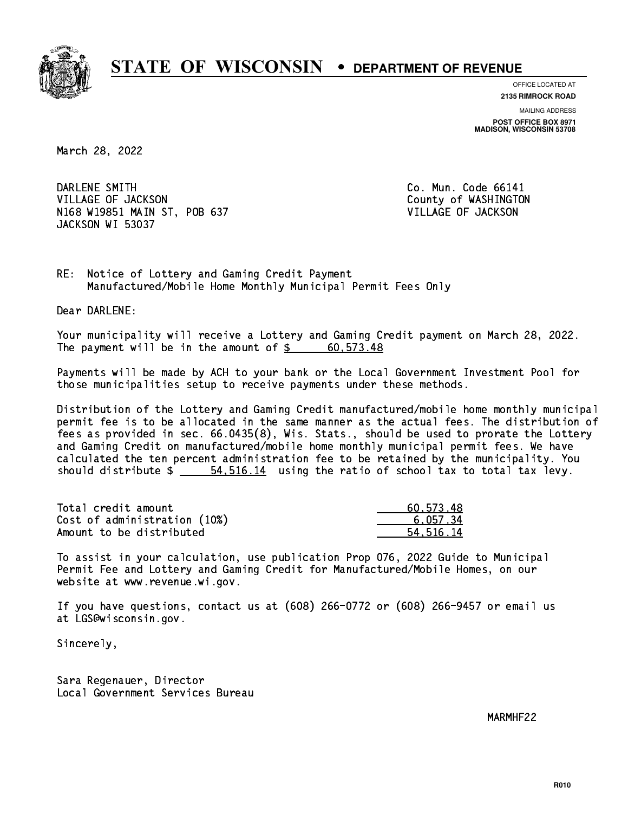

**OFFICE LOCATED AT 2135 RIMROCK ROAD**

**MAILING ADDRESS**

**POST OFFICE BOX 8971 MADISON, WISCONSIN 53708**

March 28, 2022

DARLENE SMITH VILLAGE OF JACKSON COUNTY OF WASHINGTON N168 W19851 MAIN ST, POB 637 VILLAGE OF JACKSON JACKSON WI 53037

Co. Mun. Code 66141

RE: Notice of Lottery and Gaming Credit Payment Manufactured/Mobile Home Monthly Municipal Permit Fees Only

Dear DARLENE:

 Your municipality will receive a Lottery and Gaming Credit payment on March 28, 2022. The payment will be in the amount of  $\frac{2}{3}$  60,573.48

 Payments will be made by ACH to your bank or the Local Government Investment Pool for those municipalities setup to receive payments under these methods.

 Distribution of the Lottery and Gaming Credit manufactured/mobile home monthly municipal permit fee is to be allocated in the same manner as the actual fees. The distribution of fees as provided in sec. 66.0435(8), Wis. Stats., should be used to prorate the Lottery and Gaming Credit on manufactured/mobile home monthly municipal permit fees. We have calculated the ten percent administration fee to be retained by the municipality. You should distribute  $\frac{2}{1}$   $\frac{54,516.14}{1}$  using the ratio of school tax to total tax levy.

| Total credit amount          | 60.573.48 |
|------------------------------|-----------|
| Cost of administration (10%) | 6.057.34  |
| Amount to be distributed     | 54.516.14 |

 To assist in your calculation, use publication Prop 076, 2022 Guide to Municipal Permit Fee and Lottery and Gaming Credit for Manufactured/Mobile Homes, on our website at www.revenue.wi.gov.

 If you have questions, contact us at (608) 266-0772 or (608) 266-9457 or email us at LGS@wisconsin.gov.

Sincerely,

 Sara Regenauer, Director Local Government Services Bureau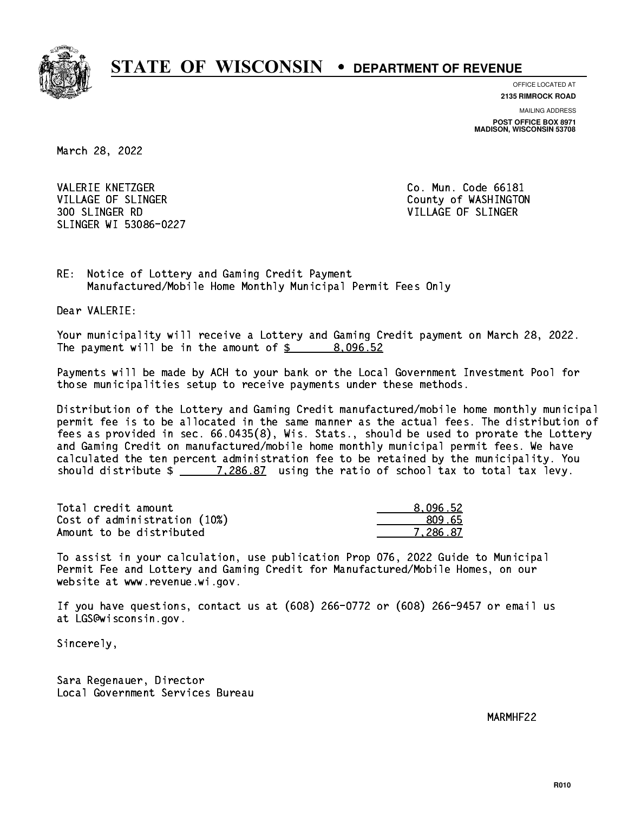

**OFFICE LOCATED AT**

**2135 RIMROCK ROAD**

**MAILING ADDRESS**

**POST OFFICE BOX 8971 MADISON, WISCONSIN 53708**

March 28, 2022

VALERIE KNETZGER CO. Mun. Code 66181 VILLAGE OF SLINGER COUNTY OF WASHINGTON 300 SLINGER RD VILLAGE OF SLINGER SLINGER WI 53086-0227

RE: Notice of Lottery and Gaming Credit Payment Manufactured/Mobile Home Monthly Municipal Permit Fees Only

Dear VALERIE:

 Your municipality will receive a Lottery and Gaming Credit payment on March 28, 2022. The payment will be in the amount of  $\frac{2}{3}$  8,096.52

 Payments will be made by ACH to your bank or the Local Government Investment Pool for those municipalities setup to receive payments under these methods.

 Distribution of the Lottery and Gaming Credit manufactured/mobile home monthly municipal permit fee is to be allocated in the same manner as the actual fees. The distribution of fees as provided in sec. 66.0435(8), Wis. Stats., should be used to prorate the Lottery and Gaming Credit on manufactured/mobile home monthly municipal permit fees. We have calculated the ten percent administration fee to be retained by the municipality. You should distribute  $\frac{205.87}{1.286.87}$  using the ratio of school tax to total tax levy.

| Total credit amount          | 8.096.52 |
|------------------------------|----------|
| Cost of administration (10%) | 809.65   |
| Amount to be distributed     | 7.286.87 |

 To assist in your calculation, use publication Prop 076, 2022 Guide to Municipal Permit Fee and Lottery and Gaming Credit for Manufactured/Mobile Homes, on our website at www.revenue.wi.gov.

 If you have questions, contact us at (608) 266-0772 or (608) 266-9457 or email us at LGS@wisconsin.gov.

Sincerely,

 Sara Regenauer, Director Local Government Services Bureau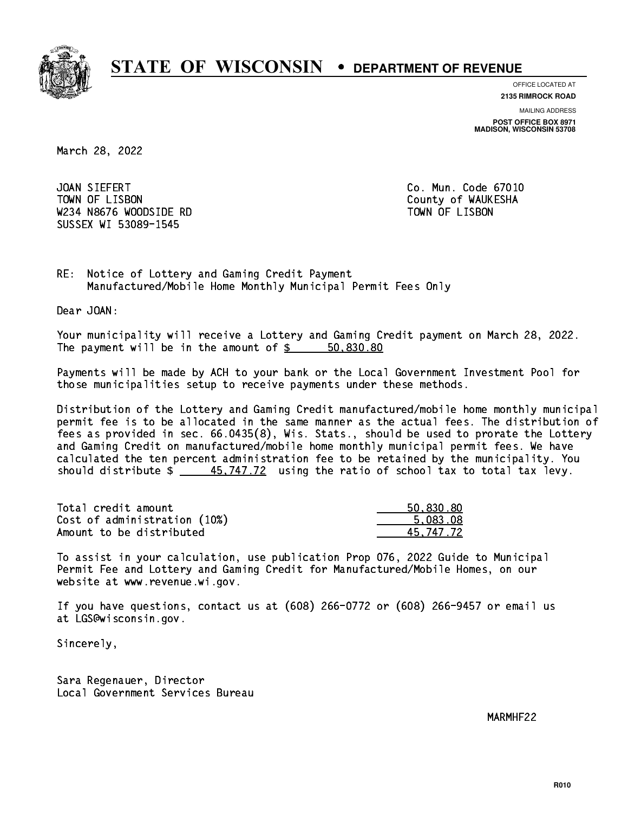

**OFFICE LOCATED AT**

**2135 RIMROCK ROAD**

**MAILING ADDRESS POST OFFICE BOX 8971 MADISON, WISCONSIN 53708**

March 28, 2022

JOAN SIEFERT TOWN OF LISBON County of WAUKESHA W234 N8676 WOODSIDE RD TOWN OF LISBON SUSSEX WI 53089-1545

Co. Mun. Code 67010

RE: Notice of Lottery and Gaming Credit Payment Manufactured/Mobile Home Monthly Municipal Permit Fees Only

Dear JOAN:

 Your municipality will receive a Lottery and Gaming Credit payment on March 28, 2022. The payment will be in the amount of \$ 50,830.80 \_\_\_\_\_\_\_\_\_\_\_\_\_\_\_\_

 Payments will be made by ACH to your bank or the Local Government Investment Pool for those municipalities setup to receive payments under these methods.

 Distribution of the Lottery and Gaming Credit manufactured/mobile home monthly municipal permit fee is to be allocated in the same manner as the actual fees. The distribution of fees as provided in sec. 66.0435(8), Wis. Stats., should be used to prorate the Lottery and Gaming Credit on manufactured/mobile home monthly municipal permit fees. We have calculated the ten percent administration fee to be retained by the municipality. You should distribute  $\frac{45,747.72}{2}$  using the ratio of school tax to total tax levy.

| Total credit amount          | 50,830.80 |
|------------------------------|-----------|
| Cost of administration (10%) | 5.083.08  |
| Amount to be distributed     | 45.747.72 |

 To assist in your calculation, use publication Prop 076, 2022 Guide to Municipal Permit Fee and Lottery and Gaming Credit for Manufactured/Mobile Homes, on our website at www.revenue.wi.gov.

 If you have questions, contact us at (608) 266-0772 or (608) 266-9457 or email us at LGS@wisconsin.gov.

Sincerely,

 Sara Regenauer, Director Local Government Services Bureau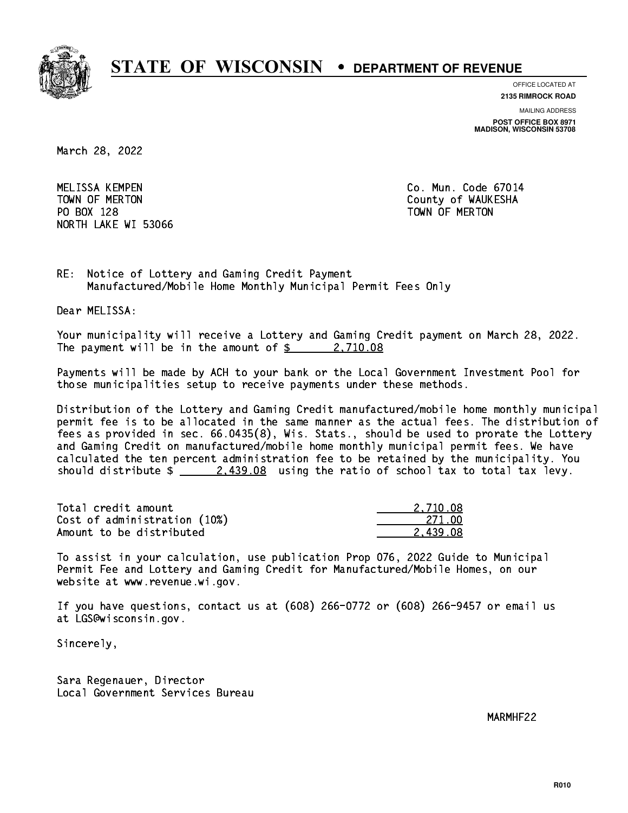

**OFFICE LOCATED AT**

**2135 RIMROCK ROAD**

**MAILING ADDRESS**

**POST OFFICE BOX 8971 MADISON, WISCONSIN 53708**

March 28, 2022

 MELISSA KEMPEN Co. Mun. Code 67014 PO BOX 128 TOWN OF MERTON NORTH LAKE WI 53066

TOWN OF MERTON County of WAUKESHA

RE: Notice of Lottery and Gaming Credit Payment Manufactured/Mobile Home Monthly Municipal Permit Fees Only

Dear MELISSA:

 Your municipality will receive a Lottery and Gaming Credit payment on March 28, 2022. The payment will be in the amount of  $\frac{2}{3}$  2,710.08

 Payments will be made by ACH to your bank or the Local Government Investment Pool for those municipalities setup to receive payments under these methods.

 Distribution of the Lottery and Gaming Credit manufactured/mobile home monthly municipal permit fee is to be allocated in the same manner as the actual fees. The distribution of fees as provided in sec. 66.0435(8), Wis. Stats., should be used to prorate the Lottery and Gaming Credit on manufactured/mobile home monthly municipal permit fees. We have calculated the ten percent administration fee to be retained by the municipality. You should distribute  $\frac{2.439.08}{2.439.08}$  using the ratio of school tax to total tax levy.

| Total credit amount          | 2.710.08 |
|------------------------------|----------|
| Cost of administration (10%) | -271.00  |
| Amount to be distributed     | 2.439.08 |

 To assist in your calculation, use publication Prop 076, 2022 Guide to Municipal Permit Fee and Lottery and Gaming Credit for Manufactured/Mobile Homes, on our website at www.revenue.wi.gov.

 If you have questions, contact us at (608) 266-0772 or (608) 266-9457 or email us at LGS@wisconsin.gov.

Sincerely,

 Sara Regenauer, Director Local Government Services Bureau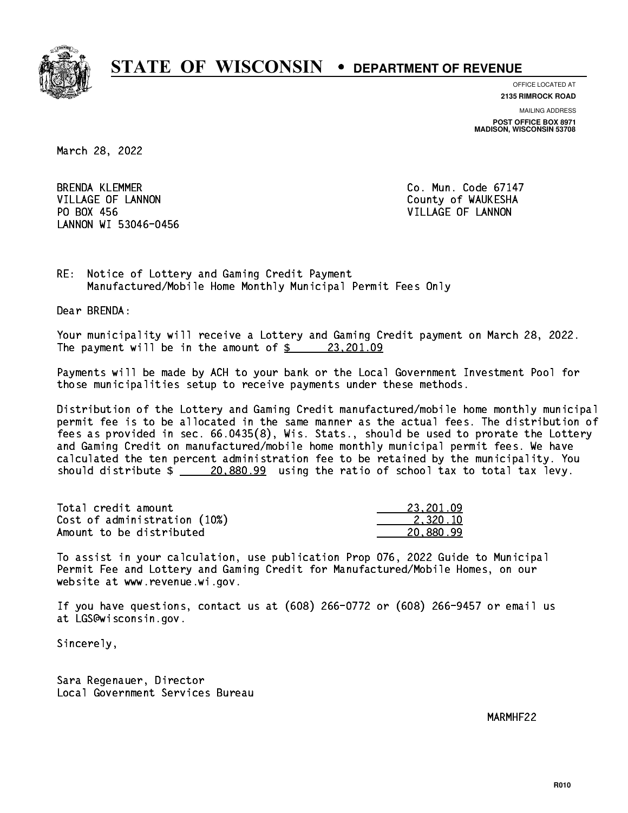

**OFFICE LOCATED AT**

**2135 RIMROCK ROAD**

**MAILING ADDRESS POST OFFICE BOX 8971 MADISON, WISCONSIN 53708**

March 28, 2022

**BRENDA KLEMMER** VILLAGE OF LANNON COUNTY OF WAUKESHA PO BOX 456 LANNON WI 53046-0456

Co. Mun. Code 67147 VILLAGE OF LANNON

RE: Notice of Lottery and Gaming Credit Payment Manufactured/Mobile Home Monthly Municipal Permit Fees Only

Dear BRENDA:

 Your municipality will receive a Lottery and Gaming Credit payment on March 28, 2022. The payment will be in the amount of  $\frac{23,201.09}{2}$ 

 Payments will be made by ACH to your bank or the Local Government Investment Pool for those municipalities setup to receive payments under these methods.

 Distribution of the Lottery and Gaming Credit manufactured/mobile home monthly municipal permit fee is to be allocated in the same manner as the actual fees. The distribution of fees as provided in sec. 66.0435(8), Wis. Stats., should be used to prorate the Lottery and Gaming Credit on manufactured/mobile home monthly municipal permit fees. We have calculated the ten percent administration fee to be retained by the municipality. You should distribute  $\frac{20,880.99}{20,880.99}$  using the ratio of school tax to total tax levy.

| Total credit amount          | 23,201.09 |
|------------------------------|-----------|
| Cost of administration (10%) | 2.320.10  |
| Amount to be distributed     | 20.880.99 |

 To assist in your calculation, use publication Prop 076, 2022 Guide to Municipal Permit Fee and Lottery and Gaming Credit for Manufactured/Mobile Homes, on our website at www.revenue.wi.gov.

 If you have questions, contact us at (608) 266-0772 or (608) 266-9457 or email us at LGS@wisconsin.gov.

Sincerely,

 Sara Regenauer, Director Local Government Services Bureau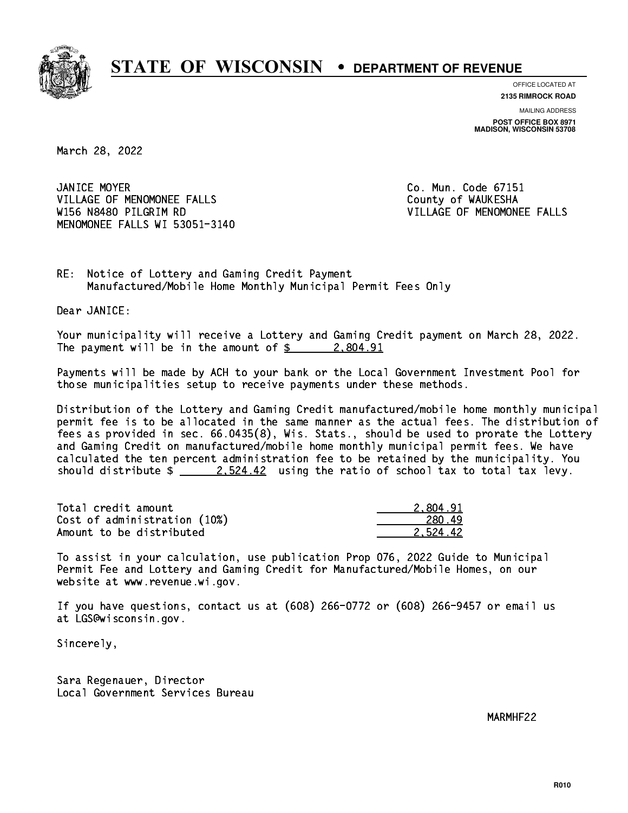

**OFFICE LOCATED AT**

**2135 RIMROCK ROAD**

**MAILING ADDRESS POST OFFICE BOX 8971 MADISON, WISCONSIN 53708**

March 28, 2022

JANICE MOYER VILLAGE OF MENOMONEE FALLS **COUNTY OF WAUKESHA**  W156 N8480 PILGRIM RD VILLAGE OF MENOMONEE FALLS MENOMONEE FALLS WI 53051-3140

Co. Mun. Code 67151

RE: Notice of Lottery and Gaming Credit Payment Manufactured/Mobile Home Monthly Municipal Permit Fees Only

Dear JANICE:

 Your municipality will receive a Lottery and Gaming Credit payment on March 28, 2022. The payment will be in the amount of  $\frac{2}{3}$  2,804.91

 Payments will be made by ACH to your bank or the Local Government Investment Pool for those municipalities setup to receive payments under these methods.

 Distribution of the Lottery and Gaming Credit manufactured/mobile home monthly municipal permit fee is to be allocated in the same manner as the actual fees. The distribution of fees as provided in sec. 66.0435(8), Wis. Stats., should be used to prorate the Lottery and Gaming Credit on manufactured/mobile home monthly municipal permit fees. We have calculated the ten percent administration fee to be retained by the municipality. You should distribute  $\frac{2.524.42}{ }$  using the ratio of school tax to total tax levy.

| Total credit amount          | 2.804.91 |
|------------------------------|----------|
| Cost of administration (10%) | 280.49   |
| Amount to be distributed     | 2.524.42 |

 To assist in your calculation, use publication Prop 076, 2022 Guide to Municipal Permit Fee and Lottery and Gaming Credit for Manufactured/Mobile Homes, on our website at www.revenue.wi.gov.

 If you have questions, contact us at (608) 266-0772 or (608) 266-9457 or email us at LGS@wisconsin.gov.

Sincerely,

 Sara Regenauer, Director Local Government Services Bureau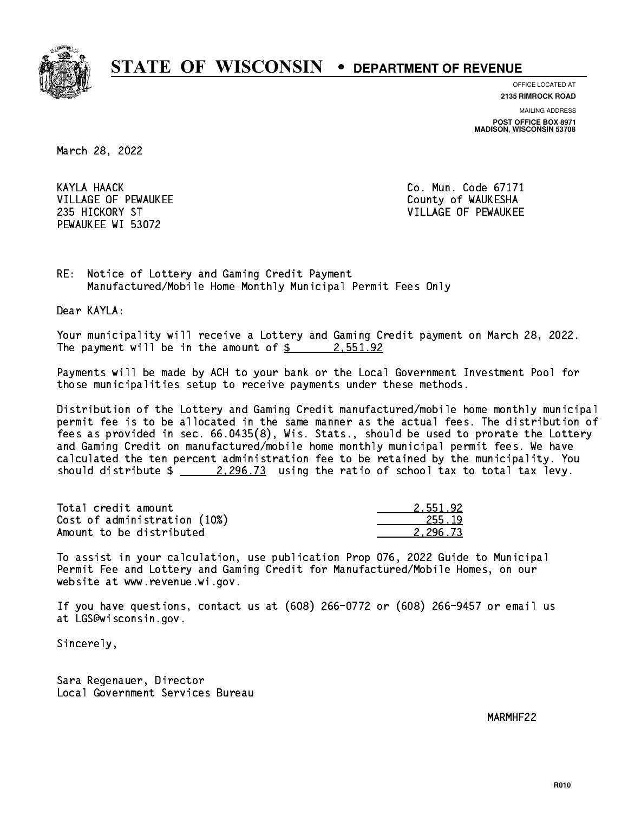

**OFFICE LOCATED AT**

**2135 RIMROCK ROAD**

**MAILING ADDRESS POST OFFICE BOX 8971 MADISON, WISCONSIN 53708**

March 28, 2022

KAYLA HAACK VILLAGE OF PEWAUKEE COUNTY OF WAUKESHA PEWAUKEE WI 53072

Co. Mun. Code 67171 235 HICKORY ST VILLAGE OF PEWAUKEE

RE: Notice of Lottery and Gaming Credit Payment Manufactured/Mobile Home Monthly Municipal Permit Fees Only

Dear KAYLA:

 Your municipality will receive a Lottery and Gaming Credit payment on March 28, 2022. The payment will be in the amount of  $\frac{2}{3}$  2,551.92

 Payments will be made by ACH to your bank or the Local Government Investment Pool for those municipalities setup to receive payments under these methods.

 Distribution of the Lottery and Gaming Credit manufactured/mobile home monthly municipal permit fee is to be allocated in the same manner as the actual fees. The distribution of fees as provided in sec. 66.0435(8), Wis. Stats., should be used to prorate the Lottery and Gaming Credit on manufactured/mobile home monthly municipal permit fees. We have calculated the ten percent administration fee to be retained by the municipality. You should distribute  $\frac{2.296.73}{2.296.73}$  using the ratio of school tax to total tax levy.

| Total credit amount          | 2.551.92 |
|------------------------------|----------|
| Cost of administration (10%) | 255.19   |
| Amount to be distributed     | 2.296.73 |

 To assist in your calculation, use publication Prop 076, 2022 Guide to Municipal Permit Fee and Lottery and Gaming Credit for Manufactured/Mobile Homes, on our website at www.revenue.wi.gov.

 If you have questions, contact us at (608) 266-0772 or (608) 266-9457 or email us at LGS@wisconsin.gov.

Sincerely,

 Sara Regenauer, Director Local Government Services Bureau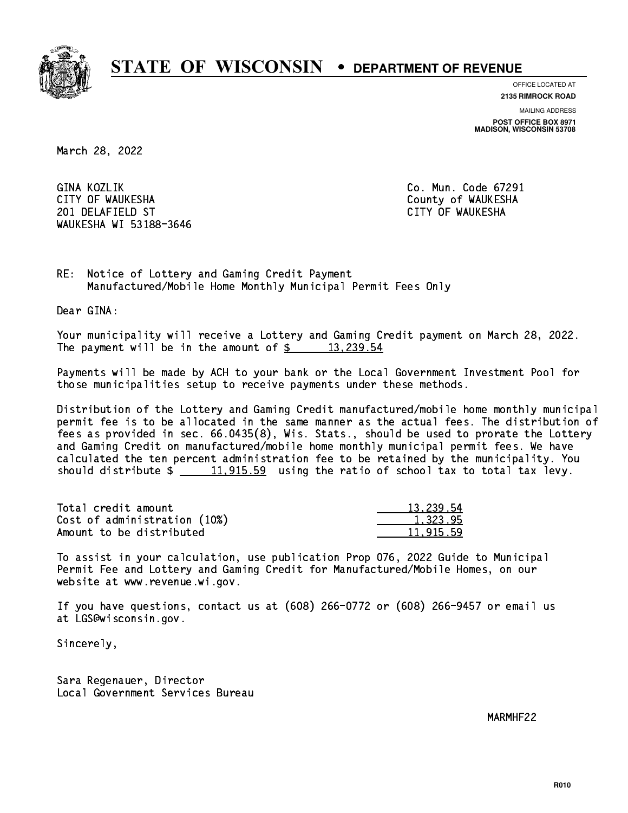

**OFFICE LOCATED AT**

**2135 RIMROCK ROAD**

**MAILING ADDRESS POST OFFICE BOX 8971 MADISON, WISCONSIN 53708**

March 28, 2022

GINA KOZLIK CITY OF WAUKESHA County of WAUKESHA 201 DELAFIELD ST CITY OF WAUKESHA WAUKESHA WI 53188-3646

Co. Mun. Code 67291

RE: Notice of Lottery and Gaming Credit Payment Manufactured/Mobile Home Monthly Municipal Permit Fees Only

Dear GINA:

 Your municipality will receive a Lottery and Gaming Credit payment on March 28, 2022. The payment will be in the amount of  $\frac{2}{3}$  13,239.54

 Payments will be made by ACH to your bank or the Local Government Investment Pool for those municipalities setup to receive payments under these methods.

 Distribution of the Lottery and Gaming Credit manufactured/mobile home monthly municipal permit fee is to be allocated in the same manner as the actual fees. The distribution of fees as provided in sec. 66.0435(8), Wis. Stats., should be used to prorate the Lottery and Gaming Credit on manufactured/mobile home monthly municipal permit fees. We have calculated the ten percent administration fee to be retained by the municipality. You should distribute  $\frac{11,915.59}{2}$  using the ratio of school tax to total tax levy.

| Total credit amount          | 13,239.54 |
|------------------------------|-----------|
| Cost of administration (10%) | 1.323.95  |
| Amount to be distributed     | 11,915.59 |

 To assist in your calculation, use publication Prop 076, 2022 Guide to Municipal Permit Fee and Lottery and Gaming Credit for Manufactured/Mobile Homes, on our website at www.revenue.wi.gov.

 If you have questions, contact us at (608) 266-0772 or (608) 266-9457 or email us at LGS@wisconsin.gov.

Sincerely,

 Sara Regenauer, Director Local Government Services Bureau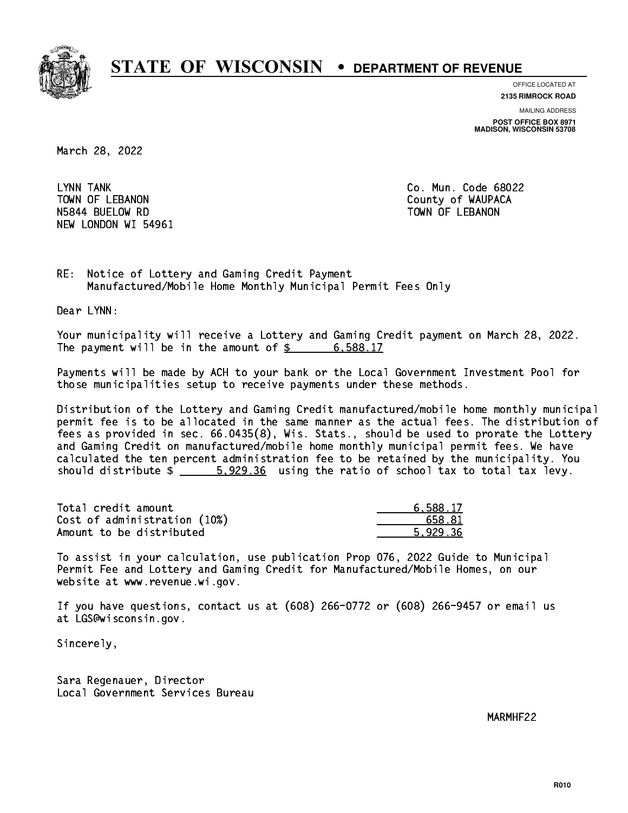

**OFFICE LOCATED AT**

**MAILING ADDRESS 2135 RIMROCK ROAD**

**POST OFFICE BOX 8971 MADISON, WISCONSIN 53708**

March 28, 2022

LYNN TANK TOWN OF LEBANON **COUNTY OF SEARCH COULD A** COUNTY OF WAUPACA NSA 44 BUELOW RD TOWN OF LEBANON RD TOWN OF LEBANON RD TOWN OF LEBANON RD TOWN OF LEBANON RD TOWN OF LEBANON R NEW LONDON WI 54961

Co. Mun. Code 68022

RE: Notice of Lottery and Gaming Credit Payment Manufactured/Mobile Home Monthly Municipal Permit Fees Only

Dear LYNN:

 Your municipality will receive a Lottery and Gaming Credit payment on March 28, 2022. The payment will be in the amount of  $\frac{2}{3}$  6,588.17

 Payments will be made by ACH to your bank or the Local Government Investment Pool for those municipalities setup to receive payments under these methods.

 Distribution of the Lottery and Gaming Credit manufactured/mobile home monthly municipal permit fee is to be allocated in the same manner as the actual fees. The distribution of fees as provided in sec. 66.0435(8), Wis. Stats., should be used to prorate the Lottery and Gaming Credit on manufactured/mobile home monthly municipal permit fees. We have calculated the ten percent administration fee to be retained by the municipality. You should distribute  $\frac{2}{1}$   $\frac{5.929.36}{2}$  using the ratio of school tax to total tax levy.

| Total credit amount          | 6.588.17 |
|------------------------------|----------|
| Cost of administration (10%) | 658.81   |
| Amount to be distributed     | 5.929.36 |

 To assist in your calculation, use publication Prop 076, 2022 Guide to Municipal Permit Fee and Lottery and Gaming Credit for Manufactured/Mobile Homes, on our website at www.revenue.wi.gov.

 If you have questions, contact us at (608) 266-0772 or (608) 266-9457 or email us at LGS@wisconsin.gov.

Sincerely,

 Sara Regenauer, Director Local Government Services Bureau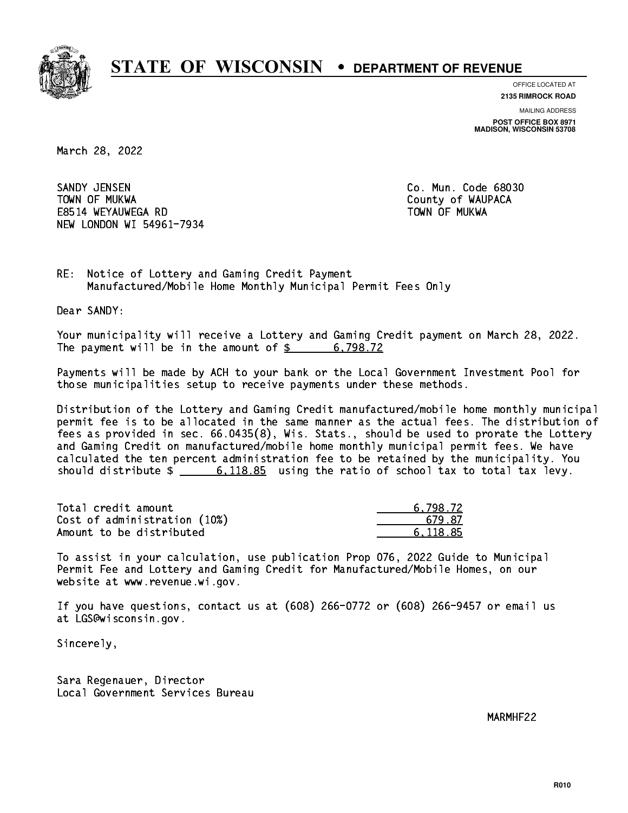

**OFFICE LOCATED AT 2135 RIMROCK ROAD**

**MAILING ADDRESS**

**POST OFFICE BOX 8971 MADISON, WISCONSIN 53708**

March 28, 2022

SANDY JENSEN TOWN OF MUKWA County of WAUPACA E8514 WEYAUWEGA RD TOWN OF MUKWA NEW LONDON WI 54961-7934

Co. Mun. Code 68030

RE: Notice of Lottery and Gaming Credit Payment Manufactured/Mobile Home Monthly Municipal Permit Fees Only

Dear SANDY:

 Your municipality will receive a Lottery and Gaming Credit payment on March 28, 2022. The payment will be in the amount of  $\frac{2}{3}$  6,798.72

 Payments will be made by ACH to your bank or the Local Government Investment Pool for those municipalities setup to receive payments under these methods.

 Distribution of the Lottery and Gaming Credit manufactured/mobile home monthly municipal permit fee is to be allocated in the same manner as the actual fees. The distribution of fees as provided in sec. 66.0435(8), Wis. Stats., should be used to prorate the Lottery and Gaming Credit on manufactured/mobile home monthly municipal permit fees. We have calculated the ten percent administration fee to be retained by the municipality. You should distribute  $\frac{2}{10}$   $\frac{6,118.85}{20}$  using the ratio of school tax to total tax levy.

| Total credit amount          | 6.798.72 |
|------------------------------|----------|
| Cost of administration (10%) | 679.87   |
| Amount to be distributed     | 6.118.85 |

 To assist in your calculation, use publication Prop 076, 2022 Guide to Municipal Permit Fee and Lottery and Gaming Credit for Manufactured/Mobile Homes, on our website at www.revenue.wi.gov.

 If you have questions, contact us at (608) 266-0772 or (608) 266-9457 or email us at LGS@wisconsin.gov.

Sincerely,

 Sara Regenauer, Director Local Government Services Bureau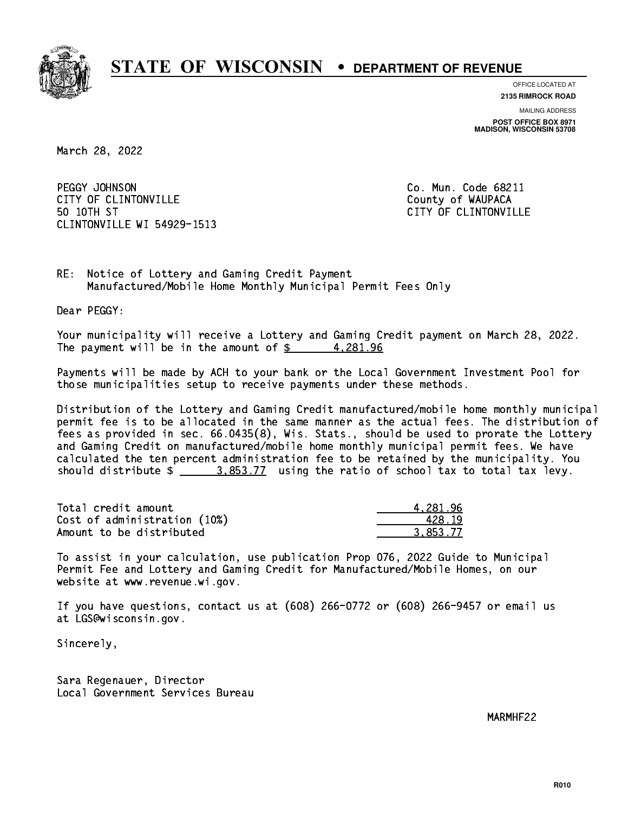

**OFFICE LOCATED AT**

**2135 RIMROCK ROAD**

**MAILING ADDRESS POST OFFICE BOX 8971 MADISON, WISCONSIN 53708**

March 28, 2022

PEGGY JOHNSON CITY OF CLINTONVILLE COUNTY COUNTY OF WAUPACA 50 10TH ST CLINTONVILLE WI 54929-1513

Co. Mun. Code 68211 CITY OF CLINTONVILLE

RE: Notice of Lottery and Gaming Credit Payment Manufactured/Mobile Home Monthly Municipal Permit Fees Only

Dear PEGGY:

 Your municipality will receive a Lottery and Gaming Credit payment on March 28, 2022. The payment will be in the amount of  $\frac{2}{3}$  4,281.96

 Payments will be made by ACH to your bank or the Local Government Investment Pool for those municipalities setup to receive payments under these methods.

 Distribution of the Lottery and Gaming Credit manufactured/mobile home monthly municipal permit fee is to be allocated in the same manner as the actual fees. The distribution of fees as provided in sec. 66.0435(8), Wis. Stats., should be used to prorate the Lottery and Gaming Credit on manufactured/mobile home monthly municipal permit fees. We have calculated the ten percent administration fee to be retained by the municipality. You should distribute  $\frac{2.853.77}{2.853.77}$  using the ratio of school tax to total tax levy.

| Total credit amount          | 4.281.96 |
|------------------------------|----------|
| Cost of administration (10%) | 428.19   |
| Amount to be distributed     | 3.853.77 |

 To assist in your calculation, use publication Prop 076, 2022 Guide to Municipal Permit Fee and Lottery and Gaming Credit for Manufactured/Mobile Homes, on our website at www.revenue.wi.gov.

 If you have questions, contact us at (608) 266-0772 or (608) 266-9457 or email us at LGS@wisconsin.gov.

Sincerely,

 Sara Regenauer, Director Local Government Services Bureau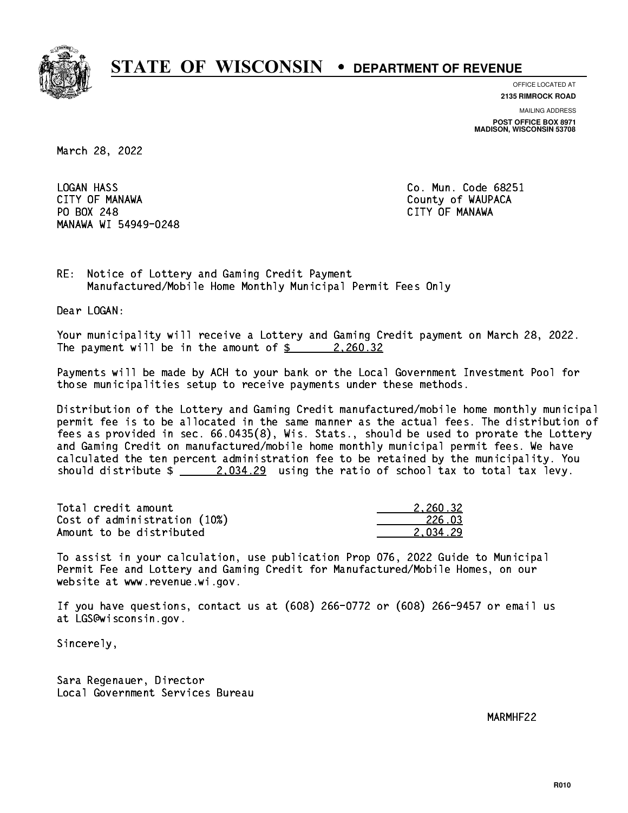

**OFFICE LOCATED AT**

**2135 RIMROCK ROAD**

**MAILING ADDRESS**

**POST OFFICE BOX 8971 MADISON, WISCONSIN 53708**

March 28, 2022

**LOGAN HASS**  CITY OF MANAWA County of WAUPACA PO BOX 248 CITY OF MANAWA MANAWA WI 54949-0248

Co. Mun. Code 68251

RE: Notice of Lottery and Gaming Credit Payment Manufactured/Mobile Home Monthly Municipal Permit Fees Only

Dear LOGAN:

 Your municipality will receive a Lottery and Gaming Credit payment on March 28, 2022. The payment will be in the amount of  $\frac{2}{3}$  2,260.32

 Payments will be made by ACH to your bank or the Local Government Investment Pool for those municipalities setup to receive payments under these methods.

 Distribution of the Lottery and Gaming Credit manufactured/mobile home monthly municipal permit fee is to be allocated in the same manner as the actual fees. The distribution of fees as provided in sec. 66.0435(8), Wis. Stats., should be used to prorate the Lottery and Gaming Credit on manufactured/mobile home monthly municipal permit fees. We have calculated the ten percent administration fee to be retained by the municipality. You should distribute  $\frac{2.234.29}{2.034.29}$  using the ratio of school tax to total tax levy.

| Total credit amount          | 2.260.32 |
|------------------------------|----------|
| Cost of administration (10%) | 226.03   |
| Amount to be distributed     | 2.034.29 |

 To assist in your calculation, use publication Prop 076, 2022 Guide to Municipal Permit Fee and Lottery and Gaming Credit for Manufactured/Mobile Homes, on our website at www.revenue.wi.gov.

 If you have questions, contact us at (608) 266-0772 or (608) 266-9457 or email us at LGS@wisconsin.gov.

Sincerely,

 Sara Regenauer, Director Local Government Services Bureau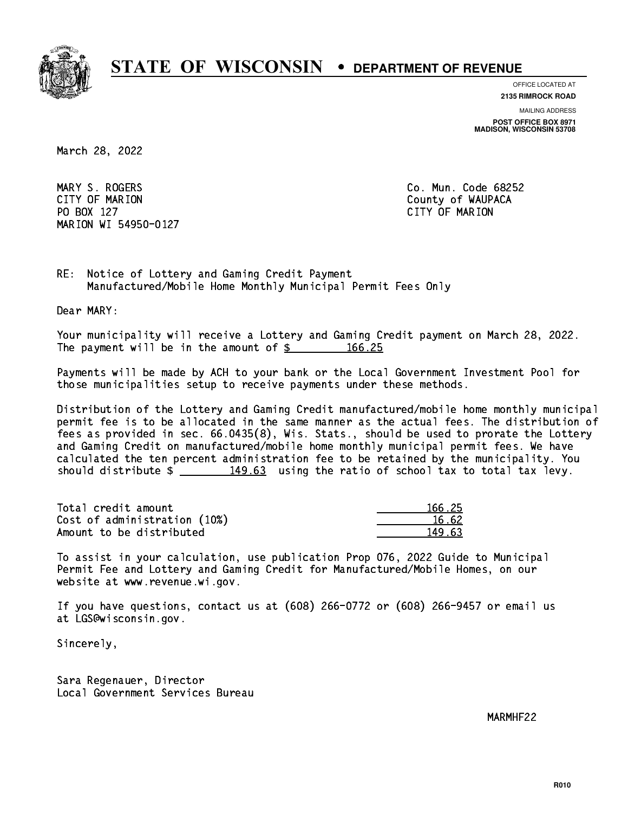

**OFFICE LOCATED AT**

**2135 RIMROCK ROAD**

**MAILING ADDRESS**

**POST OFFICE BOX 8971 MADISON, WISCONSIN 53708**

March 28, 2022

 MARY S. ROGERS Co. Mun. Code 68252 CITY OF MARION COUNTY COUNTY OF MARION PO BOX 127 CITY OF MARION MARION WI 54950-0127

RE: Notice of Lottery and Gaming Credit Payment Manufactured/Mobile Home Monthly Municipal Permit Fees Only

Dear MARY:

 Your municipality will receive a Lottery and Gaming Credit payment on March 28, 2022. The payment will be in the amount of  $\frac{25}{166.25}$ 

 Payments will be made by ACH to your bank or the Local Government Investment Pool for those municipalities setup to receive payments under these methods.

 Distribution of the Lottery and Gaming Credit manufactured/mobile home monthly municipal permit fee is to be allocated in the same manner as the actual fees. The distribution of fees as provided in sec. 66.0435(8), Wis. Stats., should be used to prorate the Lottery and Gaming Credit on manufactured/mobile home monthly municipal permit fees. We have calculated the ten percent administration fee to be retained by the municipality. You should distribute  $\frac{149.63}{149.63}$  using the ratio of school tax to total tax levy.

Total credit amount Cost of administration (10%) Amount to be distributed

| 166.25 |
|--------|
| 6.62   |
| I 63   |

 To assist in your calculation, use publication Prop 076, 2022 Guide to Municipal Permit Fee and Lottery and Gaming Credit for Manufactured/Mobile Homes, on our website at www.revenue.wi.gov.

 If you have questions, contact us at (608) 266-0772 or (608) 266-9457 or email us at LGS@wisconsin.gov.

Sincerely,

 Sara Regenauer, Director Local Government Services Bureau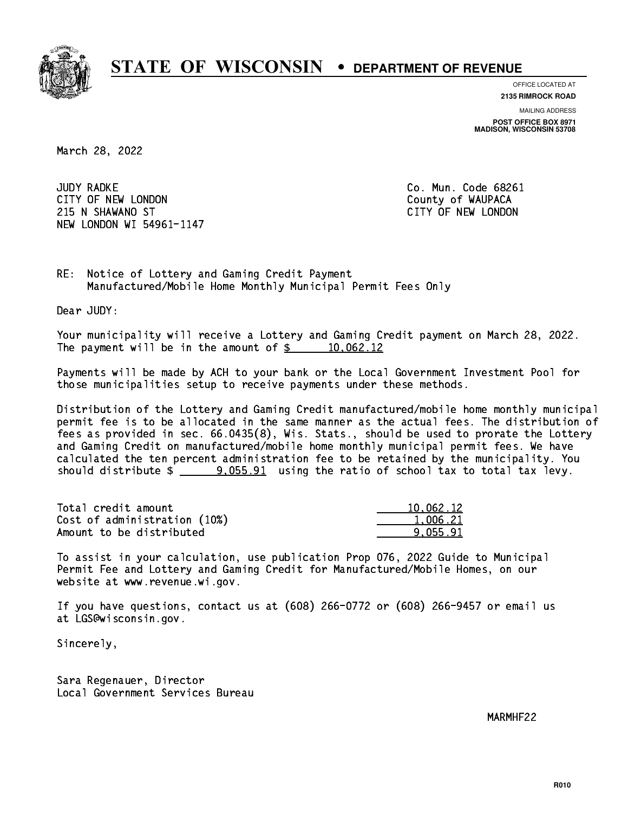

**OFFICE LOCATED AT**

**2135 RIMROCK ROAD**

**MAILING ADDRESS POST OFFICE BOX 8971 MADISON, WISCONSIN 53708**

March 28, 2022

**JUDY RADKE** CITY OF NEW LONDON COUNTY OF WAUPACA 215 N SHAWANO ST CITY OF NEW LONDON NEW LONDON WI 54961-1147

Co. Mun. Code 68261

RE: Notice of Lottery and Gaming Credit Payment Manufactured/Mobile Home Monthly Municipal Permit Fees Only

Dear JUDY:

 Your municipality will receive a Lottery and Gaming Credit payment on March 28, 2022. The payment will be in the amount of  $\frac{2}{3}$  10,062.12

 Payments will be made by ACH to your bank or the Local Government Investment Pool for those municipalities setup to receive payments under these methods.

 Distribution of the Lottery and Gaming Credit manufactured/mobile home monthly municipal permit fee is to be allocated in the same manner as the actual fees. The distribution of fees as provided in sec. 66.0435(8), Wis. Stats., should be used to prorate the Lottery and Gaming Credit on manufactured/mobile home monthly municipal permit fees. We have calculated the ten percent administration fee to be retained by the municipality. You should distribute  $\frac{2}{2}$   $\frac{9.055.91}{2}$  using the ratio of school tax to total tax levy.

| Total credit amount          | 10,062.12 |
|------------------------------|-----------|
| Cost of administration (10%) | 1,006.21  |
| Amount to be distributed     | 9.055.91  |

 To assist in your calculation, use publication Prop 076, 2022 Guide to Municipal Permit Fee and Lottery and Gaming Credit for Manufactured/Mobile Homes, on our website at www.revenue.wi.gov.

 If you have questions, contact us at (608) 266-0772 or (608) 266-9457 or email us at LGS@wisconsin.gov.

Sincerely,

 Sara Regenauer, Director Local Government Services Bureau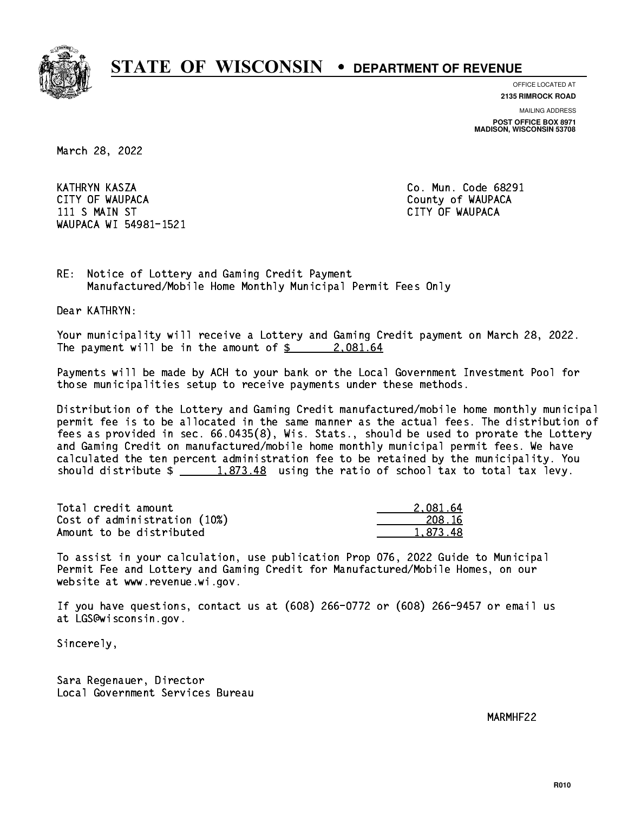

**OFFICE LOCATED AT**

**2135 RIMROCK ROAD**

**MAILING ADDRESS**

**POST OFFICE BOX 8971 MADISON, WISCONSIN 53708**

March 28, 2022

 KATHRYN KASZA Co. Mun. Code 68291 CITY OF WAUPACA **COULD ACCOUNT OF WAUPACA** 11 S MAIN ST CITY OF WAUPACA CHARGE IN STREET IN STREET IN STREET IN STREET IN STREET IN STREET IN STREET IN WAUPACA WI 54981-1521

RE: Notice of Lottery and Gaming Credit Payment Manufactured/Mobile Home Monthly Municipal Permit Fees Only

Dear KATHRYN:

 Your municipality will receive a Lottery and Gaming Credit payment on March 28, 2022. The payment will be in the amount of  $\frac{2.081.64}{2.081.64}$ 

 Payments will be made by ACH to your bank or the Local Government Investment Pool for those municipalities setup to receive payments under these methods.

 Distribution of the Lottery and Gaming Credit manufactured/mobile home monthly municipal permit fee is to be allocated in the same manner as the actual fees. The distribution of fees as provided in sec. 66.0435(8), Wis. Stats., should be used to prorate the Lottery and Gaming Credit on manufactured/mobile home monthly municipal permit fees. We have calculated the ten percent administration fee to be retained by the municipality. You should distribute  $\frac{1.873.48}{1.873.48}$  using the ratio of school tax to total tax levy.

| Total credit amount          | 2.081.64 |
|------------------------------|----------|
| Cost of administration (10%) | 208.16   |
| Amount to be distributed     | 1,873.48 |

 To assist in your calculation, use publication Prop 076, 2022 Guide to Municipal Permit Fee and Lottery and Gaming Credit for Manufactured/Mobile Homes, on our website at www.revenue.wi.gov.

 If you have questions, contact us at (608) 266-0772 or (608) 266-9457 or email us at LGS@wisconsin.gov.

Sincerely,

 Sara Regenauer, Director Local Government Services Bureau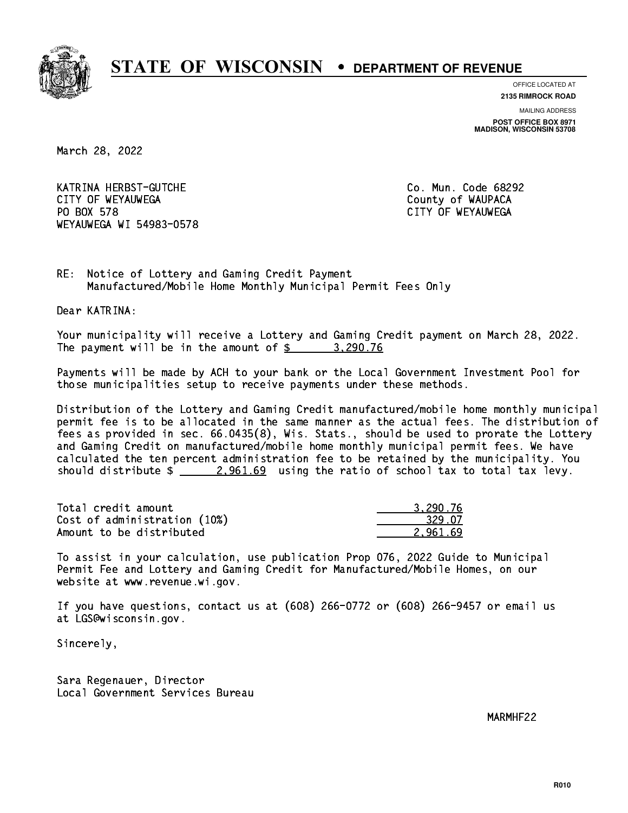

**OFFICE LOCATED AT**

**2135 RIMROCK ROAD**

**MAILING ADDRESS POST OFFICE BOX 8971 MADISON, WISCONSIN 53708**

March 28, 2022

 KATRINA HERBST-GUTCHE Co. Mun. Code 68292 CITY OF WEYAUWEGA **COULD ACCOUNT OF SEXUAL COULD A** COUNTY OF WAUPACA PO BOX 578 WEYAUWEGA WI 54983-0578

CITY OF WEYAUWEGA

RE: Notice of Lottery and Gaming Credit Payment Manufactured/Mobile Home Monthly Municipal Permit Fees Only

Dear KATRINA:

 Your municipality will receive a Lottery and Gaming Credit payment on March 28, 2022. The payment will be in the amount of  $\frac{2}{3}$  3,290.76

 Payments will be made by ACH to your bank or the Local Government Investment Pool for those municipalities setup to receive payments under these methods.

 Distribution of the Lottery and Gaming Credit manufactured/mobile home monthly municipal permit fee is to be allocated in the same manner as the actual fees. The distribution of fees as provided in sec. 66.0435(8), Wis. Stats., should be used to prorate the Lottery and Gaming Credit on manufactured/mobile home monthly municipal permit fees. We have calculated the ten percent administration fee to be retained by the municipality. You should distribute  $\frac{2.961.69}{2.961.69}$  using the ratio of school tax to total tax levy.

| Total credit amount          | 3.290.76 |
|------------------------------|----------|
| Cost of administration (10%) | 329.07   |
| Amount to be distributed     | 2.961.69 |

 To assist in your calculation, use publication Prop 076, 2022 Guide to Municipal Permit Fee and Lottery and Gaming Credit for Manufactured/Mobile Homes, on our website at www.revenue.wi.gov.

 If you have questions, contact us at (608) 266-0772 or (608) 266-9457 or email us at LGS@wisconsin.gov.

Sincerely,

 Sara Regenauer, Director Local Government Services Bureau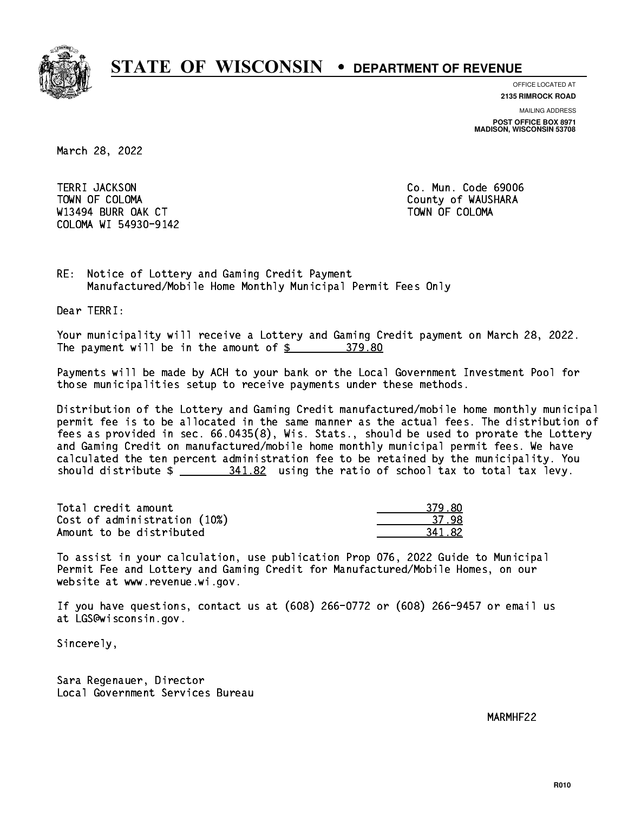

**OFFICE LOCATED AT**

**2135 RIMROCK ROAD**

**MAILING ADDRESS**

**POST OFFICE BOX 8971 MADISON, WISCONSIN 53708**

March 28, 2022

**TERRI JACKSON**  TOWN OF COLOMA County of WAUSHARA W13494 BURR OAK CT AND TOWN OF COLOMA COLOMA WI 54930-9142

Co. Mun. Code 69006

RE: Notice of Lottery and Gaming Credit Payment Manufactured/Mobile Home Monthly Municipal Permit Fees Only

Dear TERRI:

 Your municipality will receive a Lottery and Gaming Credit payment on March 28, 2022. The payment will be in the amount of  $$ 379.80$ 

 Payments will be made by ACH to your bank or the Local Government Investment Pool for those municipalities setup to receive payments under these methods.

 Distribution of the Lottery and Gaming Credit manufactured/mobile home monthly municipal permit fee is to be allocated in the same manner as the actual fees. The distribution of fees as provided in sec. 66.0435(8), Wis. Stats., should be used to prorate the Lottery and Gaming Credit on manufactured/mobile home monthly municipal permit fees. We have calculated the ten percent administration fee to be retained by the municipality. You should distribute  $\frac{241.82}{1.82}$  using the ratio of school tax to total tax levy.

| Total credit amount          | 379.80 |
|------------------------------|--------|
| Cost of administration (10%) | -37-98 |
| Amount to be distributed     | 341.82 |

| וז   |
|------|
| 37.  |
| - 82 |

 To assist in your calculation, use publication Prop 076, 2022 Guide to Municipal Permit Fee and Lottery and Gaming Credit for Manufactured/Mobile Homes, on our website at www.revenue.wi.gov.

 If you have questions, contact us at (608) 266-0772 or (608) 266-9457 or email us at LGS@wisconsin.gov.

Sincerely,

 Sara Regenauer, Director Local Government Services Bureau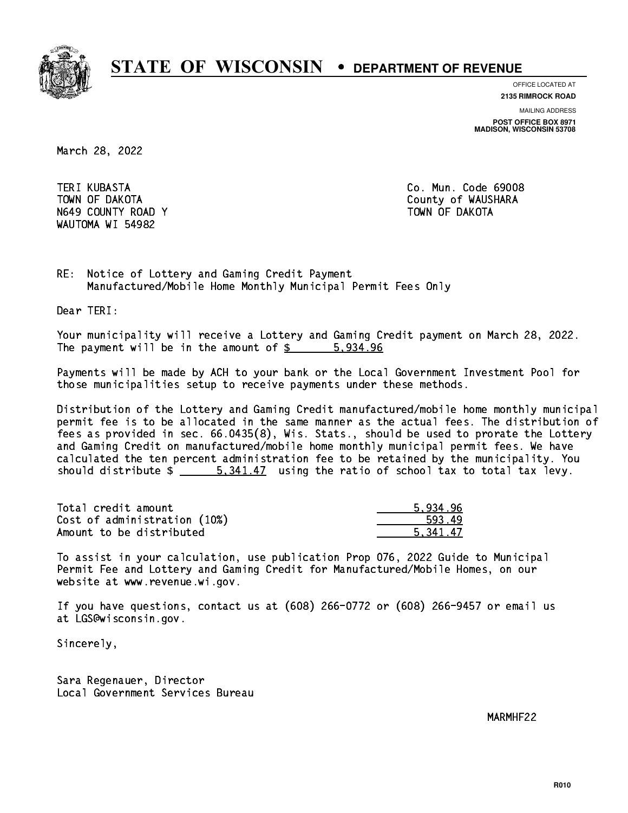

**OFFICE LOCATED AT**

**2135 RIMROCK ROAD**

**MAILING ADDRESS**

**POST OFFICE BOX 8971 MADISON, WISCONSIN 53708**

March 28, 2022

**TERI KUBASTA** N649 COUNTY ROAD Y TOWN OF DAKOTA WAUTOMA WI 54982

Co. Mun. Code 69008 TOWN OF DAKOTA County of WAUSHARA

RE: Notice of Lottery and Gaming Credit Payment Manufactured/Mobile Home Monthly Municipal Permit Fees Only

Dear TERI:

 Your municipality will receive a Lottery and Gaming Credit payment on March 28, 2022. The payment will be in the amount of \$ 5,934.96 \_\_\_\_\_\_\_\_\_\_\_\_\_\_\_\_

 Payments will be made by ACH to your bank or the Local Government Investment Pool for those municipalities setup to receive payments under these methods.

 Distribution of the Lottery and Gaming Credit manufactured/mobile home monthly municipal permit fee is to be allocated in the same manner as the actual fees. The distribution of fees as provided in sec. 66.0435(8), Wis. Stats., should be used to prorate the Lottery and Gaming Credit on manufactured/mobile home monthly municipal permit fees. We have calculated the ten percent administration fee to be retained by the municipality. You should distribute  $\frac{2}{1}$   $\frac{5.341.47}{2}$  using the ratio of school tax to total tax levy.

| Total credit amount          | 5.934.96 |
|------------------------------|----------|
| Cost of administration (10%) | 593.49   |
| Amount to be distributed     | 5.341.47 |

 To assist in your calculation, use publication Prop 076, 2022 Guide to Municipal Permit Fee and Lottery and Gaming Credit for Manufactured/Mobile Homes, on our website at www.revenue.wi.gov.

 If you have questions, contact us at (608) 266-0772 or (608) 266-9457 or email us at LGS@wisconsin.gov.

Sincerely,

 Sara Regenauer, Director Local Government Services Bureau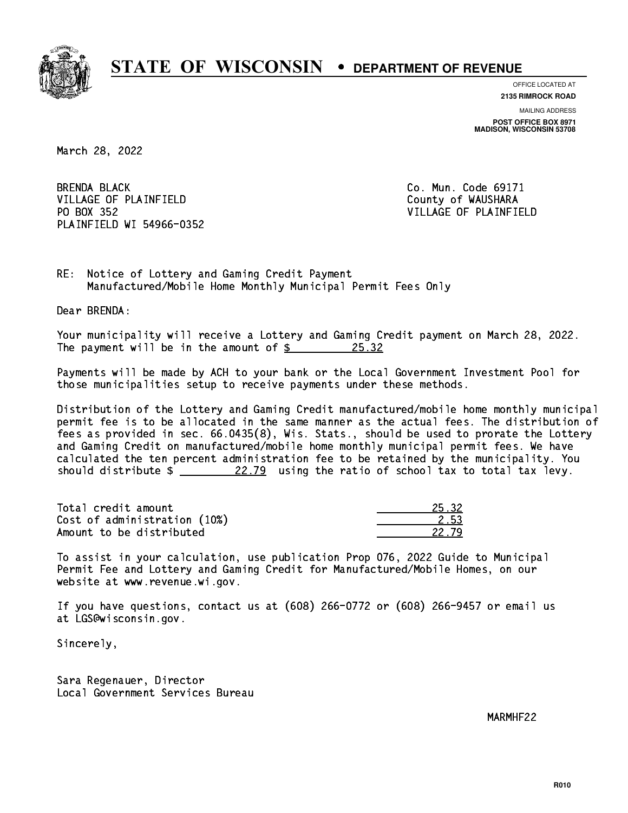

**OFFICE LOCATED AT**

**2135 RIMROCK ROAD**

**MAILING ADDRESS POST OFFICE BOX 8971 MADISON, WISCONSIN 53708**

March 28, 2022

**BRENDA BLACK** VILLAGE OF PLAINFIELD County of WAUSHARA PO BOX 352 PLAINFIELD WI 54966-0352

Co. Mun. Code 69171 VILLAGE OF PLAINFIELD

RE: Notice of Lottery and Gaming Credit Payment Manufactured/Mobile Home Monthly Municipal Permit Fees Only

Dear BRENDA:

 Your municipality will receive a Lottery and Gaming Credit payment on March 28, 2022. The payment will be in the amount of  $\frac{25.32}{20}$ 

 Payments will be made by ACH to your bank or the Local Government Investment Pool for those municipalities setup to receive payments under these methods.

 Distribution of the Lottery and Gaming Credit manufactured/mobile home monthly municipal permit fee is to be allocated in the same manner as the actual fees. The distribution of fees as provided in sec. 66.0435(8), Wis. Stats., should be used to prorate the Lottery and Gaming Credit on manufactured/mobile home monthly municipal permit fees. We have calculated the ten percent administration fee to be retained by the municipality. You should distribute  $\frac{22.79}{22.79}$  using the ratio of school tax to total tax levy.

Total credit amount Cost of administration (10%) Amount to be distributed

 To assist in your calculation, use publication Prop 076, 2022 Guide to Municipal Permit Fee and Lottery and Gaming Credit for Manufactured/Mobile Homes, on our website at www.revenue.wi.gov.

 If you have questions, contact us at (608) 266-0772 or (608) 266-9457 or email us at LGS@wisconsin.gov.

Sincerely,

 Sara Regenauer, Director Local Government Services Bureau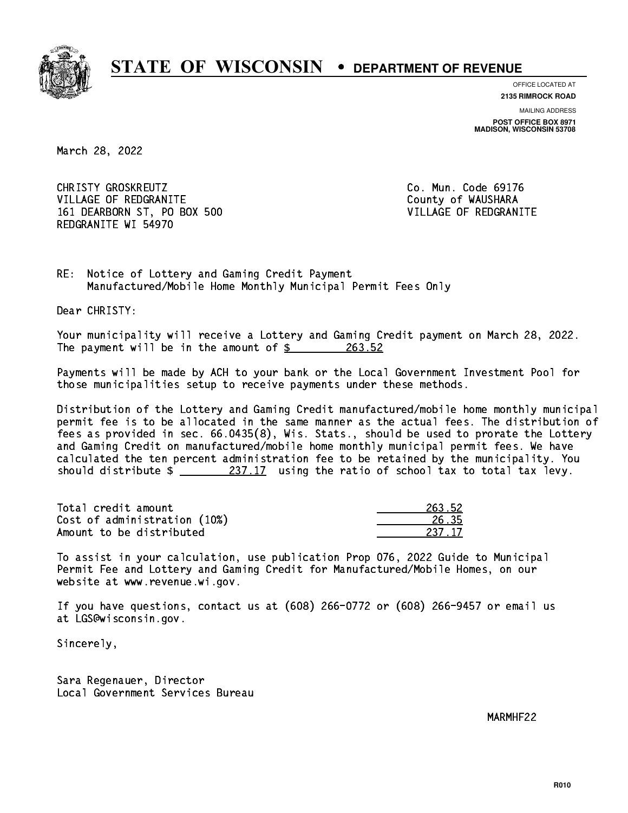

**OFFICE LOCATED AT**

**2135 RIMROCK ROAD**

**MAILING ADDRESS POST OFFICE BOX 8971 MADISON, WISCONSIN 53708**

March 28, 2022

CHRISTY GROSKREUTZ VILLAGE OF REDGRANITE COUNTY OF WAUSHARA 161 DEARBORN ST, PO BOX 500 VILLAGE OF REDGRANITE REDGRANITE WI 54970

Co. Mun. Code 69176

RE: Notice of Lottery and Gaming Credit Payment Manufactured/Mobile Home Monthly Municipal Permit Fees Only

Dear CHRISTY:

 Your municipality will receive a Lottery and Gaming Credit payment on March 28, 2022. The payment will be in the amount of \$ 263.52 \_\_\_\_\_\_\_\_\_\_\_\_\_\_\_\_

 Payments will be made by ACH to your bank or the Local Government Investment Pool for those municipalities setup to receive payments under these methods.

 Distribution of the Lottery and Gaming Credit manufactured/mobile home monthly municipal permit fee is to be allocated in the same manner as the actual fees. The distribution of fees as provided in sec. 66.0435(8), Wis. Stats., should be used to prorate the Lottery and Gaming Credit on manufactured/mobile home monthly municipal permit fees. We have calculated the ten percent administration fee to be retained by the municipality. You should distribute  $\frac{237.17}{2}$  using the ratio of school tax to total tax levy.

Total credit amount Cost of administration (10%) Amount to be distributed

| 1.52<br>., |
|------------|
| こってに       |
| 37 IZ      |

 To assist in your calculation, use publication Prop 076, 2022 Guide to Municipal Permit Fee and Lottery and Gaming Credit for Manufactured/Mobile Homes, on our website at www.revenue.wi.gov.

 If you have questions, contact us at (608) 266-0772 or (608) 266-9457 or email us at LGS@wisconsin.gov.

Sincerely,

 Sara Regenauer, Director Local Government Services Bureau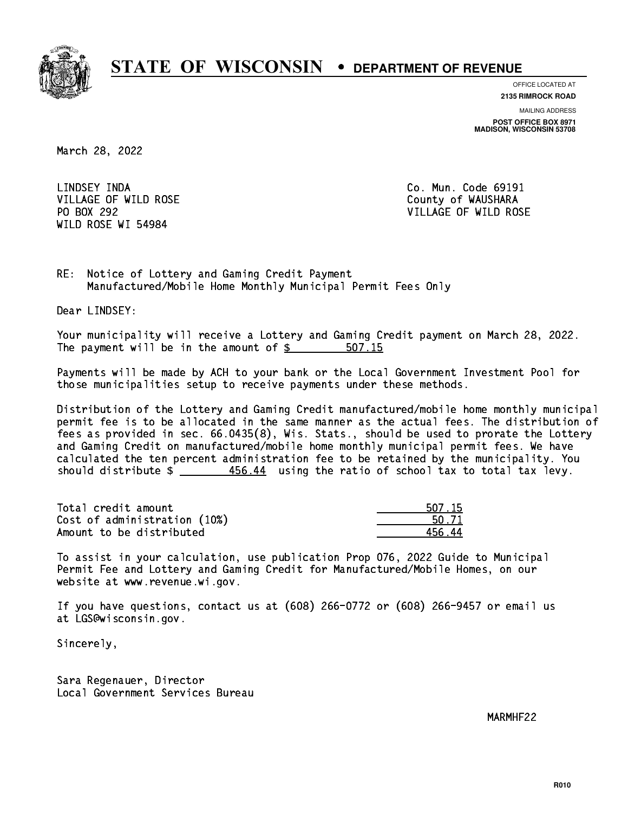

**OFFICE LOCATED AT**

**2135 RIMROCK ROAD**

**MAILING ADDRESS**

**POST OFFICE BOX 8971 MADISON, WISCONSIN 53708**

March 28, 2022

LINDSEY INDA VILLAGE OF WILD ROSE COUNTY OF WAUSHARA PO BOX 292 WILD ROSE WI 54984

Co. Mun. Code 69191 VILLAGE OF WILD ROSE

RE: Notice of Lottery and Gaming Credit Payment Manufactured/Mobile Home Monthly Municipal Permit Fees Only

Dear LINDSEY:

 Your municipality will receive a Lottery and Gaming Credit payment on March 28, 2022. The payment will be in the amount of \$ 507.15 \_\_\_\_\_\_\_\_\_\_\_\_\_\_\_\_

 Payments will be made by ACH to your bank or the Local Government Investment Pool for those municipalities setup to receive payments under these methods.

 Distribution of the Lottery and Gaming Credit manufactured/mobile home monthly municipal permit fee is to be allocated in the same manner as the actual fees. The distribution of fees as provided in sec. 66.0435(8), Wis. Stats., should be used to prorate the Lottery and Gaming Credit on manufactured/mobile home monthly municipal permit fees. We have calculated the ten percent administration fee to be retained by the municipality. You should distribute  $\frac{456.44}{2}$  using the ratio of school tax to total tax levy.

| Total credit amount          | 507.15 |
|------------------------------|--------|
| Cost of administration (10%) | 50.71  |
| Amount to be distributed     | 456 44 |

| 17.15 |
|-------|
| 1.71. |
|       |

 To assist in your calculation, use publication Prop 076, 2022 Guide to Municipal Permit Fee and Lottery and Gaming Credit for Manufactured/Mobile Homes, on our website at www.revenue.wi.gov.

 If you have questions, contact us at (608) 266-0772 or (608) 266-9457 or email us at LGS@wisconsin.gov.

Sincerely,

 Sara Regenauer, Director Local Government Services Bureau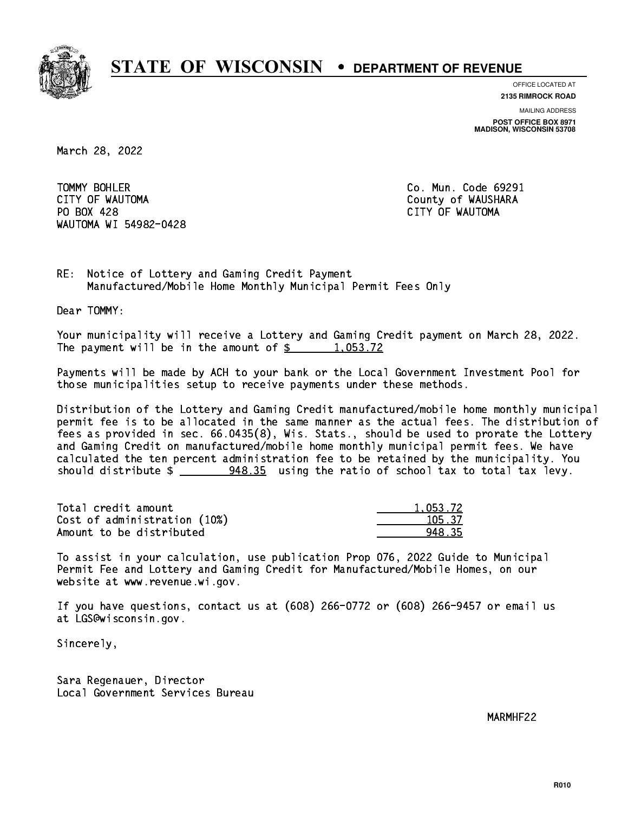

**OFFICE LOCATED AT**

**2135 RIMROCK ROAD**

**MAILING ADDRESS**

**POST OFFICE BOX 8971 MADISON, WISCONSIN 53708**

March 28, 2022

TOMMY BOHLER CITY OF WAUTOMA COUNTY OF WAUSHARA PO BOX 428 CITY OF WAUTOMA WAUTOMA WI 54982-0428

Co. Mun. Code 69291

RE: Notice of Lottery and Gaming Credit Payment Manufactured/Mobile Home Monthly Municipal Permit Fees Only

Dear TOMMY:

 Your municipality will receive a Lottery and Gaming Credit payment on March 28, 2022. The payment will be in the amount of  $\frac{2}{3}$  1,053.72

 Payments will be made by ACH to your bank or the Local Government Investment Pool for those municipalities setup to receive payments under these methods.

 Distribution of the Lottery and Gaming Credit manufactured/mobile home monthly municipal permit fee is to be allocated in the same manner as the actual fees. The distribution of fees as provided in sec. 66.0435(8), Wis. Stats., should be used to prorate the Lottery and Gaming Credit on manufactured/mobile home monthly municipal permit fees. We have calculated the ten percent administration fee to be retained by the municipality. You should distribute \$ 948.35 using the ratio of school tax to total tax levy. \_\_\_\_\_\_\_\_\_\_\_\_\_\_

| Total credit amount          | 1.053.72 |
|------------------------------|----------|
| Cost of administration (10%) | 105.37   |
| Amount to be distributed     | 948.35   |

 To assist in your calculation, use publication Prop 076, 2022 Guide to Municipal Permit Fee and Lottery and Gaming Credit for Manufactured/Mobile Homes, on our website at www.revenue.wi.gov.

 If you have questions, contact us at (608) 266-0772 or (608) 266-9457 or email us at LGS@wisconsin.gov.

Sincerely,

 Sara Regenauer, Director Local Government Services Bureau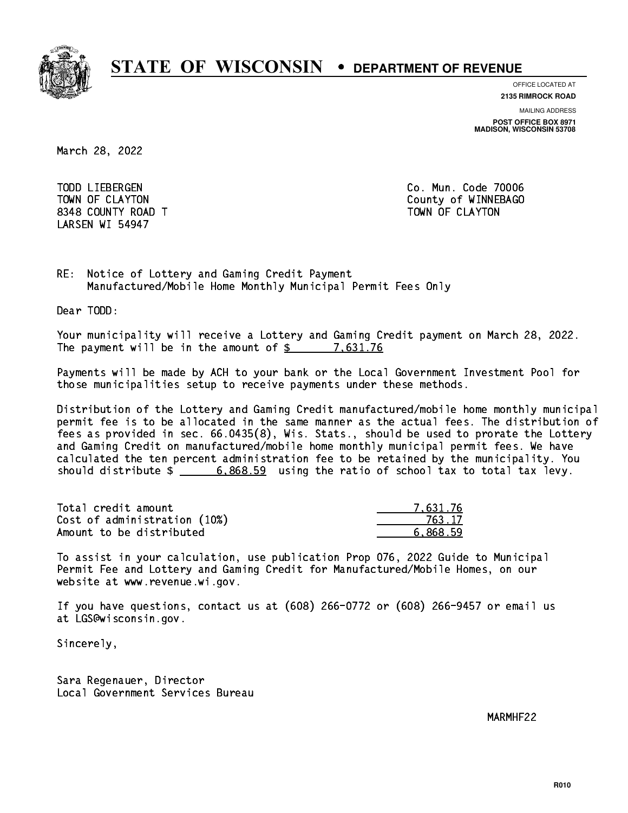

**OFFICE LOCATED AT**

**2135 RIMROCK ROAD**

**MAILING ADDRESS**

**POST OFFICE BOX 8971 MADISON, WISCONSIN 53708**

March 28, 2022

 TODD LIEBERGEN Co. Mun. Code 70006 8348 COUNTY ROAD TWO COUNTY AND TOWN OF CLAYTON LARSEN WI 54947

TOWN OF CLAYTON COUNTY OF WINNEBAGO

RE: Notice of Lottery and Gaming Credit Payment Manufactured/Mobile Home Monthly Municipal Permit Fees Only

Dear TODD:

 Your municipality will receive a Lottery and Gaming Credit payment on March 28, 2022. The payment will be in the amount of \$ 7,631.76 \_\_\_\_\_\_\_\_\_\_\_\_\_\_\_\_

 Payments will be made by ACH to your bank or the Local Government Investment Pool for those municipalities setup to receive payments under these methods.

 Distribution of the Lottery and Gaming Credit manufactured/mobile home monthly municipal permit fee is to be allocated in the same manner as the actual fees. The distribution of fees as provided in sec. 66.0435(8), Wis. Stats., should be used to prorate the Lottery and Gaming Credit on manufactured/mobile home monthly municipal permit fees. We have calculated the ten percent administration fee to be retained by the municipality. You should distribute  $\frac{2}{1}$   $\frac{6,868.59}{2}$  using the ratio of school tax to total tax levy.

| Total credit amount          | 7.631.76 |
|------------------------------|----------|
| Cost of administration (10%) | 763.17   |
| Amount to be distributed     | 6.868.59 |

 To assist in your calculation, use publication Prop 076, 2022 Guide to Municipal Permit Fee and Lottery and Gaming Credit for Manufactured/Mobile Homes, on our website at www.revenue.wi.gov.

 If you have questions, contact us at (608) 266-0772 or (608) 266-9457 or email us at LGS@wisconsin.gov.

Sincerely,

 Sara Regenauer, Director Local Government Services Bureau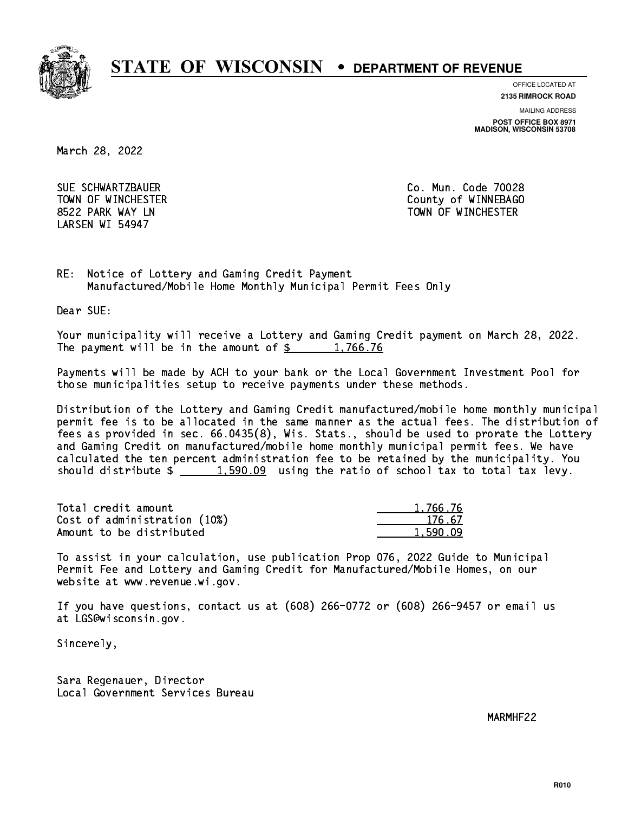

**OFFICE LOCATED AT**

**2135 RIMROCK ROAD**

**MAILING ADDRESS**

**POST OFFICE BOX 8971 MADISON, WISCONSIN 53708**

March 28, 2022

 SUE SCHWARTZBAUER Co. Mun. Code 70028 LARSEN WI 54947

 TOWN OF WINCHESTER County of WINNEBAGO 8522 PARK WAY LN TOWN OF WINCHESTER

RE: Notice of Lottery and Gaming Credit Payment Manufactured/Mobile Home Monthly Municipal Permit Fees Only

Dear SUE:

 Your municipality will receive a Lottery and Gaming Credit payment on March 28, 2022. The payment will be in the amount of  $\frac{2}{3}$  1,766.76

 Payments will be made by ACH to your bank or the Local Government Investment Pool for those municipalities setup to receive payments under these methods.

 Distribution of the Lottery and Gaming Credit manufactured/mobile home monthly municipal permit fee is to be allocated in the same manner as the actual fees. The distribution of fees as provided in sec. 66.0435(8), Wis. Stats., should be used to prorate the Lottery and Gaming Credit on manufactured/mobile home monthly municipal permit fees. We have calculated the ten percent administration fee to be retained by the municipality. You should distribute  $\frac{2}{1,590.09}$  using the ratio of school tax to total tax levy.

| Total credit amount          | 1,766.76 |
|------------------------------|----------|
| Cost of administration (10%) | 176.67   |
| Amount to be distributed     | 1.590.09 |

 To assist in your calculation, use publication Prop 076, 2022 Guide to Municipal Permit Fee and Lottery and Gaming Credit for Manufactured/Mobile Homes, on our website at www.revenue.wi.gov.

 If you have questions, contact us at (608) 266-0772 or (608) 266-9457 or email us at LGS@wisconsin.gov.

Sincerely,

 Sara Regenauer, Director Local Government Services Bureau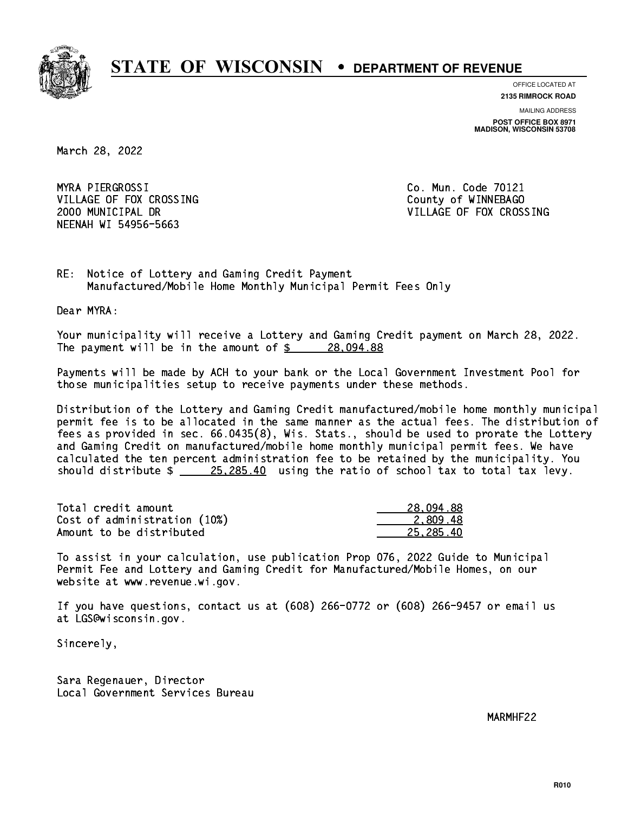

**OFFICE LOCATED AT**

**2135 RIMROCK ROAD**

**MAILING ADDRESS POST OFFICE BOX 8971 MADISON, WISCONSIN 53708**

March 28, 2022

MYRA PIERGROSSI VILLAGE OF FOX CROSSING COUNTY OF WINNEBAGO NEENAH WI 54956-5663

Co. Mun. Code 70121 2000 MUNICIPAL DR VILLAGE OF FOX CROSSING

RE: Notice of Lottery and Gaming Credit Payment Manufactured/Mobile Home Monthly Municipal Permit Fees Only

Dear MYRA:

 Your municipality will receive a Lottery and Gaming Credit payment on March 28, 2022. The payment will be in the amount of \$ 28,094.88 \_\_\_\_\_\_\_\_\_\_\_\_\_\_\_\_

 Payments will be made by ACH to your bank or the Local Government Investment Pool for those municipalities setup to receive payments under these methods.

 Distribution of the Lottery and Gaming Credit manufactured/mobile home monthly municipal permit fee is to be allocated in the same manner as the actual fees. The distribution of fees as provided in sec. 66.0435(8), Wis. Stats., should be used to prorate the Lottery and Gaming Credit on manufactured/mobile home monthly municipal permit fees. We have calculated the ten percent administration fee to be retained by the municipality. You should distribute  $\frac{25,285.40}{25,285.40}$  using the ratio of school tax to total tax levy.

| Total credit amount          | 28,094.88 |
|------------------------------|-----------|
| Cost of administration (10%) | 2.809.48  |
| Amount to be distributed     | 25.285.40 |

 To assist in your calculation, use publication Prop 076, 2022 Guide to Municipal Permit Fee and Lottery and Gaming Credit for Manufactured/Mobile Homes, on our website at www.revenue.wi.gov.

 If you have questions, contact us at (608) 266-0772 or (608) 266-9457 or email us at LGS@wisconsin.gov.

Sincerely,

 Sara Regenauer, Director Local Government Services Bureau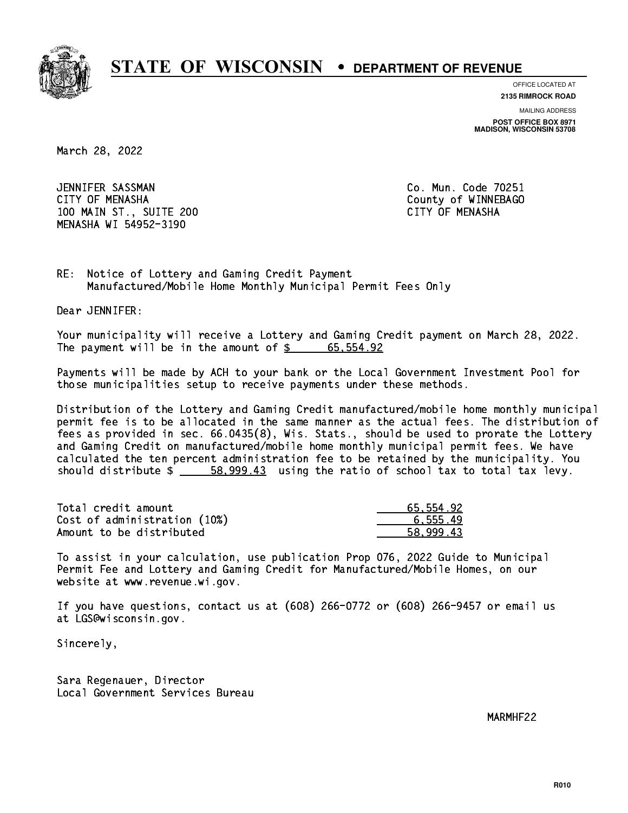

**OFFICE LOCATED AT**

**2135 RIMROCK ROAD**

**MAILING ADDRESS POST OFFICE BOX 8971 MADISON, WISCONSIN 53708**

March 28, 2022

 JENNIFER SASSMAN Co. Mun. Code 70251 CITY OF MENASHA COUNTY OF MENASHA 100 MAIN ST., SUITE 200 CITY OF MENASHA MENASHA WI 54952-3190

RE: Notice of Lottery and Gaming Credit Payment Manufactured/Mobile Home Monthly Municipal Permit Fees Only

Dear JENNIFER:

 Your municipality will receive a Lottery and Gaming Credit payment on March 28, 2022. The payment will be in the amount of  $\frac{2}{3}$  65,554.92

 Payments will be made by ACH to your bank or the Local Government Investment Pool for those municipalities setup to receive payments under these methods.

 Distribution of the Lottery and Gaming Credit manufactured/mobile home monthly municipal permit fee is to be allocated in the same manner as the actual fees. The distribution of fees as provided in sec. 66.0435(8), Wis. Stats., should be used to prorate the Lottery and Gaming Credit on manufactured/mobile home monthly municipal permit fees. We have calculated the ten percent administration fee to be retained by the municipality. You should distribute  $\frac{2}{1}$   $\frac{58,999.43}{2}$  using the ratio of school tax to total tax levy.

| Total credit amount          | 65.554.92 |
|------------------------------|-----------|
| Cost of administration (10%) | 6.555.49  |
| Amount to be distributed     | 58.999.43 |

 To assist in your calculation, use publication Prop 076, 2022 Guide to Municipal Permit Fee and Lottery and Gaming Credit for Manufactured/Mobile Homes, on our website at www.revenue.wi.gov.

 If you have questions, contact us at (608) 266-0772 or (608) 266-9457 or email us at LGS@wisconsin.gov.

Sincerely,

 Sara Regenauer, Director Local Government Services Bureau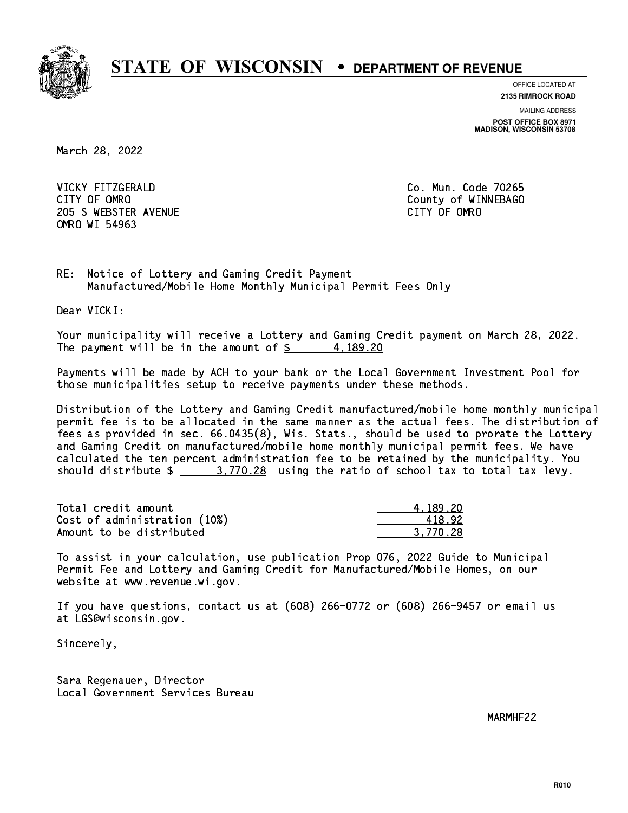

**OFFICE LOCATED AT**

**2135 RIMROCK ROAD**

**MAILING ADDRESS**

**POST OFFICE BOX 8971 MADISON, WISCONSIN 53708**

March 28, 2022

 VICKY FITZGERALD Co. Mun. Code 70265 CITY OF OMRO COUNTY COUNTY OF MESSAGE COUNTY OF MESSAGE COUNTY OF MESSAGE COUNTY OF MESSAGE COUNTY OF MESSAGE COUNTY OF MESSAGE COUNTY OF MESSAGE COUNTY OF MESSAGE COUNTY OF MESSAGE COUNTY OF MESSAGE COUNTY OF MESSAGE COUN 205 SWEBSTER AVENUE **CITY OF OMRO** OMRO WI 54963

RE: Notice of Lottery and Gaming Credit Payment Manufactured/Mobile Home Monthly Municipal Permit Fees Only

Dear VICKI:

 Your municipality will receive a Lottery and Gaming Credit payment on March 28, 2022. The payment will be in the amount of  $\frac{2}{3}$  4, 189.20

 Payments will be made by ACH to your bank or the Local Government Investment Pool for those municipalities setup to receive payments under these methods.

 Distribution of the Lottery and Gaming Credit manufactured/mobile home monthly municipal permit fee is to be allocated in the same manner as the actual fees. The distribution of fees as provided in sec. 66.0435(8), Wis. Stats., should be used to prorate the Lottery and Gaming Credit on manufactured/mobile home monthly municipal permit fees. We have calculated the ten percent administration fee to be retained by the municipality. You should distribute  $\frac{2}{1}$   $\frac{3.770.28}{2}$  using the ratio of school tax to total tax levy.

| Total credit amount          | 4.189.20 |
|------------------------------|----------|
| Cost of administration (10%) | 418.92   |
| Amount to be distributed     | 3.770.28 |

 To assist in your calculation, use publication Prop 076, 2022 Guide to Municipal Permit Fee and Lottery and Gaming Credit for Manufactured/Mobile Homes, on our website at www.revenue.wi.gov.

 If you have questions, contact us at (608) 266-0772 or (608) 266-9457 or email us at LGS@wisconsin.gov.

Sincerely,

 Sara Regenauer, Director Local Government Services Bureau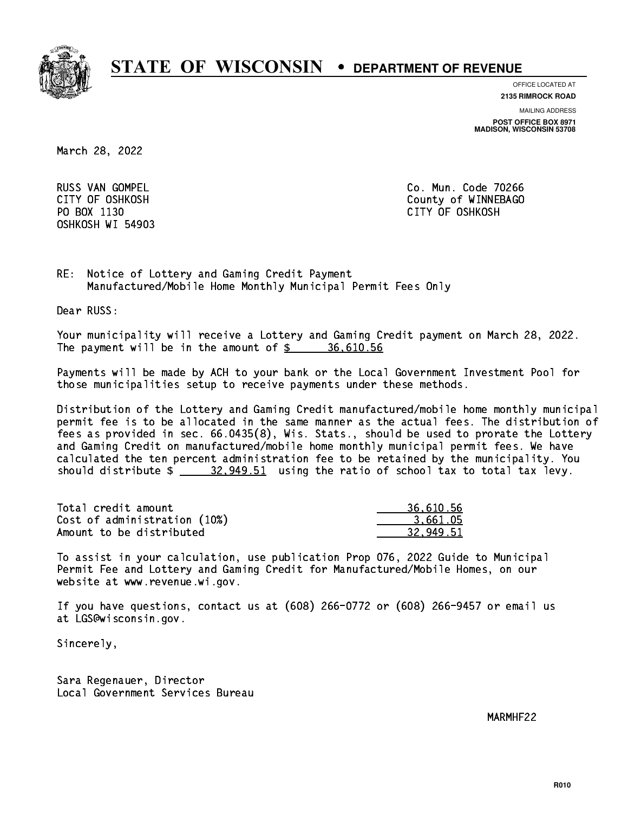

**OFFICE LOCATED AT**

**2135 RIMROCK ROAD**

**MAILING ADDRESS**

**POST OFFICE BOX 8971 MADISON, WISCONSIN 53708**

March 28, 2022

**RUSS VAN GOMPEL** OSHKOSH WI 54903

Co. Mun. Code 70266 CITY OF OSHKOSH County of WINNEBAGO PO BOX 1130 CITY OF OSHKOSH

RE: Notice of Lottery and Gaming Credit Payment Manufactured/Mobile Home Monthly Municipal Permit Fees Only

Dear RUSS:

 Your municipality will receive a Lottery and Gaming Credit payment on March 28, 2022. The payment will be in the amount of  $\frac{2}{3}$  36,610.56

 Payments will be made by ACH to your bank or the Local Government Investment Pool for those municipalities setup to receive payments under these methods.

 Distribution of the Lottery and Gaming Credit manufactured/mobile home monthly municipal permit fee is to be allocated in the same manner as the actual fees. The distribution of fees as provided in sec. 66.0435(8), Wis. Stats., should be used to prorate the Lottery and Gaming Credit on manufactured/mobile home monthly municipal permit fees. We have calculated the ten percent administration fee to be retained by the municipality. You should distribute  $\frac{20.949.51}{20.949.51}$  using the ratio of school tax to total tax levy.

| Total credit amount          | 36,610.56 |
|------------------------------|-----------|
| Cost of administration (10%) | 3.661.05  |
| Amount to be distributed     | 32.949.51 |

 To assist in your calculation, use publication Prop 076, 2022 Guide to Municipal Permit Fee and Lottery and Gaming Credit for Manufactured/Mobile Homes, on our website at www.revenue.wi.gov.

 If you have questions, contact us at (608) 266-0772 or (608) 266-9457 or email us at LGS@wisconsin.gov.

Sincerely,

 Sara Regenauer, Director Local Government Services Bureau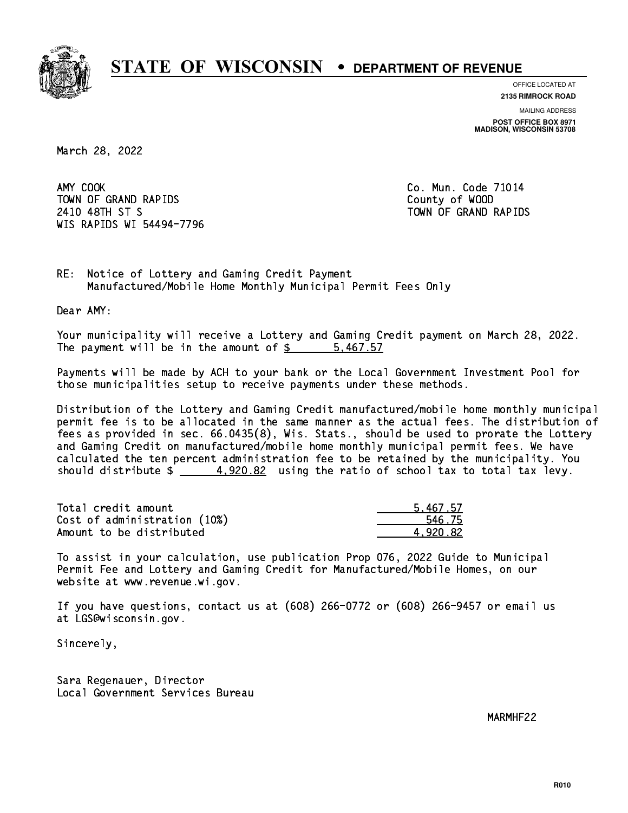

**OFFICE LOCATED AT**

**2135 RIMROCK ROAD**

**MAILING ADDRESS POST OFFICE BOX 8971 MADISON, WISCONSIN 53708**

March 28, 2022

AMY COOK TOWN OF GRAND RAPIDS County of WOOD 2410 48TH ST S TOWN OF GRAND RAPIDS WIS RAPIDS WI 54494-7796

Co. Mun. Code 71014

RE: Notice of Lottery and Gaming Credit Payment Manufactured/Mobile Home Monthly Municipal Permit Fees Only

Dear AMY:

 Your municipality will receive a Lottery and Gaming Credit payment on March 28, 2022. The payment will be in the amount of \$ 5,467.57 \_\_\_\_\_\_\_\_\_\_\_\_\_\_\_\_

 Payments will be made by ACH to your bank or the Local Government Investment Pool for those municipalities setup to receive payments under these methods.

 Distribution of the Lottery and Gaming Credit manufactured/mobile home monthly municipal permit fee is to be allocated in the same manner as the actual fees. The distribution of fees as provided in sec. 66.0435(8), Wis. Stats., should be used to prorate the Lottery and Gaming Credit on manufactured/mobile home monthly municipal permit fees. We have calculated the ten percent administration fee to be retained by the municipality. You should distribute  $\frac{4.920.82}{4.920.82}$  using the ratio of school tax to total tax levy.

| Total credit amount          | 5.467.57 |
|------------------------------|----------|
| Cost of administration (10%) | 546.75   |
| Amount to be distributed     | 4.920.82 |

 To assist in your calculation, use publication Prop 076, 2022 Guide to Municipal Permit Fee and Lottery and Gaming Credit for Manufactured/Mobile Homes, on our website at www.revenue.wi.gov.

 If you have questions, contact us at (608) 266-0772 or (608) 266-9457 or email us at LGS@wisconsin.gov.

Sincerely,

 Sara Regenauer, Director Local Government Services Bureau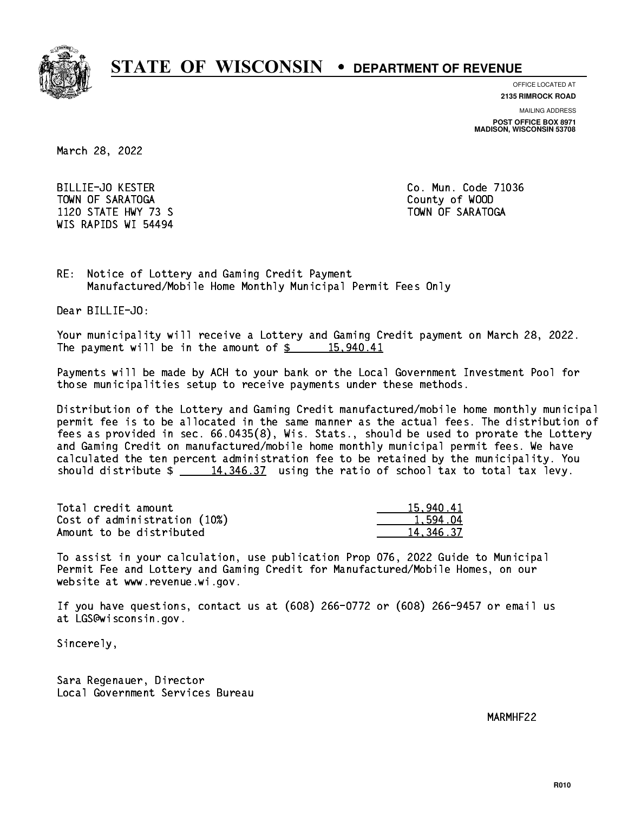

**OFFICE LOCATED AT**

**MAILING ADDRESS 2135 RIMROCK ROAD**

**POST OFFICE BOX 8971 MADISON, WISCONSIN 53708**

March 28, 2022

 BILLIE-JO KESTER Co. Mun. Code 71036 TOWN OF SARATOGA County of WOOD 1120 STATE HWY 73 S TOWN OF SARATOGA WIS RAPIDS WI 54494

RE: Notice of Lottery and Gaming Credit Payment Manufactured/Mobile Home Monthly Municipal Permit Fees Only

Dear BILLIE-JO:

 Your municipality will receive a Lottery and Gaming Credit payment on March 28, 2022. The payment will be in the amount of  $\frac{2}{3}$  15,940.41

 Payments will be made by ACH to your bank or the Local Government Investment Pool for those municipalities setup to receive payments under these methods.

 Distribution of the Lottery and Gaming Credit manufactured/mobile home monthly municipal permit fee is to be allocated in the same manner as the actual fees. The distribution of fees as provided in sec. 66.0435(8), Wis. Stats., should be used to prorate the Lottery and Gaming Credit on manufactured/mobile home monthly municipal permit fees. We have calculated the ten percent administration fee to be retained by the municipality. You should distribute  $\frac{14,346.37}{2}$  using the ratio of school tax to total tax levy.

| Total credit amount          | 15,940.41 |
|------------------------------|-----------|
| Cost of administration (10%) | 1.594.04  |
| Amount to be distributed     | 14.346.37 |

 To assist in your calculation, use publication Prop 076, 2022 Guide to Municipal Permit Fee and Lottery and Gaming Credit for Manufactured/Mobile Homes, on our website at www.revenue.wi.gov.

 If you have questions, contact us at (608) 266-0772 or (608) 266-9457 or email us at LGS@wisconsin.gov.

Sincerely,

 Sara Regenauer, Director Local Government Services Bureau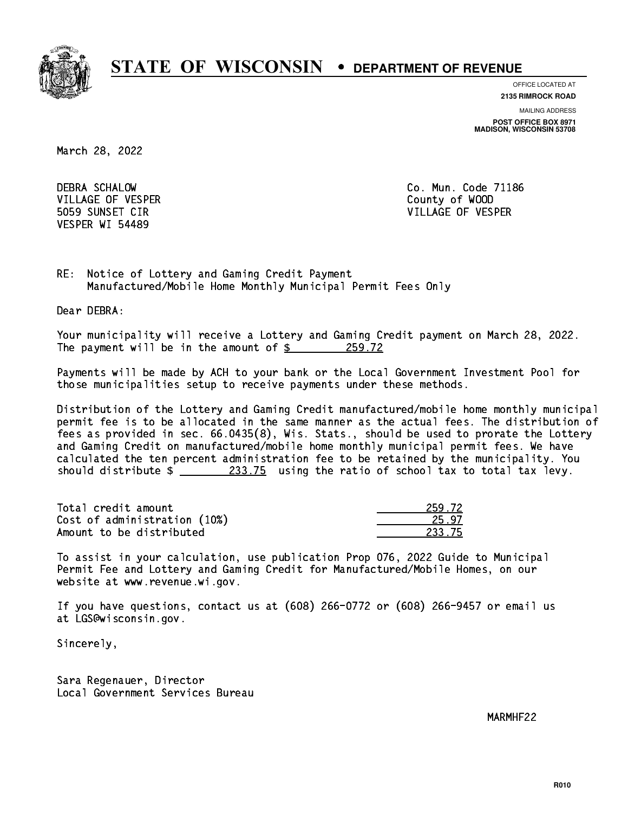

**OFFICE LOCATED AT 2135 RIMROCK ROAD**

**MAILING ADDRESS**

**POST OFFICE BOX 8971 MADISON, WISCONSIN 53708**

March 28, 2022

 DEBRA SCHALOW Co. Mun. Code 71186 VILLAGE OF VESPER COUNTY OF WOOD VESPER WI 54489

5059 SUNSET CIR VILLAGE OF VESPER

RE: Notice of Lottery and Gaming Credit Payment Manufactured/Mobile Home Monthly Municipal Permit Fees Only

Dear DEBRA:

 Your municipality will receive a Lottery and Gaming Credit payment on March 28, 2022. The payment will be in the amount of  $\frac{259.72}{259.72}$ 

 Payments will be made by ACH to your bank or the Local Government Investment Pool for those municipalities setup to receive payments under these methods.

 Distribution of the Lottery and Gaming Credit manufactured/mobile home monthly municipal permit fee is to be allocated in the same manner as the actual fees. The distribution of fees as provided in sec. 66.0435(8), Wis. Stats., should be used to prorate the Lottery and Gaming Credit on manufactured/mobile home monthly municipal permit fees. We have calculated the ten percent administration fee to be retained by the municipality. You should distribute  $\frac{233.75}{21}$  using the ratio of school tax to total tax levy.

Total credit amount Cost of administration (10%) Amount to be distributed

| . 72.         |
|---------------|
| 17            |
| -7<br>5<br>., |

 To assist in your calculation, use publication Prop 076, 2022 Guide to Municipal Permit Fee and Lottery and Gaming Credit for Manufactured/Mobile Homes, on our website at www.revenue.wi.gov.

 If you have questions, contact us at (608) 266-0772 or (608) 266-9457 or email us at LGS@wisconsin.gov.

Sincerely,

 Sara Regenauer, Director Local Government Services Bureau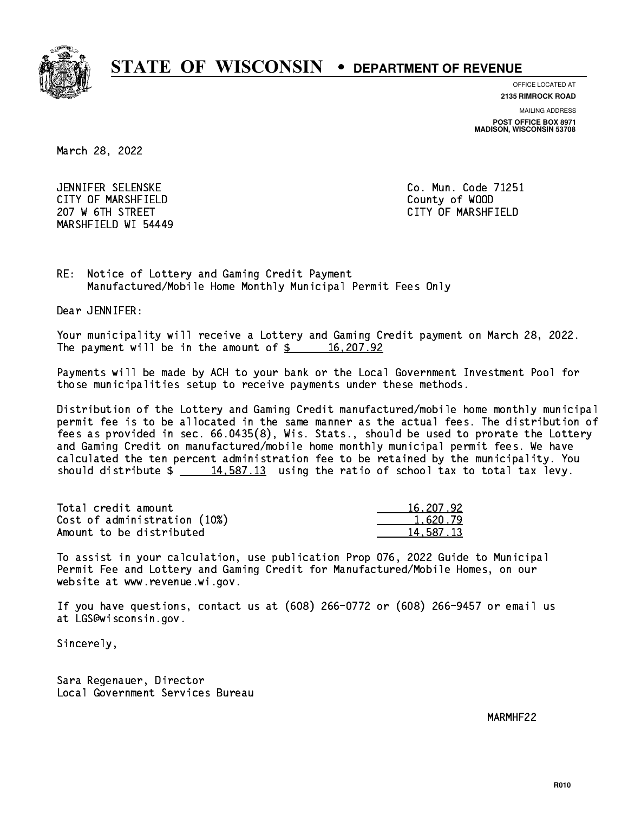

**OFFICE LOCATED AT**

**2135 RIMROCK ROAD**

**MAILING ADDRESS**

**POST OFFICE BOX 8971 MADISON, WISCONSIN 53708**

March 28, 2022

 JENNIFER SELENSKE Co. Mun. Code 71251 CITY OF MARSHFIELD County of WOOD 207 W 6TH STREET CITY OF MARSHFIELD MARSHFIELD WI 54449

RE: Notice of Lottery and Gaming Credit Payment Manufactured/Mobile Home Monthly Municipal Permit Fees Only

Dear JENNIFER:

 Your municipality will receive a Lottery and Gaming Credit payment on March 28, 2022. The payment will be in the amount of  $\frac{207.92}{200}$ 

 Payments will be made by ACH to your bank or the Local Government Investment Pool for those municipalities setup to receive payments under these methods.

 Distribution of the Lottery and Gaming Credit manufactured/mobile home monthly municipal permit fee is to be allocated in the same manner as the actual fees. The distribution of fees as provided in sec. 66.0435(8), Wis. Stats., should be used to prorate the Lottery and Gaming Credit on manufactured/mobile home monthly municipal permit fees. We have calculated the ten percent administration fee to be retained by the municipality. You should distribute  $\frac{2}{14,587.13}$  using the ratio of school tax to total tax levy.

| Total credit amount          | 16,207.92 |
|------------------------------|-----------|
| Cost of administration (10%) | 1.620.79  |
| Amount to be distributed     | 14,587.13 |

 To assist in your calculation, use publication Prop 076, 2022 Guide to Municipal Permit Fee and Lottery and Gaming Credit for Manufactured/Mobile Homes, on our website at www.revenue.wi.gov.

 If you have questions, contact us at (608) 266-0772 or (608) 266-9457 or email us at LGS@wisconsin.gov.

Sincerely,

 Sara Regenauer, Director Local Government Services Bureau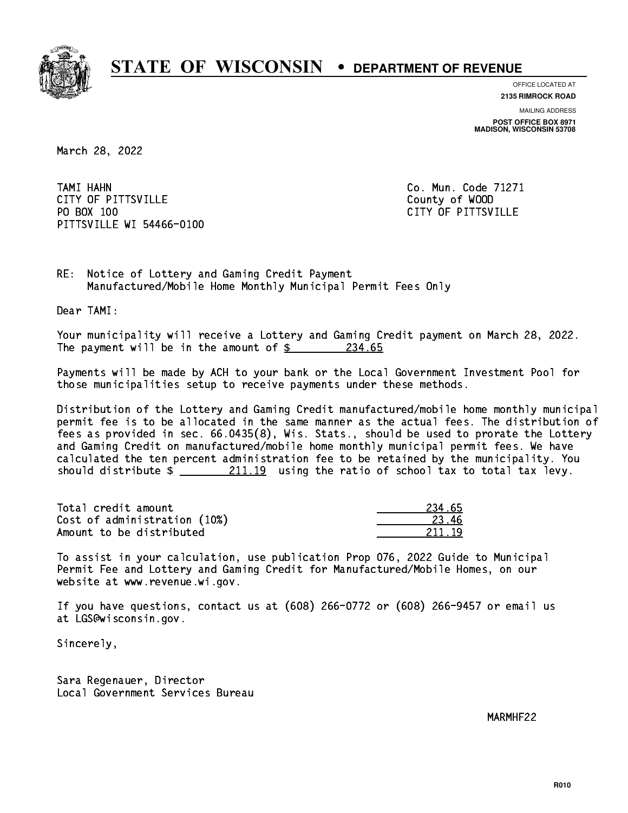

**OFFICE LOCATED AT**

**2135 RIMROCK ROAD**

**MAILING ADDRESS POST OFFICE BOX 8971 MADISON, WISCONSIN 53708**

March 28, 2022

 TAMI HAHN Co. Mun. Code 71271 CITY OF PITTSVILLE **COUNTY COUNTY OF ALCOHOL** PO BOX 100 PITTSVILLE WI 54466-0100

CITY OF PITTSVILLE

RE: Notice of Lottery and Gaming Credit Payment Manufactured/Mobile Home Monthly Municipal Permit Fees Only

Dear TAMI:

 Your municipality will receive a Lottery and Gaming Credit payment on March 28, 2022. The payment will be in the amount of  $\frac{234.65}{234.65}$ 

 Payments will be made by ACH to your bank or the Local Government Investment Pool for those municipalities setup to receive payments under these methods.

 Distribution of the Lottery and Gaming Credit manufactured/mobile home monthly municipal permit fee is to be allocated in the same manner as the actual fees. The distribution of fees as provided in sec. 66.0435(8), Wis. Stats., should be used to prorate the Lottery and Gaming Credit on manufactured/mobile home monthly municipal permit fees. We have calculated the ten percent administration fee to be retained by the municipality. You should distribute  $\frac{211.19}{211.19}$  using the ratio of school tax to total tax levy.

Total credit amount Cost of administration (10%) Amount to be distributed

| L 65<br>2    |
|--------------|
|              |
| 1 Q<br>211 - |

 To assist in your calculation, use publication Prop 076, 2022 Guide to Municipal Permit Fee and Lottery and Gaming Credit for Manufactured/Mobile Homes, on our website at www.revenue.wi.gov.

 If you have questions, contact us at (608) 266-0772 or (608) 266-9457 or email us at LGS@wisconsin.gov.

Sincerely,

 Sara Regenauer, Director Local Government Services Bureau